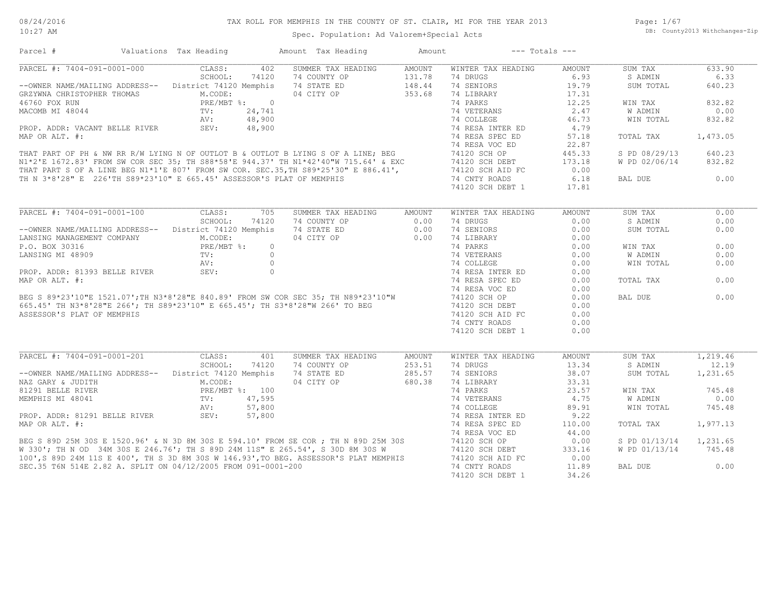| Parcel #                                                                                                                                                   | Valuations Tax Heading |       | Amount Tax Heading                                                                                                                                                                                                                   | Amount               | $---$ Totals $---$ |               |                      |          |
|------------------------------------------------------------------------------------------------------------------------------------------------------------|------------------------|-------|--------------------------------------------------------------------------------------------------------------------------------------------------------------------------------------------------------------------------------------|----------------------|--------------------|---------------|----------------------|----------|
| PARCEL #: 7404-091-0001-000                                                                                                                                | CLASS:                 | 402   | SUMMER TAX HEADING                                                                                                                                                                                                                   | AMOUNT               | WINTER TAX HEADING | AMOUNT        | SUM TAX              | 633.90   |
|                                                                                                                                                            | SCHOOL:                | 74120 | 74 COUNTY OP                                                                                                                                                                                                                         |                      | 74 DRUGS           | 6.93          | S ADMIN              | 6.33     |
| --OWNER NAME/MAILING ADDRESS-- District 74120 Memphis                                                                                                      |                        |       | 74 STATE ED                                                                                                                                                                                                                          | $131.78$<br>$148.44$ | 74 SENIORS         | 19.79         | SUM TOTAL            | 640.23   |
| GRZYWNA CHRISTOPHER THOMAS M.CODE:<br>46760 FOX RUN PRE/MBT %: 0<br>MACOMB MI 48044 TV: 24,741<br>AV: 48,900<br>PROP. ADDR: VACANT BELLE RIVER SEV: 48,900 |                        |       | 04 CITY OP 353.68                                                                                                                                                                                                                    |                      | 74 LIBRARY         | 17.31         |                      |          |
|                                                                                                                                                            |                        |       |                                                                                                                                                                                                                                      |                      |                    | 12.25         | WIN TAX              | 832.82   |
|                                                                                                                                                            |                        |       |                                                                                                                                                                                                                                      |                      |                    | 2.47          | W ADMIN              | 0.00     |
|                                                                                                                                                            |                        |       |                                                                                                                                                                                                                                      |                      |                    | 46.73         | WIN TOTAL            | 832.82   |
|                                                                                                                                                            |                        |       |                                                                                                                                                                                                                                      |                      |                    | 4.79          |                      |          |
|                                                                                                                                                            |                        |       |                                                                                                                                                                                                                                      |                      |                    | 57.18         | TOTAL TAX            | 1,473.05 |
|                                                                                                                                                            |                        |       |                                                                                                                                                                                                                                      |                      |                    |               |                      |          |
|                                                                                                                                                            |                        |       |                                                                                                                                                                                                                                      |                      |                    | 22.87         |                      |          |
|                                                                                                                                                            |                        |       |                                                                                                                                                                                                                                      |                      |                    | 445.33        | S PD 08/29/13        | 640.23   |
|                                                                                                                                                            |                        |       |                                                                                                                                                                                                                                      |                      |                    | 173.18        | W PD 02/06/14        | 832.82   |
|                                                                                                                                                            |                        |       |                                                                                                                                                                                                                                      |                      |                    | 0.00          |                      |          |
|                                                                                                                                                            |                        |       |                                                                                                                                                                                                                                      |                      |                    | 6.18          | BAL DUE              | 0.00     |
|                                                                                                                                                            |                        |       |                                                                                                                                                                                                                                      |                      |                    | 17.81         |                      |          |
|                                                                                                                                                            |                        |       |                                                                                                                                                                                                                                      |                      |                    |               |                      |          |
| PARCEL #: 7404-091-0001-100                                                                                                                                | CLASS:                 | 705   | SUMMER TAX HEADING AMOUNT                                                                                                                                                                                                            |                      | WINTER TAX HEADING | <b>AMOUNT</b> | SUM TAX              | 0.00     |
|                                                                                                                                                            | SCHOOL:                | 74120 | 74 COUNTY OP                                                                                                                                                                                                                         | 0.00                 | 74 DRUGS           | 0.00          | S ADMIN              | 0.00     |
| --OWNER NAME/MAILING ADDRESS-- District 74120 Memphis                                                                                                      |                        |       | 74 STATE ED                                                                                                                                                                                                                          | 0.00                 | 74 SENIORS         | 0.00          | SUM TOTAL            | 0.00     |
|                                                                                                                                                            |                        |       | 04 CITY OP 0.00                                                                                                                                                                                                                      |                      | 74 LIBRARY         | 0.00          |                      |          |
|                                                                                                                                                            |                        |       |                                                                                                                                                                                                                                      |                      | 74 PARKS           | 0.00          | WIN TAX              | 0.00     |
|                                                                                                                                                            |                        |       |                                                                                                                                                                                                                                      |                      | 74 VETERANS        | 0.00          | <b>W ADMIN</b>       | 0.00     |
|                                                                                                                                                            |                        |       |                                                                                                                                                                                                                                      |                      | 74 COLLEGE         | 0.00          | WIN TOTAL            | 0.00     |
|                                                                                                                                                            |                        |       |                                                                                                                                                                                                                                      |                      |                    |               |                      |          |
|                                                                                                                                                            |                        |       |                                                                                                                                                                                                                                      |                      | 74 RESA INTER ED   | 0.00          |                      |          |
|                                                                                                                                                            |                        |       |                                                                                                                                                                                                                                      |                      | 74 RESA SPEC ED    | 0.00          | TOTAL TAX            | 0.00     |
|                                                                                                                                                            |                        |       |                                                                                                                                                                                                                                      |                      | 74 RESA VOC ED     | 0.00          |                      |          |
|                                                                                                                                                            |                        |       |                                                                                                                                                                                                                                      |                      | 74120 SCH OP       | 0.00          | BAL DUE              | 0.00     |
|                                                                                                                                                            |                        |       |                                                                                                                                                                                                                                      |                      | 74120 SCH DEBT     | 0.00          |                      |          |
|                                                                                                                                                            |                        |       |                                                                                                                                                                                                                                      |                      | 74120 SCH AID FC   | 0.00          |                      |          |
|                                                                                                                                                            |                        |       |                                                                                                                                                                                                                                      |                      | 74 CNTY ROADS      | 0.00          |                      |          |
|                                                                                                                                                            |                        |       |                                                                                                                                                                                                                                      |                      | 74120 SCH DEBT 1   | 0.00          |                      |          |
|                                                                                                                                                            |                        |       |                                                                                                                                                                                                                                      |                      |                    |               |                      |          |
| PARCEL #: 7404-091-0001-201                                                                                                                                | CLASS:                 | 401   | SUMMER TAX HEADING                                                                                                                                                                                                                   | AMOUNT               | WINTER TAX HEADING | <b>AMOUNT</b> | SUM TAX              | 1,219.46 |
|                                                                                                                                                            | SCHOOL:                | 74120 |                                                                                                                                                                                                                                      | 253.51               | 74 DRUGS           | 13.34         | S ADMIN              | 12.19    |
| --OWNER NAME/MAILING ADDRESS-- District 74120 Memphis                                                                                                      |                        |       | 74 COUNTY OP<br>74 STATE ED<br>04 CITY OP<br>74 STATE ED                                                                                                                                                                             | 285.57               | 74 SENIORS         | 38.07         | SUM TOTAL            | 1,231.65 |
| MENE CARY & JUDITH M.CODE:<br>81291 BELLE RIVER PRE/MBT %: 100<br>MEMPHIS MI 48041 TV: 47,595<br>PROP. ADDR: 81291 BELLE RIVER SEV: 57,800                 |                        |       |                                                                                                                                                                                                                                      | 680.38               | 74 LIBRARY         | 33.31         |                      |          |
|                                                                                                                                                            |                        |       |                                                                                                                                                                                                                                      |                      | 74 PARKS           | 23.57         | WIN TAX              | 745.48   |
|                                                                                                                                                            |                        |       |                                                                                                                                                                                                                                      |                      | 74 VETERANS        | 4.75          | W ADMIN              | 0.00     |
|                                                                                                                                                            |                        |       |                                                                                                                                                                                                                                      |                      | 74 COLLEGE         | 89.91         | WIN TOTAL            | 745.48   |
|                                                                                                                                                            |                        |       |                                                                                                                                                                                                                                      |                      | 74 RESA INTER ED   | 9.22          |                      |          |
|                                                                                                                                                            |                        |       |                                                                                                                                                                                                                                      |                      |                    |               |                      |          |
|                                                                                                                                                            |                        |       |                                                                                                                                                                                                                                      |                      |                    | 110.00        | TOTAL TAX            | 1,977.13 |
|                                                                                                                                                            |                        |       |                                                                                                                                                                                                                                      |                      |                    | 44.00         |                      |          |
|                                                                                                                                                            |                        |       |                                                                                                                                                                                                                                      |                      |                    | 0.00          | S PD 01/13/14        | 1,231.65 |
|                                                                                                                                                            |                        |       | PROP. ADDR: 81291 BELLE RIVER SEV: 57,800 (4 KESA INIER DU<br>MAP OR ALT. #: 74 RESA SPEC ED<br>BEG S 89D 25M 30S E 1520.96' & N 3D 8M 30S E 594.10' FROM SE COR ; TH N 89D 25M 30S 74120 SCH OP<br>W 330'; TH N OD 34M 30S E 246.76 |                      |                    | 333.16        | W PD 01/13/14 745.48 |          |
|                                                                                                                                                            |                        |       |                                                                                                                                                                                                                                      |                      |                    | 0.00          |                      |          |
| SEC.35 T6N 514E 2.82 A. SPLIT ON 04/12/2005 FROM 091-0001-200                                                                                              |                        |       |                                                                                                                                                                                                                                      |                      | 74 CNTY ROADS      | 11.89         | BAL DUE              | 0.00     |
|                                                                                                                                                            |                        |       |                                                                                                                                                                                                                                      |                      | 74120 SCH DEBT 1   | 34.26         |                      |          |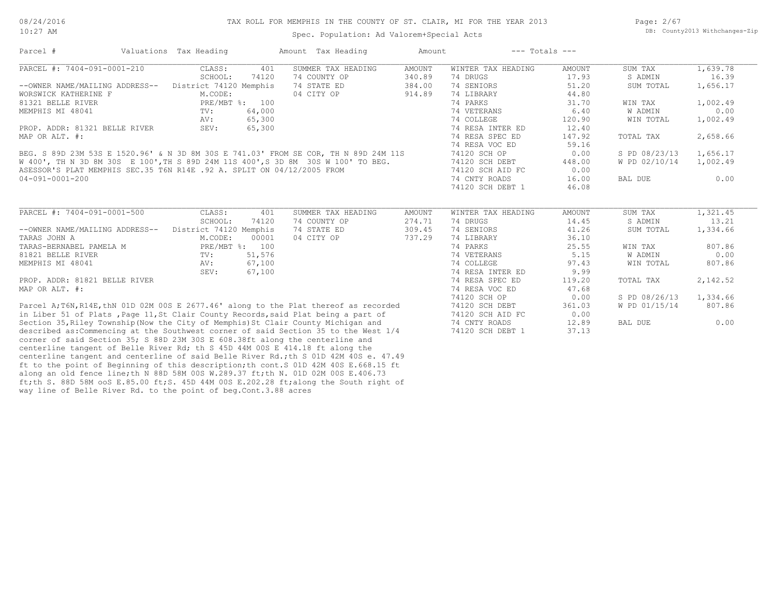#### TAX ROLL FOR MEMPHIS IN THE COUNTY OF ST. CLAIR, MI FOR THE YEAR 2013

Spec. Population: Ad Valorem+Special Acts

Page: 2/67 DB: County2013 Withchanges-Zip

| Parcel #                                                                              | Valuations Tax Heading |                | Amount Tax Heading | Amount        | $---$ Totals $---$ |               |               |          |
|---------------------------------------------------------------------------------------|------------------------|----------------|--------------------|---------------|--------------------|---------------|---------------|----------|
| PARCEL #: 7404-091-0001-210                                                           | CLASS:                 | 401            | SUMMER TAX HEADING | <b>AMOUNT</b> | WINTER TAX HEADING | <b>AMOUNT</b> | SUM TAX       | 1,639.78 |
|                                                                                       | SCHOOL:                | 74120          | 74 COUNTY OP       | 340.89        | 74 DRUGS           | 17.93         | S ADMIN       | 16.39    |
| --OWNER NAME/MAILING ADDRESS--                                                        | District 74120 Memphis |                | 74 STATE ED        | 384.00        | 74 SENIORS         | 51.20         | SUM TOTAL     | 1,656.17 |
| WORSWICK KATHERINE F                                                                  | M.CODE:                |                | 04 CITY OP         | 914.89        | 74 LIBRARY         | 44.80         |               |          |
| 81321 BELLE RIVER                                                                     |                        | PRE/MBT %: 100 |                    |               | 74 PARKS           | 31.70         | WIN TAX       | 1,002.49 |
| MEMPHIS MI 48041                                                                      | TV:                    | 64,000         |                    |               | 74 VETERANS        | 6.40          | W ADMIN       | 0.00     |
|                                                                                       | AV:                    | 65,300         |                    |               | 74 COLLEGE         | 120.90        | WIN TOTAL     | 1,002.49 |
| PROP. ADDR: 81321 BELLE RIVER                                                         | SEV:                   | 65,300         |                    |               | 74 RESA INTER ED   | 12.40         |               |          |
| MAP OR ALT. #:                                                                        |                        |                |                    |               | 74 RESA SPEC ED    | 147.92        | TOTAL TAX     | 2,658.66 |
|                                                                                       |                        |                |                    |               | 74 RESA VOC ED     | 59.16         |               |          |
| BEG. S 89D 23M 53S E 1520.96' & N 3D 8M 30S E 741.03' FROM SE COR, TH N 89D 24M 11S   |                        |                |                    |               | 74120 SCH OP       | 0.00          | S PD 08/23/13 | 1,656.17 |
| W 400', TH N 3D 8M 30S E 100', TH S 89D 24M 11S 400', S 3D 8M 30S W 100' TO BEG.      |                        |                |                    |               | 74120 SCH DEBT     | 448.00        | W PD 02/10/14 | 1,002.49 |
| ASESSOR'S PLAT MEMPHIS SEC.35 T6N R14E .92 A. SPLIT ON 04/12/2005 FROM                |                        |                |                    |               | 74120 SCH AID FC   | 0.00          |               |          |
| $04 - 091 - 0001 - 200$                                                               |                        |                |                    |               | 74 CNTY ROADS      | 16.00         | BAL DUE       | 0.00     |
|                                                                                       |                        |                |                    |               | 74120 SCH DEBT 1   | 46.08         |               |          |
|                                                                                       |                        |                |                    |               |                    |               |               |          |
| PARCEL #: 7404-091-0001-500                                                           | CLASS:                 | 401            | SUMMER TAX HEADING | <b>AMOUNT</b> | WINTER TAX HEADING | <b>AMOUNT</b> | SUM TAX       | 1,321.45 |
|                                                                                       | SCHOOL:                | 74120          | 74 COUNTY OP       | 274.71        | 74 DRUGS           | 14.45         | S ADMIN       | 13.21    |
| --OWNER NAME/MAILING ADDRESS--                                                        | District 74120 Memphis |                | 74 STATE ED        | 309.45        | 74 SENIORS         | 41.26         | SUM TOTAL     | 1,334.66 |
| TARAS JOHN A                                                                          | M.CODE:                | 00001          | 04 CITY OP         | 737.29        | 74 LIBRARY         | 36.10         |               |          |
| TARAS-BERNABEL PAMELA M                                                               |                        | PRE/MBT %: 100 |                    |               | 74 PARKS           | 25.55         | WIN TAX       | 807.86   |
| 81821 BELLE RIVER                                                                     | TV:                    | 51,576         |                    |               | 74 VETERANS        | 5.15          | W ADMIN       | 0.00     |
| MEMPHIS MI 48041                                                                      | AV:                    | 67,100         |                    |               | 74 COLLEGE         | 97.43         | WIN TOTAL     | 807.86   |
|                                                                                       | SEV:                   | 67,100         |                    |               | 74 RESA INTER ED   | 9.99          |               |          |
| PROP. ADDR: 81821 BELLE RIVER                                                         |                        |                |                    |               | 74 RESA SPEC ED    | 119.20        | TOTAL TAX     | 2,142.52 |
| MAP OR ALT. #:                                                                        |                        |                |                    |               | 74 RESA VOC ED     | 47.68         |               |          |
|                                                                                       |                        |                |                    |               | 74120 SCH OP       | 0.00          | S PD 08/26/13 | 1,334.66 |
| Parcel A; T6N, R14E, thN 01D 02M 00S E 2677.46' along to the Plat thereof as recorded |                        |                |                    |               | 74120 SCH DEBT     | 361.03        | W PD 01/15/14 | 807.86   |
| in Liber 51 of Plats, Page 11, St Clair County Records, said Plat being a part of     |                        |                |                    |               | 74120 SCH AID FC   | 0.00          |               |          |
| Section 35, Riley Township (Now the City of Memphis) St Clair County Michigan and     |                        |                |                    |               | 74 CNTY ROADS      | 12.89         | BAL DUE       | 0.00     |
| described as: Commencing at the Southwest corner of said Section 35 to the West 1/4   |                        |                |                    |               | 74120 SCH DEBT 1   | 37.13         |               |          |
| corner of said Section 35; S 88D 23M 30S E 608.38ft along the centerline and          |                        |                |                    |               |                    |               |               |          |
| centerline tangent of Belle River Rd; th S 45D 44M 00S E 414.18 ft along the          |                        |                |                    |               |                    |               |               |          |

way line of Belle River Rd. to the point of beg.Cont.3.88 acres ft;th S. 88D 58M ooS E.85.00 ft;S. 45D 44M 00S E.202.28 ft;along the South right of along an old fence line;th N 88D 58M 00S W.289.37 ft;th N. 01D 02M 00S E.406.73 ft to the point of Beginning of this description;th cont.S 01D 42M 40S E.668.15 ft

centerline tangent and centerline of said Belle River Rd.;th S 01D 42M 40S e. 47.49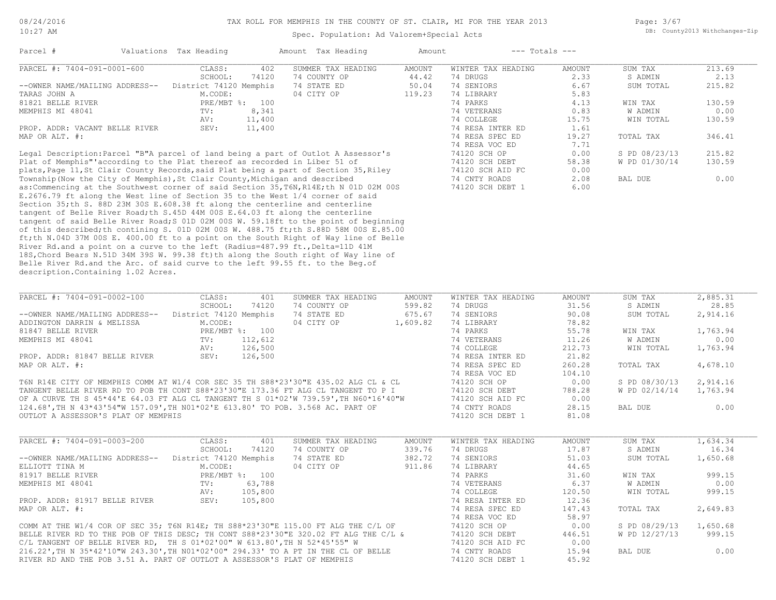Page: 3/67 DB: County2013 Withchanges-Zip

| Parcel #                                                                           | Valuations Tax Heading |         | Amount Tax Heading                                                                     | Amount   |                    | $---$ Totals $---$ |               |                       |
|------------------------------------------------------------------------------------|------------------------|---------|----------------------------------------------------------------------------------------|----------|--------------------|--------------------|---------------|-----------------------|
| PARCEL #: 7404-091-0001-600                                                        | CLASS:                 | 402     | SUMMER TAX HEADING                                                                     | AMOUNT   | WINTER TAX HEADING | AMOUNT             | SUM TAX       | 213.69                |
|                                                                                    | SCHOOL:                | 74120   | 74 COUNTY OP                                                                           | 44.42    | 74 DRUGS           | 2.33               | S ADMIN       | 2.13                  |
| --OWNER NAME/MAILING ADDRESS--                                                     | District 74120 Memphis |         | 74 STATE ED                                                                            | 50.04    | 74 SENIORS         | 6.67               | SUM TOTAL     | 215.82                |
| TARAS JOHN A                                                                       | M.CODE:                |         | 04 CITY OP                                                                             | 119.23   | 74 LIBRARY         | 5.83               |               |                       |
| 81821 BELLE RIVER                                                                  | PRE/MBT %: 100         |         |                                                                                        |          | 74 PARKS           | 4.13               | WIN TAX       | 130.59                |
| MEMPHIS MI 48041                                                                   | TV:                    | 8,341   |                                                                                        |          | 74 VETERANS        | 0.83               | W ADMIN       | 0.00                  |
|                                                                                    | AV:                    | 11,400  |                                                                                        |          | 74 COLLEGE         | 15.75              | WIN TOTAL     | 130.59                |
| PROP. ADDR: VACANT BELLE RIVER                                                     | SEV:                   | 11,400  |                                                                                        |          | 74 RESA INTER ED   | 1.61               |               |                       |
| MAP OR ALT. #:                                                                     |                        |         |                                                                                        |          | 74 RESA SPEC ED    | 19.27              | TOTAL TAX     | 346.41                |
|                                                                                    |                        |         |                                                                                        |          | 74 RESA VOC ED     | 7.71               |               |                       |
|                                                                                    |                        |         | Legal Description: Parcel "B"A parcel of land being a part of Outlot A Assessor's      |          |                    | 0.00               | S PD 08/23/13 | 215.82                |
|                                                                                    |                        |         |                                                                                        |          | 74120 SCH OP       |                    |               |                       |
| Plat of Memphis" according to the Plat thereof as recorded in Liber 51 of          |                        |         |                                                                                        |          | 74120 SCH DEBT     | 58.38              | W PD 01/30/14 | 130.59                |
|                                                                                    |                        |         | plats, Page 11, St Clair County Records, said Plat being a part of Section 35, Riley   |          | 74120 SCH AID FC   | 0.00               |               |                       |
| Township (Now the City of Memphis), St Clair County, Michigan and described        |                        |         |                                                                                        |          | 74 CNTY ROADS      | 2.08               | BAL DUE       | 0.00                  |
|                                                                                    |                        |         | as: Commencing at the Southwest corner of said Section 35, T6N, R14E; th N 01D 02M 00S |          | 74120 SCH DEBT 1   | 6.00               |               |                       |
|                                                                                    |                        |         | E.2676.79 ft along the West line of Section 35 to the West 1/4 corner of said          |          |                    |                    |               |                       |
| Section 35; th S. 88D 23M 30S E.608.38 ft along the centerline and centerline      |                        |         |                                                                                        |          |                    |                    |               |                       |
| tangent of Belle River Road; th S.45D 44M 00S E.64.03 ft along the centerline      |                        |         |                                                                                        |          |                    |                    |               |                       |
|                                                                                    |                        |         | tangent of said Belle River Road; S 01D 02M 00S W. 59.18ft to the point of beginning   |          |                    |                    |               |                       |
|                                                                                    |                        |         | of this described; th contining S. 01D 02M 00S W. 488.75 ft; th S.88D 58M 00S E.85.00  |          |                    |                    |               |                       |
|                                                                                    |                        |         | ft; th N.04D 37M 00S E. 400.00 ft to a point on the South Right of Way line of Belle   |          |                    |                    |               |                       |
| River Rd.and a point on a curve to the left (Radius=487.99 ft., Delta=11D 41M      |                        |         |                                                                                        |          |                    |                    |               |                       |
|                                                                                    |                        |         | 18S, Chord Bears N.51D 34M 39S W. 99.38 ft) th along the South right of Way line of    |          |                    |                    |               |                       |
|                                                                                    |                        |         | Belle River Rd.and the Arc. of said curve to the left 99.55 ft. to the Beq.of          |          |                    |                    |               |                       |
| description. Containing 1.02 Acres.                                                |                        |         |                                                                                        |          |                    |                    |               |                       |
|                                                                                    |                        |         |                                                                                        |          |                    |                    |               |                       |
|                                                                                    |                        |         |                                                                                        |          |                    |                    |               |                       |
| PARCEL #: 7404-091-0002-100                                                        | CLASS:                 | 401     | SUMMER TAX HEADING                                                                     | AMOUNT   | WINTER TAX HEADING | AMOUNT             | SUM TAX       | $\overline{2,885.31}$ |
|                                                                                    | SCHOOL:                | 74120   | 74 COUNTY OP                                                                           | 599.82   | 74 DRUGS           | 31.56              | S ADMIN       | 28.85                 |
| --OWNER NAME/MAILING ADDRESS--                                                     | District 74120 Memphis |         | 74 STATE ED                                                                            | 675.67   | 74 SENIORS         | 90.08              | SUM TOTAL     | 2,914.16              |
| ADDINGTON DARRIN & MELISSA                                                         | M.CODE:                |         | 04 CITY OP                                                                             | 1,609.82 | 74 LIBRARY         | 78.82              |               |                       |
| 81847 BELLE RIVER                                                                  | PRE/MBT %: 100         |         |                                                                                        |          | 74 PARKS           | 55.78              | WIN TAX       | 1,763.94              |
| MEMPHIS MI 48041                                                                   | TV:                    | 112,612 |                                                                                        |          | 74 VETERANS        | 11.26              | W ADMIN       | 0.00                  |
|                                                                                    | AV:                    | 126,500 |                                                                                        |          | 74 COLLEGE         | 212.73             | WIN TOTAL     | 1,763.94              |
| PROP. ADDR: 81847 BELLE RIVER                                                      | SEV:                   | 126,500 |                                                                                        |          | 74 RESA INTER ED   | 21.82              |               |                       |
| MAP OR ALT. #:                                                                     |                        |         |                                                                                        |          | 74 RESA SPEC ED    | 260.28             | TOTAL TAX     | 4,678.10              |
|                                                                                    |                        |         |                                                                                        |          | 74 RESA VOC ED     | 104.10             |               |                       |
|                                                                                    |                        |         | T6N R14E CITY OF MEMPHIS COMM AT W1/4 COR SEC 35 TH S88*23'30"E 435.02 ALG CL & CL     |          | 74120 SCH OP       | 0.00               | S PD 08/30/13 | 2,914.16              |
|                                                                                    |                        |         | TANGENT BELLE RIVER RD TO POB TH CONT S88*23'30"E 173.36 FT ALG CL TANGENT TO P I      |          | 74120 SCH DEBT     | 788.28             | W PD 02/14/14 | 1,763.94              |
|                                                                                    |                        |         | OF A CURVE TH S 45*44'E 64.03 FT ALG CL TANGENT TH S 01*02'W 739.59', TH N60*16'40"W   |          | 74120 SCH AID FC   | 0.00               |               |                       |
|                                                                                    |                        |         | 124.68', TH N 43*43'54"W 157.09', TH NO1*02'E 613.80' TO POB. 3.568 AC. PART OF        |          | 74 CNTY ROADS      | 28.15              | BAL DUE       | 0.00                  |
|                                                                                    |                        |         |                                                                                        |          |                    |                    |               |                       |
| OUTLOT A ASSESSOR'S PLAT OF MEMPHIS                                                |                        |         |                                                                                        |          | 74120 SCH DEBT 1   | 81.08              |               |                       |
|                                                                                    |                        |         |                                                                                        |          |                    |                    |               |                       |
| PARCEL #: 7404-091-0003-200                                                        | CLASS:                 | 401     | SUMMER TAX HEADING                                                                     | AMOUNT   | WINTER TAX HEADING | <b>AMOUNT</b>      | SUM TAX       | 1,634.34              |
|                                                                                    | SCHOOL:                | 74120   | 74 COUNTY OP                                                                           | 339.76   | 74 DRUGS           | 17.87              | S ADMIN       | 16.34                 |
| --OWNER NAME/MAILING ADDRESS--                                                     | District 74120 Memphis |         | 74 STATE ED                                                                            | 382.72   | 74 SENIORS         | 51.03              | SUM TOTAL     | 1,650.68              |
| ELLIOTT TINA M                                                                     | M.CODE:                |         | 04 CITY OP                                                                             | 911.86   | 74 LIBRARY         | 44.65              |               |                       |
| 81917 BELLE RIVER                                                                  | PRE/MBT %: 100         |         |                                                                                        |          | 74 PARKS           | 31.60              | WIN TAX       | 999.15                |
| MEMPHIS MI 48041                                                                   | TV:                    | 63,788  |                                                                                        |          | 74 VETERANS        | 6.37               | W ADMIN       | 0.00                  |
|                                                                                    | AV:                    | 105,800 |                                                                                        |          | 74 COLLEGE         | 120.50             | WIN TOTAL     | 999.15                |
| PROP. ADDR: 81917 BELLE RIVER                                                      | SEV:                   | 105,800 |                                                                                        |          | 74 RESA INTER ED   | 12.36              |               |                       |
| MAP OR ALT. #:                                                                     |                        |         |                                                                                        |          | 74 RESA SPEC ED    | 147.43             | TOTAL TAX     | 2,649.83              |
|                                                                                    |                        |         |                                                                                        |          |                    | 58.97              |               |                       |
|                                                                                    |                        |         |                                                                                        |          | 74 RESA VOC ED     |                    |               |                       |
|                                                                                    |                        |         | COMM AT THE W1/4 COR OF SEC 35; T6N R14E; TH S88*23'30"E 115.00 FT ALG THE C/L OF      |          | 74120 SCH OP       | 0.00               | S PD 08/29/13 | 1,650.68              |
|                                                                                    |                        |         | BELLE RIVER RD TO THE POB OF THIS DESC; TH CONT S88*23'30"E 320.02 FT ALG THE C/L &    |          | 74120 SCH DEBT     | 446.51             | W PD 12/27/13 | 999.15                |
| C/L TANGENT OF BELLE RIVER RD, TH S $01*02'00''$ W $613.80'$ , TH N $52*45'55''$ W |                        |         |                                                                                        |          | 74120 SCH AID FC   | 0.00               |               |                       |
|                                                                                    |                        |         | 216.22', TH N 35*42'10"W 243.30', TH N01*02'00" 294.33' TO A PT IN THE CL OF BELLE     |          | 74 CNTY ROADS      | 15.94              | BAL DUE       | 0.00                  |
| RIVER RD AND THE POB 3.51 A. PART OF OUTLOT A ASSESSOR'S PLAT OF MEMPHIS           |                        |         |                                                                                        |          | 74120 SCH DEBT 1   | 45.92              |               |                       |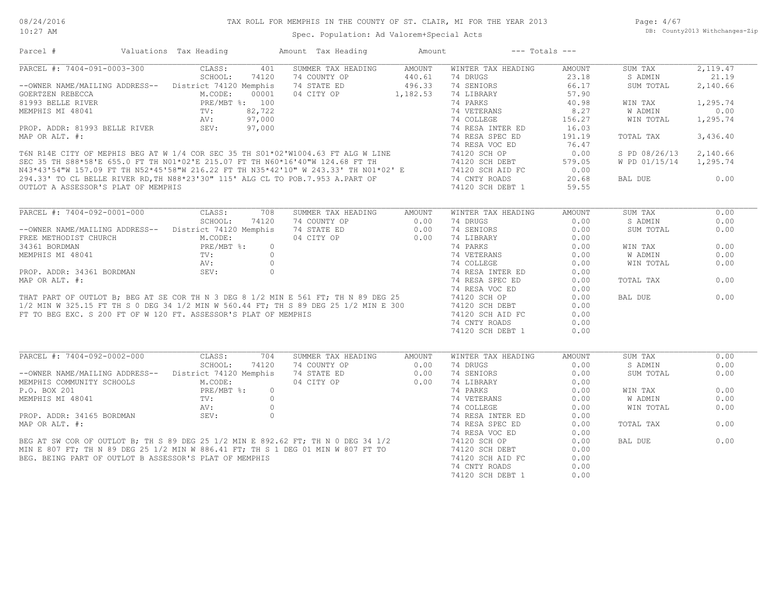| PARCEL #: 7404-091-0003-300<br>CLASS:<br>401<br>SUMMER TAX HEADING<br>AMOUNT<br>WINTER TAX HEADING<br>SUM TAX<br>2,119.47<br>AMOUNT<br>440.61<br>SCHOOL:<br>74 COUNTY OP<br>23.18<br>21.19<br>74120<br>74 DRUGS<br>S ADMIN<br>496.33<br>74 SENIORS<br>--OWNER NAME/MAILING ADDRESS-- District 74120 Memphis<br>74 STATE ED<br>66.17<br>SUM TOTAL<br>2,140.66<br>04 CITY OP 1,182.53<br>CONNER MATERIAL PRESENT RESERVED MATERIAL MATERIAL PRESENT SERVED MEMPHIS MI 48041 TV: 82,722<br>MEMPHIS MI 48041 TV: 82,722<br>PROP. ADDR: 81993 BELLE RIVER SEV: 97,000<br>74 LIBRARY<br>57.90<br>74 PARKS<br>40.98<br>WIN TAX<br>1,295.74<br>8.27<br>0.00<br>W ADMIN<br>1,295.74<br>156.27<br>WIN TOTAL<br>16.03<br>191.19<br>TOTAL TAX<br>3,436.40<br>76.47<br>0.00<br>S PD 08/26/13<br>2,140.66<br>579.05<br>W PD 01/15/14 1,295.74<br>0.00<br>0.00<br>20.68<br>BAL DUE<br>59.55<br>CLASS:<br>SUM TAX<br>0.00<br>708<br>SUMMER TAX HEADING<br>AMOUNT<br>WINTER TAX HEADING<br><b>AMOUNT</b><br>SCHOOL:<br>74120<br>74 COUNTY OP<br>0.00<br>74 DRUGS<br>0.00<br>S ADMIN<br>0.00<br>0.00<br>--OWNER NAME/MAILING ADDRESS-- District 74120 Memphis<br>74 STATE ED<br>74 SENIORS<br>0.00<br>0.00<br>SUM TOTAL<br>--OWNER NAME/MET TO REG EXC. S 200 FT OF W 120 FT. ASSESSOR'S PLAT OF MENTHING TO THE TREE METHODIST CHURCH THAT ARE MEDIAN SAV:<br>THAT PART OF OUTLOT B; BEG AT SE COR THIN 3 DEG 8 1/2 MIN E 561 FT; THIN 89 DEG 25 74120 SCH<br>0.00<br>3 ADDRESS-- DISCL-<br>(CH M.CODE:<br>PRE/MBT %:<br>TV:<br>NV:<br>NV:<br>SEV:<br>74 PARKS<br>74 PARKS<br>74 VETERANS<br>74 COLLEGE<br>74 RESA INTER ED 0.00<br>0.00<br>WIN TAX<br>W ADMIN<br>0.00<br>WIN TOTAL<br>0.00<br>0.00<br>TOTAL TAX<br>0.00<br>0.00<br>0.00<br>BAL DUE<br>0.00<br>0.00<br>FT TO BEG EXC. S 200 FT OF W 120 FT. ASSESSOR'S PLAT OF MEMPHIS<br>0.00<br>74120 SCH AID FC<br>74 CNTY ROADS<br>0.00<br>74120 SCH DEBT 1<br>0.00<br>SUMMER TAX HEADING AMOUNT<br>PARCEL #: 7404-092-0002-000<br>CLASS:<br>704<br>WINTER TAX HEADING<br><b>AMOUNT</b><br>SUM TAX<br>0.00<br>SCHOOL:<br>74120<br>74 COUNTY OP<br>74 DRUGS<br>0.00<br>S ADMIN<br>0.00<br>0.00<br>--OWNER NAME/MAILING ADDRESS-- District 74120 Memphis<br>0.00<br>74 STATE ED<br>74 SENIORS<br>0.00<br>74 STATE ED 0.00<br>04 CITY OP 0.00<br>SUM TOTAL<br>MEMPHIS COMMUNITY SCHOOLS<br>P.O. BOX 201 PRE/MBT %:<br>MEMPHIS MI 48041 TV:<br>74 LIBRARY<br>0.00<br>0.00<br>WIN TAX<br>$0.00$<br>$0.00$<br>$0.00$<br>W ADMIN<br>0.00<br>0.00<br>WIN TOTAL<br>0.00<br>0.00<br>0.00<br>TOTAL TAX<br>0.00<br>0.00<br>0.00<br>BAL DUE<br>0.00<br>0.00<br>0.00<br>0.00 | Parcel #                    | Valuations Tax Heading | Amount Tax Heading | Amount | $---$ Totals $---$ |  |  |
|---------------------------------------------------------------------------------------------------------------------------------------------------------------------------------------------------------------------------------------------------------------------------------------------------------------------------------------------------------------------------------------------------------------------------------------------------------------------------------------------------------------------------------------------------------------------------------------------------------------------------------------------------------------------------------------------------------------------------------------------------------------------------------------------------------------------------------------------------------------------------------------------------------------------------------------------------------------------------------------------------------------------------------------------------------------------------------------------------------------------------------------------------------------------------------------------------------------------------------------------------------------------------------------------------------------------------------------------------------------------------------------------------------------------------------------------------------------------------------------------------------------------------------------------------------------------------------------------------------------------------------------------------------------------------------------------------------------------------------------------------------------------------------------------------------------------------------------------------------------------------------------------------------------------------------------------------------------------------------------------------------------------------------------------------------------------------------------------------------------------------------------------------------------------------------------------------------------------------------------------------------------------------------------------------------------------------------------------------------------------------------------------------------------------------------------------------------------------------------------------------------------------------------------------------------------------------------------------------|-----------------------------|------------------------|--------------------|--------|--------------------|--|--|
|                                                                                                                                                                                                                                                                                                                                                                                                                                                                                                                                                                                                                                                                                                                                                                                                                                                                                                                                                                                                                                                                                                                                                                                                                                                                                                                                                                                                                                                                                                                                                                                                                                                                                                                                                                                                                                                                                                                                                                                                                                                                                                                                                                                                                                                                                                                                                                                                                                                                                                                                                                                                   |                             |                        |                    |        |                    |  |  |
|                                                                                                                                                                                                                                                                                                                                                                                                                                                                                                                                                                                                                                                                                                                                                                                                                                                                                                                                                                                                                                                                                                                                                                                                                                                                                                                                                                                                                                                                                                                                                                                                                                                                                                                                                                                                                                                                                                                                                                                                                                                                                                                                                                                                                                                                                                                                                                                                                                                                                                                                                                                                   |                             |                        |                    |        |                    |  |  |
|                                                                                                                                                                                                                                                                                                                                                                                                                                                                                                                                                                                                                                                                                                                                                                                                                                                                                                                                                                                                                                                                                                                                                                                                                                                                                                                                                                                                                                                                                                                                                                                                                                                                                                                                                                                                                                                                                                                                                                                                                                                                                                                                                                                                                                                                                                                                                                                                                                                                                                                                                                                                   |                             |                        |                    |        |                    |  |  |
|                                                                                                                                                                                                                                                                                                                                                                                                                                                                                                                                                                                                                                                                                                                                                                                                                                                                                                                                                                                                                                                                                                                                                                                                                                                                                                                                                                                                                                                                                                                                                                                                                                                                                                                                                                                                                                                                                                                                                                                                                                                                                                                                                                                                                                                                                                                                                                                                                                                                                                                                                                                                   |                             |                        |                    |        |                    |  |  |
|                                                                                                                                                                                                                                                                                                                                                                                                                                                                                                                                                                                                                                                                                                                                                                                                                                                                                                                                                                                                                                                                                                                                                                                                                                                                                                                                                                                                                                                                                                                                                                                                                                                                                                                                                                                                                                                                                                                                                                                                                                                                                                                                                                                                                                                                                                                                                                                                                                                                                                                                                                                                   |                             |                        |                    |        |                    |  |  |
|                                                                                                                                                                                                                                                                                                                                                                                                                                                                                                                                                                                                                                                                                                                                                                                                                                                                                                                                                                                                                                                                                                                                                                                                                                                                                                                                                                                                                                                                                                                                                                                                                                                                                                                                                                                                                                                                                                                                                                                                                                                                                                                                                                                                                                                                                                                                                                                                                                                                                                                                                                                                   |                             |                        |                    |        |                    |  |  |
|                                                                                                                                                                                                                                                                                                                                                                                                                                                                                                                                                                                                                                                                                                                                                                                                                                                                                                                                                                                                                                                                                                                                                                                                                                                                                                                                                                                                                                                                                                                                                                                                                                                                                                                                                                                                                                                                                                                                                                                                                                                                                                                                                                                                                                                                                                                                                                                                                                                                                                                                                                                                   |                             |                        |                    |        |                    |  |  |
|                                                                                                                                                                                                                                                                                                                                                                                                                                                                                                                                                                                                                                                                                                                                                                                                                                                                                                                                                                                                                                                                                                                                                                                                                                                                                                                                                                                                                                                                                                                                                                                                                                                                                                                                                                                                                                                                                                                                                                                                                                                                                                                                                                                                                                                                                                                                                                                                                                                                                                                                                                                                   |                             |                        |                    |        |                    |  |  |
|                                                                                                                                                                                                                                                                                                                                                                                                                                                                                                                                                                                                                                                                                                                                                                                                                                                                                                                                                                                                                                                                                                                                                                                                                                                                                                                                                                                                                                                                                                                                                                                                                                                                                                                                                                                                                                                                                                                                                                                                                                                                                                                                                                                                                                                                                                                                                                                                                                                                                                                                                                                                   |                             |                        |                    |        |                    |  |  |
|                                                                                                                                                                                                                                                                                                                                                                                                                                                                                                                                                                                                                                                                                                                                                                                                                                                                                                                                                                                                                                                                                                                                                                                                                                                                                                                                                                                                                                                                                                                                                                                                                                                                                                                                                                                                                                                                                                                                                                                                                                                                                                                                                                                                                                                                                                                                                                                                                                                                                                                                                                                                   |                             |                        |                    |        |                    |  |  |
|                                                                                                                                                                                                                                                                                                                                                                                                                                                                                                                                                                                                                                                                                                                                                                                                                                                                                                                                                                                                                                                                                                                                                                                                                                                                                                                                                                                                                                                                                                                                                                                                                                                                                                                                                                                                                                                                                                                                                                                                                                                                                                                                                                                                                                                                                                                                                                                                                                                                                                                                                                                                   |                             |                        |                    |        |                    |  |  |
|                                                                                                                                                                                                                                                                                                                                                                                                                                                                                                                                                                                                                                                                                                                                                                                                                                                                                                                                                                                                                                                                                                                                                                                                                                                                                                                                                                                                                                                                                                                                                                                                                                                                                                                                                                                                                                                                                                                                                                                                                                                                                                                                                                                                                                                                                                                                                                                                                                                                                                                                                                                                   |                             |                        |                    |        |                    |  |  |
|                                                                                                                                                                                                                                                                                                                                                                                                                                                                                                                                                                                                                                                                                                                                                                                                                                                                                                                                                                                                                                                                                                                                                                                                                                                                                                                                                                                                                                                                                                                                                                                                                                                                                                                                                                                                                                                                                                                                                                                                                                                                                                                                                                                                                                                                                                                                                                                                                                                                                                                                                                                                   |                             |                        |                    |        |                    |  |  |
|                                                                                                                                                                                                                                                                                                                                                                                                                                                                                                                                                                                                                                                                                                                                                                                                                                                                                                                                                                                                                                                                                                                                                                                                                                                                                                                                                                                                                                                                                                                                                                                                                                                                                                                                                                                                                                                                                                                                                                                                                                                                                                                                                                                                                                                                                                                                                                                                                                                                                                                                                                                                   |                             |                        |                    |        |                    |  |  |
|                                                                                                                                                                                                                                                                                                                                                                                                                                                                                                                                                                                                                                                                                                                                                                                                                                                                                                                                                                                                                                                                                                                                                                                                                                                                                                                                                                                                                                                                                                                                                                                                                                                                                                                                                                                                                                                                                                                                                                                                                                                                                                                                                                                                                                                                                                                                                                                                                                                                                                                                                                                                   |                             |                        |                    |        |                    |  |  |
|                                                                                                                                                                                                                                                                                                                                                                                                                                                                                                                                                                                                                                                                                                                                                                                                                                                                                                                                                                                                                                                                                                                                                                                                                                                                                                                                                                                                                                                                                                                                                                                                                                                                                                                                                                                                                                                                                                                                                                                                                                                                                                                                                                                                                                                                                                                                                                                                                                                                                                                                                                                                   |                             |                        |                    |        |                    |  |  |
|                                                                                                                                                                                                                                                                                                                                                                                                                                                                                                                                                                                                                                                                                                                                                                                                                                                                                                                                                                                                                                                                                                                                                                                                                                                                                                                                                                                                                                                                                                                                                                                                                                                                                                                                                                                                                                                                                                                                                                                                                                                                                                                                                                                                                                                                                                                                                                                                                                                                                                                                                                                                   | PARCEL #: 7404-092-0001-000 |                        |                    |        |                    |  |  |
|                                                                                                                                                                                                                                                                                                                                                                                                                                                                                                                                                                                                                                                                                                                                                                                                                                                                                                                                                                                                                                                                                                                                                                                                                                                                                                                                                                                                                                                                                                                                                                                                                                                                                                                                                                                                                                                                                                                                                                                                                                                                                                                                                                                                                                                                                                                                                                                                                                                                                                                                                                                                   |                             |                        |                    |        |                    |  |  |
|                                                                                                                                                                                                                                                                                                                                                                                                                                                                                                                                                                                                                                                                                                                                                                                                                                                                                                                                                                                                                                                                                                                                                                                                                                                                                                                                                                                                                                                                                                                                                                                                                                                                                                                                                                                                                                                                                                                                                                                                                                                                                                                                                                                                                                                                                                                                                                                                                                                                                                                                                                                                   |                             |                        |                    |        |                    |  |  |
|                                                                                                                                                                                                                                                                                                                                                                                                                                                                                                                                                                                                                                                                                                                                                                                                                                                                                                                                                                                                                                                                                                                                                                                                                                                                                                                                                                                                                                                                                                                                                                                                                                                                                                                                                                                                                                                                                                                                                                                                                                                                                                                                                                                                                                                                                                                                                                                                                                                                                                                                                                                                   |                             |                        |                    |        |                    |  |  |
|                                                                                                                                                                                                                                                                                                                                                                                                                                                                                                                                                                                                                                                                                                                                                                                                                                                                                                                                                                                                                                                                                                                                                                                                                                                                                                                                                                                                                                                                                                                                                                                                                                                                                                                                                                                                                                                                                                                                                                                                                                                                                                                                                                                                                                                                                                                                                                                                                                                                                                                                                                                                   |                             |                        |                    |        |                    |  |  |
|                                                                                                                                                                                                                                                                                                                                                                                                                                                                                                                                                                                                                                                                                                                                                                                                                                                                                                                                                                                                                                                                                                                                                                                                                                                                                                                                                                                                                                                                                                                                                                                                                                                                                                                                                                                                                                                                                                                                                                                                                                                                                                                                                                                                                                                                                                                                                                                                                                                                                                                                                                                                   |                             |                        |                    |        |                    |  |  |
|                                                                                                                                                                                                                                                                                                                                                                                                                                                                                                                                                                                                                                                                                                                                                                                                                                                                                                                                                                                                                                                                                                                                                                                                                                                                                                                                                                                                                                                                                                                                                                                                                                                                                                                                                                                                                                                                                                                                                                                                                                                                                                                                                                                                                                                                                                                                                                                                                                                                                                                                                                                                   |                             |                        |                    |        |                    |  |  |
|                                                                                                                                                                                                                                                                                                                                                                                                                                                                                                                                                                                                                                                                                                                                                                                                                                                                                                                                                                                                                                                                                                                                                                                                                                                                                                                                                                                                                                                                                                                                                                                                                                                                                                                                                                                                                                                                                                                                                                                                                                                                                                                                                                                                                                                                                                                                                                                                                                                                                                                                                                                                   |                             |                        |                    |        |                    |  |  |
|                                                                                                                                                                                                                                                                                                                                                                                                                                                                                                                                                                                                                                                                                                                                                                                                                                                                                                                                                                                                                                                                                                                                                                                                                                                                                                                                                                                                                                                                                                                                                                                                                                                                                                                                                                                                                                                                                                                                                                                                                                                                                                                                                                                                                                                                                                                                                                                                                                                                                                                                                                                                   |                             |                        |                    |        |                    |  |  |
|                                                                                                                                                                                                                                                                                                                                                                                                                                                                                                                                                                                                                                                                                                                                                                                                                                                                                                                                                                                                                                                                                                                                                                                                                                                                                                                                                                                                                                                                                                                                                                                                                                                                                                                                                                                                                                                                                                                                                                                                                                                                                                                                                                                                                                                                                                                                                                                                                                                                                                                                                                                                   |                             |                        |                    |        |                    |  |  |
|                                                                                                                                                                                                                                                                                                                                                                                                                                                                                                                                                                                                                                                                                                                                                                                                                                                                                                                                                                                                                                                                                                                                                                                                                                                                                                                                                                                                                                                                                                                                                                                                                                                                                                                                                                                                                                                                                                                                                                                                                                                                                                                                                                                                                                                                                                                                                                                                                                                                                                                                                                                                   |                             |                        |                    |        |                    |  |  |
|                                                                                                                                                                                                                                                                                                                                                                                                                                                                                                                                                                                                                                                                                                                                                                                                                                                                                                                                                                                                                                                                                                                                                                                                                                                                                                                                                                                                                                                                                                                                                                                                                                                                                                                                                                                                                                                                                                                                                                                                                                                                                                                                                                                                                                                                                                                                                                                                                                                                                                                                                                                                   |                             |                        |                    |        |                    |  |  |
|                                                                                                                                                                                                                                                                                                                                                                                                                                                                                                                                                                                                                                                                                                                                                                                                                                                                                                                                                                                                                                                                                                                                                                                                                                                                                                                                                                                                                                                                                                                                                                                                                                                                                                                                                                                                                                                                                                                                                                                                                                                                                                                                                                                                                                                                                                                                                                                                                                                                                                                                                                                                   |                             |                        |                    |        |                    |  |  |
|                                                                                                                                                                                                                                                                                                                                                                                                                                                                                                                                                                                                                                                                                                                                                                                                                                                                                                                                                                                                                                                                                                                                                                                                                                                                                                                                                                                                                                                                                                                                                                                                                                                                                                                                                                                                                                                                                                                                                                                                                                                                                                                                                                                                                                                                                                                                                                                                                                                                                                                                                                                                   |                             |                        |                    |        |                    |  |  |
|                                                                                                                                                                                                                                                                                                                                                                                                                                                                                                                                                                                                                                                                                                                                                                                                                                                                                                                                                                                                                                                                                                                                                                                                                                                                                                                                                                                                                                                                                                                                                                                                                                                                                                                                                                                                                                                                                                                                                                                                                                                                                                                                                                                                                                                                                                                                                                                                                                                                                                                                                                                                   |                             |                        |                    |        |                    |  |  |
|                                                                                                                                                                                                                                                                                                                                                                                                                                                                                                                                                                                                                                                                                                                                                                                                                                                                                                                                                                                                                                                                                                                                                                                                                                                                                                                                                                                                                                                                                                                                                                                                                                                                                                                                                                                                                                                                                                                                                                                                                                                                                                                                                                                                                                                                                                                                                                                                                                                                                                                                                                                                   |                             |                        |                    |        |                    |  |  |
|                                                                                                                                                                                                                                                                                                                                                                                                                                                                                                                                                                                                                                                                                                                                                                                                                                                                                                                                                                                                                                                                                                                                                                                                                                                                                                                                                                                                                                                                                                                                                                                                                                                                                                                                                                                                                                                                                                                                                                                                                                                                                                                                                                                                                                                                                                                                                                                                                                                                                                                                                                                                   |                             |                        |                    |        |                    |  |  |
|                                                                                                                                                                                                                                                                                                                                                                                                                                                                                                                                                                                                                                                                                                                                                                                                                                                                                                                                                                                                                                                                                                                                                                                                                                                                                                                                                                                                                                                                                                                                                                                                                                                                                                                                                                                                                                                                                                                                                                                                                                                                                                                                                                                                                                                                                                                                                                                                                                                                                                                                                                                                   |                             |                        |                    |        |                    |  |  |
|                                                                                                                                                                                                                                                                                                                                                                                                                                                                                                                                                                                                                                                                                                                                                                                                                                                                                                                                                                                                                                                                                                                                                                                                                                                                                                                                                                                                                                                                                                                                                                                                                                                                                                                                                                                                                                                                                                                                                                                                                                                                                                                                                                                                                                                                                                                                                                                                                                                                                                                                                                                                   |                             |                        |                    |        |                    |  |  |
|                                                                                                                                                                                                                                                                                                                                                                                                                                                                                                                                                                                                                                                                                                                                                                                                                                                                                                                                                                                                                                                                                                                                                                                                                                                                                                                                                                                                                                                                                                                                                                                                                                                                                                                                                                                                                                                                                                                                                                                                                                                                                                                                                                                                                                                                                                                                                                                                                                                                                                                                                                                                   |                             |                        |                    |        |                    |  |  |
|                                                                                                                                                                                                                                                                                                                                                                                                                                                                                                                                                                                                                                                                                                                                                                                                                                                                                                                                                                                                                                                                                                                                                                                                                                                                                                                                                                                                                                                                                                                                                                                                                                                                                                                                                                                                                                                                                                                                                                                                                                                                                                                                                                                                                                                                                                                                                                                                                                                                                                                                                                                                   |                             |                        |                    |        |                    |  |  |
|                                                                                                                                                                                                                                                                                                                                                                                                                                                                                                                                                                                                                                                                                                                                                                                                                                                                                                                                                                                                                                                                                                                                                                                                                                                                                                                                                                                                                                                                                                                                                                                                                                                                                                                                                                                                                                                                                                                                                                                                                                                                                                                                                                                                                                                                                                                                                                                                                                                                                                                                                                                                   |                             |                        |                    |        |                    |  |  |
|                                                                                                                                                                                                                                                                                                                                                                                                                                                                                                                                                                                                                                                                                                                                                                                                                                                                                                                                                                                                                                                                                                                                                                                                                                                                                                                                                                                                                                                                                                                                                                                                                                                                                                                                                                                                                                                                                                                                                                                                                                                                                                                                                                                                                                                                                                                                                                                                                                                                                                                                                                                                   |                             |                        |                    |        |                    |  |  |
|                                                                                                                                                                                                                                                                                                                                                                                                                                                                                                                                                                                                                                                                                                                                                                                                                                                                                                                                                                                                                                                                                                                                                                                                                                                                                                                                                                                                                                                                                                                                                                                                                                                                                                                                                                                                                                                                                                                                                                                                                                                                                                                                                                                                                                                                                                                                                                                                                                                                                                                                                                                                   |                             |                        |                    |        |                    |  |  |
|                                                                                                                                                                                                                                                                                                                                                                                                                                                                                                                                                                                                                                                                                                                                                                                                                                                                                                                                                                                                                                                                                                                                                                                                                                                                                                                                                                                                                                                                                                                                                                                                                                                                                                                                                                                                                                                                                                                                                                                                                                                                                                                                                                                                                                                                                                                                                                                                                                                                                                                                                                                                   |                             |                        |                    |        |                    |  |  |
|                                                                                                                                                                                                                                                                                                                                                                                                                                                                                                                                                                                                                                                                                                                                                                                                                                                                                                                                                                                                                                                                                                                                                                                                                                                                                                                                                                                                                                                                                                                                                                                                                                                                                                                                                                                                                                                                                                                                                                                                                                                                                                                                                                                                                                                                                                                                                                                                                                                                                                                                                                                                   |                             |                        |                    |        |                    |  |  |
|                                                                                                                                                                                                                                                                                                                                                                                                                                                                                                                                                                                                                                                                                                                                                                                                                                                                                                                                                                                                                                                                                                                                                                                                                                                                                                                                                                                                                                                                                                                                                                                                                                                                                                                                                                                                                                                                                                                                                                                                                                                                                                                                                                                                                                                                                                                                                                                                                                                                                                                                                                                                   |                             |                        |                    |        |                    |  |  |
|                                                                                                                                                                                                                                                                                                                                                                                                                                                                                                                                                                                                                                                                                                                                                                                                                                                                                                                                                                                                                                                                                                                                                                                                                                                                                                                                                                                                                                                                                                                                                                                                                                                                                                                                                                                                                                                                                                                                                                                                                                                                                                                                                                                                                                                                                                                                                                                                                                                                                                                                                                                                   |                             |                        |                    |        |                    |  |  |
|                                                                                                                                                                                                                                                                                                                                                                                                                                                                                                                                                                                                                                                                                                                                                                                                                                                                                                                                                                                                                                                                                                                                                                                                                                                                                                                                                                                                                                                                                                                                                                                                                                                                                                                                                                                                                                                                                                                                                                                                                                                                                                                                                                                                                                                                                                                                                                                                                                                                                                                                                                                                   |                             |                        |                    |        |                    |  |  |
|                                                                                                                                                                                                                                                                                                                                                                                                                                                                                                                                                                                                                                                                                                                                                                                                                                                                                                                                                                                                                                                                                                                                                                                                                                                                                                                                                                                                                                                                                                                                                                                                                                                                                                                                                                                                                                                                                                                                                                                                                                                                                                                                                                                                                                                                                                                                                                                                                                                                                                                                                                                                   |                             |                        |                    |        |                    |  |  |
|                                                                                                                                                                                                                                                                                                                                                                                                                                                                                                                                                                                                                                                                                                                                                                                                                                                                                                                                                                                                                                                                                                                                                                                                                                                                                                                                                                                                                                                                                                                                                                                                                                                                                                                                                                                                                                                                                                                                                                                                                                                                                                                                                                                                                                                                                                                                                                                                                                                                                                                                                                                                   |                             |                        |                    |        |                    |  |  |
|                                                                                                                                                                                                                                                                                                                                                                                                                                                                                                                                                                                                                                                                                                                                                                                                                                                                                                                                                                                                                                                                                                                                                                                                                                                                                                                                                                                                                                                                                                                                                                                                                                                                                                                                                                                                                                                                                                                                                                                                                                                                                                                                                                                                                                                                                                                                                                                                                                                                                                                                                                                                   |                             |                        |                    |        |                    |  |  |
|                                                                                                                                                                                                                                                                                                                                                                                                                                                                                                                                                                                                                                                                                                                                                                                                                                                                                                                                                                                                                                                                                                                                                                                                                                                                                                                                                                                                                                                                                                                                                                                                                                                                                                                                                                                                                                                                                                                                                                                                                                                                                                                                                                                                                                                                                                                                                                                                                                                                                                                                                                                                   |                             |                        |                    |        |                    |  |  |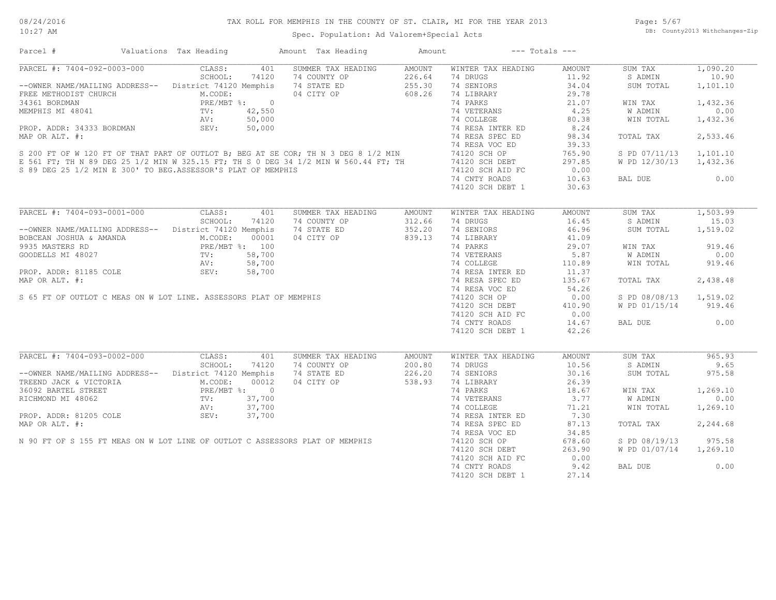| Parcel #                                                                                                                                                                                                                                                                                                 | Valuations Tax Heading | Amount Tax Heading                        | Amount | $---$ Totals $---$                                                                                  |                        |                        |                |
|----------------------------------------------------------------------------------------------------------------------------------------------------------------------------------------------------------------------------------------------------------------------------------------------------------|------------------------|-------------------------------------------|--------|-----------------------------------------------------------------------------------------------------|------------------------|------------------------|----------------|
| PARCEL #: 7404-092-0003-000 CLASS:                                                                                                                                                                                                                                                                       |                        | SUMMER TAX HEADING<br>401                 | AMOUNT | WINTER TAX HEADING                                                                                  | AMOUNT                 | SUM TAX                | 1,090.20       |
|                                                                                                                                                                                                                                                                                                          | SCHOOL:<br>74120       |                                           |        | 74 DRUGS                                                                                            | 11.92                  | S ADMIN                | 10.90          |
| --OWNER NAME/MAILING ADDRESS-- District 74120 Memphis                                                                                                                                                                                                                                                    |                        |                                           |        | 74 SENIORS                                                                                          | 34.04                  | SUM TOTAL              | 1,101.10       |
| FREE METHODIST CHURCH<br>34361 BORDMAN MEMPHIS MI 48041 REV: 42,550<br>PROP. ADDR: 34333 BORDMAN SEV: 50,000<br>PROP. ADDR: 34333 BORDMAN SEV: 50,000                                                                                                                                                    |                        | 04 CITY OP 608.26                         |        | 74 LIBRARY                                                                                          | 29.78                  |                        |                |
|                                                                                                                                                                                                                                                                                                          |                        |                                           |        |                                                                                                     | 21.07                  | WIN TAX                | 1,432.36       |
|                                                                                                                                                                                                                                                                                                          |                        |                                           |        |                                                                                                     |                        | W ADMIN                | 0.00           |
|                                                                                                                                                                                                                                                                                                          |                        |                                           |        | 74 VETERANS 4.25<br>74 COLLEGE 80.38                                                                | 80.38                  | WIN TOTAL              | 1,432.36       |
|                                                                                                                                                                                                                                                                                                          |                        |                                           |        |                                                                                                     | 8.24                   |                        |                |
|                                                                                                                                                                                                                                                                                                          |                        |                                           |        |                                                                                                     |                        |                        |                |
|                                                                                                                                                                                                                                                                                                          |                        |                                           |        |                                                                                                     | 98.34                  | TOTAL TAX              | 2,533.46       |
|                                                                                                                                                                                                                                                                                                          |                        |                                           |        |                                                                                                     | 39.33                  |                        |                |
|                                                                                                                                                                                                                                                                                                          |                        |                                           |        |                                                                                                     | 765.90                 | S PD 07/11/13 1,101.10 |                |
|                                                                                                                                                                                                                                                                                                          |                        |                                           |        | 74120 SCH DEBT<br>74120 SCH AID FC                                                                  | 297.85                 | W PD 12/30/13 1,432.36 |                |
| 34361 BORDMAN<br>MEMPHIS MI 48041 TV: 42,550 74 VETERANS<br>MAP OR ALT. #: 50,000 74 COLLEGE<br>MAP OR ALT. #: 74 RESA INTER ED<br>S 200 FT OF WI20 FT OF THAT PART OF OUTLOT B; BEG AT SE COR; TH N 3 DEG 8 1/2 MIN<br>E 561 FT; TH N 8<br>S 89 DEG 25 1/2 MIN E 300' TO BEG.ASSESSOR'S PLAT OF MEMPHIS |                        |                                           |        |                                                                                                     | 0.00                   |                        |                |
|                                                                                                                                                                                                                                                                                                          |                        |                                           |        | 74 CNTY ROADS                                                                                       | 10.63                  | BAL DUE                | 0.00           |
|                                                                                                                                                                                                                                                                                                          |                        |                                           |        | 74120 SCH DEBT 1                                                                                    | 30.63                  |                        |                |
|                                                                                                                                                                                                                                                                                                          |                        |                                           |        |                                                                                                     |                        |                        |                |
| PARCEL #: 7404-093-0001-000 CLASS: 401                                                                                                                                                                                                                                                                   |                        | SUMMER TAX HEADING                        | AMOUNT | WINTER TAX HEADING                                                                                  | AMOUNT                 | SUM TAX                | 1,503.99       |
|                                                                                                                                                                                                                                                                                                          | SCHOOL:<br>74120       | 74 COUNTY OP                              | 312.66 | 74 DRUGS                                                                                            | 16.45                  | S ADMIN                | 15.03          |
| --OWNER NAME/MAILING ADDRESS-- District 74120 Memphis                                                                                                                                                                                                                                                    |                        |                                           | 352.20 | 74 SENIORS                                                                                          | 46.96                  | SUM TOTAL              | 1,519.02       |
|                                                                                                                                                                                                                                                                                                          |                        |                                           |        |                                                                                                     | 41.09                  |                        |                |
|                                                                                                                                                                                                                                                                                                          |                        |                                           |        | <sup>14</sup> LIBRARY<br>74 PARKS                                                                   | 29.07                  | WIN TAX                | 919.46         |
|                                                                                                                                                                                                                                                                                                          |                        |                                           |        |                                                                                                     | 5.87                   | W ADMIN                | 0.00           |
|                                                                                                                                                                                                                                                                                                          |                        |                                           |        | 74 VETERANS<br>74 COLLEGE                                                                           | 110.89                 | WIN TOTAL              | 919.46         |
|                                                                                                                                                                                                                                                                                                          |                        |                                           |        |                                                                                                     | 11.37                  |                        |                |
|                                                                                                                                                                                                                                                                                                          |                        |                                           |        | 74 RESA INTER ED                                                                                    |                        |                        |                |
|                                                                                                                                                                                                                                                                                                          |                        |                                           |        | 74 RESA SPEC ED                                                                                     | 135.67                 | TOTAL TAX              | 2,438.48       |
|                                                                                                                                                                                                                                                                                                          |                        |                                           |        | 74 RESA VOC ED                                                                                      | 54.26                  |                        |                |
|                                                                                                                                                                                                                                                                                                          |                        |                                           |        | 74120 SCH OP                                                                                        | 0.00                   | S PD 08/08/13 1,519.02 |                |
|                                                                                                                                                                                                                                                                                                          |                        |                                           |        | 74120 SCH DEBT                                                                                      | 410.90                 | W PD 01/15/14 919.46   |                |
|                                                                                                                                                                                                                                                                                                          |                        |                                           |        | 74120 SCH AID FC                                                                                    | 0.00                   |                        |                |
|                                                                                                                                                                                                                                                                                                          |                        |                                           |        | 74 CNTY ROADS                                                                                       | 14.67                  | BAL DUE                | 0.00           |
| OWNER NAME/MAILING ADDRESS--<br>DECEAN JOSHUA & AMANDA M.CODE: 00001 04 CIII 02<br>35 MASTERS RD PRE/MET %: 100<br>235 MASTERS RD PRE/MET %: 58,700<br>27<br>27<br>28,700<br>29 AV: 58,700<br>27<br>28 ADDR: 81185 COLE SEV: 58,700<br>27<br>27<br>28                                                    |                        |                                           |        | 74120 SCH DEBT 1                                                                                    | 42.26                  |                        |                |
|                                                                                                                                                                                                                                                                                                          |                        |                                           |        |                                                                                                     |                        |                        |                |
| PARCEL #: 7404-093-0002-000                                                                                                                                                                                                                                                                              | CLASS:<br>SCHOOL:      | 401<br>SUMMER TAX HEADING                 | AMOUNT | WINTER TAX HEADING<br>74 DRUGS                                                                      | <b>AMOUNT</b><br>10.56 | SUM TAX                | 965.93<br>9.65 |
|                                                                                                                                                                                                                                                                                                          | 74120                  | 74 COUNTY OP<br>74 STATE ED<br>04 CITY OP | 200.80 |                                                                                                     |                        | S ADMIN                |                |
| --OWNER NAME/MAILING ADDRESS-- District 74120 Memphis                                                                                                                                                                                                                                                    |                        |                                           | 226.20 | 74 SENIORS                                                                                          | 30.16                  | SUM TOTAL              | 975.58         |
| TREEND JACK & VICTORIA                                                                                                                                                                                                                                                                                   | M.CODE:<br>00012       |                                           | 538.93 | 74 LIBRARY                                                                                          | 26.39                  |                        |                |
| READ BARTEL STREET<br>READ PRE/MBT %: 0<br>READ PRE/MBT %: 0<br>READ PRE/MBT %: 0<br>PROP. ADDR: 81205 COLE<br>SEV: 37,700<br>PROP. ADDR: 81205 COLE<br>SEV: 37,700                                                                                                                                      |                        |                                           |        | 14 LIBRANT 20.39<br>74 PARKS 18.67<br>74 VETERANS 3.77<br>74 COLLEGE 71.21<br>74 RESA INTER ED 7.30 |                        | WIN TAX                | 1,269.10       |
|                                                                                                                                                                                                                                                                                                          |                        |                                           |        |                                                                                                     |                        | W ADMIN                | 0.00           |
|                                                                                                                                                                                                                                                                                                          |                        |                                           |        |                                                                                                     |                        | WIN TOTAL              | 1,269.10       |
|                                                                                                                                                                                                                                                                                                          |                        |                                           |        |                                                                                                     |                        |                        |                |
|                                                                                                                                                                                                                                                                                                          |                        |                                           |        | 74 RESA SPEC ED                                                                                     | 87.13                  | TOTAL TAX              | 2,244.68       |
|                                                                                                                                                                                                                                                                                                          |                        |                                           |        | 74 RESA VOC ED                                                                                      | 34.85                  |                        |                |
|                                                                                                                                                                                                                                                                                                          |                        |                                           |        |                                                                                                     | 678.60                 | S PD 08/19/13          | 975.58         |
|                                                                                                                                                                                                                                                                                                          |                        |                                           |        | 74120 SCH OP<br>74120 SCH DEBT<br>74120 SCH DEBT                                                    | 263.90                 | W PD 01/07/14 1,269.10 |                |
|                                                                                                                                                                                                                                                                                                          |                        |                                           |        | 74120 SCH AID FC                                                                                    | 0.00                   |                        |                |
| PROP. ADDR: 81205 COLE<br>MAP OR ALT. #:<br>N 90 FT OF S 155 FT MEAS ON W LOT LINE OF OUTLOT C ASSESSORS PLAT OF MEMPHIS<br>N 90 FT OF S 155 FT MEAS ON W LOT LINE OF OUTLOT C ASSESSORS PLAT OF MEMPHIS                                                                                                 |                        |                                           |        | 74 CNTY ROADS                                                                                       | 9.42                   | BAL DUE                | 0.00           |
|                                                                                                                                                                                                                                                                                                          |                        |                                           |        | 74120 SCH DEBT 1                                                                                    | 27.14                  |                        |                |
|                                                                                                                                                                                                                                                                                                          |                        |                                           |        |                                                                                                     |                        |                        |                |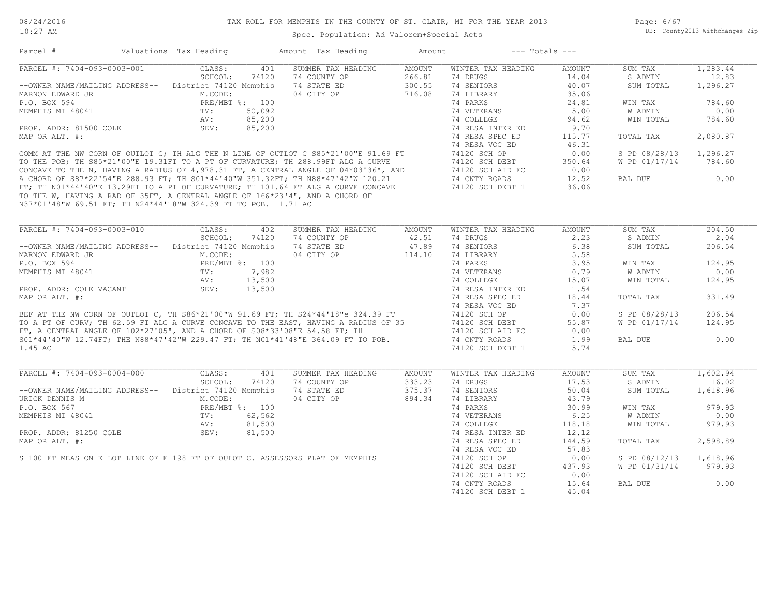#### 10:27 AM

#### TAX ROLL FOR MEMPHIS IN THE COUNTY OF ST. CLAIR, MI FOR THE YEAR 2013

Spec. Population: Ad Valorem+Special Acts

Page: 6/67 DB: County2013 Withchanges-Zip

| 401<br>SUMMER TAX HEADING<br>AMOUNT<br>WINTER TAX HEADING<br>SUM TAX<br>1,283.44<br>CLASS:<br>AMOUNT<br>SCHOOL:<br>74120<br>74 COUNTY OP<br>266.81<br>74 DRUGS<br>14.04<br>S ADMIN<br>12.83<br>--OWNER NAME/MAILING ADDRESS-- District 74120 Memphis<br>300.55<br>40.07<br>74 STATE ED<br>74 SENIORS<br>SUM TOTAL<br>1,296.27<br>04 CITY OP<br>M.CODE:<br>716.08<br>74 LIBRARY<br>35.06<br>74 PARKS<br>784.60<br>P.O. BOX 594<br>PRE/MBT %: 100<br>24.81<br>WIN TAX<br>50,092<br>74 VETERANS<br>5.00<br><b>W ADMIN</b><br>0.00<br>MEMPHIS MI 48041<br>$\texttt{TV}$ :<br>AV:<br>85,200<br>74 COLLEGE<br>94.62<br>WIN TOTAL<br>784.60<br>SEV:<br>PROP. ADDR: 81500 COLE<br>85,200<br>9.70<br>74 RESA INTER ED<br>MAP OR ALT. #:<br>74 RESA SPEC ED<br>115.77<br>TOTAL TAX<br>2,080.87<br>74 RESA VOC ED<br>46.31<br>COMM AT THE NW CORN OF OUTLOT C; TH ALG THE N LINE OF OUTLOT C S85*21'00"E 91.69 FT<br>TO THE POB; TH S85*21'00"E 19.31FT TO A PT OF CURVATURE; TH 288.99FT ALG A CURVE<br>CONCAVE TO THE N, HAVING A RADIUS OF 4,978.31 FT, A CENTR<br>0.00<br>1,296.27<br>74120 SCH OP<br>S PD 08/28/13<br>74120 SCH DEBT<br>350.64<br>W PD 01/17/14<br>784.60<br>0.00<br>74120 SCH AID FC<br>0.00<br>74 CNTY ROADS<br>12.52<br>BAL DUE<br>36.06<br>74120 SCH DEBT 1<br>TO THE W, HAVING A RAD OF 35FT, A CENTRAL ANGLE OF 166*23'4", AND A CHORD OF<br>N37*01'48"W 69.51 FT; TH N24*44'18"W 324.39 FT TO POB. 1.71 AC<br>PARCEL #: 7404-093-0003-010<br>204.50<br>CLASS:<br>402<br>SUMMER TAX HEADING<br>WINTER TAX HEADING<br>SUM TAX<br>AMOUNT<br>AMOUNT<br>SCHOOL:<br>74 COUNTY OP<br>42.51<br>74 DRUGS<br>2.23<br>S ADMIN<br>2.04<br>74120<br>74 STATE ED<br>47.89<br>74 SENIORS<br>6.38<br>206.54<br>--OWNER NAME/MAILING ADDRESS-- District 74120 Memphis<br>SUM TOTAL<br>04 CITY OP<br>114.10<br>74 LIBRARY<br>5.58<br>MARNON EDWARD JR<br>M.CODE:<br>PRE/MBT %: 100<br>74 PARKS<br>3.95<br>124.95<br>WIN TAX<br>$\text{TV:}$<br>$\text{AV:}$<br>$\text{QEV}$<br>7,982<br>74 VETERANS<br>0.79<br>W ADMIN<br>0.00<br>13,500<br>74 COLLEGE<br>15.07<br>WIN TOTAL<br>124.95<br>SEV:<br>13,500<br>74 RESA INTER ED<br>1.54<br>MAP OR ALT. #:<br>74 RESA SPEC ED<br>331.49<br>18.44<br>TOTAL TAX<br>7.37<br>74 RESA VOC ED<br>BEF AT THE NW CORN OF OUTLOT C, TH S86*21'00"W 91.69 FT; TH S24*44'18"e 324.39 FT<br>TO A PT OF CURV; TH 62.59 FT ALG A CURVE CONCAVE TO THE EAST, HAVING A RADIUS OF 35<br>FT, A CENTRAL ANGLE OF 102*27'05", AND A CHORD OF S08*33<br>206.54<br>74120 SCH OP<br>0.00<br>S PD 08/28/13<br>55.87<br>W PD 01/17/14<br>124.95<br>74120 SCH DEBT<br>74120 SCH AID FC<br>0.00<br>74 CNTY ROADS<br>1.99<br>BAL DUE<br>0.00<br>74120 SCH DEBT 1<br>5.74<br>1.45 AC<br>CLASS:<br>401<br>SUMMER TAX HEADING<br>WINTER TAX HEADING<br><b>AMOUNT</b><br>SUM TAX<br>1,602.94<br><b>AMOUNT</b><br>SCHOOL:<br>74120<br>74 COUNTY OP<br>333.23<br>74 DRUGS<br>17.53<br>S ADMIN<br>16.02<br>--OWNER NAME/MAILING ADDRESS-- District 74120 Memphis<br>74 STATE ED<br>375.37<br>74 SENIORS<br>50.04<br>1,618.96<br>SUM TOTAL<br>04 CITY OP<br>M.CODE:<br>894.34<br>74 LIBRARY<br>43.79<br>PRE/MBT %: 100<br>74 PARKS<br>30.99<br>979.93<br>WIN TAX<br>MEMPHIS MI 48041<br>62,562<br>74 VETERANS<br>6.25<br>W ADMIN<br>0.00<br>TV:<br>81,500<br>74 COLLEGE<br>WIN TOTAL<br>979.93<br>AV:<br>118.18<br>PROP. ADDR: 81250 COLE<br>SEV:<br>81,500<br>74 RESA INTER ED<br>12.12<br>MAP OR ALT. #:<br>74 RESA SPEC ED<br>2,598.89<br>144.59<br>TOTAL TAX<br>74 RESA VOC ED<br>57.83<br>S 100 FT MEAS ON E LOT LINE OF E 198 FT OF OULOT C. ASSESSORS PLAT OF MEMPHIS<br>74120 SCH OP<br>0.00<br>S PD 08/12/13<br>1,618.96<br>74120 SCH DEBT<br>437.93<br>W PD 01/31/14<br>979.93<br>0.00<br>74120 SCH AID FC<br>0.00<br>74 CNTY ROADS<br>15.64<br>BAL DUE<br>74120 SCH DEBT 1<br>45.04 | Parcel #                    | Valuations Tax Heading | Amount Tax Heading | Amount | $---$ Totals $---$ |  |  |
|-------------------------------------------------------------------------------------------------------------------------------------------------------------------------------------------------------------------------------------------------------------------------------------------------------------------------------------------------------------------------------------------------------------------------------------------------------------------------------------------------------------------------------------------------------------------------------------------------------------------------------------------------------------------------------------------------------------------------------------------------------------------------------------------------------------------------------------------------------------------------------------------------------------------------------------------------------------------------------------------------------------------------------------------------------------------------------------------------------------------------------------------------------------------------------------------------------------------------------------------------------------------------------------------------------------------------------------------------------------------------------------------------------------------------------------------------------------------------------------------------------------------------------------------------------------------------------------------------------------------------------------------------------------------------------------------------------------------------------------------------------------------------------------------------------------------------------------------------------------------------------------------------------------------------------------------------------------------------------------------------------------------------------------------------------------------------------------------------------------------------------------------------------------------------------------------------------------------------------------------------------------------------------------------------------------------------------------------------------------------------------------------------------------------------------------------------------------------------------------------------------------------------------------------------------------------------------------------------------------------------------------------------------------------------------------------------------------------------------------------------------------------------------------------------------------------------------------------------------------------------------------------------------------------------------------------------------------------------------------------------------------------------------------------------------------------------------------------------------------------------------------------------------------------------------------------------------------------------------------------------------------------------------------------------------------------------------------------------------------------------------------------------------------------------------------------------------------------------------------------------------------------------------------------------------------------------------------------------------------------------------------------------------------------------------------------------------------------------------------------------------------------------------------------------------|-----------------------------|------------------------|--------------------|--------|--------------------|--|--|
|                                                                                                                                                                                                                                                                                                                                                                                                                                                                                                                                                                                                                                                                                                                                                                                                                                                                                                                                                                                                                                                                                                                                                                                                                                                                                                                                                                                                                                                                                                                                                                                                                                                                                                                                                                                                                                                                                                                                                                                                                                                                                                                                                                                                                                                                                                                                                                                                                                                                                                                                                                                                                                                                                                                                                                                                                                                                                                                                                                                                                                                                                                                                                                                                                                                                                                                                                                                                                                                                                                                                                                                                                                                                                                                                                                                                       | PARCEL #: 7404-093-0003-001 |                        |                    |        |                    |  |  |
|                                                                                                                                                                                                                                                                                                                                                                                                                                                                                                                                                                                                                                                                                                                                                                                                                                                                                                                                                                                                                                                                                                                                                                                                                                                                                                                                                                                                                                                                                                                                                                                                                                                                                                                                                                                                                                                                                                                                                                                                                                                                                                                                                                                                                                                                                                                                                                                                                                                                                                                                                                                                                                                                                                                                                                                                                                                                                                                                                                                                                                                                                                                                                                                                                                                                                                                                                                                                                                                                                                                                                                                                                                                                                                                                                                                                       |                             |                        |                    |        |                    |  |  |
|                                                                                                                                                                                                                                                                                                                                                                                                                                                                                                                                                                                                                                                                                                                                                                                                                                                                                                                                                                                                                                                                                                                                                                                                                                                                                                                                                                                                                                                                                                                                                                                                                                                                                                                                                                                                                                                                                                                                                                                                                                                                                                                                                                                                                                                                                                                                                                                                                                                                                                                                                                                                                                                                                                                                                                                                                                                                                                                                                                                                                                                                                                                                                                                                                                                                                                                                                                                                                                                                                                                                                                                                                                                                                                                                                                                                       |                             |                        |                    |        |                    |  |  |
|                                                                                                                                                                                                                                                                                                                                                                                                                                                                                                                                                                                                                                                                                                                                                                                                                                                                                                                                                                                                                                                                                                                                                                                                                                                                                                                                                                                                                                                                                                                                                                                                                                                                                                                                                                                                                                                                                                                                                                                                                                                                                                                                                                                                                                                                                                                                                                                                                                                                                                                                                                                                                                                                                                                                                                                                                                                                                                                                                                                                                                                                                                                                                                                                                                                                                                                                                                                                                                                                                                                                                                                                                                                                                                                                                                                                       | MARNON EDWARD JR            |                        |                    |        |                    |  |  |
|                                                                                                                                                                                                                                                                                                                                                                                                                                                                                                                                                                                                                                                                                                                                                                                                                                                                                                                                                                                                                                                                                                                                                                                                                                                                                                                                                                                                                                                                                                                                                                                                                                                                                                                                                                                                                                                                                                                                                                                                                                                                                                                                                                                                                                                                                                                                                                                                                                                                                                                                                                                                                                                                                                                                                                                                                                                                                                                                                                                                                                                                                                                                                                                                                                                                                                                                                                                                                                                                                                                                                                                                                                                                                                                                                                                                       |                             |                        |                    |        |                    |  |  |
|                                                                                                                                                                                                                                                                                                                                                                                                                                                                                                                                                                                                                                                                                                                                                                                                                                                                                                                                                                                                                                                                                                                                                                                                                                                                                                                                                                                                                                                                                                                                                                                                                                                                                                                                                                                                                                                                                                                                                                                                                                                                                                                                                                                                                                                                                                                                                                                                                                                                                                                                                                                                                                                                                                                                                                                                                                                                                                                                                                                                                                                                                                                                                                                                                                                                                                                                                                                                                                                                                                                                                                                                                                                                                                                                                                                                       |                             |                        |                    |        |                    |  |  |
|                                                                                                                                                                                                                                                                                                                                                                                                                                                                                                                                                                                                                                                                                                                                                                                                                                                                                                                                                                                                                                                                                                                                                                                                                                                                                                                                                                                                                                                                                                                                                                                                                                                                                                                                                                                                                                                                                                                                                                                                                                                                                                                                                                                                                                                                                                                                                                                                                                                                                                                                                                                                                                                                                                                                                                                                                                                                                                                                                                                                                                                                                                                                                                                                                                                                                                                                                                                                                                                                                                                                                                                                                                                                                                                                                                                                       |                             |                        |                    |        |                    |  |  |
|                                                                                                                                                                                                                                                                                                                                                                                                                                                                                                                                                                                                                                                                                                                                                                                                                                                                                                                                                                                                                                                                                                                                                                                                                                                                                                                                                                                                                                                                                                                                                                                                                                                                                                                                                                                                                                                                                                                                                                                                                                                                                                                                                                                                                                                                                                                                                                                                                                                                                                                                                                                                                                                                                                                                                                                                                                                                                                                                                                                                                                                                                                                                                                                                                                                                                                                                                                                                                                                                                                                                                                                                                                                                                                                                                                                                       |                             |                        |                    |        |                    |  |  |
|                                                                                                                                                                                                                                                                                                                                                                                                                                                                                                                                                                                                                                                                                                                                                                                                                                                                                                                                                                                                                                                                                                                                                                                                                                                                                                                                                                                                                                                                                                                                                                                                                                                                                                                                                                                                                                                                                                                                                                                                                                                                                                                                                                                                                                                                                                                                                                                                                                                                                                                                                                                                                                                                                                                                                                                                                                                                                                                                                                                                                                                                                                                                                                                                                                                                                                                                                                                                                                                                                                                                                                                                                                                                                                                                                                                                       |                             |                        |                    |        |                    |  |  |
|                                                                                                                                                                                                                                                                                                                                                                                                                                                                                                                                                                                                                                                                                                                                                                                                                                                                                                                                                                                                                                                                                                                                                                                                                                                                                                                                                                                                                                                                                                                                                                                                                                                                                                                                                                                                                                                                                                                                                                                                                                                                                                                                                                                                                                                                                                                                                                                                                                                                                                                                                                                                                                                                                                                                                                                                                                                                                                                                                                                                                                                                                                                                                                                                                                                                                                                                                                                                                                                                                                                                                                                                                                                                                                                                                                                                       |                             |                        |                    |        |                    |  |  |
|                                                                                                                                                                                                                                                                                                                                                                                                                                                                                                                                                                                                                                                                                                                                                                                                                                                                                                                                                                                                                                                                                                                                                                                                                                                                                                                                                                                                                                                                                                                                                                                                                                                                                                                                                                                                                                                                                                                                                                                                                                                                                                                                                                                                                                                                                                                                                                                                                                                                                                                                                                                                                                                                                                                                                                                                                                                                                                                                                                                                                                                                                                                                                                                                                                                                                                                                                                                                                                                                                                                                                                                                                                                                                                                                                                                                       |                             |                        |                    |        |                    |  |  |
|                                                                                                                                                                                                                                                                                                                                                                                                                                                                                                                                                                                                                                                                                                                                                                                                                                                                                                                                                                                                                                                                                                                                                                                                                                                                                                                                                                                                                                                                                                                                                                                                                                                                                                                                                                                                                                                                                                                                                                                                                                                                                                                                                                                                                                                                                                                                                                                                                                                                                                                                                                                                                                                                                                                                                                                                                                                                                                                                                                                                                                                                                                                                                                                                                                                                                                                                                                                                                                                                                                                                                                                                                                                                                                                                                                                                       |                             |                        |                    |        |                    |  |  |
|                                                                                                                                                                                                                                                                                                                                                                                                                                                                                                                                                                                                                                                                                                                                                                                                                                                                                                                                                                                                                                                                                                                                                                                                                                                                                                                                                                                                                                                                                                                                                                                                                                                                                                                                                                                                                                                                                                                                                                                                                                                                                                                                                                                                                                                                                                                                                                                                                                                                                                                                                                                                                                                                                                                                                                                                                                                                                                                                                                                                                                                                                                                                                                                                                                                                                                                                                                                                                                                                                                                                                                                                                                                                                                                                                                                                       |                             |                        |                    |        |                    |  |  |
|                                                                                                                                                                                                                                                                                                                                                                                                                                                                                                                                                                                                                                                                                                                                                                                                                                                                                                                                                                                                                                                                                                                                                                                                                                                                                                                                                                                                                                                                                                                                                                                                                                                                                                                                                                                                                                                                                                                                                                                                                                                                                                                                                                                                                                                                                                                                                                                                                                                                                                                                                                                                                                                                                                                                                                                                                                                                                                                                                                                                                                                                                                                                                                                                                                                                                                                                                                                                                                                                                                                                                                                                                                                                                                                                                                                                       |                             |                        |                    |        |                    |  |  |
|                                                                                                                                                                                                                                                                                                                                                                                                                                                                                                                                                                                                                                                                                                                                                                                                                                                                                                                                                                                                                                                                                                                                                                                                                                                                                                                                                                                                                                                                                                                                                                                                                                                                                                                                                                                                                                                                                                                                                                                                                                                                                                                                                                                                                                                                                                                                                                                                                                                                                                                                                                                                                                                                                                                                                                                                                                                                                                                                                                                                                                                                                                                                                                                                                                                                                                                                                                                                                                                                                                                                                                                                                                                                                                                                                                                                       |                             |                        |                    |        |                    |  |  |
|                                                                                                                                                                                                                                                                                                                                                                                                                                                                                                                                                                                                                                                                                                                                                                                                                                                                                                                                                                                                                                                                                                                                                                                                                                                                                                                                                                                                                                                                                                                                                                                                                                                                                                                                                                                                                                                                                                                                                                                                                                                                                                                                                                                                                                                                                                                                                                                                                                                                                                                                                                                                                                                                                                                                                                                                                                                                                                                                                                                                                                                                                                                                                                                                                                                                                                                                                                                                                                                                                                                                                                                                                                                                                                                                                                                                       |                             |                        |                    |        |                    |  |  |
|                                                                                                                                                                                                                                                                                                                                                                                                                                                                                                                                                                                                                                                                                                                                                                                                                                                                                                                                                                                                                                                                                                                                                                                                                                                                                                                                                                                                                                                                                                                                                                                                                                                                                                                                                                                                                                                                                                                                                                                                                                                                                                                                                                                                                                                                                                                                                                                                                                                                                                                                                                                                                                                                                                                                                                                                                                                                                                                                                                                                                                                                                                                                                                                                                                                                                                                                                                                                                                                                                                                                                                                                                                                                                                                                                                                                       |                             |                        |                    |        |                    |  |  |
|                                                                                                                                                                                                                                                                                                                                                                                                                                                                                                                                                                                                                                                                                                                                                                                                                                                                                                                                                                                                                                                                                                                                                                                                                                                                                                                                                                                                                                                                                                                                                                                                                                                                                                                                                                                                                                                                                                                                                                                                                                                                                                                                                                                                                                                                                                                                                                                                                                                                                                                                                                                                                                                                                                                                                                                                                                                                                                                                                                                                                                                                                                                                                                                                                                                                                                                                                                                                                                                                                                                                                                                                                                                                                                                                                                                                       |                             |                        |                    |        |                    |  |  |
|                                                                                                                                                                                                                                                                                                                                                                                                                                                                                                                                                                                                                                                                                                                                                                                                                                                                                                                                                                                                                                                                                                                                                                                                                                                                                                                                                                                                                                                                                                                                                                                                                                                                                                                                                                                                                                                                                                                                                                                                                                                                                                                                                                                                                                                                                                                                                                                                                                                                                                                                                                                                                                                                                                                                                                                                                                                                                                                                                                                                                                                                                                                                                                                                                                                                                                                                                                                                                                                                                                                                                                                                                                                                                                                                                                                                       |                             |                        |                    |        |                    |  |  |
|                                                                                                                                                                                                                                                                                                                                                                                                                                                                                                                                                                                                                                                                                                                                                                                                                                                                                                                                                                                                                                                                                                                                                                                                                                                                                                                                                                                                                                                                                                                                                                                                                                                                                                                                                                                                                                                                                                                                                                                                                                                                                                                                                                                                                                                                                                                                                                                                                                                                                                                                                                                                                                                                                                                                                                                                                                                                                                                                                                                                                                                                                                                                                                                                                                                                                                                                                                                                                                                                                                                                                                                                                                                                                                                                                                                                       |                             |                        |                    |        |                    |  |  |
|                                                                                                                                                                                                                                                                                                                                                                                                                                                                                                                                                                                                                                                                                                                                                                                                                                                                                                                                                                                                                                                                                                                                                                                                                                                                                                                                                                                                                                                                                                                                                                                                                                                                                                                                                                                                                                                                                                                                                                                                                                                                                                                                                                                                                                                                                                                                                                                                                                                                                                                                                                                                                                                                                                                                                                                                                                                                                                                                                                                                                                                                                                                                                                                                                                                                                                                                                                                                                                                                                                                                                                                                                                                                                                                                                                                                       |                             |                        |                    |        |                    |  |  |
|                                                                                                                                                                                                                                                                                                                                                                                                                                                                                                                                                                                                                                                                                                                                                                                                                                                                                                                                                                                                                                                                                                                                                                                                                                                                                                                                                                                                                                                                                                                                                                                                                                                                                                                                                                                                                                                                                                                                                                                                                                                                                                                                                                                                                                                                                                                                                                                                                                                                                                                                                                                                                                                                                                                                                                                                                                                                                                                                                                                                                                                                                                                                                                                                                                                                                                                                                                                                                                                                                                                                                                                                                                                                                                                                                                                                       |                             |                        |                    |        |                    |  |  |
|                                                                                                                                                                                                                                                                                                                                                                                                                                                                                                                                                                                                                                                                                                                                                                                                                                                                                                                                                                                                                                                                                                                                                                                                                                                                                                                                                                                                                                                                                                                                                                                                                                                                                                                                                                                                                                                                                                                                                                                                                                                                                                                                                                                                                                                                                                                                                                                                                                                                                                                                                                                                                                                                                                                                                                                                                                                                                                                                                                                                                                                                                                                                                                                                                                                                                                                                                                                                                                                                                                                                                                                                                                                                                                                                                                                                       |                             |                        |                    |        |                    |  |  |
|                                                                                                                                                                                                                                                                                                                                                                                                                                                                                                                                                                                                                                                                                                                                                                                                                                                                                                                                                                                                                                                                                                                                                                                                                                                                                                                                                                                                                                                                                                                                                                                                                                                                                                                                                                                                                                                                                                                                                                                                                                                                                                                                                                                                                                                                                                                                                                                                                                                                                                                                                                                                                                                                                                                                                                                                                                                                                                                                                                                                                                                                                                                                                                                                                                                                                                                                                                                                                                                                                                                                                                                                                                                                                                                                                                                                       |                             |                        |                    |        |                    |  |  |
|                                                                                                                                                                                                                                                                                                                                                                                                                                                                                                                                                                                                                                                                                                                                                                                                                                                                                                                                                                                                                                                                                                                                                                                                                                                                                                                                                                                                                                                                                                                                                                                                                                                                                                                                                                                                                                                                                                                                                                                                                                                                                                                                                                                                                                                                                                                                                                                                                                                                                                                                                                                                                                                                                                                                                                                                                                                                                                                                                                                                                                                                                                                                                                                                                                                                                                                                                                                                                                                                                                                                                                                                                                                                                                                                                                                                       | P.O. BOX 594                |                        |                    |        |                    |  |  |
|                                                                                                                                                                                                                                                                                                                                                                                                                                                                                                                                                                                                                                                                                                                                                                                                                                                                                                                                                                                                                                                                                                                                                                                                                                                                                                                                                                                                                                                                                                                                                                                                                                                                                                                                                                                                                                                                                                                                                                                                                                                                                                                                                                                                                                                                                                                                                                                                                                                                                                                                                                                                                                                                                                                                                                                                                                                                                                                                                                                                                                                                                                                                                                                                                                                                                                                                                                                                                                                                                                                                                                                                                                                                                                                                                                                                       | MEMPHIS MI 48041            |                        |                    |        |                    |  |  |
|                                                                                                                                                                                                                                                                                                                                                                                                                                                                                                                                                                                                                                                                                                                                                                                                                                                                                                                                                                                                                                                                                                                                                                                                                                                                                                                                                                                                                                                                                                                                                                                                                                                                                                                                                                                                                                                                                                                                                                                                                                                                                                                                                                                                                                                                                                                                                                                                                                                                                                                                                                                                                                                                                                                                                                                                                                                                                                                                                                                                                                                                                                                                                                                                                                                                                                                                                                                                                                                                                                                                                                                                                                                                                                                                                                                                       |                             |                        |                    |        |                    |  |  |
|                                                                                                                                                                                                                                                                                                                                                                                                                                                                                                                                                                                                                                                                                                                                                                                                                                                                                                                                                                                                                                                                                                                                                                                                                                                                                                                                                                                                                                                                                                                                                                                                                                                                                                                                                                                                                                                                                                                                                                                                                                                                                                                                                                                                                                                                                                                                                                                                                                                                                                                                                                                                                                                                                                                                                                                                                                                                                                                                                                                                                                                                                                                                                                                                                                                                                                                                                                                                                                                                                                                                                                                                                                                                                                                                                                                                       | PROP. ADDR: COLE VACANT     |                        |                    |        |                    |  |  |
|                                                                                                                                                                                                                                                                                                                                                                                                                                                                                                                                                                                                                                                                                                                                                                                                                                                                                                                                                                                                                                                                                                                                                                                                                                                                                                                                                                                                                                                                                                                                                                                                                                                                                                                                                                                                                                                                                                                                                                                                                                                                                                                                                                                                                                                                                                                                                                                                                                                                                                                                                                                                                                                                                                                                                                                                                                                                                                                                                                                                                                                                                                                                                                                                                                                                                                                                                                                                                                                                                                                                                                                                                                                                                                                                                                                                       |                             |                        |                    |        |                    |  |  |
|                                                                                                                                                                                                                                                                                                                                                                                                                                                                                                                                                                                                                                                                                                                                                                                                                                                                                                                                                                                                                                                                                                                                                                                                                                                                                                                                                                                                                                                                                                                                                                                                                                                                                                                                                                                                                                                                                                                                                                                                                                                                                                                                                                                                                                                                                                                                                                                                                                                                                                                                                                                                                                                                                                                                                                                                                                                                                                                                                                                                                                                                                                                                                                                                                                                                                                                                                                                                                                                                                                                                                                                                                                                                                                                                                                                                       |                             |                        |                    |        |                    |  |  |
|                                                                                                                                                                                                                                                                                                                                                                                                                                                                                                                                                                                                                                                                                                                                                                                                                                                                                                                                                                                                                                                                                                                                                                                                                                                                                                                                                                                                                                                                                                                                                                                                                                                                                                                                                                                                                                                                                                                                                                                                                                                                                                                                                                                                                                                                                                                                                                                                                                                                                                                                                                                                                                                                                                                                                                                                                                                                                                                                                                                                                                                                                                                                                                                                                                                                                                                                                                                                                                                                                                                                                                                                                                                                                                                                                                                                       |                             |                        |                    |        |                    |  |  |
|                                                                                                                                                                                                                                                                                                                                                                                                                                                                                                                                                                                                                                                                                                                                                                                                                                                                                                                                                                                                                                                                                                                                                                                                                                                                                                                                                                                                                                                                                                                                                                                                                                                                                                                                                                                                                                                                                                                                                                                                                                                                                                                                                                                                                                                                                                                                                                                                                                                                                                                                                                                                                                                                                                                                                                                                                                                                                                                                                                                                                                                                                                                                                                                                                                                                                                                                                                                                                                                                                                                                                                                                                                                                                                                                                                                                       |                             |                        |                    |        |                    |  |  |
|                                                                                                                                                                                                                                                                                                                                                                                                                                                                                                                                                                                                                                                                                                                                                                                                                                                                                                                                                                                                                                                                                                                                                                                                                                                                                                                                                                                                                                                                                                                                                                                                                                                                                                                                                                                                                                                                                                                                                                                                                                                                                                                                                                                                                                                                                                                                                                                                                                                                                                                                                                                                                                                                                                                                                                                                                                                                                                                                                                                                                                                                                                                                                                                                                                                                                                                                                                                                                                                                                                                                                                                                                                                                                                                                                                                                       |                             |                        |                    |        |                    |  |  |
|                                                                                                                                                                                                                                                                                                                                                                                                                                                                                                                                                                                                                                                                                                                                                                                                                                                                                                                                                                                                                                                                                                                                                                                                                                                                                                                                                                                                                                                                                                                                                                                                                                                                                                                                                                                                                                                                                                                                                                                                                                                                                                                                                                                                                                                                                                                                                                                                                                                                                                                                                                                                                                                                                                                                                                                                                                                                                                                                                                                                                                                                                                                                                                                                                                                                                                                                                                                                                                                                                                                                                                                                                                                                                                                                                                                                       |                             |                        |                    |        |                    |  |  |
|                                                                                                                                                                                                                                                                                                                                                                                                                                                                                                                                                                                                                                                                                                                                                                                                                                                                                                                                                                                                                                                                                                                                                                                                                                                                                                                                                                                                                                                                                                                                                                                                                                                                                                                                                                                                                                                                                                                                                                                                                                                                                                                                                                                                                                                                                                                                                                                                                                                                                                                                                                                                                                                                                                                                                                                                                                                                                                                                                                                                                                                                                                                                                                                                                                                                                                                                                                                                                                                                                                                                                                                                                                                                                                                                                                                                       |                             |                        |                    |        |                    |  |  |
|                                                                                                                                                                                                                                                                                                                                                                                                                                                                                                                                                                                                                                                                                                                                                                                                                                                                                                                                                                                                                                                                                                                                                                                                                                                                                                                                                                                                                                                                                                                                                                                                                                                                                                                                                                                                                                                                                                                                                                                                                                                                                                                                                                                                                                                                                                                                                                                                                                                                                                                                                                                                                                                                                                                                                                                                                                                                                                                                                                                                                                                                                                                                                                                                                                                                                                                                                                                                                                                                                                                                                                                                                                                                                                                                                                                                       |                             |                        |                    |        |                    |  |  |
|                                                                                                                                                                                                                                                                                                                                                                                                                                                                                                                                                                                                                                                                                                                                                                                                                                                                                                                                                                                                                                                                                                                                                                                                                                                                                                                                                                                                                                                                                                                                                                                                                                                                                                                                                                                                                                                                                                                                                                                                                                                                                                                                                                                                                                                                                                                                                                                                                                                                                                                                                                                                                                                                                                                                                                                                                                                                                                                                                                                                                                                                                                                                                                                                                                                                                                                                                                                                                                                                                                                                                                                                                                                                                                                                                                                                       |                             |                        |                    |        |                    |  |  |
|                                                                                                                                                                                                                                                                                                                                                                                                                                                                                                                                                                                                                                                                                                                                                                                                                                                                                                                                                                                                                                                                                                                                                                                                                                                                                                                                                                                                                                                                                                                                                                                                                                                                                                                                                                                                                                                                                                                                                                                                                                                                                                                                                                                                                                                                                                                                                                                                                                                                                                                                                                                                                                                                                                                                                                                                                                                                                                                                                                                                                                                                                                                                                                                                                                                                                                                                                                                                                                                                                                                                                                                                                                                                                                                                                                                                       | PARCEL #: 7404-093-0004-000 |                        |                    |        |                    |  |  |
|                                                                                                                                                                                                                                                                                                                                                                                                                                                                                                                                                                                                                                                                                                                                                                                                                                                                                                                                                                                                                                                                                                                                                                                                                                                                                                                                                                                                                                                                                                                                                                                                                                                                                                                                                                                                                                                                                                                                                                                                                                                                                                                                                                                                                                                                                                                                                                                                                                                                                                                                                                                                                                                                                                                                                                                                                                                                                                                                                                                                                                                                                                                                                                                                                                                                                                                                                                                                                                                                                                                                                                                                                                                                                                                                                                                                       |                             |                        |                    |        |                    |  |  |
|                                                                                                                                                                                                                                                                                                                                                                                                                                                                                                                                                                                                                                                                                                                                                                                                                                                                                                                                                                                                                                                                                                                                                                                                                                                                                                                                                                                                                                                                                                                                                                                                                                                                                                                                                                                                                                                                                                                                                                                                                                                                                                                                                                                                                                                                                                                                                                                                                                                                                                                                                                                                                                                                                                                                                                                                                                                                                                                                                                                                                                                                                                                                                                                                                                                                                                                                                                                                                                                                                                                                                                                                                                                                                                                                                                                                       |                             |                        |                    |        |                    |  |  |
|                                                                                                                                                                                                                                                                                                                                                                                                                                                                                                                                                                                                                                                                                                                                                                                                                                                                                                                                                                                                                                                                                                                                                                                                                                                                                                                                                                                                                                                                                                                                                                                                                                                                                                                                                                                                                                                                                                                                                                                                                                                                                                                                                                                                                                                                                                                                                                                                                                                                                                                                                                                                                                                                                                                                                                                                                                                                                                                                                                                                                                                                                                                                                                                                                                                                                                                                                                                                                                                                                                                                                                                                                                                                                                                                                                                                       | URICK DENNIS M              |                        |                    |        |                    |  |  |
|                                                                                                                                                                                                                                                                                                                                                                                                                                                                                                                                                                                                                                                                                                                                                                                                                                                                                                                                                                                                                                                                                                                                                                                                                                                                                                                                                                                                                                                                                                                                                                                                                                                                                                                                                                                                                                                                                                                                                                                                                                                                                                                                                                                                                                                                                                                                                                                                                                                                                                                                                                                                                                                                                                                                                                                                                                                                                                                                                                                                                                                                                                                                                                                                                                                                                                                                                                                                                                                                                                                                                                                                                                                                                                                                                                                                       | P.O. BOX 567                |                        |                    |        |                    |  |  |
|                                                                                                                                                                                                                                                                                                                                                                                                                                                                                                                                                                                                                                                                                                                                                                                                                                                                                                                                                                                                                                                                                                                                                                                                                                                                                                                                                                                                                                                                                                                                                                                                                                                                                                                                                                                                                                                                                                                                                                                                                                                                                                                                                                                                                                                                                                                                                                                                                                                                                                                                                                                                                                                                                                                                                                                                                                                                                                                                                                                                                                                                                                                                                                                                                                                                                                                                                                                                                                                                                                                                                                                                                                                                                                                                                                                                       |                             |                        |                    |        |                    |  |  |
|                                                                                                                                                                                                                                                                                                                                                                                                                                                                                                                                                                                                                                                                                                                                                                                                                                                                                                                                                                                                                                                                                                                                                                                                                                                                                                                                                                                                                                                                                                                                                                                                                                                                                                                                                                                                                                                                                                                                                                                                                                                                                                                                                                                                                                                                                                                                                                                                                                                                                                                                                                                                                                                                                                                                                                                                                                                                                                                                                                                                                                                                                                                                                                                                                                                                                                                                                                                                                                                                                                                                                                                                                                                                                                                                                                                                       |                             |                        |                    |        |                    |  |  |
|                                                                                                                                                                                                                                                                                                                                                                                                                                                                                                                                                                                                                                                                                                                                                                                                                                                                                                                                                                                                                                                                                                                                                                                                                                                                                                                                                                                                                                                                                                                                                                                                                                                                                                                                                                                                                                                                                                                                                                                                                                                                                                                                                                                                                                                                                                                                                                                                                                                                                                                                                                                                                                                                                                                                                                                                                                                                                                                                                                                                                                                                                                                                                                                                                                                                                                                                                                                                                                                                                                                                                                                                                                                                                                                                                                                                       |                             |                        |                    |        |                    |  |  |
|                                                                                                                                                                                                                                                                                                                                                                                                                                                                                                                                                                                                                                                                                                                                                                                                                                                                                                                                                                                                                                                                                                                                                                                                                                                                                                                                                                                                                                                                                                                                                                                                                                                                                                                                                                                                                                                                                                                                                                                                                                                                                                                                                                                                                                                                                                                                                                                                                                                                                                                                                                                                                                                                                                                                                                                                                                                                                                                                                                                                                                                                                                                                                                                                                                                                                                                                                                                                                                                                                                                                                                                                                                                                                                                                                                                                       |                             |                        |                    |        |                    |  |  |
|                                                                                                                                                                                                                                                                                                                                                                                                                                                                                                                                                                                                                                                                                                                                                                                                                                                                                                                                                                                                                                                                                                                                                                                                                                                                                                                                                                                                                                                                                                                                                                                                                                                                                                                                                                                                                                                                                                                                                                                                                                                                                                                                                                                                                                                                                                                                                                                                                                                                                                                                                                                                                                                                                                                                                                                                                                                                                                                                                                                                                                                                                                                                                                                                                                                                                                                                                                                                                                                                                                                                                                                                                                                                                                                                                                                                       |                             |                        |                    |        |                    |  |  |
|                                                                                                                                                                                                                                                                                                                                                                                                                                                                                                                                                                                                                                                                                                                                                                                                                                                                                                                                                                                                                                                                                                                                                                                                                                                                                                                                                                                                                                                                                                                                                                                                                                                                                                                                                                                                                                                                                                                                                                                                                                                                                                                                                                                                                                                                                                                                                                                                                                                                                                                                                                                                                                                                                                                                                                                                                                                                                                                                                                                                                                                                                                                                                                                                                                                                                                                                                                                                                                                                                                                                                                                                                                                                                                                                                                                                       |                             |                        |                    |        |                    |  |  |
|                                                                                                                                                                                                                                                                                                                                                                                                                                                                                                                                                                                                                                                                                                                                                                                                                                                                                                                                                                                                                                                                                                                                                                                                                                                                                                                                                                                                                                                                                                                                                                                                                                                                                                                                                                                                                                                                                                                                                                                                                                                                                                                                                                                                                                                                                                                                                                                                                                                                                                                                                                                                                                                                                                                                                                                                                                                                                                                                                                                                                                                                                                                                                                                                                                                                                                                                                                                                                                                                                                                                                                                                                                                                                                                                                                                                       |                             |                        |                    |        |                    |  |  |
|                                                                                                                                                                                                                                                                                                                                                                                                                                                                                                                                                                                                                                                                                                                                                                                                                                                                                                                                                                                                                                                                                                                                                                                                                                                                                                                                                                                                                                                                                                                                                                                                                                                                                                                                                                                                                                                                                                                                                                                                                                                                                                                                                                                                                                                                                                                                                                                                                                                                                                                                                                                                                                                                                                                                                                                                                                                                                                                                                                                                                                                                                                                                                                                                                                                                                                                                                                                                                                                                                                                                                                                                                                                                                                                                                                                                       |                             |                        |                    |        |                    |  |  |
|                                                                                                                                                                                                                                                                                                                                                                                                                                                                                                                                                                                                                                                                                                                                                                                                                                                                                                                                                                                                                                                                                                                                                                                                                                                                                                                                                                                                                                                                                                                                                                                                                                                                                                                                                                                                                                                                                                                                                                                                                                                                                                                                                                                                                                                                                                                                                                                                                                                                                                                                                                                                                                                                                                                                                                                                                                                                                                                                                                                                                                                                                                                                                                                                                                                                                                                                                                                                                                                                                                                                                                                                                                                                                                                                                                                                       |                             |                        |                    |        |                    |  |  |
|                                                                                                                                                                                                                                                                                                                                                                                                                                                                                                                                                                                                                                                                                                                                                                                                                                                                                                                                                                                                                                                                                                                                                                                                                                                                                                                                                                                                                                                                                                                                                                                                                                                                                                                                                                                                                                                                                                                                                                                                                                                                                                                                                                                                                                                                                                                                                                                                                                                                                                                                                                                                                                                                                                                                                                                                                                                                                                                                                                                                                                                                                                                                                                                                                                                                                                                                                                                                                                                                                                                                                                                                                                                                                                                                                                                                       |                             |                        |                    |        |                    |  |  |
|                                                                                                                                                                                                                                                                                                                                                                                                                                                                                                                                                                                                                                                                                                                                                                                                                                                                                                                                                                                                                                                                                                                                                                                                                                                                                                                                                                                                                                                                                                                                                                                                                                                                                                                                                                                                                                                                                                                                                                                                                                                                                                                                                                                                                                                                                                                                                                                                                                                                                                                                                                                                                                                                                                                                                                                                                                                                                                                                                                                                                                                                                                                                                                                                                                                                                                                                                                                                                                                                                                                                                                                                                                                                                                                                                                                                       |                             |                        |                    |        |                    |  |  |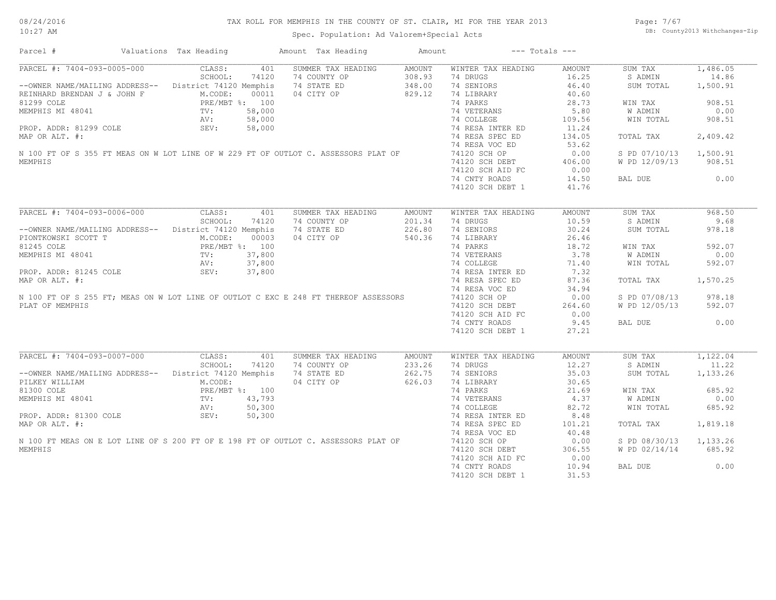#### TAX ROLL FOR MEMPHIS IN THE COUNTY OF ST. CLAIR, MI FOR THE YEAR 2013

Spec. Population: Ad Valorem+Special Acts

Page: 7/67 DB: County2013 Withchanges-Zip

| Parcel #                                                                            | Valuations Tax Heading | Amount Tax Heading | Amount        | $---$ Totals $---$ |               |               |          |
|-------------------------------------------------------------------------------------|------------------------|--------------------|---------------|--------------------|---------------|---------------|----------|
| PARCEL #: 7404-093-0005-000                                                         | CLASS:<br>401          | SUMMER TAX HEADING | <b>AMOUNT</b> | WINTER TAX HEADING | <b>AMOUNT</b> | SUM TAX       | 1,486.05 |
|                                                                                     | SCHOOL:<br>74120       | 74 COUNTY OP       | 308.93        | 74 DRUGS           | 16.25         | S ADMIN       | 14.86    |
| -- OWNER NAME/MAILING ADDRESS-- District 74120 Memphis                              |                        | 74 STATE ED        | 348.00        | 74 SENIORS         | 46.40         | SUM TOTAL     | 1,500.91 |
| REINHARD BRENDAN J & JOHN F                                                         | M.CODE:<br>00011       | 04 CITY OP         | 829.12        | 74 LIBRARY         | 40.60         |               |          |
| 81299 COLE                                                                          | PRE/MBT %: 100         |                    |               | 74 PARKS           | 28.73         | WIN TAX       | 908.51   |
| MEMPHIS MI 48041                                                                    | 58,000<br>TV:          |                    |               | 74 VETERANS        | 5.80          | W ADMIN       | 0.00     |
|                                                                                     | 58,000<br>AV:          |                    |               | 74 COLLEGE         | 109.56        | WIN TOTAL     | 908.51   |
| PROP. ADDR: 81299 COLE                                                              | SEV:<br>58,000         |                    |               | 74 RESA INTER ED   | 11.24         |               |          |
|                                                                                     |                        |                    |               | 74 RESA SPEC ED    | 134.05        |               | 2,409.42 |
| MAP OR ALT. #:                                                                      |                        |                    |               |                    |               | TOTAL TAX     |          |
|                                                                                     |                        |                    |               | 74 RESA VOC ED     | 53.62         |               |          |
| N 100 FT OF S 355 FT MEAS ON W LOT LINE OF W 229 FT OF OUTLOT C. ASSESSORS PLAT OF  |                        |                    |               | 74120 SCH OP       | 0.00          | S PD 07/10/13 | 1,500.91 |
| MEMPHIS                                                                             |                        |                    |               | 74120 SCH DEBT     | 406.00        | W PD 12/09/13 | 908.51   |
|                                                                                     |                        |                    |               | 74120 SCH AID FC   | 0.00          |               |          |
|                                                                                     |                        |                    |               | 74 CNTY ROADS      | 14.50         | BAL DUE       | 0.00     |
|                                                                                     |                        |                    |               | 74120 SCH DEBT 1   | 41.76         |               |          |
|                                                                                     |                        |                    |               |                    |               |               |          |
| PARCEL #: 7404-093-0006-000                                                         | CLASS:<br>401          | SUMMER TAX HEADING | <b>AMOUNT</b> | WINTER TAX HEADING | <b>AMOUNT</b> | SUM TAX       | 968.50   |
|                                                                                     | SCHOOL:<br>74120       | 74 COUNTY OP       | 201.34        | 74 DRUGS           | 10.59         | S ADMIN       | 9.68     |
| -- OWNER NAME/MAILING ADDRESS-- District 74120 Memphis                              |                        | 74 STATE ED        | 226.80        | 74 SENIORS         | 30.24         | SUM TOTAL     | 978.18   |
| PIONTKOWSKI SCOTT T                                                                 | M.CODE:<br>00003       | 04 CITY OP         | 540.36        | 74 LIBRARY         | 26.46         |               |          |
| 81245 COLE                                                                          | PRE/MBT %: 100         |                    |               | 74 PARKS           | 18.72         | WIN TAX       | 592.07   |
| MEMPHIS MI 48041                                                                    | 37,800<br>TV:          |                    |               | 74 VETERANS        | 3.78          | W ADMIN       | 0.00     |
|                                                                                     | 37,800<br>AV:          |                    |               | 74 COLLEGE         | 71.40         | WIN TOTAL     | 592.07   |
|                                                                                     |                        |                    |               |                    | 7.32          |               |          |
| PROP. ADDR: 81245 COLE                                                              | SEV:<br>37,800         |                    |               | 74 RESA INTER ED   |               |               |          |
| MAP OR ALT. #:                                                                      |                        |                    |               | 74 RESA SPEC ED    | 87.36         | TOTAL TAX     | 1,570.25 |
|                                                                                     |                        |                    |               | 74 RESA VOC ED     | 34.94         |               |          |
| N 100 FT OF S 255 FT; MEAS ON W LOT LINE OF OUTLOT C EXC E 248 FT THEREOF ASSESSORS |                        |                    |               | 74120 SCH OP       | 0.00          | S PD 07/08/13 | 978.18   |
| PLAT OF MEMPHIS                                                                     |                        |                    |               | 74120 SCH DEBT     | 264.60        | W PD 12/05/13 | 592.07   |
|                                                                                     |                        |                    |               | 74120 SCH AID FC   | 0.00          |               |          |
|                                                                                     |                        |                    |               | 74 CNTY ROADS      | 9.45          | BAL DUE       | 0.00     |
|                                                                                     |                        |                    |               | 74120 SCH DEBT 1   | 27.21         |               |          |
|                                                                                     |                        |                    |               |                    |               |               |          |
| PARCEL #: 7404-093-0007-000                                                         | CLASS:<br>401          | SUMMER TAX HEADING | AMOUNT        | WINTER TAX HEADING | <b>AMOUNT</b> | SUM TAX       | 1,122.04 |
|                                                                                     | SCHOOL:<br>74120       | 74 COUNTY OP       | 233.26        | 74 DRUGS           | 12.27         | S ADMIN       | 11.22    |
| --OWNER NAME/MAILING ADDRESS--                                                      | District 74120 Memphis | 74 STATE ED        | 262.75        | 74 SENIORS         | 35.03         | SUM TOTAL     | 1,133.26 |
| PILKEY WILLIAM                                                                      | M.CODE:                | 04 CITY OP         | 626.03        | 74 LIBRARY         | 30.65         |               |          |
|                                                                                     |                        |                    |               |                    |               |               |          |
| 81300 COLE                                                                          | PRE/MBT %: 100         |                    |               | 74 PARKS           | 21.69         | WIN TAX       | 685.92   |
| MEMPHIS MI 48041                                                                    | 43,793<br>TV:          |                    |               | 74 VETERANS        | 4.37          | W ADMIN       | 0.00     |
|                                                                                     | AV:<br>50,300          |                    |               | 74 COLLEGE         | 82.72         | WIN TOTAL     | 685.92   |
| PROP. ADDR: 81300 COLE                                                              | 50,300<br>SEV:         |                    |               | 74 RESA INTER ED   | 8.48          |               |          |
| MAP OR ALT. #:                                                                      |                        |                    |               | 74 RESA SPEC ED    | 101.21        | TOTAL TAX     | 1,819.18 |
|                                                                                     |                        |                    |               | 74 RESA VOC ED     | 40.48         |               |          |
| N 100 FT MEAS ON E LOT LINE OF S 200 FT OF E 198 FT OF OUTLOT C. ASSESSORS PLAT OF  |                        |                    |               | 74120 SCH OP       | 0.00          | S PD 08/30/13 | 1,133.26 |
| MEMPHIS                                                                             |                        |                    |               | 74120 SCH DEBT     | 306.55        | W PD 02/14/14 | 685.92   |
|                                                                                     |                        |                    |               | 74120 SCH AID FC   | 0.00          |               |          |
|                                                                                     |                        |                    |               | 74 CNTY ROADS      | 10.94         | BAL DUE       | 0.00     |
|                                                                                     |                        |                    |               | 74120 SCH DEBT 1   | 31.53         |               |          |
|                                                                                     |                        |                    |               |                    |               |               |          |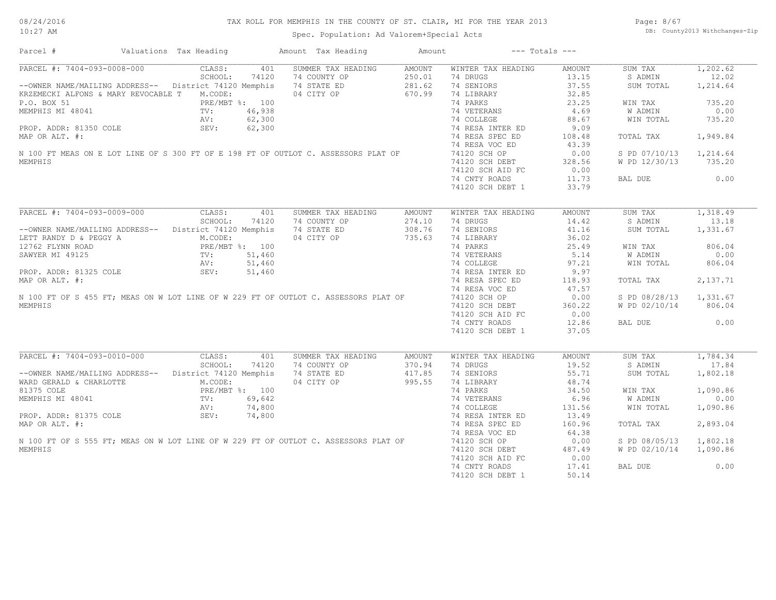#### TAX ROLL FOR MEMPHIS IN THE COUNTY OF ST. CLAIR, MI FOR THE YEAR 2013

Spec. Population: Ad Valorem+Special Acts

Page: 8/67 DB: County2013 Withchanges-Zip

| Parcel #                                                                            | Valuations Tax Heading  | Amount Tax Heading | Amount        | $---$ Totals $---$ |               |               |          |
|-------------------------------------------------------------------------------------|-------------------------|--------------------|---------------|--------------------|---------------|---------------|----------|
| PARCEL #: 7404-093-0008-000                                                         | CLASS:<br>401           | SUMMER TAX HEADING | <b>AMOUNT</b> | WINTER TAX HEADING | <b>AMOUNT</b> | SUM TAX       | 1,202.62 |
|                                                                                     | SCHOOL:<br>74120        | 74 COUNTY OP       | 250.01        | 74 DRUGS           | 13.15         | S ADMIN       | 12.02    |
| --OWNER NAME/MAILING ADDRESS-- District 74120 Memphis                               |                         | 74 STATE ED        | 281.62        | 74 SENIORS         | 37.55         | SUM TOTAL     | 1,214.64 |
| KRZEMECKI ALFONS & MARY REVOCABLE T                                                 | M.CODE:                 | 04 CITY OP         | 670.99        | 74 LIBRARY         | 32.85         |               |          |
| P.O. BOX 51                                                                         | PRE/MBT %: 100          |                    |               | 74 PARKS           | 23.25         | WIN TAX       | 735.20   |
| MEMPHIS MI 48041                                                                    | 46,938<br>$\text{TV}$ : |                    |               | 74 VETERANS        | 4.69          | W ADMIN       | 0.00     |
|                                                                                     | 62,300<br>AV:           |                    |               | 74 COLLEGE         | 88.67         | WIN TOTAL     | 735.20   |
| PROP. ADDR: 81350 COLE                                                              | SEV:<br>62,300          |                    |               | 74 RESA INTER ED   | 9.09          |               |          |
| MAP OR ALT. #:                                                                      |                         |                    |               | 74 RESA SPEC ED    | 108.48        | TOTAL TAX     | 1,949.84 |
|                                                                                     |                         |                    |               | 74 RESA VOC ED     | 43.39         |               |          |
| N 100 FT MEAS ON E LOT LINE OF S 300 FT OF E 198 FT OF OUTLOT C. ASSESSORS PLAT OF  |                         |                    |               | 74120 SCH OP       | 0.00          | S PD 07/10/13 | 1,214.64 |
|                                                                                     |                         |                    |               |                    |               |               |          |
| MEMPHIS                                                                             |                         |                    |               | 74120 SCH DEBT     | 328.56        | W PD 12/30/13 | 735.20   |
|                                                                                     |                         |                    |               | 74120 SCH AID FC   | 0.00          |               |          |
|                                                                                     |                         |                    |               | 74 CNTY ROADS      | 11.73         | BAL DUE       | 0.00     |
|                                                                                     |                         |                    |               | 74120 SCH DEBT 1   | 33.79         |               |          |
|                                                                                     |                         |                    |               |                    |               |               |          |
| PARCEL #: 7404-093-0009-000                                                         | CLASS:<br>401           | SUMMER TAX HEADING | <b>AMOUNT</b> | WINTER TAX HEADING | <b>AMOUNT</b> | SUM TAX       | 1,318.49 |
|                                                                                     | SCHOOL:<br>74120        | 74 COUNTY OP       | 274.10        | 74 DRUGS           | 14.42         | S ADMIN       | 13.18    |
| --OWNER NAME/MAILING ADDRESS-- District 74120 Memphis                               |                         | 74 STATE ED        | 308.76        | 74 SENIORS         | 41.16         | SUM TOTAL     | 1,331.67 |
| LETT RANDY D & PEGGY A                                                              | M.CODE:                 | 04 CITY OP         | 735.63        | 74 LIBRARY         | 36.02         |               |          |
| 12762 FLYNN ROAD                                                                    | PRE/MBT %: 100          |                    |               | 74 PARKS           | 25.49         | WIN TAX       | 806.04   |
| SAWYER MI 49125                                                                     | 51,460<br>$\text{TV}$ : |                    |               | 74 VETERANS        | 5.14          | W ADMIN       | 0.00     |
|                                                                                     | 51,460<br>AV:           |                    |               | 74 COLLEGE         | 97.21         | WIN TOTAL     | 806.04   |
| PROP. ADDR: 81325 COLE                                                              | SEV:<br>51,460          |                    |               | 74 RESA INTER ED   | 9.97          |               |          |
| MAP OR ALT. #:                                                                      |                         |                    |               | 74 RESA SPEC ED    | 118.93        | TOTAL TAX     | 2,137.71 |
|                                                                                     |                         |                    |               | 74 RESA VOC ED     | 47.57         |               |          |
| N 100 FT OF S 455 FT; MEAS ON W LOT LINE OF W 229 FT OF OUTLOT C. ASSESSORS PLAT OF |                         |                    |               | 74120 SCH OP       | 0.00          | S PD 08/28/13 | 1,331.67 |
| MEMPHIS                                                                             |                         |                    |               | 74120 SCH DEBT     | 360.22        | W PD 02/10/14 | 806.04   |
|                                                                                     |                         |                    |               | 74120 SCH AID FC   | 0.00          |               |          |
|                                                                                     |                         |                    |               | 74 CNTY ROADS      | 12.86         | BAL DUE       | 0.00     |
|                                                                                     |                         |                    |               | 74120 SCH DEBT 1   | 37.05         |               |          |
|                                                                                     |                         |                    |               |                    |               |               |          |
| PARCEL #: 7404-093-0010-000                                                         | CLASS:<br>401           | SUMMER TAX HEADING | AMOUNT        | WINTER TAX HEADING | <b>AMOUNT</b> | SUM TAX       | 1,784.34 |
|                                                                                     | SCHOOL:<br>74120        | 74 COUNTY OP       | 370.94        | 74 DRUGS           | 19.52         | S ADMIN       | 17.84    |
| --OWNER NAME/MAILING ADDRESS-- District 74120 Memphis                               |                         | 74 STATE ED        | 417.85        | 74 SENIORS         | 55.71         | SUM TOTAL     | 1,802.18 |
| WARD GERALD & CHARLOTTE                                                             | M.CODE:                 | 04 CITY OP         | 995.55        | 74 LIBRARY         | 48.74         |               |          |
| 81375 COLE                                                                          | PRE/MBT %: 100          |                    |               | 74 PARKS           | 34.50         | WIN TAX       | 1,090.86 |
| MEMPHIS MI 48041                                                                    | 69,642<br>TV:           |                    |               | 74 VETERANS        | 6.96          | W ADMIN       | 0.00     |
|                                                                                     |                         |                    |               |                    |               |               |          |
|                                                                                     | AV:<br>74,800           |                    |               | 74 COLLEGE         | 131.56        | WIN TOTAL     | 1,090.86 |
| PROP. ADDR: 81375 COLE                                                              | 74,800<br>SEV:          |                    |               | 74 RESA INTER ED   | 13.49         |               |          |
| MAP OR ALT. #:                                                                      |                         |                    |               | 74 RESA SPEC ED    | 160.96        | TOTAL TAX     | 2,893.04 |
|                                                                                     |                         |                    |               | 74 RESA VOC ED     | 64.38         |               |          |
| N 100 FT OF S 555 FT; MEAS ON W LOT LINE OF W 229 FT OF OUTLOT C. ASSESSORS PLAT OF |                         |                    |               | 74120 SCH OP       | 0.00          | S PD 08/05/13 | 1,802.18 |
| MEMPHIS                                                                             |                         |                    |               | 74120 SCH DEBT     | 487.49        | W PD 02/10/14 | 1,090.86 |
|                                                                                     |                         |                    |               | 74120 SCH AID FC   | 0.00          |               |          |
|                                                                                     |                         |                    |               | 74 CNTY ROADS      | 17.41         | BAL DUE       | 0.00     |
|                                                                                     |                         |                    |               | 74120 SCH DEBT 1   | 50.14         |               |          |
|                                                                                     |                         |                    |               |                    |               |               |          |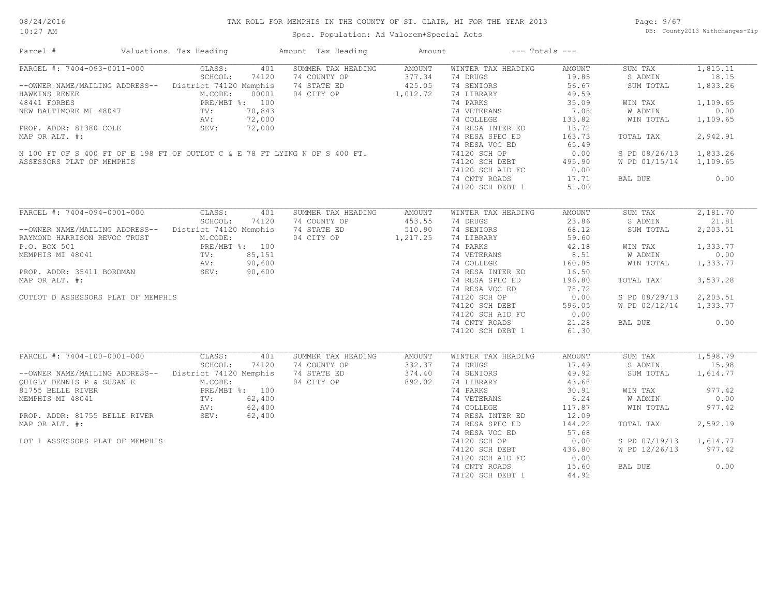#### TAX ROLL FOR MEMPHIS IN THE COUNTY OF ST. CLAIR, MI FOR THE YEAR 2013

10:27 AM

### Spec. Population: Ad Valorem+Special Acts

Page: 9/67 DB: County2013 Withchanges-Zip

| Parcel #                                                                    | Valuations Tax Heading | Amount Tax Heading | Amount   |                    | $---$ Totals $---$ |               |          |
|-----------------------------------------------------------------------------|------------------------|--------------------|----------|--------------------|--------------------|---------------|----------|
| PARCEL #: 7404-093-0011-000                                                 | CLASS:<br>401          | SUMMER TAX HEADING | AMOUNT   | WINTER TAX HEADING | <b>AMOUNT</b>      | SUM TAX       | 1,815.11 |
|                                                                             | 74120<br>SCHOOL:       | 74 COUNTY OP       | 377.34   | 74 DRUGS           | 19.85              | S ADMIN       | 18.15    |
| --OWNER NAME/MAILING ADDRESS-- District 74120 Memphis                       |                        | 74 STATE ED        | 425.05   | 74 SENIORS         | 56.67              | SUM TOTAL     | 1,833.26 |
| HAWKINS RENEE                                                               | M.CODE:<br>00001       | 04 CITY OP         | 1,012.72 | 74 LIBRARY         | 49.59              |               |          |
| 48441 FORBES                                                                | PRE/MBT %: 100         |                    |          | 74 PARKS           | 35.09              | WIN TAX       | 1,109.65 |
| NEW BALTIMORE MI 48047                                                      | 70,843<br>TV:          |                    |          | 74 VETERANS        | 7.08               | W ADMIN       | 0.00     |
|                                                                             | 72,000<br>AV:          |                    |          | 74 COLLEGE         | 133.82             | WIN TOTAL     | 1,109.65 |
| PROP. ADDR: 81380 COLE                                                      | 72,000<br>SEV:         |                    |          | 74 RESA INTER ED   | 13.72              |               |          |
| MAP OR ALT. #:                                                              |                        |                    |          | 74 RESA SPEC ED    | 163.73             | TOTAL TAX     | 2,942.91 |
|                                                                             |                        |                    |          | 74 RESA VOC ED     | 65.49              |               |          |
| N 100 FT OF S 400 FT OF E 198 FT OF OUTLOT C & E 78 FT LYING N OF S 400 FT. |                        |                    |          | 74120 SCH OP       | 0.00               | S PD 08/26/13 | 1,833.26 |
| ASSESSORS PLAT OF MEMPHIS                                                   |                        |                    |          | 74120 SCH DEBT     | 495.90             | W PD 01/15/14 | 1,109.65 |
|                                                                             |                        |                    |          |                    |                    |               |          |
|                                                                             |                        |                    |          | 74120 SCH AID FC   | 0.00               |               |          |
|                                                                             |                        |                    |          | 74 CNTY ROADS      | 17.71              | BAL DUE       | 0.00     |
|                                                                             |                        |                    |          | 74120 SCH DEBT 1   | 51.00              |               |          |
|                                                                             |                        |                    |          |                    |                    |               |          |
| PARCEL #: 7404-094-0001-000                                                 | CLASS:<br>401          | SUMMER TAX HEADING | AMOUNT   | WINTER TAX HEADING | AMOUNT             | SUM TAX       | 2,181.70 |
|                                                                             | SCHOOL:<br>74120       | 74 COUNTY OP       | 453.55   | 74 DRUGS           | 23.86              | S ADMIN       | 21.81    |
| --OWNER NAME/MAILING ADDRESS--                                              | District 74120 Memphis | 74 STATE ED        | 510.90   | 74 SENIORS         | 68.12              | SUM TOTAL     | 2,203.51 |
| RAYMOND HARRISON REVOC TRUST                                                | M.CODE:                | 04 CITY OP         | 1,217.25 | 74 LIBRARY         | 59.60              |               |          |
| P.O. BOX 501                                                                | PRE/MBT %: 100         |                    |          | 74 PARKS           | 42.18              | WIN TAX       | 1,333.77 |
| MEMPHIS MI 48041                                                            | TV:<br>85,151          |                    |          | 74 VETERANS        | 8.51               | W ADMIN       | 0.00     |
|                                                                             | 90,600<br>AV:          |                    |          | 74 COLLEGE         | 160.85             | WIN TOTAL     | 1,333.77 |
| PROP. ADDR: 35411 BORDMAN                                                   | SEV:<br>90,600         |                    |          | 74 RESA INTER ED   | 16.50              |               |          |
| MAP OR ALT. #:                                                              |                        |                    |          | 74 RESA SPEC ED    | 196.80             | TOTAL TAX     | 3,537.28 |
|                                                                             |                        |                    |          | 74 RESA VOC ED     | 78.72              |               |          |
|                                                                             |                        |                    |          |                    |                    |               |          |
| OUTLOT D ASSESSORS PLAT OF MEMPHIS                                          |                        |                    |          | 74120 SCH OP       | 0.00               | S PD 08/29/13 | 2,203.51 |
|                                                                             |                        |                    |          | 74120 SCH DEBT     | 596.05             | W PD 02/12/14 | 1,333.77 |
|                                                                             |                        |                    |          | 74120 SCH AID FC   | 0.00               |               |          |
|                                                                             |                        |                    |          | 74 CNTY ROADS      | 21.28              | BAL DUE       | 0.00     |
|                                                                             |                        |                    |          | 74120 SCH DEBT 1   | 61.30              |               |          |
|                                                                             |                        |                    |          |                    |                    |               |          |
| PARCEL #: 7404-100-0001-000                                                 | CLASS:<br>401          | SUMMER TAX HEADING | AMOUNT   | WINTER TAX HEADING | AMOUNT             | SUM TAX       | 1,598.79 |
|                                                                             | SCHOOL:<br>74120       | 74 COUNTY OP       | 332.37   | 74 DRUGS           | 17.49              | S ADMIN       | 15.98    |
| --OWNER NAME/MAILING ADDRESS-- District 74120 Memphis                       |                        | 74 STATE ED        | 374.40   | 74 SENIORS         | 49.92              | SUM TOTAL     | 1,614.77 |
| QUIGLY DENNIS P & SUSAN E                                                   | M.CODE:                | 04 CITY OP         | 892.02   | 74 LIBRARY         | 43.68              |               |          |
| 81755 BELLE RIVER                                                           | PRE/MBT %: 100         |                    |          | 74 PARKS           | 30.91              | WIN TAX       | 977.42   |
| MEMPHIS MI 48041                                                            | 62,400<br>TV:          |                    |          | 74 VETERANS        | 6.24               | W ADMIN       | 0.00     |
|                                                                             | 62,400<br>AV:          |                    |          | 74 COLLEGE         | 117.87             | WIN TOTAL     | 977.42   |
| PROP. ADDR: 81755 BELLE RIVER                                               | AV:<br>SEV:<br>62,400  |                    |          | 74 RESA INTER ED   | 12.09              |               |          |
| MAP OR ALT. #:                                                              |                        |                    |          | 74 RESA SPEC ED    | 144.22             | TOTAL TAX     | 2,592.19 |
|                                                                             |                        |                    |          | 74 RESA VOC ED     | 57.68              |               |          |
| LOT 1 ASSESSORS PLAT OF MEMPHIS                                             |                        |                    |          | 74120 SCH OP       | 0.00               | S PD 07/19/13 | 1,614.77 |
|                                                                             |                        |                    |          |                    |                    |               |          |
|                                                                             |                        |                    |          | 74120 SCH DEBT     | 436.80             | W PD 12/26/13 | 977.42   |
|                                                                             |                        |                    |          | 74120 SCH AID FC   | 0.00               |               |          |
|                                                                             |                        |                    |          | 74 CNTY ROADS      | 15.60              | BAL DUE       | 0.00     |
|                                                                             |                        |                    |          | 74120 SCH DEBT 1   | 44.92              |               |          |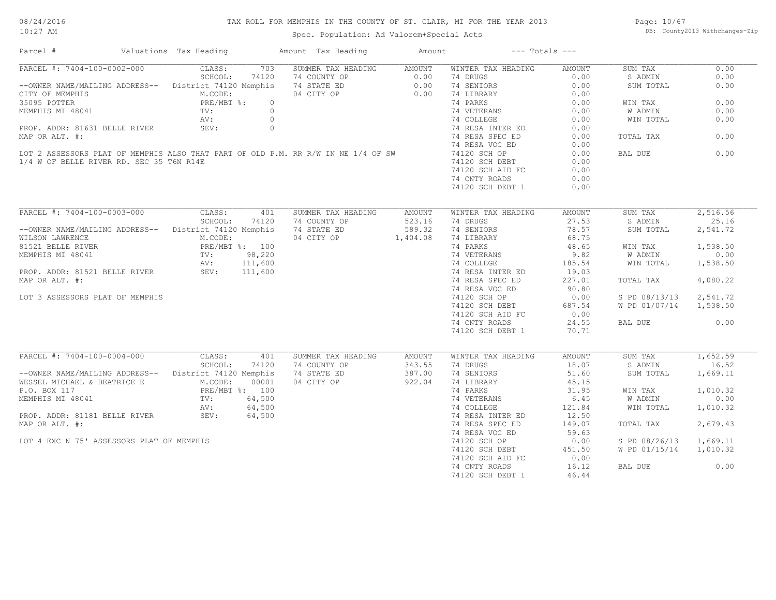#### 08/24/2016 10:27 AM

#### TAX ROLL FOR MEMPHIS IN THE COUNTY OF ST. CLAIR, MI FOR THE YEAR 2013

Spec. Population: Ad Valorem+Special Acts

Page: 10/67 DB: County2013 Withchanges-Zip

| CLASS:<br>703<br>SUMMER TAX HEADING<br>WINTER TAX HEADING<br>0.00<br>AMOUNT<br>AMOUNT<br>SUM TAX<br>SCHOOL:<br>74120<br>74 COUNTY OP<br>0.00<br>74 DRUGS<br>0.00<br>S ADMIN<br>0.00<br>--OWNER NAME/MAILING ADDRESS-- District 74120 Memphis<br>74 STATE ED<br>74 SENIORS<br>0.00<br>0.00<br>0.00<br>SUM TOTAL<br>04 CITY OP<br>0.00<br>74 LIBRARY<br>M.CODE:<br>0.00<br>0.00<br>PRE/MBT %:<br>74 PARKS<br>0.00<br>$\circ$<br>WIN TAX<br>$\circ$<br>74 VETERANS<br>0.00<br>W ADMIN<br>0.00<br>TV:<br>AV:<br>$\circ$<br>74 COLLEGE<br>0.00<br>WIN TOTAL<br>0.00<br>PROP. ADDR: 81631 BELLE RIVER<br>SEV:<br>$\circ$<br>0.00<br>74 RESA INTER ED<br>MAP OR ALT. #:<br>74 RESA SPEC ED<br>0.00<br>TOTAL TAX<br>0.00<br>74 RESA VOC ED<br>0.00<br>LOT 2 ASSESSORS PLAT OF MEMPHIS ALSO THAT PART OF OLD P.M. RR R/W IN NE 1/4 OF SW<br>0.00<br>74120 SCH OP<br>BAL DUE<br>0.00<br>1/4 W OF BELLE RIVER RD. SEC 35 T6N R14E<br>0.00<br>74120 SCH DEBT<br>74120 SCH AID FC<br>0.00<br>74 CNTY ROADS<br>0.00<br>74120 SCH DEBT 1<br>0.00<br>PARCEL #: 7404-100-0003-000<br>2,516.56<br>CLASS:<br>401<br>SUMMER TAX HEADING<br><b>AMOUNT</b><br>WINTER TAX HEADING<br>AMOUNT<br>SUM TAX<br>25.16<br>SCHOOL:<br>74120<br>523.16<br>74 DRUGS<br>27.53<br>S ADMIN<br>74 COUNTY OP<br>--OWNER NAME/MAILING ADDRESS-- District 74120 Memphis<br>74 STATE ED<br>589.32<br>74 SENIORS<br>78.57<br>2,541.72<br>SUM TOTAL<br>68.75<br>M.CODE:<br>04 CITY OP<br>1,404.08<br>74 LIBRARY<br>WILSON LAWRENCE<br>PRE/MBT %: 100<br>74 PARKS<br>48.65<br>1,538.50<br>WIN TAX<br>0.00<br>TV: 98,220<br>74 VETERANS<br>9.82<br>W ADMIN<br>AV: 111,600<br>74 COLLEGE<br>185.54<br>WIN TOTAL<br>1,538.50<br>SEV: 111,600<br>74 RESA INTER ED<br>19.03<br>227.01<br>4,080.22<br>74 RESA SPEC ED<br>TOTAL TAX<br>74 RESA VOC ED<br>90.80<br>2,541.72<br>0.00<br>S PD 08/13/13<br>LOT 3 ASSESSORS PLAT OF MEMPHIS<br>74120 SCH OP<br>74120 SCH DEBT<br>W PD 01/07/14<br>687.54<br>1,538.50<br>74120 SCH AID FC<br>0.00<br>74 CNTY ROADS<br>24.55<br>0.00<br>BAL DUE<br>74120 SCH DEBT 1<br>70.71<br>PARCEL #: 7404-100-0004-000<br>CLASS:<br>401<br>1,652.59<br>SUMMER TAX HEADING<br>WINTER TAX HEADING<br><b>AMOUNT</b><br>SUM TAX<br>AMOUNT<br>SCHOOL:<br>74120<br>343.55<br>74 DRUGS<br>18.07<br>S ADMIN<br>16.52<br>74 COUNTY OP<br>387.00<br>-- OWNER NAME/MAILING ADDRESS-- District 74120 Memphis<br>74 STATE ED<br>74 SENIORS<br>51.60<br>SUM TOTAL<br>1,669.11<br>M.CODE:<br>04 CITY OP<br>922.04<br>WESSEL MICHAEL & BEATRICE E<br>00001<br>74 LIBRARY<br>45.15<br>1,010.32<br>P.O. BOX 117<br>PRE/MBT %: 100<br>74 PARKS<br>31.95<br>WIN TAX<br>64,500<br>6.45<br>W ADMIN<br>0.00<br>MEMPHIS MI 48041<br>$\text{TV}$ :<br>74 VETERANS<br>64,500<br>121.84<br>1,010.32<br>AV:<br>74 COLLEGE<br>WIN TOTAL<br>SEV:<br>PROP. ADDR: 81181 BELLE RIVER<br>64,500<br>12.50<br>74 RESA INTER ED<br>2,679.43<br>MAP OR ALT. #:<br>74 RESA SPEC ED<br>149.07<br>TOTAL TAX<br>74 RESA VOC ED<br>59.63<br>LOT 4 EXC N 75' ASSESSORS PLAT OF MEMPHIS<br>0.00<br>1,669.11<br>74120 SCH OP<br>S PD 08/26/13<br>74120 SCH DEBT<br>451.50<br>W PD 01/15/14<br>1,010.32<br>0.00<br>74120 SCH AID FC<br>74 CNTY ROADS<br>16.12<br>BAL DUE<br>0.00<br>74120 SCH DEBT 1<br>46.44 | Parcel #                      | Valuations Tax Heading | Amount Tax Heading | Amount | $---$ Totals $---$ |  |  |
|-------------------------------------------------------------------------------------------------------------------------------------------------------------------------------------------------------------------------------------------------------------------------------------------------------------------------------------------------------------------------------------------------------------------------------------------------------------------------------------------------------------------------------------------------------------------------------------------------------------------------------------------------------------------------------------------------------------------------------------------------------------------------------------------------------------------------------------------------------------------------------------------------------------------------------------------------------------------------------------------------------------------------------------------------------------------------------------------------------------------------------------------------------------------------------------------------------------------------------------------------------------------------------------------------------------------------------------------------------------------------------------------------------------------------------------------------------------------------------------------------------------------------------------------------------------------------------------------------------------------------------------------------------------------------------------------------------------------------------------------------------------------------------------------------------------------------------------------------------------------------------------------------------------------------------------------------------------------------------------------------------------------------------------------------------------------------------------------------------------------------------------------------------------------------------------------------------------------------------------------------------------------------------------------------------------------------------------------------------------------------------------------------------------------------------------------------------------------------------------------------------------------------------------------------------------------------------------------------------------------------------------------------------------------------------------------------------------------------------------------------------------------------------------------------------------------------------------------------------------------------------------------------------------------------------------------------------------------------------------------------------------------------------------------------------------------------------------------------------------------------------------------------------------------------------------------------------------------------------------------|-------------------------------|------------------------|--------------------|--------|--------------------|--|--|
|                                                                                                                                                                                                                                                                                                                                                                                                                                                                                                                                                                                                                                                                                                                                                                                                                                                                                                                                                                                                                                                                                                                                                                                                                                                                                                                                                                                                                                                                                                                                                                                                                                                                                                                                                                                                                                                                                                                                                                                                                                                                                                                                                                                                                                                                                                                                                                                                                                                                                                                                                                                                                                                                                                                                                                                                                                                                                                                                                                                                                                                                                                                                                                                                                                           | PARCEL #: 7404-100-0002-000   |                        |                    |        |                    |  |  |
|                                                                                                                                                                                                                                                                                                                                                                                                                                                                                                                                                                                                                                                                                                                                                                                                                                                                                                                                                                                                                                                                                                                                                                                                                                                                                                                                                                                                                                                                                                                                                                                                                                                                                                                                                                                                                                                                                                                                                                                                                                                                                                                                                                                                                                                                                                                                                                                                                                                                                                                                                                                                                                                                                                                                                                                                                                                                                                                                                                                                                                                                                                                                                                                                                                           |                               |                        |                    |        |                    |  |  |
|                                                                                                                                                                                                                                                                                                                                                                                                                                                                                                                                                                                                                                                                                                                                                                                                                                                                                                                                                                                                                                                                                                                                                                                                                                                                                                                                                                                                                                                                                                                                                                                                                                                                                                                                                                                                                                                                                                                                                                                                                                                                                                                                                                                                                                                                                                                                                                                                                                                                                                                                                                                                                                                                                                                                                                                                                                                                                                                                                                                                                                                                                                                                                                                                                                           |                               |                        |                    |        |                    |  |  |
|                                                                                                                                                                                                                                                                                                                                                                                                                                                                                                                                                                                                                                                                                                                                                                                                                                                                                                                                                                                                                                                                                                                                                                                                                                                                                                                                                                                                                                                                                                                                                                                                                                                                                                                                                                                                                                                                                                                                                                                                                                                                                                                                                                                                                                                                                                                                                                                                                                                                                                                                                                                                                                                                                                                                                                                                                                                                                                                                                                                                                                                                                                                                                                                                                                           | CITY OF MEMPHIS               |                        |                    |        |                    |  |  |
|                                                                                                                                                                                                                                                                                                                                                                                                                                                                                                                                                                                                                                                                                                                                                                                                                                                                                                                                                                                                                                                                                                                                                                                                                                                                                                                                                                                                                                                                                                                                                                                                                                                                                                                                                                                                                                                                                                                                                                                                                                                                                                                                                                                                                                                                                                                                                                                                                                                                                                                                                                                                                                                                                                                                                                                                                                                                                                                                                                                                                                                                                                                                                                                                                                           | 35095 POTTER                  |                        |                    |        |                    |  |  |
|                                                                                                                                                                                                                                                                                                                                                                                                                                                                                                                                                                                                                                                                                                                                                                                                                                                                                                                                                                                                                                                                                                                                                                                                                                                                                                                                                                                                                                                                                                                                                                                                                                                                                                                                                                                                                                                                                                                                                                                                                                                                                                                                                                                                                                                                                                                                                                                                                                                                                                                                                                                                                                                                                                                                                                                                                                                                                                                                                                                                                                                                                                                                                                                                                                           | MEMPHIS MI 48041              |                        |                    |        |                    |  |  |
|                                                                                                                                                                                                                                                                                                                                                                                                                                                                                                                                                                                                                                                                                                                                                                                                                                                                                                                                                                                                                                                                                                                                                                                                                                                                                                                                                                                                                                                                                                                                                                                                                                                                                                                                                                                                                                                                                                                                                                                                                                                                                                                                                                                                                                                                                                                                                                                                                                                                                                                                                                                                                                                                                                                                                                                                                                                                                                                                                                                                                                                                                                                                                                                                                                           |                               |                        |                    |        |                    |  |  |
|                                                                                                                                                                                                                                                                                                                                                                                                                                                                                                                                                                                                                                                                                                                                                                                                                                                                                                                                                                                                                                                                                                                                                                                                                                                                                                                                                                                                                                                                                                                                                                                                                                                                                                                                                                                                                                                                                                                                                                                                                                                                                                                                                                                                                                                                                                                                                                                                                                                                                                                                                                                                                                                                                                                                                                                                                                                                                                                                                                                                                                                                                                                                                                                                                                           |                               |                        |                    |        |                    |  |  |
|                                                                                                                                                                                                                                                                                                                                                                                                                                                                                                                                                                                                                                                                                                                                                                                                                                                                                                                                                                                                                                                                                                                                                                                                                                                                                                                                                                                                                                                                                                                                                                                                                                                                                                                                                                                                                                                                                                                                                                                                                                                                                                                                                                                                                                                                                                                                                                                                                                                                                                                                                                                                                                                                                                                                                                                                                                                                                                                                                                                                                                                                                                                                                                                                                                           |                               |                        |                    |        |                    |  |  |
|                                                                                                                                                                                                                                                                                                                                                                                                                                                                                                                                                                                                                                                                                                                                                                                                                                                                                                                                                                                                                                                                                                                                                                                                                                                                                                                                                                                                                                                                                                                                                                                                                                                                                                                                                                                                                                                                                                                                                                                                                                                                                                                                                                                                                                                                                                                                                                                                                                                                                                                                                                                                                                                                                                                                                                                                                                                                                                                                                                                                                                                                                                                                                                                                                                           |                               |                        |                    |        |                    |  |  |
|                                                                                                                                                                                                                                                                                                                                                                                                                                                                                                                                                                                                                                                                                                                                                                                                                                                                                                                                                                                                                                                                                                                                                                                                                                                                                                                                                                                                                                                                                                                                                                                                                                                                                                                                                                                                                                                                                                                                                                                                                                                                                                                                                                                                                                                                                                                                                                                                                                                                                                                                                                                                                                                                                                                                                                                                                                                                                                                                                                                                                                                                                                                                                                                                                                           |                               |                        |                    |        |                    |  |  |
|                                                                                                                                                                                                                                                                                                                                                                                                                                                                                                                                                                                                                                                                                                                                                                                                                                                                                                                                                                                                                                                                                                                                                                                                                                                                                                                                                                                                                                                                                                                                                                                                                                                                                                                                                                                                                                                                                                                                                                                                                                                                                                                                                                                                                                                                                                                                                                                                                                                                                                                                                                                                                                                                                                                                                                                                                                                                                                                                                                                                                                                                                                                                                                                                                                           |                               |                        |                    |        |                    |  |  |
|                                                                                                                                                                                                                                                                                                                                                                                                                                                                                                                                                                                                                                                                                                                                                                                                                                                                                                                                                                                                                                                                                                                                                                                                                                                                                                                                                                                                                                                                                                                                                                                                                                                                                                                                                                                                                                                                                                                                                                                                                                                                                                                                                                                                                                                                                                                                                                                                                                                                                                                                                                                                                                                                                                                                                                                                                                                                                                                                                                                                                                                                                                                                                                                                                                           |                               |                        |                    |        |                    |  |  |
|                                                                                                                                                                                                                                                                                                                                                                                                                                                                                                                                                                                                                                                                                                                                                                                                                                                                                                                                                                                                                                                                                                                                                                                                                                                                                                                                                                                                                                                                                                                                                                                                                                                                                                                                                                                                                                                                                                                                                                                                                                                                                                                                                                                                                                                                                                                                                                                                                                                                                                                                                                                                                                                                                                                                                                                                                                                                                                                                                                                                                                                                                                                                                                                                                                           |                               |                        |                    |        |                    |  |  |
|                                                                                                                                                                                                                                                                                                                                                                                                                                                                                                                                                                                                                                                                                                                                                                                                                                                                                                                                                                                                                                                                                                                                                                                                                                                                                                                                                                                                                                                                                                                                                                                                                                                                                                                                                                                                                                                                                                                                                                                                                                                                                                                                                                                                                                                                                                                                                                                                                                                                                                                                                                                                                                                                                                                                                                                                                                                                                                                                                                                                                                                                                                                                                                                                                                           |                               |                        |                    |        |                    |  |  |
|                                                                                                                                                                                                                                                                                                                                                                                                                                                                                                                                                                                                                                                                                                                                                                                                                                                                                                                                                                                                                                                                                                                                                                                                                                                                                                                                                                                                                                                                                                                                                                                                                                                                                                                                                                                                                                                                                                                                                                                                                                                                                                                                                                                                                                                                                                                                                                                                                                                                                                                                                                                                                                                                                                                                                                                                                                                                                                                                                                                                                                                                                                                                                                                                                                           |                               |                        |                    |        |                    |  |  |
|                                                                                                                                                                                                                                                                                                                                                                                                                                                                                                                                                                                                                                                                                                                                                                                                                                                                                                                                                                                                                                                                                                                                                                                                                                                                                                                                                                                                                                                                                                                                                                                                                                                                                                                                                                                                                                                                                                                                                                                                                                                                                                                                                                                                                                                                                                                                                                                                                                                                                                                                                                                                                                                                                                                                                                                                                                                                                                                                                                                                                                                                                                                                                                                                                                           |                               |                        |                    |        |                    |  |  |
|                                                                                                                                                                                                                                                                                                                                                                                                                                                                                                                                                                                                                                                                                                                                                                                                                                                                                                                                                                                                                                                                                                                                                                                                                                                                                                                                                                                                                                                                                                                                                                                                                                                                                                                                                                                                                                                                                                                                                                                                                                                                                                                                                                                                                                                                                                                                                                                                                                                                                                                                                                                                                                                                                                                                                                                                                                                                                                                                                                                                                                                                                                                                                                                                                                           |                               |                        |                    |        |                    |  |  |
|                                                                                                                                                                                                                                                                                                                                                                                                                                                                                                                                                                                                                                                                                                                                                                                                                                                                                                                                                                                                                                                                                                                                                                                                                                                                                                                                                                                                                                                                                                                                                                                                                                                                                                                                                                                                                                                                                                                                                                                                                                                                                                                                                                                                                                                                                                                                                                                                                                                                                                                                                                                                                                                                                                                                                                                                                                                                                                                                                                                                                                                                                                                                                                                                                                           |                               |                        |                    |        |                    |  |  |
|                                                                                                                                                                                                                                                                                                                                                                                                                                                                                                                                                                                                                                                                                                                                                                                                                                                                                                                                                                                                                                                                                                                                                                                                                                                                                                                                                                                                                                                                                                                                                                                                                                                                                                                                                                                                                                                                                                                                                                                                                                                                                                                                                                                                                                                                                                                                                                                                                                                                                                                                                                                                                                                                                                                                                                                                                                                                                                                                                                                                                                                                                                                                                                                                                                           |                               |                        |                    |        |                    |  |  |
|                                                                                                                                                                                                                                                                                                                                                                                                                                                                                                                                                                                                                                                                                                                                                                                                                                                                                                                                                                                                                                                                                                                                                                                                                                                                                                                                                                                                                                                                                                                                                                                                                                                                                                                                                                                                                                                                                                                                                                                                                                                                                                                                                                                                                                                                                                                                                                                                                                                                                                                                                                                                                                                                                                                                                                                                                                                                                                                                                                                                                                                                                                                                                                                                                                           |                               |                        |                    |        |                    |  |  |
|                                                                                                                                                                                                                                                                                                                                                                                                                                                                                                                                                                                                                                                                                                                                                                                                                                                                                                                                                                                                                                                                                                                                                                                                                                                                                                                                                                                                                                                                                                                                                                                                                                                                                                                                                                                                                                                                                                                                                                                                                                                                                                                                                                                                                                                                                                                                                                                                                                                                                                                                                                                                                                                                                                                                                                                                                                                                                                                                                                                                                                                                                                                                                                                                                                           | 81521 BELLE RIVER             |                        |                    |        |                    |  |  |
|                                                                                                                                                                                                                                                                                                                                                                                                                                                                                                                                                                                                                                                                                                                                                                                                                                                                                                                                                                                                                                                                                                                                                                                                                                                                                                                                                                                                                                                                                                                                                                                                                                                                                                                                                                                                                                                                                                                                                                                                                                                                                                                                                                                                                                                                                                                                                                                                                                                                                                                                                                                                                                                                                                                                                                                                                                                                                                                                                                                                                                                                                                                                                                                                                                           | MEMPHIS MI 48041              |                        |                    |        |                    |  |  |
|                                                                                                                                                                                                                                                                                                                                                                                                                                                                                                                                                                                                                                                                                                                                                                                                                                                                                                                                                                                                                                                                                                                                                                                                                                                                                                                                                                                                                                                                                                                                                                                                                                                                                                                                                                                                                                                                                                                                                                                                                                                                                                                                                                                                                                                                                                                                                                                                                                                                                                                                                                                                                                                                                                                                                                                                                                                                                                                                                                                                                                                                                                                                                                                                                                           |                               |                        |                    |        |                    |  |  |
|                                                                                                                                                                                                                                                                                                                                                                                                                                                                                                                                                                                                                                                                                                                                                                                                                                                                                                                                                                                                                                                                                                                                                                                                                                                                                                                                                                                                                                                                                                                                                                                                                                                                                                                                                                                                                                                                                                                                                                                                                                                                                                                                                                                                                                                                                                                                                                                                                                                                                                                                                                                                                                                                                                                                                                                                                                                                                                                                                                                                                                                                                                                                                                                                                                           | PROP. ADDR: 81521 BELLE RIVER |                        |                    |        |                    |  |  |
|                                                                                                                                                                                                                                                                                                                                                                                                                                                                                                                                                                                                                                                                                                                                                                                                                                                                                                                                                                                                                                                                                                                                                                                                                                                                                                                                                                                                                                                                                                                                                                                                                                                                                                                                                                                                                                                                                                                                                                                                                                                                                                                                                                                                                                                                                                                                                                                                                                                                                                                                                                                                                                                                                                                                                                                                                                                                                                                                                                                                                                                                                                                                                                                                                                           | MAP OR ALT. #:                |                        |                    |        |                    |  |  |
|                                                                                                                                                                                                                                                                                                                                                                                                                                                                                                                                                                                                                                                                                                                                                                                                                                                                                                                                                                                                                                                                                                                                                                                                                                                                                                                                                                                                                                                                                                                                                                                                                                                                                                                                                                                                                                                                                                                                                                                                                                                                                                                                                                                                                                                                                                                                                                                                                                                                                                                                                                                                                                                                                                                                                                                                                                                                                                                                                                                                                                                                                                                                                                                                                                           |                               |                        |                    |        |                    |  |  |
|                                                                                                                                                                                                                                                                                                                                                                                                                                                                                                                                                                                                                                                                                                                                                                                                                                                                                                                                                                                                                                                                                                                                                                                                                                                                                                                                                                                                                                                                                                                                                                                                                                                                                                                                                                                                                                                                                                                                                                                                                                                                                                                                                                                                                                                                                                                                                                                                                                                                                                                                                                                                                                                                                                                                                                                                                                                                                                                                                                                                                                                                                                                                                                                                                                           |                               |                        |                    |        |                    |  |  |
|                                                                                                                                                                                                                                                                                                                                                                                                                                                                                                                                                                                                                                                                                                                                                                                                                                                                                                                                                                                                                                                                                                                                                                                                                                                                                                                                                                                                                                                                                                                                                                                                                                                                                                                                                                                                                                                                                                                                                                                                                                                                                                                                                                                                                                                                                                                                                                                                                                                                                                                                                                                                                                                                                                                                                                                                                                                                                                                                                                                                                                                                                                                                                                                                                                           |                               |                        |                    |        |                    |  |  |
|                                                                                                                                                                                                                                                                                                                                                                                                                                                                                                                                                                                                                                                                                                                                                                                                                                                                                                                                                                                                                                                                                                                                                                                                                                                                                                                                                                                                                                                                                                                                                                                                                                                                                                                                                                                                                                                                                                                                                                                                                                                                                                                                                                                                                                                                                                                                                                                                                                                                                                                                                                                                                                                                                                                                                                                                                                                                                                                                                                                                                                                                                                                                                                                                                                           |                               |                        |                    |        |                    |  |  |
|                                                                                                                                                                                                                                                                                                                                                                                                                                                                                                                                                                                                                                                                                                                                                                                                                                                                                                                                                                                                                                                                                                                                                                                                                                                                                                                                                                                                                                                                                                                                                                                                                                                                                                                                                                                                                                                                                                                                                                                                                                                                                                                                                                                                                                                                                                                                                                                                                                                                                                                                                                                                                                                                                                                                                                                                                                                                                                                                                                                                                                                                                                                                                                                                                                           |                               |                        |                    |        |                    |  |  |
|                                                                                                                                                                                                                                                                                                                                                                                                                                                                                                                                                                                                                                                                                                                                                                                                                                                                                                                                                                                                                                                                                                                                                                                                                                                                                                                                                                                                                                                                                                                                                                                                                                                                                                                                                                                                                                                                                                                                                                                                                                                                                                                                                                                                                                                                                                                                                                                                                                                                                                                                                                                                                                                                                                                                                                                                                                                                                                                                                                                                                                                                                                                                                                                                                                           |                               |                        |                    |        |                    |  |  |
|                                                                                                                                                                                                                                                                                                                                                                                                                                                                                                                                                                                                                                                                                                                                                                                                                                                                                                                                                                                                                                                                                                                                                                                                                                                                                                                                                                                                                                                                                                                                                                                                                                                                                                                                                                                                                                                                                                                                                                                                                                                                                                                                                                                                                                                                                                                                                                                                                                                                                                                                                                                                                                                                                                                                                                                                                                                                                                                                                                                                                                                                                                                                                                                                                                           |                               |                        |                    |        |                    |  |  |
|                                                                                                                                                                                                                                                                                                                                                                                                                                                                                                                                                                                                                                                                                                                                                                                                                                                                                                                                                                                                                                                                                                                                                                                                                                                                                                                                                                                                                                                                                                                                                                                                                                                                                                                                                                                                                                                                                                                                                                                                                                                                                                                                                                                                                                                                                                                                                                                                                                                                                                                                                                                                                                                                                                                                                                                                                                                                                                                                                                                                                                                                                                                                                                                                                                           |                               |                        |                    |        |                    |  |  |
|                                                                                                                                                                                                                                                                                                                                                                                                                                                                                                                                                                                                                                                                                                                                                                                                                                                                                                                                                                                                                                                                                                                                                                                                                                                                                                                                                                                                                                                                                                                                                                                                                                                                                                                                                                                                                                                                                                                                                                                                                                                                                                                                                                                                                                                                                                                                                                                                                                                                                                                                                                                                                                                                                                                                                                                                                                                                                                                                                                                                                                                                                                                                                                                                                                           |                               |                        |                    |        |                    |  |  |
|                                                                                                                                                                                                                                                                                                                                                                                                                                                                                                                                                                                                                                                                                                                                                                                                                                                                                                                                                                                                                                                                                                                                                                                                                                                                                                                                                                                                                                                                                                                                                                                                                                                                                                                                                                                                                                                                                                                                                                                                                                                                                                                                                                                                                                                                                                                                                                                                                                                                                                                                                                                                                                                                                                                                                                                                                                                                                                                                                                                                                                                                                                                                                                                                                                           |                               |                        |                    |        |                    |  |  |
|                                                                                                                                                                                                                                                                                                                                                                                                                                                                                                                                                                                                                                                                                                                                                                                                                                                                                                                                                                                                                                                                                                                                                                                                                                                                                                                                                                                                                                                                                                                                                                                                                                                                                                                                                                                                                                                                                                                                                                                                                                                                                                                                                                                                                                                                                                                                                                                                                                                                                                                                                                                                                                                                                                                                                                                                                                                                                                                                                                                                                                                                                                                                                                                                                                           |                               |                        |                    |        |                    |  |  |
|                                                                                                                                                                                                                                                                                                                                                                                                                                                                                                                                                                                                                                                                                                                                                                                                                                                                                                                                                                                                                                                                                                                                                                                                                                                                                                                                                                                                                                                                                                                                                                                                                                                                                                                                                                                                                                                                                                                                                                                                                                                                                                                                                                                                                                                                                                                                                                                                                                                                                                                                                                                                                                                                                                                                                                                                                                                                                                                                                                                                                                                                                                                                                                                                                                           |                               |                        |                    |        |                    |  |  |
|                                                                                                                                                                                                                                                                                                                                                                                                                                                                                                                                                                                                                                                                                                                                                                                                                                                                                                                                                                                                                                                                                                                                                                                                                                                                                                                                                                                                                                                                                                                                                                                                                                                                                                                                                                                                                                                                                                                                                                                                                                                                                                                                                                                                                                                                                                                                                                                                                                                                                                                                                                                                                                                                                                                                                                                                                                                                                                                                                                                                                                                                                                                                                                                                                                           |                               |                        |                    |        |                    |  |  |
|                                                                                                                                                                                                                                                                                                                                                                                                                                                                                                                                                                                                                                                                                                                                                                                                                                                                                                                                                                                                                                                                                                                                                                                                                                                                                                                                                                                                                                                                                                                                                                                                                                                                                                                                                                                                                                                                                                                                                                                                                                                                                                                                                                                                                                                                                                                                                                                                                                                                                                                                                                                                                                                                                                                                                                                                                                                                                                                                                                                                                                                                                                                                                                                                                                           |                               |                        |                    |        |                    |  |  |
|                                                                                                                                                                                                                                                                                                                                                                                                                                                                                                                                                                                                                                                                                                                                                                                                                                                                                                                                                                                                                                                                                                                                                                                                                                                                                                                                                                                                                                                                                                                                                                                                                                                                                                                                                                                                                                                                                                                                                                                                                                                                                                                                                                                                                                                                                                                                                                                                                                                                                                                                                                                                                                                                                                                                                                                                                                                                                                                                                                                                                                                                                                                                                                                                                                           |                               |                        |                    |        |                    |  |  |
|                                                                                                                                                                                                                                                                                                                                                                                                                                                                                                                                                                                                                                                                                                                                                                                                                                                                                                                                                                                                                                                                                                                                                                                                                                                                                                                                                                                                                                                                                                                                                                                                                                                                                                                                                                                                                                                                                                                                                                                                                                                                                                                                                                                                                                                                                                                                                                                                                                                                                                                                                                                                                                                                                                                                                                                                                                                                                                                                                                                                                                                                                                                                                                                                                                           |                               |                        |                    |        |                    |  |  |
|                                                                                                                                                                                                                                                                                                                                                                                                                                                                                                                                                                                                                                                                                                                                                                                                                                                                                                                                                                                                                                                                                                                                                                                                                                                                                                                                                                                                                                                                                                                                                                                                                                                                                                                                                                                                                                                                                                                                                                                                                                                                                                                                                                                                                                                                                                                                                                                                                                                                                                                                                                                                                                                                                                                                                                                                                                                                                                                                                                                                                                                                                                                                                                                                                                           |                               |                        |                    |        |                    |  |  |
|                                                                                                                                                                                                                                                                                                                                                                                                                                                                                                                                                                                                                                                                                                                                                                                                                                                                                                                                                                                                                                                                                                                                                                                                                                                                                                                                                                                                                                                                                                                                                                                                                                                                                                                                                                                                                                                                                                                                                                                                                                                                                                                                                                                                                                                                                                                                                                                                                                                                                                                                                                                                                                                                                                                                                                                                                                                                                                                                                                                                                                                                                                                                                                                                                                           |                               |                        |                    |        |                    |  |  |
|                                                                                                                                                                                                                                                                                                                                                                                                                                                                                                                                                                                                                                                                                                                                                                                                                                                                                                                                                                                                                                                                                                                                                                                                                                                                                                                                                                                                                                                                                                                                                                                                                                                                                                                                                                                                                                                                                                                                                                                                                                                                                                                                                                                                                                                                                                                                                                                                                                                                                                                                                                                                                                                                                                                                                                                                                                                                                                                                                                                                                                                                                                                                                                                                                                           |                               |                        |                    |        |                    |  |  |
|                                                                                                                                                                                                                                                                                                                                                                                                                                                                                                                                                                                                                                                                                                                                                                                                                                                                                                                                                                                                                                                                                                                                                                                                                                                                                                                                                                                                                                                                                                                                                                                                                                                                                                                                                                                                                                                                                                                                                                                                                                                                                                                                                                                                                                                                                                                                                                                                                                                                                                                                                                                                                                                                                                                                                                                                                                                                                                                                                                                                                                                                                                                                                                                                                                           |                               |                        |                    |        |                    |  |  |
|                                                                                                                                                                                                                                                                                                                                                                                                                                                                                                                                                                                                                                                                                                                                                                                                                                                                                                                                                                                                                                                                                                                                                                                                                                                                                                                                                                                                                                                                                                                                                                                                                                                                                                                                                                                                                                                                                                                                                                                                                                                                                                                                                                                                                                                                                                                                                                                                                                                                                                                                                                                                                                                                                                                                                                                                                                                                                                                                                                                                                                                                                                                                                                                                                                           |                               |                        |                    |        |                    |  |  |
|                                                                                                                                                                                                                                                                                                                                                                                                                                                                                                                                                                                                                                                                                                                                                                                                                                                                                                                                                                                                                                                                                                                                                                                                                                                                                                                                                                                                                                                                                                                                                                                                                                                                                                                                                                                                                                                                                                                                                                                                                                                                                                                                                                                                                                                                                                                                                                                                                                                                                                                                                                                                                                                                                                                                                                                                                                                                                                                                                                                                                                                                                                                                                                                                                                           |                               |                        |                    |        |                    |  |  |
|                                                                                                                                                                                                                                                                                                                                                                                                                                                                                                                                                                                                                                                                                                                                                                                                                                                                                                                                                                                                                                                                                                                                                                                                                                                                                                                                                                                                                                                                                                                                                                                                                                                                                                                                                                                                                                                                                                                                                                                                                                                                                                                                                                                                                                                                                                                                                                                                                                                                                                                                                                                                                                                                                                                                                                                                                                                                                                                                                                                                                                                                                                                                                                                                                                           |                               |                        |                    |        |                    |  |  |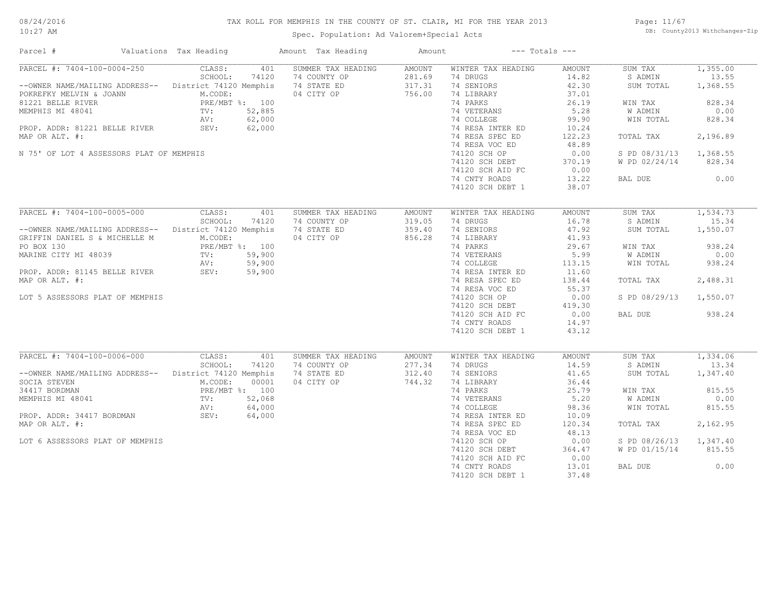#### TAX ROLL FOR MEMPHIS IN THE COUNTY OF ST. CLAIR, MI FOR THE YEAR 2013

10:27 AM

#### Spec. Population: Ad Valorem+Special Acts

Page: 11/67 DB: County2013 Withchanges-Zip

| Parcel #                                                                                                                                     | Valuations Tax Heading |        | Amount Tax Heading | Amount |                           | $---$ Totals $---$ |                        |          |
|----------------------------------------------------------------------------------------------------------------------------------------------|------------------------|--------|--------------------|--------|---------------------------|--------------------|------------------------|----------|
| PARCEL #: 7404-100-0004-250                                                                                                                  | CLASS:                 | 401    | SUMMER TAX HEADING | AMOUNT | WINTER TAX HEADING        | AMOUNT             | SUM TAX                | 1,355.00 |
|                                                                                                                                              | SCHOOL:                | 74120  | 74 COUNTY OP       | 281.69 | 74 DRUGS                  | 14.82              | S ADMIN                | 13.55    |
| --OWNER NAME/MAILING ADDRESS-- District 74120 Memphis                                                                                        |                        |        | 74 STATE ED        | 317.31 | 74 SENIORS                | 42.30              | SUM TOTAL              | 1,368.55 |
| POKREFKY MELVIN & JOANN                                                                                                                      | M.CODE:                |        | 04 CITY OP         | 756.00 | 74 LIBRARY                | 37.01              |                        |          |
| 81221 BELLE RIVER                                                                                                                            | PRE/MBT %: 100         |        |                    |        | 74 PARKS                  | 26.19              | WIN TAX                | 828.34   |
| MEMPHIS MI 48041                                                                                                                             | TV:                    | 52,885 |                    |        | 74 VETERANS               | 5.28               | W ADMIN                | 0.00     |
|                                                                                                                                              |                        |        |                    |        | 74 COLLEGE                | 99.90              | WIN TOTAL              | 828.34   |
| ROP. ADDR: 81221 BELLE RIVER AV: 62,000<br>WPR OP NAT. "                                                                                     |                        |        |                    |        | 74 RESA INTER ED          | 10.24              |                        |          |
| MAP OR ALT. #:                                                                                                                               |                        |        |                    |        | 74 RESA SPEC ED           | 122.23             | TOTAL TAX              | 2,196.89 |
|                                                                                                                                              |                        |        |                    |        | 74 RESA VOC ED            | 48.89              |                        |          |
|                                                                                                                                              |                        |        |                    |        | 74120 SCH OP              |                    |                        |          |
| N 75' OF LOT 4 ASSESSORS PLAT OF MEMPHIS                                                                                                     |                        |        |                    |        |                           | 0.00               | S PD 08/31/13          | 1,368.55 |
|                                                                                                                                              |                        |        |                    |        | 74120 SCH DEBT            | 370.19             | W PD 02/24/14          | 828.34   |
|                                                                                                                                              |                        |        |                    |        | 74120 SCH AID FC          | 0.00               |                        |          |
|                                                                                                                                              |                        |        |                    |        | 74 CNTY ROADS             | 13.22              | BAL DUE                | 0.00     |
|                                                                                                                                              |                        |        |                    |        | 74120 SCH DEBT 1          | 38.07              |                        |          |
|                                                                                                                                              |                        |        |                    |        |                           |                    |                        |          |
| PARCEL #: 7404-100-0005-000                                                                                                                  | CLASS:                 | 401    | SUMMER TAX HEADING | AMOUNT | WINTER TAX HEADING        | AMOUNT             | SUM TAX                | 1,534.73 |
|                                                                                                                                              | SCHOOL:                | 74120  | 74 COUNTY OP       | 319.05 | 74 DRUGS                  | 16.78              | S ADMIN                | 15.34    |
| -- OWNER NAME/MAILING ADDRESS-- District 74120 Memphis                                                                                       |                        |        | 74 STATE ED        | 359.40 | 74 SENIORS                | 47.92              | SUM TOTAL              | 1,550.07 |
| GRIFFIN DANIEL S & MICHELLE M                                                                                                                | M.CODE:                |        | 04 CITY OP         | 856.28 | 74 LIBRARY                | 41.93              |                        |          |
| PO BOX 130                                                                                                                                   | PRE/MBT %: 100         |        |                    |        | 74 PARKS                  | 29.67              | WIN TAX                | 938.24   |
| MARINE CITY MI 48039<br>MARINE CITY MI 48039<br>PROP. ADDR: 81145 BELLE RIVER<br>SEV: 59,900<br>PROP. ADDR: 81145 BELLE RIVER<br>SEV: 59,900 |                        |        |                    |        | 74 VETERANS               | 5.99               | W ADMIN                | 0.00     |
|                                                                                                                                              |                        |        |                    |        | 74 COLLEGE                | 113.15             | WIN TOTAL              | 938.24   |
|                                                                                                                                              |                        |        |                    |        | 74 RESA INTER ED          | 11.60              |                        |          |
| MAP OR ALT. #:                                                                                                                               |                        |        |                    |        | 74 RESA SPEC ED           | 138.44             | TOTAL TAX              | 2,488.31 |
|                                                                                                                                              |                        |        |                    |        | 74 RESA VOC ED            | 55.37              |                        |          |
| LOT 5 ASSESSORS PLAT OF MEMPHIS                                                                                                              |                        |        |                    |        | 74120 SCH OP              | 0.00               | S PD 08/29/13 1,550.07 |          |
|                                                                                                                                              |                        |        |                    |        | 74120 SCH DEBT            | 419.30             |                        |          |
|                                                                                                                                              |                        |        |                    |        | 74120 SCH AID FC          | 0.00               | BAL DUE                | 938.24   |
|                                                                                                                                              |                        |        |                    |        | 74 CNTY ROADS             | 14.97              |                        |          |
|                                                                                                                                              |                        |        |                    |        | 74120 SCH DEBT 1          | 43.12              |                        |          |
|                                                                                                                                              |                        |        |                    |        |                           |                    |                        |          |
| PARCEL #: 7404-100-0006-000                                                                                                                  | CLASS:                 | 401    | SUMMER TAX HEADING | AMOUNT | WINTER TAX HEADING        | AMOUNT             | SUM TAX                | 1,334.06 |
|                                                                                                                                              | SCHOOL:                | 74120  | 74 COUNTY OP       | 277.34 | 74 DRUGS                  | 14.59              | S ADMIN                | 13.34    |
| --OWNER NAME/MAILING ADDRESS-- District 74120 Memphis                                                                                        |                        |        | 74 STATE ED        | 312.40 | 74 SENIORS                | 41.65              | SUM TOTAL              | 1,347.40 |
| SOCIA STEVEN                                                                                                                                 | M.CODE:                | 00001  | 04 CITY OP         | 744.32 | 74 LIBRARY                | 36.44              |                        |          |
| 34417 BORDMAN                                                                                                                                | PRE/MBT %: 100         |        |                    |        | 74 PARKS                  | 25.79              | WIN TAX                | 815.55   |
|                                                                                                                                              |                        |        |                    |        |                           | 5.20               |                        | 0.00     |
| MEMPHIS MI 48041                                                                                                                             | TV:                    | 52,068 |                    |        | 74 VETERANS<br>74 COLLEGE |                    | W ADMIN                |          |
|                                                                                                                                              |                        | 64,000 |                    |        |                           | 98.36              | WIN TOTAL              | 815.55   |
| AV:<br>PROP. ADDR: 34417 BORDMAN SEV:<br>MAR OF ALE "                                                                                        |                        | 64,000 |                    |        | 74 RESA INTER ED          | 10.09              |                        |          |
| MAP OR ALT. #:                                                                                                                               |                        |        |                    |        | 74 RESA SPEC ED           | 120.34             | TOTAL TAX              | 2,162.95 |
|                                                                                                                                              |                        |        |                    |        | 74 RESA VOC ED            | 48.13              |                        |          |
| LOT 6 ASSESSORS PLAT OF MEMPHIS                                                                                                              |                        |        |                    |        | 74120 SCH OP              | 0.00               | S PD 08/26/13 1,347.40 |          |
|                                                                                                                                              |                        |        |                    |        | 74120 SCH DEBT            | 364.47             | W PD 01/15/14          | 815.55   |
|                                                                                                                                              |                        |        |                    |        | 74120 SCH AID FC          | 0.00               |                        |          |
|                                                                                                                                              |                        |        |                    |        | 74 CNTY ROADS             | 13.01              | BAL DUE                | 0.00     |
|                                                                                                                                              |                        |        |                    |        | 74120 SCH DEBT 1          | 37.48              |                        |          |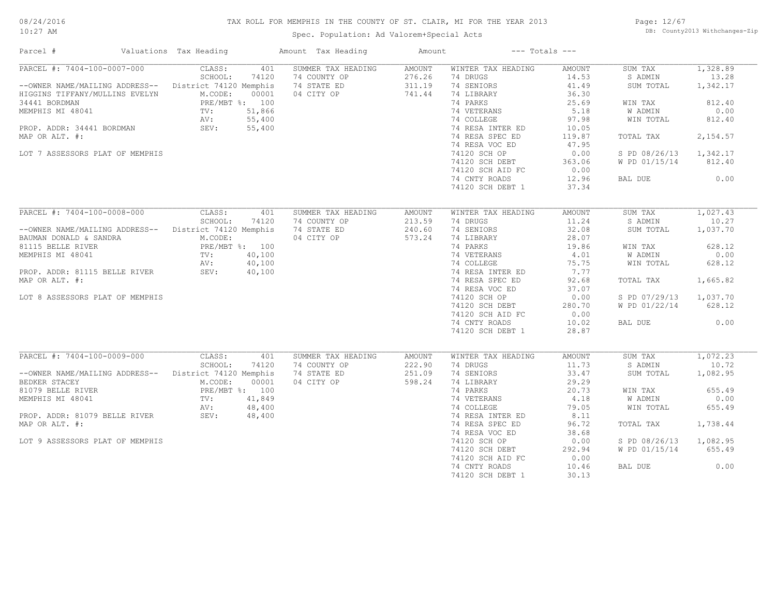#### 08/24/2016 10:27 AM

#### TAX ROLL FOR MEMPHIS IN THE COUNTY OF ST. CLAIR, MI FOR THE YEAR 2013

Spec. Population: Ad Valorem+Special Acts

Page: 12/67 DB: County2013 Withchanges-Zip

| Parcel #                                                                                                                                                                                                                                       | Valuations Tax Heading                                                                                                      | Amount Tax Heading                                              | Amount                               | $---$ Totals $---$                                                                                                                                                                                                                                      |                                                                                                                                            |                                                                                                                              |                                                                                                     |
|------------------------------------------------------------------------------------------------------------------------------------------------------------------------------------------------------------------------------------------------|-----------------------------------------------------------------------------------------------------------------------------|-----------------------------------------------------------------|--------------------------------------|---------------------------------------------------------------------------------------------------------------------------------------------------------------------------------------------------------------------------------------------------------|--------------------------------------------------------------------------------------------------------------------------------------------|------------------------------------------------------------------------------------------------------------------------------|-----------------------------------------------------------------------------------------------------|
| PARCEL #: 7404-100-0007-000<br>-- OWNER NAME/MAILING ADDRESS-- District 74120 Memphis<br>HIGGINS TIFFANY/MULLINS EVELYN<br>34441 BORDMAN<br>MEMPHIS MI 48041<br>PROP. ADDR: 34441 BORDMAN<br>MAP OR ALT. #:<br>LOT 7 ASSESSORS PLAT OF MEMPHIS | CLASS:<br>401<br>SCHOOL:<br>74120<br>M.CODE:<br>00001<br>PRE/MBT %: 100<br>51,866<br>TV:<br>55,400<br>AV:<br>SEV:<br>55,400 | SUMMER TAX HEADING<br>74 COUNTY OP<br>74 STATE ED<br>04 CITY OP | AMOUNT<br>276.26<br>311.19<br>741.44 | WINTER TAX HEADING<br>74 DRUGS<br>74 SENIORS<br>74 LIBRARY<br>74 PARKS<br>74 VETERANS<br>74 COLLEGE<br>74 RESA INTER ED<br>74 RESA SPEC ED<br>74 RESA VOC ED<br>74120 SCH OP<br>74120 SCH DEBT<br>74120 SCH AID FC<br>74 CNTY ROADS<br>74120 SCH DEBT 1 | <b>AMOUNT</b><br>14.53<br>41.49<br>36.30<br>25.69<br>5.18<br>97.98<br>10.05<br>119.87<br>47.95<br>0.00<br>363.06<br>0.00<br>12.96<br>37.34 | SUM TAX<br>S ADMIN<br>SUM TOTAL<br>WIN TAX<br>W ADMIN<br>WIN TOTAL<br>TOTAL TAX<br>S PD 08/26/13<br>W PD 01/15/14<br>BAL DUE | 1,328.89<br>13.28<br>1,342.17<br>812.40<br>0.00<br>812.40<br>2,154.57<br>1,342.17<br>812.40<br>0.00 |
|                                                                                                                                                                                                                                                |                                                                                                                             |                                                                 |                                      |                                                                                                                                                                                                                                                         |                                                                                                                                            |                                                                                                                              |                                                                                                     |
| PARCEL #: 7404-100-0008-000<br>--OWNER NAME/MAILING ADDRESS-- District 74120 Memphis                                                                                                                                                           | CLASS:<br>401<br>SCHOOL:<br>74120                                                                                           | SUMMER TAX HEADING<br>74 COUNTY OP<br>74 STATE ED               | <b>AMOUNT</b><br>213.59<br>240.60    | WINTER TAX HEADING<br>74 DRUGS<br>74 SENIORS                                                                                                                                                                                                            | <b>AMOUNT</b><br>11.24<br>32.08                                                                                                            | SUM TAX<br>S ADMIN<br>SUM TOTAL                                                                                              | 1,027.43<br>10.27<br>1,037.70                                                                       |
| BAUMAN DONALD & SANDRA<br>81115 BELLE RIVER<br>MEMPHIS MI 48041                                                                                                                                                                                | M.CODE:<br>PRE/MBT %: 100<br>40,100<br>TV:<br>40,100<br>AV:                                                                 | 04 CITY OP                                                      | 573.24                               | 74 LIBRARY<br>74 PARKS<br>74 VETERANS<br>74 COLLEGE                                                                                                                                                                                                     | 28.07<br>19.86<br>4.01<br>75.75                                                                                                            | WIN TAX<br>W ADMIN<br>WIN TOTAL                                                                                              | 628.12<br>0.00<br>628.12                                                                            |
| PROP. ADDR: 81115 BELLE RIVER<br>MAP OR ALT. #:                                                                                                                                                                                                | 40,100<br>SEV:                                                                                                              |                                                                 |                                      | 74 RESA INTER ED<br>74 RESA SPEC ED<br>74 RESA VOC ED                                                                                                                                                                                                   | 7.77<br>92.68<br>37.07                                                                                                                     | TOTAL TAX                                                                                                                    | 1,665.82                                                                                            |
| LOT 8 ASSESSORS PLAT OF MEMPHIS                                                                                                                                                                                                                |                                                                                                                             |                                                                 |                                      | 74120 SCH OP<br>74120 SCH DEBT<br>74120 SCH AID FC                                                                                                                                                                                                      | 0.00<br>280.70<br>0.00                                                                                                                     | S PD 07/29/13<br>W PD 01/22/14                                                                                               | 1,037.70<br>628.12                                                                                  |
|                                                                                                                                                                                                                                                |                                                                                                                             |                                                                 |                                      | 74 CNTY ROADS<br>74120 SCH DEBT 1                                                                                                                                                                                                                       | 10.02<br>28.87                                                                                                                             | BAL DUE                                                                                                                      | 0.00                                                                                                |
| PARCEL #: 7404-100-0009-000                                                                                                                                                                                                                    | CLASS:<br>401                                                                                                               | SUMMER TAX HEADING                                              | AMOUNT                               | WINTER TAX HEADING                                                                                                                                                                                                                                      | <b>AMOUNT</b>                                                                                                                              | SUM TAX                                                                                                                      | 1,072.23                                                                                            |
| --OWNER NAME/MAILING ADDRESS--<br>BEDKER STACEY                                                                                                                                                                                                | SCHOOL:<br>74120<br>District 74120 Memphis<br>M.CODE:<br>00001                                                              | 74 COUNTY OP<br>74 STATE ED<br>04 CITY OP                       | 222.90<br>251.09<br>598.24           | 74 DRUGS<br>74 SENIORS<br>74 LIBRARY                                                                                                                                                                                                                    | 11.73<br>33.47<br>29.29                                                                                                                    | S ADMIN<br>SUM TOTAL                                                                                                         | 10.72<br>1,082.95                                                                                   |
| 81079 BELLE RIVER<br>MEMPHIS MI 48041                                                                                                                                                                                                          | PRE/MBT %: 100<br>41,849<br>TV:                                                                                             |                                                                 |                                      | 74 PARKS<br>74 VETERANS                                                                                                                                                                                                                                 | 20.73<br>4.18                                                                                                                              | WIN TAX<br>W ADMIN                                                                                                           | 655.49<br>0.00                                                                                      |
| PROP. ADDR: 81079 BELLE RIVER<br>MAP OR ALT. #:                                                                                                                                                                                                | 48,400<br>AV:<br>AV:<br>SEV:<br>48,400                                                                                      |                                                                 |                                      | 74 COLLEGE<br>74 RESA INTER ED<br>74 RESA SPEC ED                                                                                                                                                                                                       | 79.05<br>8.11<br>96.72                                                                                                                     | WIN TOTAL<br>TOTAL TAX                                                                                                       | 655.49<br>1,738.44                                                                                  |
| LOT 9 ASSESSORS PLAT OF MEMPHIS                                                                                                                                                                                                                |                                                                                                                             |                                                                 |                                      | 74 RESA VOC ED<br>74120 SCH OP                                                                                                                                                                                                                          | 38.68<br>0.00                                                                                                                              | S PD 08/26/13                                                                                                                | 1,082.95                                                                                            |
|                                                                                                                                                                                                                                                |                                                                                                                             |                                                                 |                                      | 74120 SCH DEBT<br>74120 SCH AID FC                                                                                                                                                                                                                      | 292.94<br>0.00                                                                                                                             | W PD 01/15/14                                                                                                                | 655.49                                                                                              |
|                                                                                                                                                                                                                                                |                                                                                                                             |                                                                 |                                      | 74 CNTY ROADS<br>74120 SCH DEBT 1                                                                                                                                                                                                                       | 10.46<br>30.13                                                                                                                             | BAL DUE                                                                                                                      | 0.00                                                                                                |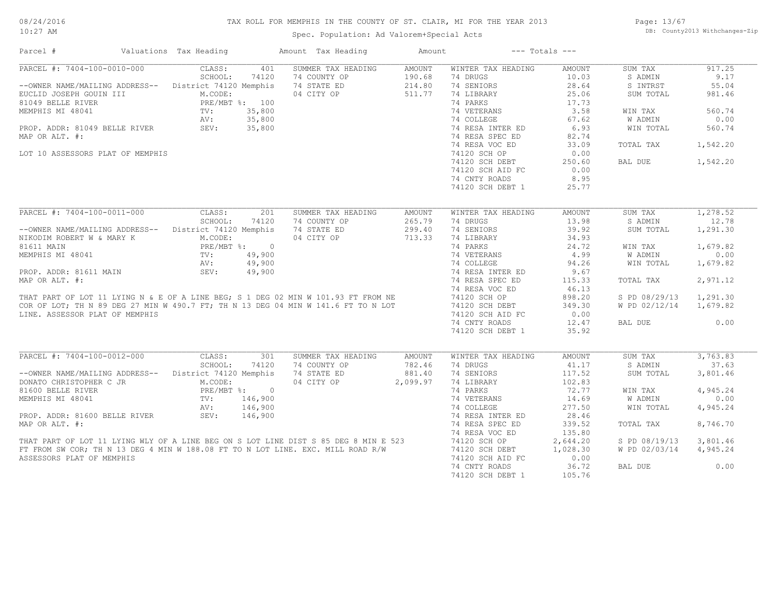#### TAX ROLL FOR MEMPHIS IN THE COUNTY OF ST. CLAIR, MI FOR THE YEAR 2013

10:27 AM

#### Spec. Population: Ad Valorem+Special Acts

Page: 13/67 DB: County2013 Withchanges-Zip

| Parcel #                                                                                                                                                                                                                                                    | Valuations Tax Heading |         |                | Amount Tax Heading | Amount   |                    | $---$ Totals $---$ |                |          |
|-------------------------------------------------------------------------------------------------------------------------------------------------------------------------------------------------------------------------------------------------------------|------------------------|---------|----------------|--------------------|----------|--------------------|--------------------|----------------|----------|
| PARCEL #: 7404-100-0010-000                                                                                                                                                                                                                                 |                        | CLASS:  | 401            | SUMMER TAX HEADING | AMOUNT   | WINTER TAX HEADING | AMOUNT             | SUM TAX        | 917.25   |
|                                                                                                                                                                                                                                                             |                        | SCHOOL: | 74120          | 74 COUNTY OP       | 190.68   | 74 DRUGS           | 10.03              | S ADMIN        | 9.17     |
| --OWNER NAME/MAILING ADDRESS--                                                                                                                                                                                                                              | District 74120 Memphis |         |                | 74 STATE ED        | 214.80   | 74 SENIORS         | 28.64              | S INTRST       | 55.04    |
| EUCLID JOSEPH GOUIN III                                                                                                                                                                                                                                     |                        | M.CODE: |                | 04 CITY OP         | 511.77   | 74 LIBRARY         | 25.06              | SUM TOTAL      | 981.46   |
| 81049 BELLE RIVER                                                                                                                                                                                                                                           |                        |         | PRE/MBT %: 100 |                    |          | 74 PARKS           | 17.73              |                |          |
| MEMPHIS MI 48041                                                                                                                                                                                                                                            | TV:                    |         | 35,800         |                    |          | 74 VETERANS        | 3.58               | WIN TAX        | 560.74   |
|                                                                                                                                                                                                                                                             | AV:                    |         | 35,800         |                    |          | 74 COLLEGE         | 67.62              | <b>W ADMIN</b> | 0.00     |
| PROP. ADDR: 81049 BELLE RIVER                                                                                                                                                                                                                               | Av.<br>SEV:            |         | 35,800         |                    |          | 74 RESA INTER ED   | 6.93               | WIN TOTAL      | 560.74   |
| MAP OR ALT. #:                                                                                                                                                                                                                                              |                        |         |                |                    |          | 74 RESA SPEC ED    | 82.74              |                |          |
|                                                                                                                                                                                                                                                             |                        |         |                |                    |          | 74 RESA VOC ED     | 33.09              | TOTAL TAX      | 1,542.20 |
| LOT 10 ASSESSORS PLAT OF MEMPHIS                                                                                                                                                                                                                            |                        |         |                |                    |          | 74120 SCH OP       | 0.00               |                |          |
|                                                                                                                                                                                                                                                             |                        |         |                |                    |          | 74120 SCH DEBT     | 250.60             | BAL DUE        | 1,542.20 |
|                                                                                                                                                                                                                                                             |                        |         |                |                    |          |                    | 0.00               |                |          |
|                                                                                                                                                                                                                                                             |                        |         |                |                    |          | 74120 SCH AID FC   |                    |                |          |
|                                                                                                                                                                                                                                                             |                        |         |                |                    |          | 74 CNTY ROADS      | 8.95               |                |          |
|                                                                                                                                                                                                                                                             |                        |         |                |                    |          | 74120 SCH DEBT 1   | 25.77              |                |          |
| PARCEL #: 7404-100-0011-000                                                                                                                                                                                                                                 |                        | CLASS:  | 201            | SUMMER TAX HEADING | AMOUNT   | WINTER TAX HEADING | AMOUNT             | SUM TAX        | 1,278.52 |
|                                                                                                                                                                                                                                                             |                        | SCHOOL: | 74120          | 74 COUNTY OP       | 265.79   | 74 DRUGS           | 13.98              | S ADMIN        | 12.78    |
|                                                                                                                                                                                                                                                             |                        |         |                |                    |          | 74 SENIORS         | 39.92              |                |          |
| --OWNER NAME/MAILING ADDRESS--                                                                                                                                                                                                                              | District 74120 Memphis |         |                | 74 STATE ED        | 299.40   |                    |                    | SUM TOTAL      | 1,291.30 |
| NIKODIM ROBERT W & MARY K                                                                                                                                                                                                                                   |                        | M.CODE: |                | 04 CITY OP         | 713.33   | 74 LIBRARY         | 34.93              |                |          |
| 81611 MAIN                                                                                                                                                                                                                                                  |                        |         | PRE/MBT %: 0   |                    |          | 74 PARKS           | 24.72              | WIN TAX        | 1,679.82 |
| MEMPHIS MI 48041                                                                                                                                                                                                                                            | TV:                    |         | 49,900         |                    |          | 74 VETERANS        | 4.99               | W ADMIN        | 0.00     |
|                                                                                                                                                                                                                                                             | AV:                    |         | 49,900         |                    |          | 74 COLLEGE         | 94.26              | WIN TOTAL      | 1,679.82 |
| PROP. ADDR: 81611 MAIN                                                                                                                                                                                                                                      | SEV:                   |         | 49,900         |                    |          | 74 RESA INTER ED   | 9.67               |                |          |
| MAP OR ALT. #:                                                                                                                                                                                                                                              |                        |         |                |                    |          | 74 RESA SPEC ED    | 115.33             | TOTAL TAX      | 2,971.12 |
|                                                                                                                                                                                                                                                             |                        |         |                |                    |          | 74 RESA VOC ED     | 46.13              |                |          |
|                                                                                                                                                                                                                                                             |                        |         |                |                    |          | 74120 SCH OP       | 898.20             | S PD 08/29/13  | 1,291.30 |
| THAT PART OF LOT 11 LYING N & E OF A LINE BEG; S 1 DEG 02 MIN W 101.93 FT FROM NE<br>COR OF LOT; TH N 89 DEG 27 MIN W 490.7 FT; TH N 13 DEG 04 MIN W 141.6 FT TO N LOT<br>COR OF LOT; TH N 89 DEG 27 MIN W 490.7 FT; TH N 13 DEG 04 MIN W 141.6 FT TO N LOT |                        |         |                |                    |          | 74120 SCH DEBT     | 349.30             | W PD 02/12/14  | 1,679.82 |
| LINE. ASSESSOR PLAT OF MEMPHIS                                                                                                                                                                                                                              |                        |         |                |                    |          | 74120 SCH AID FC   | 0.00               |                |          |
|                                                                                                                                                                                                                                                             |                        |         |                |                    |          | 74 CNTY ROADS      | 12.47              | BAL DUE        | 0.00     |
|                                                                                                                                                                                                                                                             |                        |         |                |                    |          | 74120 SCH DEBT 1   | 35.92              |                |          |
|                                                                                                                                                                                                                                                             |                        |         |                |                    |          |                    |                    |                |          |
| PARCEL #: 7404-100-0012-000                                                                                                                                                                                                                                 |                        | CLASS:  | 301            | SUMMER TAX HEADING | AMOUNT   | WINTER TAX HEADING | AMOUNT             | SUM TAX        | 3,763.83 |
|                                                                                                                                                                                                                                                             |                        | SCHOOL: | 74120          | 74 COUNTY OP       | 782.46   | 74 DRUGS           | 41.17              | S ADMIN        | 37.63    |
| --OWNER NAME/MAILING ADDRESS--                                                                                                                                                                                                                              | District 74120 Memphis |         |                | 74 STATE ED        | 881.40   | 74 SENIORS         | 117.52             | SUM TOTAL      | 3,801.46 |
| DONATO CHRISTOPHER C JR                                                                                                                                                                                                                                     |                        | M.CODE: |                | 04 CITY OP         | 2,099.97 | 74 LIBRARY         | 102.83             |                |          |
| 81600 BELLE RIVER                                                                                                                                                                                                                                           |                        |         | PRE/MBT %: 0   |                    |          | 74 PARKS           | 72.77              | WIN TAX        | 4,945.24 |
| MEMPHIS MI 48041                                                                                                                                                                                                                                            | TV:                    |         | 146,900        |                    |          | 74 VETERANS        | 14.69              | W ADMIN        | 0.00     |
|                                                                                                                                                                                                                                                             |                        |         | 146,900        |                    |          |                    | 277.50             |                |          |
|                                                                                                                                                                                                                                                             | AV:<br>SEV:            |         |                |                    |          | 74 COLLEGE         |                    | WIN TOTAL      | 4,945.24 |
| PROP. ADDR: 81600 BELLE RIVER                                                                                                                                                                                                                               |                        |         | 146,900        |                    |          | 74 RESA INTER ED   | 28.46              |                |          |
| MAP OR ALT. #:                                                                                                                                                                                                                                              |                        |         |                |                    |          | 74 RESA SPEC ED    | 339.52             | TOTAL TAX      | 8,746.70 |
|                                                                                                                                                                                                                                                             |                        |         |                |                    |          | 74 RESA VOC ED     | 135.80             |                |          |
|                                                                                                                                                                                                                                                             |                        |         |                |                    |          | 74120 SCH OP       | 2,644.20           | S PD 08/19/13  | 3,801.46 |
| THAT PART OF LOT 11 LYING WLY OF A LINE BEG ON S LOT LINE DIST S 85 DEG 8 MIN E 523<br>FT FROM SW COR; TH N 13 DEG 4 MIN W 188.08 FT TO N LOT LINE. EXC. MILL ROAD R/W                                                                                      |                        |         |                |                    |          | 74120 SCH DEBT     | 1,028.30           | W PD 02/03/14  | 4,945.24 |
| ASSESSORS PLAT OF MEMPHIS                                                                                                                                                                                                                                   |                        |         |                |                    |          | 74120 SCH AID FC   | 0.00               |                |          |
|                                                                                                                                                                                                                                                             |                        |         |                |                    |          | 74 CNTY ROADS      | 36.72              | BAL DUE        | 0.00     |
|                                                                                                                                                                                                                                                             |                        |         |                |                    |          | 74120 SCH DEBT 1   | 105.76             |                |          |
|                                                                                                                                                                                                                                                             |                        |         |                |                    |          |                    |                    |                |          |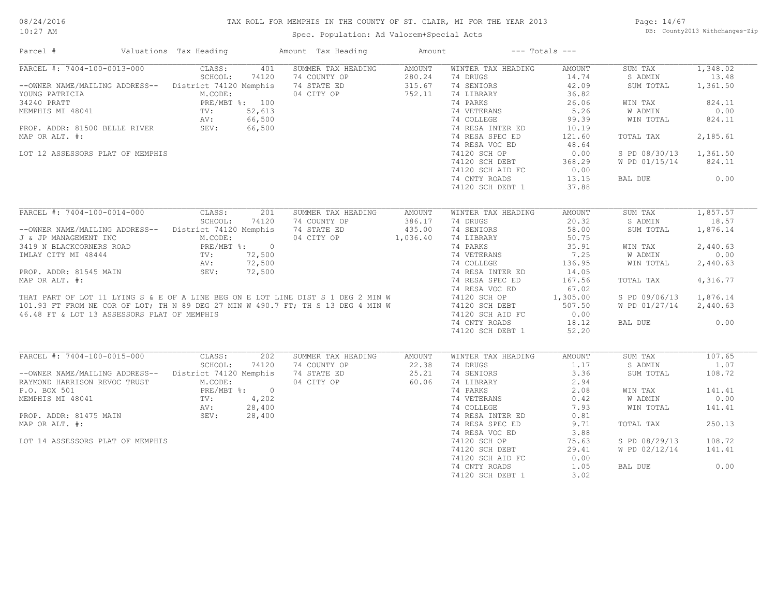#### TAX ROLL FOR MEMPHIS IN THE COUNTY OF ST. CLAIR, MI FOR THE YEAR 2013

10:27 AM

#### Spec. Population: Ad Valorem+Special Acts

Page: 14/67 DB: County2013 Withchanges-Zip

| Parcel #                                                                                                                                                             | Valuations Tax Heading  | Amount Tax Heading        | Amount   |                    | $---$ Totals $---$ |                        |          |
|----------------------------------------------------------------------------------------------------------------------------------------------------------------------|-------------------------|---------------------------|----------|--------------------|--------------------|------------------------|----------|
| PARCEL #: 7404-100-0013-000                                                                                                                                          | CLASS:                  | SUMMER TAX HEADING<br>401 | AMOUNT   | WINTER TAX HEADING | AMOUNT             | SUM TAX                | 1,348.02 |
|                                                                                                                                                                      | SCHOOL:                 | 74120<br>74 COUNTY OP     | 280.24   | 74 DRUGS           | 14.74              | S ADMIN                | 13.48    |
| --OWNER NAME/MAILING ADDRESS-- District 74120 Memphis                                                                                                                |                         | 74 STATE ED               | 315.67   | 74 SENIORS         | 42.09              | SUM TOTAL              | 1,361.50 |
| YOUNG PATRICIA                                                                                                                                                       | M.CODE:                 | 04 CITY OP                | 752.11   | 74 LIBRARY         | 36.82              |                        |          |
| 34240 PRATT                                                                                                                                                          | PRE/MBT %: 100          |                           |          | 74 PARKS           | 26.06              | WIN TAX                | 824.11   |
| MEMPHIS MI 48041                                                                                                                                                     | 52,613<br>TV:           |                           |          | 74 VETERANS        | 5.26               | W ADMIN                | 0.00     |
|                                                                                                                                                                      | 66,500<br>AV:           |                           |          | 74 COLLEGE         | 99.39              | WIN TOTAL              | 824.11   |
| PROP. ADDR: 81500 BELLE RIVER SEV:                                                                                                                                   | 66,500                  |                           |          | 74 RESA INTER ED   | 10.19              |                        |          |
|                                                                                                                                                                      |                         |                           |          | 74 RESA SPEC ED    | 121.60             |                        | 2,185.61 |
| MAP OR ALT. #:                                                                                                                                                       |                         |                           |          |                    |                    | TOTAL TAX              |          |
|                                                                                                                                                                      |                         |                           |          | 74 RESA VOC ED     | 48.64              |                        |          |
| LOT 12 ASSESSORS PLAT OF MEMPHIS                                                                                                                                     |                         |                           |          | 74120 SCH OP       | 0.00               | S PD 08/30/13          | 1,361.50 |
|                                                                                                                                                                      |                         |                           |          | 74120 SCH DEBT     | 368.29             | W PD 01/15/14          | 824.11   |
|                                                                                                                                                                      |                         |                           |          | 74120 SCH AID FC   | 0.00               |                        |          |
|                                                                                                                                                                      |                         |                           |          | 74 CNTY ROADS      | 13.15              | BAL DUE                | 0.00     |
|                                                                                                                                                                      |                         |                           |          | 74120 SCH DEBT 1   | 37.88              |                        |          |
|                                                                                                                                                                      |                         |                           |          |                    |                    |                        |          |
| PARCEL #: 7404-100-0014-000                                                                                                                                          | CLASS:                  | 201<br>SUMMER TAX HEADING | AMOUNT   | WINTER TAX HEADING | <b>AMOUNT</b>      | SUM TAX                | 1,857.57 |
|                                                                                                                                                                      | SCHOOL:                 | 74120<br>74 COUNTY OP     | 386.17   | 74 DRUGS           | 20.32              | S ADMIN                | 18.57    |
| --OWNER NAME/MAILING ADDRESS-- District 74120 Memphis                                                                                                                |                         | 74 STATE ED               | 435.00   | 74 SENIORS         | 58.00              | SUM TOTAL              | 1,876.14 |
| J & JP MANAGEMENT INC                                                                                                                                                | M.CODE:                 | 04 CITY OP                | 1,036.40 | 74 LIBRARY         | 50.75              |                        |          |
| 3419 N BLACKCORNERS ROAD                                                                                                                                             | PRE/MBT %: 0            |                           |          | 74 PARKS           | 35.91              | WIN TAX                | 2,440.63 |
|                                                                                                                                                                      |                         |                           |          |                    |                    |                        | 0.00     |
| IMLAY CITY MI 48444                                                                                                                                                  | 72,500<br>$\text{TV}$ : |                           |          | 74 VETERANS        | 7.25               | W ADMIN                |          |
|                                                                                                                                                                      | 72,500<br>AV:           |                           |          | 74 COLLEGE         | 136.95             | WIN TOTAL              | 2,440.63 |
| PROP. ADDR: 81545 MAIN                                                                                                                                               | 72,500<br>SEV:          |                           |          | 74 RESA INTER ED   | 14.05              |                        |          |
| MAP OR ALT. #:                                                                                                                                                       |                         |                           |          | 74 RESA SPEC ED    | 167.56             | TOTAL TAX              | 4,316.77 |
|                                                                                                                                                                      |                         |                           |          | 74 RESA VOC ED     | 67.02              |                        |          |
| THAT PART OF LOT 11 LYING S & E OF A LINE BEG ON E LOT LINE DIST S 1 DEG 2 MIN W<br>101.93 FT FROM NE COR OF LOT; TH N 89 DEG 27 MIN W 490.7 FT; TH S 13 DEG 4 MIN W |                         |                           |          | 74120 SCH OP       | 1,305.00           | S PD 09/06/13          | 1,876.14 |
|                                                                                                                                                                      |                         |                           |          | 74120 SCH DEBT     | 507.50             | W PD 01/27/14 2,440.63 |          |
| 46.48 FT & LOT 13 ASSESSORS PLAT OF MEMPHIS                                                                                                                          |                         |                           |          | 74120 SCH AID FC   | 0.00               |                        |          |
|                                                                                                                                                                      |                         |                           |          | 74 CNTY ROADS      | 18.12              | BAL DUE                | 0.00     |
|                                                                                                                                                                      |                         |                           |          |                    | 52.20              |                        |          |
|                                                                                                                                                                      |                         |                           |          | 74120 SCH DEBT 1   |                    |                        |          |
| PARCEL #: 7404-100-0015-000                                                                                                                                          | CLASS:                  | 202<br>SUMMER TAX HEADING | AMOUNT   | WINTER TAX HEADING | AMOUNT             | SUM TAX                | 107.65   |
|                                                                                                                                                                      | SCHOOL:                 | 74 COUNTY OP<br>74120     | 22.38    | 74 DRUGS           | 1.17               | S ADMIN                | 1.07     |
|                                                                                                                                                                      |                         |                           |          |                    |                    |                        |          |
| --OWNER NAME/MAILING ADDRESS-- District 74120 Memphis                                                                                                                |                         | 74 STATE ED               | 25.21    | 74 SENIORS         | 3.36               | SUM TOTAL              | 108.72   |
| RAYMOND HARRISON REVOC TRUST                                                                                                                                         | M.CODE:                 | 04 CITY OP                | 60.06    | 74 LIBRARY         | 2.94               |                        |          |
| P.O. BOX 501                                                                                                                                                         | PRE/MBT %: 0            |                           |          | 74 PARKS           | 2.08               | WIN TAX                | 141.41   |
| MEMPHIS MI 48041                                                                                                                                                     | 4,202<br>TV:            |                           |          | 74 VETERANS        | 0.42               | W ADMIN                | 0.00     |
|                                                                                                                                                                      | 28,400<br>AV:           |                           |          | 74 COLLEGE         | 7.93               | WIN TOTAL              | 141.41   |
| PROP. ADDR: 81475 MAIN                                                                                                                                               | SEV:<br>28,400          |                           |          | 74 RESA INTER ED   | 0.81               |                        |          |
| MAP OR ALT. #:                                                                                                                                                       |                         |                           |          | 74 RESA SPEC ED    | 9.71               | TOTAL TAX              | 250.13   |
|                                                                                                                                                                      |                         |                           |          | 74 RESA VOC ED     | 3.88               |                        |          |
| LOT 14 ASSESSORS PLAT OF MEMPHIS                                                                                                                                     |                         |                           |          | 74120 SCH OP       | 75.63              | S PD 08/29/13          | 108.72   |
|                                                                                                                                                                      |                         |                           |          |                    |                    |                        |          |
|                                                                                                                                                                      |                         |                           |          | 74120 SCH DEBT     | 29.41              | W PD 02/12/14          | 141.41   |
|                                                                                                                                                                      |                         |                           |          | 74120 SCH AID FC   | 0.00               |                        |          |
|                                                                                                                                                                      |                         |                           |          | 74 CNTY ROADS      | 1.05               | BAL DUE                | 0.00     |
|                                                                                                                                                                      |                         |                           |          | 74120 SCH DEBT 1   | 3.02               |                        |          |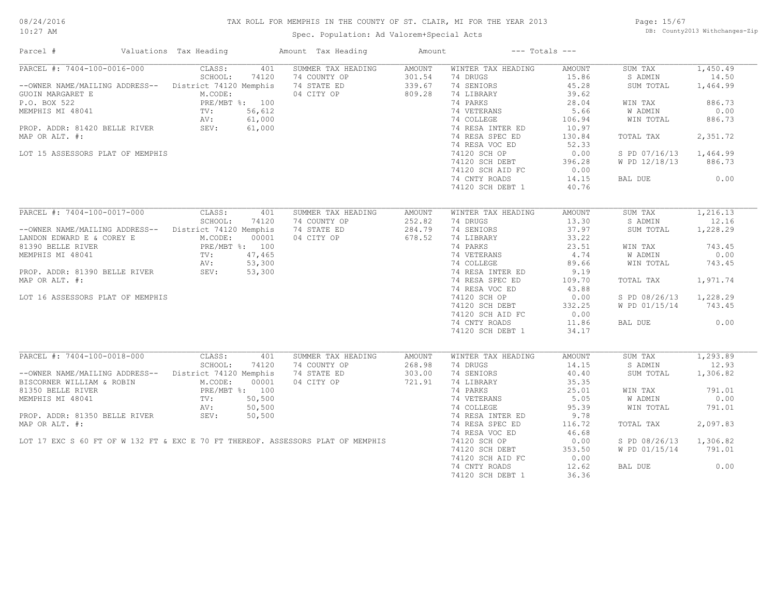#### TAX ROLL FOR MEMPHIS IN THE COUNTY OF ST. CLAIR, MI FOR THE YEAR 2013

10:27 AM

### Spec. Population: Ad Valorem+Special Acts

Page: 15/67 DB: County2013 Withchanges-Zip

| Parcel #                                                                                                              | Valuations Tax Heading       |        | Amount Tax Heading                        | Amount |                           | $---$ Totals $---$ |                        |          |
|-----------------------------------------------------------------------------------------------------------------------|------------------------------|--------|-------------------------------------------|--------|---------------------------|--------------------|------------------------|----------|
| PARCEL #: 7404-100-0016-000                                                                                           | CLASS:                       |        | 401 SUMMER TAX HEADING                    | AMOUNT | WINTER TAX HEADING        | AMOUNT             | SUM TAX                | 1,450.49 |
|                                                                                                                       | SCHOOL:                      | 74120  | 74 COUNTY OP<br>74 STATE ED<br>04 CITY OP | 301.54 | 74 DRUGS                  | 15.86              | S ADMIN                | 14.50    |
| --OWNER NAME/MAILING ADDRESS-- District 74120 Memphis 74 STATE ED                                                     |                              |        |                                           | 339.67 | 74 SENIORS                | 45.28              | SUM TOTAL              | 1,464.99 |
|                                                                                                                       |                              |        |                                           | 809.28 | 74 LIBRARY                | 39.62              |                        |          |
|                                                                                                                       |                              |        |                                           |        | 74 PARKS                  | 28.04              | WIN TAX                | 886.73   |
|                                                                                                                       |                              |        |                                           |        | 74 VETERANS               | 5.66               | W ADMIN                | 0.00     |
|                                                                                                                       |                              |        |                                           |        | 74 COLLEGE                | 106.94             | WIN TOTAL              | 886.73   |
|                                                                                                                       |                              |        |                                           |        | 74 RESA INTER ED          | 10.97              |                        |          |
|                                                                                                                       |                              |        |                                           |        |                           |                    |                        |          |
| MAP OR ALT. #:                                                                                                        |                              |        |                                           |        | 74 RESA SPEC ED           | 130.84             | TOTAL TAX              | 2,351.72 |
|                                                                                                                       |                              |        |                                           |        | 74 RESA VOC ED            | 52.33              |                        |          |
| LOT 15 ASSESSORS PLAT OF MEMPHIS                                                                                      |                              |        |                                           |        | 74120 SCH OP              | 0.00               | S PD 07/16/13          | 1,464.99 |
|                                                                                                                       |                              |        |                                           |        | 74120 SCH DEBT            | 396.28             | W PD 12/18/13          | 886.73   |
|                                                                                                                       |                              |        |                                           |        | 74120 SCH AID FC          | 0.00               |                        |          |
|                                                                                                                       |                              |        |                                           |        | 74 CNTY ROADS             | 14.15              | BAL DUE                | 0.00     |
|                                                                                                                       |                              |        |                                           |        | 74120 SCH DEBT 1          | 40.76              |                        |          |
|                                                                                                                       |                              |        |                                           |        |                           |                    |                        |          |
| PARCEL #: 7404-100-0017-000                                                                                           | CLASS:                       | 401    | SUMMER TAX HEADING                        | AMOUNT | WINTER TAX HEADING        | AMOUNT             | SUM TAX                | 1,216.13 |
|                                                                                                                       | SCHOOL:                      | 74120  | 74 COUNTY OP                              | 252.82 | 74 DRUGS                  | 13.30              | S ADMIN                | 12.16    |
| --OWNER NAME/MAILING ADDRESS-- District 74120 Memphis                                                                 |                              |        | 74 STATE ED                               | 284.79 | 74 SENIORS                | 37.97              | SUM TOTAL              | 1,228.29 |
| LANDON EDWARD E & COREY E                                                                                             | M.CODE:                      | 00001  | 04 CITY OP                                | 678.52 | 74 LIBRARY                | 33.22              |                        |          |
| 81390 BELLE RIVER                                                                                                     | PRE/MBT %: 100               |        |                                           |        | 74 PARKS                  | 23.51              | WIN TAX                | 743.45   |
|                                                                                                                       |                              |        |                                           |        |                           |                    |                        |          |
| MEMPHIS MI 48041 TV: 47,465<br>PROP. ADDR: 81390 BELLE RIVER SEV: 53,300<br>PROP. ADDR: 81390 BELLE RIVER SEV: 53,300 |                              |        |                                           |        | 74 VETERANS<br>74 COLLEGE | 4.74               | W ADMIN                | 0.00     |
|                                                                                                                       |                              |        |                                           |        |                           | 89.66              | WIN TOTAL              | 743.45   |
|                                                                                                                       |                              |        |                                           |        | 74 RESA INTER ED          | 9.19               |                        |          |
| MAP OR ALT. #:                                                                                                        |                              |        |                                           |        | 74 RESA SPEC ED           | 109.70             | TOTAL TAX              | 1,971.74 |
|                                                                                                                       |                              |        |                                           |        | 74 RESA VOC ED            | 43.88              |                        |          |
| LOT 16 ASSESSORS PLAT OF MEMPHIS                                                                                      |                              |        |                                           |        | 74120 SCH OP              | 0.00               | S PD 08/26/13 1,228.29 |          |
|                                                                                                                       |                              |        |                                           |        | 74120 SCH DEBT            | 332.25             | W PD 01/15/14 743.45   |          |
|                                                                                                                       |                              |        |                                           |        | 74120 SCH AID FC          | 0.00               |                        |          |
|                                                                                                                       |                              |        |                                           |        | 74 CNTY ROADS             | 11.86              | BAL DUE                | 0.00     |
|                                                                                                                       |                              |        |                                           |        |                           |                    |                        |          |
|                                                                                                                       |                              |        |                                           |        | 74120 SCH DEBT 1          | 34.17              |                        |          |
| PARCEL #: 7404-100-0018-000                                                                                           | CLASS:                       |        | SUMMER TAX HEADING                        |        |                           |                    |                        | 1,293.89 |
|                                                                                                                       | SCHOOL:                      | 401    |                                           | AMOUNT | WINTER TAX HEADING        | AMOUNT             | SUM TAX                |          |
|                                                                                                                       |                              | 74120  | 74 COUNTY OP                              | 268.98 | 74 DRUGS                  | 14.15              | S ADMIN                | 12.93    |
| --OWNER NAME/MAILING ADDRESS-- District 74120 Memphis                                                                 |                              |        | 74 STATE ED                               | 303.00 | 74 SENIORS                | 40.40              | SUM TOTAL              | 1,306.82 |
| BISCORNER WILLIAM & ROBIN                                                                                             | M.CODE:                      | 00001  | 04 CITY OP                                | 721.91 | 74 LIBRARY                | 35.35              |                        |          |
| 81350 BELLE RIVER                                                                                                     |                              |        |                                           |        | 74 PARKS                  | 25.01              | WIN TAX                | 791.01   |
| MEMPHIS MI 48041                                                                                                      | PRE/MBT %: 100<br>TV: 50,500 |        |                                           |        | 74 VETERANS<br>74 COLLEGE | 5.05               | W ADMIN                | 0.00     |
|                                                                                                                       | AV:                          | 50,500 |                                           |        |                           | 95.39              | WIN TOTAL              | 791.01   |
| PROP. ADDR: 81350 BELLE RIVER SEV:                                                                                    |                              | 50,500 |                                           |        | 74 RESA INTER ED          | 9.78               |                        |          |
| MAP OR ALT. #:                                                                                                        |                              |        |                                           |        | 74 RESA SPEC ED           | 116.72             | TOTAL TAX              | 2,097.83 |
|                                                                                                                       |                              |        |                                           |        | 74 RESA VOC ED            | 46.68              |                        |          |
| LOT 17 EXC S 60 FT OF W 132 FT & EXC E 70 FT THEREOF. ASSESSORS PLAT OF MEMPHIS                                       |                              |        |                                           |        | 74120 SCH OP              | 0.00               | S PD 08/26/13          | 1,306.82 |
|                                                                                                                       |                              |        |                                           |        | 74120 SCH DEBT            | 353.50             | W PD 01/15/14          | 791.01   |
|                                                                                                                       |                              |        |                                           |        |                           |                    |                        |          |
|                                                                                                                       |                              |        |                                           |        | 74120 SCH AID FC          | 0.00               |                        |          |
|                                                                                                                       |                              |        |                                           |        | 74 CNTY ROADS             | 12.62              | BAL DUE                | 0.00     |
|                                                                                                                       |                              |        |                                           |        | 74120 SCH DEBT 1          | 36.36              |                        |          |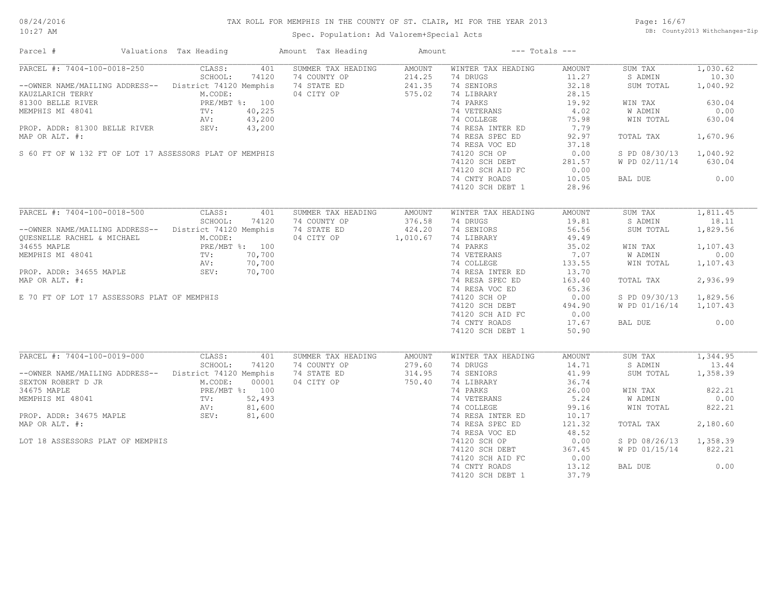#### TAX ROLL FOR MEMPHIS IN THE COUNTY OF ST. CLAIR, MI FOR THE YEAR 2013

10:27 AM

#### Spec. Population: Ad Valorem+Special Acts

Page: 16/67 DB: County2013 Withchanges-Zip

| Parcel #                                                                                                                                                                                                                       | Valuations Tax Heading                     | Amount Tax Heading                           | Amount | $---$ Totals $---$                                        |        |                        |          |
|--------------------------------------------------------------------------------------------------------------------------------------------------------------------------------------------------------------------------------|--------------------------------------------|----------------------------------------------|--------|-----------------------------------------------------------|--------|------------------------|----------|
| PARCEL #: 7404-100-0018-250                                                                                                                                                                                                    | CLASS:<br>401                              | SUMMER TAX HEADING                           | AMOUNT | WINTER TAX HEADING                                        | AMOUNT | SUM TAX                | 1,030.62 |
|                                                                                                                                                                                                                                | SCHOOL:<br>74120                           | 74 COUNTY OP                                 | 214.25 | 74 DRUGS                                                  | 11.27  | S ADMIN                | 10.30    |
| --OWNER NAME/MAILING ADDRESS-- District 74120 Memphis 74 STATE ED                                                                                                                                                              |                                            |                                              | 241.35 | 74 SENIORS                                                | 32.18  | SUM TOTAL              | 1,040.92 |
| WARD AREAS AND A READ AND HEATHER MADELING AND HEATHER MADELING TO BE MADEL AND HEATHER MANUSCRIPT (MARK MANUSCRIPT (MARK MANUSCRIPT (MARK MANUSCRIPT (MARK MANUSCRIPT (MARK MANUSCRIPT (MARK MANUSCRIPT (MARK MANUSCRIPT (MAR |                                            | 04 CITY OP 575.02                            |        | 74 LIBRARY                                                | 28.15  |                        |          |
|                                                                                                                                                                                                                                |                                            |                                              |        | 74 PARKS                                                  | 19.92  | WIN TAX                | 630.04   |
|                                                                                                                                                                                                                                |                                            |                                              |        | 74 VETERANS                                               | 4.02   | W ADMIN                | 0.00     |
|                                                                                                                                                                                                                                |                                            |                                              |        | 74 COLLEGE                                                |        |                        |          |
|                                                                                                                                                                                                                                |                                            |                                              |        | 74 COLLEGE<br>74 RESA INTER ED 7.79<br>-- 2006 ED 92.97   | 75.98  | WIN TOTAL              | 630.04   |
| PROP. ADDR: 81300 BELLE RIVER SEV: 43,200                                                                                                                                                                                      |                                            |                                              |        |                                                           |        |                        |          |
| MAP OR ALT. #:                                                                                                                                                                                                                 |                                            |                                              |        |                                                           |        | TOTAL TAX              | 1,670.96 |
|                                                                                                                                                                                                                                |                                            |                                              |        | 74 RESA VOC ED<br>$74120$ SCH OP                          | 37.18  |                        |          |
| S 60 FT OF W 132 FT OF LOT 17 ASSESSORS PLAT OF MEMPHIS                                                                                                                                                                        |                                            |                                              |        |                                                           | 0.00   | S PD 08/30/13 1,040.92 |          |
|                                                                                                                                                                                                                                |                                            |                                              |        | 74120 SCH DEBT 281.57<br>74120 SCH AID FC 0.00            |        | W PD 02/11/14 630.04   |          |
|                                                                                                                                                                                                                                |                                            |                                              |        |                                                           |        |                        |          |
|                                                                                                                                                                                                                                |                                            |                                              |        | 74 CNTY ROADS                                             | 10.05  | BAL DUE 0.00           |          |
|                                                                                                                                                                                                                                |                                            |                                              |        | 74120 SCH DEBT 1                                          | 28.96  |                        |          |
|                                                                                                                                                                                                                                |                                            |                                              |        |                                                           |        |                        |          |
| PARCEL #: 7404-100-0018-500 CLASS: 401                                                                                                                                                                                         |                                            | SUMMER TAX HEADING                           | AMOUNT | WINTER TAX HEADING                                        | AMOUNT | SUM TAX                | 1,811.45 |
|                                                                                                                                                                                                                                | SCHOOL:<br>74120                           | 74 COUNTY OP                                 | 376.58 | 74 DRUGS                                                  | 19.81  | S ADMIN                | 18.11    |
| --OWNER NAME/MAILING ADDRESS-- District 74120 Memphis                                                                                                                                                                          |                                            | 74 STATE ED                                  | 424.20 | 74 SENIORS                                                | 56.56  | SUM TOTAL              | 1,829.56 |
|                                                                                                                                                                                                                                |                                            |                                              |        |                                                           |        |                        |          |
| OUESNELLE RACHEL & MICHAEL                                                                                                                                                                                                     | M.CODE:                                    | 04 CITY OP 1,010.67                          |        | 74 LIBRARY                                                | 49.49  |                        |          |
| 34655 MAPLE                                                                                                                                                                                                                    | PRE/MBT %: 100<br>TV: 70,700<br>AV: 70,700 |                                              |        | 74 PARKS                                                  | 35.02  | WIN TAX                | 1,107.43 |
| MEMPHIS MI 48041                                                                                                                                                                                                               |                                            | $70,700$<br>$70,700$<br>$70,700$<br>$70,700$ |        | 74 VETERANS<br>74 COLLEGE                                 | 7.07   | W ADMIN                | 0.00     |
|                                                                                                                                                                                                                                |                                            |                                              |        |                                                           | 133.55 | WIN TOTAL              | 1,107.43 |
| PROP. ADDR: 34655 MAPLE SEV: 70,700                                                                                                                                                                                            |                                            |                                              |        | 74 COLLEGE<br>74 RESA INTER ED<br>74 DECA SPEC ED         | 13.70  |                        |          |
| MAP OR ALT. #:                                                                                                                                                                                                                 |                                            |                                              |        |                                                           | 163.40 | TOTAL TAX              | 2,936.99 |
|                                                                                                                                                                                                                                |                                            |                                              |        | 74 RESA VOC ED                                            | 65.36  |                        |          |
| E 70 FT OF LOT 17 ASSESSORS PLAT OF MEMPHIS                                                                                                                                                                                    |                                            |                                              |        | 74120 SCH OP                                              | 0.00   | S PD 09/30/13 1,829.56 |          |
|                                                                                                                                                                                                                                |                                            |                                              |        |                                                           |        | W PD 01/16/14 1,107.43 |          |
|                                                                                                                                                                                                                                |                                            |                                              |        | 74120 SCH DEBT 494.90<br>74120 SCH AID FC 0.00            |        |                        |          |
|                                                                                                                                                                                                                                |                                            |                                              |        |                                                           |        |                        |          |
|                                                                                                                                                                                                                                |                                            |                                              |        | 74 CNTY ROADS                                             | 17.67  | BAL DUE                | 0.00     |
|                                                                                                                                                                                                                                |                                            |                                              |        | 74120 SCH DEBT 1                                          | 50.90  |                        |          |
|                                                                                                                                                                                                                                |                                            |                                              |        |                                                           |        |                        |          |
| PARCEL #: 7404-100-0019-000                                                                                                                                                                                                    | CLASS:<br>401                              | SUMMER TAX HEADING                           | AMOUNT | WINTER TAX HEADING                                        | AMOUNT | SUM TAX                | 1,344.95 |
|                                                                                                                                                                                                                                | SCHOOL:<br>74120                           | 74 COUNTY OP                                 | 279.60 | 74 DRUGS                                                  | 14.71  | S ADMIN                | 13.44    |
| --OWNER NAME/MAILING ADDRESS-- District 74120 Memphis                                                                                                                                                                          |                                            | 74 STATE ED                                  | 314.95 | 74 SENIORS                                                | 41.99  | SUM TOTAL              | 1,358.39 |
|                                                                                                                                                                                                                                |                                            | 04 CITY OP                                   | 750.40 | 74 LIBRARY<br>74 PARKS                                    | 36.74  |                        |          |
|                                                                                                                                                                                                                                |                                            |                                              |        |                                                           | 26.00  | WIN TAX                | 822.21   |
| SEXTON ROBERT D JR<br>MICODE: 00001<br>34675 MAPLE<br>MEMPHIS MI 48041<br>PRE/MBT %: 100<br>MEMPHIS MI 48041<br>TV: 52,493<br>AV: 81,600<br>PROP. ADDR: 34675 MAPLE<br>SEV: 81,600                                             |                                            | $04$ CITY<br>3<br>3<br>00<br>00<br>00        |        | 26.00<br>74 VETERANS<br>74 COLLEGE 99.16<br>74 PESA INTER |        | W ADMIN                | 0.00     |
|                                                                                                                                                                                                                                |                                            |                                              |        |                                                           |        | WIN TOTAL              | 822.21   |
|                                                                                                                                                                                                                                |                                            |                                              |        | 74 RESA INTER ED                                          | 10.17  |                        |          |
| MAP OR ALT. #:                                                                                                                                                                                                                 |                                            |                                              |        | 74 RESA SPEC ED                                           | 121.32 | TOTAL TAX              | 2,180.60 |
|                                                                                                                                                                                                                                |                                            |                                              |        | 74 RESA VOC ED                                            | 48.52  |                        |          |
|                                                                                                                                                                                                                                |                                            |                                              |        |                                                           |        |                        |          |
| LOT 18 ASSESSORS PLAT OF MEMPHIS                                                                                                                                                                                               |                                            |                                              |        | 74120 SCH OP                                              | 0.00   | S PD 08/26/13 1,358.39 |          |
|                                                                                                                                                                                                                                |                                            |                                              |        | 74120 SCH DEBT                                            | 367.45 | W PD 01/15/14          | 822.21   |
|                                                                                                                                                                                                                                |                                            |                                              |        | 74120 SCH AID FC                                          | 0.00   |                        |          |
|                                                                                                                                                                                                                                |                                            |                                              |        | 74 CNTY ROADS                                             | 13.12  | BAL DUE                | 0.00     |
|                                                                                                                                                                                                                                |                                            |                                              |        | 74120 SCH DEBT 1                                          | 37.79  |                        |          |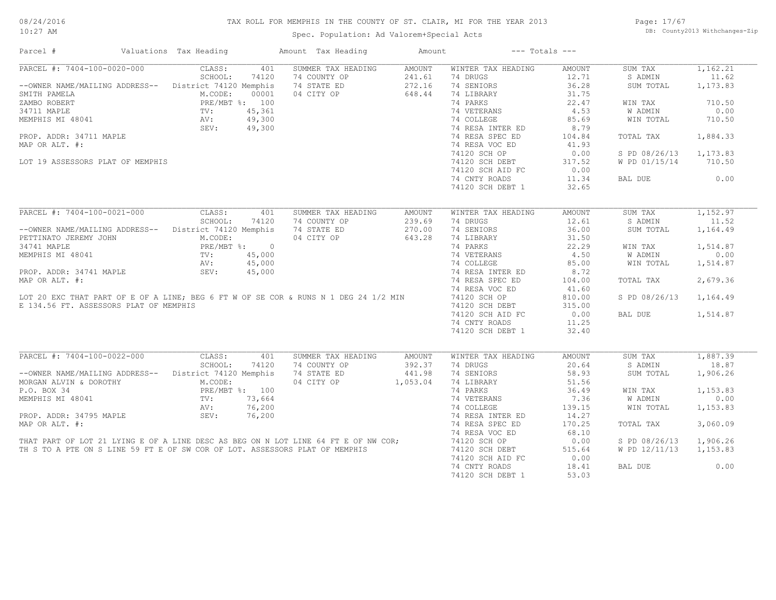#### TAX ROLL FOR MEMPHIS IN THE COUNTY OF ST. CLAIR, MI FOR THE YEAR 2013

Spec. Population: Ad Valorem+Special Acts

Page: 17/67 DB: County2013 Withchanges-Zip

| CLASS:<br>401<br>SUMMER TAX HEADING<br><b>AMOUNT</b><br>WINTER TAX HEADING<br>1,162.21<br><b>AMOUNT</b><br>SUM TAX<br>SCHOOL:<br>74 DRUGS<br>11.62<br>74120<br>74 COUNTY OP<br>241.61<br>12.71<br>S ADMIN<br>--OWNER NAME/MAILING ADDRESS-- District 74120 Memphis<br>74 STATE ED<br>272.16<br>74 SENIORS<br>36.28<br>1,173.83<br>SUM TOTAL<br>04 CITY OP<br>648.44<br>74 LIBRARY<br>31.75<br>M.CODE:<br>00001<br>PRE/MBT %: 100<br>74 PARKS<br>22.47<br>710.50<br>WIN TAX<br>45,361<br>74 VETERANS<br>4.53<br><b>W ADMIN</b><br>0.00<br>TV:<br>49,300<br>AV:<br>74 COLLEGE<br>85.69<br>WIN TOTAL<br>710.50<br>SEV:<br>49,300<br>74 RESA INTER ED<br>8.79<br>PROP. ADDR: 34711 MAPLE<br>74 RESA SPEC ED<br>104.84<br>TOTAL TAX<br>1,884.33<br>74 RESA VOC ED<br>41.93<br>1,173.83<br>74120 SCH OP<br>0.00<br>S PD 08/26/13<br>317.52<br>710.50<br>LOT 19 ASSESSORS PLAT OF MEMPHIS<br>74120 SCH DEBT<br>W PD 01/15/14<br>0.00<br>74120 SCH AID FC<br>74 CNTY ROADS<br>11.34<br>BAL DUE<br>0.00<br>74120 SCH DEBT 1<br>32.65<br>PARCEL #: 7404-100-0021-000<br>CLASS:<br>1,152.97<br>401<br>SUMMER TAX HEADING<br>WINTER TAX HEADING<br><b>AMOUNT</b><br>SUM TAX<br><b>AMOUNT</b><br>239.69<br>12.61<br>11.52<br>SCHOOL:<br>74120<br>74 COUNTY OP<br>74 DRUGS<br>S ADMIN<br>36.00<br>--OWNER NAME/MAILING ADDRESS-- District 74120 Memphis<br>74 STATE ED<br>270.00<br>74 SENIORS<br>1,164.49<br>SUM TOTAL<br>643.28<br>74 LIBRARY<br>31.50<br>PETTINATO JEREMY JOHN<br>M.CODE:<br>04 CITY OP<br>PRE/MBT %: 0<br>74 PARKS<br>22.29<br>1,514.87<br>34741 MAPLE<br>WIN TAX<br>74 VETERANS<br>4.50<br>0.00<br>MEMPHIS MI 48041<br>TV:<br>45,000<br>W ADMIN<br>AV:<br>45,000<br>74 COLLEGE<br>85.00<br>WIN TOTAL<br>1,514.87<br>8.72<br>PROP. ADDR: 34741 MAPLE<br>SEV:<br>45,000<br>74 RESA INTER ED<br>MAP OR ALT. #:<br>2,679.36<br>74 RESA SPEC ED<br>104.00<br>TOTAL TAX<br>74 RESA VOC ED<br>41.60<br>LOT 20 EXC THAT PART OF E OF A LINE; BEG 6 FT W OF SE COR & RUNS N 1 DEG 24 1/2 MIN<br>74120 SCH OP<br>810.00<br>S PD 08/26/13<br>1,164.49<br>E 134.56 FT. ASSESSORS PLAT OF MEMPHIS<br>315.00<br>74120 SCH DEBT<br>1,514.87<br>74120 SCH AID FC<br>0.00<br>BAL DUE<br>74 CNTY ROADS<br>11.25<br>74120 SCH DEBT 1<br>32.40<br>CLASS:<br>401<br>SUMMER TAX HEADING<br>1,887.39<br><b>AMOUNT</b><br>WINTER TAX HEADING<br><b>AMOUNT</b><br>SUM TAX<br>18.87<br>SCHOOL:<br>74120<br>74 COUNTY OP<br>392.37<br>74 DRUGS<br>20.64<br>S ADMIN<br>-- OWNER NAME/MAILING ADDRESS-- District 74120 Memphis<br>74 STATE ED<br>74 SENIORS<br>58.93<br>1,906.26<br>441.98<br>SUM TOTAL<br>M.CODE:<br>04 CITY OP<br>1,053.04<br>74 LIBRARY<br>51.56<br>MORGAN ALVIN & DOROTHY<br>1,153.83<br>P.O. BOX 34<br>PRE/MBT %: 100<br>74 PARKS<br>36.49<br>WIN TAX<br>73,664<br>7.36<br>W ADMIN<br>0.00<br>MEMPHIS MI 48041<br>TV:<br>74 VETERANS<br>76,200<br>74 COLLEGE<br>139.15<br>WIN TOTAL<br>1,153.83<br>AV:<br>PROP. ADDR: 34795 MAPLE<br>SEV:<br>76,200<br>74 RESA INTER ED<br>14.27<br>170.25<br>3,060.09<br>74 RESA SPEC ED<br>TOTAL TAX<br>74 RESA VOC ED<br>68.10<br>THAT PART OF LOT 21 LYING E OF A LINE DESC AS BEG ON N LOT LINE 64 FT E OF NW COR;<br>TH S TO A PTE ON S LINE 59 FT E OF SW COR OF LOT. ASSESSORS PLAT OF MEMPHIS<br>74120 SCH OP<br>0.00<br>1,906.26<br>S PD 08/26/13<br>74120 SCH DEBT<br>515.64<br>W PD 12/11/13<br>1,153.83<br>74120 SCH AID FC<br>0.00<br>74 CNTY ROADS<br>18.41<br>BAL DUE<br>0.00<br>74120 SCH DEBT 1<br>53.03 | Parcel #                    | Valuations Tax Heading | Amount Tax Heading | Amount | $---$ Totals $---$ |  |  |
|-----------------------------------------------------------------------------------------------------------------------------------------------------------------------------------------------------------------------------------------------------------------------------------------------------------------------------------------------------------------------------------------------------------------------------------------------------------------------------------------------------------------------------------------------------------------------------------------------------------------------------------------------------------------------------------------------------------------------------------------------------------------------------------------------------------------------------------------------------------------------------------------------------------------------------------------------------------------------------------------------------------------------------------------------------------------------------------------------------------------------------------------------------------------------------------------------------------------------------------------------------------------------------------------------------------------------------------------------------------------------------------------------------------------------------------------------------------------------------------------------------------------------------------------------------------------------------------------------------------------------------------------------------------------------------------------------------------------------------------------------------------------------------------------------------------------------------------------------------------------------------------------------------------------------------------------------------------------------------------------------------------------------------------------------------------------------------------------------------------------------------------------------------------------------------------------------------------------------------------------------------------------------------------------------------------------------------------------------------------------------------------------------------------------------------------------------------------------------------------------------------------------------------------------------------------------------------------------------------------------------------------------------------------------------------------------------------------------------------------------------------------------------------------------------------------------------------------------------------------------------------------------------------------------------------------------------------------------------------------------------------------------------------------------------------------------------------------------------------------------------------------------------------------------------------------------------------------------------------------------------------------------------------------------------------------------------------------------------------------------------------------------------------------------------------------------------------------|-----------------------------|------------------------|--------------------|--------|--------------------|--|--|
|                                                                                                                                                                                                                                                                                                                                                                                                                                                                                                                                                                                                                                                                                                                                                                                                                                                                                                                                                                                                                                                                                                                                                                                                                                                                                                                                                                                                                                                                                                                                                                                                                                                                                                                                                                                                                                                                                                                                                                                                                                                                                                                                                                                                                                                                                                                                                                                                                                                                                                                                                                                                                                                                                                                                                                                                                                                                                                                                                                                                                                                                                                                                                                                                                                                                                                                                                                                                                                                           | PARCEL #: 7404-100-0020-000 |                        |                    |        |                    |  |  |
|                                                                                                                                                                                                                                                                                                                                                                                                                                                                                                                                                                                                                                                                                                                                                                                                                                                                                                                                                                                                                                                                                                                                                                                                                                                                                                                                                                                                                                                                                                                                                                                                                                                                                                                                                                                                                                                                                                                                                                                                                                                                                                                                                                                                                                                                                                                                                                                                                                                                                                                                                                                                                                                                                                                                                                                                                                                                                                                                                                                                                                                                                                                                                                                                                                                                                                                                                                                                                                                           |                             |                        |                    |        |                    |  |  |
|                                                                                                                                                                                                                                                                                                                                                                                                                                                                                                                                                                                                                                                                                                                                                                                                                                                                                                                                                                                                                                                                                                                                                                                                                                                                                                                                                                                                                                                                                                                                                                                                                                                                                                                                                                                                                                                                                                                                                                                                                                                                                                                                                                                                                                                                                                                                                                                                                                                                                                                                                                                                                                                                                                                                                                                                                                                                                                                                                                                                                                                                                                                                                                                                                                                                                                                                                                                                                                                           |                             |                        |                    |        |                    |  |  |
|                                                                                                                                                                                                                                                                                                                                                                                                                                                                                                                                                                                                                                                                                                                                                                                                                                                                                                                                                                                                                                                                                                                                                                                                                                                                                                                                                                                                                                                                                                                                                                                                                                                                                                                                                                                                                                                                                                                                                                                                                                                                                                                                                                                                                                                                                                                                                                                                                                                                                                                                                                                                                                                                                                                                                                                                                                                                                                                                                                                                                                                                                                                                                                                                                                                                                                                                                                                                                                                           | SMITH PAMELA                |                        |                    |        |                    |  |  |
|                                                                                                                                                                                                                                                                                                                                                                                                                                                                                                                                                                                                                                                                                                                                                                                                                                                                                                                                                                                                                                                                                                                                                                                                                                                                                                                                                                                                                                                                                                                                                                                                                                                                                                                                                                                                                                                                                                                                                                                                                                                                                                                                                                                                                                                                                                                                                                                                                                                                                                                                                                                                                                                                                                                                                                                                                                                                                                                                                                                                                                                                                                                                                                                                                                                                                                                                                                                                                                                           | ZAMBO ROBERT                |                        |                    |        |                    |  |  |
|                                                                                                                                                                                                                                                                                                                                                                                                                                                                                                                                                                                                                                                                                                                                                                                                                                                                                                                                                                                                                                                                                                                                                                                                                                                                                                                                                                                                                                                                                                                                                                                                                                                                                                                                                                                                                                                                                                                                                                                                                                                                                                                                                                                                                                                                                                                                                                                                                                                                                                                                                                                                                                                                                                                                                                                                                                                                                                                                                                                                                                                                                                                                                                                                                                                                                                                                                                                                                                                           | 34711 MAPLE                 |                        |                    |        |                    |  |  |
|                                                                                                                                                                                                                                                                                                                                                                                                                                                                                                                                                                                                                                                                                                                                                                                                                                                                                                                                                                                                                                                                                                                                                                                                                                                                                                                                                                                                                                                                                                                                                                                                                                                                                                                                                                                                                                                                                                                                                                                                                                                                                                                                                                                                                                                                                                                                                                                                                                                                                                                                                                                                                                                                                                                                                                                                                                                                                                                                                                                                                                                                                                                                                                                                                                                                                                                                                                                                                                                           | MEMPHIS MI 48041            |                        |                    |        |                    |  |  |
|                                                                                                                                                                                                                                                                                                                                                                                                                                                                                                                                                                                                                                                                                                                                                                                                                                                                                                                                                                                                                                                                                                                                                                                                                                                                                                                                                                                                                                                                                                                                                                                                                                                                                                                                                                                                                                                                                                                                                                                                                                                                                                                                                                                                                                                                                                                                                                                                                                                                                                                                                                                                                                                                                                                                                                                                                                                                                                                                                                                                                                                                                                                                                                                                                                                                                                                                                                                                                                                           |                             |                        |                    |        |                    |  |  |
|                                                                                                                                                                                                                                                                                                                                                                                                                                                                                                                                                                                                                                                                                                                                                                                                                                                                                                                                                                                                                                                                                                                                                                                                                                                                                                                                                                                                                                                                                                                                                                                                                                                                                                                                                                                                                                                                                                                                                                                                                                                                                                                                                                                                                                                                                                                                                                                                                                                                                                                                                                                                                                                                                                                                                                                                                                                                                                                                                                                                                                                                                                                                                                                                                                                                                                                                                                                                                                                           |                             |                        |                    |        |                    |  |  |
|                                                                                                                                                                                                                                                                                                                                                                                                                                                                                                                                                                                                                                                                                                                                                                                                                                                                                                                                                                                                                                                                                                                                                                                                                                                                                                                                                                                                                                                                                                                                                                                                                                                                                                                                                                                                                                                                                                                                                                                                                                                                                                                                                                                                                                                                                                                                                                                                                                                                                                                                                                                                                                                                                                                                                                                                                                                                                                                                                                                                                                                                                                                                                                                                                                                                                                                                                                                                                                                           | MAP OR ALT. #:              |                        |                    |        |                    |  |  |
|                                                                                                                                                                                                                                                                                                                                                                                                                                                                                                                                                                                                                                                                                                                                                                                                                                                                                                                                                                                                                                                                                                                                                                                                                                                                                                                                                                                                                                                                                                                                                                                                                                                                                                                                                                                                                                                                                                                                                                                                                                                                                                                                                                                                                                                                                                                                                                                                                                                                                                                                                                                                                                                                                                                                                                                                                                                                                                                                                                                                                                                                                                                                                                                                                                                                                                                                                                                                                                                           |                             |                        |                    |        |                    |  |  |
|                                                                                                                                                                                                                                                                                                                                                                                                                                                                                                                                                                                                                                                                                                                                                                                                                                                                                                                                                                                                                                                                                                                                                                                                                                                                                                                                                                                                                                                                                                                                                                                                                                                                                                                                                                                                                                                                                                                                                                                                                                                                                                                                                                                                                                                                                                                                                                                                                                                                                                                                                                                                                                                                                                                                                                                                                                                                                                                                                                                                                                                                                                                                                                                                                                                                                                                                                                                                                                                           |                             |                        |                    |        |                    |  |  |
|                                                                                                                                                                                                                                                                                                                                                                                                                                                                                                                                                                                                                                                                                                                                                                                                                                                                                                                                                                                                                                                                                                                                                                                                                                                                                                                                                                                                                                                                                                                                                                                                                                                                                                                                                                                                                                                                                                                                                                                                                                                                                                                                                                                                                                                                                                                                                                                                                                                                                                                                                                                                                                                                                                                                                                                                                                                                                                                                                                                                                                                                                                                                                                                                                                                                                                                                                                                                                                                           |                             |                        |                    |        |                    |  |  |
|                                                                                                                                                                                                                                                                                                                                                                                                                                                                                                                                                                                                                                                                                                                                                                                                                                                                                                                                                                                                                                                                                                                                                                                                                                                                                                                                                                                                                                                                                                                                                                                                                                                                                                                                                                                                                                                                                                                                                                                                                                                                                                                                                                                                                                                                                                                                                                                                                                                                                                                                                                                                                                                                                                                                                                                                                                                                                                                                                                                                                                                                                                                                                                                                                                                                                                                                                                                                                                                           |                             |                        |                    |        |                    |  |  |
|                                                                                                                                                                                                                                                                                                                                                                                                                                                                                                                                                                                                                                                                                                                                                                                                                                                                                                                                                                                                                                                                                                                                                                                                                                                                                                                                                                                                                                                                                                                                                                                                                                                                                                                                                                                                                                                                                                                                                                                                                                                                                                                                                                                                                                                                                                                                                                                                                                                                                                                                                                                                                                                                                                                                                                                                                                                                                                                                                                                                                                                                                                                                                                                                                                                                                                                                                                                                                                                           |                             |                        |                    |        |                    |  |  |
|                                                                                                                                                                                                                                                                                                                                                                                                                                                                                                                                                                                                                                                                                                                                                                                                                                                                                                                                                                                                                                                                                                                                                                                                                                                                                                                                                                                                                                                                                                                                                                                                                                                                                                                                                                                                                                                                                                                                                                                                                                                                                                                                                                                                                                                                                                                                                                                                                                                                                                                                                                                                                                                                                                                                                                                                                                                                                                                                                                                                                                                                                                                                                                                                                                                                                                                                                                                                                                                           |                             |                        |                    |        |                    |  |  |
|                                                                                                                                                                                                                                                                                                                                                                                                                                                                                                                                                                                                                                                                                                                                                                                                                                                                                                                                                                                                                                                                                                                                                                                                                                                                                                                                                                                                                                                                                                                                                                                                                                                                                                                                                                                                                                                                                                                                                                                                                                                                                                                                                                                                                                                                                                                                                                                                                                                                                                                                                                                                                                                                                                                                                                                                                                                                                                                                                                                                                                                                                                                                                                                                                                                                                                                                                                                                                                                           |                             |                        |                    |        |                    |  |  |
|                                                                                                                                                                                                                                                                                                                                                                                                                                                                                                                                                                                                                                                                                                                                                                                                                                                                                                                                                                                                                                                                                                                                                                                                                                                                                                                                                                                                                                                                                                                                                                                                                                                                                                                                                                                                                                                                                                                                                                                                                                                                                                                                                                                                                                                                                                                                                                                                                                                                                                                                                                                                                                                                                                                                                                                                                                                                                                                                                                                                                                                                                                                                                                                                                                                                                                                                                                                                                                                           |                             |                        |                    |        |                    |  |  |
|                                                                                                                                                                                                                                                                                                                                                                                                                                                                                                                                                                                                                                                                                                                                                                                                                                                                                                                                                                                                                                                                                                                                                                                                                                                                                                                                                                                                                                                                                                                                                                                                                                                                                                                                                                                                                                                                                                                                                                                                                                                                                                                                                                                                                                                                                                                                                                                                                                                                                                                                                                                                                                                                                                                                                                                                                                                                                                                                                                                                                                                                                                                                                                                                                                                                                                                                                                                                                                                           |                             |                        |                    |        |                    |  |  |
|                                                                                                                                                                                                                                                                                                                                                                                                                                                                                                                                                                                                                                                                                                                                                                                                                                                                                                                                                                                                                                                                                                                                                                                                                                                                                                                                                                                                                                                                                                                                                                                                                                                                                                                                                                                                                                                                                                                                                                                                                                                                                                                                                                                                                                                                                                                                                                                                                                                                                                                                                                                                                                                                                                                                                                                                                                                                                                                                                                                                                                                                                                                                                                                                                                                                                                                                                                                                                                                           |                             |                        |                    |        |                    |  |  |
|                                                                                                                                                                                                                                                                                                                                                                                                                                                                                                                                                                                                                                                                                                                                                                                                                                                                                                                                                                                                                                                                                                                                                                                                                                                                                                                                                                                                                                                                                                                                                                                                                                                                                                                                                                                                                                                                                                                                                                                                                                                                                                                                                                                                                                                                                                                                                                                                                                                                                                                                                                                                                                                                                                                                                                                                                                                                                                                                                                                                                                                                                                                                                                                                                                                                                                                                                                                                                                                           |                             |                        |                    |        |                    |  |  |
|                                                                                                                                                                                                                                                                                                                                                                                                                                                                                                                                                                                                                                                                                                                                                                                                                                                                                                                                                                                                                                                                                                                                                                                                                                                                                                                                                                                                                                                                                                                                                                                                                                                                                                                                                                                                                                                                                                                                                                                                                                                                                                                                                                                                                                                                                                                                                                                                                                                                                                                                                                                                                                                                                                                                                                                                                                                                                                                                                                                                                                                                                                                                                                                                                                                                                                                                                                                                                                                           |                             |                        |                    |        |                    |  |  |
|                                                                                                                                                                                                                                                                                                                                                                                                                                                                                                                                                                                                                                                                                                                                                                                                                                                                                                                                                                                                                                                                                                                                                                                                                                                                                                                                                                                                                                                                                                                                                                                                                                                                                                                                                                                                                                                                                                                                                                                                                                                                                                                                                                                                                                                                                                                                                                                                                                                                                                                                                                                                                                                                                                                                                                                                                                                                                                                                                                                                                                                                                                                                                                                                                                                                                                                                                                                                                                                           |                             |                        |                    |        |                    |  |  |
|                                                                                                                                                                                                                                                                                                                                                                                                                                                                                                                                                                                                                                                                                                                                                                                                                                                                                                                                                                                                                                                                                                                                                                                                                                                                                                                                                                                                                                                                                                                                                                                                                                                                                                                                                                                                                                                                                                                                                                                                                                                                                                                                                                                                                                                                                                                                                                                                                                                                                                                                                                                                                                                                                                                                                                                                                                                                                                                                                                                                                                                                                                                                                                                                                                                                                                                                                                                                                                                           |                             |                        |                    |        |                    |  |  |
|                                                                                                                                                                                                                                                                                                                                                                                                                                                                                                                                                                                                                                                                                                                                                                                                                                                                                                                                                                                                                                                                                                                                                                                                                                                                                                                                                                                                                                                                                                                                                                                                                                                                                                                                                                                                                                                                                                                                                                                                                                                                                                                                                                                                                                                                                                                                                                                                                                                                                                                                                                                                                                                                                                                                                                                                                                                                                                                                                                                                                                                                                                                                                                                                                                                                                                                                                                                                                                                           |                             |                        |                    |        |                    |  |  |
|                                                                                                                                                                                                                                                                                                                                                                                                                                                                                                                                                                                                                                                                                                                                                                                                                                                                                                                                                                                                                                                                                                                                                                                                                                                                                                                                                                                                                                                                                                                                                                                                                                                                                                                                                                                                                                                                                                                                                                                                                                                                                                                                                                                                                                                                                                                                                                                                                                                                                                                                                                                                                                                                                                                                                                                                                                                                                                                                                                                                                                                                                                                                                                                                                                                                                                                                                                                                                                                           |                             |                        |                    |        |                    |  |  |
|                                                                                                                                                                                                                                                                                                                                                                                                                                                                                                                                                                                                                                                                                                                                                                                                                                                                                                                                                                                                                                                                                                                                                                                                                                                                                                                                                                                                                                                                                                                                                                                                                                                                                                                                                                                                                                                                                                                                                                                                                                                                                                                                                                                                                                                                                                                                                                                                                                                                                                                                                                                                                                                                                                                                                                                                                                                                                                                                                                                                                                                                                                                                                                                                                                                                                                                                                                                                                                                           |                             |                        |                    |        |                    |  |  |
|                                                                                                                                                                                                                                                                                                                                                                                                                                                                                                                                                                                                                                                                                                                                                                                                                                                                                                                                                                                                                                                                                                                                                                                                                                                                                                                                                                                                                                                                                                                                                                                                                                                                                                                                                                                                                                                                                                                                                                                                                                                                                                                                                                                                                                                                                                                                                                                                                                                                                                                                                                                                                                                                                                                                                                                                                                                                                                                                                                                                                                                                                                                                                                                                                                                                                                                                                                                                                                                           |                             |                        |                    |        |                    |  |  |
|                                                                                                                                                                                                                                                                                                                                                                                                                                                                                                                                                                                                                                                                                                                                                                                                                                                                                                                                                                                                                                                                                                                                                                                                                                                                                                                                                                                                                                                                                                                                                                                                                                                                                                                                                                                                                                                                                                                                                                                                                                                                                                                                                                                                                                                                                                                                                                                                                                                                                                                                                                                                                                                                                                                                                                                                                                                                                                                                                                                                                                                                                                                                                                                                                                                                                                                                                                                                                                                           |                             |                        |                    |        |                    |  |  |
|                                                                                                                                                                                                                                                                                                                                                                                                                                                                                                                                                                                                                                                                                                                                                                                                                                                                                                                                                                                                                                                                                                                                                                                                                                                                                                                                                                                                                                                                                                                                                                                                                                                                                                                                                                                                                                                                                                                                                                                                                                                                                                                                                                                                                                                                                                                                                                                                                                                                                                                                                                                                                                                                                                                                                                                                                                                                                                                                                                                                                                                                                                                                                                                                                                                                                                                                                                                                                                                           |                             |                        |                    |        |                    |  |  |
|                                                                                                                                                                                                                                                                                                                                                                                                                                                                                                                                                                                                                                                                                                                                                                                                                                                                                                                                                                                                                                                                                                                                                                                                                                                                                                                                                                                                                                                                                                                                                                                                                                                                                                                                                                                                                                                                                                                                                                                                                                                                                                                                                                                                                                                                                                                                                                                                                                                                                                                                                                                                                                                                                                                                                                                                                                                                                                                                                                                                                                                                                                                                                                                                                                                                                                                                                                                                                                                           |                             |                        |                    |        |                    |  |  |
|                                                                                                                                                                                                                                                                                                                                                                                                                                                                                                                                                                                                                                                                                                                                                                                                                                                                                                                                                                                                                                                                                                                                                                                                                                                                                                                                                                                                                                                                                                                                                                                                                                                                                                                                                                                                                                                                                                                                                                                                                                                                                                                                                                                                                                                                                                                                                                                                                                                                                                                                                                                                                                                                                                                                                                                                                                                                                                                                                                                                                                                                                                                                                                                                                                                                                                                                                                                                                                                           |                             |                        |                    |        |                    |  |  |
|                                                                                                                                                                                                                                                                                                                                                                                                                                                                                                                                                                                                                                                                                                                                                                                                                                                                                                                                                                                                                                                                                                                                                                                                                                                                                                                                                                                                                                                                                                                                                                                                                                                                                                                                                                                                                                                                                                                                                                                                                                                                                                                                                                                                                                                                                                                                                                                                                                                                                                                                                                                                                                                                                                                                                                                                                                                                                                                                                                                                                                                                                                                                                                                                                                                                                                                                                                                                                                                           |                             |                        |                    |        |                    |  |  |
|                                                                                                                                                                                                                                                                                                                                                                                                                                                                                                                                                                                                                                                                                                                                                                                                                                                                                                                                                                                                                                                                                                                                                                                                                                                                                                                                                                                                                                                                                                                                                                                                                                                                                                                                                                                                                                                                                                                                                                                                                                                                                                                                                                                                                                                                                                                                                                                                                                                                                                                                                                                                                                                                                                                                                                                                                                                                                                                                                                                                                                                                                                                                                                                                                                                                                                                                                                                                                                                           | PARCEL #: 7404-100-0022-000 |                        |                    |        |                    |  |  |
|                                                                                                                                                                                                                                                                                                                                                                                                                                                                                                                                                                                                                                                                                                                                                                                                                                                                                                                                                                                                                                                                                                                                                                                                                                                                                                                                                                                                                                                                                                                                                                                                                                                                                                                                                                                                                                                                                                                                                                                                                                                                                                                                                                                                                                                                                                                                                                                                                                                                                                                                                                                                                                                                                                                                                                                                                                                                                                                                                                                                                                                                                                                                                                                                                                                                                                                                                                                                                                                           |                             |                        |                    |        |                    |  |  |
|                                                                                                                                                                                                                                                                                                                                                                                                                                                                                                                                                                                                                                                                                                                                                                                                                                                                                                                                                                                                                                                                                                                                                                                                                                                                                                                                                                                                                                                                                                                                                                                                                                                                                                                                                                                                                                                                                                                                                                                                                                                                                                                                                                                                                                                                                                                                                                                                                                                                                                                                                                                                                                                                                                                                                                                                                                                                                                                                                                                                                                                                                                                                                                                                                                                                                                                                                                                                                                                           |                             |                        |                    |        |                    |  |  |
|                                                                                                                                                                                                                                                                                                                                                                                                                                                                                                                                                                                                                                                                                                                                                                                                                                                                                                                                                                                                                                                                                                                                                                                                                                                                                                                                                                                                                                                                                                                                                                                                                                                                                                                                                                                                                                                                                                                                                                                                                                                                                                                                                                                                                                                                                                                                                                                                                                                                                                                                                                                                                                                                                                                                                                                                                                                                                                                                                                                                                                                                                                                                                                                                                                                                                                                                                                                                                                                           |                             |                        |                    |        |                    |  |  |
|                                                                                                                                                                                                                                                                                                                                                                                                                                                                                                                                                                                                                                                                                                                                                                                                                                                                                                                                                                                                                                                                                                                                                                                                                                                                                                                                                                                                                                                                                                                                                                                                                                                                                                                                                                                                                                                                                                                                                                                                                                                                                                                                                                                                                                                                                                                                                                                                                                                                                                                                                                                                                                                                                                                                                                                                                                                                                                                                                                                                                                                                                                                                                                                                                                                                                                                                                                                                                                                           |                             |                        |                    |        |                    |  |  |
|                                                                                                                                                                                                                                                                                                                                                                                                                                                                                                                                                                                                                                                                                                                                                                                                                                                                                                                                                                                                                                                                                                                                                                                                                                                                                                                                                                                                                                                                                                                                                                                                                                                                                                                                                                                                                                                                                                                                                                                                                                                                                                                                                                                                                                                                                                                                                                                                                                                                                                                                                                                                                                                                                                                                                                                                                                                                                                                                                                                                                                                                                                                                                                                                                                                                                                                                                                                                                                                           |                             |                        |                    |        |                    |  |  |
|                                                                                                                                                                                                                                                                                                                                                                                                                                                                                                                                                                                                                                                                                                                                                                                                                                                                                                                                                                                                                                                                                                                                                                                                                                                                                                                                                                                                                                                                                                                                                                                                                                                                                                                                                                                                                                                                                                                                                                                                                                                                                                                                                                                                                                                                                                                                                                                                                                                                                                                                                                                                                                                                                                                                                                                                                                                                                                                                                                                                                                                                                                                                                                                                                                                                                                                                                                                                                                                           |                             |                        |                    |        |                    |  |  |
|                                                                                                                                                                                                                                                                                                                                                                                                                                                                                                                                                                                                                                                                                                                                                                                                                                                                                                                                                                                                                                                                                                                                                                                                                                                                                                                                                                                                                                                                                                                                                                                                                                                                                                                                                                                                                                                                                                                                                                                                                                                                                                                                                                                                                                                                                                                                                                                                                                                                                                                                                                                                                                                                                                                                                                                                                                                                                                                                                                                                                                                                                                                                                                                                                                                                                                                                                                                                                                                           |                             |                        |                    |        |                    |  |  |
|                                                                                                                                                                                                                                                                                                                                                                                                                                                                                                                                                                                                                                                                                                                                                                                                                                                                                                                                                                                                                                                                                                                                                                                                                                                                                                                                                                                                                                                                                                                                                                                                                                                                                                                                                                                                                                                                                                                                                                                                                                                                                                                                                                                                                                                                                                                                                                                                                                                                                                                                                                                                                                                                                                                                                                                                                                                                                                                                                                                                                                                                                                                                                                                                                                                                                                                                                                                                                                                           | MAP OR ALT. #:              |                        |                    |        |                    |  |  |
|                                                                                                                                                                                                                                                                                                                                                                                                                                                                                                                                                                                                                                                                                                                                                                                                                                                                                                                                                                                                                                                                                                                                                                                                                                                                                                                                                                                                                                                                                                                                                                                                                                                                                                                                                                                                                                                                                                                                                                                                                                                                                                                                                                                                                                                                                                                                                                                                                                                                                                                                                                                                                                                                                                                                                                                                                                                                                                                                                                                                                                                                                                                                                                                                                                                                                                                                                                                                                                                           |                             |                        |                    |        |                    |  |  |
|                                                                                                                                                                                                                                                                                                                                                                                                                                                                                                                                                                                                                                                                                                                                                                                                                                                                                                                                                                                                                                                                                                                                                                                                                                                                                                                                                                                                                                                                                                                                                                                                                                                                                                                                                                                                                                                                                                                                                                                                                                                                                                                                                                                                                                                                                                                                                                                                                                                                                                                                                                                                                                                                                                                                                                                                                                                                                                                                                                                                                                                                                                                                                                                                                                                                                                                                                                                                                                                           |                             |                        |                    |        |                    |  |  |
|                                                                                                                                                                                                                                                                                                                                                                                                                                                                                                                                                                                                                                                                                                                                                                                                                                                                                                                                                                                                                                                                                                                                                                                                                                                                                                                                                                                                                                                                                                                                                                                                                                                                                                                                                                                                                                                                                                                                                                                                                                                                                                                                                                                                                                                                                                                                                                                                                                                                                                                                                                                                                                                                                                                                                                                                                                                                                                                                                                                                                                                                                                                                                                                                                                                                                                                                                                                                                                                           |                             |                        |                    |        |                    |  |  |
|                                                                                                                                                                                                                                                                                                                                                                                                                                                                                                                                                                                                                                                                                                                                                                                                                                                                                                                                                                                                                                                                                                                                                                                                                                                                                                                                                                                                                                                                                                                                                                                                                                                                                                                                                                                                                                                                                                                                                                                                                                                                                                                                                                                                                                                                                                                                                                                                                                                                                                                                                                                                                                                                                                                                                                                                                                                                                                                                                                                                                                                                                                                                                                                                                                                                                                                                                                                                                                                           |                             |                        |                    |        |                    |  |  |
|                                                                                                                                                                                                                                                                                                                                                                                                                                                                                                                                                                                                                                                                                                                                                                                                                                                                                                                                                                                                                                                                                                                                                                                                                                                                                                                                                                                                                                                                                                                                                                                                                                                                                                                                                                                                                                                                                                                                                                                                                                                                                                                                                                                                                                                                                                                                                                                                                                                                                                                                                                                                                                                                                                                                                                                                                                                                                                                                                                                                                                                                                                                                                                                                                                                                                                                                                                                                                                                           |                             |                        |                    |        |                    |  |  |
|                                                                                                                                                                                                                                                                                                                                                                                                                                                                                                                                                                                                                                                                                                                                                                                                                                                                                                                                                                                                                                                                                                                                                                                                                                                                                                                                                                                                                                                                                                                                                                                                                                                                                                                                                                                                                                                                                                                                                                                                                                                                                                                                                                                                                                                                                                                                                                                                                                                                                                                                                                                                                                                                                                                                                                                                                                                                                                                                                                                                                                                                                                                                                                                                                                                                                                                                                                                                                                                           |                             |                        |                    |        |                    |  |  |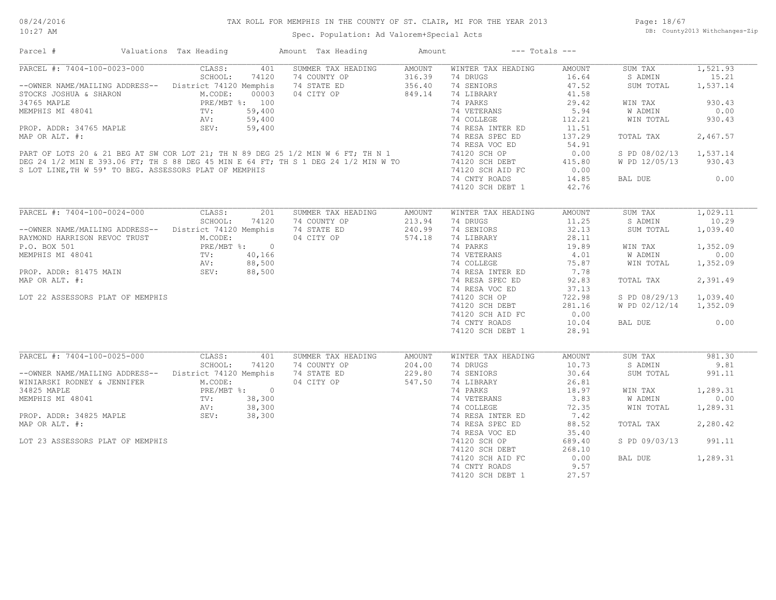#### TAX ROLL FOR MEMPHIS IN THE COUNTY OF ST. CLAIR, MI FOR THE YEAR 2013

10:27 AM

#### Spec. Population: Ad Valorem+Special Acts

Page: 18/67 DB: County2013 Withchanges-Zip

| Parcel #                                                                                                                                                               | Valuations Tax Heading    | Amount Tax Heading        | Amount        | $---$ Totals $---$ |               |               |          |
|------------------------------------------------------------------------------------------------------------------------------------------------------------------------|---------------------------|---------------------------|---------------|--------------------|---------------|---------------|----------|
| PARCEL #: 7404-100-0023-000                                                                                                                                            | CLASS:                    | 401<br>SUMMER TAX HEADING | AMOUNT        | WINTER TAX HEADING | AMOUNT        | SUM TAX       | 1,521.93 |
|                                                                                                                                                                        | SCHOOL:<br>74120          | 74 COUNTY OP              | 316.39        | 74 DRUGS           | 16.64         | S ADMIN       | 15.21    |
| --OWNER NAME/MAILING ADDRESS-- District 74120 Memphis                                                                                                                  |                           | 74 STATE ED               | 356.40        | 74 SENIORS         | 47.52         | SUM TOTAL     | 1,537.14 |
| STOCKS JOSHUA & SHARON                                                                                                                                                 | M.CODE:<br>00003          | 04 CITY OP                | 849.14        | 74 LIBRARY         | 41.58         |               |          |
| 34765 MAPLE                                                                                                                                                            | PRE/MBT %: 100            |                           |               | 74 PARKS           | 29.42         | WIN TAX       | 930.43   |
| MEMPHIS MI 48041                                                                                                                                                       | 59,400<br>$\texttt{TV}$ : |                           |               | 74 VETERANS        | 5.94          | W ADMIN       | 0.00     |
|                                                                                                                                                                        | 59,400<br>AV:             |                           |               | 74 COLLEGE         | 112.21        | WIN TOTAL     | 930.43   |
| PROP. ADDR: 34765 MAPLE                                                                                                                                                | SEV:<br>59,400            |                           |               | 74 RESA INTER ED   | 11.51         |               |          |
| MAP OR ALT. #:                                                                                                                                                         |                           |                           |               | 74 RESA SPEC ED    | 137.29        | TOTAL TAX     | 2,467.57 |
|                                                                                                                                                                        |                           |                           |               | 74 RESA VOC ED     | 54.91         |               |          |
| PART OF LOTS 20 & 21 BEG AT SW COR LOT 21; TH N 89 DEG 25 1/2 MIN W 6 FT; TH N 1<br>DEG 24 1/2 MIN E 393.06 FT; TH S 88 DEG 45 MIN E 64 FT; TH S 1 DEG 24 1/2 MIN W TO |                           |                           |               | 74120 SCH OP       | 0.00          | S PD 08/02/13 | 1,537.14 |
|                                                                                                                                                                        |                           |                           |               | 74120 SCH DEBT     | 415.80        | W PD 12/05/13 | 930.43   |
|                                                                                                                                                                        |                           |                           |               | 74120 SCH AID FC   | 0.00          |               |          |
| S LOT LINE, TH W 59' TO BEG. ASSESSORS PLAT OF MEMPHIS                                                                                                                 |                           |                           |               |                    |               |               | 0.00     |
|                                                                                                                                                                        |                           |                           |               | 74 CNTY ROADS      | 14.85         | BAL DUE       |          |
|                                                                                                                                                                        |                           |                           |               | 74120 SCH DEBT 1   | 42.76         |               |          |
|                                                                                                                                                                        |                           |                           |               |                    |               |               |          |
| PARCEL #: 7404-100-0024-000                                                                                                                                            | CLASS:                    | 201<br>SUMMER TAX HEADING | <b>AMOUNT</b> | WINTER TAX HEADING | <b>AMOUNT</b> | SUM TAX       | 1,029.11 |
|                                                                                                                                                                        | SCHOOL:<br>74120          | 74 COUNTY OP              | 213.94        | 74 DRUGS           | 11.25         | S ADMIN       | 10.29    |
| --OWNER NAME/MAILING ADDRESS-- District 74120 Memphis                                                                                                                  |                           | 74 STATE ED               | 240.99        | 74 SENIORS         | 32.13         | SUM TOTAL     | 1,039.40 |
| RAYMOND HARRISON REVOC TRUST                                                                                                                                           | M.CODE:                   | 04 CITY OP                | 574.18        | 74 LIBRARY         | 28.11         |               |          |
| P.O. BOX 501                                                                                                                                                           | PRE/MBT %: 0              |                           |               | 74 PARKS           | 19.89         | WIN TAX       | 1,352.09 |
| MEMPHIS MI 48041                                                                                                                                                       | 40,166<br>TV:             |                           |               | 74 VETERANS        | 4.01          | W ADMIN       | 0.00     |
|                                                                                                                                                                        | 88,500<br>AV:             |                           |               | 74 COLLEGE         | 75.87         | WIN TOTAL     | 1,352.09 |
| PROP. ADDR: 81475 MAIN                                                                                                                                                 | 88,500<br>SEV:            |                           |               | 74 RESA INTER ED   | 7.78          |               |          |
| MAP OR ALT. #:                                                                                                                                                         |                           |                           |               | 74 RESA SPEC ED    | 92.83         | TOTAL TAX     | 2,391.49 |
|                                                                                                                                                                        |                           |                           |               | 74 RESA VOC ED     | 37.13         |               |          |
| LOT 22 ASSESSORS PLAT OF MEMPHIS                                                                                                                                       |                           |                           |               | 74120 SCH OP       | 722.98        | S PD 08/29/13 | 1,039.40 |
|                                                                                                                                                                        |                           |                           |               |                    |               |               |          |
|                                                                                                                                                                        |                           |                           |               | 74120 SCH DEBT     | 281.16        | W PD 02/12/14 | 1,352.09 |
|                                                                                                                                                                        |                           |                           |               | 74120 SCH AID FC   | 0.00          |               |          |
|                                                                                                                                                                        |                           |                           |               | 74 CNTY ROADS      | 10.04         | BAL DUE       | 0.00     |
|                                                                                                                                                                        |                           |                           |               | 74120 SCH DEBT 1   | 28.91         |               |          |
|                                                                                                                                                                        |                           |                           |               |                    |               |               |          |
| PARCEL #: 7404-100-0025-000                                                                                                                                            | CLASS:                    | 401<br>SUMMER TAX HEADING | <b>AMOUNT</b> | WINTER TAX HEADING | AMOUNT        | SUM TAX       | 981.30   |
|                                                                                                                                                                        | SCHOOL:<br>74120          | 74 COUNTY OP              | 204.00        | 74 DRUGS           | 10.73         | S ADMIN       | 9.81     |
| --OWNER NAME/MAILING ADDRESS-- District 74120 Memphis                                                                                                                  |                           | 74 STATE ED               | 229.80        | 74 SENIORS         | 30.64         | SUM TOTAL     | 991.11   |
| WINIARSKI RODNEY & JENNIFER                                                                                                                                            | M.CODE:                   | 04 CITY OP                | 547.50        | 74 LIBRARY         | 26.81         |               |          |
| 34825 MAPLE                                                                                                                                                            | PRE/MBT %: 0              |                           |               | 74 PARKS           | 18.97         | WIN TAX       | 1,289.31 |
| MEMPHIS MI 48041                                                                                                                                                       | 38,300<br>TV:             |                           |               | 74 VETERANS        | 3.83          | W ADMIN       | 0.00     |
|                                                                                                                                                                        | 38,300<br>AV:             |                           |               | 74 COLLEGE         | 72.35         | WIN TOTAL     | 1,289.31 |
| PROP. ADDR: 34825 MAPLE                                                                                                                                                | 38,300<br>SEV:            |                           |               | 74 RESA INTER ED   | 7.42          |               |          |
| MAP OR ALT. #:                                                                                                                                                         |                           |                           |               | 74 RESA SPEC ED    | 88.52         | TOTAL TAX     | 2,280.42 |
|                                                                                                                                                                        |                           |                           |               | 74 RESA VOC ED     | 35.40         |               |          |
| LOT 23 ASSESSORS PLAT OF MEMPHIS                                                                                                                                       |                           |                           |               | 74120 SCH OP       | 689.40        | S PD 09/03/13 | 991.11   |
|                                                                                                                                                                        |                           |                           |               | 74120 SCH DEBT     | 268.10        |               |          |
|                                                                                                                                                                        |                           |                           |               |                    |               |               |          |
|                                                                                                                                                                        |                           |                           |               | 74120 SCH AID FC   | 0.00          | BAL DUE       | 1,289.31 |
|                                                                                                                                                                        |                           |                           |               | 74 CNTY ROADS      | 9.57          |               |          |
|                                                                                                                                                                        |                           |                           |               | 74120 SCH DEBT 1   | 27.57         |               |          |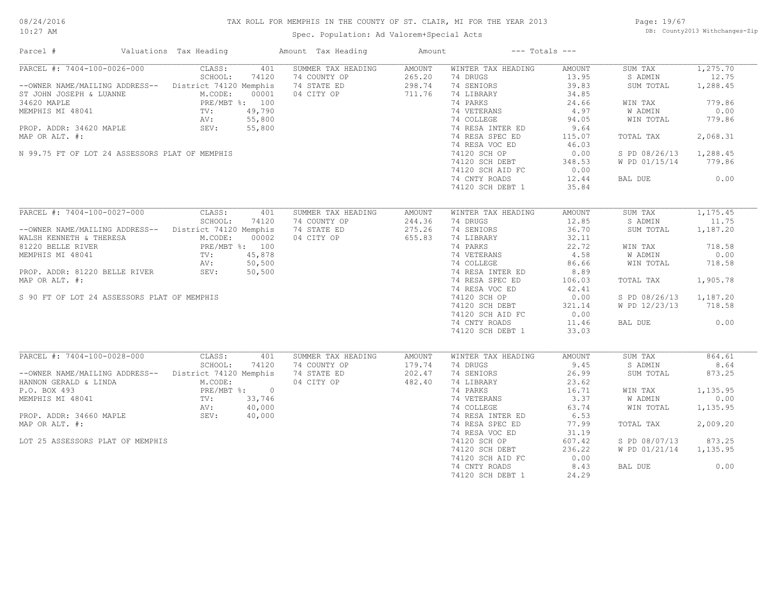#### TAX ROLL FOR MEMPHIS IN THE COUNTY OF ST. CLAIR, MI FOR THE YEAR 2013

10:27 AM

#### Spec. Population: Ad Valorem+Special Acts

Page: 19/67 DB: County2013 Withchanges-Zip

| PARCEL #: 7404-100-0026-000 CLASS:<br>1,275.70<br>401<br>SUMMER TAX HEADING<br>AMOUNT<br>WINTER TAX HEADING<br>AMOUNT<br>SUM TAX<br>SCHOOL:<br>$265.20$<br>$298.74$<br>74 DRUGS<br>13.95<br>S ADMIN<br>12.75<br>74120<br>74 COUNTY OP<br>-- OWNER NAME/MAILING ADDRESS-- District 74120 Memphis<br>74 STATE ED<br>74 SENIORS<br>39.83<br>SUM TOTAL<br>1,288.45<br>04 CITY OP<br>711.76<br>74 LIBRARY<br>34.85<br>ST JOHN JOSEPH & LUANNE<br>M.CODE: 00001<br>34620 MAPLE<br>MEMPHIS MI 48041<br>PROP. ADDR: 34620 MAPLE<br>PROP. ADDR: 34620 MAPLE<br>PROP. ADDR: 34620 MAPLE<br>SEV: 55,800<br>74 PARKS<br>779.86<br>24.66<br>WIN TAX<br>$100$<br>19,790<br>5,800<br>5,800<br>74 VETERANS<br>74 COLLEGE<br>$4.97$<br>94.05<br>0.00<br>W ADMIN<br>WIN TOTAL<br>779.86<br>74 RESA INTER ED<br>9.64<br>74 RESA SPEC ED<br>2,068.31<br>MAP OR ALT. #:<br>115.07<br>TOTAL TAX<br>74 RESA VOC ED<br>46.03<br>N 99.75 FT OF LOT 24 ASSESSORS PLAT OF MEMPHIS<br>74120 SCH OP<br>0.00<br>S PD 08/26/13 1,288.45<br>74120 SCH DEBT<br>348.53<br>W PD 01/15/14 779.86<br>0.00<br>74120 SCH AID FC<br>BAL DUE 0.00<br>74 CNTY ROADS<br>12.44<br>74120 SCH DEBT 1<br>35.84<br>PARCEL #: 7404-100-0027-000<br>CLASS:<br>1, 175, 45<br>401<br>SUMMER TAX HEADING<br>WINTER TAX HEADING<br>AMOUNT<br>SUM TAX<br>AMOUNT<br>SCHOOL:<br>244.36<br>74 DRUGS<br>12.85<br>S ADMIN<br>74120<br>74 COUNTY OP<br>11.75<br>244.36<br>275.26<br>74 SENIORS<br>--OWNER NAME/MAILING ADDRESS-- District 74120 Memphis<br>36.70<br>1,187.20<br>74 STATE ED<br>SUM TOTAL<br>WALSH KENNETH & THERESA<br>MALSH KENNETH & THERESA<br>MALSH KENNETH & THERESA<br>MEMPHIS MI 48041<br>TV: 45,878<br>AV: 50,500<br>PROP. ADDR: 81220 BELLE RIVER<br>SEV: 50,500<br>04 CITY OP 655.83<br>74 LIBRARY<br>74 PARKS<br>32.11<br>32.11<br>74 PARKS<br>74 VETERANS<br>74 COLLEGE<br>74 RESA INTER ED<br>86.66<br>74 RESA INTER ED<br>8.89<br>718.58<br>WIN TAX<br>W ADMIN<br>0.00<br>WIN TOTAL 718.58<br>74 RESA SPEC ED<br>1,905.78<br>106.03<br>TOTAL TAX<br>74 RESA VOC ED<br>$\begin{array}{llll} \text{74120~SCH~OP} & \text{92.41} \\ \text{74120~SCH~OP} & \text{0.00} \\ \text{74120~SCH~DEBT} & \text{321.14} \end{array}$<br>S 90 FT OF LOT 24 ASSESSORS PLAT OF MEMPHIS<br>S PD 08/26/13 1,187.20<br> | Parcel #       | Valuations Tax Heading | Amount Tax Heading | Amount | $---$ Totals $---$ |  |  |
|------------------------------------------------------------------------------------------------------------------------------------------------------------------------------------------------------------------------------------------------------------------------------------------------------------------------------------------------------------------------------------------------------------------------------------------------------------------------------------------------------------------------------------------------------------------------------------------------------------------------------------------------------------------------------------------------------------------------------------------------------------------------------------------------------------------------------------------------------------------------------------------------------------------------------------------------------------------------------------------------------------------------------------------------------------------------------------------------------------------------------------------------------------------------------------------------------------------------------------------------------------------------------------------------------------------------------------------------------------------------------------------------------------------------------------------------------------------------------------------------------------------------------------------------------------------------------------------------------------------------------------------------------------------------------------------------------------------------------------------------------------------------------------------------------------------------------------------------------------------------------------------------------------------------------------------------------------------------------------------------------------------------------------------------------------------------------------------------------------------------------------------------------------------------------------------------------------------------------------------------------------------------|----------------|------------------------|--------------------|--------|--------------------|--|--|
|                                                                                                                                                                                                                                                                                                                                                                                                                                                                                                                                                                                                                                                                                                                                                                                                                                                                                                                                                                                                                                                                                                                                                                                                                                                                                                                                                                                                                                                                                                                                                                                                                                                                                                                                                                                                                                                                                                                                                                                                                                                                                                                                                                                                                                                                        |                |                        |                    |        |                    |  |  |
|                                                                                                                                                                                                                                                                                                                                                                                                                                                                                                                                                                                                                                                                                                                                                                                                                                                                                                                                                                                                                                                                                                                                                                                                                                                                                                                                                                                                                                                                                                                                                                                                                                                                                                                                                                                                                                                                                                                                                                                                                                                                                                                                                                                                                                                                        |                |                        |                    |        |                    |  |  |
|                                                                                                                                                                                                                                                                                                                                                                                                                                                                                                                                                                                                                                                                                                                                                                                                                                                                                                                                                                                                                                                                                                                                                                                                                                                                                                                                                                                                                                                                                                                                                                                                                                                                                                                                                                                                                                                                                                                                                                                                                                                                                                                                                                                                                                                                        |                |                        |                    |        |                    |  |  |
|                                                                                                                                                                                                                                                                                                                                                                                                                                                                                                                                                                                                                                                                                                                                                                                                                                                                                                                                                                                                                                                                                                                                                                                                                                                                                                                                                                                                                                                                                                                                                                                                                                                                                                                                                                                                                                                                                                                                                                                                                                                                                                                                                                                                                                                                        |                |                        |                    |        |                    |  |  |
|                                                                                                                                                                                                                                                                                                                                                                                                                                                                                                                                                                                                                                                                                                                                                                                                                                                                                                                                                                                                                                                                                                                                                                                                                                                                                                                                                                                                                                                                                                                                                                                                                                                                                                                                                                                                                                                                                                                                                                                                                                                                                                                                                                                                                                                                        |                |                        |                    |        |                    |  |  |
|                                                                                                                                                                                                                                                                                                                                                                                                                                                                                                                                                                                                                                                                                                                                                                                                                                                                                                                                                                                                                                                                                                                                                                                                                                                                                                                                                                                                                                                                                                                                                                                                                                                                                                                                                                                                                                                                                                                                                                                                                                                                                                                                                                                                                                                                        |                |                        |                    |        |                    |  |  |
|                                                                                                                                                                                                                                                                                                                                                                                                                                                                                                                                                                                                                                                                                                                                                                                                                                                                                                                                                                                                                                                                                                                                                                                                                                                                                                                                                                                                                                                                                                                                                                                                                                                                                                                                                                                                                                                                                                                                                                                                                                                                                                                                                                                                                                                                        |                |                        |                    |        |                    |  |  |
|                                                                                                                                                                                                                                                                                                                                                                                                                                                                                                                                                                                                                                                                                                                                                                                                                                                                                                                                                                                                                                                                                                                                                                                                                                                                                                                                                                                                                                                                                                                                                                                                                                                                                                                                                                                                                                                                                                                                                                                                                                                                                                                                                                                                                                                                        |                |                        |                    |        |                    |  |  |
|                                                                                                                                                                                                                                                                                                                                                                                                                                                                                                                                                                                                                                                                                                                                                                                                                                                                                                                                                                                                                                                                                                                                                                                                                                                                                                                                                                                                                                                                                                                                                                                                                                                                                                                                                                                                                                                                                                                                                                                                                                                                                                                                                                                                                                                                        |                |                        |                    |        |                    |  |  |
|                                                                                                                                                                                                                                                                                                                                                                                                                                                                                                                                                                                                                                                                                                                                                                                                                                                                                                                                                                                                                                                                                                                                                                                                                                                                                                                                                                                                                                                                                                                                                                                                                                                                                                                                                                                                                                                                                                                                                                                                                                                                                                                                                                                                                                                                        |                |                        |                    |        |                    |  |  |
|                                                                                                                                                                                                                                                                                                                                                                                                                                                                                                                                                                                                                                                                                                                                                                                                                                                                                                                                                                                                                                                                                                                                                                                                                                                                                                                                                                                                                                                                                                                                                                                                                                                                                                                                                                                                                                                                                                                                                                                                                                                                                                                                                                                                                                                                        |                |                        |                    |        |                    |  |  |
|                                                                                                                                                                                                                                                                                                                                                                                                                                                                                                                                                                                                                                                                                                                                                                                                                                                                                                                                                                                                                                                                                                                                                                                                                                                                                                                                                                                                                                                                                                                                                                                                                                                                                                                                                                                                                                                                                                                                                                                                                                                                                                                                                                                                                                                                        |                |                        |                    |        |                    |  |  |
|                                                                                                                                                                                                                                                                                                                                                                                                                                                                                                                                                                                                                                                                                                                                                                                                                                                                                                                                                                                                                                                                                                                                                                                                                                                                                                                                                                                                                                                                                                                                                                                                                                                                                                                                                                                                                                                                                                                                                                                                                                                                                                                                                                                                                                                                        |                |                        |                    |        |                    |  |  |
|                                                                                                                                                                                                                                                                                                                                                                                                                                                                                                                                                                                                                                                                                                                                                                                                                                                                                                                                                                                                                                                                                                                                                                                                                                                                                                                                                                                                                                                                                                                                                                                                                                                                                                                                                                                                                                                                                                                                                                                                                                                                                                                                                                                                                                                                        |                |                        |                    |        |                    |  |  |
|                                                                                                                                                                                                                                                                                                                                                                                                                                                                                                                                                                                                                                                                                                                                                                                                                                                                                                                                                                                                                                                                                                                                                                                                                                                                                                                                                                                                                                                                                                                                                                                                                                                                                                                                                                                                                                                                                                                                                                                                                                                                                                                                                                                                                                                                        |                |                        |                    |        |                    |  |  |
|                                                                                                                                                                                                                                                                                                                                                                                                                                                                                                                                                                                                                                                                                                                                                                                                                                                                                                                                                                                                                                                                                                                                                                                                                                                                                                                                                                                                                                                                                                                                                                                                                                                                                                                                                                                                                                                                                                                                                                                                                                                                                                                                                                                                                                                                        |                |                        |                    |        |                    |  |  |
|                                                                                                                                                                                                                                                                                                                                                                                                                                                                                                                                                                                                                                                                                                                                                                                                                                                                                                                                                                                                                                                                                                                                                                                                                                                                                                                                                                                                                                                                                                                                                                                                                                                                                                                                                                                                                                                                                                                                                                                                                                                                                                                                                                                                                                                                        |                |                        |                    |        |                    |  |  |
|                                                                                                                                                                                                                                                                                                                                                                                                                                                                                                                                                                                                                                                                                                                                                                                                                                                                                                                                                                                                                                                                                                                                                                                                                                                                                                                                                                                                                                                                                                                                                                                                                                                                                                                                                                                                                                                                                                                                                                                                                                                                                                                                                                                                                                                                        |                |                        |                    |        |                    |  |  |
|                                                                                                                                                                                                                                                                                                                                                                                                                                                                                                                                                                                                                                                                                                                                                                                                                                                                                                                                                                                                                                                                                                                                                                                                                                                                                                                                                                                                                                                                                                                                                                                                                                                                                                                                                                                                                                                                                                                                                                                                                                                                                                                                                                                                                                                                        |                |                        |                    |        |                    |  |  |
|                                                                                                                                                                                                                                                                                                                                                                                                                                                                                                                                                                                                                                                                                                                                                                                                                                                                                                                                                                                                                                                                                                                                                                                                                                                                                                                                                                                                                                                                                                                                                                                                                                                                                                                                                                                                                                                                                                                                                                                                                                                                                                                                                                                                                                                                        |                |                        |                    |        |                    |  |  |
|                                                                                                                                                                                                                                                                                                                                                                                                                                                                                                                                                                                                                                                                                                                                                                                                                                                                                                                                                                                                                                                                                                                                                                                                                                                                                                                                                                                                                                                                                                                                                                                                                                                                                                                                                                                                                                                                                                                                                                                                                                                                                                                                                                                                                                                                        |                |                        |                    |        |                    |  |  |
|                                                                                                                                                                                                                                                                                                                                                                                                                                                                                                                                                                                                                                                                                                                                                                                                                                                                                                                                                                                                                                                                                                                                                                                                                                                                                                                                                                                                                                                                                                                                                                                                                                                                                                                                                                                                                                                                                                                                                                                                                                                                                                                                                                                                                                                                        |                |                        |                    |        |                    |  |  |
|                                                                                                                                                                                                                                                                                                                                                                                                                                                                                                                                                                                                                                                                                                                                                                                                                                                                                                                                                                                                                                                                                                                                                                                                                                                                                                                                                                                                                                                                                                                                                                                                                                                                                                                                                                                                                                                                                                                                                                                                                                                                                                                                                                                                                                                                        |                |                        |                    |        |                    |  |  |
|                                                                                                                                                                                                                                                                                                                                                                                                                                                                                                                                                                                                                                                                                                                                                                                                                                                                                                                                                                                                                                                                                                                                                                                                                                                                                                                                                                                                                                                                                                                                                                                                                                                                                                                                                                                                                                                                                                                                                                                                                                                                                                                                                                                                                                                                        |                |                        |                    |        |                    |  |  |
|                                                                                                                                                                                                                                                                                                                                                                                                                                                                                                                                                                                                                                                                                                                                                                                                                                                                                                                                                                                                                                                                                                                                                                                                                                                                                                                                                                                                                                                                                                                                                                                                                                                                                                                                                                                                                                                                                                                                                                                                                                                                                                                                                                                                                                                                        |                |                        |                    |        |                    |  |  |
|                                                                                                                                                                                                                                                                                                                                                                                                                                                                                                                                                                                                                                                                                                                                                                                                                                                                                                                                                                                                                                                                                                                                                                                                                                                                                                                                                                                                                                                                                                                                                                                                                                                                                                                                                                                                                                                                                                                                                                                                                                                                                                                                                                                                                                                                        | MAP OR ALT. #: |                        |                    |        |                    |  |  |
|                                                                                                                                                                                                                                                                                                                                                                                                                                                                                                                                                                                                                                                                                                                                                                                                                                                                                                                                                                                                                                                                                                                                                                                                                                                                                                                                                                                                                                                                                                                                                                                                                                                                                                                                                                                                                                                                                                                                                                                                                                                                                                                                                                                                                                                                        |                |                        |                    |        |                    |  |  |
|                                                                                                                                                                                                                                                                                                                                                                                                                                                                                                                                                                                                                                                                                                                                                                                                                                                                                                                                                                                                                                                                                                                                                                                                                                                                                                                                                                                                                                                                                                                                                                                                                                                                                                                                                                                                                                                                                                                                                                                                                                                                                                                                                                                                                                                                        |                |                        |                    |        |                    |  |  |
|                                                                                                                                                                                                                                                                                                                                                                                                                                                                                                                                                                                                                                                                                                                                                                                                                                                                                                                                                                                                                                                                                                                                                                                                                                                                                                                                                                                                                                                                                                                                                                                                                                                                                                                                                                                                                                                                                                                                                                                                                                                                                                                                                                                                                                                                        |                |                        |                    |        |                    |  |  |
|                                                                                                                                                                                                                                                                                                                                                                                                                                                                                                                                                                                                                                                                                                                                                                                                                                                                                                                                                                                                                                                                                                                                                                                                                                                                                                                                                                                                                                                                                                                                                                                                                                                                                                                                                                                                                                                                                                                                                                                                                                                                                                                                                                                                                                                                        |                |                        |                    |        |                    |  |  |
|                                                                                                                                                                                                                                                                                                                                                                                                                                                                                                                                                                                                                                                                                                                                                                                                                                                                                                                                                                                                                                                                                                                                                                                                                                                                                                                                                                                                                                                                                                                                                                                                                                                                                                                                                                                                                                                                                                                                                                                                                                                                                                                                                                                                                                                                        |                |                        |                    |        |                    |  |  |
|                                                                                                                                                                                                                                                                                                                                                                                                                                                                                                                                                                                                                                                                                                                                                                                                                                                                                                                                                                                                                                                                                                                                                                                                                                                                                                                                                                                                                                                                                                                                                                                                                                                                                                                                                                                                                                                                                                                                                                                                                                                                                                                                                                                                                                                                        |                |                        |                    |        |                    |  |  |
|                                                                                                                                                                                                                                                                                                                                                                                                                                                                                                                                                                                                                                                                                                                                                                                                                                                                                                                                                                                                                                                                                                                                                                                                                                                                                                                                                                                                                                                                                                                                                                                                                                                                                                                                                                                                                                                                                                                                                                                                                                                                                                                                                                                                                                                                        |                |                        |                    |        |                    |  |  |
|                                                                                                                                                                                                                                                                                                                                                                                                                                                                                                                                                                                                                                                                                                                                                                                                                                                                                                                                                                                                                                                                                                                                                                                                                                                                                                                                                                                                                                                                                                                                                                                                                                                                                                                                                                                                                                                                                                                                                                                                                                                                                                                                                                                                                                                                        |                |                        |                    |        |                    |  |  |
|                                                                                                                                                                                                                                                                                                                                                                                                                                                                                                                                                                                                                                                                                                                                                                                                                                                                                                                                                                                                                                                                                                                                                                                                                                                                                                                                                                                                                                                                                                                                                                                                                                                                                                                                                                                                                                                                                                                                                                                                                                                                                                                                                                                                                                                                        |                |                        |                    |        |                    |  |  |
|                                                                                                                                                                                                                                                                                                                                                                                                                                                                                                                                                                                                                                                                                                                                                                                                                                                                                                                                                                                                                                                                                                                                                                                                                                                                                                                                                                                                                                                                                                                                                                                                                                                                                                                                                                                                                                                                                                                                                                                                                                                                                                                                                                                                                                                                        |                |                        |                    |        |                    |  |  |
|                                                                                                                                                                                                                                                                                                                                                                                                                                                                                                                                                                                                                                                                                                                                                                                                                                                                                                                                                                                                                                                                                                                                                                                                                                                                                                                                                                                                                                                                                                                                                                                                                                                                                                                                                                                                                                                                                                                                                                                                                                                                                                                                                                                                                                                                        |                |                        |                    |        |                    |  |  |
|                                                                                                                                                                                                                                                                                                                                                                                                                                                                                                                                                                                                                                                                                                                                                                                                                                                                                                                                                                                                                                                                                                                                                                                                                                                                                                                                                                                                                                                                                                                                                                                                                                                                                                                                                                                                                                                                                                                                                                                                                                                                                                                                                                                                                                                                        |                |                        |                    |        |                    |  |  |
|                                                                                                                                                                                                                                                                                                                                                                                                                                                                                                                                                                                                                                                                                                                                                                                                                                                                                                                                                                                                                                                                                                                                                                                                                                                                                                                                                                                                                                                                                                                                                                                                                                                                                                                                                                                                                                                                                                                                                                                                                                                                                                                                                                                                                                                                        |                |                        |                    |        |                    |  |  |
|                                                                                                                                                                                                                                                                                                                                                                                                                                                                                                                                                                                                                                                                                                                                                                                                                                                                                                                                                                                                                                                                                                                                                                                                                                                                                                                                                                                                                                                                                                                                                                                                                                                                                                                                                                                                                                                                                                                                                                                                                                                                                                                                                                                                                                                                        |                |                        |                    |        |                    |  |  |
|                                                                                                                                                                                                                                                                                                                                                                                                                                                                                                                                                                                                                                                                                                                                                                                                                                                                                                                                                                                                                                                                                                                                                                                                                                                                                                                                                                                                                                                                                                                                                                                                                                                                                                                                                                                                                                                                                                                                                                                                                                                                                                                                                                                                                                                                        |                |                        |                    |        |                    |  |  |
|                                                                                                                                                                                                                                                                                                                                                                                                                                                                                                                                                                                                                                                                                                                                                                                                                                                                                                                                                                                                                                                                                                                                                                                                                                                                                                                                                                                                                                                                                                                                                                                                                                                                                                                                                                                                                                                                                                                                                                                                                                                                                                                                                                                                                                                                        |                |                        |                    |        |                    |  |  |
|                                                                                                                                                                                                                                                                                                                                                                                                                                                                                                                                                                                                                                                                                                                                                                                                                                                                                                                                                                                                                                                                                                                                                                                                                                                                                                                                                                                                                                                                                                                                                                                                                                                                                                                                                                                                                                                                                                                                                                                                                                                                                                                                                                                                                                                                        |                |                        |                    |        |                    |  |  |
|                                                                                                                                                                                                                                                                                                                                                                                                                                                                                                                                                                                                                                                                                                                                                                                                                                                                                                                                                                                                                                                                                                                                                                                                                                                                                                                                                                                                                                                                                                                                                                                                                                                                                                                                                                                                                                                                                                                                                                                                                                                                                                                                                                                                                                                                        |                |                        |                    |        |                    |  |  |
|                                                                                                                                                                                                                                                                                                                                                                                                                                                                                                                                                                                                                                                                                                                                                                                                                                                                                                                                                                                                                                                                                                                                                                                                                                                                                                                                                                                                                                                                                                                                                                                                                                                                                                                                                                                                                                                                                                                                                                                                                                                                                                                                                                                                                                                                        |                |                        |                    |        |                    |  |  |
|                                                                                                                                                                                                                                                                                                                                                                                                                                                                                                                                                                                                                                                                                                                                                                                                                                                                                                                                                                                                                                                                                                                                                                                                                                                                                                                                                                                                                                                                                                                                                                                                                                                                                                                                                                                                                                                                                                                                                                                                                                                                                                                                                                                                                                                                        |                |                        |                    |        |                    |  |  |
|                                                                                                                                                                                                                                                                                                                                                                                                                                                                                                                                                                                                                                                                                                                                                                                                                                                                                                                                                                                                                                                                                                                                                                                                                                                                                                                                                                                                                                                                                                                                                                                                                                                                                                                                                                                                                                                                                                                                                                                                                                                                                                                                                                                                                                                                        |                |                        |                    |        |                    |  |  |
|                                                                                                                                                                                                                                                                                                                                                                                                                                                                                                                                                                                                                                                                                                                                                                                                                                                                                                                                                                                                                                                                                                                                                                                                                                                                                                                                                                                                                                                                                                                                                                                                                                                                                                                                                                                                                                                                                                                                                                                                                                                                                                                                                                                                                                                                        |                |                        |                    |        |                    |  |  |
|                                                                                                                                                                                                                                                                                                                                                                                                                                                                                                                                                                                                                                                                                                                                                                                                                                                                                                                                                                                                                                                                                                                                                                                                                                                                                                                                                                                                                                                                                                                                                                                                                                                                                                                                                                                                                                                                                                                                                                                                                                                                                                                                                                                                                                                                        |                |                        |                    |        |                    |  |  |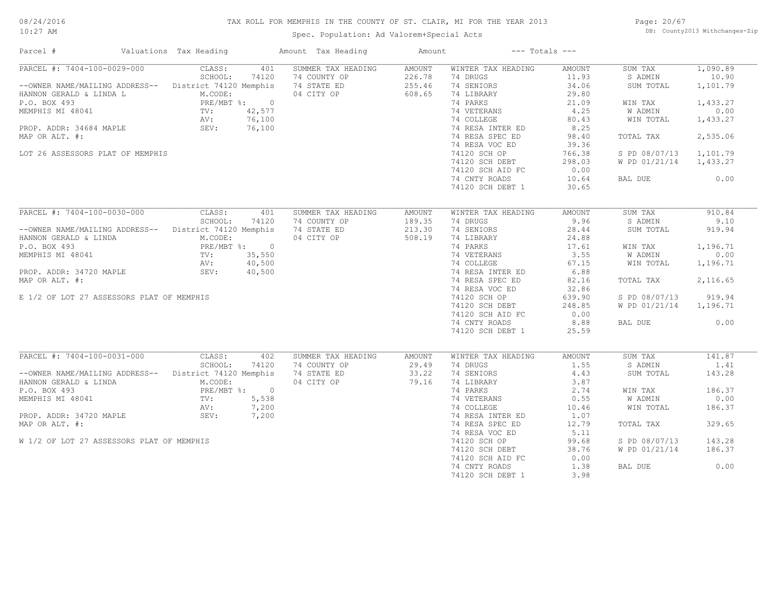#### TAX ROLL FOR MEMPHIS IN THE COUNTY OF ST. CLAIR, MI FOR THE YEAR 2013

10:27 AM

### Spec. Population: Ad Valorem+Special Acts

Page: 20/67 DB: County2013 Withchanges-Zip

| Parcel #                                                                                                                                                  | Valuations Tax Heading | Amount Tax Heading                                      | Amount             |                                           | $---$ Totals $---$ |                        |          |
|-----------------------------------------------------------------------------------------------------------------------------------------------------------|------------------------|---------------------------------------------------------|--------------------|-------------------------------------------|--------------------|------------------------|----------|
| PARCEL #: 7404-100-0029-000                                                                                                                               | CLASS:                 | 401 SUMMER TAX HEADING                                  | AMOUNT             | WINTER TAX HEADING                        | AMOUNT             | SUM TAX                | 1,090.89 |
|                                                                                                                                                           | SCHOOL:<br>74120       |                                                         |                    | 74 DRUGS                                  | 11.93              | S ADMIN                | 10.90    |
| --OWNER NAME/MAILING ADDRESS-- District 74120 Memphis 74 STATE ED                                                                                         |                        | 74 COUNTY OP<br>74 STATE ED 255.46<br>04 CITY OP 608.65 |                    | 74 SENIORS                                | 34.06              | SUM TOTAL              | 1,101.79 |
|                                                                                                                                                           |                        |                                                         |                    | 74 LIBRARY                                | 29.80              |                        |          |
|                                                                                                                                                           |                        |                                                         |                    | 74 PARKS                                  | 21.09              | WIN TAX                | 1,433.27 |
|                                                                                                                                                           |                        |                                                         |                    |                                           | 4.25               | W ADMIN                | 0.00     |
|                                                                                                                                                           |                        |                                                         |                    | 74 VETERANS<br>74 COLLEGE                 | 80.43              | WIN TOTAL              | 1,433.27 |
|                                                                                                                                                           |                        |                                                         |                    | 74 RESA INTER ED                          | 8.25               |                        |          |
|                                                                                                                                                           |                        |                                                         |                    |                                           |                    |                        |          |
| MAP OR ALT. #:                                                                                                                                            |                        |                                                         |                    | 74 RESA SPEC ED                           | 98.40              | TOTAL TAX              | 2,535.06 |
|                                                                                                                                                           |                        |                                                         |                    | 74 RESA VOC ED                            | 39.36              |                        |          |
| LOT 26 ASSESSORS PLAT OF MEMPHIS                                                                                                                          |                        |                                                         |                    | 74120 SCH OP<br>74120 SCH DEBT            | 766.38             | S PD 08/07/13 1,101.79 |          |
|                                                                                                                                                           |                        |                                                         |                    |                                           | 298.03             | W PD 01/21/14 1,433.27 |          |
|                                                                                                                                                           |                        |                                                         |                    | 74120 SCH AID FC                          | 0.00               |                        |          |
|                                                                                                                                                           |                        |                                                         |                    | 74 CNTY ROADS                             | 10.64              | BAL DUE                | 0.00     |
|                                                                                                                                                           |                        |                                                         |                    | 74120 SCH DEBT 1                          | 30.65              |                        |          |
|                                                                                                                                                           |                        |                                                         |                    |                                           |                    |                        |          |
| PARCEL #: 7404-100-0030-000                                                                                                                               | CLASS:<br>401          | SUMMER TAX HEADING                                      | AMOUNT             | WINTER TAX HEADING                        | AMOUNT             | SUM TAX                | 910.84   |
|                                                                                                                                                           | SCHOOL:<br>74120       | 74 COUNTY OP                                            | 189.35             | 74 DRUGS                                  | 9.96               | S ADMIN                | 9.10     |
| --OWNER NAME/MAILING ADDRESS-- District 74120 Memphis                                                                                                     |                        | 74 STATE ED                                             | 213.30             | 74 SENIORS                                | 28.44              | SUM TOTAL              | 919.94   |
| HANNON GERALD & LINDA<br>P.O. BOX 493<br>MEMPHIS MI 48041<br>PROP. ADDR: 34720 MAPLE<br>PROP. ADDR: 34720 MAPLE<br>PROP. ADDR: 34720 MAPLE<br>SEV: 40,500 |                        | 04 CITY OP                                              | 508.19             | 74 LIBRARY                                | 24.88              |                        |          |
|                                                                                                                                                           |                        |                                                         |                    | 74 PARKS                                  | 17.61              | WIN TAX                | 1,196.71 |
|                                                                                                                                                           |                        |                                                         |                    |                                           |                    |                        |          |
|                                                                                                                                                           |                        |                                                         |                    | <sup>-</sup><br>74 VETERANS<br>74 COLLEGE | 3.55               | W ADMIN                | 0.00     |
|                                                                                                                                                           |                        |                                                         |                    |                                           | 67.15              | WIN TOTAL              | 1,196.71 |
|                                                                                                                                                           |                        |                                                         |                    | 74 RESA INTER ED                          | 6.88               |                        |          |
| MAP OR ALT. #:                                                                                                                                            |                        |                                                         |                    | 74 RESA SPEC ED                           | 82.16              | TOTAL TAX              | 2,116.65 |
|                                                                                                                                                           |                        |                                                         |                    | 74 RESA VOC ED                            | 32.86              |                        |          |
| E 1/2 OF LOT 27 ASSESSORS PLAT OF MEMPHIS                                                                                                                 |                        |                                                         |                    | 74120 SCH OP                              | 639.90             | S PD 08/07/13          | 919.94   |
|                                                                                                                                                           |                        |                                                         |                    | 74120 SCH DEBT                            | 248.85             | W PD 01/21/14 1,196.71 |          |
|                                                                                                                                                           |                        |                                                         |                    | 74120 SCH AID FC                          | 0.00               |                        |          |
|                                                                                                                                                           |                        |                                                         |                    | 74 CNTY ROADS                             | 8.88               | BAL DUE                | 0.00     |
|                                                                                                                                                           |                        |                                                         |                    |                                           |                    |                        |          |
|                                                                                                                                                           |                        |                                                         |                    | 74120 SCH DEBT 1                          | 25.59              |                        |          |
| PARCEL #: 7404-100-0031-000                                                                                                                               | CLASS:                 | 402<br>SUMMER TAX HEADING                               | AMOUNT             | WINTER TAX HEADING                        | AMOUNT             | SUM TAX                | 141.87   |
|                                                                                                                                                           | SCHOOL:<br>74120       | 74 COUNTY OP                                            | 29.49              | 74 DRUGS                                  | 1.55               | S ADMIN                | 1.41     |
| --OWNER NAME/MAILING ADDRESS-- District 74120 Memphis 74 STATE ED                                                                                         |                        |                                                         | $29.49$<br>$33.22$ | 74 SENIORS                                | 4.43               | SUM TOTAL              | 143.28   |
|                                                                                                                                                           |                        |                                                         |                    |                                           |                    |                        |          |
| HANNON GERALD & LINDA                                                                                                                                     | M.CODE:                | 04 CITY OP                                              | 79.16              | 74 LIBRARY                                | 3.87               |                        |          |
|                                                                                                                                                           |                        |                                                         |                    | 74 PARKS                                  | 2.74               | WIN TAX                | 186.37   |
|                                                                                                                                                           |                        |                                                         |                    | 74 VETERANS<br>74 COLLEGE                 | 0.55               | W ADMIN                | 0.00     |
|                                                                                                                                                           |                        |                                                         |                    |                                           | 10.46              | WIN TOTAL              | 186.37   |
| P.O. BOX 493<br>P.O. BOX 493<br>MEMPHIS MI 48041<br>PROP. ADDR: 34720 MAPLE<br>PROP. ADDR: 34720 MAPLE<br>SEV: 7,200                                      |                        |                                                         |                    | 74 RESA INTER ED                          | 1.07               |                        |          |
| MAP OR ALT. #:                                                                                                                                            |                        |                                                         |                    | 74 RESA SPEC ED                           | 12.79              | TOTAL TAX              | 329.65   |
|                                                                                                                                                           |                        |                                                         |                    | 74 RESA VOC ED                            | 5.11               |                        |          |
| W 1/2 OF LOT 27 ASSESSORS PLAT OF MEMPHIS                                                                                                                 |                        |                                                         |                    | 74120 SCH OP                              | 99.68              | S PD 08/07/13          | 143.28   |
|                                                                                                                                                           |                        |                                                         |                    | 74120 SCH DEBT                            | 38.76              | W PD 01/21/14          | 186.37   |
|                                                                                                                                                           |                        |                                                         |                    |                                           |                    |                        |          |
|                                                                                                                                                           |                        |                                                         |                    | 74120 SCH AID FC                          | 0.00               |                        |          |
|                                                                                                                                                           |                        |                                                         |                    | 74 CNTY ROADS                             | 1.38               | BAL DUE                | 0.00     |
|                                                                                                                                                           |                        |                                                         |                    | 74120 SCH DEBT 1                          | 3.98               |                        |          |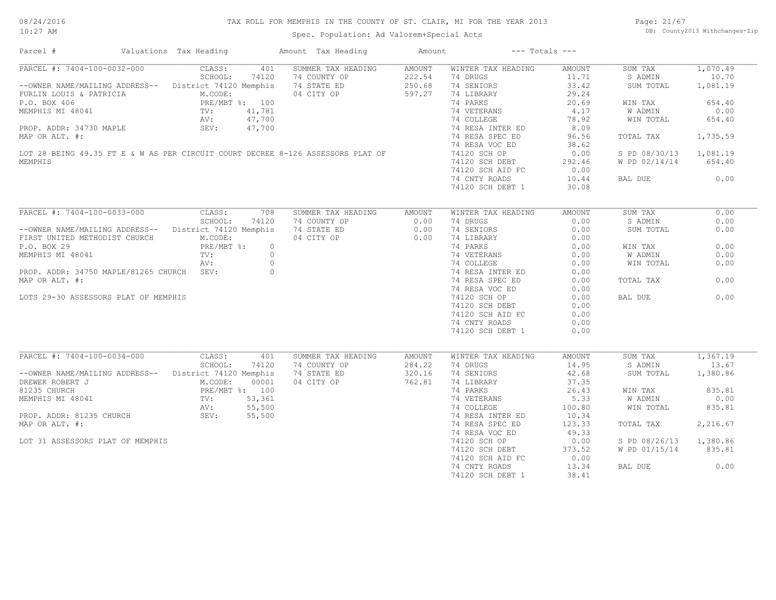#### 08/24/2016 10:27 AM

#### TAX ROLL FOR MEMPHIS IN THE COUNTY OF ST. CLAIR, MI FOR THE YEAR 2013

#### Spec. Population: Ad Valorem+Special Acts

Page: 21/67 DB: County2013 Withchanges-Zip

| Parcel #                                                                        | Valuations Tax Heading                             | Amount Tax Heading | Amount |                    | $---$ Totals $---$ |               |          |
|---------------------------------------------------------------------------------|----------------------------------------------------|--------------------|--------|--------------------|--------------------|---------------|----------|
| PARCEL #: 7404-100-0032-000                                                     | CLASS:<br>401                                      | SUMMER TAX HEADING | AMOUNT | WINTER TAX HEADING | AMOUNT             | SUM TAX       | 1,070.49 |
|                                                                                 | SCHOOL:<br>74120                                   | 74 COUNTY OP       | 222.54 | 74 DRUGS           | 11.71              | S ADMIN       | 10.70    |
| --OWNER NAME/MAILING ADDRESS--                                                  | District 74120 Memphis                             | 74 STATE ED        | 250.68 | 74 SENIORS         | 33.42              | SUM TOTAL     | 1,081.19 |
| FURLIN LOUIS & PATRICIA                                                         | M.CODE:                                            | 04 CITY OP         | 597.27 | 74 LIBRARY         | 29.24              |               |          |
| P.O. BOX 406                                                                    | PRE/MBT %: 100<br>ri.<br>PRL<br>TV:<br>AV:<br>SEV: |                    |        | 74 PARKS           | 20.69              | WIN TAX       | 654.40   |
| MEMPHIS MI 48041                                                                | 41,781                                             |                    |        | 74 VETERANS        | 4.17               | W ADMIN       | 0.00     |
|                                                                                 | 47,700                                             |                    |        | 74 COLLEGE         | 78.92              | WIN TOTAL     | 654.40   |
| PROP. ADDR: 34730 MAPLE                                                         | 47,700                                             |                    |        | 74 RESA INTER ED   | 8.09               |               |          |
| MAP OR ALT. #:                                                                  |                                                    |                    |        | 74 RESA SPEC ED    | 96.56              | TOTAL TAX     | 1,735.59 |
|                                                                                 |                                                    |                    |        | 74 RESA VOC ED     | 38.62              |               |          |
| LOT 28 BEING 49.35 FT E & W AS PER CIRCUIT COURT DECREE 8-126 ASSESSORS PLAT OF |                                                    |                    |        | 74120 SCH OP       | 0.00               | S PD 08/30/13 | 1,081.19 |
| MEMPHIS                                                                         |                                                    |                    |        |                    |                    |               | 654.40   |
|                                                                                 |                                                    |                    |        | 74120 SCH DEBT     | 292.46<br>0.00     | W PD 02/14/14 |          |
|                                                                                 |                                                    |                    |        | 74120 SCH AID FC   |                    |               |          |
|                                                                                 |                                                    |                    |        | 74 CNTY ROADS      | 10.44              | BAL DUE       | 0.00     |
|                                                                                 |                                                    |                    |        | 74120 SCH DEBT 1   | 30.08              |               |          |
| PARCEL #: 7404-100-0033-000                                                     | CLASS:<br>708                                      | SUMMER TAX HEADING | AMOUNT | WINTER TAX HEADING | <b>AMOUNT</b>      | SUM TAX       | 0.00     |
|                                                                                 | SCHOOL:<br>74120                                   | 74 COUNTY OP       | 0.00   | 74 DRUGS           | 0.00               | S ADMIN       | 0.00     |
|                                                                                 |                                                    |                    |        |                    |                    |               | 0.00     |
| --OWNER NAME/MAILING ADDRESS--                                                  | District 74120 Memphis                             | 74 STATE ED        | 0.00   | 74 SENIORS         | 0.00               | SUM TOTAL     |          |
| FIRST UNITED METHODIST CHURCH                                                   | M.CODE:                                            | 04 CITY OP         | 0.00   | 74 LIBRARY         | 0.00               |               |          |
| P.O. BOX 29                                                                     | PRE/MBT %:                                         | $\circ$            |        | 74 PARKS           | 0.00               | WIN TAX       | 0.00     |
| MEMPHIS MI 48041                                                                | TV:                                                | $\circ$            |        | 74 VETERANS        | 0.00               | W ADMIN       | 0.00     |
|                                                                                 | AV:                                                | $\circ$            |        | 74 COLLEGE         | 0.00               | WIN TOTAL     | 0.00     |
| PROP. ADDR: 34750 MAPLE/81265 CHURCH SEV:                                       |                                                    | $\circ$            |        | 74 RESA INTER ED   | 0.00               |               |          |
| MAP OR ALT. #:                                                                  |                                                    |                    |        | 74 RESA SPEC ED    | 0.00               | TOTAL TAX     | 0.00     |
|                                                                                 |                                                    |                    |        | 74 RESA VOC ED     | 0.00               |               |          |
| LOTS 29-30 ASSESSORS PLAT OF MEMPHIS                                            |                                                    |                    |        | 74120 SCH OP       | 0.00               | BAL DUE       | 0.00     |
|                                                                                 |                                                    |                    |        | 74120 SCH DEBT     | 0.00               |               |          |
|                                                                                 |                                                    |                    |        | 74120 SCH AID FC   | 0.00               |               |          |
|                                                                                 |                                                    |                    |        | 74 CNTY ROADS      | 0.00               |               |          |
|                                                                                 |                                                    |                    |        | 74120 SCH DEBT 1   | 0.00               |               |          |
|                                                                                 |                                                    |                    |        |                    |                    |               |          |
| PARCEL #: 7404-100-0034-000                                                     | CLASS:<br>401                                      | SUMMER TAX HEADING | AMOUNT | WINTER TAX HEADING | <b>AMOUNT</b>      | SUM TAX       | 1,367.19 |
|                                                                                 | SCHOOL:<br>74120                                   | 74 COUNTY OP       | 284.22 | 74 DRUGS           | 14.95              | S ADMIN       | 13.67    |
| --OWNER NAME/MAILING ADDRESS--                                                  | District 74120 Memphis                             | 74 STATE ED        | 320.16 | 74 SENIORS         | 42.68              | SUM TOTAL     | 1,380.86 |
| DREWEK ROBERT J                                                                 | 00001<br>M.CODE:                                   | 04 CITY OP         | 762.81 | 74 LIBRARY         | 37.35              |               |          |
| 81235 CHURCH                                                                    | PRE/MBT %: 100                                     |                    |        | 74 PARKS           | 26.43              | WIN TAX       | 835.81   |
| MEMPHIS MI 48041                                                                | 53,361<br>$\text{TV}$ :                            |                    |        | 74 VETERANS        | 5.33               | W ADMIN       | 0.00     |
|                                                                                 | AV:<br>55,500                                      |                    |        | 74 COLLEGE         | 100.80             | WIN TOTAL     | 835.81   |
|                                                                                 |                                                    |                    |        |                    |                    |               |          |
| PROP. ADDR: 81235 CHURCH                                                        | SEV:<br>55,500                                     |                    |        | 74 RESA INTER ED   | 10.34              |               |          |
| MAP OR ALT. #:                                                                  |                                                    |                    |        | 74 RESA SPEC ED    | 123.33             | TOTAL TAX     | 2,216.67 |
|                                                                                 |                                                    |                    |        | 74 RESA VOC ED     | 49.33              |               |          |
| LOT 31 ASSESSORS PLAT OF MEMPHIS                                                |                                                    |                    |        | 74120 SCH OP       | 0.00               | S PD 08/26/13 | 1,380.86 |
|                                                                                 |                                                    |                    |        | 74120 SCH DEBT     | 373.52             | W PD 01/15/14 | 835.81   |
|                                                                                 |                                                    |                    |        | 74120 SCH AID FC   | 0.00               |               |          |
|                                                                                 |                                                    |                    |        | 74 CNTY ROADS      | 13.34              | BAL DUE       | 0.00     |
|                                                                                 |                                                    |                    |        | 74120 SCH DEBT 1   | 38.41              |               |          |
|                                                                                 |                                                    |                    |        |                    |                    |               |          |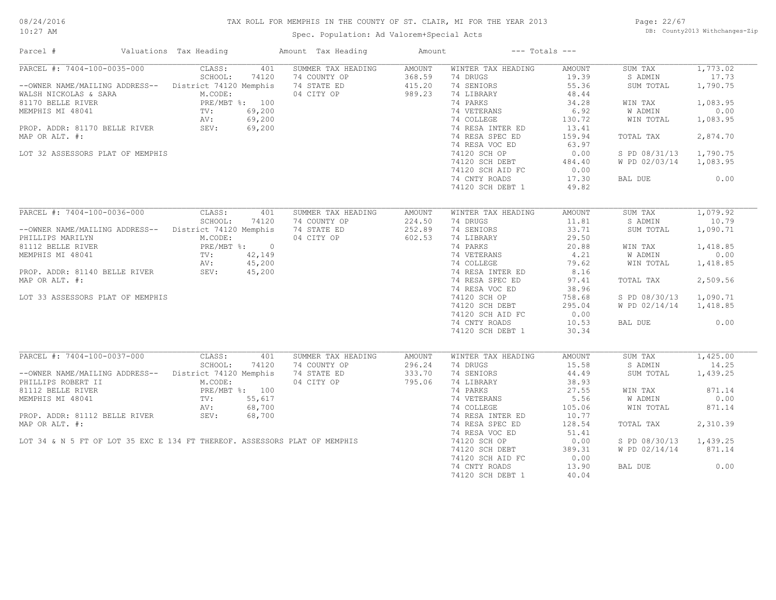#### TAX ROLL FOR MEMPHIS IN THE COUNTY OF ST. CLAIR, MI FOR THE YEAR 2013

10:27 AM

#### Spec. Population: Ad Valorem+Special Acts

Page: 22/67 DB: County2013 Withchanges-Zip

| Parcel #                                              | Valuations Tax Heading |        | Amount Tax Heading                                                        | Amount |                    | $---$ Totals $---$ |               |          |
|-------------------------------------------------------|------------------------|--------|---------------------------------------------------------------------------|--------|--------------------|--------------------|---------------|----------|
| PARCEL #: 7404-100-0035-000                           | CLASS:                 | 401    | SUMMER TAX HEADING                                                        | AMOUNT | WINTER TAX HEADING | AMOUNT             | SUM TAX       | 1,773.02 |
|                                                       | SCHOOL:                | 74120  | 74 COUNTY OP                                                              | 368.59 | 74 DRUGS           | 19.39              | S ADMIN       | 17.73    |
| --OWNER NAME/MAILING ADDRESS-- District 74120 Memphis |                        |        | 74 STATE ED                                                               | 415.20 | 74 SENIORS         | 55.36              | SUM TOTAL     | 1,790.75 |
| WALSH NICKOLAS & SARA                                 | M.CODE:                |        | 04 CITY OP                                                                | 989.23 | 74 LIBRARY         | 48.44              |               |          |
| 81170 BELLE RIVER                                     | PRE/MBT %: 100         |        |                                                                           |        | 74 PARKS           | 34.28              | WIN TAX       | 1,083.95 |
| MEMPHIS MI 48041                                      | TV:                    | 69,200 |                                                                           |        | 74 VETERANS        | 6.92               | W ADMIN       | 0.00     |
|                                                       | AV:                    | 69,200 |                                                                           |        | 74 COLLEGE         | 130.72             | WIN TOTAL     | 1,083.95 |
| PROP. ADDR: 81170 BELLE RIVER SEV:                    |                        | 69,200 |                                                                           |        | 74 RESA INTER ED   | 13.41              |               |          |
| MAP OR ALT. #:                                        |                        |        |                                                                           |        | 74 RESA SPEC ED    | 159.94             | TOTAL TAX     | 2,874.70 |
|                                                       |                        |        |                                                                           |        | 74 RESA VOC ED     | 63.97              |               |          |
| LOT 32 ASSESSORS PLAT OF MEMPHIS                      |                        |        |                                                                           |        | 74120 SCH OP       | 0.00               | S PD 08/31/13 | 1,790.75 |
|                                                       |                        |        |                                                                           |        | 74120 SCH DEBT     | 484.40             | W PD 02/03/14 | 1,083.95 |
|                                                       |                        |        |                                                                           |        | 74120 SCH AID FC   | 0.00               |               |          |
|                                                       |                        |        |                                                                           |        |                    |                    |               |          |
|                                                       |                        |        |                                                                           |        | 74 CNTY ROADS      | 17.30              | BAL DUE       | 0.00     |
|                                                       |                        |        |                                                                           |        | 74120 SCH DEBT 1   | 49.82              |               |          |
|                                                       |                        |        |                                                                           |        |                    |                    |               |          |
| PARCEL #: 7404-100-0036-000                           | CLASS:                 | 401    | SUMMER TAX HEADING                                                        | AMOUNT | WINTER TAX HEADING | AMOUNT             | SUM TAX       | 1,079.92 |
|                                                       | SCHOOL:                | 74120  | 74 COUNTY OP                                                              | 224.50 | 74 DRUGS           | 11.81              | S ADMIN       | 10.79    |
| --OWNER NAME/MAILING ADDRESS-- District 74120 Memphis |                        |        | 74 STATE ED                                                               | 252.89 | 74 SENIORS         | 33.71              | SUM TOTAL     | 1,090.71 |
| PHILLIPS MARILYN                                      | M.CODE:                |        | 04 CITY OP                                                                | 602.53 | 74 LIBRARY         | 29.50              |               |          |
| 81112 BELLE RIVER                                     | PRE/MBT %: 0           |        |                                                                           |        | 74 PARKS           | 20.88              | WIN TAX       | 1,418.85 |
| MEMPHIS MI 48041                                      | TV: 42,149             |        |                                                                           |        | 74 VETERANS        | 4.21               | W ADMIN       | 0.00     |
|                                                       | AV:                    | 45,200 |                                                                           |        | 74 COLLEGE         | 79.62              | WIN TOTAL     | 1,418.85 |
| PROP. ADDR: 81140 BELLE RIVER                         | SEV:                   | 45,200 |                                                                           |        | 74 RESA INTER ED   | 8.16               |               |          |
| MAP OR ALT. #:                                        |                        |        |                                                                           |        | 74 RESA SPEC ED    | 97.41              | TOTAL TAX     | 2,509.56 |
|                                                       |                        |        |                                                                           |        | 74 RESA VOC ED     | 38.96              |               |          |
| LOT 33 ASSESSORS PLAT OF MEMPHIS                      |                        |        |                                                                           |        | 74120 SCH OP       | 758.68             | S PD 08/30/13 | 1,090.71 |
|                                                       |                        |        |                                                                           |        | 74120 SCH DEBT     | 295.04             | W PD 02/14/14 | 1,418.85 |
|                                                       |                        |        |                                                                           |        | 74120 SCH AID FC   | 0.00               |               |          |
|                                                       |                        |        |                                                                           |        | 74 CNTY ROADS      | 10.53              | BAL DUE       | 0.00     |
|                                                       |                        |        |                                                                           |        |                    | 30.34              |               |          |
|                                                       |                        |        |                                                                           |        | 74120 SCH DEBT 1   |                    |               |          |
| PARCEL #: 7404-100-0037-000                           | CLASS:                 | 401    | SUMMER TAX HEADING                                                        | AMOUNT | WINTER TAX HEADING | AMOUNT             | SUM TAX       | 1,425.00 |
|                                                       | SCHOOL:                | 74120  | 74 COUNTY OP                                                              | 296.24 | 74 DRUGS           | 15.58              | S ADMIN       | 14.25    |
| --OWNER NAME/MAILING ADDRESS-- District 74120 Memphis |                        |        | 74 STATE ED                                                               | 333.70 | 74 SENIORS         | 44.49              | SUM TOTAL     | 1,439.25 |
|                                                       |                        |        |                                                                           |        |                    |                    |               |          |
| PHILLIPS ROBERT II                                    | M.CODE:                |        | 04 CITY OP                                                                | 795.06 | 74 LIBRARY         | 38.93              |               |          |
| 81112 BELLE RIVER                                     | PRE/MBT %: 100         |        |                                                                           |        | 74 PARKS           | 27.55              | WIN TAX       | 871.14   |
| MEMPHIS MI 48041                                      | TV:                    | 55,617 |                                                                           |        | 74 VETERANS        | 5.56               | W ADMIN       | 0.00     |
|                                                       | AV:                    | 68,700 |                                                                           |        | 74 COLLEGE         | 105.06             | WIN TOTAL     | 871.14   |
| PROP. ADDR: 81112 BELLE RIVER                         | SEV:                   | 68,700 |                                                                           |        | 74 RESA INTER ED   | 10.77              |               |          |
| MAP OR ALT. #:                                        |                        |        |                                                                           |        | 74 RESA SPEC ED    | 128.54             | TOTAL TAX     | 2,310.39 |
|                                                       |                        |        |                                                                           |        | 74 RESA VOC ED     | 51.41              |               |          |
|                                                       |                        |        | LOT 34 & N 5 FT OF LOT 35 EXC E 134 FT THEREOF. ASSESSORS PLAT OF MEMPHIS |        | 74120 SCH OP       | 0.00               | S PD 08/30/13 | 1,439.25 |
|                                                       |                        |        |                                                                           |        | 74120 SCH DEBT     | 389.31             | W PD 02/14/14 | 871.14   |
|                                                       |                        |        |                                                                           |        | 74120 SCH AID FC   | 0.00               |               |          |
|                                                       |                        |        |                                                                           |        | 74 CNTY ROADS      | 13.90              | BAL DUE       | 0.00     |
|                                                       |                        |        |                                                                           |        | 74120 SCH DEBT 1   | 40.04              |               |          |
|                                                       |                        |        |                                                                           |        |                    |                    |               |          |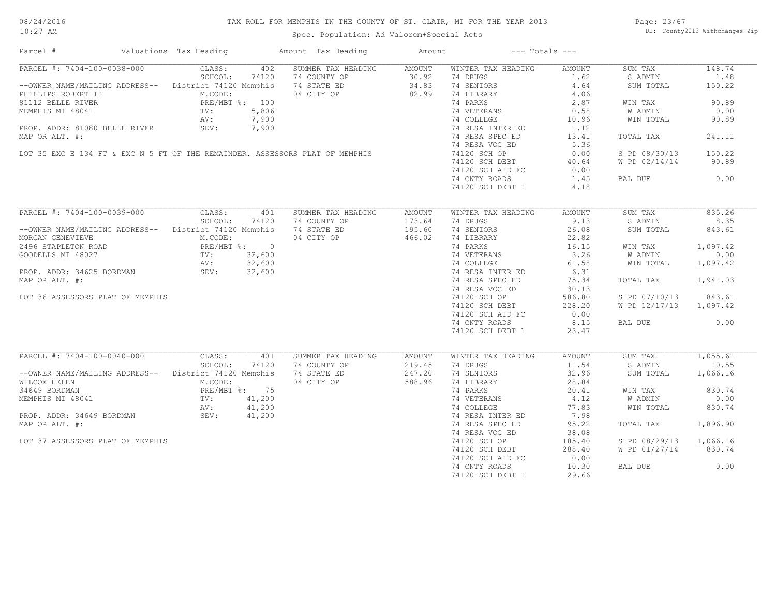#### 08/24/2016 10:27 AM

#### TAX ROLL FOR MEMPHIS IN THE COUNTY OF ST. CLAIR, MI FOR THE YEAR 2013

Spec. Population: Ad Valorem+Special Acts

Page: 23/67 DB: County2013 Withchanges-Zip

| Parcel #                         | Valuations Tax Heading                                                       | Amount Tax Heading | Amount | $---$ Totals $---$ |        |               |          |
|----------------------------------|------------------------------------------------------------------------------|--------------------|--------|--------------------|--------|---------------|----------|
| PARCEL #: 7404-100-0038-000      | CLASS:<br>402                                                                | SUMMER TAX HEADING | AMOUNT | WINTER TAX HEADING | AMOUNT | SUM TAX       | 148.74   |
|                                  | SCHOOL:<br>74120                                                             | 74 COUNTY OP       | 30.92  | 74 DRUGS           | 1.62   | S ADMIN       | 1.48     |
|                                  | --OWNER NAME/MAILING ADDRESS-- District 74120 Memphis                        | 74 STATE ED        | 34.83  | 74 SENIORS         | 4.64   | SUM TOTAL     | 150.22   |
| PHILLIPS ROBERT II               | M.CODE:                                                                      | 04 CITY OP         | 82.99  | 74 LIBRARY         | 4.06   |               |          |
| 81112 BELLE RIVER                | PRE/MBT %: 100                                                               |                    |        | 74 PARKS           | 2.87   | WIN TAX       | 90.89    |
| MEMPHIS MI 48041                 | 5,806<br>TV:                                                                 |                    |        | 74 VETERANS        | 0.58   | W ADMIN       | 0.00     |
|                                  | AV:<br>7,900                                                                 |                    |        | 74 COLLEGE         | 10.96  | WIN TOTAL     | 90.89    |
| PROP. ADDR: 81080 BELLE RIVER    | SEV:<br>7,900                                                                |                    |        | 74 RESA INTER ED   | 1.12   |               |          |
| MAP OR ALT. #:                   |                                                                              |                    |        | 74 RESA SPEC ED    | 13.41  | TOTAL TAX     | 241.11   |
|                                  |                                                                              |                    |        |                    |        |               |          |
|                                  |                                                                              |                    |        | 74 RESA VOC ED     | 5.36   |               |          |
|                                  | LOT 35 EXC E 134 FT & EXC N 5 FT OF THE REMAINDER. ASSESSORS PLAT OF MEMPHIS |                    |        | 74120 SCH OP       | 0.00   | S PD 08/30/13 | 150.22   |
|                                  |                                                                              |                    |        | 74120 SCH DEBT     | 40.64  | W PD 02/14/14 | 90.89    |
|                                  |                                                                              |                    |        | 74120 SCH AID FC   | 0.00   |               |          |
|                                  |                                                                              |                    |        | 74 CNTY ROADS      | 1.45   | BAL DUE       | 0.00     |
|                                  |                                                                              |                    |        | 74120 SCH DEBT 1   | 4.18   |               |          |
|                                  |                                                                              |                    |        |                    |        |               |          |
| PARCEL #: 7404-100-0039-000      | CLASS:<br>401                                                                | SUMMER TAX HEADING | AMOUNT | WINTER TAX HEADING | AMOUNT | SUM TAX       | 835.26   |
|                                  | SCHOOL:<br>74120                                                             | 74 COUNTY OP       | 173.64 | 74 DRUGS           | 9.13   | S ADMIN       | 8.35     |
| --OWNER NAME/MAILING ADDRESS--   | District 74120 Memphis                                                       | 74 STATE ED        | 195.60 | 74 SENIORS         | 26.08  | SUM TOTAL     | 843.61   |
| MORGAN GENEVIEVE                 | M.CODE:                                                                      | 04 CITY OP         | 466.02 | 74 LIBRARY         | 22.82  |               |          |
| 2496 STAPLETON ROAD              | PRE/MBT %: 0                                                                 |                    |        | 74 PARKS           | 16.15  | WIN TAX       | 1,097.42 |
| GOODELLS MI 48027                | TV: 32,600                                                                   |                    |        | 74 VETERANS        | 3.26   | W ADMIN       | 0.00     |
|                                  | AV:<br>32,600                                                                |                    |        | 74 COLLEGE         | 61.58  | WIN TOTAL     | 1,097.42 |
| PROP. ADDR: 34625 BORDMAN        | SEV:<br>32,600                                                               |                    |        | 74 RESA INTER ED   | 6.31   |               |          |
|                                  |                                                                              |                    |        |                    |        |               |          |
| MAP OR ALT. #:                   |                                                                              |                    |        | 74 RESA SPEC ED    | 75.34  | TOTAL TAX     | 1,941.03 |
|                                  |                                                                              |                    |        | 74 RESA VOC ED     | 30.13  |               |          |
| LOT 36 ASSESSORS PLAT OF MEMPHIS |                                                                              |                    |        | 74120 SCH OP       | 586.80 | S PD 07/10/13 | 843.61   |
|                                  |                                                                              |                    |        | 74120 SCH DEBT     | 228.20 | W PD 12/17/13 | 1,097.42 |
|                                  |                                                                              |                    |        | 74120 SCH AID FC   | 0.00   |               |          |
|                                  |                                                                              |                    |        | 74 CNTY ROADS      | 8.15   | BAL DUE       | 0.00     |
|                                  |                                                                              |                    |        | 74120 SCH DEBT 1   | 23.47  |               |          |
|                                  |                                                                              |                    |        |                    |        |               |          |
| PARCEL #: 7404-100-0040-000      | CLASS:<br>401                                                                | SUMMER TAX HEADING | AMOUNT | WINTER TAX HEADING | AMOUNT | SUM TAX       | 1,055.61 |
|                                  | SCHOOL:<br>74120                                                             | 74 COUNTY OP       | 219.45 | 74 DRUGS           | 11.54  | S ADMIN       | 10.55    |
| --OWNER NAME/MAILING ADDRESS--   | District 74120 Memphis                                                       | 74 STATE ED        | 247.20 | 74 SENIORS         | 32.96  | SUM TOTAL     | 1,066.16 |
| WILCOX HELEN                     | M.CODE:                                                                      | 04 CITY OP         | 588.96 | 74 LIBRARY         | 28.84  |               |          |
| 34649 BORDMAN                    | PRE/MBT %: 75                                                                |                    |        | 74 PARKS           | 20.41  | WIN TAX       | 830.74   |
| MEMPHIS MI 48041                 | 41,200<br>$\text{TV}$ :                                                      |                    |        | 74 VETERANS        | 4.12   | W ADMIN       | 0.00     |
|                                  | 41,200<br>AV:                                                                |                    |        | 74 COLLEGE         | 77.83  | WIN TOTAL     | 830.74   |
| PROP. ADDR: 34649 BORDMAN        | SEV:<br>41,200                                                               |                    |        | 74 RESA INTER ED   | 7.98   |               |          |
| MAP OR ALT. #:                   |                                                                              |                    |        | 74 RESA SPEC ED    | 95.22  | TOTAL TAX     | 1,896.90 |
|                                  |                                                                              |                    |        | 74 RESA VOC ED     | 38.08  |               |          |
| LOT 37 ASSESSORS PLAT OF MEMPHIS |                                                                              |                    |        | 74120 SCH OP       | 185.40 | S PD 08/29/13 | 1,066.16 |
|                                  |                                                                              |                    |        | 74120 SCH DEBT     |        |               | 830.74   |
|                                  |                                                                              |                    |        |                    | 288.40 | W PD 01/27/14 |          |
|                                  |                                                                              |                    |        | 74120 SCH AID FC   | 0.00   |               |          |
|                                  |                                                                              |                    |        | 74 CNTY ROADS      | 10.30  | BAL DUE       | 0.00     |
|                                  |                                                                              |                    |        | 74120 SCH DEBT 1   | 29.66  |               |          |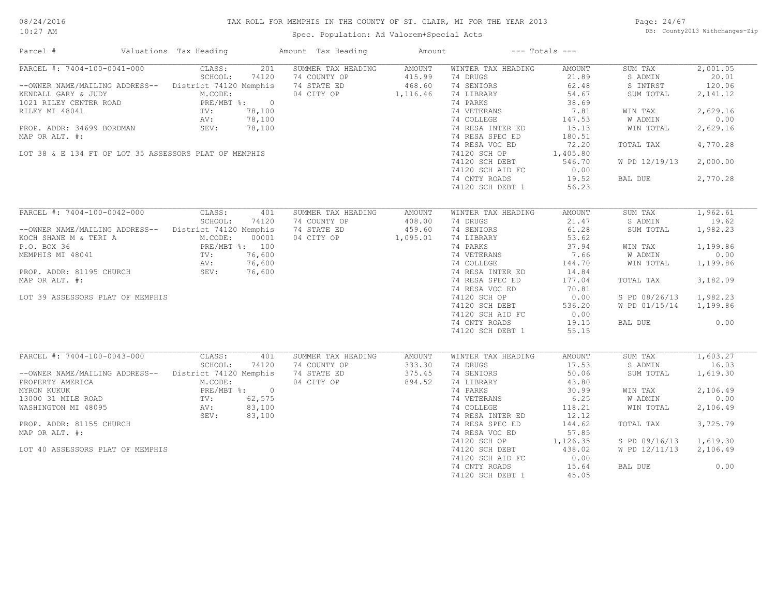#### TAX ROLL FOR MEMPHIS IN THE COUNTY OF ST. CLAIR, MI FOR THE YEAR 2013

10:27 AM

### Spec. Population: Ad Valorem+Special Acts

Page: 24/67 DB: County2013 Withchanges-Zip

| Parcel #                                               | Valuations Tax Heading | Amount Tax Heading | Amount        |                    | $---$ Totals $---$ |                |          |
|--------------------------------------------------------|------------------------|--------------------|---------------|--------------------|--------------------|----------------|----------|
| PARCEL #: 7404-100-0041-000                            | CLASS:<br>201          | SUMMER TAX HEADING | AMOUNT        | WINTER TAX HEADING | AMOUNT             | SUM TAX        | 2,001.05 |
|                                                        | SCHOOL:<br>74120       | 74 COUNTY OP       | 415.99        | 74 DRUGS           | 21.89              | S ADMIN        | 20.01    |
| --OWNER NAME/MAILING ADDRESS-- District 74120 Memphis  |                        | 74 STATE ED        | 468.60        | 74 SENIORS         | 62.48              | S INTRST       | 120.06   |
| KENDALL GARY & JUDY                                    | M.CODE:                | 04 CITY OP         | 1,116.46      | 74 LIBRARY         | 54.67              | SUM TOTAL      | 2,141.12 |
| 1021 RILEY CENTER ROAD<br>PILEY MI 48041               | PRE/MBT %: 0           |                    |               | 74 PARKS           | 38.69              |                |          |
|                                                        | 78,100<br>TV:          |                    |               | 74 VETERANS        | 7.81               | WIN TAX        | 2,629.16 |
|                                                        | AV:<br>78,100          |                    |               | 74 COLLEGE         | 147.53             | W ADMIN        | 0.00     |
| PROP. ADDR: 34699 BORDMAN                              | SEV:<br>78,100         |                    |               | 74 RESA INTER ED   | 15.13              | WIN TOTAL      | 2,629.16 |
| MAP OR ALT. #:                                         |                        |                    |               | 74 RESA SPEC ED    | 180.51             |                |          |
|                                                        |                        |                    |               | 74 RESA VOC ED     | 72.20              | TOTAL TAX      | 4,770.28 |
| LOT 38 & E 134 FT OF LOT 35 ASSESSORS PLAT OF MEMPHIS  |                        |                    |               | 74120 SCH OP       | 1,405.80           |                |          |
|                                                        |                        |                    |               | 74120 SCH DEBT     | 546.70             | W PD 12/19/13  | 2,000.00 |
|                                                        |                        |                    |               | 74120 SCH AID FC   | 0.00               |                |          |
|                                                        |                        |                    |               | 74 CNTY ROADS      | 19.52              | BAL DUE        | 2,770.28 |
|                                                        |                        |                    |               | 74120 SCH DEBT 1   | 56.23              |                |          |
|                                                        |                        |                    |               |                    |                    |                |          |
|                                                        |                        |                    |               |                    |                    |                |          |
| PARCEL #: 7404-100-0042-000                            | CLASS:<br>401          | SUMMER TAX HEADING | AMOUNT        | WINTER TAX HEADING | AMOUNT             | SUM TAX        | 1,962.61 |
|                                                        | SCHOOL:<br>74120       | 74 COUNTY OP       | 408.00        | 74 DRUGS           | 21.47              | S ADMIN        | 19.62    |
| --OWNER NAME/MAILING ADDRESS-- District 74120 Memphis  |                        | 74 STATE ED        | 459.60        | 74 SENIORS         | 61.28              | SUM TOTAL      | 1,982.23 |
| KOCH SHANE M & TERI A                                  | M.CODE:<br>00001       | 04 CITY OP         | 1,095.01      | 74 LIBRARY         | 53.62              |                |          |
| P.O. BOX 36                                            | PRE/MBT %: 100         |                    |               | 74 PARKS           | 37.94              | WIN TAX        | 1,199.86 |
| MEMPHIS MI 48041                                       | TV:<br>76,600          |                    |               | 74 VETERANS        | 7.66               | <b>W ADMIN</b> | 0.00     |
|                                                        | 76,600<br>AV:          |                    |               | 74 COLLEGE         | 144.70             | WIN TOTAL      | 1,199.86 |
| PROP. ADDR: 81195 CHURCH                               | SEV:<br>76,600         |                    |               | 74 RESA INTER ED   | 14.84              |                |          |
| MAP OR ALT. #:                                         |                        |                    |               | 74 RESA SPEC ED    | 177.04             | TOTAL TAX      | 3,182.09 |
|                                                        |                        |                    |               | 74 RESA VOC ED     | 70.81              |                |          |
| LOT 39 ASSESSORS PLAT OF MEMPHIS                       |                        |                    |               | 74120 SCH OP       | 0.00               | S PD 08/26/13  | 1,982.23 |
|                                                        |                        |                    |               | 74120 SCH DEBT     | 536.20             | W PD 01/15/14  | 1,199.86 |
|                                                        |                        |                    |               | 74120 SCH AID FC   | 0.00               |                |          |
|                                                        |                        |                    |               | 74 CNTY ROADS      | 19.15              | BAL DUE        | 0.00     |
|                                                        |                        |                    |               | 74120 SCH DEBT 1   | 55.15              |                |          |
|                                                        |                        |                    |               |                    |                    |                |          |
|                                                        |                        |                    |               |                    |                    |                |          |
| PARCEL #: 7404-100-0043-000                            | CLASS:<br>401          | SUMMER TAX HEADING | <b>AMOUNT</b> | WINTER TAX HEADING | AMOUNT             | SUM TAX        | 1,603.27 |
|                                                        | SCHOOL:<br>74120       | 74 COUNTY OP       | 333.30        | 74 DRUGS           | 17.53              | S ADMIN        | 16.03    |
| -- OWNER NAME/MAILING ADDRESS-- District 74120 Memphis |                        | 74 STATE ED        | 375.45        | 74 SENIORS         | 50.06              | SUM TOTAL      | 1,619.30 |
| PROPERTY AMERICA                                       | M.CODE:                | 04 CITY OP         | 894.52        | 74 LIBRARY         | 43.80              |                |          |
| MYRON KUKUK                                            | PRE/MBT %: 0           |                    |               | 74 PARKS           | 30.99              | WIN TAX        | 2,106.49 |
| 13000 31 MILE ROAD                                     | $TV:$ AV :<br>62,575   |                    |               | 74 VETERANS        | 6.25               | W ADMIN        | 0.00     |
| WASHINGTON MI 48095                                    | 83,100                 |                    |               | 74 COLLEGE         | 118.21             | WIN TOTAL      | 2,106.49 |
|                                                        | 83,100<br>SEV:         |                    |               | 74 RESA INTER ED   | 12.12              |                |          |
| PROP. ADDR: 81155 CHURCH                               |                        |                    |               | 74 RESA SPEC ED    | 144.62             | TOTAL TAX      | 3,725.79 |
| MAP OR ALT. #:                                         |                        |                    |               | 74 RESA VOC ED     | 57.85              |                |          |
|                                                        |                        |                    |               | 74120 SCH OP       | 1,126.35           | S PD 09/16/13  | 1,619.30 |
| LOT 40 ASSESSORS PLAT OF MEMPHIS                       |                        |                    |               | 74120 SCH DEBT     | 438.02             | W PD 12/11/13  | 2,106.49 |
|                                                        |                        |                    |               | 74120 SCH AID FC   | 0.00               |                |          |
|                                                        |                        |                    |               | 74 CNTY ROADS      | 15.64              | BAL DUE        | 0.00     |
|                                                        |                        |                    |               | 74120 SCH DEBT 1   | 45.05              |                |          |
|                                                        |                        |                    |               |                    |                    |                |          |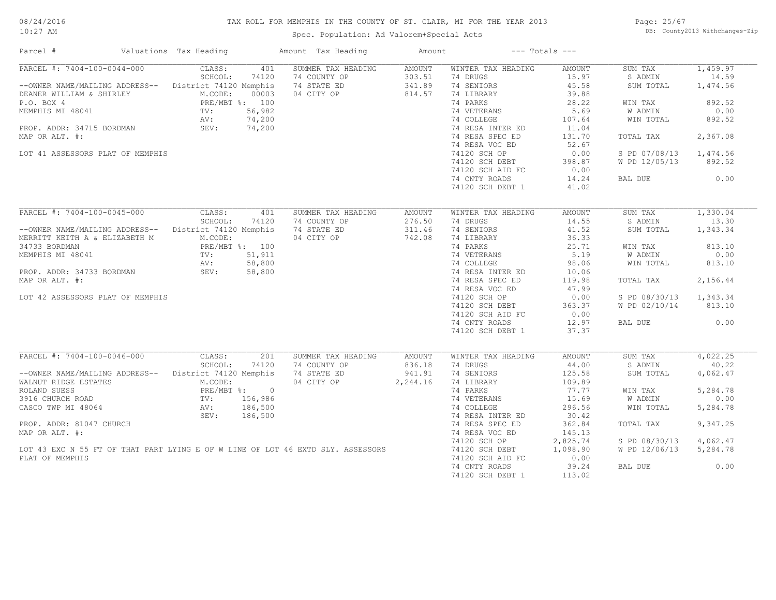#### TAX ROLL FOR MEMPHIS IN THE COUNTY OF ST. CLAIR, MI FOR THE YEAR 2013

10:27 AM

### Spec. Population: Ad Valorem+Special Acts

Page: 25/67 DB: County2013 Withchanges-Zip

| Parcel #                                                                                                                                                                                                       | Valuations Tax Heading                                                                                                                                | Amount Tax Heading                                              | Amount                               |                                                                                                                                                                                                                    | $---$ Totals $---$                                                                                                 |                                                                                                                   |                                                                                             |
|----------------------------------------------------------------------------------------------------------------------------------------------------------------------------------------------------------------|-------------------------------------------------------------------------------------------------------------------------------------------------------|-----------------------------------------------------------------|--------------------------------------|--------------------------------------------------------------------------------------------------------------------------------------------------------------------------------------------------------------------|--------------------------------------------------------------------------------------------------------------------|-------------------------------------------------------------------------------------------------------------------|---------------------------------------------------------------------------------------------|
| PARCEL #: 7404-100-0044-000<br>--OWNER NAME/MAILING ADDRESS--<br>DEANER WILLIAM & SHIRLEY<br>P.O. BOX 4<br>MEMPHIS MI 48041<br>PROP. ADDR: 34715 BORDMAN<br>MAP OR ALT. #:<br>LOT 41 ASSESSORS PLAT OF MEMPHIS | CLASS:<br>401<br>SCHOOL:<br>74120<br>District 74120 Memphis<br>00003<br>M.CODE:<br>PRE/MBT %: 100<br>56,982<br>TV:<br>74,200<br>AV:<br>SEV:<br>74,200 | SUMMER TAX HEADING<br>74 COUNTY OP<br>74 STATE ED<br>04 CITY OP | AMOUNT<br>303.51<br>341.89<br>814.57 | WINTER TAX HEADING<br>74 DRUGS<br>74 SENIORS<br>74 LIBRARY<br>74 PARKS<br>74 VETERANS<br>74 COLLEGE<br>74 RESA INTER ED<br>74 RESA SPEC ED<br>74 RESA VOC ED<br>74120 SCH OP<br>74120 SCH DEBT<br>74120 SCH AID FC | AMOUNT<br>15.97<br>45.58<br>39.88<br>28.22<br>5.69<br>107.64<br>11.04<br>131.70<br>52.67<br>0.00<br>398.87<br>0.00 | SUM TAX<br>S ADMIN<br>SUM TOTAL<br>WIN TAX<br>W ADMIN<br>WIN TOTAL<br>TOTAL TAX<br>S PD 07/08/13<br>W PD 12/05/13 | 1,459.97<br>14.59<br>1,474.56<br>892.52<br>0.00<br>892.52<br>2,367.08<br>1,474.56<br>892.52 |
|                                                                                                                                                                                                                |                                                                                                                                                       |                                                                 |                                      | 74 CNTY ROADS<br>74120 SCH DEBT 1                                                                                                                                                                                  | 14.24<br>41.02                                                                                                     | BAL DUE                                                                                                           | 0.00                                                                                        |
| PARCEL #: 7404-100-0045-000                                                                                                                                                                                    | CLASS:<br>401<br>SCHOOL:<br>74120                                                                                                                     | SUMMER TAX HEADING<br>74 COUNTY OP                              | AMOUNT<br>276.50                     | WINTER TAX HEADING<br>74 DRUGS                                                                                                                                                                                     | AMOUNT<br>14.55                                                                                                    | SUM TAX<br>S ADMIN                                                                                                | 1,330.04<br>13.30                                                                           |
| --OWNER NAME/MAILING ADDRESS-- District 74120 Memphis<br>MERRITT KEITH A & ELIZABETH M                                                                                                                         | M.CODE:                                                                                                                                               | 74 STATE ED<br>04 CITY OP                                       | 311.46<br>742.08                     | 74 SENIORS<br>74 LIBRARY                                                                                                                                                                                           | 41.52<br>36.33                                                                                                     | SUM TOTAL                                                                                                         | 1,343.34                                                                                    |
| 34733 BORDMAN<br>MEMPHIS MI 48041                                                                                                                                                                              | PRE/MBT %: 100<br>51,911<br>TV:<br>58,800<br>AV:                                                                                                      |                                                                 |                                      | 74 PARKS<br>74 VETERANS<br>74 COLLEGE                                                                                                                                                                              | 25.71<br>5.19<br>98.06                                                                                             | WIN TAX<br>W ADMIN<br>WIN TOTAL                                                                                   | 813.10<br>0.00<br>813.10                                                                    |
| PROP. ADDR: 34733 BORDMAN<br>MAP OR ALT. #:                                                                                                                                                                    | 58,800<br>SEV:                                                                                                                                        |                                                                 |                                      | 74 RESA INTER ED<br>74 RESA SPEC ED                                                                                                                                                                                | 10.06<br>119.98                                                                                                    | TOTAL TAX                                                                                                         | 2,156.44                                                                                    |
| LOT 42 ASSESSORS PLAT OF MEMPHIS                                                                                                                                                                               |                                                                                                                                                       |                                                                 |                                      | 74 RESA VOC ED<br>74120 SCH OP<br>74120 SCH DEBT                                                                                                                                                                   | 47.99<br>0.00<br>363.37                                                                                            | S PD 08/30/13<br>W PD 02/10/14                                                                                    | 1,343.34<br>813.10                                                                          |
|                                                                                                                                                                                                                |                                                                                                                                                       |                                                                 |                                      | 74120 SCH AID FC<br>74 CNTY ROADS<br>74120 SCH DEBT 1                                                                                                                                                              | 0.00<br>12.97<br>37.37                                                                                             | BAL DUE                                                                                                           | 0.00                                                                                        |
| PARCEL #: 7404-100-0046-000                                                                                                                                                                                    | CLASS:                                                                                                                                                | 201<br>SUMMER TAX HEADING                                       | AMOUNT                               | WINTER TAX HEADING                                                                                                                                                                                                 | AMOUNT                                                                                                             | SUM TAX                                                                                                           | 4,022.25                                                                                    |
| --OWNER NAME/MAILING ADDRESS--<br>WALNUT RIDGE ESTATES                                                                                                                                                         | SCHOOL:<br>74120<br>District 74120 Memphis<br>M.CODE:                                                                                                 | 74 COUNTY OP<br>74 STATE ED<br>04 CITY OP                       | 836.18<br>941.91<br>2,244.16         | 74 DRUGS<br>74 SENIORS<br>74 LIBRARY                                                                                                                                                                               | 44.00<br>125.58<br>109.89                                                                                          | S ADMIN<br>SUM TOTAL                                                                                              | 40.22<br>4,062.47                                                                           |
| ROLAND SUESS<br>3916 CHURCH ROAD                                                                                                                                                                               | PRE/MBT %: 0<br>156,986<br>$\text{TV}$ :                                                                                                              |                                                                 |                                      | 74 PARKS<br>74 VETERANS                                                                                                                                                                                            | 77.77<br>15.69                                                                                                     | WIN TAX<br>W ADMIN                                                                                                | 5,284.78<br>0.00                                                                            |
| CASCO TWP MI 48064                                                                                                                                                                                             | 186,500<br>AV:<br>186,500<br>SEV:                                                                                                                     |                                                                 |                                      | 74 COLLEGE<br>74 RESA INTER ED                                                                                                                                                                                     | 296.56<br>30.42                                                                                                    | WIN TOTAL                                                                                                         | 5,284.78                                                                                    |
| PROP. ADDR: 81047 CHURCH<br>MAP OR ALT. #:                                                                                                                                                                     |                                                                                                                                                       |                                                                 |                                      | 74 RESA SPEC ED<br>74 RESA VOC ED                                                                                                                                                                                  | 362.84<br>145.13<br>2,825.74                                                                                       | TOTAL TAX                                                                                                         | 9,347.25                                                                                    |
| LOT 43 EXC N 55 FT OF THAT PART LYING E OF W LINE OF LOT 46 EXTD SLY. ASSESSORS<br>PLAT OF MEMPHIS                                                                                                             |                                                                                                                                                       |                                                                 |                                      | 74120 SCH OP<br>74120 SCH DEBT<br>74120 SCH AID FC                                                                                                                                                                 | 1,098.90<br>0.00                                                                                                   | S PD 08/30/13<br>W PD 12/06/13                                                                                    | 4,062.47<br>5,284.78                                                                        |
|                                                                                                                                                                                                                |                                                                                                                                                       |                                                                 |                                      | 74 CNTY ROADS<br>74120 SCH DEBT 1                                                                                                                                                                                  | 39.24<br>113.02                                                                                                    | BAL DUE                                                                                                           | 0.00                                                                                        |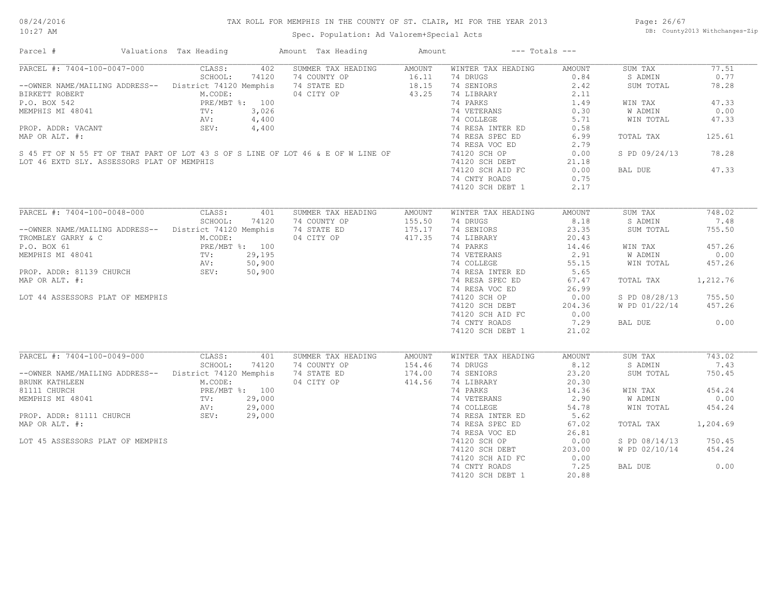#### TAX ROLL FOR MEMPHIS IN THE COUNTY OF ST. CLAIR, MI FOR THE YEAR 2013

Spec. Population: Ad Valorem+Special Acts

Page: 26/67 DB: County2013 Withchanges-Zip

| Parcel #                                                                         | Valuations Tax Heading | Amount Tax Heading | Amount        | $---$ Totals $---$ |               |               |          |
|----------------------------------------------------------------------------------|------------------------|--------------------|---------------|--------------------|---------------|---------------|----------|
| PARCEL #: 7404-100-0047-000                                                      | CLASS:<br>402          | SUMMER TAX HEADING | AMOUNT        | WINTER TAX HEADING | AMOUNT        | SUM TAX       | 77.51    |
|                                                                                  | SCHOOL:<br>74120       | 74 COUNTY OP       | 16.11         | 74 DRUGS           | 0.84          | S ADMIN       | 0.77     |
| --OWNER NAME/MAILING ADDRESS-- District 74120 Memphis                            |                        | 74 STATE ED        | 18.15         | 74 SENIORS         | 2.42          | SUM TOTAL     | 78.28    |
| BIRKETT ROBERT                                                                   | M.CODE:                | 04 CITY OP         | 43.25         | 74 LIBRARY         | 2.11          |               |          |
| P.O. BOX 542                                                                     | PRE/MBT %: 100         |                    |               | 74 PARKS           | 1.49          | WIN TAX       | 47.33    |
| MEMPHIS MI 48041                                                                 | TV:<br>3,026           |                    |               | 74 VETERANS        | 0.30          | W ADMIN       | 0.00     |
|                                                                                  | AV:<br>4,400           |                    |               | 74 COLLEGE         | 5.71          | WIN TOTAL     | 47.33    |
| PROP. ADDR: VACANT                                                               | SEV:<br>4,400          |                    |               | 74 RESA INTER ED   | 0.58          |               |          |
| MAP OR ALT. #:                                                                   |                        |                    |               | 74 RESA SPEC ED    | 6.99          | TOTAL TAX     | 125.61   |
|                                                                                  |                        |                    |               | 74 RESA VOC ED     | 2.79          |               |          |
| S 45 FT OF N 55 FT OF THAT PART OF LOT 43 S OF S LINE OF LOT 46 & E OF W LINE OF |                        |                    |               | 74120 SCH OP       | 0.00          | S PD 09/24/13 | 78.28    |
| LOT 46 EXTD SLY. ASSESSORS PLAT OF MEMPHIS                                       |                        |                    |               | 74120 SCH DEBT     | 21.18         |               |          |
|                                                                                  |                        |                    |               | 74120 SCH AID FC   | 0.00          | BAL DUE       | 47.33    |
|                                                                                  |                        |                    |               |                    |               |               |          |
|                                                                                  |                        |                    |               | 74 CNTY ROADS      | 0.75          |               |          |
|                                                                                  |                        |                    |               | 74120 SCH DEBT 1   | 2.17          |               |          |
| PARCEL #: 7404-100-0048-000                                                      | CLASS:<br>401          | SUMMER TAX HEADING | AMOUNT        | WINTER TAX HEADING | <b>AMOUNT</b> | SUM TAX       | 748.02   |
|                                                                                  | SCHOOL:<br>74120       | 74 COUNTY OP       | 155.50        | 74 DRUGS           | 8.18          | S ADMIN       | 7.48     |
| --OWNER NAME/MAILING ADDRESS-- District 74120 Memphis                            |                        | 74 STATE ED        | 175.17        | 74 SENIORS         | 23.35         | SUM TOTAL     | 755.50   |
|                                                                                  |                        |                    |               |                    |               |               |          |
| TROMBLEY GARRY & C                                                               | M.CODE:                | 04 CITY OP         | 417.35        | 74 LIBRARY         | 20.43         |               |          |
| P.O. BOX 61                                                                      | PRE/MBT %: 100         |                    |               | 74 PARKS           | 14.46         | WIN TAX       | 457.26   |
| MEMPHIS MI 48041                                                                 | 29,195<br>TV:          |                    |               | 74 VETERANS        | 2.91          | W ADMIN       | 0.00     |
|                                                                                  | AV:<br>50,900          |                    |               | 74 COLLEGE         | 55.15         | WIN TOTAL     | 457.26   |
| PROP. ADDR: 81139 CHURCH                                                         | 50,900<br>SEV:         |                    |               | 74 RESA INTER ED   | 5.65          |               |          |
| MAP OR ALT. #:                                                                   |                        |                    |               | 74 RESA SPEC ED    | 67.47         | TOTAL TAX     | 1,212.76 |
|                                                                                  |                        |                    |               | 74 RESA VOC ED     | 26.99         |               |          |
| LOT 44 ASSESSORS PLAT OF MEMPHIS                                                 |                        |                    |               | 74120 SCH OP       | 0.00          | S PD 08/28/13 | 755.50   |
|                                                                                  |                        |                    |               | 74120 SCH DEBT     | 204.36        | W PD 01/22/14 | 457.26   |
|                                                                                  |                        |                    |               | 74120 SCH AID FC   | 0.00          |               |          |
|                                                                                  |                        |                    |               | 74 CNTY ROADS      | 7.29          | BAL DUE       | 0.00     |
|                                                                                  |                        |                    |               | 74120 SCH DEBT 1   | 21.02         |               |          |
|                                                                                  |                        |                    |               |                    |               |               |          |
| PARCEL #: 7404-100-0049-000                                                      | CLASS:<br>401          | SUMMER TAX HEADING | <b>AMOUNT</b> | WINTER TAX HEADING | <b>AMOUNT</b> | SUM TAX       | 743.02   |
|                                                                                  | SCHOOL:<br>74120       | 74 COUNTY OP       | 154.46        | 74 DRUGS           | 8.12          | S ADMIN       | 7.43     |
| -- OWNER NAME/MAILING ADDRESS-- District 74120 Memphis                           |                        | 74 STATE ED        | 174.00        | 74 SENIORS         | 23.20         | SUM TOTAL     | 750.45   |
| BRUNK KATHLEEN                                                                   | M.CODE:                | 04 CITY OP         | 414.56        | 74 LIBRARY         | 20.30         |               |          |
| 81111 CHURCH                                                                     | PRE/MBT %: 100         |                    |               | 74 PARKS           | 14.36         | WIN TAX       | 454.24   |
| MEMPHIS MI 48041                                                                 | TV:<br>29,000          |                    |               | 74 VETERANS        | 2.90          | W ADMIN       | 0.00     |
|                                                                                  | 29,000<br>AV:          |                    |               | 74 COLLEGE         | 54.78         | WIN TOTAL     | 454.24   |
| PROP. ADDR: 81111 CHURCH                                                         | 29,000                 |                    |               | 74 RESA INTER ED   | 5.62          |               |          |
|                                                                                  | SEV:                   |                    |               |                    |               |               |          |
| MAP OR ALT. #:                                                                   |                        |                    |               | 74 RESA SPEC ED    | 67.02         | TOTAL TAX     | 1,204.69 |
|                                                                                  |                        |                    |               | 74 RESA VOC ED     | 26.81         |               |          |
| LOT 45 ASSESSORS PLAT OF MEMPHIS                                                 |                        |                    |               | 74120 SCH OP       | 0.00          | S PD 08/14/13 | 750.45   |
|                                                                                  |                        |                    |               | 74120 SCH DEBT     | 203.00        | W PD 02/10/14 | 454.24   |
|                                                                                  |                        |                    |               | 74120 SCH AID FC   | 0.00          |               |          |
|                                                                                  |                        |                    |               | 74 CNTY ROADS      | 7.25          | BAL DUE       | 0.00     |
|                                                                                  |                        |                    |               | 74120 SCH DEBT 1   | 20.88         |               |          |
|                                                                                  |                        |                    |               |                    |               |               |          |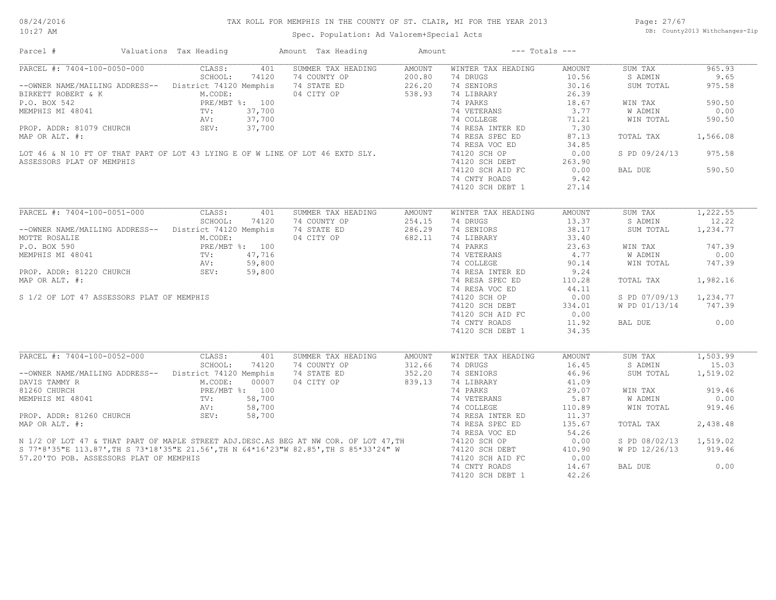#### TAX ROLL FOR MEMPHIS IN THE COUNTY OF ST. CLAIR, MI FOR THE YEAR 2013

10:27 AM

### Spec. Population: Ad Valorem+Special Acts

Page: 27/67 DB: County2013 Withchanges-Zip

| Valuations Tax Heading<br>Amount Tax Heading<br>$---$ Totals $---$<br>Parcel #<br>Amount                                                                                                                                                              |                         |
|-------------------------------------------------------------------------------------------------------------------------------------------------------------------------------------------------------------------------------------------------------|-------------------------|
| PARCEL #: 7404-100-0050-000<br>SUMMER TAX HEADING<br>WINTER TAX HEADING<br>CLASS:<br>401<br>AMOUNT<br>AMOUNT                                                                                                                                          | SUM TAX<br>965.93       |
| SCHOOL:<br>74120<br>74 COUNTY OP<br>200.80<br>74 DRUGS<br>10.56                                                                                                                                                                                       | 9.65<br>S ADMIN         |
| --OWNER NAME/MAILING ADDRESS-- District 74120 Memphis<br>74 STATE ED<br>226.20<br>74 SENIORS<br>30.16                                                                                                                                                 | 975.58<br>SUM TOTAL     |
| 04 CITY OP<br>538.93<br>BIRKETT ROBERT & K<br>EXECUTE:<br>FRE/MBT %: 100<br>TV: 37,700<br>N.CODE:<br>PRE/MBT %: 100<br>TV: 37,700<br>AV: 37,700<br>SEV: 37,700<br>74 LIBRARY<br>26.39                                                                 |                         |
| 74 PARKS<br>18.67<br>BIRKETT ROBERT & K<br>P.O. BOX 542<br>MEMPHIS MI 48041<br>TV: 37,700<br>PROP. ADDR: 81079 CHURCH<br>MAP OR ALT. #:<br>LOT 46 & N 10 FT OF THAT PART OF LOT 43 LYING E OF W LINE OF LOT 46 EXTD SLY.<br>ASSESSORS PLAT OF MEMPHIS | 590.50<br>WIN TAX       |
| 74 VETERANS<br>3.77                                                                                                                                                                                                                                   | 0.00<br>W ADMIN         |
| 74 COLLEGE<br>71.21                                                                                                                                                                                                                                   | WIN TOTAL<br>590.50     |
| 74 RESA INTER ED 7.30                                                                                                                                                                                                                                 |                         |
| 74 RESA SPEC ED<br>87.13                                                                                                                                                                                                                              | TOTAL TAX<br>1,566.08   |
| 74 RESA VOC ED<br>34.85                                                                                                                                                                                                                               |                         |
|                                                                                                                                                                                                                                                       | S PD 09/24/13 975.58    |
| 74120 SCH OP<br>0.00                                                                                                                                                                                                                                  |                         |
| 74120 SCH DEBT<br>74120 sch aid fc<br>263.90                                                                                                                                                                                                          |                         |
| 74120 SCH AID FC<br>0.00                                                                                                                                                                                                                              | BAL DUE<br>590.50       |
| 9.42<br>74 CNTY ROADS                                                                                                                                                                                                                                 |                         |
| 74120 SCH DEBT 1<br>27.14                                                                                                                                                                                                                             |                         |
|                                                                                                                                                                                                                                                       |                         |
| PARCEL #: 7404-100-0051-000 CLASS:<br>401<br>SUMMER TAX HEADING<br>WINTER TAX HEADING<br>AMOUNT<br>AMOUNT                                                                                                                                             | 1,222.55<br>SUM TAX     |
| SCHOOL:<br>74120<br>74 COUNTY OP<br>254.15<br>74 DRUGS<br>13.37                                                                                                                                                                                       | S ADMIN<br>12.22        |
| --OWNER NAME/MAILING ADDRESS-- District 74120 Memphis<br>74 STATE ED<br>286.29<br>74 SENIORS<br>38.17                                                                                                                                                 | SUM TOTAL<br>1,234.77   |
| 74 LIBRARY<br>33.40                                                                                                                                                                                                                                   |                         |
| 74 PARKS<br>23.63                                                                                                                                                                                                                                     | 747.39<br>WIN TAX       |
| 74 VETERANS<br>4.77                                                                                                                                                                                                                                   | W ADMIN<br>0.00         |
| 90.14<br>74 COLLEGE                                                                                                                                                                                                                                   | 747.39<br>WIN TOTAL     |
| 74 RESA INTER ED<br>74 RESA SPEC ED<br>9.24                                                                                                                                                                                                           |                         |
| MAP OR ALT. #:<br>110.28                                                                                                                                                                                                                              | TOTAL TAX<br>1,982.16   |
| 74 RESA VOC ED<br>44.11                                                                                                                                                                                                                               |                         |
| 0.00<br>S 1/2 OF LOT 47 ASSESSORS PLAT OF MEMPHIS<br>74120 SCH OP                                                                                                                                                                                     | S PD 07/09/13 1,234.77  |
|                                                                                                                                                                                                                                                       | 747.39<br>W PD 01/13/14 |
| 74120 SCH DEBT 334.01<br>74120 SCH AID FC 0.00                                                                                                                                                                                                        |                         |
|                                                                                                                                                                                                                                                       |                         |
| 11.92<br>74 CNTY ROADS                                                                                                                                                                                                                                | 0.00<br>BAL DUE         |
| 8: 100<br>47,716<br>59,800<br>59,800<br>59,800<br>74120 SCH DEBT 1<br>34.35                                                                                                                                                                           |                         |
| PARCEL #: 7404-100-0052-000 CLASS:<br>SUMMER TAX HEADING<br>401<br>WINTER TAX HEADING<br>AMOUNT<br>AMOUNT                                                                                                                                             | 1,503.99<br>SUM TAX     |
| SCHOOL:<br>74120<br>312.66<br>16.45<br>74 COUNTY OP<br>74 DRUGS                                                                                                                                                                                       | 15.03<br>S ADMIN        |
| -- OWNER NAME/MAILING ADDRESS-- District 74120 Memphis<br>74 STATE ED<br>352.20<br>74 SENIORS<br>46.96                                                                                                                                                | 1,519.02<br>SUM TOTAL   |
| 839.13<br>04 CITY OP<br>74 LIBRARY<br>41.09                                                                                                                                                                                                           |                         |
| 0007<br>NEMPHIS MIMY R<br>NEMPHIS MI 48041<br>NEMPHIS MI 48041<br>PROP. ADDR: 81260 CHURCH<br>PROP. ADDR: 81260 CHURCH<br>PROP. ADDR: 81260 CHURCH<br>SEV: 58,700<br>PROP. ADDR: 81260 CHURCH<br>SEV: 58,700<br>74 PARKS<br>29.07                     | 919.46<br>WIN TAX       |
| 5.87                                                                                                                                                                                                                                                  | 0.00                    |
| 74 VETERANS                                                                                                                                                                                                                                           | W ADMIN                 |
| 74 COLLEGE<br>110.89                                                                                                                                                                                                                                  | WIN TOTAL<br>919.46     |
| 74 RESA INTER ED<br>11.37                                                                                                                                                                                                                             |                         |
| 135.67<br>MAP OR ALT. #:<br>74 RESA SPEC ED                                                                                                                                                                                                           | 2,438.48<br>TOTAL TAX   |
| 74 RESA VOC ED<br>54.26                                                                                                                                                                                                                               |                         |
| 74120 SCH OP<br>0.00                                                                                                                                                                                                                                  | S PD 08/02/13 1,519.02  |
| N 1/2 OF LOT 47 & THAT PART OF MAPLE STREET ADJ.DESC.AS BEG AT NW COR. OF LOT 47, TH<br>S 77*8'35"E 113.87', TH S 73*18'35"E 21.56', TH N 64*16'23"W 82.85', TH S 85*33'24" W<br>74120 SCH DEBT<br>410.90                                             | W PD 12/26/13 919.46    |
| 57.20'TO POB. ASSESSORS PLAT OF MEMPHIS<br>74120 SCH AID FC<br>0.00                                                                                                                                                                                   |                         |
| 74 CNTY ROADS<br>14.67                                                                                                                                                                                                                                | BAL DUE<br>0.00         |
| 42.26<br>74120 SCH DEBT 1                                                                                                                                                                                                                             |                         |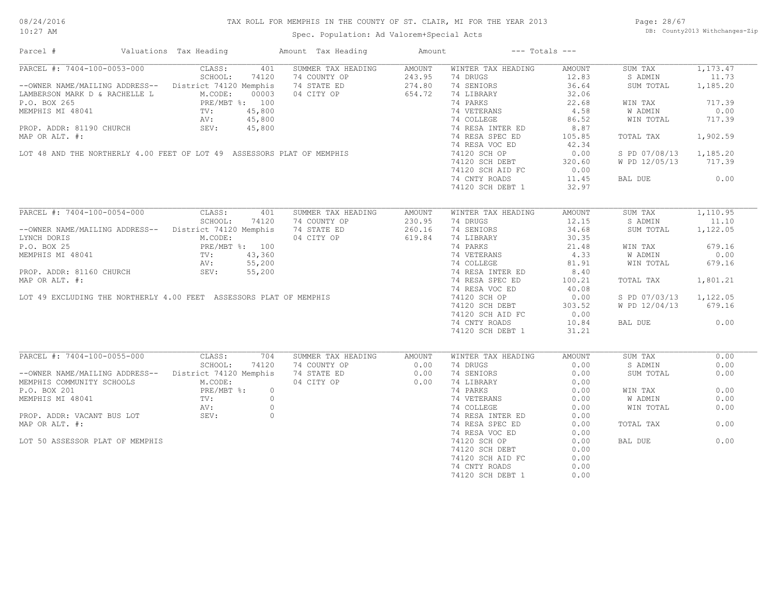#### TAX ROLL FOR MEMPHIS IN THE COUNTY OF ST. CLAIR, MI FOR THE YEAR 2013

Spec. Population: Ad Valorem+Special Acts

Page: 28/67 DB: County2013 Withchanges-Zip

| Parcel #                                                                                                                                                                                                                                                                                                          | Valuations Tax Heading                                                     |                                                          | Amount Tax Heading                                                                                                                                                                                      | Amount                               |                                                                                                                                                                                                                                                         | $---$ Totals $---$                                                                                                                  |                                                                                                                                       |                                                                                         |
|-------------------------------------------------------------------------------------------------------------------------------------------------------------------------------------------------------------------------------------------------------------------------------------------------------------------|----------------------------------------------------------------------------|----------------------------------------------------------|---------------------------------------------------------------------------------------------------------------------------------------------------------------------------------------------------------|--------------------------------------|---------------------------------------------------------------------------------------------------------------------------------------------------------------------------------------------------------------------------------------------------------|-------------------------------------------------------------------------------------------------------------------------------------|---------------------------------------------------------------------------------------------------------------------------------------|-----------------------------------------------------------------------------------------|
| PARCEL #: 7404-100-0053-000<br>--OWNER NAME/MAILING ADDRESS-- District 74120 Memphis<br>LAMBERSON MARK D & RACHELLE L<br>P.O. BOX 265<br>MEMPHIS MI 48041<br>P.O. BOX 265<br>MEMPHIS MI 48041<br>P.O. BOX 265<br>MEMPHIS MI 48041<br>P.O. BOX 265<br>MEMPHIS MI 48041<br>AV: 45,800<br>SEV: 45,800<br>SEV: 45,800 | CLASS:<br>SCHOOL:<br>M.CODE:                                               | 401<br>74120<br>00003                                    | SUMMER TAX HEADING<br>COUNT OP<br>74 STATE ED<br>04 CITY OP<br>MEMPHIS MI 48041<br>PROP. ADDR: 81190 CHURCH<br>MAP OR ALT. #:<br>LOT 48 AND THE NORTHERLY 4.00 FEET OF LOT 49 ASSESSORS PLAT OF MEMPHIS | AMOUNT<br>243.95<br>274.80<br>654.72 | WINTER TAX HEADING<br>74 DRUGS<br>74 SENIORS<br>74 LIBRARY<br>74 PARKS<br>74 VETERANS<br>74 COLLEGE<br>74 RESA INTER ED<br>74 RESA SPEC ED                                                                                                              | AMOUNT<br>12.83<br>36.64<br>32.06<br>22.68<br>4.58<br>86.52<br>8.87<br>105.85                                                       | SUM TAX<br>S ADMIN<br>SUM TOTAL<br>WIN TAX<br>W ADMIN<br>WIN TOTAL<br>TOTAL TAX                                                       | 1,173.47<br>11.73<br>1,185.20<br>717.39<br>0.00<br>717.39<br>1,902.59                   |
|                                                                                                                                                                                                                                                                                                                   |                                                                            |                                                          |                                                                                                                                                                                                         |                                      | 74 RESA VOC ED<br>74120 SCH OP<br>74120 SCH DEBT<br>74120 SCH AID FC<br>74 CNTY ROADS<br>74120 SCH DEBT 1                                                                                                                                               | 42.34<br>0.00<br>320.60<br>0.00<br>11.45<br>32.97                                                                                   | S PD 07/08/13<br>W PD 12/05/13 717.39<br>BAL DUE                                                                                      | 1,185.20<br>0.00                                                                        |
| PARCEL #: 7404-100-0054-000<br>-- OWNER NAME/MAILING ADDRESS-- District 74120 Memphis<br>LYNCH DORIS<br>P.O. BOX 25<br>MEMPHIS MI 48041                                                                                                                                                                           | CLASS:<br>SCHOOL:<br>M.CODE:<br>PRE/MBT %: 100<br>TV: 43,360<br>AV: 55,200 | 401<br>74120                                             | SUMMER TAX HEADING<br>74 COUNTY OP<br>74 STATE ED<br>04 CITY OP<br>PROP. ADDR: 81160 CHURCH<br>MAP OR ALT. #:<br>LOT 49 EXCLUDING THE NORTHERLY 4.00 FEET ASSESSORS PLAT OF MEMPHIS                     | AMOUNT<br>230.95<br>260.16<br>619.84 | WINTER TAX HEADING<br>74 DRUGS<br>74 SENIORS<br>74 LIBRARY<br>74 PARKS<br>74 VETERANS<br>74 COLLEGE<br>74 RESA INTER ED<br>74 RESA SPEC ED<br>74 RESA VOC ED<br>74120 SCH OP<br>74120 SCH DEBT<br>74120 SCH AID FC<br>74 CNTY ROADS<br>74120 SCH DEBT 1 | AMOUNT<br>12.15<br>34.68<br>30.35<br>$30.2$<br>21.48<br>4.33<br>81 0<br>100.21<br>40.08<br>0.00<br>303.52<br>0.00<br>10.84<br>31.21 | SUM TAX<br>S ADMIN<br>SUM TOTAL<br>WIN TAX<br>W ADMIN<br>WIN TOTAL<br>TOTAL TAX<br>S PD 07/03/13 1,122.05<br>W PD 12/04/13<br>BAL DUE | 1,110.95<br>11.10<br>1,122.05<br>679.16<br>0.00<br>679.16<br>1,801.21<br>679.16<br>0.00 |
| PARCEL #: 7404-100-0055-000<br>--OWNER NAME/MAILING ADDRESS-- District 74120 Memphis<br>MEMPHIS COMMUNITY SCHOOLS M.CODE:<br>P.O. BOX 201<br>MEMPHIS MI 48041<br>PROP. ADDR: VACANT BUS LOT<br>MAP OR ALT. #:<br>LOT 50 ASSESSOR PLAT OF MEMPHIS                                                                  | CLASS:<br>SCHOOL:<br>$PRE/MBT$ %:<br>TV:<br>AV:<br>SEV:                    | 704<br>74120<br>$\circ$<br>$\circ$<br>$\circ$<br>$\circ$ | SUMMER TAX HEADING<br>74 COUNTY OP<br>74 STATE ED<br>04 CITY OP                                                                                                                                         | AMOUNT<br>0.00<br>0.00<br>0.00       | WINTER TAX HEADING<br>74 DRUGS<br>74 SENIORS<br>74 LIBRARY<br>74 PARKS<br>74 VETERANS<br>74 COLLEGE<br>74 RESA INTER ED<br>74 RESA SPEC ED<br>74 RESA VOC ED<br>74120 SCH OP<br>74120 SCH DEBT<br>74120 SCH AID FC<br>74 CNTY ROADS<br>74120 SCH DEBT 1 | <b>AMOUNT</b><br>0.00<br>0.00<br>0.00<br>0.00<br>0.00<br>0.00<br>0.00<br>0.00<br>0.00<br>0.00<br>0.00<br>0.00<br>0.00<br>0.00       | SUM TAX<br>S ADMIN<br>SUM TOTAL<br>WIN TAX<br>W ADMIN<br>WIN TOTAL<br>TOTAL TAX<br>BAL DUE                                            | 0.00<br>0.00<br>0.00<br>0.00<br>0.00<br>0.00<br>0.00<br>0.00                            |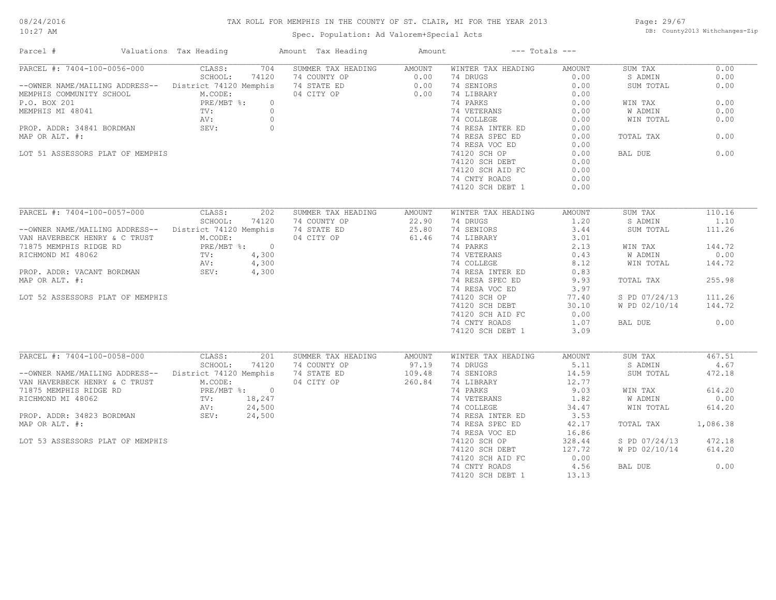#### TAX ROLL FOR MEMPHIS IN THE COUNTY OF ST. CLAIR, MI FOR THE YEAR 2013

10:27 AM

### Spec. Population: Ad Valorem+Special Acts

Page: 29/67 DB: County2013 Withchanges-Zip

| Parcel #                                                                                                                                                                                                                                | Valuations Tax Heading                                                           | Amount Tax Heading                                                                                          | Amount                         | $---$ Totals $---$                                                                                                                                                                                                                                      |                                                                                                                        |                                                                                            |                                                              |
|-----------------------------------------------------------------------------------------------------------------------------------------------------------------------------------------------------------------------------------------|----------------------------------------------------------------------------------|-------------------------------------------------------------------------------------------------------------|--------------------------------|---------------------------------------------------------------------------------------------------------------------------------------------------------------------------------------------------------------------------------------------------------|------------------------------------------------------------------------------------------------------------------------|--------------------------------------------------------------------------------------------|--------------------------------------------------------------|
| PARCEL #: 7404-100-0056-000<br>--OWNER NAME/MAILING ADDRESS-- District 74120 Memphis<br>MEMPHIS COMMUNITY SCHOOL<br>P.O. BOX 201<br>MEMPHIS MI 48041<br>PROP. ADDR: 34841 BORDMAN<br>MAP OR ALT. #:<br>LOT 51 ASSESSORS PLAT OF MEMPHIS | CLASS:<br>704<br>SCHOOL:<br>74120<br>M.CODE:<br>PRE/MBT %:<br>TV:<br>AV:<br>SEV: | SUMMER TAX HEADING<br>74 COUNTY OP<br>74 STATE ED<br>04 CITY OP<br>$\circ$<br>$\circ$<br>$\circ$<br>$\circ$ | AMOUNT<br>0.00<br>0.00<br>0.00 | WINTER TAX HEADING<br>74 DRUGS<br>74 SENIORS<br>74 LIBRARY<br>74 PARKS<br>74 VETERANS<br>74 COLLEGE<br>74 RESA INTER ED<br>74 RESA SPEC ED<br>74 RESA VOC ED<br>74120 SCH OP<br>74120 SCH DEBT<br>74120 SCH AID FC<br>74 CNTY ROADS<br>74120 SCH DEBT 1 | AMOUNT<br>0.00<br>0.00<br>0.00<br>0.00<br>0.00<br>0.00<br>0.00<br>0.00<br>0.00<br>0.00<br>0.00<br>0.00<br>0.00<br>0.00 | SUM TAX<br>S ADMIN<br>SUM TOTAL<br>WIN TAX<br>W ADMIN<br>WIN TOTAL<br>TOTAL TAX<br>BAL DUE | 0.00<br>0.00<br>0.00<br>0.00<br>0.00<br>0.00<br>0.00<br>0.00 |
|                                                                                                                                                                                                                                         |                                                                                  |                                                                                                             |                                |                                                                                                                                                                                                                                                         |                                                                                                                        |                                                                                            |                                                              |
| PARCEL #: 7404-100-0057-000                                                                                                                                                                                                             | CLASS:<br>202                                                                    | SUMMER TAX HEADING                                                                                          | AMOUNT                         | WINTER TAX HEADING                                                                                                                                                                                                                                      | AMOUNT                                                                                                                 | SUM TAX                                                                                    | 110.16                                                       |
|                                                                                                                                                                                                                                         | SCHOOL:<br>74120                                                                 | 74 COUNTY OP                                                                                                | 22.90                          | 74 DRUGS                                                                                                                                                                                                                                                | 1.20                                                                                                                   | S ADMIN                                                                                    | 1.10                                                         |
| --OWNER NAME/MAILING ADDRESS--<br>VAN HAVERBECK HENRY & C TRUST                                                                                                                                                                         | District 74120 Memphis<br>M.CODE:                                                | 74 STATE ED<br>04 CITY OP                                                                                   | 25.80<br>61.46                 | 74 SENIORS<br>74 LIBRARY                                                                                                                                                                                                                                | 3.44<br>3.01                                                                                                           | SUM TOTAL                                                                                  | 111.26                                                       |
| 71875 MEMPHIS RIDGE RD                                                                                                                                                                                                                  | PRE/MBT %: 0                                                                     |                                                                                                             |                                | 74 PARKS                                                                                                                                                                                                                                                | 2.13                                                                                                                   | WIN TAX                                                                                    | 144.72                                                       |
| RICHMOND MI 48062                                                                                                                                                                                                                       | TV:<br>4,300                                                                     |                                                                                                             |                                | 74 VETERANS                                                                                                                                                                                                                                             | 0.43                                                                                                                   | W ADMIN                                                                                    | 0.00                                                         |
|                                                                                                                                                                                                                                         | AV:<br>4,300                                                                     |                                                                                                             |                                | 74 COLLEGE                                                                                                                                                                                                                                              | 8.12                                                                                                                   | WIN TOTAL                                                                                  | 144.72                                                       |
| PROP. ADDR: VACANT BORDMAN                                                                                                                                                                                                              | SEV:<br>4,300                                                                    |                                                                                                             |                                | 74 RESA INTER ED                                                                                                                                                                                                                                        | 0.83                                                                                                                   |                                                                                            |                                                              |
| MAP OR ALT. #:                                                                                                                                                                                                                          |                                                                                  |                                                                                                             |                                | 74 RESA SPEC ED                                                                                                                                                                                                                                         | 9.93                                                                                                                   | TOTAL TAX                                                                                  | 255.98                                                       |
|                                                                                                                                                                                                                                         |                                                                                  |                                                                                                             |                                | 74 RESA VOC ED                                                                                                                                                                                                                                          | 3.97                                                                                                                   |                                                                                            |                                                              |
| LOT 52 ASSESSORS PLAT OF MEMPHIS                                                                                                                                                                                                        |                                                                                  |                                                                                                             |                                | 74120 SCH OP                                                                                                                                                                                                                                            | 77.40                                                                                                                  | S PD 07/24/13                                                                              | 111.26                                                       |
|                                                                                                                                                                                                                                         |                                                                                  |                                                                                                             |                                | 74120 SCH DEBT                                                                                                                                                                                                                                          | 30.10                                                                                                                  | W PD 02/10/14                                                                              | 144.72                                                       |
|                                                                                                                                                                                                                                         |                                                                                  |                                                                                                             |                                | 74120 SCH AID FC                                                                                                                                                                                                                                        | 0.00                                                                                                                   |                                                                                            |                                                              |
|                                                                                                                                                                                                                                         |                                                                                  |                                                                                                             |                                | 74 CNTY ROADS                                                                                                                                                                                                                                           | 1.07                                                                                                                   | BAL DUE                                                                                    | 0.00                                                         |
|                                                                                                                                                                                                                                         |                                                                                  |                                                                                                             |                                | 74120 SCH DEBT 1                                                                                                                                                                                                                                        | 3.09                                                                                                                   |                                                                                            |                                                              |
| PARCEL #: 7404-100-0058-000                                                                                                                                                                                                             | CLASS:<br>201                                                                    | SUMMER TAX HEADING                                                                                          | AMOUNT                         | WINTER TAX HEADING                                                                                                                                                                                                                                      | <b>AMOUNT</b>                                                                                                          | SUM TAX                                                                                    | 467.51                                                       |
|                                                                                                                                                                                                                                         | SCHOOL:<br>74120                                                                 | 74 COUNTY OP                                                                                                | 97.19                          | 74 DRUGS                                                                                                                                                                                                                                                | 5.11                                                                                                                   | S ADMIN                                                                                    | 4.67                                                         |
| --OWNER NAME/MAILING ADDRESS--                                                                                                                                                                                                          | District 74120 Memphis                                                           | 74 STATE ED                                                                                                 | 109.48                         | 74 SENIORS                                                                                                                                                                                                                                              | 14.59                                                                                                                  | SUM TOTAL                                                                                  | 472.18                                                       |
| VAN HAVERBECK HENRY & C TRUST                                                                                                                                                                                                           | M.CODE:                                                                          | 04 CITY OP                                                                                                  | 260.84                         | 74 LIBRARY                                                                                                                                                                                                                                              | 12.77                                                                                                                  |                                                                                            |                                                              |
| 71875 MEMPHIS RIDGE RD                                                                                                                                                                                                                  | PRE/MBT %: 0                                                                     |                                                                                                             |                                | 74 PARKS                                                                                                                                                                                                                                                | 9.03                                                                                                                   | WIN TAX                                                                                    | 614.20                                                       |
| RICHMOND MI 48062                                                                                                                                                                                                                       | TV:<br>18,247                                                                    |                                                                                                             |                                | 74 VETERANS                                                                                                                                                                                                                                             | 1.82                                                                                                                   | W ADMIN                                                                                    | 0.00                                                         |
|                                                                                                                                                                                                                                         | 24,500<br>AV:                                                                    |                                                                                                             |                                | 74 COLLEGE                                                                                                                                                                                                                                              | 34.47                                                                                                                  | WIN TOTAL                                                                                  | 614.20                                                       |
|                                                                                                                                                                                                                                         | 24,500                                                                           |                                                                                                             |                                | 74 RESA INTER ED                                                                                                                                                                                                                                        | 3.53                                                                                                                   |                                                                                            |                                                              |
| MAP OR ALT. #:                                                                                                                                                                                                                          |                                                                                  |                                                                                                             |                                | 74 RESA SPEC ED                                                                                                                                                                                                                                         | 42.17                                                                                                                  | TOTAL TAX                                                                                  | 1,086.38                                                     |
|                                                                                                                                                                                                                                         |                                                                                  |                                                                                                             |                                | 74 RESA VOC ED                                                                                                                                                                                                                                          | 16.86                                                                                                                  |                                                                                            |                                                              |
| LOT 53 ASSESSORS PLAT OF MEMPHIS                                                                                                                                                                                                        |                                                                                  |                                                                                                             |                                | 74120 SCH OP                                                                                                                                                                                                                                            | 328.44                                                                                                                 | S PD 07/24/13                                                                              | 472.18                                                       |
|                                                                                                                                                                                                                                         |                                                                                  |                                                                                                             |                                | 74120 SCH DEBT                                                                                                                                                                                                                                          | 127.72                                                                                                                 | W PD 02/10/14                                                                              | 614.20                                                       |
|                                                                                                                                                                                                                                         |                                                                                  |                                                                                                             |                                | 74120 SCH AID FC                                                                                                                                                                                                                                        | 0.00                                                                                                                   |                                                                                            | 0.00                                                         |
|                                                                                                                                                                                                                                         |                                                                                  |                                                                                                             |                                | 74 CNTY ROADS<br>74120 SCH DEBT 1                                                                                                                                                                                                                       | 4.56<br>13.13                                                                                                          | BAL DUE                                                                                    |                                                              |
|                                                                                                                                                                                                                                         |                                                                                  |                                                                                                             |                                |                                                                                                                                                                                                                                                         |                                                                                                                        |                                                                                            |                                                              |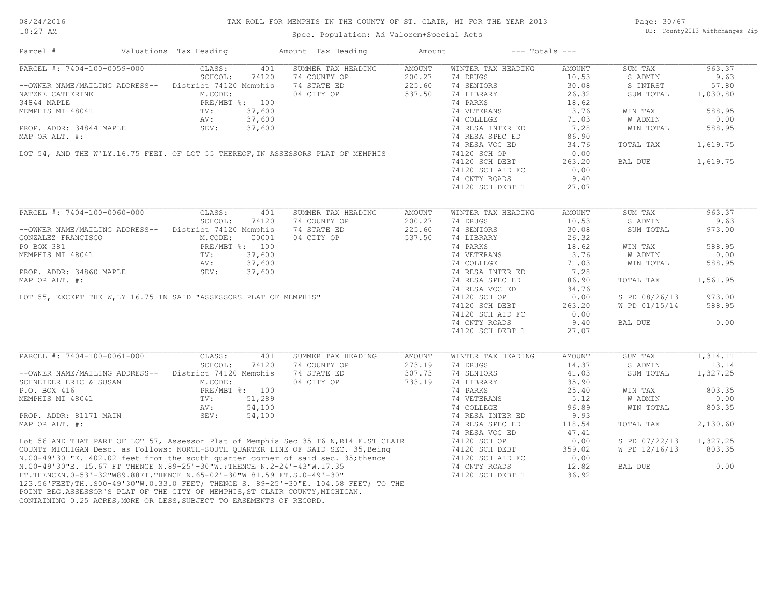| 08/24/2016 |  |
|------------|--|
| 10:27 AM   |  |

#### TAX ROLL FOR MEMPHIS IN THE COUNTY OF ST. CLAIR, MI FOR THE YEAR 2013

Spec. Population: Ad Valorem+Special Acts

Page: 30/67 DB: County2013 Withchanges-Zip

| Parcel #                                                                     | Valuations Tax Heading                          |        | Amount Tax Heading                                                                                                                                                                                                                   | Amount |                    | $---$ Totals $---$ |                |                       |
|------------------------------------------------------------------------------|-------------------------------------------------|--------|--------------------------------------------------------------------------------------------------------------------------------------------------------------------------------------------------------------------------------------|--------|--------------------|--------------------|----------------|-----------------------|
| PARCEL #: 7404-100-0059-000                                                  | CLASS:                                          | 401    | SUMMER TAX HEADING                                                                                                                                                                                                                   | AMOUNT | WINTER TAX HEADING | AMOUNT             | SUM TAX        | 963.37                |
|                                                                              | SCHOOL:                                         | 74120  | 74 COUNTY OP                                                                                                                                                                                                                         | 200.27 | 74 DRUGS           | 10.53              | S ADMIN        | 9.63                  |
| --OWNER NAME/MAILING ADDRESS-- District 74120 Memphis                        |                                                 |        | 74 STATE ED                                                                                                                                                                                                                          | 225.60 | 74 SENIORS         | 30.08              | S INTRST       | 57.80                 |
| NATZKE CATHERINE                                                             | M.CODE:                                         |        | 04 CITY OP                                                                                                                                                                                                                           | 537.50 | 74 LIBRARY         | 26.32              | SUM TOTAL      | 1,030.80              |
| 34844 MAPLE                                                                  | PRE/MBT %: 100                                  |        |                                                                                                                                                                                                                                      |        | 74 PARKS           | 18.62              |                |                       |
| MEMPHIS MI 48041                                                             | TV:                                             | 37,600 |                                                                                                                                                                                                                                      |        | 74 VETERANS        | 3.76               | WIN TAX        | 588.95                |
|                                                                              | AV:                                             | 37,600 |                                                                                                                                                                                                                                      |        | 74 COLLEGE         | 71.03              | <b>W ADMIN</b> | 0.00                  |
| PROP. ADDR: 34844 MAPLE SEV:                                                 |                                                 | 37,600 |                                                                                                                                                                                                                                      |        | 74 RESA INTER ED   | 7.28               | WIN TOTAL      | 588.95                |
| MAP OR ALT. #:                                                               |                                                 |        |                                                                                                                                                                                                                                      |        | 74 RESA SPEC ED    | 86.90              |                |                       |
|                                                                              |                                                 |        |                                                                                                                                                                                                                                      |        | 74 RESA VOC ED     | 34.76              | TOTAL TAX      | 1,619.75              |
|                                                                              |                                                 |        | LOT 54, AND THE W'LY.16.75 FEET. OF LOT 55 THEREOF, IN ASSESSORS PLAT OF MEMPHIS                                                                                                                                                     |        | 74120 SCH OP       | 0.00               |                |                       |
|                                                                              |                                                 |        |                                                                                                                                                                                                                                      |        |                    | 263.20             | BAL DUE        | 1,619.75              |
|                                                                              |                                                 |        |                                                                                                                                                                                                                                      |        | 74120 SCH DEBT     |                    |                |                       |
|                                                                              |                                                 |        |                                                                                                                                                                                                                                      |        | 74120 SCH AID FC   | 0.00               |                |                       |
|                                                                              |                                                 |        |                                                                                                                                                                                                                                      |        | 74 CNTY ROADS      | 9.40               |                |                       |
|                                                                              |                                                 |        |                                                                                                                                                                                                                                      |        | 74120 SCH DEBT 1   | 27.07              |                |                       |
| PARCEL #: 7404-100-0060-000                                                  | CLASS:                                          | 401    | SUMMER TAX HEADING                                                                                                                                                                                                                   | AMOUNT | WINTER TAX HEADING | <b>AMOUNT</b>      | SUM TAX        | 963.37                |
|                                                                              |                                                 |        | 74 COUNTY OP                                                                                                                                                                                                                         |        | 74 DRUGS           |                    |                | 9.63                  |
|                                                                              | SCHOOL:                                         | 74120  |                                                                                                                                                                                                                                      | 200.27 |                    | 10.53              | S ADMIN        |                       |
| --OWNER NAME/MAILING ADDRESS-- District 74120 Memphis                        |                                                 |        | 74 STATE ED                                                                                                                                                                                                                          | 225.60 | 74 SENIORS         | 30.08              | SUM TOTAL      | 973.00                |
| GONZALEZ FRANCISCO                                                           | M.CODE:                                         | 00001  | 04 CITY OP                                                                                                                                                                                                                           | 537.50 | 74 LIBRARY         | 26.32              |                |                       |
| PO BOX 381                                                                   | PRE/MBT %: 100<br>PRE / TV:                     |        |                                                                                                                                                                                                                                      |        | 74 PARKS           | 18.62              | WIN TAX        | 588.95                |
|                                                                              |                                                 |        |                                                                                                                                                                                                                                      |        | 74 VETERANS        | 3.76               | W ADMIN        | 0.00                  |
|                                                                              |                                                 |        |                                                                                                                                                                                                                                      |        | 74 COLLEGE         | 71.03              | WIN TOTAL      | 588.95                |
|                                                                              |                                                 |        |                                                                                                                                                                                                                                      |        | 74 RESA INTER ED   | 7.28               |                |                       |
|                                                                              |                                                 |        |                                                                                                                                                                                                                                      |        | 74 RESA SPEC ED    | 86.90              | TOTAL TAX      | 1,561.95              |
|                                                                              |                                                 |        |                                                                                                                                                                                                                                      |        | 74 RESA VOC ED     | 34.76              |                |                       |
|                                                                              |                                                 |        |                                                                                                                                                                                                                                      |        | 74120 SCH OP       | 0.00               | S PD 08/26/13  | 973.00                |
|                                                                              |                                                 |        |                                                                                                                                                                                                                                      |        | 74120 SCH DEBT     | 263.20             | W PD 01/15/14  | 588.95                |
|                                                                              |                                                 |        |                                                                                                                                                                                                                                      |        | 74120 SCH AID FC   | 0.00               |                |                       |
|                                                                              |                                                 |        |                                                                                                                                                                                                                                      |        | 74 CNTY ROADS      | 9.40               | BAL DUE        | 0.00                  |
|                                                                              |                                                 |        | PRE/MBT *: 100<br>MEMPHIS MI 48041<br>TV: 37,600<br>PROP. ADDR: 34860 MAPLE<br>MAP OR ALT. #:<br>LOT 55, EXCEPT THE W, LY 16.75 IN SAID "ASSESSORS PLAT OF MEMPHIS"                                                                  |        | 74120 SCH DEBT 1   | 27.07              |                |                       |
|                                                                              |                                                 |        |                                                                                                                                                                                                                                      |        |                    |                    |                |                       |
| PARCEL #: 7404-100-0061-000                                                  | CLASS:                                          | 401    | SUMMER TAX HEADING                                                                                                                                                                                                                   | AMOUNT | WINTER TAX HEADING | AMOUNT             | SUM TAX        | $\overline{1,314.11}$ |
|                                                                              | SCHOOL:                                         | 74120  | 74 COUNTY OP                                                                                                                                                                                                                         | 273.19 | 74 DRUGS           | 14.37              | S ADMIN        | 13.14                 |
| --OWNER NAME/MAILING ADDRESS-- District 74120 Memphis                        |                                                 |        | 74 STATE ED                                                                                                                                                                                                                          | 307.73 | 74 SENIORS         | 41.03              | SUM TOTAL      | 1,327.25              |
| SCHNEIDER ERIC & SUSAN                                                       | M.CODE:                                         |        | 04 CITY OP                                                                                                                                                                                                                           | 733.19 | 74 LIBRARY         | 35.90              |                |                       |
| P.O. BOX 416                                                                 | PRE/MBT %: 100<br>$P_{\text{KL}}$<br>TV:<br>AV: |        |                                                                                                                                                                                                                                      |        | 74 PARKS           | 25.40              | WIN TAX        | 803.35                |
| MEMPHIS MI 48041                                                             |                                                 | 51,289 |                                                                                                                                                                                                                                      |        | 74 VETERANS        | 5.12               | W ADMIN        | 0.00                  |
|                                                                              |                                                 | 54,100 |                                                                                                                                                                                                                                      |        | 74 COLLEGE         | 96.89              | WIN TOTAL      | 803.35                |
| PROP. ADDR: 81171 MAIN                                                       | SEV:                                            | 54,100 |                                                                                                                                                                                                                                      |        | 74 RESA INTER ED   | 9.93               |                |                       |
|                                                                              |                                                 |        |                                                                                                                                                                                                                                      |        | 74 RESA SPEC ED    | 118.54             | TOTAL TAX      | 2,130.60              |
|                                                                              |                                                 |        |                                                                                                                                                                                                                                      |        | 74 RESA VOC ED     | 47.41              |                |                       |
|                                                                              |                                                 |        | Lot 56 AND THAT PART OF LOT 57, Assessor Plat of Memphis Sec 35 T6 N, R14 E.ST CLAIR<br>COUNTY MICHIGAN Desc. as Follows: NORTH-SOUTH QUARTER LINE OF SAID SEC. 35, Being<br>N.00-49'30 "E. 402.02 feet from the south quarter corne |        | 74120 SCH OP       | 0.00               | S PD 07/22/13  | 1,327.25              |
|                                                                              |                                                 |        |                                                                                                                                                                                                                                      |        | 74120 SCH DEBT     | 359.02             | W PD 12/16/13  | 803.35                |
|                                                                              |                                                 |        |                                                                                                                                                                                                                                      |        | 74120 SCH AID FC   | 0.00               |                |                       |
|                                                                              |                                                 |        |                                                                                                                                                                                                                                      |        |                    |                    |                | 0.00                  |
|                                                                              |                                                 |        |                                                                                                                                                                                                                                      |        | 74 CNTY ROADS      | 12.82              | BAL DUE        |                       |
|                                                                              |                                                 |        |                                                                                                                                                                                                                                      |        | 74120 SCH DEBT 1   | 36.92              |                |                       |
|                                                                              |                                                 |        |                                                                                                                                                                                                                                      |        |                    |                    |                |                       |
| POINT BEG.ASSESSOR'S PLAT OF THE CITY OF MEMPHIS, ST CLAIR COUNTY, MICHIGAN. |                                                 |        |                                                                                                                                                                                                                                      |        |                    |                    |                |                       |

CONTAINING 0.25 ACRES,MORE OR LESS,SUBJECT TO EASEMENTS OF RECORD.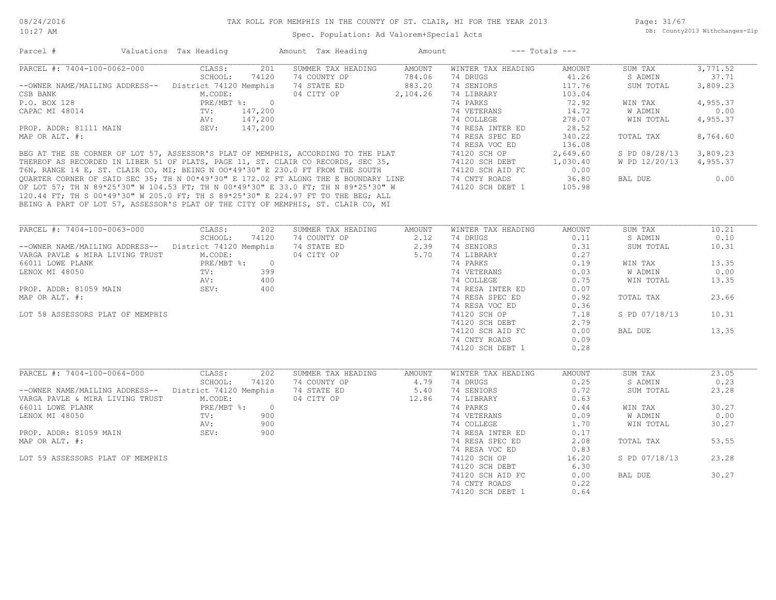Page: 31/67 DB: County2013 Withchanges-Zip

|                                                        | Valuations Tax Heading |                | Amount Tax Heading                                                                                                                                                    | Amount   |                                   | $---$ Totals $---$ |               |          |
|--------------------------------------------------------|------------------------|----------------|-----------------------------------------------------------------------------------------------------------------------------------------------------------------------|----------|-----------------------------------|--------------------|---------------|----------|
| PARCEL #: 7404-100-0062-000                            | CLASS:                 | 201            | SUMMER TAX HEADING                                                                                                                                                    | AMOUNT   | WINTER TAX HEADING                | AMOUNT             | SUM TAX       | 3,771.52 |
|                                                        | SCHOOL:                | 74120          | 74 COUNTY OP                                                                                                                                                          | 784.06   | 74 DRUGS                          | 41.26              | S ADMIN       | 37.71    |
| -- OWNER NAME/MAILING ADDRESS-- District 74120 Memphis |                        |                | 74 STATE ED                                                                                                                                                           | 883.20   | 74 SENIORS                        | 117.76             | SUM TOTAL     | 3,809.23 |
| CSB BANK                                               | M.CODE:                |                | 04 CITY OP                                                                                                                                                            | 2,104.26 | 74 LIBRARY                        | 103.04             |               |          |
| P.O. BOX 128                                           |                        | PRE/MBT %: 0   |                                                                                                                                                                       |          | 74 PARKS                          | 72.92              | WIN TAX       | 4,955.37 |
| CAPAC MI 48014                                         | TV:                    | 147,200        |                                                                                                                                                                       |          | 74 VETERANS                       | 14.72              | W ADMIN       | 0.00     |
|                                                        | AV:                    | 147,200        |                                                                                                                                                                       |          | 74 COLLEGE                        | 278.07             | WIN TOTAL     | 4,955.37 |
| PROP. ADDR: 81111 MAIN                                 | SEV:                   | 147,200        |                                                                                                                                                                       |          | 74 RESA INTER ED                  | 28.52              |               |          |
| MAP OR ALT. #:                                         |                        |                |                                                                                                                                                                       |          | 74 RESA SPEC ED                   | 340.22             | TOTAL TAX     | 8,764.60 |
|                                                        |                        |                |                                                                                                                                                                       |          | 74 RESA VOC ED                    | 136.08             |               |          |
|                                                        |                        |                |                                                                                                                                                                       |          | 74120 SCH OP                      | 2,649.60           | S PD 08/28/13 | 3,809.23 |
|                                                        |                        |                | BEG AT THE SE CORNER OF LOT 57, ASSESSOR'S PLAT OF MEMPHIS, ACCORDING TO THE PLAT<br>THEREOF AS RECORDED IN LIBER 51 OF PLATS, PAGE 11, ST. CLAIR CO RECORDS, SEC 35, |          | 74120 SCH DEBT                    | 1,030.40           | W PD 12/20/13 | 4,955.37 |
|                                                        |                        |                | T6N, RANGE 14 E, ST. CLAIR CO, MI; BEING N 00*49'30" E 230.0 FT FROM THE SOUTH                                                                                        |          | 74120 SCH AID FC                  | 0.00               |               |          |
|                                                        |                        |                | QUARTER CORNER OF SAID SEC 35; TH N 00*49'30" E 172.02 FT ALONG THE E BOUNDARY LINE                                                                                   |          | 74 CNTY ROADS                     | 36.80              | BAL DUE       | 0.00     |
|                                                        |                        |                | OF LOT 57; TH N 89*25'30" W 104.53 FT; TH N 00*49'30" E 33.0 FT; TH N 89*25'30" W                                                                                     |          | 74120 SCH DEBT 1                  | 105.98             |               |          |
|                                                        |                        |                | 120.44 FT; TH S 00*49'30" W 205.0 FT; TH S 89*25'30" E 224.97 FT TO THE BEG; ALL                                                                                      |          |                                   |                    |               |          |
|                                                        |                        |                |                                                                                                                                                                       |          |                                   |                    |               |          |
|                                                        |                        |                | BEING A PART OF LOT 57, ASSESSOR'S PLAT OF THE CITY OF MEMPHIS, ST. CLAIR CO, MI                                                                                      |          |                                   |                    |               |          |
|                                                        |                        |                |                                                                                                                                                                       |          |                                   |                    |               |          |
| PARCEL #: 7404-100-0063-000                            | CLASS:                 | 202            | SUMMER TAX HEADING                                                                                                                                                    | AMOUNT   | WINTER TAX HEADING                | AMOUNT             | SUM TAX       | 10.21    |
|                                                        | SCHOOL:                | 74120          | 74 COUNTY OP                                                                                                                                                          | 2.12     | 74 DRUGS                          | 0.11               | S ADMIN       | 0.10     |
| -- OWNER NAME/MAILING ADDRESS-- District 74120 Memphis |                        |                | 74 STATE ED                                                                                                                                                           | 2.39     | 74 SENIORS                        | 0.31               | SUM TOTAL     | 10.31    |
| VARGA PAVLE & MIRA LIVING TRUST                        | M.CODE:                |                | 04 CITY OP                                                                                                                                                            | 5.70     | 74 LIBRARY                        | 0.27               |               |          |
| 66011 LOWE PLANK                                       |                        | PRE/MBT %: 0   |                                                                                                                                                                       |          | 74 PARKS                          | 0.19               | WIN TAX       | 13.35    |
|                                                        | $\text{TV}$ :          | 399            |                                                                                                                                                                       |          | 74 VETERANS                       | 0.03               | W ADMIN       | 0.00     |
| LENOX MI 48050                                         |                        |                |                                                                                                                                                                       |          |                                   |                    |               |          |
|                                                        | AV:                    | 400            |                                                                                                                                                                       |          | 74 COLLEGE                        | 0.75               | WIN TOTAL     | 13.35    |
| PROP. ADDR: 81059 MAIN                                 | SEV:                   | 400            |                                                                                                                                                                       |          | 74 RESA INTER ED                  | 0.07               |               |          |
|                                                        |                        |                |                                                                                                                                                                       |          | 74 RESA SPEC ED                   | 0.92               | TOTAL TAX     | 23.66    |
| MAP OR ALT. #:                                         |                        |                |                                                                                                                                                                       |          | 74 RESA VOC ED                    | 0.36               |               |          |
|                                                        |                        |                |                                                                                                                                                                       |          |                                   |                    |               |          |
| LOT 58 ASSESSORS PLAT OF MEMPHIS                       |                        |                |                                                                                                                                                                       |          | 74120 SCH OP                      | 7.18               | S PD 07/18/13 | 10.31    |
|                                                        |                        |                |                                                                                                                                                                       |          | 74120 SCH DEBT                    | 2.79               |               |          |
|                                                        |                        |                |                                                                                                                                                                       |          | 74120 SCH AID FC                  | 0.00               | BAL DUE       | 13.35    |
|                                                        |                        |                |                                                                                                                                                                       |          | 74 CNTY ROADS                     | 0.09               |               |          |
|                                                        |                        |                |                                                                                                                                                                       |          | 74120 SCH DEBT 1                  | 0.28               |               |          |
|                                                        |                        |                |                                                                                                                                                                       |          |                                   |                    |               |          |
|                                                        |                        |                |                                                                                                                                                                       |          |                                   |                    |               |          |
| PARCEL #: 7404-100-0064-000                            | CLASS:                 | 202            | SUMMER TAX HEADING                                                                                                                                                    | AMOUNT   | WINTER TAX HEADING                | AMOUNT             | SUM TAX       | 23.05    |
|                                                        | SCHOOL:                | 74120          | 74 COUNTY OP                                                                                                                                                          | 4.79     | 74 DRUGS                          | 0.25               | S ADMIN       | 0.23     |
| -- OWNER NAME/MAILING ADDRESS-- District 74120 Memphis |                        |                | 74 STATE ED                                                                                                                                                           | 5.40     | 74 SENIORS                        | 0.72               | SUM TOTAL     | 23.28    |
| VARGA PAVLE & MIRA LIVING TRUST                        | M.CODE:                |                | 04 CITY OP                                                                                                                                                            | 12.86    | 74 LIBRARY                        | 0.63               |               |          |
| 66011 LOWE PLANK                                       | PRE/MBT %:             | $\overline{0}$ |                                                                                                                                                                       |          | 74 PARKS                          | 0.44               | WIN TAX       | 30.27    |
| LENOX MI 48050                                         | TV:                    | 900            |                                                                                                                                                                       |          | 74 VETERANS                       | 0.09               | W ADMIN       | 0.00     |
|                                                        | AV:                    | 900            |                                                                                                                                                                       |          | 74 COLLEGE                        | 1.70               | WIN TOTAL     | 30.27    |
| PROP. ADDR: 81059 MAIN                                 | SEV:                   | 900            |                                                                                                                                                                       |          | 74 RESA INTER ED                  | 0.17               |               |          |
| MAP OR ALT. #:                                         |                        |                |                                                                                                                                                                       |          | 74 RESA SPEC ED                   | 2.08               | TOTAL TAX     | 53.55    |
|                                                        |                        |                |                                                                                                                                                                       |          | 74 RESA VOC ED                    | 0.83               |               |          |
| LOT 59 ASSESSORS PLAT OF MEMPHIS                       |                        |                |                                                                                                                                                                       |          | 74120 SCH OP                      | 16.20              | S PD 07/18/13 | 23.28    |
|                                                        |                        |                |                                                                                                                                                                       |          |                                   |                    |               |          |
|                                                        |                        |                |                                                                                                                                                                       |          | 74120 SCH DEBT                    | 6.30               |               |          |
|                                                        |                        |                |                                                                                                                                                                       |          | 74120 SCH AID FC                  | 0.00               | BAL DUE       | 30.27    |
|                                                        |                        |                |                                                                                                                                                                       |          | 74 CNTY ROADS<br>74120 SCH DEBT 1 | 0.22<br>0.64       |               |          |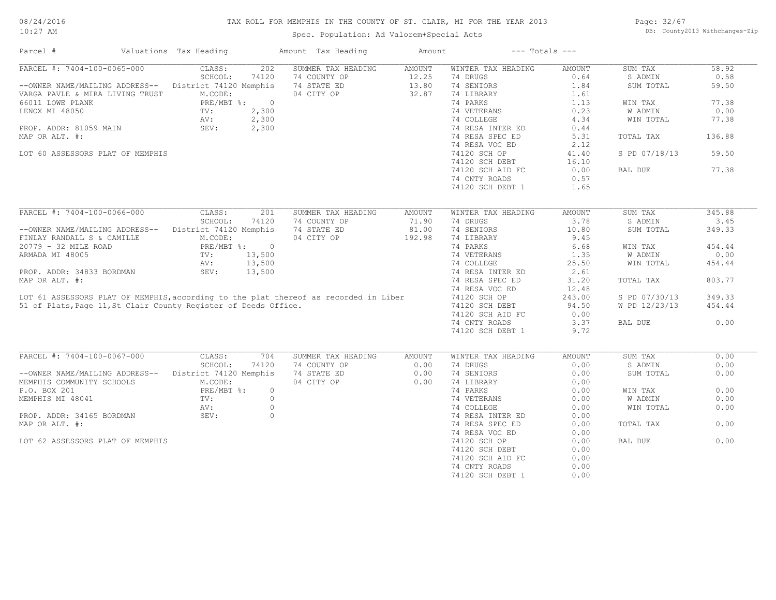#### TAX ROLL FOR MEMPHIS IN THE COUNTY OF ST. CLAIR, MI FOR THE YEAR 2013

10:27 AM

#### Spec. Population: Ad Valorem+Special Acts

Page: 32/67 DB: County2013 Withchanges-Zip

| Parcel #                                                        | Valuations Tax Heading |         | Amount Tax Heading                                                                   | Amount        |                    | $---$ Totals $---$ |               |        |
|-----------------------------------------------------------------|------------------------|---------|--------------------------------------------------------------------------------------|---------------|--------------------|--------------------|---------------|--------|
| PARCEL #: 7404-100-0065-000                                     | CLASS:                 | 202     | SUMMER TAX HEADING                                                                   | AMOUNT        | WINTER TAX HEADING | AMOUNT             | SUM TAX       | 58.92  |
|                                                                 | SCHOOL:                | 74120   | 74 COUNTY OP                                                                         | 12.25         | 74 DRUGS           | 0.64               | S ADMIN       | 0.58   |
| --OWNER NAME/MAILING ADDRESS-- District 74120 Memphis           |                        |         | 74 STATE ED                                                                          | 13.80         | 74 SENIORS         | 1.84               | SUM TOTAL     | 59.50  |
| VARGA PAVLE & MIRA LIVING TRUST                                 | M.CODE:                |         | 04 CITY OP                                                                           | 32.87         | 74 LIBRARY         | 1.61               |               |        |
| 66011 LOWE PLANK                                                | PRE/MBT %: 0           |         |                                                                                      |               | 74 PARKS           | 1.13               | WIN TAX       | 77.38  |
| LENOX MI 48050                                                  | $\text{TV}$ :          | 2,300   |                                                                                      |               | 74 VETERANS        | 0.23               | W ADMIN       | 0.00   |
|                                                                 | AV:                    | 2,300   |                                                                                      |               | 74 COLLEGE         | 4.34               | WIN TOTAL     | 77.38  |
| PROP. ADDR: 81059 MAIN                                          | SEV:                   | 2,300   |                                                                                      |               | 74 RESA INTER ED   | 0.44               |               |        |
| MAP OR ALT. #:                                                  |                        |         |                                                                                      |               | 74 RESA SPEC ED    | 5.31               | TOTAL TAX     | 136.88 |
|                                                                 |                        |         |                                                                                      |               | 74 RESA VOC ED     | 2.12               |               |        |
|                                                                 |                        |         |                                                                                      |               |                    |                    |               | 59.50  |
| LOT 60 ASSESSORS PLAT OF MEMPHIS                                |                        |         |                                                                                      |               | 74120 SCH OP       | 41.40              | S PD 07/18/13 |        |
|                                                                 |                        |         |                                                                                      |               | 74120 SCH DEBT     | 16.10              |               |        |
|                                                                 |                        |         |                                                                                      |               | 74120 SCH AID FC   | 0.00               | BAL DUE       | 77.38  |
|                                                                 |                        |         |                                                                                      |               | 74 CNTY ROADS      | 0.57               |               |        |
|                                                                 |                        |         |                                                                                      |               | 74120 SCH DEBT 1   | 1.65               |               |        |
|                                                                 |                        |         |                                                                                      |               |                    |                    |               |        |
| PARCEL #: 7404-100-0066-000                                     | CLASS:                 | 201     | SUMMER TAX HEADING                                                                   | <b>AMOUNT</b> | WINTER TAX HEADING | <b>AMOUNT</b>      | SUM TAX       | 345.88 |
|                                                                 | SCHOOL:                | 74120   | 74 COUNTY OP                                                                         | 71.90         | 74 DRUGS           | 3.78               | S ADMIN       | 3.45   |
| --OWNER NAME/MAILING ADDRESS-- District 74120 Memphis           |                        |         | 74 STATE ED                                                                          | 81.00         | 74 SENIORS         | 10.80              | SUM TOTAL     | 349.33 |
| FINLAY RANDALL S & CAMILLE                                      | M.CODE:                |         | 04 CITY OP                                                                           | 192.98        | 74 LIBRARY         | 9.45               |               |        |
| 20779 - 32 MILE ROAD                                            | PRE/MBT %: 0           |         |                                                                                      |               | 74 PARKS           | 6.68               | WIN TAX       | 454.44 |
| ARMADA MI 48005                                                 | TV:                    | 13,500  |                                                                                      |               | 74 VETERANS        | 1.35               | W ADMIN       | 0.00   |
|                                                                 | AV:                    | 13,500  |                                                                                      |               | 74 COLLEGE         | 25.50              | WIN TOTAL     | 454.44 |
|                                                                 |                        |         |                                                                                      |               |                    |                    |               |        |
| PROP. ADDR: 34833 BORDMAN                                       | SEV:                   | 13,500  |                                                                                      |               | 74 RESA INTER ED   | 2.61               |               |        |
| MAP OR ALT. #:                                                  |                        |         |                                                                                      |               | 74 RESA SPEC ED    | 31.20              | TOTAL TAX     | 803.77 |
|                                                                 |                        |         |                                                                                      |               | 74 RESA VOC ED     | 12.48              |               |        |
|                                                                 |                        |         | LOT 61 ASSESSORS PLAT OF MEMPHIS, according to the plat thereof as recorded in Liber |               | 74120 SCH OP       | 243.00             | S PD 07/30/13 | 349.33 |
| 51 of Plats, Page 11, St Clair County Register of Deeds Office. |                        |         |                                                                                      |               | 74120 SCH DEBT     | 94.50              | W PD 12/23/13 | 454.44 |
|                                                                 |                        |         |                                                                                      |               | 74120 SCH AID FC   | 0.00               |               |        |
|                                                                 |                        |         |                                                                                      |               | 74 CNTY ROADS      | 3.37               | BAL DUE       | 0.00   |
|                                                                 |                        |         |                                                                                      |               | 74120 SCH DEBT 1   | 9.72               |               |        |
|                                                                 |                        |         |                                                                                      |               |                    |                    |               |        |
| PARCEL #: 7404-100-0067-000                                     | CLASS:                 | 704     | SUMMER TAX HEADING                                                                   | AMOUNT        | WINTER TAX HEADING | AMOUNT             | SUM TAX       | 0.00   |
|                                                                 | SCHOOL:                | 74120   | 74 COUNTY OP                                                                         | 0.00          | 74 DRUGS           | 0.00               | S ADMIN       | 0.00   |
| --OWNER NAME/MAILING ADDRESS-- District 74120 Memphis           |                        |         | 74 STATE ED                                                                          | 0.00          | 74 SENIORS         | 0.00               | SUM TOTAL     | 0.00   |
| MEMPHIS COMMUNITY SCHOOLS                                       | M.CODE:                |         | 04 CITY OP                                                                           | 0.00          | 74 LIBRARY         | 0.00               |               |        |
| P.O. BOX 201                                                    | $PRE/MBT$ %:           | $\circ$ |                                                                                      |               | 74 PARKS           | 0.00               | WIN TAX       | 0.00   |
| MEMPHIS MI 48041                                                | TV:                    | $\circ$ |                                                                                      |               | 74 VETERANS        | 0.00               | W ADMIN       | 0.00   |
|                                                                 |                        |         |                                                                                      |               |                    |                    |               |        |
|                                                                 | AV:                    | $\circ$ |                                                                                      |               | 74 COLLEGE         | 0.00               | WIN TOTAL     | 0.00   |
| PROP. ADDR: 34165 BORDMAN                                       | SEV:                   | $\circ$ |                                                                                      |               | 74 RESA INTER ED   | 0.00               |               |        |
| MAP OR ALT. #:                                                  |                        |         |                                                                                      |               | 74 RESA SPEC ED    | 0.00               | TOTAL TAX     | 0.00   |
|                                                                 |                        |         |                                                                                      |               | 74 RESA VOC ED     | 0.00               |               |        |
| LOT 62 ASSESSORS PLAT OF MEMPHIS                                |                        |         |                                                                                      |               | 74120 SCH OP       | 0.00               | BAL DUE       | 0.00   |
|                                                                 |                        |         |                                                                                      |               | 74120 SCH DEBT     | 0.00               |               |        |
|                                                                 |                        |         |                                                                                      |               | 74120 SCH AID FC   | 0.00               |               |        |
|                                                                 |                        |         |                                                                                      |               | 74 CNTY ROADS      | 0.00               |               |        |
|                                                                 |                        |         |                                                                                      |               | 74120 SCH DEBT 1   | 0.00               |               |        |
|                                                                 |                        |         |                                                                                      |               |                    |                    |               |        |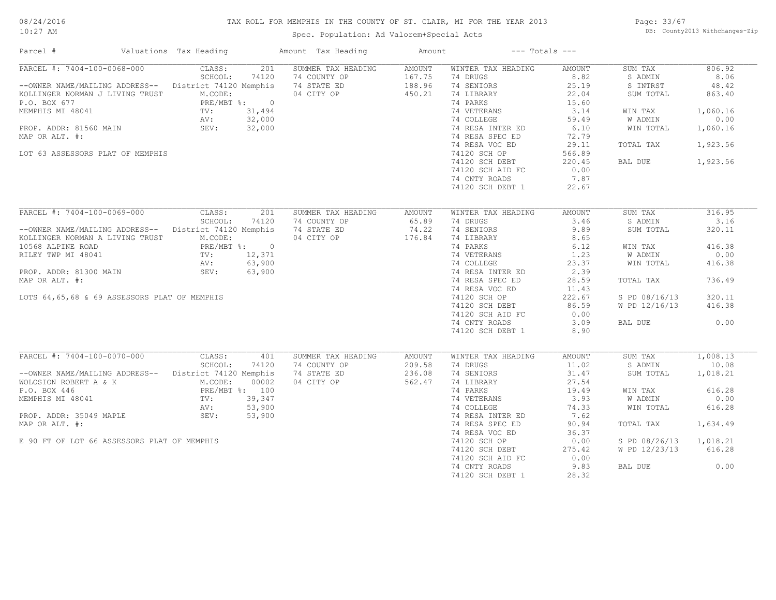#### TAX ROLL FOR MEMPHIS IN THE COUNTY OF ST. CLAIR, MI FOR THE YEAR 2013

10:27 AM

#### Spec. Population: Ad Valorem+Special Acts

Page: 33/67 DB: County2013 Withchanges-Zip

| Parcel #                                              | Valuations Tax Heading                                                                                                                                                                                                        |                | Amount Tax Heading                 | Amount           |                                                                                                                                       | $---$ Totals $---$ |                        |                   |
|-------------------------------------------------------|-------------------------------------------------------------------------------------------------------------------------------------------------------------------------------------------------------------------------------|----------------|------------------------------------|------------------|---------------------------------------------------------------------------------------------------------------------------------------|--------------------|------------------------|-------------------|
| PARCEL #: 7404-100-0068-000                           | CLASS:                                                                                                                                                                                                                        | 201            | SUMMER TAX HEADING                 | AMOUNT           | WINTER TAX HEADING                                                                                                                    | AMOUNT             | SUM TAX                | 806.92            |
|                                                       | SCHOOL:                                                                                                                                                                                                                       | 74120          | 74 COUNTY OP                       |                  | 74 DRUGS                                                                                                                              | 8.82               | S ADMIN                | 8.06              |
| --OWNER NAME/MAILING ADDRESS-- District 74120 Memphis |                                                                                                                                                                                                                               |                | 74 STATE ED                        | 167.75<br>188.96 | 74 SENIORS                                                                                                                            | 25.19              | S INTRST               | 48.42             |
| KOLLINGER NORMAN J LIVING TRUST M.CODE:               |                                                                                                                                                                                                                               |                | 04 CITY OP                         | 450.21           | 74 LIBRARY                                                                                                                            | 22.04              | SUM TOTAL              | 863.40            |
|                                                       |                                                                                                                                                                                                                               | PRE/MBT %: 0   |                                    |                  | 74 PARKS                                                                                                                              | 15.60              |                        |                   |
|                                                       |                                                                                                                                                                                                                               |                |                                    |                  | 74 VETERANS<br>74 COLLEGE                                                                                                             | 3.14               | WIN TAX                | 1,060.16          |
|                                                       |                                                                                                                                                                                                                               |                |                                    |                  |                                                                                                                                       | 59.49              | W ADMIN                | 0.00              |
|                                                       |                                                                                                                                                                                                                               |                |                                    |                  | 74 RESA INTER ED                                                                                                                      | 6.10               | WIN TOTAL              | 1,060.16          |
|                                                       |                                                                                                                                                                                                                               |                |                                    |                  |                                                                                                                                       |                    |                        |                   |
| MAP OR ALT. #:                                        |                                                                                                                                                                                                                               |                |                                    |                  | 74 RESA SPEC ED                                                                                                                       | 72.79              |                        |                   |
|                                                       |                                                                                                                                                                                                                               |                |                                    |                  | 74 RESA VOC ED                                                                                                                        | 29.11              | TOTAL TAX              | 1,923.56          |
| LOT 63 ASSESSORS PLAT OF MEMPHIS                      |                                                                                                                                                                                                                               |                |                                    |                  | 74120 SCH OP                                                                                                                          | 566.89             |                        |                   |
|                                                       |                                                                                                                                                                                                                               |                |                                    |                  | 74120 SCH DEBT                                                                                                                        | 220.45             | BAL DUE                | 1,923.56          |
|                                                       |                                                                                                                                                                                                                               |                |                                    |                  | 74120 SCH AID FC                                                                                                                      | 0.00               |                        |                   |
|                                                       |                                                                                                                                                                                                                               |                |                                    |                  | 74 CNTY ROADS                                                                                                                         | 7.87               |                        |                   |
|                                                       |                                                                                                                                                                                                                               |                |                                    |                  | 74120 SCH DEBT 1                                                                                                                      | 22.67              |                        |                   |
|                                                       |                                                                                                                                                                                                                               |                |                                    |                  |                                                                                                                                       |                    |                        |                   |
| PARCEL #: 7404-100-0069-000                           | CLASS:                                                                                                                                                                                                                        | 201            | SUMMER TAX HEADING                 | AMOUNT           | WINTER TAX HEADING                                                                                                                    | AMOUNT             | SUM TAX                | 316.95            |
|                                                       | SCHOOL:                                                                                                                                                                                                                       | 74120          | 74 COUNTY OP                       | 65.89            | 74 DRUGS                                                                                                                              | 3.46               | S ADMIN                | 3.16              |
| --OWNER NAME/MAILING ADDRESS-- District 74120 Memphis |                                                                                                                                                                                                                               |                | 74 STATE ED                        | 74.22            | 74 SENIORS                                                                                                                            | 9.89               | SUM TOTAL              | 320.11            |
| KOLLINGER NORMAN A LIVING TRUST                       | M.CODE:                                                                                                                                                                                                                       |                | 04 CITY OP                         | 176.84           | 74 LIBRARY                                                                                                                            | 8.65               |                        |                   |
| 10568 ALPINE ROAD                                     |                                                                                                                                                                                                                               | PRE/MBT %: 0   |                                    |                  | $74$ PARKS<br>74 VETERANS<br>74 COLLEGE<br>74 COLLEGE<br>74 RESA INTER ED<br>74 RESA INTER ED<br>74 RESA INTER ED<br>74 RESA INTER ED |                    | WIN TAX                | 416.38            |
| RILEY TWP MI 48041                                    | TV: $12,371$<br>AV: $63,900$                                                                                                                                                                                                  |                |                                    |                  |                                                                                                                                       |                    | W ADMIN                | 0.00              |
|                                                       |                                                                                                                                                                                                                               |                |                                    |                  |                                                                                                                                       |                    | WIN TOTAL              | 416.38            |
| PROP. ADDR: 81300 MAIN                                | SEV: 63,900                                                                                                                                                                                                                   |                |                                    |                  |                                                                                                                                       |                    |                        |                   |
| MAP OR ALT. #:                                        |                                                                                                                                                                                                                               |                |                                    |                  | 74 RESA SPEC ED                                                                                                                       | 28.59              | TOTAL TAX              | 736.49            |
|                                                       |                                                                                                                                                                                                                               |                |                                    |                  | 74 RESA VOC ED                                                                                                                        | 11.43              |                        |                   |
|                                                       |                                                                                                                                                                                                                               |                |                                    |                  |                                                                                                                                       |                    |                        |                   |
| LOTS 64,65,68 & 69 ASSESSORS PLAT OF MEMPHIS          |                                                                                                                                                                                                                               |                |                                    |                  | 74120 SCH OP                                                                                                                          | 222.67             | S PD 08/16/13          | 320.11            |
|                                                       |                                                                                                                                                                                                                               |                |                                    |                  | 74120 SCH DEBT                                                                                                                        | 86.59              | W PD 12/16/13          | 416.38            |
|                                                       |                                                                                                                                                                                                                               |                |                                    |                  | 74120 SCH AID FC                                                                                                                      | 0.00               |                        |                   |
|                                                       |                                                                                                                                                                                                                               |                |                                    |                  | 74 CNTY ROADS                                                                                                                         | 3.09               | BAL DUE                | 0.00              |
|                                                       |                                                                                                                                                                                                                               |                |                                    |                  | 74120 SCH DEBT 1                                                                                                                      | 8.90               |                        |                   |
|                                                       |                                                                                                                                                                                                                               |                |                                    |                  |                                                                                                                                       |                    |                        |                   |
| PARCEL #: 7404-100-0070-000                           | CLASS:<br>SCHOOL:                                                                                                                                                                                                             | 401<br>74120   | SUMMER TAX HEADING<br>74 COUNTY OP | AMOUNT<br>209.58 | WINTER TAX HEADING<br>74 DRUGS                                                                                                        | AMOUNT<br>11.02    | SUM TAX<br>S ADMIN     | 1,008.13<br>10.08 |
| --OWNER NAME/MAILING ADDRESS-- District 74120 Memphis |                                                                                                                                                                                                                               |                | 74 STATE ED                        | 236.08           | 74 SENIORS                                                                                                                            | 31.47              | SUM TOTAL              |                   |
|                                                       |                                                                                                                                                                                                                               |                |                                    |                  |                                                                                                                                       |                    |                        | 1,018.21          |
| WOLOSION ROBERT A & K M.CODE:                         |                                                                                                                                                                                                                               | 00002          | 04 CITY OP                         | 562.47           | 74 LIBRARY                                                                                                                            | 27.54              |                        |                   |
| P.O. BOX 446                                          |                                                                                                                                                                                                                               | PRE/MBT %: 100 |                                    |                  | 74 PARKS                                                                                                                              | 19.49              | WIN TAX                | 616.28            |
| MEMPHIS MI 48041                                      | $\begin{minipage}{0.9\linewidth} \textbf{PRE}/\textbf{m}. \end{minipage}$ $\begin{minipage}{0.9\linewidth} \textbf{PRE}/\textbf{m}. \end{minipage}$ $\begin{minipage}{0.9\linewidth} \textbf{PRE}/\textbf{m}. \end{minipage}$ | 39,347         |                                    |                  | 74 VETERANS                                                                                                                           | 3.93               | W ADMIN                | 0.00              |
|                                                       |                                                                                                                                                                                                                               | 53,900         |                                    |                  | 74 COLLEGE                                                                                                                            | 74.33              | WIN TOTAL              | 616.28            |
| PROP. ADDR: 35049 MAPLE SEV: 53,900                   |                                                                                                                                                                                                                               |                |                                    |                  | 74 RESA INTER ED                                                                                                                      | 7.62               |                        |                   |
| MAP OR ALT. #:                                        |                                                                                                                                                                                                                               |                |                                    |                  | 74 RESA SPEC ED                                                                                                                       | 90.94              | TOTAL TAX              | 1,634.49          |
|                                                       |                                                                                                                                                                                                                               |                |                                    |                  | 74 RESA VOC ED                                                                                                                        | 36.37              |                        |                   |
| E 90 FT OF LOT 66 ASSESSORS PLAT OF MEMPHIS           |                                                                                                                                                                                                                               |                |                                    |                  | 74120 SCH OP                                                                                                                          | 0.00               | S PD 08/26/13 1,018.21 |                   |
|                                                       |                                                                                                                                                                                                                               |                |                                    |                  | 74120 SCH DEBT                                                                                                                        | 275.42             | W PD 12/23/13          | 616.28            |
|                                                       |                                                                                                                                                                                                                               |                |                                    |                  | 74120 SCH AID FC                                                                                                                      | 0.00               |                        |                   |
|                                                       |                                                                                                                                                                                                                               |                |                                    |                  | 74 CNTY ROADS                                                                                                                         | 9.83               | BAL DUE                | 0.00              |
|                                                       |                                                                                                                                                                                                                               |                |                                    |                  | 74120 SCH DEBT 1                                                                                                                      | 28.32              |                        |                   |
|                                                       |                                                                                                                                                                                                                               |                |                                    |                  |                                                                                                                                       |                    |                        |                   |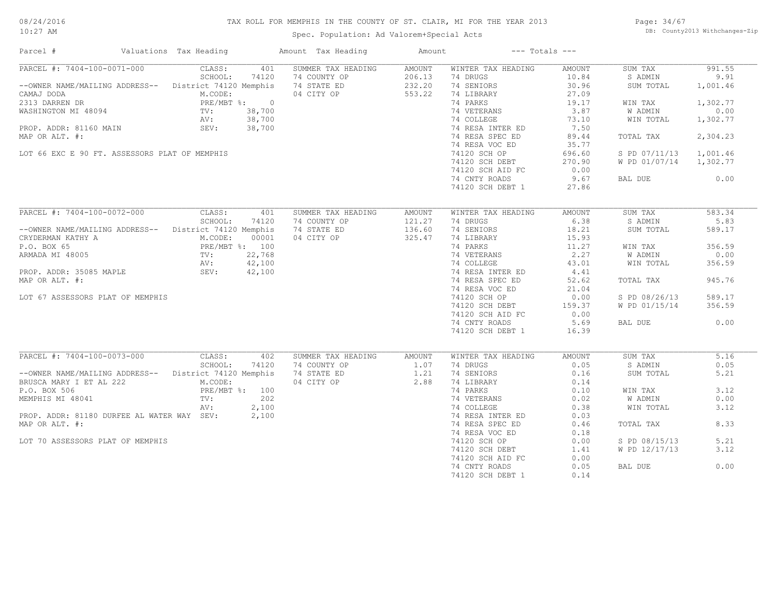#### TAX ROLL FOR MEMPHIS IN THE COUNTY OF ST. CLAIR, MI FOR THE YEAR 2013

10:27 AM

#### Spec. Population: Ad Valorem+Special Acts

Page: 34/67 DB: County2013 Withchanges-Zip

| Parcel #                                                                                                                                                                                                        | Valuations Tax Heading | Amount Tax Heading                                                                                          | Amount | $---$ Totals $---$                                                       |                   |                        |          |
|-----------------------------------------------------------------------------------------------------------------------------------------------------------------------------------------------------------------|------------------------|-------------------------------------------------------------------------------------------------------------|--------|--------------------------------------------------------------------------|-------------------|------------------------|----------|
| PARCEL #: 7404-100-0071-000 CLASS:                                                                                                                                                                              | 401                    | SUMMER TAX HEADING                                                                                          | AMOUNT | WINTER TAX HEADING                                                       | AMOUNT            | SUM TAX                | 991.55   |
|                                                                                                                                                                                                                 | SCHOOL:<br>74120       | 74 COUNTY OP 206.13<br>74 STATE ED 232.20<br>04 CITY OP 553.22                                              |        | 74 DRUGS                                                                 | 10.84             | S ADMIN                | 9.91     |
| --OWNER NAME/MAILING ADDRESS-- District 74120 Memphis                                                                                                                                                           |                        | 74 STATE ED                                                                                                 |        | 74 SENIORS                                                               | 30.96             | SUM TOTAL              | 1,001.46 |
| CAMAJ DODA<br>CAMAJ DODA<br>CAMAJ DODA<br>M.CODE:<br>2313 DARREN DR<br>WASHINGTON MI 48094<br>TV: 38,700<br>AV: 38,700<br>PROP. ADDR: 81160 MAIN<br>SEV: 38,700                                                 |                        |                                                                                                             |        | 74 LIBRARY                                                               | 27.09             |                        |          |
|                                                                                                                                                                                                                 |                        | $\begin{array}{ccc}\n\text{8:} & 0 & \text{10012} \\ 38,700 & & \\ 38,700 & & \\ 38,700 & & \\ \end{array}$ |        | 74 PARKS                                                                 | 19.17             | WIN TAX                | 1,302.77 |
|                                                                                                                                                                                                                 |                        |                                                                                                             |        | 74 VETERANS<br>74 COLLEGE                                                | $3.87$<br>$73.10$ | W ADMIN                | 0.00     |
|                                                                                                                                                                                                                 |                        |                                                                                                             |        | 74 COLLEGE                                                               |                   | WIN TOTAL              | 1,302.77 |
|                                                                                                                                                                                                                 |                        |                                                                                                             |        |                                                                          |                   |                        |          |
| MAP OR ALT. #:                                                                                                                                                                                                  |                        |                                                                                                             |        |                                                                          |                   | TOTAL TAX              | 2,304.23 |
|                                                                                                                                                                                                                 |                        |                                                                                                             |        | 74 RESA VOC ED                                                           | 35.77             |                        |          |
| LOT 66 EXC E 90 FT. ASSESSORS PLAT OF MEMPHIS                                                                                                                                                                   |                        |                                                                                                             |        | 74 RESA VOC ED<br>74120 SCH OP                                           | 696.60            | S PD 07/11/13 1,001.46 |          |
|                                                                                                                                                                                                                 |                        |                                                                                                             |        | 74120 SCH DEBT 270.90<br>74120 SCH AID FC 0.00                           |                   | W PD 01/07/14 1,302.77 |          |
|                                                                                                                                                                                                                 |                        |                                                                                                             |        |                                                                          |                   |                        |          |
|                                                                                                                                                                                                                 |                        |                                                                                                             |        | 74 CNTY ROADS                                                            | 9.67              | BAL DUE                | 0.00     |
|                                                                                                                                                                                                                 |                        |                                                                                                             |        | 74120 SCH DEBT 1                                                         | 27.86             |                        |          |
|                                                                                                                                                                                                                 |                        |                                                                                                             |        |                                                                          |                   |                        |          |
| PARCEL #: 7404-100-0072-000 CLASS:                                                                                                                                                                              | 401                    | SUMMER TAX HEADING                                                                                          | AMOUNT | WINTER TAX HEADING                                                       | AMOUNT            | SUM TAX                | 583.34   |
|                                                                                                                                                                                                                 | SCHOOL:<br>74120       | 74 COUNTY OP                                                                                                | 121.27 | 74 DRUGS                                                                 | 6.38              | S ADMIN                | 5.83     |
| --OWNER NAME/MAILING ADDRESS-- District 74120 Memphis                                                                                                                                                           |                        | 74 STATE ED                                                                                                 | 136.60 | 74 SENIORS                                                               | 18.21             | SUM TOTAL              | 589.17   |
| CRYDERMAN KATHY A<br>P.O. BOX 65<br>PRE/MBT %: 100<br>ARMADA MI 48005<br>PROP. ADDR: 35085 MAPLE<br>PROP. ADDR: 35085 MAPLE<br>PROP. ADDR: 35085 MAPLE<br>SEV: 42,100<br>PROP. ADDR: 35085 MAPLE<br>SEV: 42,100 |                        | 04 CITY OP                                                                                                  | 325.47 | 74 LIBRARY                                                               | 15.93             |                        |          |
|                                                                                                                                                                                                                 |                        |                                                                                                             |        | 74 PARKS                                                                 | 11.27             | WIN TAX                | 356.59   |
|                                                                                                                                                                                                                 |                        |                                                                                                             |        |                                                                          |                   | W ADMIN                | 0.00     |
|                                                                                                                                                                                                                 |                        |                                                                                                             |        | 74 VETERANS 2.27<br>74 COLLEGE 43.01                                     |                   | WIN TOTAL              | 356.59   |
|                                                                                                                                                                                                                 |                        |                                                                                                             |        | 74 COLLEGE<br>74 RESA INTER ED $4.41$<br>74 RESA INTER ED 52.62<br>71 04 |                   |                        |          |
|                                                                                                                                                                                                                 |                        |                                                                                                             |        |                                                                          |                   |                        | 945.76   |
| MAP OR ALT. #:                                                                                                                                                                                                  |                        |                                                                                                             |        |                                                                          |                   | TOTAL TAX              |          |
|                                                                                                                                                                                                                 |                        |                                                                                                             |        | 74 RESA VOC ED<br>74120 SCH OP                                           | 21.04             |                        |          |
| LOT 67 ASSESSORS PLAT OF MEMPHIS                                                                                                                                                                                |                        |                                                                                                             |        |                                                                          | 0.00              | S PD 08/26/13          | 589.17   |
|                                                                                                                                                                                                                 |                        |                                                                                                             |        | 74120 SCH DEBT 159.37<br>74120 SCH AID FC 0.00                           |                   | W PD 01/15/14          | 356.59   |
|                                                                                                                                                                                                                 |                        |                                                                                                             |        |                                                                          |                   |                        |          |
|                                                                                                                                                                                                                 |                        |                                                                                                             |        | 74 CNTY ROADS                                                            | 5.69              | BAL DUE                | 0.00     |
|                                                                                                                                                                                                                 |                        |                                                                                                             |        | 74120 SCH DEBT 1                                                         | 16.39             |                        |          |
|                                                                                                                                                                                                                 |                        |                                                                                                             |        |                                                                          |                   |                        |          |
| PARCEL #: 7404-100-0073-000 CLASS:                                                                                                                                                                              | 402                    | SUMMER TAX HEADING AMOUNT                                                                                   |        | WINTER TAX HEADING                                                       | AMOUNT            | SUM TAX                | 5.16     |
| SCHOOL: 74120 74 COUNTY OP 1.07<br>--OWNER NAME/MAILING ADDRESS-- District 74120 Memphis 74 STATE ED 1.21<br>BRUSCA MARY I ET AL 222 M CONTY 1.21                                                               |                        |                                                                                                             |        | 74 DRUGS                                                                 | 0.05              | S ADMIN                | 0.05     |
|                                                                                                                                                                                                                 |                        |                                                                                                             |        | 74 SENIORS                                                               | 0.16              | SUM TOTAL              | 5.21     |
|                                                                                                                                                                                                                 |                        | 04 CITY OP 2.88                                                                                             |        | 74 LIBRARY                                                               |                   |                        |          |
| BRUSCA MARY I ET AL 222 M.CODE:<br>P.O. BOX 506 PRE/MBT %: 100<br>MEMPHIS MI 48041 TV: 202<br>NV: 202                                                                                                           |                        |                                                                                                             |        | 74 PARKS                                                                 | $0.14$<br>$0.10$  | WIN TAX                | 3.12     |
|                                                                                                                                                                                                                 |                        |                                                                                                             |        | 74 VETERANS 0.02<br>74 COLLEGE 0.38<br>74 RESA INTER ED 0.03             |                   | W ADMIN                | 0.00     |
|                                                                                                                                                                                                                 | AV:<br>2,100           |                                                                                                             |        |                                                                          |                   | WIN TOTAL              | 3.12     |
| PROP. ADDR: 81180 DURFEE AL WATER WAY SEV: 2,100                                                                                                                                                                |                        |                                                                                                             |        |                                                                          |                   |                        |          |
| MAP OR ALT. #:                                                                                                                                                                                                  |                        |                                                                                                             |        | 74 RESA SPEC ED                                                          | 0.46              | TOTAL TAX              | 8.33     |
|                                                                                                                                                                                                                 |                        |                                                                                                             |        | 74 RESA VOC ED                                                           | 0.18              |                        |          |
| LOT 70 ASSESSORS PLAT OF MEMPHIS                                                                                                                                                                                |                        |                                                                                                             |        | 74120 SCH OP                                                             | 0.00              | S PD 08/15/13          | 5.21     |
|                                                                                                                                                                                                                 |                        |                                                                                                             |        | 74120 SCH DEBT                                                           | 1.41              | W PD 12/17/13          | 3.12     |
|                                                                                                                                                                                                                 |                        |                                                                                                             |        | 74120 SCH AID FC                                                         | 0.00              |                        |          |
|                                                                                                                                                                                                                 |                        |                                                                                                             |        | 74 CNTY ROADS                                                            | 0.05              | BAL DUE                | 0.00     |
|                                                                                                                                                                                                                 |                        |                                                                                                             |        | 74120 SCH DEBT 1                                                         | 0.14              |                        |          |
|                                                                                                                                                                                                                 |                        |                                                                                                             |        |                                                                          |                   |                        |          |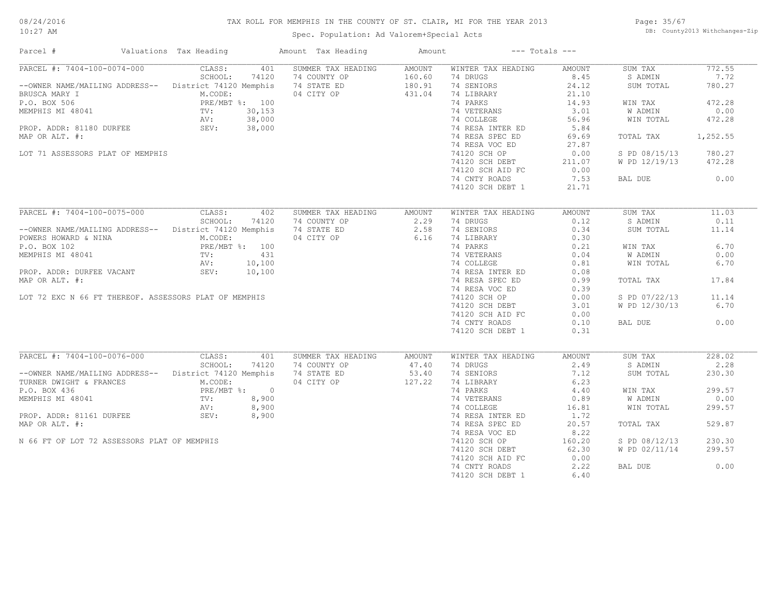#### TAX ROLL FOR MEMPHIS IN THE COUNTY OF ST. CLAIR, MI FOR THE YEAR 2013

10:27 AM

#### Spec. Population: Ad Valorem+Special Acts

Page: 35/67 DB: County2013 Withchanges-Zip

| Parcel #                                                                                                                                                            | Valuations Tax Heading |       | Amount Tax Heading                                                                                                                                                                                                                                      | Amount | $---$ Totals $---$                                                                                                                                                                                                                                          |        |                |          |
|---------------------------------------------------------------------------------------------------------------------------------------------------------------------|------------------------|-------|---------------------------------------------------------------------------------------------------------------------------------------------------------------------------------------------------------------------------------------------------------|--------|-------------------------------------------------------------------------------------------------------------------------------------------------------------------------------------------------------------------------------------------------------------|--------|----------------|----------|
|                                                                                                                                                                     |                        |       | PARCEL #: 7404-100-0074-000 CLASS: 401 SUMMER TAX HEADING AMOUNT                                                                                                                                                                                        |        | WINTER TAX HEADING                                                                                                                                                                                                                                          | AMOUNT | SUM TAX        | 772.55   |
|                                                                                                                                                                     | SCHOOL:                | 74120 | 74 COUNTY OP 160.60<br>74 STATE ED 180.91<br>04 CITY OP 431.04                                                                                                                                                                                          |        | 74 DRUGS                                                                                                                                                                                                                                                    | 8.45   | S ADMIN        | 7.72     |
|                                                                                                                                                                     |                        |       | --OWNER NAME/MAILING ADDRESS-- District 74120 Memphis 374 STATE ED                                                                                                                                                                                      |        | 74 SENIORS                                                                                                                                                                                                                                                  | 24.12  | SUM TOTAL      | 780.27   |
|                                                                                                                                                                     |                        |       |                                                                                                                                                                                                                                                         |        | 74 LIBRARY                                                                                                                                                                                                                                                  | 21.10  |                |          |
|                                                                                                                                                                     |                        |       |                                                                                                                                                                                                                                                         |        | 74 PARKS                                                                                                                                                                                                                                                    | 14.93  | WIN TAX        | 472.28   |
|                                                                                                                                                                     |                        |       |                                                                                                                                                                                                                                                         |        | 74 VETERANS<br>74 COLLEGE                                                                                                                                                                                                                                   | 3.01   | <b>W ADMIN</b> | 0.00     |
|                                                                                                                                                                     |                        |       |                                                                                                                                                                                                                                                         |        |                                                                                                                                                                                                                                                             | 56.96  | WIN TOTAL      | 472.28   |
|                                                                                                                                                                     |                        |       |                                                                                                                                                                                                                                                         |        | 74 RESA INTER ED                                                                                                                                                                                                                                            | 5.84   |                |          |
| MAP OR ALT. #:                                                                                                                                                      |                        |       |                                                                                                                                                                                                                                                         |        | 74 RESA SPEC ED                                                                                                                                                                                                                                             | 69.69  | TOTAL TAX      | 1,252.55 |
|                                                                                                                                                                     |                        |       |                                                                                                                                                                                                                                                         |        | 74 RESA VOC ED                                                                                                                                                                                                                                              | 27.87  |                |          |
| LOT 71 ASSESSORS PLAT OF MEMPHIS                                                                                                                                    |                        |       |                                                                                                                                                                                                                                                         |        | 74120 SCH OP                                                                                                                                                                                                                                                | 0.00   | S PD 08/15/13  | 780.27   |
|                                                                                                                                                                     |                        |       |                                                                                                                                                                                                                                                         |        | 74120 SCH DEBT                                                                                                                                                                                                                                              | 211.07 | W PD 12/19/13  | 472.28   |
|                                                                                                                                                                     |                        |       |                                                                                                                                                                                                                                                         |        | 74120 SCH AID FC                                                                                                                                                                                                                                            | 0.00   |                |          |
|                                                                                                                                                                     |                        |       |                                                                                                                                                                                                                                                         |        | 74 CNTY ROADS                                                                                                                                                                                                                                               | 7.53   | BAL DUE        | 0.00     |
|                                                                                                                                                                     |                        |       |                                                                                                                                                                                                                                                         |        | 74120 SCH DEBT 1                                                                                                                                                                                                                                            | 21.71  |                |          |
|                                                                                                                                                                     |                        |       |                                                                                                                                                                                                                                                         |        |                                                                                                                                                                                                                                                             |        |                |          |
| PARCEL #: 7404-100-0075-000 CLASS:                                                                                                                                  |                        | 402   | SUMMER TAX HEADING AMOUNT                                                                                                                                                                                                                               |        | WINTER TAX HEADING                                                                                                                                                                                                                                          | AMOUNT | SUM TAX        | 11.03    |
|                                                                                                                                                                     |                        |       |                                                                                                                                                                                                                                                         |        | 74 DRUGS                                                                                                                                                                                                                                                    | 0.12   | S ADMIN        | 0.11     |
|                                                                                                                                                                     |                        |       | SCHOOL: 74120 74 COUNTY OP 2.29<br>--OWNER NAME/MAILING ADDRESS-- District 74120 Memphis 74 STATE ED 2.58<br>POWERS HOWARD & NINA M.CODE: 04 CITY OP 6.16                                                                                               |        | 74 SENIORS                                                                                                                                                                                                                                                  | 0.34   | SUM TOTAL      | 11.14    |
|                                                                                                                                                                     |                        |       |                                                                                                                                                                                                                                                         |        |                                                                                                                                                                                                                                                             |        |                |          |
|                                                                                                                                                                     |                        |       |                                                                                                                                                                                                                                                         |        |                                                                                                                                                                                                                                                             |        |                | 6.70     |
| POWERS HOWARD & NINA M.CODE:<br>P.O. BOX 102 PRE/MBT %: 100<br>MEMPHIS MI 48041 TV: 431<br>AV: 10,100                                                               |                        |       |                                                                                                                                                                                                                                                         |        | 74 LIBRARY<br>74 LIBRARY<br>74 VETERANS<br>74 COLLEGE<br>74 COLLEGE<br>74 RESA INTER ED<br>74 RESA INTER ED<br>74 RESA INTER ED<br>74 RESA INTER ED<br>74 RESA INTER ED<br>74 RESA INTER ED<br>74 RESA INTER ED<br>74 RESA INTER ED<br>74 RESA INTER ED<br> |        | WIN TAX        |          |
|                                                                                                                                                                     |                        |       |                                                                                                                                                                                                                                                         |        |                                                                                                                                                                                                                                                             |        | <b>W ADMIN</b> | 0.00     |
|                                                                                                                                                                     |                        |       |                                                                                                                                                                                                                                                         |        |                                                                                                                                                                                                                                                             |        | WIN TOTAL      | 6.70     |
| PROP. ADDR: DURFEE VACANT SEV: 10,100                                                                                                                               |                        |       |                                                                                                                                                                                                                                                         |        |                                                                                                                                                                                                                                                             |        |                |          |
| MAP OR ALT. #:                                                                                                                                                      |                        |       |                                                                                                                                                                                                                                                         |        |                                                                                                                                                                                                                                                             |        | TOTAL TAX      | 17.84    |
|                                                                                                                                                                     |                        |       |                                                                                                                                                                                                                                                         |        | 74 RESA VOC ED                                                                                                                                                                                                                                              | 0.39   |                |          |
| LOT 72 EXC N 66 FT THEREOF. ASSESSORS PLAT OF MEMPHIS                                                                                                               |                        |       |                                                                                                                                                                                                                                                         |        | 74120 SCH OP                                                                                                                                                                                                                                                | 0.00   | S PD 07/22/13  | 11.14    |
|                                                                                                                                                                     |                        |       |                                                                                                                                                                                                                                                         |        | 74120 SCH DEBT                                                                                                                                                                                                                                              | 3.01   | W PD 12/30/13  | 6.70     |
|                                                                                                                                                                     |                        |       |                                                                                                                                                                                                                                                         |        | 74120 SCH AID FC                                                                                                                                                                                                                                            | 0.00   |                |          |
|                                                                                                                                                                     |                        |       |                                                                                                                                                                                                                                                         |        | 74 CNTY ROADS                                                                                                                                                                                                                                               | 0.10   | BAL DUE        | 0.00     |
|                                                                                                                                                                     |                        |       |                                                                                                                                                                                                                                                         |        | 74120 SCH DEBT 1                                                                                                                                                                                                                                            | 0.31   |                |          |
|                                                                                                                                                                     |                        |       |                                                                                                                                                                                                                                                         |        |                                                                                                                                                                                                                                                             |        |                |          |
| PARCEL #: 7404-100-0076-000 CLASS:                                                                                                                                  |                        | 401   | SUMMER TAX HEADING                                                                                                                                                                                                                                      | AMOUNT | WINTER TAX HEADING                                                                                                                                                                                                                                          | AMOUNT | SUM TAX        | 228.02   |
|                                                                                                                                                                     |                        |       |                                                                                                                                                                                                                                                         |        | 74 DRUGS                                                                                                                                                                                                                                                    | 2.49   | S ADMIN        | 2.28     |
|                                                                                                                                                                     |                        |       | --OWNER NAME/MAILING ADDRESS--<br>TURNER DWIGHT & FRANCES<br>P.O. BOX 436<br>P.O. BOX 436<br>PRE/MRT *: 0<br>PRE/MRT *: 0<br>PRE/MRT *: 0<br>PRE/MRT *: 0<br>PRE/MRT *: 0<br>PRE/MRT *: 0<br>PRE/MRT *: 0<br>PRE/MRT *: 0<br>PRE/MRT *: 0<br>PRE/MRT *: |        | 74 SENIORS                                                                                                                                                                                                                                                  | 7.12   | SUM TOTAL      | 230.30   |
| TURNER DWIGHT & FRANCES<br>P.O. BOX 436<br>MEMPHIS MI 48041<br>MEMPHIS MI 48041<br>PROP. ADDR: 81161 DURFEE<br>PROP. ADDR: 81161 DURFEE<br>SEV: 8,900<br>SEV: 8,900 |                        |       |                                                                                                                                                                                                                                                         |        | 74 LIBRARY<br>74 PARKS                                                                                                                                                                                                                                      | 6.23   |                |          |
|                                                                                                                                                                     |                        |       |                                                                                                                                                                                                                                                         |        |                                                                                                                                                                                                                                                             | 4.40   | WIN TAX        | 299.57   |
|                                                                                                                                                                     |                        |       |                                                                                                                                                                                                                                                         |        | 74 VETERANS 0.89<br>74 COLLEGE 16.81<br>74 RESA INTER ED 1.72                                                                                                                                                                                               |        | W ADMIN        | 0.00     |
|                                                                                                                                                                     |                        |       |                                                                                                                                                                                                                                                         |        |                                                                                                                                                                                                                                                             |        | WIN TOTAL      | 299.57   |
|                                                                                                                                                                     |                        |       |                                                                                                                                                                                                                                                         |        |                                                                                                                                                                                                                                                             |        |                |          |
| MAP OR ALT. #:                                                                                                                                                      |                        |       |                                                                                                                                                                                                                                                         |        | 74 RESA SPEC ED                                                                                                                                                                                                                                             | 20.57  | TOTAL TAX      | 529.87   |
|                                                                                                                                                                     |                        |       |                                                                                                                                                                                                                                                         |        | 74 RESA VOC ED                                                                                                                                                                                                                                              | 8.22   |                |          |
| N 66 FT OF LOT 72 ASSESSORS PLAT OF MEMPHIS                                                                                                                         |                        |       |                                                                                                                                                                                                                                                         |        | 74120 SCH OP                                                                                                                                                                                                                                                | 160.20 | S PD 08/12/13  | 230.30   |
|                                                                                                                                                                     |                        |       |                                                                                                                                                                                                                                                         |        | 74120 SCH DEBT                                                                                                                                                                                                                                              | 62.30  | W PD 02/11/14  | 299.57   |
|                                                                                                                                                                     |                        |       |                                                                                                                                                                                                                                                         |        | 74120 SCH AID FC                                                                                                                                                                                                                                            | 0.00   |                |          |
|                                                                                                                                                                     |                        |       |                                                                                                                                                                                                                                                         |        | 74 CNTY ROADS                                                                                                                                                                                                                                               | 2.22   | BAL DUE        | 0.00     |
|                                                                                                                                                                     |                        |       |                                                                                                                                                                                                                                                         |        | 74120 SCH DEBT 1                                                                                                                                                                                                                                            | 6.40   |                |          |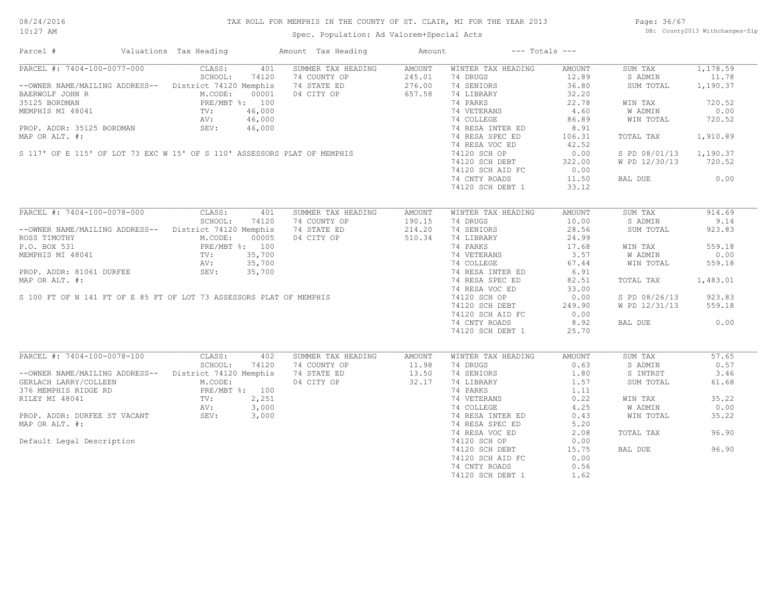08/24/2016 10:27 AM

#### TAX ROLL FOR MEMPHIS IN THE COUNTY OF ST. CLAIR, MI FOR THE YEAR 2013

Spec. Population: Ad Valorem+Special Acts

Page: 36/67 DB: County2013 Withchanges-Zip

| Parcel #                                                                                                                                                                                                                                           | Valuations Tax Heading |       | Amount Tax Heading Mount                            |                      | $---$ Totals $---$                                                                                                                                                                                                                          |                    |                                 |          |
|----------------------------------------------------------------------------------------------------------------------------------------------------------------------------------------------------------------------------------------------------|------------------------|-------|-----------------------------------------------------|----------------------|---------------------------------------------------------------------------------------------------------------------------------------------------------------------------------------------------------------------------------------------|--------------------|---------------------------------|----------|
| PARCEL #: 7404-100-0077-000 CLASS:                                                                                                                                                                                                                 |                        | 401   | SUMMER TAX HEADING AMOUNT                           |                      | WINTER TAX HEADING                                                                                                                                                                                                                          | AMOUNT             | SUM TAX                         | 1,178.59 |
|                                                                                                                                                                                                                                                    | SCHOOL:                | 74120 | 74 COUNTY OP<br>74 STATE ED<br>04 CITY OP<br>657.58 |                      | 74 DRUGS                                                                                                                                                                                                                                    |                    | S ADMIN                         | 11.78    |
| -- OWNER NAME/MAILING ADDRESS-- District 74120 Memphis                                                                                                                                                                                             |                        |       |                                                     |                      | 74 SENIORS                                                                                                                                                                                                                                  | $12.89$<br>$36.80$ | SUM TOTAL                       | 1,190.37 |
| BAERWOLF JOHN R<br>M.CODE: 00001<br>35125 BORDMAN<br>PRE/MBT %: 100<br>MEMPHIS MI 48041<br>TV: 46,000<br>PROP. ADDR: 35125 BORDMAN<br>SEV: 46,000                                                                                                  |                        |       |                                                     |                      | 74 LIBRARY                                                                                                                                                                                                                                  | 32.20              |                                 |          |
| 35125 BORDMAN<br>MEMPHIS MI 48041<br>MEMPHIS MI 48041<br>MEMPHIS MI 48041<br>TV: 46,000<br>MAP OR ALT. #:<br>MAP OR ALT. #:<br>SI17' OF E 115' OF LOT 73 EXC W 15' OF S 110' ASSESSORS PLAT OF MEMPHIS<br>T4 RESA NTER ED<br>T4 RESA NTER ED<br>T4 |                        |       |                                                     |                      |                                                                                                                                                                                                                                             | 22.78              | WIN TAX                         | 720.52   |
|                                                                                                                                                                                                                                                    |                        |       |                                                     |                      |                                                                                                                                                                                                                                             |                    | W ADMIN                         | 0.00     |
|                                                                                                                                                                                                                                                    |                        |       |                                                     |                      | 74 VETERANS 4.60<br>74 COLLEGE 86.89                                                                                                                                                                                                        |                    | WIN TOTAL                       | 720.52   |
|                                                                                                                                                                                                                                                    |                        |       |                                                     |                      |                                                                                                                                                                                                                                             |                    |                                 |          |
|                                                                                                                                                                                                                                                    |                        |       |                                                     |                      | 74 RESA INTER ED<br>74 RESA SPEC ED                                                                                                                                                                                                         | 8.91               |                                 |          |
|                                                                                                                                                                                                                                                    |                        |       |                                                     |                      |                                                                                                                                                                                                                                             | 106.31             | TOTAL TAX 1,910.89              |          |
|                                                                                                                                                                                                                                                    |                        |       |                                                     |                      |                                                                                                                                                                                                                                             | 42.52              |                                 |          |
|                                                                                                                                                                                                                                                    |                        |       |                                                     |                      |                                                                                                                                                                                                                                             | 0.00               | S PD 08/01/13 1,190.37          |          |
|                                                                                                                                                                                                                                                    |                        |       |                                                     |                      | 74120 SCH DEBT 322.00<br>74120 SCH AID FC 0.00                                                                                                                                                                                              |                    | W PD 12/30/13 720.52            |          |
|                                                                                                                                                                                                                                                    |                        |       |                                                     |                      |                                                                                                                                                                                                                                             |                    |                                 |          |
|                                                                                                                                                                                                                                                    |                        |       |                                                     |                      | 74 CNTY ROADS                                                                                                                                                                                                                               | 11.50              | BAL DUE 0.00                    |          |
|                                                                                                                                                                                                                                                    |                        |       |                                                     |                      | 74120 SCH DEBT 1                                                                                                                                                                                                                            | 33.12              |                                 |          |
|                                                                                                                                                                                                                                                    |                        |       |                                                     |                      |                                                                                                                                                                                                                                             |                    |                                 |          |
| PARCEL #: 7404-100-0078-000 CLASS: 401                                                                                                                                                                                                             |                        |       | SUMMER TAX HEADING                                  | AMOUNT               | WINTER TAX HEADING                                                                                                                                                                                                                          | AMOUNT             | SUM TAX                         | 914.69   |
|                                                                                                                                                                                                                                                    | SCHOOL:                | 74120 | 74 COUNTY OP                                        |                      | 74 DRUGS                                                                                                                                                                                                                                    | 10.00              | S ADMIN                         | 9.14     |
| --OWNER NAME/MAILING ADDRESS-- District 74120 Memphis                                                                                                                                                                                              |                        |       | 74 STATE ED                                         | $190.15$<br>$214.20$ | 74 SENIORS                                                                                                                                                                                                                                  | 28.56              | SUM TOTAL                       | 923.83   |
| ROSS TIMOTHY<br>P.O. BOX 531 PRE/MBT %: 100<br>MEMPHIS MI 48041 TV: 35,700<br>PROP. ADDR: 81061 DURFEE SEV: 35,700<br>PROP. ADDR: 81061 DURFEE SEV: 35,700                                                                                         |                        |       | 04 CITY OP 510.34                                   |                      | 74 SENIORS<br>74 DARKS<br>74 PARKS<br>74 OCLLEGE<br>74 COLLEGE<br>74 RESA INTER ED<br>74 RESA INTER ED<br>74 RESA SPEC ED<br>74 RESA SPEC ED<br>74 RESA VOC ED<br>74 RESA VOC ED<br>74 RESA VOC ED<br>74 20 000<br>74120 SCH OF PRET 20,000 |                    |                                 |          |
|                                                                                                                                                                                                                                                    |                        |       |                                                     |                      |                                                                                                                                                                                                                                             |                    | WIN TAX                         | 559.18   |
|                                                                                                                                                                                                                                                    |                        |       |                                                     |                      |                                                                                                                                                                                                                                             |                    |                                 |          |
|                                                                                                                                                                                                                                                    |                        |       |                                                     |                      |                                                                                                                                                                                                                                             |                    | W ADMIN<br>W ADMIN<br>WIN TOTAL | 0.00     |
|                                                                                                                                                                                                                                                    |                        |       |                                                     |                      |                                                                                                                                                                                                                                             |                    |                                 | 559.18   |
|                                                                                                                                                                                                                                                    |                        |       |                                                     |                      |                                                                                                                                                                                                                                             |                    |                                 |          |
|                                                                                                                                                                                                                                                    |                        |       |                                                     |                      |                                                                                                                                                                                                                                             |                    | TOTAL TAX 1,483.01              |          |
|                                                                                                                                                                                                                                                    |                        |       |                                                     |                      |                                                                                                                                                                                                                                             |                    |                                 |          |
|                                                                                                                                                                                                                                                    |                        |       |                                                     |                      |                                                                                                                                                                                                                                             |                    | S PD 08/26/13                   | 923.83   |
|                                                                                                                                                                                                                                                    |                        |       |                                                     |                      | 74120 SCH DEBT                                                                                                                                                                                                                              | 249.90             | W PD 12/31/13                   | 559.18   |
|                                                                                                                                                                                                                                                    |                        |       |                                                     |                      | 74120 SCH AID FC 0.00                                                                                                                                                                                                                       |                    |                                 |          |
|                                                                                                                                                                                                                                                    |                        |       |                                                     |                      | 74 CNTY ROADS                                                                                                                                                                                                                               | 8.92               | BAL DUE                         | 0.00     |
|                                                                                                                                                                                                                                                    |                        |       |                                                     |                      |                                                                                                                                                                                                                                             | 25.70              |                                 |          |
| PRE/MBT %: 100<br>MEMPHIS MI 48041<br>PROP. ADDR: 81061 DURFEE<br>MAP OR ALT. #: 35,700<br>MAP OR ALT. #:<br>S 100 FT OF N 141 FT OF E 85 FT OF LOT 73 ASSESSORS PLAT OF MEMPHIS                                                                   |                        |       |                                                     |                      | 74120 SCH DEBT 1                                                                                                                                                                                                                            |                    |                                 |          |
| PARCEL #: 7404-100-0078-100                                                                                                                                                                                                                        | CLASS:                 | 402   | SUMMER TAX HEADING                                  | AMOUNT               | WINTER TAX HEADING                                                                                                                                                                                                                          | AMOUNT             | SUM TAX                         | 57.65    |
|                                                                                                                                                                                                                                                    |                        |       |                                                     |                      | 74 DRUGS                                                                                                                                                                                                                                    | 0.63               | S ADMIN                         | 0.57     |
|                                                                                                                                                                                                                                                    |                        |       |                                                     |                      | 74 SENIORS                                                                                                                                                                                                                                  | 1.80               | S INTRST                        | 3.46     |
| --OWNER NAME/MAILING ADDRESS--<br>CERLACH LARRY/COLLEEN<br>376 MEMPHIS RIDGE RD<br>376 MEMPHIS RIDGE RD<br>376 MEMPHIS RIDGE RD<br>32.17                                                                                                           |                        |       |                                                     |                      | 74 LIBRARY<br>74 PARKS 1.11<br>$\frac{1}{2}$<br>$\frac{1}{2}$<br>$\frac{1}{2}$                                                                                                                                                              |                    |                                 | 61.68    |
| GERLACH LARRY/COLLEEN M.CODE:<br>376 MEMPHIS RIDGE RD PRE/MBT %: 100<br>RILEY MI 48041 TV: 2,251<br>AV: 3,000<br>PROP. ADDR: DURFEE ST VACANT SEV: 3,000                                                                                           |                        |       |                                                     |                      |                                                                                                                                                                                                                                             |                    | SUM TOTAL                       |          |
|                                                                                                                                                                                                                                                    |                        |       |                                                     |                      |                                                                                                                                                                                                                                             |                    |                                 |          |
|                                                                                                                                                                                                                                                    |                        |       |                                                     |                      |                                                                                                                                                                                                                                             |                    | WIN TAX                         | 35.22    |
|                                                                                                                                                                                                                                                    |                        |       |                                                     |                      | 74 VETERANS 0.22<br>74 COLLEGE 4.25<br>74 RESA INTER ED 0.43                                                                                                                                                                                |                    | W ADMIN                         | 0.00     |
|                                                                                                                                                                                                                                                    |                        |       |                                                     |                      |                                                                                                                                                                                                                                             |                    | WIN TOTAL                       | 35.22    |
| MAP OR ALT. #:                                                                                                                                                                                                                                     |                        |       |                                                     |                      | 74 RESA SPEC ED                                                                                                                                                                                                                             | 5.20               |                                 |          |
|                                                                                                                                                                                                                                                    |                        |       |                                                     |                      | 74 RESA VOC ED                                                                                                                                                                                                                              | 2.08               | TOTAL TAX                       | 96.90    |
| Default Legal Description                                                                                                                                                                                                                          |                        |       |                                                     |                      | 74120 SCH OP                                                                                                                                                                                                                                | 0.00               |                                 |          |
|                                                                                                                                                                                                                                                    |                        |       |                                                     |                      | 74120 SCH DEBT                                                                                                                                                                                                                              | 15.75              | BAL DUE                         | 96.90    |
|                                                                                                                                                                                                                                                    |                        |       |                                                     |                      | 74120 SCH AID FC                                                                                                                                                                                                                            | 0.00               |                                 |          |
|                                                                                                                                                                                                                                                    |                        |       |                                                     |                      |                                                                                                                                                                                                                                             |                    |                                 |          |
|                                                                                                                                                                                                                                                    |                        |       |                                                     |                      | 74 CNTY ROADS                                                                                                                                                                                                                               | 0.56               |                                 |          |
|                                                                                                                                                                                                                                                    |                        |       |                                                     |                      | 74120 SCH DEBT 1                                                                                                                                                                                                                            | 1.62               |                                 |          |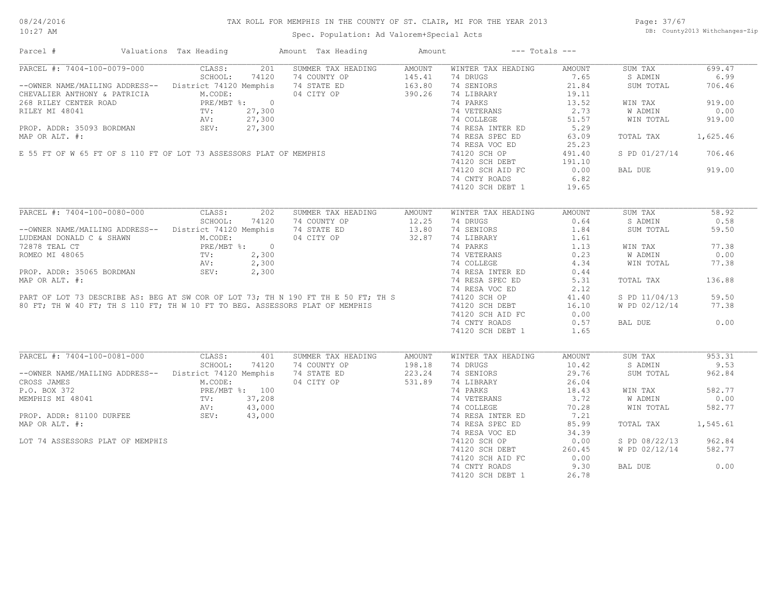#### TAX ROLL FOR MEMPHIS IN THE COUNTY OF ST. CLAIR, MI FOR THE YEAR 2013

10:27 AM

### Spec. Population: Ad Valorem+Special Acts

Page: 37/67 DB: County2013 Withchanges-Zip

| Parcel #                                                                                                                                                                                                                                                                                                                                                                                                 | Valuations Tax Heading | Amount Tax Heading Mount               |        | $---$ Totals $---$                                                                                                                                                               |        |                      |        |
|----------------------------------------------------------------------------------------------------------------------------------------------------------------------------------------------------------------------------------------------------------------------------------------------------------------------------------------------------------------------------------------------------------|------------------------|----------------------------------------|--------|----------------------------------------------------------------------------------------------------------------------------------------------------------------------------------|--------|----------------------|--------|
| PARCEL #: 7404-100-0079-000 CLASS:                                                                                                                                                                                                                                                                                                                                                                       |                        | 201 SUMMER TAX HEADING                 | AMOUNT | WINTER TAX HEADING                                                                                                                                                               | AMOUNT | SUM TAX              | 699.47 |
|                                                                                                                                                                                                                                                                                                                                                                                                          |                        |                                        |        | 74 DRUGS                                                                                                                                                                         | 7.65   | S ADMIN              | 6.99   |
| SCHOOL: 74120 74 COUNTY OP 145.41<br>--OWNER NAME/MAILING ADDRESS-- District 74120 Memphis 74 STATE ED 163.80<br>CHEVALIER ANTHONY & PATRICIA M.CODE: 04 CITY OP 390.26                                                                                                                                                                                                                                  |                        |                                        |        |                                                                                                                                                                                  |        | SUM TOTAL            | 706.46 |
|                                                                                                                                                                                                                                                                                                                                                                                                          |                        |                                        |        |                                                                                                                                                                                  |        |                      |        |
|                                                                                                                                                                                                                                                                                                                                                                                                          |                        |                                        |        |                                                                                                                                                                                  |        | WIN TAX              | 919.00 |
|                                                                                                                                                                                                                                                                                                                                                                                                          |                        |                                        |        |                                                                                                                                                                                  |        | W ADMIN              | 0.00   |
|                                                                                                                                                                                                                                                                                                                                                                                                          |                        |                                        |        |                                                                                                                                                                                  |        | WIN TOTAL            | 919.00 |
|                                                                                                                                                                                                                                                                                                                                                                                                          |                        |                                        |        |                                                                                                                                                                                  |        |                      |        |
|                                                                                                                                                                                                                                                                                                                                                                                                          |                        |                                        |        |                                                                                                                                                                                  |        |                      |        |
|                                                                                                                                                                                                                                                                                                                                                                                                          |                        |                                        |        |                                                                                                                                                                                  |        | TOTAL TAX 1,625.46   |        |
|                                                                                                                                                                                                                                                                                                                                                                                                          |                        |                                        |        |                                                                                                                                                                                  |        |                      |        |
|                                                                                                                                                                                                                                                                                                                                                                                                          |                        |                                        |        |                                                                                                                                                                                  |        | S PD 01/27/14 706.46 |        |
|                                                                                                                                                                                                                                                                                                                                                                                                          |                        |                                        |        |                                                                                                                                                                                  |        |                      |        |
|                                                                                                                                                                                                                                                                                                                                                                                                          |                        |                                        |        |                                                                                                                                                                                  |        | BAL DUE              | 919.00 |
|                                                                                                                                                                                                                                                                                                                                                                                                          |                        |                                        |        |                                                                                                                                                                                  |        |                      |        |
|                                                                                                                                                                                                                                                                                                                                                                                                          |                        |                                        |        |                                                                                                                                                                                  |        |                      |        |
|                                                                                                                                                                                                                                                                                                                                                                                                          |                        |                                        |        |                                                                                                                                                                                  |        |                      |        |
| PARCEL #: 7404-100-0080-000 CLASS: 202 SUMMER TAX HEADING                                                                                                                                                                                                                                                                                                                                                |                        |                                        | AMOUNT | WINTER TAX HEADING                                                                                                                                                               | AMOUNT | SUM TAX              | 58.92  |
|                                                                                                                                                                                                                                                                                                                                                                                                          |                        |                                        |        | 74 DRUGS                                                                                                                                                                         | 0.64   | S ADMIN              | 0.58   |
| SCHOOL: 74120 74 COUNTY OP 12.25<br>--OWNER NAME/MAILING ADDRESS-- District 74120 Memphis 74 STATE ED 13.80                                                                                                                                                                                                                                                                                              |                        |                                        |        | 74 SENIORS                                                                                                                                                                       | 1.84   | SUM TOTAL            | 59.50  |
| LUDEMAN DONALD C & SHAWN<br>TUDEMAN DONALD C & SHAWN<br>TRE/MBT %: 0<br>ROMEO MI 48065<br>PROP. ADDR: 35065 BORDMAN<br>PROP. ADDR: 35065 BORDMAN<br>SEV: 2,300                                                                                                                                                                                                                                           |                        | 04 CITY OP 32.87                       |        | 1.61<br>74 LIBRARY<br>74 PARKS<br>74 VETERANS<br>74 COLLEGE<br>74 RESA INTER ED<br>74 RESA INTER ED<br>74 RESA SPEC ED<br>74 RESA SPEC ED<br>5.31                                |        |                      |        |
|                                                                                                                                                                                                                                                                                                                                                                                                          |                        |                                        |        |                                                                                                                                                                                  |        | WIN TAX              | 77.38  |
|                                                                                                                                                                                                                                                                                                                                                                                                          |                        |                                        |        |                                                                                                                                                                                  |        | W ADMIN              | 0.00   |
| 1997 ADDR: 35065 BORDMAN<br>PRE/MBT \$: 0<br>PRE/MBT \$: 0<br>PRE/MBT \$: 0<br>PRE/MBT \$: 0<br>TV: 2,300<br>TV: 2,300<br>2,300<br>PROP. ADDR: 35065 BORDMAN<br>MAP OR ALT. #: 74 RESA INTER ED<br>MAP OR ALT. #:<br>MAP OR ALT. #: 74 RESA SPEC ED<br>5.3                                                                                                                                               |                        |                                        |        |                                                                                                                                                                                  |        | WIN TOTAL            | 77.38  |
|                                                                                                                                                                                                                                                                                                                                                                                                          |                        |                                        |        |                                                                                                                                                                                  |        |                      |        |
|                                                                                                                                                                                                                                                                                                                                                                                                          |                        |                                        |        |                                                                                                                                                                                  |        |                      |        |
|                                                                                                                                                                                                                                                                                                                                                                                                          |                        |                                        |        |                                                                                                                                                                                  |        | TOTAL TAX            | 136.88 |
|                                                                                                                                                                                                                                                                                                                                                                                                          |                        |                                        |        |                                                                                                                                                                                  |        |                      |        |
|                                                                                                                                                                                                                                                                                                                                                                                                          |                        |                                        |        |                                                                                                                                                                                  |        | S PD 11/04/13        | 59.50  |
|                                                                                                                                                                                                                                                                                                                                                                                                          |                        |                                        |        |                                                                                                                                                                                  |        | W PD 02/12/14        | 77.38  |
|                                                                                                                                                                                                                                                                                                                                                                                                          |                        |                                        |        | 74120 SCH AID FC 0.00                                                                                                                                                            |        |                      |        |
|                                                                                                                                                                                                                                                                                                                                                                                                          |                        |                                        |        | 74 CNTY ROADS                                                                                                                                                                    | 0.57   | BAL DUE              | 0.00   |
|                                                                                                                                                                                                                                                                                                                                                                                                          |                        |                                        |        | 74120 SCH DEBT 1 1.65                                                                                                                                                            |        |                      |        |
|                                                                                                                                                                                                                                                                                                                                                                                                          |                        |                                        |        |                                                                                                                                                                                  |        |                      |        |
| PARCEL #: 7404-100-0081-000 CLASS:                                                                                                                                                                                                                                                                                                                                                                       |                        | SUMMER TAX HEADING AMOUNT<br>401       |        | WINTER TAX HEADING                                                                                                                                                               | AMOUNT | SUM TAX              | 953.31 |
|                                                                                                                                                                                                                                                                                                                                                                                                          |                        |                                        |        | 74 DRUGS                                                                                                                                                                         | 10.42  | S ADMIN              | 9.53   |
|                                                                                                                                                                                                                                                                                                                                                                                                          |                        |                                        |        | 74 SENIORS                                                                                                                                                                       | 29.76  | SUM TOTAL            | 962.84 |
| SCHOOL: 74120 74 COUNTY OP 198.18<br>--OWNER NAME/MAILING ADDRESS-- District 74120 Memphis 74 STATE ED 223.24<br>CROS JAMES 74 STATE 20 100 101 223.24<br>-- OWNER ALCODE: 1100 101 270 531.89<br>--OROSS JAMES<br>CROSS JAMES<br>P.O. BOX 372<br>MEMPHIS MI 48041<br>MEMPHIS MI 48041<br>PROP. ADDR: 81100 DURFEE<br>PROP. ADDR: 81100 DURFEE<br>SEV: 43,000<br>PROP. ADDR: 81100 DURFEE<br>SEV: 43,000 |                        |                                        |        | 74 SENDARY<br>74 LIBRARY<br>74 VETERANS<br>74 VETERANS<br>74 COLLEGE<br>74 COLLEGE<br>74 RESA INTER ED<br>74 RESA SPEC ED<br>74 RESA SPEC ED<br>85.99<br>74 RESA VOC ED<br>84.39 |        |                      |        |
|                                                                                                                                                                                                                                                                                                                                                                                                          |                        |                                        |        |                                                                                                                                                                                  |        | WIN TAX              | 582.77 |
|                                                                                                                                                                                                                                                                                                                                                                                                          |                        |                                        |        |                                                                                                                                                                                  |        | W ADMIN              | 0.00   |
|                                                                                                                                                                                                                                                                                                                                                                                                          |                        |                                        |        |                                                                                                                                                                                  |        | WIN TOTAL            | 582.77 |
|                                                                                                                                                                                                                                                                                                                                                                                                          |                        |                                        |        |                                                                                                                                                                                  |        |                      |        |
| MAP OR ALT. #:                                                                                                                                                                                                                                                                                                                                                                                           |                        |                                        |        |                                                                                                                                                                                  |        | TOTAL TAX 1,545.61   |        |
|                                                                                                                                                                                                                                                                                                                                                                                                          |                        | $\frac{100}{208}$<br>000<br>000<br>000 |        |                                                                                                                                                                                  |        |                      |        |
| LOT 74 ASSESSORS PLAT OF MEMPHIS                                                                                                                                                                                                                                                                                                                                                                         |                        |                                        |        | 74120 SCH OP 0.00<br>74120 SCH DEBT 260.45                                                                                                                                       |        | S PD 08/22/13 962.84 |        |
|                                                                                                                                                                                                                                                                                                                                                                                                          |                        |                                        |        |                                                                                                                                                                                  | 260.45 | W PD 02/12/14 582.77 |        |
|                                                                                                                                                                                                                                                                                                                                                                                                          |                        |                                        |        | 74120 SCH AID FC                                                                                                                                                                 | 0.00   |                      |        |
|                                                                                                                                                                                                                                                                                                                                                                                                          |                        |                                        |        | 74 CNTY ROADS                                                                                                                                                                    | 9.30   | BAL DUE              | 0.00   |
|                                                                                                                                                                                                                                                                                                                                                                                                          |                        |                                        |        | 74120 SCH DEBT 1                                                                                                                                                                 | 26.78  |                      |        |
|                                                                                                                                                                                                                                                                                                                                                                                                          |                        |                                        |        |                                                                                                                                                                                  |        |                      |        |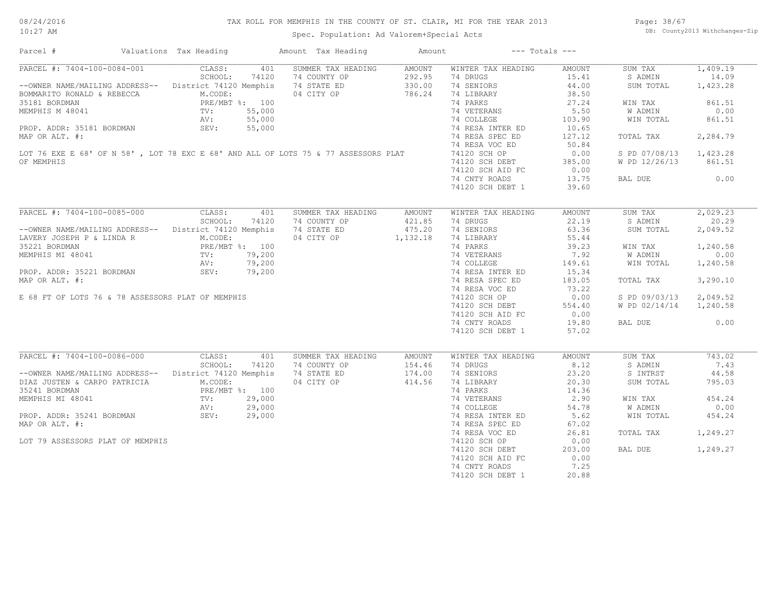#### TAX ROLL FOR MEMPHIS IN THE COUNTY OF ST. CLAIR, MI FOR THE YEAR 2013

Spec. Population: Ad Valorem+Special Acts

Page: 38/67 DB: County2013 Withchanges-Zip

| Parcel #                                                                                                                                     | Valuations Tax Heading | Amount Tax Heading                                                                  | Amount           | $---$ Totals $---$                            |        |                        |          |
|----------------------------------------------------------------------------------------------------------------------------------------------|------------------------|-------------------------------------------------------------------------------------|------------------|-----------------------------------------------|--------|------------------------|----------|
| PARCEL #: 7404-100-0084-001 CLASS:                                                                                                           |                        | 401 SUMMER TAX HEADING AMOUNT<br>AMOUNT<br>292.95<br>330.00<br>24 CITY OP<br>286.24 |                  | WINTER TAX HEADING                            | AMOUNT | SUM TAX                | 1,409.19 |
|                                                                                                                                              | SCHOOL:<br>74120       |                                                                                     |                  | 74 DRUGS                                      | 15.41  | S ADMIN                | 14.09    |
| --OWNER NAME/MAILING ADDRESS-- District 74120 Memphis 74 STATE ED                                                                            |                        |                                                                                     |                  | 74 SENIORS                                    | 44.00  | SUM TOTAL              | 1,423.28 |
| BOMMARITO RONALD & REBECCA M.CODE:<br>35181 BORDMAN PRE/MBT %: 100<br>MEMPHIS M 48041 TV: 55,000<br>PROP. ADDR: 35181 BORDMAN SEV: 55,000    |                        |                                                                                     |                  | 74 LIBRARY                                    | 38.50  |                        |          |
|                                                                                                                                              |                        |                                                                                     |                  | 74 PARKS                                      | 27.24  | WIN TAX                | 861.51   |
|                                                                                                                                              |                        |                                                                                     |                  | 74 VETERANS                                   | 5.50   | W ADMIN                | 0.00     |
|                                                                                                                                              |                        |                                                                                     |                  | 74 COLLEGE                                    | 103.90 | WIN TOTAL              | 861.51   |
|                                                                                                                                              |                        |                                                                                     |                  |                                               |        |                        |          |
|                                                                                                                                              |                        |                                                                                     |                  | 74 RESA INTER ED                              | 10.65  |                        |          |
| MAP OR ALT. #:                                                                                                                               |                        |                                                                                     |                  | 74 RESA SPEC ED                               | 127.12 | TOTAL TAX              | 2,284.79 |
| LOT 76 EXE E 68' OF N 58' , LOT 78 EXC E 68' AND ALL OF LOTS 75 & 77 ASSESSORS PLAT                                                          |                        |                                                                                     |                  | 74 RESA VOC ED                                | 50.84  |                        |          |
|                                                                                                                                              |                        |                                                                                     |                  | 74120 SCH OP                                  | 0.00   | S PD 07/08/13 1,423.28 |          |
| OF MEMPHIS                                                                                                                                   |                        |                                                                                     |                  | 74120 SCH DEBT                                | 385.00 | W PD 12/26/13 861.51   |          |
|                                                                                                                                              |                        |                                                                                     |                  | 74120 SCH AID FC                              | 0.00   |                        |          |
|                                                                                                                                              |                        |                                                                                     |                  | 74 CNTY ROADS                                 | 13.75  | BAL DUE                | 0.00     |
|                                                                                                                                              |                        |                                                                                     |                  | 74120 SCH DEBT 1                              | 39.60  |                        |          |
|                                                                                                                                              |                        |                                                                                     |                  |                                               |        |                        |          |
| PARCEL #: 7404-100-0085-000                                                                                                                  | CLASS:<br>401          | SUMMER TAX HEADING                                                                  | AMOUNT           | WINTER TAX HEADING                            | AMOUNT | SUM TAX                | 2,029.23 |
|                                                                                                                                              | SCHOOL:<br>74120       | 74 COUNTY OP                                                                        |                  | 74 DRUGS                                      | 22.19  | S ADMIN                | 20.29    |
| --OWNER NAME/MAILING ADDRESS-- District 74120 Memphis                                                                                        |                        | 74 STATE ED                                                                         | 421.85<br>475.20 | 74 SENIORS                                    | 63.36  | SUM TOTAL              | 2,049.52 |
|                                                                                                                                              |                        | 04 CITY OP 1,132.18                                                                 |                  | 74 LIBRARY                                    | 55.44  |                        |          |
|                                                                                                                                              |                        |                                                                                     |                  | 74 PARKS                                      | 39.23  | WIN TAX                | 1,240.58 |
|                                                                                                                                              |                        | $100$<br>$200$<br>$,200$<br>$,200$                                                  |                  |                                               |        |                        |          |
|                                                                                                                                              |                        |                                                                                     |                  | 74 VETERANS<br>74 VEIERANS<br>74 COLLEGE      | 7.92   | W ADMIN                | 0.00     |
|                                                                                                                                              |                        |                                                                                     |                  |                                               | 149.61 | WIN TOTAL              | 1,240.58 |
| PROP. ADDR: 35221 BORDMAN SEV: 79,200                                                                                                        |                        |                                                                                     |                  | 74 RESA INTER ED                              | 15.34  |                        |          |
| MAP OR ALT. #:                                                                                                                               |                        |                                                                                     |                  | 74 RESA SPEC ED                               | 183.05 | TOTAL TAX              | 3,290.10 |
|                                                                                                                                              |                        |                                                                                     |                  | 74 RESA VOC ED                                | 73.22  |                        |          |
| E 68 FT OF LOTS 76 & 78 ASSESSORS PLAT OF MEMPHIS                                                                                            |                        |                                                                                     |                  | 74120 SCH OP                                  | 0.00   | S PD 09/03/13 2,049.52 |          |
|                                                                                                                                              |                        |                                                                                     |                  | 74120 SCH DEBT                                | 554.40 | W PD 02/14/14 1,240.58 |          |
|                                                                                                                                              |                        |                                                                                     |                  | 74120 SCH AID FC                              | 0.00   |                        |          |
|                                                                                                                                              |                        |                                                                                     |                  | 74 CNTY ROADS                                 | 19.80  | BAL DUE                | 0.00     |
|                                                                                                                                              |                        |                                                                                     |                  | 74120 SCH DEBT 1                              | 57.02  |                        |          |
|                                                                                                                                              |                        |                                                                                     |                  |                                               |        |                        |          |
| PARCEL #: 7404-100-0086-000                                                                                                                  | CLASS:<br>401          | SUMMER TAX HEADING                                                                  | AMOUNT           | WINTER TAX HEADING                            | AMOUNT | SUM TAX                | 743.02   |
|                                                                                                                                              | SCHOOL:<br>74120       | 74 COUNTY OP                                                                        | 154.46           | 74 DRUGS                                      | 8.12   | S ADMIN                | 7.43     |
| --OWNER NAME/MAILING ADDRESS-- District 74120 Memphis                                                                                        |                        | 74 STATE ED 174.00                                                                  |                  | 74 SENIORS                                    |        |                        | 44.58    |
|                                                                                                                                              |                        |                                                                                     |                  |                                               | 23.20  | S INTRST               |          |
| DIAZ JUSTEN & CARPO PATRICIA M.CODE:<br>35241 BORDMAN PRE/MBT %: 100<br>MEMPHIS MI 48041 TV: 29,000<br>PROP. ADDR: 35241 BORDMAN SEV: 29,000 |                        | 04 CITY OP                                                                          | 414.56           | 74 LIBRARY<br>74 PARKS                        | 20.30  | SUM TOTAL              | 795.03   |
|                                                                                                                                              |                        |                                                                                     |                  |                                               | 14.36  |                        |          |
|                                                                                                                                              |                        |                                                                                     |                  |                                               | 2.90   | WIN TAX                | 454.24   |
|                                                                                                                                              |                        |                                                                                     |                  |                                               | 54.78  | W ADMIN                | 0.00     |
|                                                                                                                                              |                        |                                                                                     |                  | 74 VETERANS<br>74 COLLEGE<br>74 RESA INTER ED | 5.62   | WIN TOTAL              | 454.24   |
| MAP OR ALT. #:                                                                                                                               |                        |                                                                                     |                  | 74 RESA SPEC ED                               | 67.02  |                        |          |
|                                                                                                                                              |                        | $\begin{array}{ll} . & 100 \\ 29,000 \\ 29,000 \\ 29,000 \\ \end{array}$            |                  | 74 RESA VOC ED                                | 26.81  | TOTAL TAX 1,249.27     |          |
| LOT 79 ASSESSORS PLAT OF MEMPHIS                                                                                                             |                        |                                                                                     |                  | 74120 SCH OP                                  | 0.00   |                        |          |
|                                                                                                                                              |                        |                                                                                     |                  | 74120 SCH DEBT                                | 203.00 | BAL DUE                | 1,249.27 |
|                                                                                                                                              |                        |                                                                                     |                  | 74120 SCH AID FC                              | 0.00   |                        |          |
|                                                                                                                                              |                        |                                                                                     |                  |                                               |        |                        |          |
|                                                                                                                                              |                        |                                                                                     |                  | 74 CNTY ROADS                                 | 7.25   |                        |          |
|                                                                                                                                              |                        |                                                                                     |                  | 74120 SCH DEBT 1                              | 20.88  |                        |          |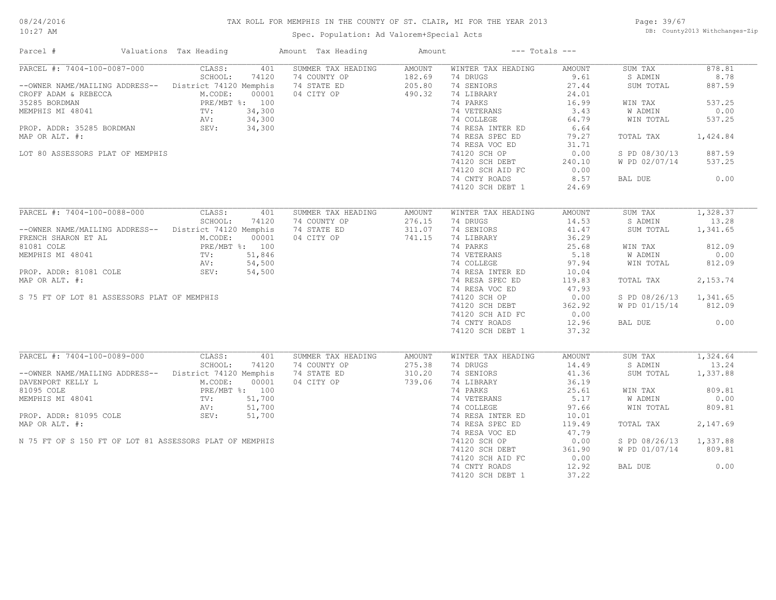#### TAX ROLL FOR MEMPHIS IN THE COUNTY OF ST. CLAIR, MI FOR THE YEAR 2013

10:27 AM

#### Spec. Population: Ad Valorem+Special Acts

Page: 39/67 DB: County2013 Withchanges-Zip

| Parcel #                                                                                                                                                                                                                                                                                                                                                                                   | Valuations Tax Heading   |              | Amount Tax Heading                                                         | Amount                               | $---$ Totals $---$                                                                                                                                                                                                                                                                                         |                                                                                                                                 |                                                                                                                                                     |                                                                                         |
|--------------------------------------------------------------------------------------------------------------------------------------------------------------------------------------------------------------------------------------------------------------------------------------------------------------------------------------------------------------------------------------------|--------------------------|--------------|----------------------------------------------------------------------------|--------------------------------------|------------------------------------------------------------------------------------------------------------------------------------------------------------------------------------------------------------------------------------------------------------------------------------------------------------|---------------------------------------------------------------------------------------------------------------------------------|-----------------------------------------------------------------------------------------------------------------------------------------------------|-----------------------------------------------------------------------------------------|
| PARCEL #: 7404-100-0087-000<br>--OWNER NAME/MAILING ADDRESS-- District 74120 Memphis<br>CROFF ADAM & REBECCA M.CODE: 00001<br>35285 BORDMAN PRE/MBT %: 100<br>MEMPHIS MI 48041 TV: 34,300<br>PROP. ADDR: 35285 BORDMAN SEV: 34,300<br>MAP OR ALT. #:<br>LOT 80 ASSESSORS PLAT OF MEMPHIS                                                                                                   | <b>CLASS:</b><br>SCHOOL: | 74120        | 401 SUMMER TAX HEADING<br>74 COUNTY OP<br>74 STATE ED<br>04 CITY OP 490.32 | AMOUNT<br>182.69<br>205.80           | WINTER TAX HEADING<br>74 DRUGS<br>74 SENIORS<br>74 LIBRARY<br>74 PARKS<br>74 VETERANS<br>74 COLLEGE<br>74 RESA INTER ED<br>74 RESA SPEC ED<br>74 RESA VOC ED<br>74120 SCH OP<br>74120 SCH DEBT<br>74120 SCH AID FC<br>74 CNTY ROADS<br>74120 SCH DEBT 1                                                    | AMOUNT<br>9.61<br>27.44<br>24.01<br>16.99<br>3.43<br>64.79<br>6.64<br>79.27<br>31.71<br>0.00<br>240.10<br>0.00<br>8.57<br>24.69 | SUM TAX<br>S ADMIN<br>SUM TOTAL<br>WIN TAX<br>W ADMIN<br>WIN TOTAL<br>TOTAL TAX<br>S PD 08/30/13<br>W PD 02/07/14 537.25<br>BAL DUE                 | 878.81<br>8.78<br>887.59<br>537.25<br>0.00<br>537.25<br>1,424.84<br>887.59<br>0.00      |
| PARCEL #: 7404-100-0088-000<br>--OWNER NAME/MAILING ADDRESS-- District 74120 Memphis<br>FRENCH SHARON ET AL M.CODE: 00001<br>81081 COLE PRE/MBT %: 100<br>MEMPHIS MI 48041 TV: 51,846<br>NV: 54,500<br>PROP. ADDR: 81081 COLE SEV: 54,500<br>MAP OR ALT. #:<br>S 75 FT OF LOT 81 ASSESSORS PLAT OF MEMPHIS                                                                                 | CLASS:<br>SCHOOL:        | 401<br>74120 | SUMMER TAX HEADING<br>74 COUNTY OP<br>74 STATE ED<br>04 CITY OP            | AMOUNT<br>276.15<br>311.07<br>741.15 | WINTER TAX HEADING<br>74 DRUGS<br>74 SENIORS<br>74 LIBRARY<br>74 LIBRARY<br>74 PARKS<br>74 PARKS<br>74 PARKS<br>74 OCLLEGE<br>74 COLLEGE<br>74 RESA INTER ED<br>10.04<br>74 RESA SPEC ED<br>74 RESA VOC ED<br>74120 SCH OP<br>74120 SCH DEBT<br>74120 SCH AID FC 0.00<br>74 CNTY ROADS<br>74120 SCH DEBT 1 | AMOUNT<br>14.53<br>41.47<br>36.29<br>119.83<br>47.93<br>0.00<br>362.92<br>12.96<br>37.32                                        | SUM TAX<br>S ADMIN<br>SUM TOTAL<br>WIN TAX<br><b>W ADMIN</b><br>WIN TOTAL<br>TOTAL TAX<br>S PD 08/26/13 1,341.65<br>W PD 01/15/14 812.09<br>BAL DUE | 1,328.37<br>13.28<br>1,341.65<br>812.09<br>0.00<br>812.09<br>2,153.74<br>0.00           |
| PARCEL #: 7404-100-0089-000 CLASS:<br>--OWNER NAME/MAILING ADDRESS-- District 74120 Memphis<br>DAVENPORT KELLY L<br>DAVENPORT KELLY L<br>BIO95 COLE<br>PRE/MBT %: 100<br>MEMPHIS MI 48041<br>TV: 51,700<br>PROP. ADDR: 81095 COLE<br>PRE/MBT %: 51,700<br>AV: 51,700<br>PROP. ADDR: 81095 COLE<br>SEV: 51,700<br>MAP OR ALT. #:<br>N 75 FT OF S 150 FT OF LOT 81 ASSESSORS PLAT OF MEMPHIS | SCHOOL:                  | 401<br>74120 | SUMMER TAX HEADING<br>74 COUNTY OP<br>74 STATE ED<br>04 CITY OP            | AMOUNT<br>275.38<br>310.20<br>739.06 | WINTER TAX HEADING<br>74 DRUGS<br>74 SENIORS<br>74 LIBRARY<br>74 PARKS<br>74 VETERANS<br>74 VETERANS<br>74 COLLEGE<br>74 RESA INTER ED<br>10.01<br>74 RESA SPEC ED<br>74 RESA VOC ED<br>74120 SCH OP<br>74120 SCH DEBT<br>74120 SCH AID FC<br>74 CNTY ROADS<br>74120 SCH DEBT 1                            | AMOUNT<br>14.49<br>41.36<br>36.19<br>119.49<br>47.79<br>0.00<br>361.90<br>0.00<br>12.92<br>37.22                                | SUM TAX<br>S ADMIN<br>SUM TOTAL<br>WIN TAX<br>W ADMIN<br>WIN TOTAL<br>TOTAL TAX<br>S PD 08/26/13 1,337.88<br>W PD 01/07/14 809.81<br>BAL DUE        | $\frac{1}{324.64}$<br>13.24<br>1,337.88<br>809.81<br>0.00<br>809.81<br>2,147.69<br>0.00 |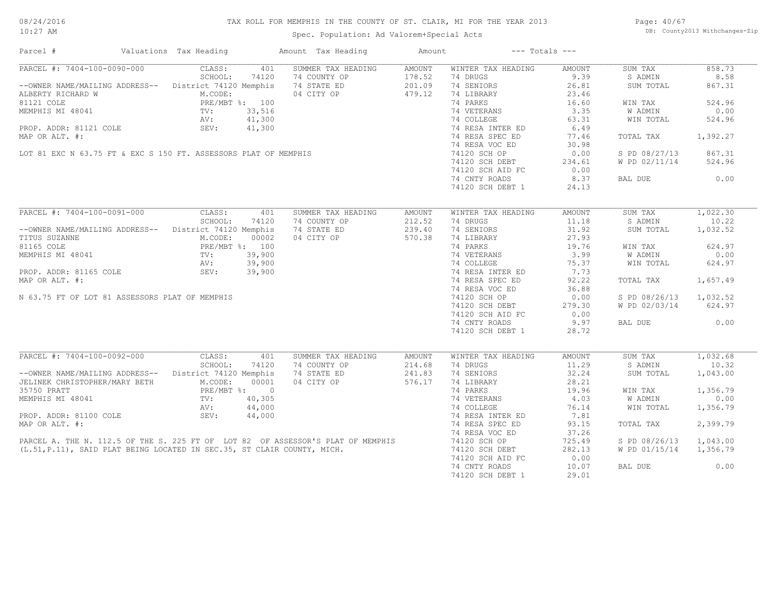#### TAX ROLL FOR MEMPHIS IN THE COUNTY OF ST. CLAIR, MI FOR THE YEAR 2013

10:27 AM

### Spec. Population: Ad Valorem+Special Acts

Page: 40/67 DB: County2013 Withchanges-Zip

| PARCEL #: 7404-100-0090-000<br>SUMMER TAX HEADING<br>WINTER TAX HEADING<br>CLASS:<br>401<br>AMOUNT<br>AMOUNT<br>SUM TAX<br>858.73<br>SCHOOL:<br>74120<br>74 COUNTY OP<br>178.52<br>74 DRUGS<br>9.39<br>S ADMIN<br>8.58<br>74 SENIORS<br>--OWNER NAME/MAILING ADDRESS-- District 74120 Memphis<br>74 STATE ED<br>201.09<br>26.81<br>SUM TOTAL<br>867.31<br>04 CITY OP 479.12<br>ALBERTY RICHARD W<br>ALBERTY RICHARD W<br>81121 COLE<br>81121 COLE<br>PRE/MBT %: 100<br>MEMPHIS MI 48041<br>TV: 33,516<br>AV: 41,300<br>PROP. ADDR: 81121 COLE<br>SEV: 41,300<br>23.46<br>74 LIBRARY<br>524.96<br>74 PARKS<br>16.60<br>WIN TAX<br>ALBERTY RICHARD W<br>81121 COLE<br>81121 COLE<br>MEMPHIS MI 48041 TV: 33,516<br>PROP. ADDR: 81121 COLE<br>MAP OR ALT. #: 41,300<br>MAP OR ALT. #: 41,300<br>MAP OR ALT. #: 41,300<br>LOT 81 EXC N 63.75 FT & EXC S 150 FT. ASSESSORS PLAT OF M<br>74 VETERANS<br>3.35<br>W ADMIN<br>0.00<br>74 COLLEGE<br>63.31<br>WIN TOTAL<br>524.96<br>74 RESA INTER ED 6.49<br>74 RESA SPEC ED 77.46<br>1,392.27<br>TOTAL TAX<br>74 RESA VOC ED<br>30.98<br>74120 SCH OP<br>0.00<br>S PD 08/27/13 867.31<br>74120 SCH DEBT 234.61<br>74120 SCH AID FC 0.00<br>524.96<br>W PD 02/11/14<br>0.00<br>74 CNTY ROADS<br>8.37<br>BAL DUE<br>74120 SCH DEBT 1<br>24.13<br>PARCEL #: 7404-100-0091-000 CLASS: 401<br>SUM TAX<br>SUMMER TAX HEADING<br>AMOUNT<br>WINTER TAX HEADING<br>AMOUNT<br>SCHOOL:<br>74120<br>212.52<br>74 DRUGS<br>11.18<br>S ADMIN<br>10.22<br>74 COUNTY OP<br>31.92<br>--OWNER NAME/MAILING ADDRESS-- District 74120 Memphis<br>74 STATE ED<br>239.40<br>74 SENIORS<br>SUM TOTAL<br>1,032.52<br>TITUS SUZANNE<br>81165 COLE PRE/MBT %: 100<br>MEMPHIS MI 48041 TV: 39,900<br>PROP. ADDR: 81165 COLE SEV: 39,900<br>MAP OP ALT #: 39,900<br>04 CITY OP<br>570.38<br>14 DENERARY<br>14 DENERARY<br>14 DENERARY<br>15 19.76<br>14 NESA SPEC ED 75.37<br>14 RESA SPEC ED 7.73<br>14 RESA SPEC ED 92.22<br>16 NESA SPEC ED 92.22<br>16 NESA SPEC ED 92.22<br>624.97<br>WIN TAX<br>8: $\frac{100}{39,900}$<br>39,900<br>39,900<br>39,900<br>0.00<br>W ADMIN<br>WIN TOTAL<br>624.97<br>MAP OR ALT. #:<br>1,657.49<br>TOTAL TAX<br>74 RESA VOC ED<br>36.88<br>74 RESA VOC ED<br>74120 SCH OP<br>N 63.75 FT OF LOT 81 ASSESSORS PLAT OF MEMPHIS<br>0.00<br>S PD 08/26/13 1,032.52<br>74120 SCH DEBT<br>W PD 02/03/14 624.97<br>279.30<br>74120 SCH AID FC 0.00<br>9.97<br>0.00<br>BAL DUE<br>74 CNTY ROADS<br>74120 SCH DEBT 1<br>28.72<br>PARCEL #: 7404-100-0092-000<br>CLASS:<br>1,032.68<br>401<br>SUMMER TAX HEADING<br>AMOUNT<br>WINTER TAX HEADING<br>AMOUNT<br>SUM TAX<br>10.32<br>SCHOOL:<br>74 DRUGS<br>11.29<br>S ADMIN<br>74120<br>214.68<br>74 COUNTY OP<br>74 STATE ED<br>04 CITY OP<br>--OWNER NAME/MAILING ADDRESS-- District 74120 Memphis<br>241.83<br>74 SENIORS<br>32.24<br>SUM TOTAL<br>1,043.00<br>576.17<br>28.21<br>JELINEK CHRISTOPHER/MARY BETH M.CODE: 00001<br>35750 PRATT PRE/MBT %: 0<br>MEMPHIS MI 48041 TV: 40,305<br>PROP. ADDR: 81100 COLE SEV: 44,000<br>$\begin{tabular}{lllllllll} 74 & LIBRARY & & & 28.21 \\ 74 & PARKS & & & 19.96 \\ 74 & VETERANS & & & 4.03 \\ 74 & COLLEGE & & 76.14 \\ 74 & RESA INTER ED & & & 7.81 \\ \end{tabular}$<br>1,356.79<br>WIN TAX<br>W ADMIN<br>0.00<br>WIN TOTAL<br>1,356.79<br>2,399.79<br>93.15<br>TOTAL TAX<br>37.26<br>725.49<br>S PD 08/26/13 1,043.00<br>282.13<br>W PD 01/15/14 1,356.79<br>0.00<br>0.00<br>74 CNTY ROADS<br>10.07<br>BAL DUE<br>74120 SCH DEBT 1<br>29.01 | Parcel # | Valuations Tax Heading | Amount Tax Heading | Amount | $---$ Totals $---$ |  |  |
|-----------------------------------------------------------------------------------------------------------------------------------------------------------------------------------------------------------------------------------------------------------------------------------------------------------------------------------------------------------------------------------------------------------------------------------------------------------------------------------------------------------------------------------------------------------------------------------------------------------------------------------------------------------------------------------------------------------------------------------------------------------------------------------------------------------------------------------------------------------------------------------------------------------------------------------------------------------------------------------------------------------------------------------------------------------------------------------------------------------------------------------------------------------------------------------------------------------------------------------------------------------------------------------------------------------------------------------------------------------------------------------------------------------------------------------------------------------------------------------------------------------------------------------------------------------------------------------------------------------------------------------------------------------------------------------------------------------------------------------------------------------------------------------------------------------------------------------------------------------------------------------------------------------------------------------------------------------------------------------------------------------------------------------------------------------------------------------------------------------------------------------------------------------------------------------------------------------------------------------------------------------------------------------------------------------------------------------------------------------------------------------------------------------------------------------------------------------------------------------------------------------------------------------------------------------------------------------------------------------------------------------------------------------------------------------------------------------------------------------------------------------------------------------------------------------------------------------------------------------------------------------------------------------------------------------------------------------------------------------------------------------------------------------------------------------------------------------------------------------------------------------------------------------------------------------------------------------------------------------------------------------------------------------------------------------------------------------------------------------------------------------------------------------------------------------------------------------------------------------------|----------|------------------------|--------------------|--------|--------------------|--|--|
| 1,022.30                                                                                                                                                                                                                                                                                                                                                                                                                                                                                                                                                                                                                                                                                                                                                                                                                                                                                                                                                                                                                                                                                                                                                                                                                                                                                                                                                                                                                                                                                                                                                                                                                                                                                                                                                                                                                                                                                                                                                                                                                                                                                                                                                                                                                                                                                                                                                                                                                                                                                                                                                                                                                                                                                                                                                                                                                                                                                                                                                                                                                                                                                                                                                                                                                                                                                                                                                                                                                                                                                |          |                        |                    |        |                    |  |  |
|                                                                                                                                                                                                                                                                                                                                                                                                                                                                                                                                                                                                                                                                                                                                                                                                                                                                                                                                                                                                                                                                                                                                                                                                                                                                                                                                                                                                                                                                                                                                                                                                                                                                                                                                                                                                                                                                                                                                                                                                                                                                                                                                                                                                                                                                                                                                                                                                                                                                                                                                                                                                                                                                                                                                                                                                                                                                                                                                                                                                                                                                                                                                                                                                                                                                                                                                                                                                                                                                                         |          |                        |                    |        |                    |  |  |
|                                                                                                                                                                                                                                                                                                                                                                                                                                                                                                                                                                                                                                                                                                                                                                                                                                                                                                                                                                                                                                                                                                                                                                                                                                                                                                                                                                                                                                                                                                                                                                                                                                                                                                                                                                                                                                                                                                                                                                                                                                                                                                                                                                                                                                                                                                                                                                                                                                                                                                                                                                                                                                                                                                                                                                                                                                                                                                                                                                                                                                                                                                                                                                                                                                                                                                                                                                                                                                                                                         |          |                        |                    |        |                    |  |  |
|                                                                                                                                                                                                                                                                                                                                                                                                                                                                                                                                                                                                                                                                                                                                                                                                                                                                                                                                                                                                                                                                                                                                                                                                                                                                                                                                                                                                                                                                                                                                                                                                                                                                                                                                                                                                                                                                                                                                                                                                                                                                                                                                                                                                                                                                                                                                                                                                                                                                                                                                                                                                                                                                                                                                                                                                                                                                                                                                                                                                                                                                                                                                                                                                                                                                                                                                                                                                                                                                                         |          |                        |                    |        |                    |  |  |
|                                                                                                                                                                                                                                                                                                                                                                                                                                                                                                                                                                                                                                                                                                                                                                                                                                                                                                                                                                                                                                                                                                                                                                                                                                                                                                                                                                                                                                                                                                                                                                                                                                                                                                                                                                                                                                                                                                                                                                                                                                                                                                                                                                                                                                                                                                                                                                                                                                                                                                                                                                                                                                                                                                                                                                                                                                                                                                                                                                                                                                                                                                                                                                                                                                                                                                                                                                                                                                                                                         |          |                        |                    |        |                    |  |  |
|                                                                                                                                                                                                                                                                                                                                                                                                                                                                                                                                                                                                                                                                                                                                                                                                                                                                                                                                                                                                                                                                                                                                                                                                                                                                                                                                                                                                                                                                                                                                                                                                                                                                                                                                                                                                                                                                                                                                                                                                                                                                                                                                                                                                                                                                                                                                                                                                                                                                                                                                                                                                                                                                                                                                                                                                                                                                                                                                                                                                                                                                                                                                                                                                                                                                                                                                                                                                                                                                                         |          |                        |                    |        |                    |  |  |
|                                                                                                                                                                                                                                                                                                                                                                                                                                                                                                                                                                                                                                                                                                                                                                                                                                                                                                                                                                                                                                                                                                                                                                                                                                                                                                                                                                                                                                                                                                                                                                                                                                                                                                                                                                                                                                                                                                                                                                                                                                                                                                                                                                                                                                                                                                                                                                                                                                                                                                                                                                                                                                                                                                                                                                                                                                                                                                                                                                                                                                                                                                                                                                                                                                                                                                                                                                                                                                                                                         |          |                        |                    |        |                    |  |  |
|                                                                                                                                                                                                                                                                                                                                                                                                                                                                                                                                                                                                                                                                                                                                                                                                                                                                                                                                                                                                                                                                                                                                                                                                                                                                                                                                                                                                                                                                                                                                                                                                                                                                                                                                                                                                                                                                                                                                                                                                                                                                                                                                                                                                                                                                                                                                                                                                                                                                                                                                                                                                                                                                                                                                                                                                                                                                                                                                                                                                                                                                                                                                                                                                                                                                                                                                                                                                                                                                                         |          |                        |                    |        |                    |  |  |
|                                                                                                                                                                                                                                                                                                                                                                                                                                                                                                                                                                                                                                                                                                                                                                                                                                                                                                                                                                                                                                                                                                                                                                                                                                                                                                                                                                                                                                                                                                                                                                                                                                                                                                                                                                                                                                                                                                                                                                                                                                                                                                                                                                                                                                                                                                                                                                                                                                                                                                                                                                                                                                                                                                                                                                                                                                                                                                                                                                                                                                                                                                                                                                                                                                                                                                                                                                                                                                                                                         |          |                        |                    |        |                    |  |  |
|                                                                                                                                                                                                                                                                                                                                                                                                                                                                                                                                                                                                                                                                                                                                                                                                                                                                                                                                                                                                                                                                                                                                                                                                                                                                                                                                                                                                                                                                                                                                                                                                                                                                                                                                                                                                                                                                                                                                                                                                                                                                                                                                                                                                                                                                                                                                                                                                                                                                                                                                                                                                                                                                                                                                                                                                                                                                                                                                                                                                                                                                                                                                                                                                                                                                                                                                                                                                                                                                                         |          |                        |                    |        |                    |  |  |
|                                                                                                                                                                                                                                                                                                                                                                                                                                                                                                                                                                                                                                                                                                                                                                                                                                                                                                                                                                                                                                                                                                                                                                                                                                                                                                                                                                                                                                                                                                                                                                                                                                                                                                                                                                                                                                                                                                                                                                                                                                                                                                                                                                                                                                                                                                                                                                                                                                                                                                                                                                                                                                                                                                                                                                                                                                                                                                                                                                                                                                                                                                                                                                                                                                                                                                                                                                                                                                                                                         |          |                        |                    |        |                    |  |  |
|                                                                                                                                                                                                                                                                                                                                                                                                                                                                                                                                                                                                                                                                                                                                                                                                                                                                                                                                                                                                                                                                                                                                                                                                                                                                                                                                                                                                                                                                                                                                                                                                                                                                                                                                                                                                                                                                                                                                                                                                                                                                                                                                                                                                                                                                                                                                                                                                                                                                                                                                                                                                                                                                                                                                                                                                                                                                                                                                                                                                                                                                                                                                                                                                                                                                                                                                                                                                                                                                                         |          |                        |                    |        |                    |  |  |
|                                                                                                                                                                                                                                                                                                                                                                                                                                                                                                                                                                                                                                                                                                                                                                                                                                                                                                                                                                                                                                                                                                                                                                                                                                                                                                                                                                                                                                                                                                                                                                                                                                                                                                                                                                                                                                                                                                                                                                                                                                                                                                                                                                                                                                                                                                                                                                                                                                                                                                                                                                                                                                                                                                                                                                                                                                                                                                                                                                                                                                                                                                                                                                                                                                                                                                                                                                                                                                                                                         |          |                        |                    |        |                    |  |  |
|                                                                                                                                                                                                                                                                                                                                                                                                                                                                                                                                                                                                                                                                                                                                                                                                                                                                                                                                                                                                                                                                                                                                                                                                                                                                                                                                                                                                                                                                                                                                                                                                                                                                                                                                                                                                                                                                                                                                                                                                                                                                                                                                                                                                                                                                                                                                                                                                                                                                                                                                                                                                                                                                                                                                                                                                                                                                                                                                                                                                                                                                                                                                                                                                                                                                                                                                                                                                                                                                                         |          |                        |                    |        |                    |  |  |
|                                                                                                                                                                                                                                                                                                                                                                                                                                                                                                                                                                                                                                                                                                                                                                                                                                                                                                                                                                                                                                                                                                                                                                                                                                                                                                                                                                                                                                                                                                                                                                                                                                                                                                                                                                                                                                                                                                                                                                                                                                                                                                                                                                                                                                                                                                                                                                                                                                                                                                                                                                                                                                                                                                                                                                                                                                                                                                                                                                                                                                                                                                                                                                                                                                                                                                                                                                                                                                                                                         |          |                        |                    |        |                    |  |  |
|                                                                                                                                                                                                                                                                                                                                                                                                                                                                                                                                                                                                                                                                                                                                                                                                                                                                                                                                                                                                                                                                                                                                                                                                                                                                                                                                                                                                                                                                                                                                                                                                                                                                                                                                                                                                                                                                                                                                                                                                                                                                                                                                                                                                                                                                                                                                                                                                                                                                                                                                                                                                                                                                                                                                                                                                                                                                                                                                                                                                                                                                                                                                                                                                                                                                                                                                                                                                                                                                                         |          |                        |                    |        |                    |  |  |
|                                                                                                                                                                                                                                                                                                                                                                                                                                                                                                                                                                                                                                                                                                                                                                                                                                                                                                                                                                                                                                                                                                                                                                                                                                                                                                                                                                                                                                                                                                                                                                                                                                                                                                                                                                                                                                                                                                                                                                                                                                                                                                                                                                                                                                                                                                                                                                                                                                                                                                                                                                                                                                                                                                                                                                                                                                                                                                                                                                                                                                                                                                                                                                                                                                                                                                                                                                                                                                                                                         |          |                        |                    |        |                    |  |  |
|                                                                                                                                                                                                                                                                                                                                                                                                                                                                                                                                                                                                                                                                                                                                                                                                                                                                                                                                                                                                                                                                                                                                                                                                                                                                                                                                                                                                                                                                                                                                                                                                                                                                                                                                                                                                                                                                                                                                                                                                                                                                                                                                                                                                                                                                                                                                                                                                                                                                                                                                                                                                                                                                                                                                                                                                                                                                                                                                                                                                                                                                                                                                                                                                                                                                                                                                                                                                                                                                                         |          |                        |                    |        |                    |  |  |
|                                                                                                                                                                                                                                                                                                                                                                                                                                                                                                                                                                                                                                                                                                                                                                                                                                                                                                                                                                                                                                                                                                                                                                                                                                                                                                                                                                                                                                                                                                                                                                                                                                                                                                                                                                                                                                                                                                                                                                                                                                                                                                                                                                                                                                                                                                                                                                                                                                                                                                                                                                                                                                                                                                                                                                                                                                                                                                                                                                                                                                                                                                                                                                                                                                                                                                                                                                                                                                                                                         |          |                        |                    |        |                    |  |  |
|                                                                                                                                                                                                                                                                                                                                                                                                                                                                                                                                                                                                                                                                                                                                                                                                                                                                                                                                                                                                                                                                                                                                                                                                                                                                                                                                                                                                                                                                                                                                                                                                                                                                                                                                                                                                                                                                                                                                                                                                                                                                                                                                                                                                                                                                                                                                                                                                                                                                                                                                                                                                                                                                                                                                                                                                                                                                                                                                                                                                                                                                                                                                                                                                                                                                                                                                                                                                                                                                                         |          |                        |                    |        |                    |  |  |
|                                                                                                                                                                                                                                                                                                                                                                                                                                                                                                                                                                                                                                                                                                                                                                                                                                                                                                                                                                                                                                                                                                                                                                                                                                                                                                                                                                                                                                                                                                                                                                                                                                                                                                                                                                                                                                                                                                                                                                                                                                                                                                                                                                                                                                                                                                                                                                                                                                                                                                                                                                                                                                                                                                                                                                                                                                                                                                                                                                                                                                                                                                                                                                                                                                                                                                                                                                                                                                                                                         |          |                        |                    |        |                    |  |  |
|                                                                                                                                                                                                                                                                                                                                                                                                                                                                                                                                                                                                                                                                                                                                                                                                                                                                                                                                                                                                                                                                                                                                                                                                                                                                                                                                                                                                                                                                                                                                                                                                                                                                                                                                                                                                                                                                                                                                                                                                                                                                                                                                                                                                                                                                                                                                                                                                                                                                                                                                                                                                                                                                                                                                                                                                                                                                                                                                                                                                                                                                                                                                                                                                                                                                                                                                                                                                                                                                                         |          |                        |                    |        |                    |  |  |
|                                                                                                                                                                                                                                                                                                                                                                                                                                                                                                                                                                                                                                                                                                                                                                                                                                                                                                                                                                                                                                                                                                                                                                                                                                                                                                                                                                                                                                                                                                                                                                                                                                                                                                                                                                                                                                                                                                                                                                                                                                                                                                                                                                                                                                                                                                                                                                                                                                                                                                                                                                                                                                                                                                                                                                                                                                                                                                                                                                                                                                                                                                                                                                                                                                                                                                                                                                                                                                                                                         |          |                        |                    |        |                    |  |  |
|                                                                                                                                                                                                                                                                                                                                                                                                                                                                                                                                                                                                                                                                                                                                                                                                                                                                                                                                                                                                                                                                                                                                                                                                                                                                                                                                                                                                                                                                                                                                                                                                                                                                                                                                                                                                                                                                                                                                                                                                                                                                                                                                                                                                                                                                                                                                                                                                                                                                                                                                                                                                                                                                                                                                                                                                                                                                                                                                                                                                                                                                                                                                                                                                                                                                                                                                                                                                                                                                                         |          |                        |                    |        |                    |  |  |
|                                                                                                                                                                                                                                                                                                                                                                                                                                                                                                                                                                                                                                                                                                                                                                                                                                                                                                                                                                                                                                                                                                                                                                                                                                                                                                                                                                                                                                                                                                                                                                                                                                                                                                                                                                                                                                                                                                                                                                                                                                                                                                                                                                                                                                                                                                                                                                                                                                                                                                                                                                                                                                                                                                                                                                                                                                                                                                                                                                                                                                                                                                                                                                                                                                                                                                                                                                                                                                                                                         |          |                        |                    |        |                    |  |  |
|                                                                                                                                                                                                                                                                                                                                                                                                                                                                                                                                                                                                                                                                                                                                                                                                                                                                                                                                                                                                                                                                                                                                                                                                                                                                                                                                                                                                                                                                                                                                                                                                                                                                                                                                                                                                                                                                                                                                                                                                                                                                                                                                                                                                                                                                                                                                                                                                                                                                                                                                                                                                                                                                                                                                                                                                                                                                                                                                                                                                                                                                                                                                                                                                                                                                                                                                                                                                                                                                                         |          |                        |                    |        |                    |  |  |
|                                                                                                                                                                                                                                                                                                                                                                                                                                                                                                                                                                                                                                                                                                                                                                                                                                                                                                                                                                                                                                                                                                                                                                                                                                                                                                                                                                                                                                                                                                                                                                                                                                                                                                                                                                                                                                                                                                                                                                                                                                                                                                                                                                                                                                                                                                                                                                                                                                                                                                                                                                                                                                                                                                                                                                                                                                                                                                                                                                                                                                                                                                                                                                                                                                                                                                                                                                                                                                                                                         |          |                        |                    |        |                    |  |  |
|                                                                                                                                                                                                                                                                                                                                                                                                                                                                                                                                                                                                                                                                                                                                                                                                                                                                                                                                                                                                                                                                                                                                                                                                                                                                                                                                                                                                                                                                                                                                                                                                                                                                                                                                                                                                                                                                                                                                                                                                                                                                                                                                                                                                                                                                                                                                                                                                                                                                                                                                                                                                                                                                                                                                                                                                                                                                                                                                                                                                                                                                                                                                                                                                                                                                                                                                                                                                                                                                                         |          |                        |                    |        |                    |  |  |
|                                                                                                                                                                                                                                                                                                                                                                                                                                                                                                                                                                                                                                                                                                                                                                                                                                                                                                                                                                                                                                                                                                                                                                                                                                                                                                                                                                                                                                                                                                                                                                                                                                                                                                                                                                                                                                                                                                                                                                                                                                                                                                                                                                                                                                                                                                                                                                                                                                                                                                                                                                                                                                                                                                                                                                                                                                                                                                                                                                                                                                                                                                                                                                                                                                                                                                                                                                                                                                                                                         |          |                        |                    |        |                    |  |  |
|                                                                                                                                                                                                                                                                                                                                                                                                                                                                                                                                                                                                                                                                                                                                                                                                                                                                                                                                                                                                                                                                                                                                                                                                                                                                                                                                                                                                                                                                                                                                                                                                                                                                                                                                                                                                                                                                                                                                                                                                                                                                                                                                                                                                                                                                                                                                                                                                                                                                                                                                                                                                                                                                                                                                                                                                                                                                                                                                                                                                                                                                                                                                                                                                                                                                                                                                                                                                                                                                                         |          |                        |                    |        |                    |  |  |
|                                                                                                                                                                                                                                                                                                                                                                                                                                                                                                                                                                                                                                                                                                                                                                                                                                                                                                                                                                                                                                                                                                                                                                                                                                                                                                                                                                                                                                                                                                                                                                                                                                                                                                                                                                                                                                                                                                                                                                                                                                                                                                                                                                                                                                                                                                                                                                                                                                                                                                                                                                                                                                                                                                                                                                                                                                                                                                                                                                                                                                                                                                                                                                                                                                                                                                                                                                                                                                                                                         |          |                        |                    |        |                    |  |  |
|                                                                                                                                                                                                                                                                                                                                                                                                                                                                                                                                                                                                                                                                                                                                                                                                                                                                                                                                                                                                                                                                                                                                                                                                                                                                                                                                                                                                                                                                                                                                                                                                                                                                                                                                                                                                                                                                                                                                                                                                                                                                                                                                                                                                                                                                                                                                                                                                                                                                                                                                                                                                                                                                                                                                                                                                                                                                                                                                                                                                                                                                                                                                                                                                                                                                                                                                                                                                                                                                                         |          |                        |                    |        |                    |  |  |
|                                                                                                                                                                                                                                                                                                                                                                                                                                                                                                                                                                                                                                                                                                                                                                                                                                                                                                                                                                                                                                                                                                                                                                                                                                                                                                                                                                                                                                                                                                                                                                                                                                                                                                                                                                                                                                                                                                                                                                                                                                                                                                                                                                                                                                                                                                                                                                                                                                                                                                                                                                                                                                                                                                                                                                                                                                                                                                                                                                                                                                                                                                                                                                                                                                                                                                                                                                                                                                                                                         |          |                        |                    |        |                    |  |  |
|                                                                                                                                                                                                                                                                                                                                                                                                                                                                                                                                                                                                                                                                                                                                                                                                                                                                                                                                                                                                                                                                                                                                                                                                                                                                                                                                                                                                                                                                                                                                                                                                                                                                                                                                                                                                                                                                                                                                                                                                                                                                                                                                                                                                                                                                                                                                                                                                                                                                                                                                                                                                                                                                                                                                                                                                                                                                                                                                                                                                                                                                                                                                                                                                                                                                                                                                                                                                                                                                                         |          |                        |                    |        |                    |  |  |
|                                                                                                                                                                                                                                                                                                                                                                                                                                                                                                                                                                                                                                                                                                                                                                                                                                                                                                                                                                                                                                                                                                                                                                                                                                                                                                                                                                                                                                                                                                                                                                                                                                                                                                                                                                                                                                                                                                                                                                                                                                                                                                                                                                                                                                                                                                                                                                                                                                                                                                                                                                                                                                                                                                                                                                                                                                                                                                                                                                                                                                                                                                                                                                                                                                                                                                                                                                                                                                                                                         |          |                        |                    |        |                    |  |  |
|                                                                                                                                                                                                                                                                                                                                                                                                                                                                                                                                                                                                                                                                                                                                                                                                                                                                                                                                                                                                                                                                                                                                                                                                                                                                                                                                                                                                                                                                                                                                                                                                                                                                                                                                                                                                                                                                                                                                                                                                                                                                                                                                                                                                                                                                                                                                                                                                                                                                                                                                                                                                                                                                                                                                                                                                                                                                                                                                                                                                                                                                                                                                                                                                                                                                                                                                                                                                                                                                                         |          |                        |                    |        |                    |  |  |
|                                                                                                                                                                                                                                                                                                                                                                                                                                                                                                                                                                                                                                                                                                                                                                                                                                                                                                                                                                                                                                                                                                                                                                                                                                                                                                                                                                                                                                                                                                                                                                                                                                                                                                                                                                                                                                                                                                                                                                                                                                                                                                                                                                                                                                                                                                                                                                                                                                                                                                                                                                                                                                                                                                                                                                                                                                                                                                                                                                                                                                                                                                                                                                                                                                                                                                                                                                                                                                                                                         |          |                        |                    |        |                    |  |  |
|                                                                                                                                                                                                                                                                                                                                                                                                                                                                                                                                                                                                                                                                                                                                                                                                                                                                                                                                                                                                                                                                                                                                                                                                                                                                                                                                                                                                                                                                                                                                                                                                                                                                                                                                                                                                                                                                                                                                                                                                                                                                                                                                                                                                                                                                                                                                                                                                                                                                                                                                                                                                                                                                                                                                                                                                                                                                                                                                                                                                                                                                                                                                                                                                                                                                                                                                                                                                                                                                                         |          |                        |                    |        |                    |  |  |
|                                                                                                                                                                                                                                                                                                                                                                                                                                                                                                                                                                                                                                                                                                                                                                                                                                                                                                                                                                                                                                                                                                                                                                                                                                                                                                                                                                                                                                                                                                                                                                                                                                                                                                                                                                                                                                                                                                                                                                                                                                                                                                                                                                                                                                                                                                                                                                                                                                                                                                                                                                                                                                                                                                                                                                                                                                                                                                                                                                                                                                                                                                                                                                                                                                                                                                                                                                                                                                                                                         |          |                        |                    |        |                    |  |  |
|                                                                                                                                                                                                                                                                                                                                                                                                                                                                                                                                                                                                                                                                                                                                                                                                                                                                                                                                                                                                                                                                                                                                                                                                                                                                                                                                                                                                                                                                                                                                                                                                                                                                                                                                                                                                                                                                                                                                                                                                                                                                                                                                                                                                                                                                                                                                                                                                                                                                                                                                                                                                                                                                                                                                                                                                                                                                                                                                                                                                                                                                                                                                                                                                                                                                                                                                                                                                                                                                                         |          |                        |                    |        |                    |  |  |
|                                                                                                                                                                                                                                                                                                                                                                                                                                                                                                                                                                                                                                                                                                                                                                                                                                                                                                                                                                                                                                                                                                                                                                                                                                                                                                                                                                                                                                                                                                                                                                                                                                                                                                                                                                                                                                                                                                                                                                                                                                                                                                                                                                                                                                                                                                                                                                                                                                                                                                                                                                                                                                                                                                                                                                                                                                                                                                                                                                                                                                                                                                                                                                                                                                                                                                                                                                                                                                                                                         |          |                        |                    |        |                    |  |  |
|                                                                                                                                                                                                                                                                                                                                                                                                                                                                                                                                                                                                                                                                                                                                                                                                                                                                                                                                                                                                                                                                                                                                                                                                                                                                                                                                                                                                                                                                                                                                                                                                                                                                                                                                                                                                                                                                                                                                                                                                                                                                                                                                                                                                                                                                                                                                                                                                                                                                                                                                                                                                                                                                                                                                                                                                                                                                                                                                                                                                                                                                                                                                                                                                                                                                                                                                                                                                                                                                                         |          |                        |                    |        |                    |  |  |
|                                                                                                                                                                                                                                                                                                                                                                                                                                                                                                                                                                                                                                                                                                                                                                                                                                                                                                                                                                                                                                                                                                                                                                                                                                                                                                                                                                                                                                                                                                                                                                                                                                                                                                                                                                                                                                                                                                                                                                                                                                                                                                                                                                                                                                                                                                                                                                                                                                                                                                                                                                                                                                                                                                                                                                                                                                                                                                                                                                                                                                                                                                                                                                                                                                                                                                                                                                                                                                                                                         |          |                        |                    |        |                    |  |  |
|                                                                                                                                                                                                                                                                                                                                                                                                                                                                                                                                                                                                                                                                                                                                                                                                                                                                                                                                                                                                                                                                                                                                                                                                                                                                                                                                                                                                                                                                                                                                                                                                                                                                                                                                                                                                                                                                                                                                                                                                                                                                                                                                                                                                                                                                                                                                                                                                                                                                                                                                                                                                                                                                                                                                                                                                                                                                                                                                                                                                                                                                                                                                                                                                                                                                                                                                                                                                                                                                                         |          |                        |                    |        |                    |  |  |
|                                                                                                                                                                                                                                                                                                                                                                                                                                                                                                                                                                                                                                                                                                                                                                                                                                                                                                                                                                                                                                                                                                                                                                                                                                                                                                                                                                                                                                                                                                                                                                                                                                                                                                                                                                                                                                                                                                                                                                                                                                                                                                                                                                                                                                                                                                                                                                                                                                                                                                                                                                                                                                                                                                                                                                                                                                                                                                                                                                                                                                                                                                                                                                                                                                                                                                                                                                                                                                                                                         |          |                        |                    |        |                    |  |  |
|                                                                                                                                                                                                                                                                                                                                                                                                                                                                                                                                                                                                                                                                                                                                                                                                                                                                                                                                                                                                                                                                                                                                                                                                                                                                                                                                                                                                                                                                                                                                                                                                                                                                                                                                                                                                                                                                                                                                                                                                                                                                                                                                                                                                                                                                                                                                                                                                                                                                                                                                                                                                                                                                                                                                                                                                                                                                                                                                                                                                                                                                                                                                                                                                                                                                                                                                                                                                                                                                                         |          |                        |                    |        |                    |  |  |
|                                                                                                                                                                                                                                                                                                                                                                                                                                                                                                                                                                                                                                                                                                                                                                                                                                                                                                                                                                                                                                                                                                                                                                                                                                                                                                                                                                                                                                                                                                                                                                                                                                                                                                                                                                                                                                                                                                                                                                                                                                                                                                                                                                                                                                                                                                                                                                                                                                                                                                                                                                                                                                                                                                                                                                                                                                                                                                                                                                                                                                                                                                                                                                                                                                                                                                                                                                                                                                                                                         |          |                        |                    |        |                    |  |  |
|                                                                                                                                                                                                                                                                                                                                                                                                                                                                                                                                                                                                                                                                                                                                                                                                                                                                                                                                                                                                                                                                                                                                                                                                                                                                                                                                                                                                                                                                                                                                                                                                                                                                                                                                                                                                                                                                                                                                                                                                                                                                                                                                                                                                                                                                                                                                                                                                                                                                                                                                                                                                                                                                                                                                                                                                                                                                                                                                                                                                                                                                                                                                                                                                                                                                                                                                                                                                                                                                                         |          |                        |                    |        |                    |  |  |
|                                                                                                                                                                                                                                                                                                                                                                                                                                                                                                                                                                                                                                                                                                                                                                                                                                                                                                                                                                                                                                                                                                                                                                                                                                                                                                                                                                                                                                                                                                                                                                                                                                                                                                                                                                                                                                                                                                                                                                                                                                                                                                                                                                                                                                                                                                                                                                                                                                                                                                                                                                                                                                                                                                                                                                                                                                                                                                                                                                                                                                                                                                                                                                                                                                                                                                                                                                                                                                                                                         |          |                        |                    |        |                    |  |  |
|                                                                                                                                                                                                                                                                                                                                                                                                                                                                                                                                                                                                                                                                                                                                                                                                                                                                                                                                                                                                                                                                                                                                                                                                                                                                                                                                                                                                                                                                                                                                                                                                                                                                                                                                                                                                                                                                                                                                                                                                                                                                                                                                                                                                                                                                                                                                                                                                                                                                                                                                                                                                                                                                                                                                                                                                                                                                                                                                                                                                                                                                                                                                                                                                                                                                                                                                                                                                                                                                                         |          |                        |                    |        |                    |  |  |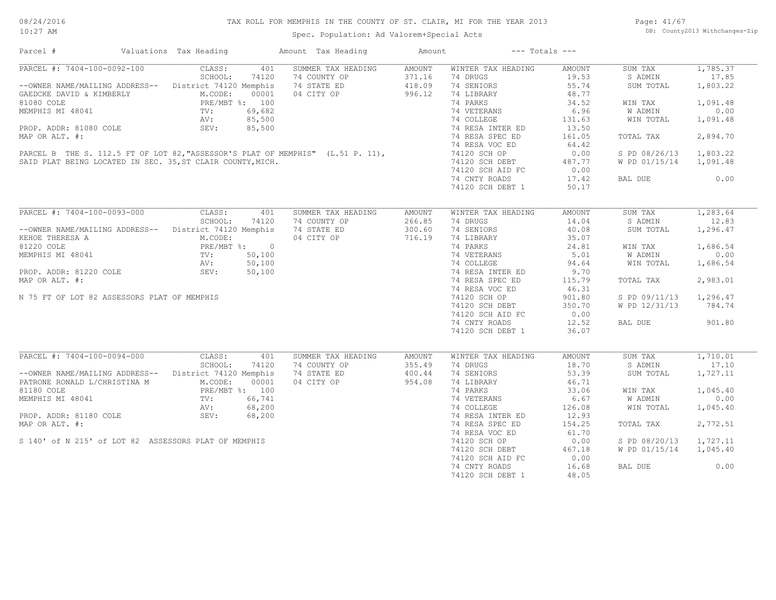08/24/2016 10:27 AM

#### TAX ROLL FOR MEMPHIS IN THE COUNTY OF ST. CLAIR, MI FOR THE YEAR 2013

Spec. Population: Ad Valorem+Special Acts

Page: 41/67 DB: County2013 Withchanges-Zip

| Parcel #                                                                                                                                                                                                       | Valuations Tax Heading |       | Amount Tax Heading                                             | Amount               | $---$ Totals $---$                                                                                                                                                           |        |                        |          |
|----------------------------------------------------------------------------------------------------------------------------------------------------------------------------------------------------------------|------------------------|-------|----------------------------------------------------------------|----------------------|------------------------------------------------------------------------------------------------------------------------------------------------------------------------------|--------|------------------------|----------|
| PARCEL #: 7404-100-0092-100 CLASS:                                                                                                                                                                             |                        | 401   | SUMMER TAX HEADING                                             | AMOUNT               | WINTER TAX HEADING                                                                                                                                                           | AMOUNT | SUM TAX                | 1,785.37 |
|                                                                                                                                                                                                                | SCHOOL:                | 74120 | 74 COUNTY OP                                                   |                      | 74 DRUGS                                                                                                                                                                     | 19.53  | S ADMIN                | 17.85    |
| --OWNER NAME/MAILING ADDRESS-- District 74120 Memphis                                                                                                                                                          |                        |       | 74 STATE ED                                                    | $371.16$<br>$418.09$ | 74 SENIORS                                                                                                                                                                   | 55.74  | SUM TOTAL              | 1,803.22 |
| GAEDCKE DAVID & KIMBERLY<br>GAEDCKE DAVID & KIMBERLY<br>MEMPHIS MI 48041<br>MEMPHIS MI 48041<br>TV: 69,682<br>AV: 85,500<br>PROP. ADDR: 81080 COLE<br>SEV: 85,500                                              |                        |       | 04 CITY OP 996.12                                              |                      | 74 LIBRARY                                                                                                                                                                   | 48.77  |                        |          |
|                                                                                                                                                                                                                |                        |       |                                                                |                      | 74 PARKS                                                                                                                                                                     | 34.52  | WIN TAX                | 1,091.48 |
|                                                                                                                                                                                                                |                        |       |                                                                |                      |                                                                                                                                                                              | 6.96   | W ADMIN                | 0.00     |
|                                                                                                                                                                                                                |                        |       |                                                                |                      | 74 VETERANS<br>74 COLLEGE                                                                                                                                                    | 131.63 | WIN TOTAL              | 1,091.48 |
|                                                                                                                                                                                                                |                        |       |                                                                |                      | 74 RESA INTER ED<br>74 RESA INTER ED                                                                                                                                         | 13.50  |                        |          |
|                                                                                                                                                                                                                |                        |       |                                                                |                      |                                                                                                                                                                              |        |                        |          |
| MAP OR ALT. #:                                                                                                                                                                                                 |                        |       |                                                                |                      |                                                                                                                                                                              | 161.05 | TOTAL TAX              | 2,894.70 |
| 74 RESA VOC ED<br>PARCEL B THE S. 112.5 FT OF LOT 82, "ASSESSOR'S PLAT OF MEMPHIS" (L.51 P. 11), 74120 SCH OP<br>SAID PLAT BEING LOCATED IN SEC. 35, ST CLAIR COUNTY, MICH. 74120 SCH DEBT<br>74120 SCH AID FC |                        |       |                                                                |                      |                                                                                                                                                                              | 64.42  |                        |          |
|                                                                                                                                                                                                                |                        |       |                                                                |                      |                                                                                                                                                                              | 0.00   | S PD 08/26/13 1,803.22 |          |
|                                                                                                                                                                                                                |                        |       |                                                                |                      | 74120 SCH DEBT 487.77<br>74120 SCH AID FC 0.00                                                                                                                               |        | W PD 01/15/14 1,091.48 |          |
|                                                                                                                                                                                                                |                        |       |                                                                |                      |                                                                                                                                                                              |        |                        |          |
|                                                                                                                                                                                                                |                        |       |                                                                |                      | 74 CNTY ROADS                                                                                                                                                                | 17.42  | <b>BAL DUE</b>         | 0.00     |
|                                                                                                                                                                                                                |                        |       |                                                                |                      | 74120 SCH DEBT 1                                                                                                                                                             | 50.17  |                        |          |
|                                                                                                                                                                                                                |                        |       |                                                                |                      |                                                                                                                                                                              |        |                        |          |
| PARCEL #: 7404-100-0093-000                                                                                                                                                                                    | CLASS: 401             |       | SUMMER TAX HEADING                                             | AMOUNT               | WINTER TAX HEADING                                                                                                                                                           | AMOUNT | SUM TAX                | 1,283.64 |
|                                                                                                                                                                                                                | SCHOOL:                | 74120 | 74 COUNTY OP                                                   | 266.85               | 74 DRUGS                                                                                                                                                                     | 14.04  | S ADMIN                | 12.83    |
| --OWNER NAME/MAILING ADDRESS-- District 74120 Memphis                                                                                                                                                          |                        |       |                                                                |                      | 74 SENIORS                                                                                                                                                                   | 40.08  | SUM TOTAL              | 1,296.47 |
|                                                                                                                                                                                                                |                        |       |                                                                |                      |                                                                                                                                                                              |        |                        |          |
| EXERICE THERESA A<br>81220 COLE<br>MEMPHIS MI 48041<br>PROP. ADDR: 81220 COLE<br>PROP. ADDR: 81220 COLE<br>PROP. ADDR: 81220 COLE<br>SEV: 50,100<br>SEV: 50,100                                                |                        |       |                                                                |                      | $\begin{tabular}{llllll} 74 & LIBRARY & & 35.07 \\ 74 & PARKS & & 24.81 \\ 74 & VETERANS & & 5.01 \\ 74 & COLLEGE & & 94.64 \\ 74 & RESA INTER ED & & 9.70 \\ \end{tabular}$ |        | WIN TAX                | 1,686.54 |
|                                                                                                                                                                                                                |                        |       |                                                                |                      |                                                                                                                                                                              |        | W ADMIN                | 0.00     |
|                                                                                                                                                                                                                |                        |       |                                                                |                      |                                                                                                                                                                              |        |                        |          |
|                                                                                                                                                                                                                |                        |       |                                                                |                      |                                                                                                                                                                              |        | WIN TOTAL              | 1,686.54 |
|                                                                                                                                                                                                                |                        |       |                                                                |                      |                                                                                                                                                                              |        |                        |          |
| MAP OR ALT. #:                                                                                                                                                                                                 |                        |       |                                                                |                      | 74 RESA SPEC ED                                                                                                                                                              | 115.79 | TOTAL TAX              | 2,983.01 |
|                                                                                                                                                                                                                |                        |       |                                                                |                      | 74 RESA VOC ED<br>74120 SCH OP                                                                                                                                               | 46.31  |                        |          |
| N 75 FT OF LOT 82 ASSESSORS PLAT OF MEMPHIS                                                                                                                                                                    |                        |       |                                                                |                      |                                                                                                                                                                              | 901.80 | S PD 09/11/13 1,296.47 |          |
|                                                                                                                                                                                                                |                        |       |                                                                |                      | 74120 SCH DEBT                                                                                                                                                               | 350.70 | W PD 12/31/13 784.74   |          |
|                                                                                                                                                                                                                |                        |       |                                                                |                      | 74120 SCH AID FC                                                                                                                                                             | 0.00   |                        |          |
|                                                                                                                                                                                                                |                        |       |                                                                |                      | 74 CNTY ROADS                                                                                                                                                                | 12.52  | BAL DUE                | 901.80   |
|                                                                                                                                                                                                                |                        |       | 74 COMMERCIES                                                  |                      | 74120 SCH DEBT 1                                                                                                                                                             | 36.07  |                        |          |
|                                                                                                                                                                                                                |                        |       |                                                                |                      |                                                                                                                                                                              |        |                        |          |
| PARCEL #: 7404-100-0094-000                                                                                                                                                                                    | CLASS:                 | 401   | SUMMER TAX HEADING                                             | AMOUNT               | WINTER TAX HEADING                                                                                                                                                           | AMOUNT | SUM TAX                | 1,710.01 |
|                                                                                                                                                                                                                | SCHOOL:                | 74120 |                                                                |                      | 74 DRUGS                                                                                                                                                                     | 18.70  | S ADMIN                | 17.10    |
| --OWNER NAME/MAILING ADDRESS-- District 74120 Memphis                                                                                                                                                          |                        |       |                                                                |                      | 74 SENIORS                                                                                                                                                                   | 53.39  | SUM TOTAL              | 1,727.11 |
| PATRONE RONALD L/CHRISTINA M<br>PATRONE RONALD L/CHRISTINA M<br>81180 COLE<br>PRE/MBT %: 100<br>MEMPHIS MI 48041<br>TV: 66,741<br>AV: 68,200<br>PROP. ADDR: 81180 COLE<br>SEV: 68,200                          |                        |       | 74 COUNTY OP 355.49<br>74 STATE ED 400.44<br>04 CITY OP 954.08 |                      | 74 LIBRARY                                                                                                                                                                   | 46.71  |                        |          |
|                                                                                                                                                                                                                |                        |       |                                                                |                      | 74 PARKS                                                                                                                                                                     | 33.06  | WIN TAX                | 1,045.40 |
|                                                                                                                                                                                                                |                        |       |                                                                |                      | 74 VETERANS<br>74 COLLEGE<br>74 RESA INTER ED                                                                                                                                | 6.67   | W ADMIN                | 0.00     |
|                                                                                                                                                                                                                |                        |       |                                                                |                      |                                                                                                                                                                              | 126.08 | WIN TOTAL              | 1,045.40 |
|                                                                                                                                                                                                                |                        |       |                                                                |                      |                                                                                                                                                                              | 12.93  |                        |          |
| MAP OR ALT. #:                                                                                                                                                                                                 |                        |       |                                                                |                      | 74 RESA SPEC ED                                                                                                                                                              | 154.25 | TOTAL TAX              | 2,772.51 |
|                                                                                                                                                                                                                |                        |       |                                                                |                      | 74 RESA VOC ED                                                                                                                                                               | 61.70  |                        |          |
| S 140' of N 215' of LOT 82 ASSESSORS PLAT OF MEMPHIS                                                                                                                                                           |                        |       |                                                                |                      | 74120 SCH OP                                                                                                                                                                 | 0.00   | S PD 08/20/13 1,727.11 |          |
|                                                                                                                                                                                                                |                        |       |                                                                |                      | 74120 SCH DEBT                                                                                                                                                               | 467.18 | W PD 01/15/14 1,045.40 |          |
|                                                                                                                                                                                                                |                        |       |                                                                |                      | 74120 SCH AID FC                                                                                                                                                             | 0.00   |                        |          |
|                                                                                                                                                                                                                |                        |       |                                                                |                      | 74 CNTY ROADS                                                                                                                                                                | 16.68  | BAL DUE                | 0.00     |
|                                                                                                                                                                                                                |                        |       |                                                                |                      |                                                                                                                                                                              |        |                        |          |
|                                                                                                                                                                                                                |                        |       |                                                                |                      | 74120 SCH DEBT 1                                                                                                                                                             | 48.05  |                        |          |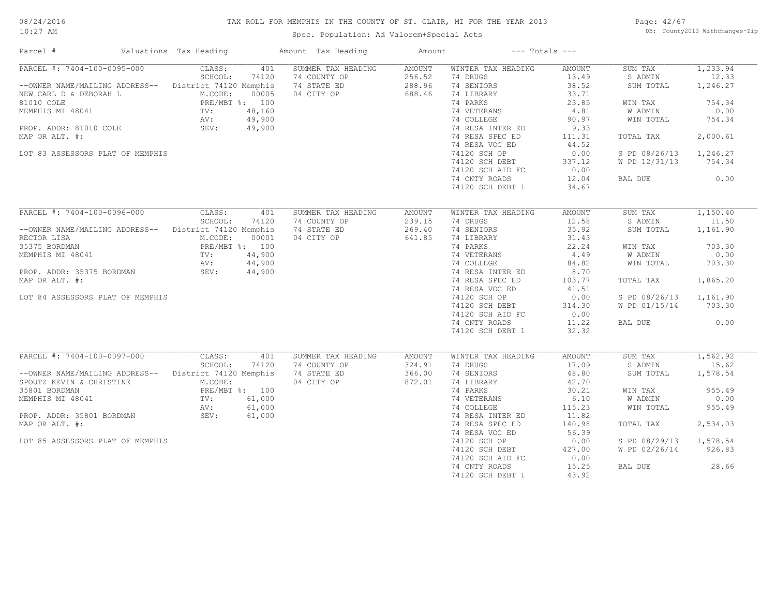#### TAX ROLL FOR MEMPHIS IN THE COUNTY OF ST. CLAIR, MI FOR THE YEAR 2013

10:27 AM

#### Spec. Population: Ad Valorem+Special Acts

Page: 42/67 DB: County2013 Withchanges-Zip

| Parcel #                                                                                                 |  | Valuations Tax Heading |        | Amount Tax Heading | Amount         |                           | $---$ Totals $---$ |                        |          |
|----------------------------------------------------------------------------------------------------------|--|------------------------|--------|--------------------|----------------|---------------------------|--------------------|------------------------|----------|
| PARCEL #: 7404-100-0095-000                                                                              |  | CLASS:                 | 401    | SUMMER TAX HEADING | AMOUNT         | WINTER TAX HEADING        | AMOUNT             | SUM TAX                | 1,233.94 |
|                                                                                                          |  | SCHOOL:                | 74120  | 74 COUNTY OP       | 256.52         | 74 DRUGS                  | 13.49              | S ADMIN                | 12.33    |
| --OWNER NAME/MAILING ADDRESS-- District 74120 Memphis                                                    |  |                        |        | 74 STATE ED        | 288.96         | 74 SENIORS                | 38.52              | SUM TOTAL              | 1,246.27 |
| NEW CARL D & DEBORAH L                                                                                   |  | M.CODE:                | 00005  | 04 CITY OP         | 688.46         | 74 LIBRARY                | 33.71              |                        |          |
|                                                                                                          |  | PRE/MBT %: 100         |        |                    |                | 74 PARKS                  | 23.85              | WIN TAX                | 754.34   |
| 81010 COLE PRE/ME<br>MEMPHIS MI 48041 TV:<br>PROP. ADDR: 81010 COLE SEV: SEV:                            |  |                        | 48,160 |                    |                | 74 VETERANS               | 4.81               | W ADMIN                | 0.00     |
|                                                                                                          |  |                        | 49,900 |                    |                | 74 COLLEGE                | 90.97              | WIN TOTAL              | 754.34   |
|                                                                                                          |  |                        | 49,900 |                    |                | 74 RESA INTER ED          | 9.33               |                        |          |
|                                                                                                          |  |                        |        |                    |                | 74 RESA SPEC ED           |                    |                        | 2,000.61 |
| MAP OR ALT. #:                                                                                           |  |                        |        |                    |                |                           | 111.31             | TOTAL TAX              |          |
|                                                                                                          |  |                        |        |                    |                | 74 RESA VOC ED            | 44.52              |                        |          |
| LOT 83 ASSESSORS PLAT OF MEMPHIS                                                                         |  |                        |        |                    |                | 74120 SCH OP              | 0.00               | S PD 08/26/13          | 1,246.27 |
|                                                                                                          |  |                        |        |                    |                | 74120 SCH DEBT            | 337.12             | W PD 12/31/13          | 754.34   |
|                                                                                                          |  |                        |        |                    |                | 74120 SCH AID FC          | 0.00               |                        |          |
|                                                                                                          |  |                        |        |                    |                | 74 CNTY ROADS             | 12.04              | BAL DUE                | 0.00     |
|                                                                                                          |  |                        |        |                    |                | 74120 SCH DEBT 1          | 34.67              |                        |          |
|                                                                                                          |  |                        |        |                    |                |                           |                    |                        |          |
| PARCEL #: 7404-100-0096-000                                                                              |  | CLASS:                 | 401    | SUMMER TAX HEADING | AMOUNT         | WINTER TAX HEADING        | AMOUNT             | SUM TAX                | 1,150.40 |
|                                                                                                          |  | SCHOOL:                | 74120  | 74 COUNTY OP       | 239.15         | 74 DRUGS                  | 12.58              | S ADMIN                | 11.50    |
| --OWNER NAME/MAILING ADDRESS-- District 74120 Memphis                                                    |  |                        |        | 74 STATE ED        | 269.40         | 74 SENIORS                | 35.92              | SUM TOTAL              | 1,161.90 |
| RECTOR LISA                                                                                              |  | M.CODE:                | 00001  | 04 CITY OP         | 641.85         | 74 LIBRARY                | 31.43              |                        |          |
| 35375 BORDMAN                                                                                            |  | PRE/MBT %: 100         |        |                    |                | 74 PARKS                  | 22.24              |                        | 703.30   |
|                                                                                                          |  |                        |        |                    |                |                           |                    | WIN TAX                |          |
| MEMPHIS MI 48041                                                                                         |  | $TV:$ AV :             | 44,900 |                    |                | 74 VETERANS<br>74 COLLEGE | 4.49               | <b>W ADMIN</b>         | 0.00     |
|                                                                                                          |  |                        | 44,900 |                    |                |                           | 84.82              | WIN TOTAL              | 703.30   |
| PROP. ADDR: 35375 BORDMAN                                                                                |  | SEV: 44,900            |        |                    |                | 74 RESA INTER ED          | 8.70               |                        |          |
| MAP OR ALT. #:                                                                                           |  |                        |        |                    |                | 74 RESA SPEC ED           | 103.77             | TOTAL TAX              | 1,865.20 |
|                                                                                                          |  |                        |        |                    |                | 74 RESA VOC ED            | 41.51              |                        |          |
| LOT 84 ASSESSORS PLAT OF MEMPHIS                                                                         |  |                        |        |                    |                | 74120 SCH OP              | 0.00               | S PD 08/26/13 1,161.90 |          |
|                                                                                                          |  |                        |        |                    |                | 74120 SCH DEBT            | 314.30             | W PD 01/15/14 703.30   |          |
|                                                                                                          |  |                        |        |                    |                | 74120 SCH AID FC          | 0.00               |                        |          |
|                                                                                                          |  |                        |        |                    |                |                           |                    |                        | 0.00     |
|                                                                                                          |  |                        |        |                    |                | 74 CNTY ROADS             | 11.22              | BAL DUE                |          |
|                                                                                                          |  |                        |        |                    |                | 74120 SCH DEBT 1          | 32.32              |                        |          |
| PARCEL #: 7404-100-0097-000                                                                              |  | CLASS:                 | 401    | SUMMER TAX HEADING | AMOUNT         | WINTER TAX HEADING        | AMOUNT             | SUM TAX                | 1,562.92 |
|                                                                                                          |  | SCHOOL:                | 74120  | 74 COUNTY OP       | 324.91         | 74 DRUGS                  | 17.09              | S ADMIN                | 15.62    |
|                                                                                                          |  |                        |        |                    |                |                           |                    |                        |          |
| --OWNER NAME/MAILING ADDRESS-- District 74120 Memphis                                                    |  |                        |        | 74 STATE ED        | 366.00         | 74 SENIORS                | 48.80              | SUM TOTAL              | 1,578.54 |
| SPOUTZ KEVIN & CHRISTINE                                                                                 |  | M.CODE:                |        | 04 CITY OP         | 872.01         | 74 LIBRARY                | 42.70              |                        |          |
| 35801 BORDMAN<br>35801 BORDMAN PRE/MBT<br>MEMPHIS MI 48041 TV:<br>PROP. ADDR: 35801 BORDMAN SEV:<br>SEV: |  | PRE/MBT %: 100         |        |                    |                | 74 PARKS                  | 30.21              | WIN TAX                | 955.49   |
|                                                                                                          |  |                        | 61,000 |                    |                | 74 VETERANS               | 6.10               | W ADMIN                | 0.00     |
|                                                                                                          |  |                        | 61,000 |                    |                | 74 COLLEGE                | 115.23             | WIN TOTAL              | 955.49   |
|                                                                                                          |  |                        | 61,000 |                    |                | 74 RESA INTER ED          | 11.82              |                        |          |
| MAP OR ALT. #:                                                                                           |  |                        |        |                    |                | 74 RESA SPEC ED           | 140.98             | TOTAL TAX              | 2,534.03 |
|                                                                                                          |  |                        |        |                    |                | 74 RESA VOC ED            | 56.39              |                        |          |
| LOT 85 ASSESSORS PLAT OF MEMPHIS                                                                         |  |                        |        |                    |                | 74120 SCH OP              | 0.00               | S PD 08/29/13          | 1,578.54 |
|                                                                                                          |  |                        |        |                    |                |                           |                    |                        |          |
|                                                                                                          |  |                        |        |                    | 74120 SCH DEBT | 427.00                    | W PD 02/26/14      | 926.83                 |          |
|                                                                                                          |  |                        |        |                    |                | 74120 SCH AID FC          | 0.00               |                        |          |
|                                                                                                          |  |                        |        |                    |                | 74 CNTY ROADS             | 15.25              | BAL DUE                | 28.66    |
|                                                                                                          |  |                        |        |                    |                | 74120 SCH DEBT 1          | 43.92              |                        |          |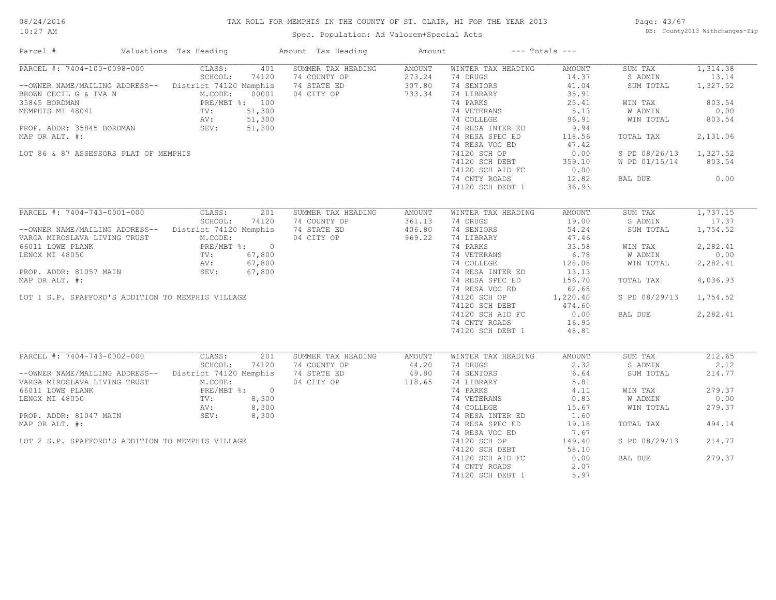#### TAX ROLL FOR MEMPHIS IN THE COUNTY OF ST. CLAIR, MI FOR THE YEAR 2013

10:27 AM

#### Spec. Population: Ad Valorem+Special Acts

Page: 43/67 DB: County2013 Withchanges-Zip

| Parcel #                                                                                                                                                                                                                                                                                                                                            | Valuations Tax Heading |              | Amount Tax Heading                                                                                                                                    | Amount                               |                                                                                                                                                                                                                                                                            | $---$ Totals $---$                                                                                                 |                                                                                                                                                   |                                                                       |
|-----------------------------------------------------------------------------------------------------------------------------------------------------------------------------------------------------------------------------------------------------------------------------------------------------------------------------------------------------|------------------------|--------------|-------------------------------------------------------------------------------------------------------------------------------------------------------|--------------------------------------|----------------------------------------------------------------------------------------------------------------------------------------------------------------------------------------------------------------------------------------------------------------------------|--------------------------------------------------------------------------------------------------------------------|---------------------------------------------------------------------------------------------------------------------------------------------------|-----------------------------------------------------------------------|
| PARCEL #: 7404-100-0098-000<br>--OWNER NAME/MAILING ADDRESS-- District 74120 Memphis<br>BROWN CECIL G & IVA N<br>MEMPHIS MI 48041<br>MEMPHIS MI 48041<br>PROP. ADDR: 35845 BORDMAN<br>PROP. ADDR: 35845 BORDMAN<br>PROP. ADDR: 35845 BORDMAN<br>PROP. ADDR: 35845 BORDMAN<br>SEV: 51,300<br>MAP OR ALT. #:<br>LOT 86 & 87 ASSESSORS PLAT OF MEMPHIS | CLASS:<br>SCHOOL:      | 401<br>74120 | SUMMER TAX HEADING<br>74 COUNTY OP<br>74 STATE ED<br>04 CITY OP<br>$\begin{bmatrix}\n0 & 0 & 0 \\ 0 & 0 & 0 \\ 0 & 0 & 0 \\ 0 & 0 & 0\n\end{bmatrix}$ | AMOUNT<br>273.24<br>307.80<br>733.34 | WINTER TAX HEADING<br>74 DRUGS<br>74 SENIORS<br>74 LIBRARY<br>74 PARKS<br>74 VETERANS<br>74 COLLEGE<br>74 COLLEGE<br>74 RESA INTER ED<br>74 RESA SPEC ED<br>74 RESA VOC ED<br>74120 SCH OP<br>74120 SCH DEBT<br>74120 SCH AID FC 0.00<br>74 CNTY ROADS<br>74120 SCH DEBT 1 | AMOUNT<br>14.37<br>41.04<br>35.91<br>25.41<br>$5.13$<br>96.91<br>9.94<br>118.56<br>47.42<br>0.00<br>12.82<br>36.93 | SUM TAX<br>S ADMIN<br>SUM TOTAL<br>WIN TAX<br>W ADMIN<br>WIN TOTAL<br>TOTAL TAX<br>S PD 08/26/13 1,327.52<br>W PD 01/15/14 803.54<br>BAL DUE 0.00 | 1,314.38<br>13.14<br>1,327.52<br>803.54<br>0.00<br>803.54<br>2,131.06 |
| PARCEL #: 7404-743-0001-000 CLASS:                                                                                                                                                                                                                                                                                                                  |                        | 201          | SUMMER TAX HEADING                                                                                                                                    | AMOUNT                               | WINTER TAX HEADING                                                                                                                                                                                                                                                         | AMOUNT                                                                                                             | SUM TAX                                                                                                                                           | 1,737.15                                                              |
|                                                                                                                                                                                                                                                                                                                                                     | SCHOOL:                | 74120        |                                                                                                                                                       |                                      | 74 DRUGS                                                                                                                                                                                                                                                                   | 19.00                                                                                                              | S ADMIN                                                                                                                                           | 17.37                                                                 |
| --OWNER NAME/MAILING ADDRESS-- District 74120 Memphis                                                                                                                                                                                                                                                                                               |                        |              | 74 COUNTY OP 361.13<br>74 STATE ED 406.80                                                                                                             |                                      | 74 SENIORS                                                                                                                                                                                                                                                                 | 54.24                                                                                                              | SUM TOTAL                                                                                                                                         | 1,754.52                                                              |
| VARGA MIROSLAVA LIVING TRUST                                                                                                                                                                                                                                                                                                                        | M.CODE:                |              | 04 CITY OP                                                                                                                                            | 969.22                               | 74 LIBRARY                                                                                                                                                                                                                                                                 | 47.46                                                                                                              |                                                                                                                                                   |                                                                       |
| 66011 LOWE PLANK<br>LENOX MI 48050<br>PROP. ADDR: 81057 MAIN<br>PROP. ADDR: 81057 MAIN SEV: 67,800                                                                                                                                                                                                                                                  |                        |              |                                                                                                                                                       |                                      | 74 LIBRARY<br>74 PARKS                                                                                                                                                                                                                                                     | 33.58                                                                                                              | WIN TAX                                                                                                                                           | 2,282.41                                                              |
|                                                                                                                                                                                                                                                                                                                                                     |                        |              |                                                                                                                                                       |                                      |                                                                                                                                                                                                                                                                            | 6.78                                                                                                               | W ADMIN                                                                                                                                           | 0.00                                                                  |
|                                                                                                                                                                                                                                                                                                                                                     |                        |              |                                                                                                                                                       |                                      |                                                                                                                                                                                                                                                                            | 128.08                                                                                                             | WIN TOTAL                                                                                                                                         | 2,282.41                                                              |
|                                                                                                                                                                                                                                                                                                                                                     |                        |              |                                                                                                                                                       |                                      | 74 VETERANS<br>74 COLLEGE<br>74 RESA INTER ED                                                                                                                                                                                                                              | 13.13                                                                                                              |                                                                                                                                                   |                                                                       |
| MAP OR ALT. #:                                                                                                                                                                                                                                                                                                                                      |                        |              |                                                                                                                                                       |                                      | 74 RESA SPEC ED                                                                                                                                                                                                                                                            | 156.70                                                                                                             | TOTAL TAX                                                                                                                                         | 4,036.93                                                              |
|                                                                                                                                                                                                                                                                                                                                                     |                        |              |                                                                                                                                                       |                                      | 74 RESA VOC ED                                                                                                                                                                                                                                                             | 62.68                                                                                                              |                                                                                                                                                   |                                                                       |
| LOT 1 S.P. SPAFFORD'S ADDITION TO MEMPHIS VILLAGE                                                                                                                                                                                                                                                                                                   |                        |              |                                                                                                                                                       |                                      |                                                                                                                                                                                                                                                                            |                                                                                                                    | S PD 08/29/13 1,754.52                                                                                                                            |                                                                       |
|                                                                                                                                                                                                                                                                                                                                                     |                        |              |                                                                                                                                                       |                                      | 74 RESA VOC ED 62.68<br>74120 SCH OP 1,220.40<br>74120 SCH DEBT 474.60                                                                                                                                                                                                     |                                                                                                                    |                                                                                                                                                   |                                                                       |
|                                                                                                                                                                                                                                                                                                                                                     |                        |              |                                                                                                                                                       |                                      |                                                                                                                                                                                                                                                                            |                                                                                                                    | BAL DUE                                                                                                                                           | 2,282.41                                                              |
|                                                                                                                                                                                                                                                                                                                                                     |                        |              |                                                                                                                                                       |                                      | 74120 SCH 2221<br>74120 SCH AID FC 0.00<br>74 CNTY ROADS 16.95                                                                                                                                                                                                             |                                                                                                                    |                                                                                                                                                   |                                                                       |
|                                                                                                                                                                                                                                                                                                                                                     |                        |              |                                                                                                                                                       |                                      | 74120 SCH DEBT 1                                                                                                                                                                                                                                                           | 48.81                                                                                                              |                                                                                                                                                   |                                                                       |
|                                                                                                                                                                                                                                                                                                                                                     |                        |              |                                                                                                                                                       |                                      |                                                                                                                                                                                                                                                                            |                                                                                                                    |                                                                                                                                                   |                                                                       |
| PARCEL #: 7404-743-0002-000                                                                                                                                                                                                                                                                                                                         | CLASS:                 | 201          | SUMMER TAX HEADING                                                                                                                                    | AMOUNT                               | WINTER TAX HEADING                                                                                                                                                                                                                                                         | AMOUNT                                                                                                             | SUM TAX                                                                                                                                           | 212.65                                                                |
| SCHOOL: 74120 74 COUNTY OP 44.20<br>--OWNER NAME/MAILING ADDRESS-- District 74120 Memphis 74 STATE ED 49.80<br>VARGA MIROSLAVA LIVING TRUST M.CODE: 04 CITY OP 118.65                                                                                                                                                                               |                        |              |                                                                                                                                                       |                                      | 74 DRUGS                                                                                                                                                                                                                                                                   | 2.32                                                                                                               | S ADMIN                                                                                                                                           | 2.12                                                                  |
|                                                                                                                                                                                                                                                                                                                                                     |                        |              |                                                                                                                                                       |                                      | 74 SENIORS                                                                                                                                                                                                                                                                 | 6.64                                                                                                               | SUM TOTAL                                                                                                                                         | 214.77                                                                |
|                                                                                                                                                                                                                                                                                                                                                     |                        |              |                                                                                                                                                       |                                      | 74 LIBRARY                                                                                                                                                                                                                                                                 | 5.81                                                                                                               |                                                                                                                                                   |                                                                       |
|                                                                                                                                                                                                                                                                                                                                                     |                        |              |                                                                                                                                                       |                                      | 74 PARKS                                                                                                                                                                                                                                                                   | 4.11                                                                                                               | WIN TAX                                                                                                                                           | 279.37                                                                |
| 66011 LOWE PLANK<br>LENOX MI 48050<br>LENOX MI 48050<br>PROP. ADDR: 81047 MAIN<br>PROP. ADDR: 81047 MAIN<br>SEV: 8,300                                                                                                                                                                                                                              |                        |              |                                                                                                                                                       |                                      |                                                                                                                                                                                                                                                                            |                                                                                                                    | W ADMIN                                                                                                                                           | 0.00                                                                  |
|                                                                                                                                                                                                                                                                                                                                                     |                        |              |                                                                                                                                                       |                                      |                                                                                                                                                                                                                                                                            |                                                                                                                    | WIN TOTAL                                                                                                                                         | 279.37                                                                |
|                                                                                                                                                                                                                                                                                                                                                     |                        |              |                                                                                                                                                       |                                      |                                                                                                                                                                                                                                                                            |                                                                                                                    |                                                                                                                                                   |                                                                       |
| MAP OR ALT. #:                                                                                                                                                                                                                                                                                                                                      |                        |              |                                                                                                                                                       |                                      | 74 RESA SPEC ED                                                                                                                                                                                                                                                            | 19.18                                                                                                              | TOTAL TAX                                                                                                                                         | 494.14                                                                |
|                                                                                                                                                                                                                                                                                                                                                     |                        |              |                                                                                                                                                       |                                      | 74 RESA VOC ED                                                                                                                                                                                                                                                             | 7.67                                                                                                               |                                                                                                                                                   |                                                                       |
| LOT 2 S.P. SPAFFORD'S ADDITION TO MEMPHIS VILLAGE                                                                                                                                                                                                                                                                                                   |                        |              |                                                                                                                                                       |                                      | 74120 SCH OP                                                                                                                                                                                                                                                               | 149.40                                                                                                             | S PD 08/29/13                                                                                                                                     | 214.77                                                                |
|                                                                                                                                                                                                                                                                                                                                                     |                        |              |                                                                                                                                                       |                                      | 74120 SCH DEBT                                                                                                                                                                                                                                                             | 58.10                                                                                                              |                                                                                                                                                   |                                                                       |
|                                                                                                                                                                                                                                                                                                                                                     |                        |              |                                                                                                                                                       |                                      | 74120 SCH AID FC                                                                                                                                                                                                                                                           | 0.00                                                                                                               | BAL DUE                                                                                                                                           | 279.37                                                                |
|                                                                                                                                                                                                                                                                                                                                                     |                        |              |                                                                                                                                                       |                                      | 74 CNTY ROADS                                                                                                                                                                                                                                                              | 2.07                                                                                                               |                                                                                                                                                   |                                                                       |
|                                                                                                                                                                                                                                                                                                                                                     |                        |              |                                                                                                                                                       |                                      | 74120 SCH DEBT 1                                                                                                                                                                                                                                                           | 5.97                                                                                                               |                                                                                                                                                   |                                                                       |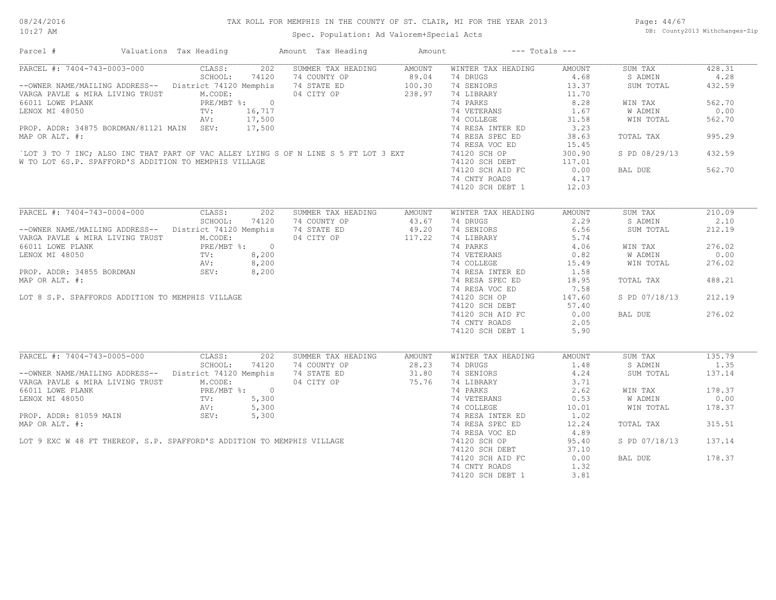| Parcel #                                                                                                                                                                                                                 | Valuations Tax Heading                                          | Amount Tax Heading                                            | Amount | $---$ Totals $---$                                                                              |                 |               |        |
|--------------------------------------------------------------------------------------------------------------------------------------------------------------------------------------------------------------------------|-----------------------------------------------------------------|---------------------------------------------------------------|--------|-------------------------------------------------------------------------------------------------|-----------------|---------------|--------|
| PARCEL #: 7404-743-0003-000 CLASS:                                                                                                                                                                                       |                                                                 | 202 SUMMER TAX HEADING                                        | AMOUNT | WINTER TAX HEADING                                                                              | AMOUNT          | SUM TAX       | 428.31 |
|                                                                                                                                                                                                                          | SCHOOL:<br>74120                                                | 74 COUNTY OP 89.04<br>74 STATE ED 100.30<br>04 CITY OP 238.97 |        | 74 DRUGS                                                                                        | 4.68            | S ADMIN       | 4.28   |
| --OWNER NAME/MAILING ADDRESS-- District 74120 Memphis                                                                                                                                                                    |                                                                 |                                                               |        | 74 SENIORS                                                                                      | 13.37           | SUM TOTAL     | 432.59 |
| VARGA PAVLE & MIRA LIVING TRUST M.CODE:<br>66011 LOWE PLANK PARE/MBT %: 0<br>LENOX MI 48050 TV: 16,717<br>AV: 17,500                                                                                                     |                                                                 |                                                               |        | 74 LIBRARY                                                                                      | 11.70           |               |        |
| 66011 LOWE PLANK<br>LENOX MI 48050 TV: 16,717<br>AV: 17,500<br>PROP. ADDR: 34875 BORDMAN/81121 MAIN SEV: 17,500<br>MAP OR ALT. #:<br>`LOT 3 TO 7 INC; ALSO INC THAT PART OF VAC ALLEY LYING S OF N LINE S 5 FT LOT 3 EXT |                                                                 |                                                               |        | 74 PARKS                                                                                        | 8.28            | WIN TAX       | 562.70 |
|                                                                                                                                                                                                                          |                                                                 |                                                               |        | 74 VETERANS 1.67<br>74 COLLEGE 31.58                                                            |                 | W ADMIN       | 0.00   |
|                                                                                                                                                                                                                          |                                                                 |                                                               |        |                                                                                                 |                 | WIN TOTAL     | 562.70 |
|                                                                                                                                                                                                                          |                                                                 |                                                               |        | 74 RESA INTER ED                                                                                | 3.23            |               |        |
|                                                                                                                                                                                                                          |                                                                 |                                                               |        | 74 RESA SPEC ED                                                                                 | 38.63           | TOTAL TAX     | 995.29 |
|                                                                                                                                                                                                                          |                                                                 |                                                               |        | 74 RESA VOC ED                                                                                  | 15.45           |               |        |
|                                                                                                                                                                                                                          |                                                                 |                                                               |        | 74120 SCH OP                                                                                    | 300.90          | S PD 08/29/13 | 432.59 |
| W TO LOT 6S.P. SPAFFORD'S ADDITION TO MEMPHIS VILLAGE                                                                                                                                                                    |                                                                 |                                                               |        | 74120 SCH DEBT                                                                                  | 117.01          |               |        |
|                                                                                                                                                                                                                          |                                                                 |                                                               |        | 74120 SCH AID FC                                                                                | 0.00            | BAL DUE       | 562.70 |
|                                                                                                                                                                                                                          |                                                                 |                                                               |        | 74 CNTY ROADS                                                                                   | 4.17            |               |        |
|                                                                                                                                                                                                                          |                                                                 |                                                               |        | 74120 SCH DEBT 1                                                                                | 12.03           |               |        |
|                                                                                                                                                                                                                          |                                                                 |                                                               |        |                                                                                                 |                 |               |        |
| PARCEL #: 7404-743-0004-000                                                                                                                                                                                              | CLASS:                                                          | 202<br>SUMMER TAX HEADING                                     | AMOUNT | WINTER TAX HEADING                                                                              | <b>AMOUNT</b>   | SUM TAX       | 210.09 |
|                                                                                                                                                                                                                          | SCHOOL:<br>74120                                                | 74 COUNTY OP                                                  | 43.67  | 74 DRUGS                                                                                        | 2.29            | S ADMIN       | 2.10   |
| -- OWNER NAME/MAILING ADDRESS-- District 74120 Memphis                                                                                                                                                                   |                                                                 | 74 STATE ED 49.20                                             |        | 74 SENIORS                                                                                      | 6.56            | SUM TOTAL     | 212.19 |
| VARGA PAVLE & MIRA LIVING TRUST                                                                                                                                                                                          | M.CODE:                                                         | 04 CITY OP                                                    | 117.22 | 74 LIBRARY                                                                                      | 5.74            |               |        |
| 66011 LOWE PLANK                                                                                                                                                                                                         | PRE/MBT %: 0<br>PRE/MBT %: 0<br>TV: 8,200<br>BORDMAN SEV: 8,200 |                                                               |        | 14 DARKS<br>14.06<br>74 VETERANS<br>24 COLLEGE<br>24 RESA INTER ED<br>24 RESA INTER ED<br>21.58 |                 | WIN TAX       | 276.02 |
| LENOX MI 48050                                                                                                                                                                                                           |                                                                 |                                                               |        |                                                                                                 |                 | W ADMIN       | 0.00   |
|                                                                                                                                                                                                                          |                                                                 |                                                               |        |                                                                                                 |                 | WIN TOTAL     | 276.02 |
| PROP. ADDR: 34855 BORDMAN                                                                                                                                                                                                |                                                                 |                                                               |        |                                                                                                 |                 |               |        |
| MAP OR ALT. #:                                                                                                                                                                                                           |                                                                 |                                                               |        | 74 RESA SPEC ED                                                                                 | 18.95           | TOTAL TAX     | 488.21 |
|                                                                                                                                                                                                                          |                                                                 |                                                               |        |                                                                                                 |                 |               |        |
|                                                                                                                                                                                                                          |                                                                 |                                                               |        | 74 RESA VOC ED                                                                                  | 7.58            |               |        |
| LOT 8 S.P. SPAFFORDS ADDITION TO MEMPHIS VILLAGE                                                                                                                                                                         |                                                                 |                                                               |        | 74120 SCH OP                                                                                    | 147.60          | S PD 07/18/13 | 212.19 |
|                                                                                                                                                                                                                          |                                                                 |                                                               |        | 74120 SCH DEBT 57.40                                                                            |                 |               |        |
|                                                                                                                                                                                                                          |                                                                 |                                                               |        | 74120 SCH AID FC                                                                                | 0.00            | BAL DUE       | 276.02 |
|                                                                                                                                                                                                                          |                                                                 |                                                               |        | 74 CNTY ROADS                                                                                   | 2.05            |               |        |
|                                                                                                                                                                                                                          |                                                                 |                                                               |        | 74120 SCH DEBT 1                                                                                | 5.90            |               |        |
|                                                                                                                                                                                                                          |                                                                 |                                                               |        |                                                                                                 |                 |               |        |
| PARCEL #: $7404-743-0005-000$ CLASS:                                                                                                                                                                                     | $\frac{1}{202}$                                                 | SUMMER TAX HEADING                                            | AMOUNT | WINTER TAX HEADING                                                                              | AMOUNT          | SUM TAX       | 135.79 |
|                                                                                                                                                                                                                          | SCHOOL:<br>74120                                                | 74 COUNTY OP<br>74 STATE ED<br>04 CITY OP                     | 28.23  | 74 DRUGS<br>1.48                                                                                |                 | S ADMIN       | 1.35   |
| --OWNER NAME/MAILING ADDRESS-- District 74120 Memphis                                                                                                                                                                    |                                                                 |                                                               | 31.80  | 74 SENIORS                                                                                      | 4.24            | SUM TOTAL     | 137.14 |
| VARGA PAVLE & MIRA LIVING TRUST M.CODE:                                                                                                                                                                                  |                                                                 |                                                               | 75.76  | 74 LIBRARY 3.71                                                                                 |                 |               |        |
|                                                                                                                                                                                                                          | PRE/MBT %: 0                                                    |                                                               |        | 74 PARKS                                                                                        | 2.62            | WIN TAX       | 178.37 |
|                                                                                                                                                                                                                          |                                                                 |                                                               |        | 74 VETERANS                                                                                     | $0.53$<br>10.01 | W ADMIN       | 0.00   |
|                                                                                                                                                                                                                          |                                                                 |                                                               |        | 74 COLLEGE                                                                                      |                 | WIN TOTAL     | 178.37 |
|                                                                                                                                                                                                                          |                                                                 |                                                               |        | 74 RESA INTER ED                                                                                | 1.02            |               |        |
| 66011 LOWE PLANK<br>LENOX MI 48050 TV: 5,300<br>PROP. ADDR: 81059 MAIN AV: 5,300<br>MAP OR ALT. #:<br>LOT 9 EXC W 48 FT THEREOF. S.P. SPAFFORD'S ADDITION TO MEMPHIS VILLAGE                                             |                                                                 |                                                               |        | 74 RESA SPEC ED                                                                                 | 12.24           | TOTAL TAX     | 315.51 |
|                                                                                                                                                                                                                          |                                                                 |                                                               |        | 74 RESA VOC ED                                                                                  | 4.89            |               |        |
|                                                                                                                                                                                                                          |                                                                 |                                                               |        | 74120 SCH OP                                                                                    | 95.40           | S PD 07/18/13 | 137.14 |
|                                                                                                                                                                                                                          |                                                                 |                                                               |        | 74120 SCH DEBT                                                                                  | 37.10           |               |        |
|                                                                                                                                                                                                                          |                                                                 |                                                               |        | 74120 SCH AID FC                                                                                | 0.00            | BAL DUE       | 178.37 |
|                                                                                                                                                                                                                          |                                                                 |                                                               |        | 74 CNTY ROADS                                                                                   | 1.32            |               |        |
|                                                                                                                                                                                                                          |                                                                 |                                                               |        | 74120 SCH DEBT 1                                                                                | 3.81            |               |        |
|                                                                                                                                                                                                                          |                                                                 |                                                               |        |                                                                                                 |                 |               |        |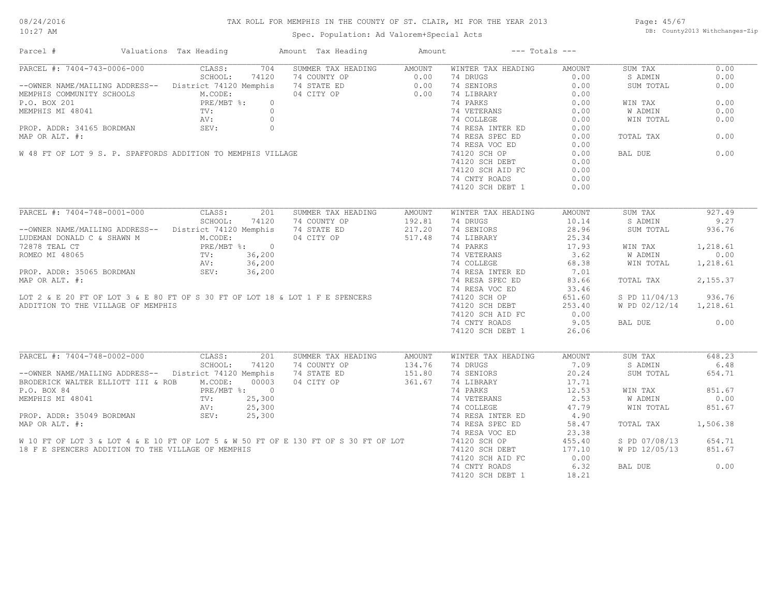#### 08/24/2016 10:27 AM

#### TAX ROLL FOR MEMPHIS IN THE COUNTY OF ST. CLAIR, MI FOR THE YEAR 2013

Spec. Population: Ad Valorem+Special Acts

Page: 45/67 DB: County2013 Withchanges-Zip

| CLASS:<br>704<br>SUMMER TAX HEADING<br>WINTER TAX HEADING<br>0.00<br>AMOUNT<br>AMOUNT<br>SUM TAX<br>SCHOOL:<br>74120<br>74 COUNTY OP<br>0.00<br>74 DRUGS<br>0.00<br>S ADMIN<br>0.00<br>--OWNER NAME/MAILING ADDRESS-- District 74120 Memphis<br>74 STATE ED<br>0.00 74 SENIORS<br>0.00<br>0.00<br>SUM TOTAL<br>04 CITY OP<br>MEMPHIS COMMUNITY SCHOOLS<br>M.CODE:<br>0.00<br>74 LIBRARY<br>0.00<br>0.00<br>PRE/MBT %:<br>TV:<br>74 PARKS<br>0.00<br>$\circ$<br>WIN TAX<br>$\circ$<br>74 VETERANS<br>0.00<br>0.00<br>W ADMIN<br>MEMPHIS MI 48041<br>PROP. ADDR: 34165 BORDMAN<br>MAP OR ALT. #:<br>W 48 FT OF LOT 9 S. P. SPAFFORDS ADDITION TO MEMPHIS VILLAGE<br>74 COLLEGE<br>0.00<br>0.00<br>WIN TOTAL<br>74 RESA INTER ED<br>0.00<br>74 RESA SPEC ED<br>0.00<br>0.00<br>TOTAL TAX<br>74 RESA VOC ED<br>0.00<br>BAL DUE<br>0.00<br>74120 SCH OP<br>0.00<br>0.00<br>74120 SCH DEBT<br>74120 SCH AID FC<br>0.00<br>74 CNTY ROADS<br>0.00<br>74120 SCH DEBT 1<br>0.00<br>PARCEL #: 7404-748-0001-000<br>$\overline{201}$<br>CLASS:<br>927.49<br>SUMMER TAX HEADING<br>AMOUNT<br>WINTER TAX HEADING<br>AMOUNT<br>SUM TAX<br>SCHOOL:<br>74 COUNTY OP<br>192.81<br>74 DRUGS<br>10.14<br>9.27<br>74120<br>S ADMIN<br>--OWNER NAME/MAILING ADDRESS-- District 74120 Memphis<br>217.20<br>74 SENIORS<br>28.96<br>936.76<br>74 STATE ED<br>SUM TOTAL<br>LUDEMAN DONALD C & SHAWN M<br>M.CODE:<br>04 CITY OP<br>517.48<br>74 LIBRARY<br>25.34<br>1,218.61<br>72878 TEAL CT<br>PRE/MBT %: 0<br>74 PARKS<br>17.93<br>WIN TAX<br>3.62<br>0.00<br>ROMEO MI 48065<br>TV:<br>36,200<br>74 VETERANS<br>74 COLLEGE<br>W ADMIN<br>36,200<br>68.38<br>1,218.61<br>AV:<br>WIN TOTAL<br>PROP. ADDR: 35065 BORDMAN<br>SEV:<br>36,200<br>74 RESA INTER ED<br>7.01<br>2,155.37<br>MAP OR ALT. #:<br>74 RESA SPEC ED<br>83.66<br>TOTAL TAX<br>74 RESA VOC ED<br>33.46<br>LOT 2 & E 20 FT OF LOT 3 & E 80 FT OF S 30 FT OF LOT 18 & LOT 1 F E SPENCERS<br>936.76<br>74120 SCH OP<br>651.60<br>S PD 11/04/13<br>ADDITION TO THE VILLAGE OF MEMPHIS<br>74120 SCH DEBT<br>253.40<br>W PD 02/12/14 1,218.61<br>74120 SCH AID FC<br>0.00<br>9.05<br>0.00<br>74 CNTY ROADS<br>BAL DUE<br>74120 SCH DEBT 1<br>26.06<br>PARCEL #: 7404-748-0002-000<br>648.23<br>CLASS:<br>201<br>SUMMER TAX HEADING<br>SUM TAX<br>AMOUNT<br>WINTER TAX HEADING<br>AMOUNT<br>SCHOOL:<br>7.09<br>6.48<br>74120<br>74 COUNTY OP<br>134.76<br>74 DRUGS<br>S ADMIN<br>--OWNER NAME/MAILING ADDRESS-- District 74120 Memphis<br>74 STATE ED<br>151.80<br>74 SENIORS<br>20.24<br>654.71<br>SUM TOTAL<br>04 CITY OP<br>361.67<br>74 LIBRARY<br>17.71<br>BRODERICK WALTER ELLIOTT III & ROB M.CODE:<br>00003<br>12.53<br>851.67<br>P.O. BOX 84<br>PRE/MBT %: 0<br>74 PARKS<br>WIN TAX<br>MEMPHIS MI 48041<br>25,300<br>74 VETERANS<br>2.53<br>0.00<br>TV:<br>W ADMIN<br>25,300<br>74 COLLEGE<br>47.79<br>WIN TOTAL<br>851.67<br>AV:<br>25,300<br>4.90<br>SEV:<br>74 RESA INTER ED<br>74 RESA SPEC ED<br>58.47<br>TOTAL TAX<br>1,506.38<br>74 RESA VOC ED<br>23.38<br>W 10 FT OF LOT 3 & LOT 4 & E 10 FT OF LOT 5 & W 50 FT OF E 130 FT OF S 30 FT OF LOT<br>74120 SCH OP<br>455.40<br>S PD 07/08/13<br>654.71<br>851.67<br>18 F E SPENCERS ADDITION TO THE VILLAGE OF MEMPHIS<br>74120 SCH DEBT<br>177.10<br>W PD 12/05/13<br>74120 SCH AID FC<br>0.00<br>6.32<br>0.00<br>74 CNTY ROADS<br>BAL DUE | Parcel #                    | Valuations Tax Heading | Amount Tax Heading | Amount | $---$ Totals $---$ |       |  |
|-------------------------------------------------------------------------------------------------------------------------------------------------------------------------------------------------------------------------------------------------------------------------------------------------------------------------------------------------------------------------------------------------------------------------------------------------------------------------------------------------------------------------------------------------------------------------------------------------------------------------------------------------------------------------------------------------------------------------------------------------------------------------------------------------------------------------------------------------------------------------------------------------------------------------------------------------------------------------------------------------------------------------------------------------------------------------------------------------------------------------------------------------------------------------------------------------------------------------------------------------------------------------------------------------------------------------------------------------------------------------------------------------------------------------------------------------------------------------------------------------------------------------------------------------------------------------------------------------------------------------------------------------------------------------------------------------------------------------------------------------------------------------------------------------------------------------------------------------------------------------------------------------------------------------------------------------------------------------------------------------------------------------------------------------------------------------------------------------------------------------------------------------------------------------------------------------------------------------------------------------------------------------------------------------------------------------------------------------------------------------------------------------------------------------------------------------------------------------------------------------------------------------------------------------------------------------------------------------------------------------------------------------------------------------------------------------------------------------------------------------------------------------------------------------------------------------------------------------------------------------------------------------------------------------------------------------------------------------------------------------------------------------------------------------------------------------------------------------------------------------------------------------------------------------------------------------------------------------------------------------------------------------------------------------------------------------------------------|-----------------------------|------------------------|--------------------|--------|--------------------|-------|--|
|                                                                                                                                                                                                                                                                                                                                                                                                                                                                                                                                                                                                                                                                                                                                                                                                                                                                                                                                                                                                                                                                                                                                                                                                                                                                                                                                                                                                                                                                                                                                                                                                                                                                                                                                                                                                                                                                                                                                                                                                                                                                                                                                                                                                                                                                                                                                                                                                                                                                                                                                                                                                                                                                                                                                                                                                                                                                                                                                                                                                                                                                                                                                                                                                                                                                                                                                           | PARCEL #: 7404-743-0006-000 |                        |                    |        |                    |       |  |
|                                                                                                                                                                                                                                                                                                                                                                                                                                                                                                                                                                                                                                                                                                                                                                                                                                                                                                                                                                                                                                                                                                                                                                                                                                                                                                                                                                                                                                                                                                                                                                                                                                                                                                                                                                                                                                                                                                                                                                                                                                                                                                                                                                                                                                                                                                                                                                                                                                                                                                                                                                                                                                                                                                                                                                                                                                                                                                                                                                                                                                                                                                                                                                                                                                                                                                                                           |                             |                        |                    |        |                    |       |  |
|                                                                                                                                                                                                                                                                                                                                                                                                                                                                                                                                                                                                                                                                                                                                                                                                                                                                                                                                                                                                                                                                                                                                                                                                                                                                                                                                                                                                                                                                                                                                                                                                                                                                                                                                                                                                                                                                                                                                                                                                                                                                                                                                                                                                                                                                                                                                                                                                                                                                                                                                                                                                                                                                                                                                                                                                                                                                                                                                                                                                                                                                                                                                                                                                                                                                                                                                           |                             |                        |                    |        |                    |       |  |
|                                                                                                                                                                                                                                                                                                                                                                                                                                                                                                                                                                                                                                                                                                                                                                                                                                                                                                                                                                                                                                                                                                                                                                                                                                                                                                                                                                                                                                                                                                                                                                                                                                                                                                                                                                                                                                                                                                                                                                                                                                                                                                                                                                                                                                                                                                                                                                                                                                                                                                                                                                                                                                                                                                                                                                                                                                                                                                                                                                                                                                                                                                                                                                                                                                                                                                                                           |                             |                        |                    |        |                    |       |  |
|                                                                                                                                                                                                                                                                                                                                                                                                                                                                                                                                                                                                                                                                                                                                                                                                                                                                                                                                                                                                                                                                                                                                                                                                                                                                                                                                                                                                                                                                                                                                                                                                                                                                                                                                                                                                                                                                                                                                                                                                                                                                                                                                                                                                                                                                                                                                                                                                                                                                                                                                                                                                                                                                                                                                                                                                                                                                                                                                                                                                                                                                                                                                                                                                                                                                                                                                           | P.O. BOX 201                |                        |                    |        |                    |       |  |
|                                                                                                                                                                                                                                                                                                                                                                                                                                                                                                                                                                                                                                                                                                                                                                                                                                                                                                                                                                                                                                                                                                                                                                                                                                                                                                                                                                                                                                                                                                                                                                                                                                                                                                                                                                                                                                                                                                                                                                                                                                                                                                                                                                                                                                                                                                                                                                                                                                                                                                                                                                                                                                                                                                                                                                                                                                                                                                                                                                                                                                                                                                                                                                                                                                                                                                                                           | MEMPHIS MI 48041            |                        |                    |        |                    |       |  |
|                                                                                                                                                                                                                                                                                                                                                                                                                                                                                                                                                                                                                                                                                                                                                                                                                                                                                                                                                                                                                                                                                                                                                                                                                                                                                                                                                                                                                                                                                                                                                                                                                                                                                                                                                                                                                                                                                                                                                                                                                                                                                                                                                                                                                                                                                                                                                                                                                                                                                                                                                                                                                                                                                                                                                                                                                                                                                                                                                                                                                                                                                                                                                                                                                                                                                                                                           |                             |                        |                    |        |                    |       |  |
|                                                                                                                                                                                                                                                                                                                                                                                                                                                                                                                                                                                                                                                                                                                                                                                                                                                                                                                                                                                                                                                                                                                                                                                                                                                                                                                                                                                                                                                                                                                                                                                                                                                                                                                                                                                                                                                                                                                                                                                                                                                                                                                                                                                                                                                                                                                                                                                                                                                                                                                                                                                                                                                                                                                                                                                                                                                                                                                                                                                                                                                                                                                                                                                                                                                                                                                                           |                             |                        |                    |        |                    |       |  |
|                                                                                                                                                                                                                                                                                                                                                                                                                                                                                                                                                                                                                                                                                                                                                                                                                                                                                                                                                                                                                                                                                                                                                                                                                                                                                                                                                                                                                                                                                                                                                                                                                                                                                                                                                                                                                                                                                                                                                                                                                                                                                                                                                                                                                                                                                                                                                                                                                                                                                                                                                                                                                                                                                                                                                                                                                                                                                                                                                                                                                                                                                                                                                                                                                                                                                                                                           |                             |                        |                    |        |                    |       |  |
|                                                                                                                                                                                                                                                                                                                                                                                                                                                                                                                                                                                                                                                                                                                                                                                                                                                                                                                                                                                                                                                                                                                                                                                                                                                                                                                                                                                                                                                                                                                                                                                                                                                                                                                                                                                                                                                                                                                                                                                                                                                                                                                                                                                                                                                                                                                                                                                                                                                                                                                                                                                                                                                                                                                                                                                                                                                                                                                                                                                                                                                                                                                                                                                                                                                                                                                                           |                             |                        |                    |        |                    |       |  |
|                                                                                                                                                                                                                                                                                                                                                                                                                                                                                                                                                                                                                                                                                                                                                                                                                                                                                                                                                                                                                                                                                                                                                                                                                                                                                                                                                                                                                                                                                                                                                                                                                                                                                                                                                                                                                                                                                                                                                                                                                                                                                                                                                                                                                                                                                                                                                                                                                                                                                                                                                                                                                                                                                                                                                                                                                                                                                                                                                                                                                                                                                                                                                                                                                                                                                                                                           |                             |                        |                    |        |                    |       |  |
|                                                                                                                                                                                                                                                                                                                                                                                                                                                                                                                                                                                                                                                                                                                                                                                                                                                                                                                                                                                                                                                                                                                                                                                                                                                                                                                                                                                                                                                                                                                                                                                                                                                                                                                                                                                                                                                                                                                                                                                                                                                                                                                                                                                                                                                                                                                                                                                                                                                                                                                                                                                                                                                                                                                                                                                                                                                                                                                                                                                                                                                                                                                                                                                                                                                                                                                                           |                             |                        |                    |        |                    |       |  |
|                                                                                                                                                                                                                                                                                                                                                                                                                                                                                                                                                                                                                                                                                                                                                                                                                                                                                                                                                                                                                                                                                                                                                                                                                                                                                                                                                                                                                                                                                                                                                                                                                                                                                                                                                                                                                                                                                                                                                                                                                                                                                                                                                                                                                                                                                                                                                                                                                                                                                                                                                                                                                                                                                                                                                                                                                                                                                                                                                                                                                                                                                                                                                                                                                                                                                                                                           |                             |                        |                    |        |                    |       |  |
|                                                                                                                                                                                                                                                                                                                                                                                                                                                                                                                                                                                                                                                                                                                                                                                                                                                                                                                                                                                                                                                                                                                                                                                                                                                                                                                                                                                                                                                                                                                                                                                                                                                                                                                                                                                                                                                                                                                                                                                                                                                                                                                                                                                                                                                                                                                                                                                                                                                                                                                                                                                                                                                                                                                                                                                                                                                                                                                                                                                                                                                                                                                                                                                                                                                                                                                                           |                             |                        |                    |        |                    |       |  |
|                                                                                                                                                                                                                                                                                                                                                                                                                                                                                                                                                                                                                                                                                                                                                                                                                                                                                                                                                                                                                                                                                                                                                                                                                                                                                                                                                                                                                                                                                                                                                                                                                                                                                                                                                                                                                                                                                                                                                                                                                                                                                                                                                                                                                                                                                                                                                                                                                                                                                                                                                                                                                                                                                                                                                                                                                                                                                                                                                                                                                                                                                                                                                                                                                                                                                                                                           |                             |                        |                    |        |                    |       |  |
|                                                                                                                                                                                                                                                                                                                                                                                                                                                                                                                                                                                                                                                                                                                                                                                                                                                                                                                                                                                                                                                                                                                                                                                                                                                                                                                                                                                                                                                                                                                                                                                                                                                                                                                                                                                                                                                                                                                                                                                                                                                                                                                                                                                                                                                                                                                                                                                                                                                                                                                                                                                                                                                                                                                                                                                                                                                                                                                                                                                                                                                                                                                                                                                                                                                                                                                                           |                             |                        |                    |        |                    |       |  |
|                                                                                                                                                                                                                                                                                                                                                                                                                                                                                                                                                                                                                                                                                                                                                                                                                                                                                                                                                                                                                                                                                                                                                                                                                                                                                                                                                                                                                                                                                                                                                                                                                                                                                                                                                                                                                                                                                                                                                                                                                                                                                                                                                                                                                                                                                                                                                                                                                                                                                                                                                                                                                                                                                                                                                                                                                                                                                                                                                                                                                                                                                                                                                                                                                                                                                                                                           |                             |                        |                    |        |                    |       |  |
|                                                                                                                                                                                                                                                                                                                                                                                                                                                                                                                                                                                                                                                                                                                                                                                                                                                                                                                                                                                                                                                                                                                                                                                                                                                                                                                                                                                                                                                                                                                                                                                                                                                                                                                                                                                                                                                                                                                                                                                                                                                                                                                                                                                                                                                                                                                                                                                                                                                                                                                                                                                                                                                                                                                                                                                                                                                                                                                                                                                                                                                                                                                                                                                                                                                                                                                                           |                             |                        |                    |        |                    |       |  |
|                                                                                                                                                                                                                                                                                                                                                                                                                                                                                                                                                                                                                                                                                                                                                                                                                                                                                                                                                                                                                                                                                                                                                                                                                                                                                                                                                                                                                                                                                                                                                                                                                                                                                                                                                                                                                                                                                                                                                                                                                                                                                                                                                                                                                                                                                                                                                                                                                                                                                                                                                                                                                                                                                                                                                                                                                                                                                                                                                                                                                                                                                                                                                                                                                                                                                                                                           |                             |                        |                    |        |                    |       |  |
|                                                                                                                                                                                                                                                                                                                                                                                                                                                                                                                                                                                                                                                                                                                                                                                                                                                                                                                                                                                                                                                                                                                                                                                                                                                                                                                                                                                                                                                                                                                                                                                                                                                                                                                                                                                                                                                                                                                                                                                                                                                                                                                                                                                                                                                                                                                                                                                                                                                                                                                                                                                                                                                                                                                                                                                                                                                                                                                                                                                                                                                                                                                                                                                                                                                                                                                                           |                             |                        |                    |        |                    |       |  |
|                                                                                                                                                                                                                                                                                                                                                                                                                                                                                                                                                                                                                                                                                                                                                                                                                                                                                                                                                                                                                                                                                                                                                                                                                                                                                                                                                                                                                                                                                                                                                                                                                                                                                                                                                                                                                                                                                                                                                                                                                                                                                                                                                                                                                                                                                                                                                                                                                                                                                                                                                                                                                                                                                                                                                                                                                                                                                                                                                                                                                                                                                                                                                                                                                                                                                                                                           |                             |                        |                    |        |                    |       |  |
|                                                                                                                                                                                                                                                                                                                                                                                                                                                                                                                                                                                                                                                                                                                                                                                                                                                                                                                                                                                                                                                                                                                                                                                                                                                                                                                                                                                                                                                                                                                                                                                                                                                                                                                                                                                                                                                                                                                                                                                                                                                                                                                                                                                                                                                                                                                                                                                                                                                                                                                                                                                                                                                                                                                                                                                                                                                                                                                                                                                                                                                                                                                                                                                                                                                                                                                                           |                             |                        |                    |        |                    |       |  |
|                                                                                                                                                                                                                                                                                                                                                                                                                                                                                                                                                                                                                                                                                                                                                                                                                                                                                                                                                                                                                                                                                                                                                                                                                                                                                                                                                                                                                                                                                                                                                                                                                                                                                                                                                                                                                                                                                                                                                                                                                                                                                                                                                                                                                                                                                                                                                                                                                                                                                                                                                                                                                                                                                                                                                                                                                                                                                                                                                                                                                                                                                                                                                                                                                                                                                                                                           |                             |                        |                    |        |                    |       |  |
|                                                                                                                                                                                                                                                                                                                                                                                                                                                                                                                                                                                                                                                                                                                                                                                                                                                                                                                                                                                                                                                                                                                                                                                                                                                                                                                                                                                                                                                                                                                                                                                                                                                                                                                                                                                                                                                                                                                                                                                                                                                                                                                                                                                                                                                                                                                                                                                                                                                                                                                                                                                                                                                                                                                                                                                                                                                                                                                                                                                                                                                                                                                                                                                                                                                                                                                                           |                             |                        |                    |        |                    |       |  |
|                                                                                                                                                                                                                                                                                                                                                                                                                                                                                                                                                                                                                                                                                                                                                                                                                                                                                                                                                                                                                                                                                                                                                                                                                                                                                                                                                                                                                                                                                                                                                                                                                                                                                                                                                                                                                                                                                                                                                                                                                                                                                                                                                                                                                                                                                                                                                                                                                                                                                                                                                                                                                                                                                                                                                                                                                                                                                                                                                                                                                                                                                                                                                                                                                                                                                                                                           |                             |                        |                    |        |                    |       |  |
|                                                                                                                                                                                                                                                                                                                                                                                                                                                                                                                                                                                                                                                                                                                                                                                                                                                                                                                                                                                                                                                                                                                                                                                                                                                                                                                                                                                                                                                                                                                                                                                                                                                                                                                                                                                                                                                                                                                                                                                                                                                                                                                                                                                                                                                                                                                                                                                                                                                                                                                                                                                                                                                                                                                                                                                                                                                                                                                                                                                                                                                                                                                                                                                                                                                                                                                                           |                             |                        |                    |        |                    |       |  |
|                                                                                                                                                                                                                                                                                                                                                                                                                                                                                                                                                                                                                                                                                                                                                                                                                                                                                                                                                                                                                                                                                                                                                                                                                                                                                                                                                                                                                                                                                                                                                                                                                                                                                                                                                                                                                                                                                                                                                                                                                                                                                                                                                                                                                                                                                                                                                                                                                                                                                                                                                                                                                                                                                                                                                                                                                                                                                                                                                                                                                                                                                                                                                                                                                                                                                                                                           |                             |                        |                    |        |                    |       |  |
|                                                                                                                                                                                                                                                                                                                                                                                                                                                                                                                                                                                                                                                                                                                                                                                                                                                                                                                                                                                                                                                                                                                                                                                                                                                                                                                                                                                                                                                                                                                                                                                                                                                                                                                                                                                                                                                                                                                                                                                                                                                                                                                                                                                                                                                                                                                                                                                                                                                                                                                                                                                                                                                                                                                                                                                                                                                                                                                                                                                                                                                                                                                                                                                                                                                                                                                                           |                             |                        |                    |        |                    |       |  |
|                                                                                                                                                                                                                                                                                                                                                                                                                                                                                                                                                                                                                                                                                                                                                                                                                                                                                                                                                                                                                                                                                                                                                                                                                                                                                                                                                                                                                                                                                                                                                                                                                                                                                                                                                                                                                                                                                                                                                                                                                                                                                                                                                                                                                                                                                                                                                                                                                                                                                                                                                                                                                                                                                                                                                                                                                                                                                                                                                                                                                                                                                                                                                                                                                                                                                                                                           |                             |                        |                    |        |                    |       |  |
|                                                                                                                                                                                                                                                                                                                                                                                                                                                                                                                                                                                                                                                                                                                                                                                                                                                                                                                                                                                                                                                                                                                                                                                                                                                                                                                                                                                                                                                                                                                                                                                                                                                                                                                                                                                                                                                                                                                                                                                                                                                                                                                                                                                                                                                                                                                                                                                                                                                                                                                                                                                                                                                                                                                                                                                                                                                                                                                                                                                                                                                                                                                                                                                                                                                                                                                                           |                             |                        |                    |        |                    |       |  |
|                                                                                                                                                                                                                                                                                                                                                                                                                                                                                                                                                                                                                                                                                                                                                                                                                                                                                                                                                                                                                                                                                                                                                                                                                                                                                                                                                                                                                                                                                                                                                                                                                                                                                                                                                                                                                                                                                                                                                                                                                                                                                                                                                                                                                                                                                                                                                                                                                                                                                                                                                                                                                                                                                                                                                                                                                                                                                                                                                                                                                                                                                                                                                                                                                                                                                                                                           |                             |                        |                    |        |                    |       |  |
|                                                                                                                                                                                                                                                                                                                                                                                                                                                                                                                                                                                                                                                                                                                                                                                                                                                                                                                                                                                                                                                                                                                                                                                                                                                                                                                                                                                                                                                                                                                                                                                                                                                                                                                                                                                                                                                                                                                                                                                                                                                                                                                                                                                                                                                                                                                                                                                                                                                                                                                                                                                                                                                                                                                                                                                                                                                                                                                                                                                                                                                                                                                                                                                                                                                                                                                                           |                             |                        |                    |        |                    |       |  |
|                                                                                                                                                                                                                                                                                                                                                                                                                                                                                                                                                                                                                                                                                                                                                                                                                                                                                                                                                                                                                                                                                                                                                                                                                                                                                                                                                                                                                                                                                                                                                                                                                                                                                                                                                                                                                                                                                                                                                                                                                                                                                                                                                                                                                                                                                                                                                                                                                                                                                                                                                                                                                                                                                                                                                                                                                                                                                                                                                                                                                                                                                                                                                                                                                                                                                                                                           |                             |                        |                    |        |                    |       |  |
|                                                                                                                                                                                                                                                                                                                                                                                                                                                                                                                                                                                                                                                                                                                                                                                                                                                                                                                                                                                                                                                                                                                                                                                                                                                                                                                                                                                                                                                                                                                                                                                                                                                                                                                                                                                                                                                                                                                                                                                                                                                                                                                                                                                                                                                                                                                                                                                                                                                                                                                                                                                                                                                                                                                                                                                                                                                                                                                                                                                                                                                                                                                                                                                                                                                                                                                                           |                             |                        |                    |        |                    |       |  |
|                                                                                                                                                                                                                                                                                                                                                                                                                                                                                                                                                                                                                                                                                                                                                                                                                                                                                                                                                                                                                                                                                                                                                                                                                                                                                                                                                                                                                                                                                                                                                                                                                                                                                                                                                                                                                                                                                                                                                                                                                                                                                                                                                                                                                                                                                                                                                                                                                                                                                                                                                                                                                                                                                                                                                                                                                                                                                                                                                                                                                                                                                                                                                                                                                                                                                                                                           |                             |                        |                    |        |                    |       |  |
|                                                                                                                                                                                                                                                                                                                                                                                                                                                                                                                                                                                                                                                                                                                                                                                                                                                                                                                                                                                                                                                                                                                                                                                                                                                                                                                                                                                                                                                                                                                                                                                                                                                                                                                                                                                                                                                                                                                                                                                                                                                                                                                                                                                                                                                                                                                                                                                                                                                                                                                                                                                                                                                                                                                                                                                                                                                                                                                                                                                                                                                                                                                                                                                                                                                                                                                                           |                             |                        |                    |        |                    |       |  |
|                                                                                                                                                                                                                                                                                                                                                                                                                                                                                                                                                                                                                                                                                                                                                                                                                                                                                                                                                                                                                                                                                                                                                                                                                                                                                                                                                                                                                                                                                                                                                                                                                                                                                                                                                                                                                                                                                                                                                                                                                                                                                                                                                                                                                                                                                                                                                                                                                                                                                                                                                                                                                                                                                                                                                                                                                                                                                                                                                                                                                                                                                                                                                                                                                                                                                                                                           |                             |                        |                    |        |                    |       |  |
|                                                                                                                                                                                                                                                                                                                                                                                                                                                                                                                                                                                                                                                                                                                                                                                                                                                                                                                                                                                                                                                                                                                                                                                                                                                                                                                                                                                                                                                                                                                                                                                                                                                                                                                                                                                                                                                                                                                                                                                                                                                                                                                                                                                                                                                                                                                                                                                                                                                                                                                                                                                                                                                                                                                                                                                                                                                                                                                                                                                                                                                                                                                                                                                                                                                                                                                                           |                             |                        |                    |        |                    |       |  |
|                                                                                                                                                                                                                                                                                                                                                                                                                                                                                                                                                                                                                                                                                                                                                                                                                                                                                                                                                                                                                                                                                                                                                                                                                                                                                                                                                                                                                                                                                                                                                                                                                                                                                                                                                                                                                                                                                                                                                                                                                                                                                                                                                                                                                                                                                                                                                                                                                                                                                                                                                                                                                                                                                                                                                                                                                                                                                                                                                                                                                                                                                                                                                                                                                                                                                                                                           |                             |                        |                    |        |                    |       |  |
|                                                                                                                                                                                                                                                                                                                                                                                                                                                                                                                                                                                                                                                                                                                                                                                                                                                                                                                                                                                                                                                                                                                                                                                                                                                                                                                                                                                                                                                                                                                                                                                                                                                                                                                                                                                                                                                                                                                                                                                                                                                                                                                                                                                                                                                                                                                                                                                                                                                                                                                                                                                                                                                                                                                                                                                                                                                                                                                                                                                                                                                                                                                                                                                                                                                                                                                                           |                             |                        |                    |        |                    |       |  |
|                                                                                                                                                                                                                                                                                                                                                                                                                                                                                                                                                                                                                                                                                                                                                                                                                                                                                                                                                                                                                                                                                                                                                                                                                                                                                                                                                                                                                                                                                                                                                                                                                                                                                                                                                                                                                                                                                                                                                                                                                                                                                                                                                                                                                                                                                                                                                                                                                                                                                                                                                                                                                                                                                                                                                                                                                                                                                                                                                                                                                                                                                                                                                                                                                                                                                                                                           | PROP. ADDR: 35049 BORDMAN   |                        |                    |        |                    |       |  |
|                                                                                                                                                                                                                                                                                                                                                                                                                                                                                                                                                                                                                                                                                                                                                                                                                                                                                                                                                                                                                                                                                                                                                                                                                                                                                                                                                                                                                                                                                                                                                                                                                                                                                                                                                                                                                                                                                                                                                                                                                                                                                                                                                                                                                                                                                                                                                                                                                                                                                                                                                                                                                                                                                                                                                                                                                                                                                                                                                                                                                                                                                                                                                                                                                                                                                                                                           | MAP OR ALT. #:              |                        |                    |        |                    |       |  |
|                                                                                                                                                                                                                                                                                                                                                                                                                                                                                                                                                                                                                                                                                                                                                                                                                                                                                                                                                                                                                                                                                                                                                                                                                                                                                                                                                                                                                                                                                                                                                                                                                                                                                                                                                                                                                                                                                                                                                                                                                                                                                                                                                                                                                                                                                                                                                                                                                                                                                                                                                                                                                                                                                                                                                                                                                                                                                                                                                                                                                                                                                                                                                                                                                                                                                                                                           |                             |                        |                    |        |                    |       |  |
|                                                                                                                                                                                                                                                                                                                                                                                                                                                                                                                                                                                                                                                                                                                                                                                                                                                                                                                                                                                                                                                                                                                                                                                                                                                                                                                                                                                                                                                                                                                                                                                                                                                                                                                                                                                                                                                                                                                                                                                                                                                                                                                                                                                                                                                                                                                                                                                                                                                                                                                                                                                                                                                                                                                                                                                                                                                                                                                                                                                                                                                                                                                                                                                                                                                                                                                                           |                             |                        |                    |        |                    |       |  |
|                                                                                                                                                                                                                                                                                                                                                                                                                                                                                                                                                                                                                                                                                                                                                                                                                                                                                                                                                                                                                                                                                                                                                                                                                                                                                                                                                                                                                                                                                                                                                                                                                                                                                                                                                                                                                                                                                                                                                                                                                                                                                                                                                                                                                                                                                                                                                                                                                                                                                                                                                                                                                                                                                                                                                                                                                                                                                                                                                                                                                                                                                                                                                                                                                                                                                                                                           |                             |                        |                    |        |                    |       |  |
|                                                                                                                                                                                                                                                                                                                                                                                                                                                                                                                                                                                                                                                                                                                                                                                                                                                                                                                                                                                                                                                                                                                                                                                                                                                                                                                                                                                                                                                                                                                                                                                                                                                                                                                                                                                                                                                                                                                                                                                                                                                                                                                                                                                                                                                                                                                                                                                                                                                                                                                                                                                                                                                                                                                                                                                                                                                                                                                                                                                                                                                                                                                                                                                                                                                                                                                                           |                             |                        |                    |        |                    |       |  |
|                                                                                                                                                                                                                                                                                                                                                                                                                                                                                                                                                                                                                                                                                                                                                                                                                                                                                                                                                                                                                                                                                                                                                                                                                                                                                                                                                                                                                                                                                                                                                                                                                                                                                                                                                                                                                                                                                                                                                                                                                                                                                                                                                                                                                                                                                                                                                                                                                                                                                                                                                                                                                                                                                                                                                                                                                                                                                                                                                                                                                                                                                                                                                                                                                                                                                                                                           |                             |                        |                    |        |                    |       |  |
|                                                                                                                                                                                                                                                                                                                                                                                                                                                                                                                                                                                                                                                                                                                                                                                                                                                                                                                                                                                                                                                                                                                                                                                                                                                                                                                                                                                                                                                                                                                                                                                                                                                                                                                                                                                                                                                                                                                                                                                                                                                                                                                                                                                                                                                                                                                                                                                                                                                                                                                                                                                                                                                                                                                                                                                                                                                                                                                                                                                                                                                                                                                                                                                                                                                                                                                                           |                             |                        |                    |        | 74120 SCH DEBT 1   | 18.21 |  |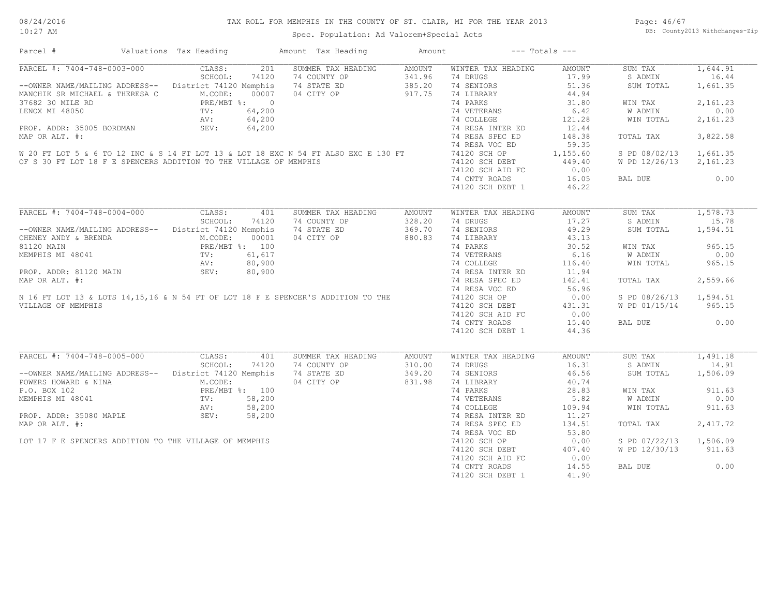| Parcel #                                                                                                                                                                                                                                                                                                                                                                                                                                      | Valuations Tax Heading |       | Amount Tax Heading                                                                                                                                                                         | Amount |                                                                                                         | $---$ Totals $---$ |                        |          |
|-----------------------------------------------------------------------------------------------------------------------------------------------------------------------------------------------------------------------------------------------------------------------------------------------------------------------------------------------------------------------------------------------------------------------------------------------|------------------------|-------|--------------------------------------------------------------------------------------------------------------------------------------------------------------------------------------------|--------|---------------------------------------------------------------------------------------------------------|--------------------|------------------------|----------|
| PARCEL #: 7404-748-0003-000 CLASS:<br>SCHOOL:                                                                                                                                                                                                                                                                                                                                                                                                 |                        | 201   | SUMMER TAX HEADING                                                                                                                                                                         | AMOUNT | WINTER TAX HEADING                                                                                      | AMOUNT             | SUM TAX                | 1,644.91 |
|                                                                                                                                                                                                                                                                                                                                                                                                                                               | SCHOOL:                | 74120 | 74 COUNTY OF 341.96<br>74 STATE ED 385.20<br>04 CITY OF 917.75                                                                                                                             |        | 74 DRUGS                                                                                                |                    | S ADMIN                | 16.44    |
| --OWNER NAME/MAILING ADDRESS-- District 74120 Memphis                                                                                                                                                                                                                                                                                                                                                                                         |                        |       |                                                                                                                                                                                            |        | 74 SENIORS                                                                                              | $17.99$<br>$51.36$ | SUM TOTAL              | 1,661.35 |
|                                                                                                                                                                                                                                                                                                                                                                                                                                               |                        |       |                                                                                                                                                                                            |        | 74 LIBRARY                                                                                              |                    |                        |          |
| MANCHIK SR MICHAEL & THERESA C<br>MANCHIK SR MICHAEL & THERESA C<br>37682 30 MILE RD<br>LENOX MI 48050 PRE/MBT %: 0<br>LENOX MI 48050 PV: 64,200<br>PROP. ADDR: 35005 BORDMAN<br>SEV: 64,200                                                                                                                                                                                                                                                  |                        |       |                                                                                                                                                                                            |        | 74 PARKS                                                                                                | $44.94$<br>31.80   | WIN TAX                | 2,161.23 |
|                                                                                                                                                                                                                                                                                                                                                                                                                                               |                        |       |                                                                                                                                                                                            |        |                                                                                                         |                    | W ADMIN                | 0.00     |
|                                                                                                                                                                                                                                                                                                                                                                                                                                               |                        |       |                                                                                                                                                                                            |        | 74 VETERANS 6.42<br>74 COLLEGE 121.28                                                                   |                    | WIN TOTAL              | 2,161.23 |
|                                                                                                                                                                                                                                                                                                                                                                                                                                               |                        |       |                                                                                                                                                                                            |        |                                                                                                         |                    |                        |          |
| MAP OR ALT. #:                                                                                                                                                                                                                                                                                                                                                                                                                                |                        |       |                                                                                                                                                                                            |        | 74 RESA INTER ED 12.44<br>74 RESA INTER ED 148.38                                                       |                    | TOTAL TAX              | 3,822.58 |
|                                                                                                                                                                                                                                                                                                                                                                                                                                               |                        |       |                                                                                                                                                                                            |        | 74 RESA VOC ED                                                                                          | 59.35              |                        |          |
| $\begin{array}{lllllllllllllllllllll} \hbox{W 20 FT LOT 5 & 6 TO 12 INC & 514 FT LOT 13 & 510 T 18 EXC N 54 FT ALSO EXC E 130 FT & 74120 SCH OP & 1,155.60 \\\hline \hline \end{array} \hbox{W 20 FT LOT 5 & 6 TO 12 INC & 514 FT LOT 13 & 51.60 EXC T 130 FT & 74120 SCH OP & 1,155.60 \\\hline \end{array}$                                                                                                                                 |                        |       |                                                                                                                                                                                            |        |                                                                                                         |                    | S PD 08/02/13 1,661.35 |          |
|                                                                                                                                                                                                                                                                                                                                                                                                                                               |                        |       |                                                                                                                                                                                            |        |                                                                                                         |                    | W PD 12/26/13 2,161.23 |          |
| OF S 30 FT LOT 18 F E SPENCERS ADDITION TO THE VILLAGE OF MEMPHIS                                                                                                                                                                                                                                                                                                                                                                             |                        |       |                                                                                                                                                                                            |        |                                                                                                         |                    |                        |          |
|                                                                                                                                                                                                                                                                                                                                                                                                                                               |                        |       |                                                                                                                                                                                            |        | 74120 SCH AID FC 0.00<br>74 CNTY ROADS 16.05                                                            |                    | BAL DUE 0.00           |          |
|                                                                                                                                                                                                                                                                                                                                                                                                                                               |                        |       |                                                                                                                                                                                            |        | 74120 SCH DEBT 1                                                                                        | 46.22              |                        |          |
|                                                                                                                                                                                                                                                                                                                                                                                                                                               |                        |       |                                                                                                                                                                                            |        |                                                                                                         |                    |                        |          |
| $\begin{tabular}{l c c c c c} \hline $\lambda$RCEL$ & $\ddagger$; 7404-748-0004-000 & \begin{tabular}{l c c c} \multicolumn{3}{c c c} \multicolumn{3}{c c} \multicolumn{3}{c} \multicolumn{3}{c} \multicolumn{3}{c} \multicolumn{3}{c} \multicolumn{3}{c} \multicolumn{3}{c} \multicolumn{3}{c} \multicolumn{3}{c} \multicolumn{3}{c} \multicolumn{3}{c} \multicolumn{3}{c} \multicolumn{3}{c} \multicolumn{3}{c} \multicolumn{3}{c} \multic$ |                        |       |                                                                                                                                                                                            |        |                                                                                                         |                    | SUM TAX                | 1,578.73 |
|                                                                                                                                                                                                                                                                                                                                                                                                                                               |                        |       |                                                                                                                                                                                            |        |                                                                                                         |                    | S ADMIN                | 15.78    |
|                                                                                                                                                                                                                                                                                                                                                                                                                                               |                        |       |                                                                                                                                                                                            |        |                                                                                                         |                    | SUM TOTAL              | 1,594.51 |
|                                                                                                                                                                                                                                                                                                                                                                                                                                               |                        |       |                                                                                                                                                                                            |        |                                                                                                         |                    |                        |          |
|                                                                                                                                                                                                                                                                                                                                                                                                                                               |                        |       |                                                                                                                                                                                            |        |                                                                                                         |                    | WIN TAX                | 965.15   |
|                                                                                                                                                                                                                                                                                                                                                                                                                                               |                        |       |                                                                                                                                                                                            |        |                                                                                                         |                    |                        | 0.00     |
|                                                                                                                                                                                                                                                                                                                                                                                                                                               |                        |       |                                                                                                                                                                                            |        |                                                                                                         |                    | W ADMIN<br>WIN TOTAL   | 965.15   |
|                                                                                                                                                                                                                                                                                                                                                                                                                                               |                        |       |                                                                                                                                                                                            |        |                                                                                                         |                    |                        |          |
|                                                                                                                                                                                                                                                                                                                                                                                                                                               |                        |       |                                                                                                                                                                                            |        |                                                                                                         |                    | TOTAL TAX              | 2,559.66 |
|                                                                                                                                                                                                                                                                                                                                                                                                                                               |                        |       |                                                                                                                                                                                            |        |                                                                                                         |                    |                        |          |
|                                                                                                                                                                                                                                                                                                                                                                                                                                               |                        |       |                                                                                                                                                                                            |        |                                                                                                         |                    | S PD 08/26/13 1,594.51 |          |
|                                                                                                                                                                                                                                                                                                                                                                                                                                               |                        |       |                                                                                                                                                                                            |        |                                                                                                         |                    | W PD 01/15/14 965.15   |          |
|                                                                                                                                                                                                                                                                                                                                                                                                                                               |                        |       |                                                                                                                                                                                            |        |                                                                                                         |                    |                        |          |
|                                                                                                                                                                                                                                                                                                                                                                                                                                               |                        |       |                                                                                                                                                                                            |        | 74120 SCH AID FC 0.00<br>74 CNTY ROADS 15.40                                                            |                    |                        | 0.00     |
|                                                                                                                                                                                                                                                                                                                                                                                                                                               |                        |       |                                                                                                                                                                                            |        |                                                                                                         |                    | BAL DUE                |          |
|                                                                                                                                                                                                                                                                                                                                                                                                                                               |                        |       |                                                                                                                                                                                            |        | 74120 SCH DEBT 1                                                                                        | 44.36              |                        |          |
| PARCEL #: 7404-748-0005-000                                                                                                                                                                                                                                                                                                                                                                                                                   | CLASS:                 | 401   | SUMMER TAX HEADING                                                                                                                                                                         | AMOUNT | WINTER TAX HEADING                                                                                      | AMOUNT             | SUM TAX 1,491.18       |          |
|                                                                                                                                                                                                                                                                                                                                                                                                                                               |                        |       |                                                                                                                                                                                            |        |                                                                                                         |                    | S ADMIN                | 14.91    |
|                                                                                                                                                                                                                                                                                                                                                                                                                                               |                        |       | --OWNER NAME/MAILING ADDRESS--<br>POWERS HOWARD & NINA<br>POWERS HOWARD & NINA<br>M.CODE: 74120 Memphis 74 STATE ED 349.20<br>M.CODE: 74120 Memphis 74 STATE ED 349.20<br>29.20<br>29.1.98 |        | 74 DRUGS<br>74 SENIORS 46.56<br>-------- 40.74<br>20 83                                                 |                    | SUM TOTAL              | 1,506.09 |
| FOWERS HOWARD & NINA<br>POWERS HOWARD & NINA<br>P.O. BOX 102<br>MEMPHIS MI 48041<br>MEMPHIS MI 48041<br>TV: 58,200<br>NV: 58,200<br>PROP. ADDR: 35080 MAPLE<br>SEV: 58,200                                                                                                                                                                                                                                                                    |                        |       |                                                                                                                                                                                            |        | 14 LIBRARY 40.74<br>14 LIBRARY 28.83<br>14 VETERANS 5.82<br>14 COLLEGE 109.94<br>14 RESA INTER ED 11.27 |                    |                        |          |
|                                                                                                                                                                                                                                                                                                                                                                                                                                               |                        |       |                                                                                                                                                                                            |        |                                                                                                         |                    | WIN TAX                | 911.63   |
|                                                                                                                                                                                                                                                                                                                                                                                                                                               |                        |       |                                                                                                                                                                                            |        |                                                                                                         |                    | W ADMIN                | 0.00     |
|                                                                                                                                                                                                                                                                                                                                                                                                                                               |                        |       |                                                                                                                                                                                            |        |                                                                                                         |                    | WIN TOTAL              | 911.63   |
|                                                                                                                                                                                                                                                                                                                                                                                                                                               |                        |       |                                                                                                                                                                                            |        |                                                                                                         |                    |                        |          |
| MAP OR ALT. #:                                                                                                                                                                                                                                                                                                                                                                                                                                |                        |       |                                                                                                                                                                                            |        |                                                                                                         |                    | TOTAL TAX              | 2,417.72 |
|                                                                                                                                                                                                                                                                                                                                                                                                                                               |                        |       |                                                                                                                                                                                            |        | 74 RESA SPEC ED 134.51<br>74 RESA VOC ED 53.80                                                          |                    |                        |          |
| LOT 17 F E SPENCERS ADDITION TO THE VILLAGE OF MEMPHIS                                                                                                                                                                                                                                                                                                                                                                                        |                        |       |                                                                                                                                                                                            |        |                                                                                                         | 0.00               | S PD 07/22/13 1,506.09 |          |
|                                                                                                                                                                                                                                                                                                                                                                                                                                               |                        |       |                                                                                                                                                                                            |        | 74120 SCH OP<br>74120 SCH OF<br>74120 SCH DEBT 407.40<br>74120 SCH AID FC 0.00                          |                    |                        |          |
|                                                                                                                                                                                                                                                                                                                                                                                                                                               |                        |       |                                                                                                                                                                                            |        |                                                                                                         |                    | W PD 12/30/13 911.63   |          |
|                                                                                                                                                                                                                                                                                                                                                                                                                                               |                        |       |                                                                                                                                                                                            |        |                                                                                                         |                    |                        |          |
|                                                                                                                                                                                                                                                                                                                                                                                                                                               |                        |       |                                                                                                                                                                                            |        | 74 CNTY ROADS 14.55                                                                                     |                    | BAL DUE                | 0.00     |
|                                                                                                                                                                                                                                                                                                                                                                                                                                               |                        |       |                                                                                                                                                                                            |        | 74120 SCH DEBT 1                                                                                        | 41.90              |                        |          |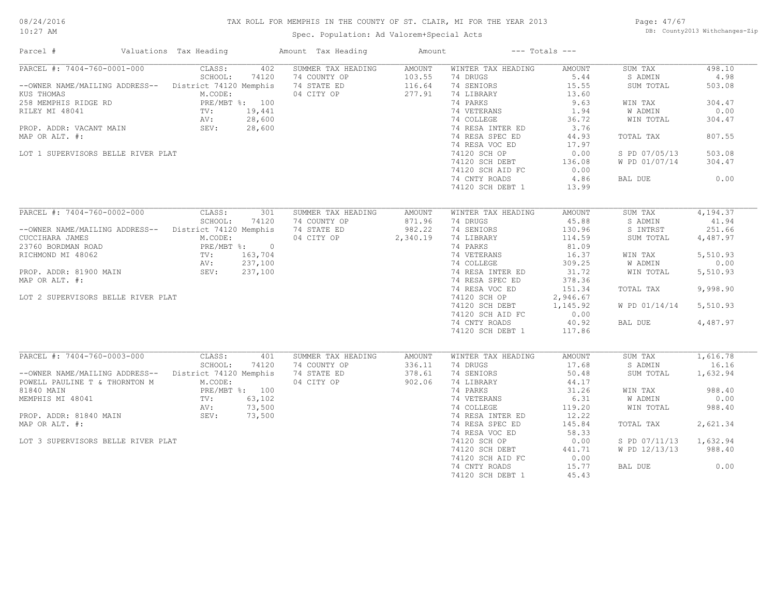#### 08/24/2016 10:27 AM

#### TAX ROLL FOR MEMPHIS IN THE COUNTY OF ST. CLAIR, MI FOR THE YEAR 2013

#### Spec. Population: Ad Valorem+Special Acts

Page: 47/67 DB: County2013 Withchanges-Zip

| Parcel #                                                                                                                                                                                                                        | Valuations Tax Heading                                                                          |                                               | Amount Tax Heading                                              | Amount                                 |                                                                                                                                                                                                                    | $---$ Totals $---$                                                                                            |                                                                                                                   |                                                                                     |
|---------------------------------------------------------------------------------------------------------------------------------------------------------------------------------------------------------------------------------|-------------------------------------------------------------------------------------------------|-----------------------------------------------|-----------------------------------------------------------------|----------------------------------------|--------------------------------------------------------------------------------------------------------------------------------------------------------------------------------------------------------------------|---------------------------------------------------------------------------------------------------------------|-------------------------------------------------------------------------------------------------------------------|-------------------------------------------------------------------------------------|
| PARCEL #: 7404-760-0001-000<br>--OWNER NAME/MAILING ADDRESS-- District 74120 Memphis<br>KUS THOMAS<br>258 MEMPHIS RIDGE RD<br>RILEY MI 48041<br>PROP. ADDR: VACANT MAIN<br>MAP OR ALT. #:<br>LOT 1 SUPERVISORS BELLE RIVER PLAT | CLASS:<br>SCHOOL:<br>M.CODE:<br>PRE/MBT %: 100<br>TV:<br>AV:<br>SEV:                            | 402<br>74120<br>19,441<br>28,600<br>28,600    | SUMMER TAX HEADING<br>74 COUNTY OP<br>74 STATE ED<br>04 CITY OP | AMOUNT<br>103.55<br>116.64<br>277.91   | WINTER TAX HEADING<br>74 DRUGS<br>74 SENIORS<br>74 LIBRARY<br>74 PARKS<br>74 VETERANS<br>74 COLLEGE<br>74 RESA INTER ED<br>74 RESA SPEC ED<br>74 RESA VOC ED<br>74120 SCH OP<br>74120 SCH DEBT<br>74120 SCH AID FC | AMOUNT<br>5.44<br>15.55<br>13.60<br>9.63<br>1.94<br>36.72<br>3.76<br>44.93<br>17.97<br>0.00<br>136.08<br>0.00 | SUM TAX<br>S ADMIN<br>SUM TOTAL<br>WIN TAX<br>W ADMIN<br>WIN TOTAL<br>TOTAL TAX<br>S PD 07/05/13<br>W PD 01/07/14 | 498.10<br>4.98<br>503.08<br>304.47<br>0.00<br>304.47<br>807.55<br>503.08<br>304.47  |
|                                                                                                                                                                                                                                 |                                                                                                 |                                               |                                                                 |                                        | 74 CNTY ROADS<br>74120 SCH DEBT 1                                                                                                                                                                                  | 4.86<br>13.99                                                                                                 | BAL DUE                                                                                                           | 0.00                                                                                |
| PARCEL #: 7404-760-0002-000<br>--OWNER NAME/MAILING ADDRESS--<br>CUCCIHARA JAMES<br>23760 BORDMAN ROAD<br>RICHMOND MI 48062<br>PROP. ADDR: 81900 MAIN<br>MAP OR ALT. #:                                                         | CLASS:<br>SCHOOL:<br>District 74120 Memphis<br>M.CODE:<br>PRE/MBT %: 0<br>$TV$ :<br>AV:<br>SEV: | 301<br>74120<br>163,704<br>237,100<br>237,100 | SUMMER TAX HEADING<br>74 COUNTY OP<br>74 STATE ED<br>04 CITY OP | AMOUNT<br>871.96<br>982.22<br>2,340.19 | WINTER TAX HEADING<br>74 DRUGS<br>74 SENIORS<br>74 LIBRARY<br>74 PARKS<br>74 VETERANS<br>74 COLLEGE<br>74 RESA INTER ED<br>74 RESA SPEC ED<br>74 RESA VOC ED                                                       | AMOUNT<br>45.88<br>130.96<br>114.59<br>81.09<br>16.37<br>309.25<br>31.72<br>378.36<br>151.34                  | SUM TAX<br>S ADMIN<br>S INTRST<br>SUM TOTAL<br>WIN TAX<br>W ADMIN<br>WIN TOTAL<br>TOTAL TAX                       | 4,194.37<br>41.94<br>251.66<br>4,487.97<br>5,510.93<br>0.00<br>5,510.93<br>9,998.90 |
| LOT 2 SUPERVISORS BELLE RIVER PLAT                                                                                                                                                                                              |                                                                                                 |                                               |                                                                 |                                        | 74120 SCH OP<br>74120 SCH DEBT<br>74120 SCH AID FC<br>74 CNTY ROADS<br>74120 SCH DEBT 1                                                                                                                            | 2,946.67<br>1,145.92<br>0.00<br>40.92<br>117.86                                                               | W PD 01/14/14<br>BAL DUE                                                                                          | 5,510.93<br>4,487.97                                                                |
| PARCEL #: 7404-760-0003-000<br>-- OWNER NAME/MAILING ADDRESS-- District 74120 Memphis<br>POWELL PAULINE T & THORNTON M                                                                                                          | CLASS:<br>SCHOOL:<br>M.CODE:                                                                    | 401<br>74120                                  | SUMMER TAX HEADING<br>74 COUNTY OP<br>74 STATE ED<br>04 CITY OP | AMOUNT<br>336.11<br>378.61<br>902.06   | WINTER TAX HEADING<br>74 DRUGS<br>74 SENIORS<br>74 LIBRARY                                                                                                                                                         | AMOUNT<br>17.68<br>50.48<br>44.17                                                                             | SUM TAX<br>S ADMIN<br>SUM TOTAL                                                                                   | 1,616.78<br>16.16<br>1,632.94                                                       |
| 81840 MAIN<br>MEMPHIS MI 48041<br>PROP. ADDR: 81840 MAIN                                                                                                                                                                        | PRE/MBT %: 100<br>TV:<br>AV:<br>SEV:                                                            | 63,102<br>73,500<br>73,500                    |                                                                 |                                        | 74 PARKS<br>74 VETERANS<br>74 COLLEGE<br>74 RESA INTER ED                                                                                                                                                          | 31.26<br>6.31<br>119.20<br>12.22                                                                              | WIN TAX<br>W ADMIN<br>WIN TOTAL                                                                                   | 988.40<br>0.00<br>988.40                                                            |
| MAP OR ALT. #:                                                                                                                                                                                                                  |                                                                                                 |                                               |                                                                 |                                        | 74 RESA SPEC ED<br>74 RESA VOC ED                                                                                                                                                                                  | 145.84<br>58.33                                                                                               | TOTAL TAX                                                                                                         | 2,621.34                                                                            |
| LOT 3 SUPERVISORS BELLE RIVER PLAT                                                                                                                                                                                              |                                                                                                 |                                               |                                                                 |                                        | 74120 SCH OP<br>74120 SCH DEBT<br>74120 SCH AID FC                                                                                                                                                                 | 0.00<br>441.71<br>0.00                                                                                        | S PD 07/11/13<br>W PD 12/13/13                                                                                    | 1,632.94<br>988.40                                                                  |
|                                                                                                                                                                                                                                 |                                                                                                 |                                               |                                                                 |                                        | 74 CNTY ROADS<br>74120 SCH DEBT 1                                                                                                                                                                                  | 15.77<br>45.43                                                                                                | BAL DUE                                                                                                           | 0.00                                                                                |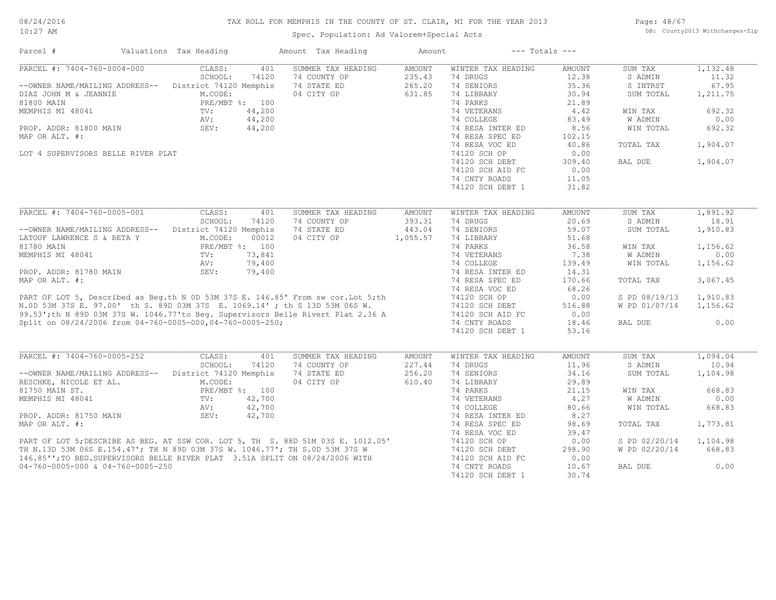### TAX ROLL FOR MEMPHIS IN THE COUNTY OF ST. CLAIR, MI FOR THE YEAR 2013

10:27 AM

### Spec. Population: Ad Valorem+Special Acts

Page: 48/67 DB: County2013 Withchanges-Zip

| PARCEL #: 7404-760-0004-000<br>CLASS:<br>SUMMER TAX HEADING<br><b>AMOUNT</b><br>WINTER TAX HEADING<br>SUM TAX<br>401<br><b>AMOUNT</b><br>SCHOOL:<br>74120<br>74 COUNTY OP<br>235.43<br>74 DRUGS<br>12.38<br>S ADMIN<br>11.32<br>74 SENIORS<br>35.36<br>67.95<br>District 74120 Memphis<br>74 STATE ED<br>265.20<br>S INTRST<br>--OWNER NAME/MAILING ADDRESS--<br>M.CODE:<br>04 CITY OP<br>631.85<br>74 LIBRARY<br>30.94<br>1,211.75<br>DIAZ JOHN M & JEANNIE<br>SUM TOTAL<br>PRE/MBT %: 100<br>74 PARKS<br>21.89<br>81800 MAIN<br>74 VETERANS<br>MEMPHIS MI 48041<br>TV:<br>4.42<br>WIN TAX<br>692.32<br>$44,200$<br>$44,200$<br>$44,200$<br>74 COLLEGE<br>83.49<br>0.00<br>W ADMIN<br>AV:<br>SEV:<br>8.56<br>692.32<br>PROP. ADDR: 81800 MAIN<br>74 RESA INTER ED<br>WIN TOTAL<br>MAP OR ALT. #:<br>74 RESA SPEC ED<br>102.15<br>74 RESA VOC ED<br>40.86<br>TOTAL TAX<br>1,904.07<br>74120 SCH OP<br>0.00<br>LOT 4 SUPERVISORS BELLE RIVER PLAT<br>1,904.07<br>74120 SCH DEBT<br>309.40<br>BAL DUE<br>0.00<br>74120 SCH AID FC<br>74 CNTY ROADS<br>11.05<br>74120 SCH DEBT 1<br>31.82<br>PARCEL #: 7404-760-0005-001<br>1,891.92<br>CLASS:<br>401<br>SUMMER TAX HEADING<br>WINTER TAX HEADING<br><b>AMOUNT</b><br>SUM TAX<br><b>AMOUNT</b><br>SCHOOL:<br>74 COUNTY OP<br>393.31<br>20.69<br>S ADMIN<br>18.91<br>74120<br>74 DRUGS<br>-- OWNER NAME/MAILING ADDRESS-- District 74120 Memphis<br>74 STATE ED<br>443.04<br>74 SENIORS<br>59.07<br>1,910.83<br>SUM TOTAL<br>04 CITY OP<br>LATOUF LAWRENCE S & RETA Y<br>M.CODE:<br>00012<br>1,055.57<br>74 LIBRARY<br>51.68<br>74 PARKS<br>81780 MAIN<br>PRE/MBT %: 100<br>36.58<br>1,156.62<br>WIN TAX<br>MEMPHIS MI 48041<br>73,841<br>74 VETERANS<br>7.38<br>W ADMIN<br>0.00<br>TV:<br>79,400<br>74 COLLEGE<br>139.49<br>1,156.62<br>AV:<br>WIN TOTAL<br>PROP. ADDR: 81780 MAIN<br>SEV:<br>79,400<br>74 RESA INTER ED<br>14.31<br>MAP OR ALT. #:<br>74 RESA SPEC ED<br>3,067.45<br>170.66<br>TOTAL TAX<br>68.26<br>74 RESA VOC ED<br>PART OF LOT 5, Described as Beg.th N 0D 53M 37S E. 146.85' From sw cor.Lot 5; th<br>N.OD 53M 37S E. 97.00' th S. 89D 03M 37S E. 1069.14' ; th S 13D 53M 06S W.<br>99.53'; th N 89D 03M 37S W. 1046.77' to Beg. Supervisors Belle Riv<br>1,910.83<br>74120 SCH OP<br>0.00<br>S PD 08/19/13<br>74120 SCH DEBT<br>516.88<br>W PD 01/07/14<br>74120 SCH AID FC<br>0.00<br>Split on 08/24/2006 from 04-760-0005-000,04-760-0005-250;<br>74 CNTY ROADS<br>18.46<br>BAL DUE<br>74120 SCH DEBT 1<br>53.16<br>PARCEL #: 7404-760-0005-252<br>CLASS:<br>1,094.04<br>401<br>SUMMER TAX HEADING<br><b>AMOUNT</b><br>WINTER TAX HEADING<br><b>AMOUNT</b><br>SUM TAX<br>11.96<br>10.94<br>SCHOOL:<br>74120<br>74 COUNTY OP<br>227.44<br>74 DRUGS<br>S ADMIN<br>District 74120 Memphis<br>74 STATE ED<br>256.20<br>74 SENIORS<br>34.16<br>SUM TOTAL<br>1,104.98<br>--OWNER NAME/MAILING ADDRESS--<br>04 CITY OP<br>610.40<br>74 LIBRARY<br>29.89<br>RESCHKE, NICOLE ET AL.<br>M.CODE:<br>PRE/MBT %: 100<br>74 PARKS<br>21.15<br>668.83<br>81750 MAIN ST.<br>WIN TAX<br>W ADMIN<br>0.00<br>MEMPHIS MI 48041<br>TV:<br>42,700<br>74 VETERANS<br>4.27<br>42,700<br>74 COLLEGE<br>80.66<br>WIN TOTAL<br>668.83<br>AV:<br>PROP. ADDR: 81750 MAIN<br>SEV:<br>42,700<br>8.27<br>74 RESA INTER ED<br>98.69<br>74 RESA SPEC ED<br>TOTAL TAX<br>74 RESA VOC ED<br>39.47<br>PART OF LOT 5; DESCRIBE AS BEG. AT SSW COR. LOT 5, TH S. 88D 51M 03S E. 1012.05'<br>TH N.13D 53M 06S E.154.47'; TH N 89D 03M 37S W. 1046.77'; TH S.0D 53M 37S W<br>146.85'';TO BEG.SUPERVISORS BELLE RIVER PLAT 3.51A SPLIT ON 08/24<br>S PD 02/20/14<br>74120 SCH OP<br>0.00<br>74120 SCH DEBT<br>298.90<br>W PD 02/20/14<br>0.00<br>74120 SCH AID FC<br>74 CNTY ROADS<br>10.67<br>BAL DUE | Parcel #       | Valuations Tax Heading | Amount Tax Heading | Amount | $---$ Totals $---$ |       |          |
|------------------------------------------------------------------------------------------------------------------------------------------------------------------------------------------------------------------------------------------------------------------------------------------------------------------------------------------------------------------------------------------------------------------------------------------------------------------------------------------------------------------------------------------------------------------------------------------------------------------------------------------------------------------------------------------------------------------------------------------------------------------------------------------------------------------------------------------------------------------------------------------------------------------------------------------------------------------------------------------------------------------------------------------------------------------------------------------------------------------------------------------------------------------------------------------------------------------------------------------------------------------------------------------------------------------------------------------------------------------------------------------------------------------------------------------------------------------------------------------------------------------------------------------------------------------------------------------------------------------------------------------------------------------------------------------------------------------------------------------------------------------------------------------------------------------------------------------------------------------------------------------------------------------------------------------------------------------------------------------------------------------------------------------------------------------------------------------------------------------------------------------------------------------------------------------------------------------------------------------------------------------------------------------------------------------------------------------------------------------------------------------------------------------------------------------------------------------------------------------------------------------------------------------------------------------------------------------------------------------------------------------------------------------------------------------------------------------------------------------------------------------------------------------------------------------------------------------------------------------------------------------------------------------------------------------------------------------------------------------------------------------------------------------------------------------------------------------------------------------------------------------------------------------------------------------------------------------------------------------------------------------------------------------------------------------------------------------------------------------------------------------------------------------------------------------------------------------------------------------------------------------------------------------------------------------------------------------------------------------------------------------------------------------------------------------------------------------------------------|----------------|------------------------|--------------------|--------|--------------------|-------|----------|
|                                                                                                                                                                                                                                                                                                                                                                                                                                                                                                                                                                                                                                                                                                                                                                                                                                                                                                                                                                                                                                                                                                                                                                                                                                                                                                                                                                                                                                                                                                                                                                                                                                                                                                                                                                                                                                                                                                                                                                                                                                                                                                                                                                                                                                                                                                                                                                                                                                                                                                                                                                                                                                                                                                                                                                                                                                                                                                                                                                                                                                                                                                                                                                                                                                                                                                                                                                                                                                                                                                                                                                                                                                                                                                                                    |                |                        |                    |        |                    |       | 1,132.48 |
|                                                                                                                                                                                                                                                                                                                                                                                                                                                                                                                                                                                                                                                                                                                                                                                                                                                                                                                                                                                                                                                                                                                                                                                                                                                                                                                                                                                                                                                                                                                                                                                                                                                                                                                                                                                                                                                                                                                                                                                                                                                                                                                                                                                                                                                                                                                                                                                                                                                                                                                                                                                                                                                                                                                                                                                                                                                                                                                                                                                                                                                                                                                                                                                                                                                                                                                                                                                                                                                                                                                                                                                                                                                                                                                                    |                |                        |                    |        |                    |       |          |
|                                                                                                                                                                                                                                                                                                                                                                                                                                                                                                                                                                                                                                                                                                                                                                                                                                                                                                                                                                                                                                                                                                                                                                                                                                                                                                                                                                                                                                                                                                                                                                                                                                                                                                                                                                                                                                                                                                                                                                                                                                                                                                                                                                                                                                                                                                                                                                                                                                                                                                                                                                                                                                                                                                                                                                                                                                                                                                                                                                                                                                                                                                                                                                                                                                                                                                                                                                                                                                                                                                                                                                                                                                                                                                                                    |                |                        |                    |        |                    |       |          |
|                                                                                                                                                                                                                                                                                                                                                                                                                                                                                                                                                                                                                                                                                                                                                                                                                                                                                                                                                                                                                                                                                                                                                                                                                                                                                                                                                                                                                                                                                                                                                                                                                                                                                                                                                                                                                                                                                                                                                                                                                                                                                                                                                                                                                                                                                                                                                                                                                                                                                                                                                                                                                                                                                                                                                                                                                                                                                                                                                                                                                                                                                                                                                                                                                                                                                                                                                                                                                                                                                                                                                                                                                                                                                                                                    |                |                        |                    |        |                    |       |          |
|                                                                                                                                                                                                                                                                                                                                                                                                                                                                                                                                                                                                                                                                                                                                                                                                                                                                                                                                                                                                                                                                                                                                                                                                                                                                                                                                                                                                                                                                                                                                                                                                                                                                                                                                                                                                                                                                                                                                                                                                                                                                                                                                                                                                                                                                                                                                                                                                                                                                                                                                                                                                                                                                                                                                                                                                                                                                                                                                                                                                                                                                                                                                                                                                                                                                                                                                                                                                                                                                                                                                                                                                                                                                                                                                    |                |                        |                    |        |                    |       |          |
|                                                                                                                                                                                                                                                                                                                                                                                                                                                                                                                                                                                                                                                                                                                                                                                                                                                                                                                                                                                                                                                                                                                                                                                                                                                                                                                                                                                                                                                                                                                                                                                                                                                                                                                                                                                                                                                                                                                                                                                                                                                                                                                                                                                                                                                                                                                                                                                                                                                                                                                                                                                                                                                                                                                                                                                                                                                                                                                                                                                                                                                                                                                                                                                                                                                                                                                                                                                                                                                                                                                                                                                                                                                                                                                                    |                |                        |                    |        |                    |       |          |
|                                                                                                                                                                                                                                                                                                                                                                                                                                                                                                                                                                                                                                                                                                                                                                                                                                                                                                                                                                                                                                                                                                                                                                                                                                                                                                                                                                                                                                                                                                                                                                                                                                                                                                                                                                                                                                                                                                                                                                                                                                                                                                                                                                                                                                                                                                                                                                                                                                                                                                                                                                                                                                                                                                                                                                                                                                                                                                                                                                                                                                                                                                                                                                                                                                                                                                                                                                                                                                                                                                                                                                                                                                                                                                                                    |                |                        |                    |        |                    |       |          |
|                                                                                                                                                                                                                                                                                                                                                                                                                                                                                                                                                                                                                                                                                                                                                                                                                                                                                                                                                                                                                                                                                                                                                                                                                                                                                                                                                                                                                                                                                                                                                                                                                                                                                                                                                                                                                                                                                                                                                                                                                                                                                                                                                                                                                                                                                                                                                                                                                                                                                                                                                                                                                                                                                                                                                                                                                                                                                                                                                                                                                                                                                                                                                                                                                                                                                                                                                                                                                                                                                                                                                                                                                                                                                                                                    |                |                        |                    |        |                    |       |          |
|                                                                                                                                                                                                                                                                                                                                                                                                                                                                                                                                                                                                                                                                                                                                                                                                                                                                                                                                                                                                                                                                                                                                                                                                                                                                                                                                                                                                                                                                                                                                                                                                                                                                                                                                                                                                                                                                                                                                                                                                                                                                                                                                                                                                                                                                                                                                                                                                                                                                                                                                                                                                                                                                                                                                                                                                                                                                                                                                                                                                                                                                                                                                                                                                                                                                                                                                                                                                                                                                                                                                                                                                                                                                                                                                    |                |                        |                    |        |                    |       |          |
|                                                                                                                                                                                                                                                                                                                                                                                                                                                                                                                                                                                                                                                                                                                                                                                                                                                                                                                                                                                                                                                                                                                                                                                                                                                                                                                                                                                                                                                                                                                                                                                                                                                                                                                                                                                                                                                                                                                                                                                                                                                                                                                                                                                                                                                                                                                                                                                                                                                                                                                                                                                                                                                                                                                                                                                                                                                                                                                                                                                                                                                                                                                                                                                                                                                                                                                                                                                                                                                                                                                                                                                                                                                                                                                                    |                |                        |                    |        |                    |       |          |
|                                                                                                                                                                                                                                                                                                                                                                                                                                                                                                                                                                                                                                                                                                                                                                                                                                                                                                                                                                                                                                                                                                                                                                                                                                                                                                                                                                                                                                                                                                                                                                                                                                                                                                                                                                                                                                                                                                                                                                                                                                                                                                                                                                                                                                                                                                                                                                                                                                                                                                                                                                                                                                                                                                                                                                                                                                                                                                                                                                                                                                                                                                                                                                                                                                                                                                                                                                                                                                                                                                                                                                                                                                                                                                                                    |                |                        |                    |        |                    |       |          |
|                                                                                                                                                                                                                                                                                                                                                                                                                                                                                                                                                                                                                                                                                                                                                                                                                                                                                                                                                                                                                                                                                                                                                                                                                                                                                                                                                                                                                                                                                                                                                                                                                                                                                                                                                                                                                                                                                                                                                                                                                                                                                                                                                                                                                                                                                                                                                                                                                                                                                                                                                                                                                                                                                                                                                                                                                                                                                                                                                                                                                                                                                                                                                                                                                                                                                                                                                                                                                                                                                                                                                                                                                                                                                                                                    |                |                        |                    |        |                    |       |          |
|                                                                                                                                                                                                                                                                                                                                                                                                                                                                                                                                                                                                                                                                                                                                                                                                                                                                                                                                                                                                                                                                                                                                                                                                                                                                                                                                                                                                                                                                                                                                                                                                                                                                                                                                                                                                                                                                                                                                                                                                                                                                                                                                                                                                                                                                                                                                                                                                                                                                                                                                                                                                                                                                                                                                                                                                                                                                                                                                                                                                                                                                                                                                                                                                                                                                                                                                                                                                                                                                                                                                                                                                                                                                                                                                    |                |                        |                    |        |                    |       |          |
|                                                                                                                                                                                                                                                                                                                                                                                                                                                                                                                                                                                                                                                                                                                                                                                                                                                                                                                                                                                                                                                                                                                                                                                                                                                                                                                                                                                                                                                                                                                                                                                                                                                                                                                                                                                                                                                                                                                                                                                                                                                                                                                                                                                                                                                                                                                                                                                                                                                                                                                                                                                                                                                                                                                                                                                                                                                                                                                                                                                                                                                                                                                                                                                                                                                                                                                                                                                                                                                                                                                                                                                                                                                                                                                                    |                |                        |                    |        |                    |       |          |
|                                                                                                                                                                                                                                                                                                                                                                                                                                                                                                                                                                                                                                                                                                                                                                                                                                                                                                                                                                                                                                                                                                                                                                                                                                                                                                                                                                                                                                                                                                                                                                                                                                                                                                                                                                                                                                                                                                                                                                                                                                                                                                                                                                                                                                                                                                                                                                                                                                                                                                                                                                                                                                                                                                                                                                                                                                                                                                                                                                                                                                                                                                                                                                                                                                                                                                                                                                                                                                                                                                                                                                                                                                                                                                                                    |                |                        |                    |        |                    |       |          |
|                                                                                                                                                                                                                                                                                                                                                                                                                                                                                                                                                                                                                                                                                                                                                                                                                                                                                                                                                                                                                                                                                                                                                                                                                                                                                                                                                                                                                                                                                                                                                                                                                                                                                                                                                                                                                                                                                                                                                                                                                                                                                                                                                                                                                                                                                                                                                                                                                                                                                                                                                                                                                                                                                                                                                                                                                                                                                                                                                                                                                                                                                                                                                                                                                                                                                                                                                                                                                                                                                                                                                                                                                                                                                                                                    |                |                        |                    |        |                    |       |          |
|                                                                                                                                                                                                                                                                                                                                                                                                                                                                                                                                                                                                                                                                                                                                                                                                                                                                                                                                                                                                                                                                                                                                                                                                                                                                                                                                                                                                                                                                                                                                                                                                                                                                                                                                                                                                                                                                                                                                                                                                                                                                                                                                                                                                                                                                                                                                                                                                                                                                                                                                                                                                                                                                                                                                                                                                                                                                                                                                                                                                                                                                                                                                                                                                                                                                                                                                                                                                                                                                                                                                                                                                                                                                                                                                    |                |                        |                    |        |                    |       |          |
|                                                                                                                                                                                                                                                                                                                                                                                                                                                                                                                                                                                                                                                                                                                                                                                                                                                                                                                                                                                                                                                                                                                                                                                                                                                                                                                                                                                                                                                                                                                                                                                                                                                                                                                                                                                                                                                                                                                                                                                                                                                                                                                                                                                                                                                                                                                                                                                                                                                                                                                                                                                                                                                                                                                                                                                                                                                                                                                                                                                                                                                                                                                                                                                                                                                                                                                                                                                                                                                                                                                                                                                                                                                                                                                                    |                |                        |                    |        |                    |       |          |
|                                                                                                                                                                                                                                                                                                                                                                                                                                                                                                                                                                                                                                                                                                                                                                                                                                                                                                                                                                                                                                                                                                                                                                                                                                                                                                                                                                                                                                                                                                                                                                                                                                                                                                                                                                                                                                                                                                                                                                                                                                                                                                                                                                                                                                                                                                                                                                                                                                                                                                                                                                                                                                                                                                                                                                                                                                                                                                                                                                                                                                                                                                                                                                                                                                                                                                                                                                                                                                                                                                                                                                                                                                                                                                                                    |                |                        |                    |        |                    |       |          |
|                                                                                                                                                                                                                                                                                                                                                                                                                                                                                                                                                                                                                                                                                                                                                                                                                                                                                                                                                                                                                                                                                                                                                                                                                                                                                                                                                                                                                                                                                                                                                                                                                                                                                                                                                                                                                                                                                                                                                                                                                                                                                                                                                                                                                                                                                                                                                                                                                                                                                                                                                                                                                                                                                                                                                                                                                                                                                                                                                                                                                                                                                                                                                                                                                                                                                                                                                                                                                                                                                                                                                                                                                                                                                                                                    |                |                        |                    |        |                    |       |          |
|                                                                                                                                                                                                                                                                                                                                                                                                                                                                                                                                                                                                                                                                                                                                                                                                                                                                                                                                                                                                                                                                                                                                                                                                                                                                                                                                                                                                                                                                                                                                                                                                                                                                                                                                                                                                                                                                                                                                                                                                                                                                                                                                                                                                                                                                                                                                                                                                                                                                                                                                                                                                                                                                                                                                                                                                                                                                                                                                                                                                                                                                                                                                                                                                                                                                                                                                                                                                                                                                                                                                                                                                                                                                                                                                    |                |                        |                    |        |                    |       |          |
|                                                                                                                                                                                                                                                                                                                                                                                                                                                                                                                                                                                                                                                                                                                                                                                                                                                                                                                                                                                                                                                                                                                                                                                                                                                                                                                                                                                                                                                                                                                                                                                                                                                                                                                                                                                                                                                                                                                                                                                                                                                                                                                                                                                                                                                                                                                                                                                                                                                                                                                                                                                                                                                                                                                                                                                                                                                                                                                                                                                                                                                                                                                                                                                                                                                                                                                                                                                                                                                                                                                                                                                                                                                                                                                                    |                |                        |                    |        |                    |       |          |
|                                                                                                                                                                                                                                                                                                                                                                                                                                                                                                                                                                                                                                                                                                                                                                                                                                                                                                                                                                                                                                                                                                                                                                                                                                                                                                                                                                                                                                                                                                                                                                                                                                                                                                                                                                                                                                                                                                                                                                                                                                                                                                                                                                                                                                                                                                                                                                                                                                                                                                                                                                                                                                                                                                                                                                                                                                                                                                                                                                                                                                                                                                                                                                                                                                                                                                                                                                                                                                                                                                                                                                                                                                                                                                                                    |                |                        |                    |        |                    |       |          |
|                                                                                                                                                                                                                                                                                                                                                                                                                                                                                                                                                                                                                                                                                                                                                                                                                                                                                                                                                                                                                                                                                                                                                                                                                                                                                                                                                                                                                                                                                                                                                                                                                                                                                                                                                                                                                                                                                                                                                                                                                                                                                                                                                                                                                                                                                                                                                                                                                                                                                                                                                                                                                                                                                                                                                                                                                                                                                                                                                                                                                                                                                                                                                                                                                                                                                                                                                                                                                                                                                                                                                                                                                                                                                                                                    |                |                        |                    |        |                    |       |          |
|                                                                                                                                                                                                                                                                                                                                                                                                                                                                                                                                                                                                                                                                                                                                                                                                                                                                                                                                                                                                                                                                                                                                                                                                                                                                                                                                                                                                                                                                                                                                                                                                                                                                                                                                                                                                                                                                                                                                                                                                                                                                                                                                                                                                                                                                                                                                                                                                                                                                                                                                                                                                                                                                                                                                                                                                                                                                                                                                                                                                                                                                                                                                                                                                                                                                                                                                                                                                                                                                                                                                                                                                                                                                                                                                    |                |                        |                    |        |                    |       |          |
|                                                                                                                                                                                                                                                                                                                                                                                                                                                                                                                                                                                                                                                                                                                                                                                                                                                                                                                                                                                                                                                                                                                                                                                                                                                                                                                                                                                                                                                                                                                                                                                                                                                                                                                                                                                                                                                                                                                                                                                                                                                                                                                                                                                                                                                                                                                                                                                                                                                                                                                                                                                                                                                                                                                                                                                                                                                                                                                                                                                                                                                                                                                                                                                                                                                                                                                                                                                                                                                                                                                                                                                                                                                                                                                                    |                |                        |                    |        |                    |       |          |
|                                                                                                                                                                                                                                                                                                                                                                                                                                                                                                                                                                                                                                                                                                                                                                                                                                                                                                                                                                                                                                                                                                                                                                                                                                                                                                                                                                                                                                                                                                                                                                                                                                                                                                                                                                                                                                                                                                                                                                                                                                                                                                                                                                                                                                                                                                                                                                                                                                                                                                                                                                                                                                                                                                                                                                                                                                                                                                                                                                                                                                                                                                                                                                                                                                                                                                                                                                                                                                                                                                                                                                                                                                                                                                                                    |                |                        |                    |        |                    |       |          |
|                                                                                                                                                                                                                                                                                                                                                                                                                                                                                                                                                                                                                                                                                                                                                                                                                                                                                                                                                                                                                                                                                                                                                                                                                                                                                                                                                                                                                                                                                                                                                                                                                                                                                                                                                                                                                                                                                                                                                                                                                                                                                                                                                                                                                                                                                                                                                                                                                                                                                                                                                                                                                                                                                                                                                                                                                                                                                                                                                                                                                                                                                                                                                                                                                                                                                                                                                                                                                                                                                                                                                                                                                                                                                                                                    |                |                        |                    |        |                    |       | 1,156.62 |
|                                                                                                                                                                                                                                                                                                                                                                                                                                                                                                                                                                                                                                                                                                                                                                                                                                                                                                                                                                                                                                                                                                                                                                                                                                                                                                                                                                                                                                                                                                                                                                                                                                                                                                                                                                                                                                                                                                                                                                                                                                                                                                                                                                                                                                                                                                                                                                                                                                                                                                                                                                                                                                                                                                                                                                                                                                                                                                                                                                                                                                                                                                                                                                                                                                                                                                                                                                                                                                                                                                                                                                                                                                                                                                                                    |                |                        |                    |        |                    |       |          |
|                                                                                                                                                                                                                                                                                                                                                                                                                                                                                                                                                                                                                                                                                                                                                                                                                                                                                                                                                                                                                                                                                                                                                                                                                                                                                                                                                                                                                                                                                                                                                                                                                                                                                                                                                                                                                                                                                                                                                                                                                                                                                                                                                                                                                                                                                                                                                                                                                                                                                                                                                                                                                                                                                                                                                                                                                                                                                                                                                                                                                                                                                                                                                                                                                                                                                                                                                                                                                                                                                                                                                                                                                                                                                                                                    |                |                        |                    |        |                    |       | 0.00     |
|                                                                                                                                                                                                                                                                                                                                                                                                                                                                                                                                                                                                                                                                                                                                                                                                                                                                                                                                                                                                                                                                                                                                                                                                                                                                                                                                                                                                                                                                                                                                                                                                                                                                                                                                                                                                                                                                                                                                                                                                                                                                                                                                                                                                                                                                                                                                                                                                                                                                                                                                                                                                                                                                                                                                                                                                                                                                                                                                                                                                                                                                                                                                                                                                                                                                                                                                                                                                                                                                                                                                                                                                                                                                                                                                    |                |                        |                    |        |                    |       |          |
|                                                                                                                                                                                                                                                                                                                                                                                                                                                                                                                                                                                                                                                                                                                                                                                                                                                                                                                                                                                                                                                                                                                                                                                                                                                                                                                                                                                                                                                                                                                                                                                                                                                                                                                                                                                                                                                                                                                                                                                                                                                                                                                                                                                                                                                                                                                                                                                                                                                                                                                                                                                                                                                                                                                                                                                                                                                                                                                                                                                                                                                                                                                                                                                                                                                                                                                                                                                                                                                                                                                                                                                                                                                                                                                                    |                |                        |                    |        |                    |       |          |
|                                                                                                                                                                                                                                                                                                                                                                                                                                                                                                                                                                                                                                                                                                                                                                                                                                                                                                                                                                                                                                                                                                                                                                                                                                                                                                                                                                                                                                                                                                                                                                                                                                                                                                                                                                                                                                                                                                                                                                                                                                                                                                                                                                                                                                                                                                                                                                                                                                                                                                                                                                                                                                                                                                                                                                                                                                                                                                                                                                                                                                                                                                                                                                                                                                                                                                                                                                                                                                                                                                                                                                                                                                                                                                                                    |                |                        |                    |        |                    |       |          |
|                                                                                                                                                                                                                                                                                                                                                                                                                                                                                                                                                                                                                                                                                                                                                                                                                                                                                                                                                                                                                                                                                                                                                                                                                                                                                                                                                                                                                                                                                                                                                                                                                                                                                                                                                                                                                                                                                                                                                                                                                                                                                                                                                                                                                                                                                                                                                                                                                                                                                                                                                                                                                                                                                                                                                                                                                                                                                                                                                                                                                                                                                                                                                                                                                                                                                                                                                                                                                                                                                                                                                                                                                                                                                                                                    |                |                        |                    |        |                    |       |          |
|                                                                                                                                                                                                                                                                                                                                                                                                                                                                                                                                                                                                                                                                                                                                                                                                                                                                                                                                                                                                                                                                                                                                                                                                                                                                                                                                                                                                                                                                                                                                                                                                                                                                                                                                                                                                                                                                                                                                                                                                                                                                                                                                                                                                                                                                                                                                                                                                                                                                                                                                                                                                                                                                                                                                                                                                                                                                                                                                                                                                                                                                                                                                                                                                                                                                                                                                                                                                                                                                                                                                                                                                                                                                                                                                    |                |                        |                    |        |                    |       |          |
|                                                                                                                                                                                                                                                                                                                                                                                                                                                                                                                                                                                                                                                                                                                                                                                                                                                                                                                                                                                                                                                                                                                                                                                                                                                                                                                                                                                                                                                                                                                                                                                                                                                                                                                                                                                                                                                                                                                                                                                                                                                                                                                                                                                                                                                                                                                                                                                                                                                                                                                                                                                                                                                                                                                                                                                                                                                                                                                                                                                                                                                                                                                                                                                                                                                                                                                                                                                                                                                                                                                                                                                                                                                                                                                                    |                |                        |                    |        |                    |       |          |
|                                                                                                                                                                                                                                                                                                                                                                                                                                                                                                                                                                                                                                                                                                                                                                                                                                                                                                                                                                                                                                                                                                                                                                                                                                                                                                                                                                                                                                                                                                                                                                                                                                                                                                                                                                                                                                                                                                                                                                                                                                                                                                                                                                                                                                                                                                                                                                                                                                                                                                                                                                                                                                                                                                                                                                                                                                                                                                                                                                                                                                                                                                                                                                                                                                                                                                                                                                                                                                                                                                                                                                                                                                                                                                                                    |                |                        |                    |        |                    |       |          |
|                                                                                                                                                                                                                                                                                                                                                                                                                                                                                                                                                                                                                                                                                                                                                                                                                                                                                                                                                                                                                                                                                                                                                                                                                                                                                                                                                                                                                                                                                                                                                                                                                                                                                                                                                                                                                                                                                                                                                                                                                                                                                                                                                                                                                                                                                                                                                                                                                                                                                                                                                                                                                                                                                                                                                                                                                                                                                                                                                                                                                                                                                                                                                                                                                                                                                                                                                                                                                                                                                                                                                                                                                                                                                                                                    |                |                        |                    |        |                    |       |          |
|                                                                                                                                                                                                                                                                                                                                                                                                                                                                                                                                                                                                                                                                                                                                                                                                                                                                                                                                                                                                                                                                                                                                                                                                                                                                                                                                                                                                                                                                                                                                                                                                                                                                                                                                                                                                                                                                                                                                                                                                                                                                                                                                                                                                                                                                                                                                                                                                                                                                                                                                                                                                                                                                                                                                                                                                                                                                                                                                                                                                                                                                                                                                                                                                                                                                                                                                                                                                                                                                                                                                                                                                                                                                                                                                    |                |                        |                    |        |                    |       |          |
|                                                                                                                                                                                                                                                                                                                                                                                                                                                                                                                                                                                                                                                                                                                                                                                                                                                                                                                                                                                                                                                                                                                                                                                                                                                                                                                                                                                                                                                                                                                                                                                                                                                                                                                                                                                                                                                                                                                                                                                                                                                                                                                                                                                                                                                                                                                                                                                                                                                                                                                                                                                                                                                                                                                                                                                                                                                                                                                                                                                                                                                                                                                                                                                                                                                                                                                                                                                                                                                                                                                                                                                                                                                                                                                                    |                |                        |                    |        |                    |       |          |
|                                                                                                                                                                                                                                                                                                                                                                                                                                                                                                                                                                                                                                                                                                                                                                                                                                                                                                                                                                                                                                                                                                                                                                                                                                                                                                                                                                                                                                                                                                                                                                                                                                                                                                                                                                                                                                                                                                                                                                                                                                                                                                                                                                                                                                                                                                                                                                                                                                                                                                                                                                                                                                                                                                                                                                                                                                                                                                                                                                                                                                                                                                                                                                                                                                                                                                                                                                                                                                                                                                                                                                                                                                                                                                                                    | MAP OR ALT. #: |                        |                    |        |                    |       | 1,773.81 |
|                                                                                                                                                                                                                                                                                                                                                                                                                                                                                                                                                                                                                                                                                                                                                                                                                                                                                                                                                                                                                                                                                                                                                                                                                                                                                                                                                                                                                                                                                                                                                                                                                                                                                                                                                                                                                                                                                                                                                                                                                                                                                                                                                                                                                                                                                                                                                                                                                                                                                                                                                                                                                                                                                                                                                                                                                                                                                                                                                                                                                                                                                                                                                                                                                                                                                                                                                                                                                                                                                                                                                                                                                                                                                                                                    |                |                        |                    |        |                    |       |          |
|                                                                                                                                                                                                                                                                                                                                                                                                                                                                                                                                                                                                                                                                                                                                                                                                                                                                                                                                                                                                                                                                                                                                                                                                                                                                                                                                                                                                                                                                                                                                                                                                                                                                                                                                                                                                                                                                                                                                                                                                                                                                                                                                                                                                                                                                                                                                                                                                                                                                                                                                                                                                                                                                                                                                                                                                                                                                                                                                                                                                                                                                                                                                                                                                                                                                                                                                                                                                                                                                                                                                                                                                                                                                                                                                    |                |                        |                    |        |                    |       | 1,104.98 |
|                                                                                                                                                                                                                                                                                                                                                                                                                                                                                                                                                                                                                                                                                                                                                                                                                                                                                                                                                                                                                                                                                                                                                                                                                                                                                                                                                                                                                                                                                                                                                                                                                                                                                                                                                                                                                                                                                                                                                                                                                                                                                                                                                                                                                                                                                                                                                                                                                                                                                                                                                                                                                                                                                                                                                                                                                                                                                                                                                                                                                                                                                                                                                                                                                                                                                                                                                                                                                                                                                                                                                                                                                                                                                                                                    |                |                        |                    |        |                    |       | 668.83   |
|                                                                                                                                                                                                                                                                                                                                                                                                                                                                                                                                                                                                                                                                                                                                                                                                                                                                                                                                                                                                                                                                                                                                                                                                                                                                                                                                                                                                                                                                                                                                                                                                                                                                                                                                                                                                                                                                                                                                                                                                                                                                                                                                                                                                                                                                                                                                                                                                                                                                                                                                                                                                                                                                                                                                                                                                                                                                                                                                                                                                                                                                                                                                                                                                                                                                                                                                                                                                                                                                                                                                                                                                                                                                                                                                    |                |                        |                    |        |                    |       |          |
|                                                                                                                                                                                                                                                                                                                                                                                                                                                                                                                                                                                                                                                                                                                                                                                                                                                                                                                                                                                                                                                                                                                                                                                                                                                                                                                                                                                                                                                                                                                                                                                                                                                                                                                                                                                                                                                                                                                                                                                                                                                                                                                                                                                                                                                                                                                                                                                                                                                                                                                                                                                                                                                                                                                                                                                                                                                                                                                                                                                                                                                                                                                                                                                                                                                                                                                                                                                                                                                                                                                                                                                                                                                                                                                                    |                |                        |                    |        |                    |       | 0.00     |
|                                                                                                                                                                                                                                                                                                                                                                                                                                                                                                                                                                                                                                                                                                                                                                                                                                                                                                                                                                                                                                                                                                                                                                                                                                                                                                                                                                                                                                                                                                                                                                                                                                                                                                                                                                                                                                                                                                                                                                                                                                                                                                                                                                                                                                                                                                                                                                                                                                                                                                                                                                                                                                                                                                                                                                                                                                                                                                                                                                                                                                                                                                                                                                                                                                                                                                                                                                                                                                                                                                                                                                                                                                                                                                                                    |                |                        |                    |        | 74120 SCH DEBT 1   | 30.74 |          |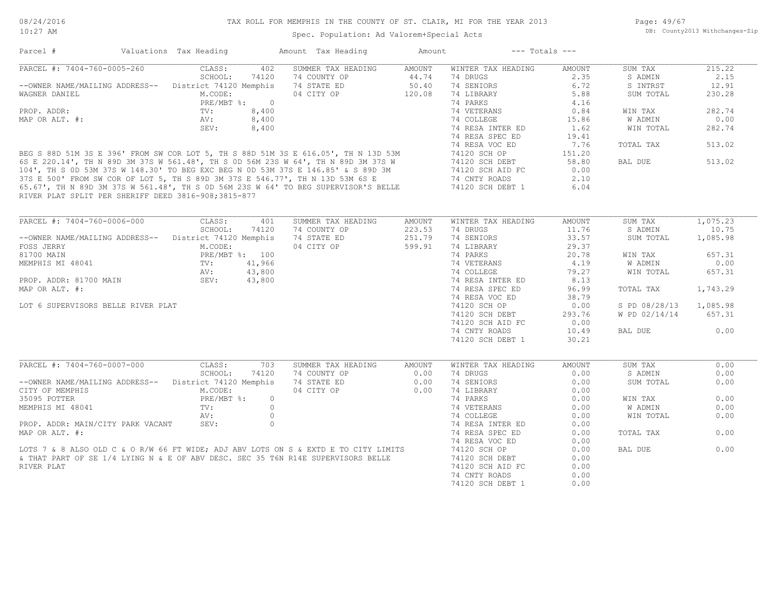Page: 49/67 DB: County2013 Withchanges-Zip

| Parcel #                                              | Valuations Tax Heading |          | Amount Tax Heading                                                                                                                                                                                                                   | Amount | $---$ Totals $---$ |        |               |          |
|-------------------------------------------------------|------------------------|----------|--------------------------------------------------------------------------------------------------------------------------------------------------------------------------------------------------------------------------------------|--------|--------------------|--------|---------------|----------|
| PARCEL #: 7404-760-0005-260                           | CLASS:                 | 402      | SUMMER TAX HEADING                                                                                                                                                                                                                   | AMOUNT | WINTER TAX HEADING | AMOUNT | SUM TAX       | 215.22   |
|                                                       | SCHOOL:                | 74120    | 74 COUNTY OP                                                                                                                                                                                                                         | 44.74  | 74 DRUGS           | 2.35   | S ADMIN       | 2.15     |
| --OWNER NAME/MAILING ADDRESS-- District 74120 Memphis |                        |          | 74 STATE ED                                                                                                                                                                                                                          | 50.40  | 74 SENIORS         | 6.72   | S INTRST      | 12.91    |
| WAGNER DANIEL                                         | M.CODE:                |          | 04 CITY OP                                                                                                                                                                                                                           | 120.08 | 74 LIBRARY         | 5.88   | SUM TOTAL     | 230.28   |
|                                                       | PRE/MBT %: 0           |          |                                                                                                                                                                                                                                      |        | 74 PARKS           | 4.16   |               |          |
| PROP. ADDR:                                           | TV:                    | 8,400    |                                                                                                                                                                                                                                      |        | 74 VETERANS        | 0.84   | WIN TAX       | 282.74   |
| MAP OR ALT. #:                                        | AV:                    | 8,400    |                                                                                                                                                                                                                                      |        | 74 COLLEGE         | 15.86  | W ADMIN       | 0.00     |
|                                                       | SEV:                   | 8,400    |                                                                                                                                                                                                                                      |        | 74 RESA INTER ED   | 1.62   | WIN TOTAL     | 282.74   |
|                                                       |                        |          |                                                                                                                                                                                                                                      |        | 74 RESA SPEC ED    | 19.41  |               |          |
|                                                       |                        |          |                                                                                                                                                                                                                                      |        | 74 RESA VOC ED     | 7.76   | TOTAL TAX     | 513.02   |
|                                                       |                        |          |                                                                                                                                                                                                                                      |        |                    | 151.20 |               |          |
|                                                       |                        |          |                                                                                                                                                                                                                                      |        |                    | 58.80  | BAL DUE       | 513.02   |
|                                                       |                        |          | BEG S 88D 51M 3S E 396' FROM SW COR LOT 5, TH S 88D 51M 3S E 616.05', TH N 13D 53M 74120 SCH OP<br>6S E 220.14', TH N 89D 3M 37S W 561.48', TH S 0D 56M 23S W 64', TH N 89D 3M 37S W 74120 SCH OP<br>104', TH S 0D 53M 37S W 148.30' |        |                    | 0.00   |               |          |
|                                                       |                        |          |                                                                                                                                                                                                                                      |        |                    | 2.10   |               |          |
|                                                       |                        |          |                                                                                                                                                                                                                                      |        |                    | 6.04   |               |          |
| RIVER PLAT SPLIT PER SHERIFF DEED 3816-908;3815-877   |                        |          |                                                                                                                                                                                                                                      |        |                    |        |               |          |
|                                                       |                        |          |                                                                                                                                                                                                                                      |        |                    |        |               |          |
| PARCEL #: 7404-760-0006-000                           | CLASS:                 | 401      | SUMMER TAX HEADING                                                                                                                                                                                                                   | AMOUNT | WINTER TAX HEADING | AMOUNT | SUM TAX       | 1,075.23 |
|                                                       | SCHOOL:                | 74120    | 74 COUNTY OP                                                                                                                                                                                                                         | 223.53 | 74 DRUGS           | 11.76  | S ADMIN       | 10.75    |
| --OWNER NAME/MAILING ADDRESS--                        | District 74120 Memphis |          | 74 STATE ED                                                                                                                                                                                                                          | 251.79 | 74 SENIORS         | 33.57  | SUM TOTAL     | 1,085.98 |
| FOSS JERRY                                            | M.CODE:                |          | 04 CITY OP                                                                                                                                                                                                                           | 599.91 | 74 LIBRARY         | 29.37  |               |          |
| 81700 MAIN                                            | PRE/MBT %: 100         |          |                                                                                                                                                                                                                                      |        | 74 PARKS           | 20.78  | WIN TAX       | 657.31   |
| MEMPHIS MI 48041                                      | $\texttt{TV}$ :        | 41,966   |                                                                                                                                                                                                                                      |        | 74 VETERANS        | 4.19   | W ADMIN       | 0.00     |
|                                                       | AV:                    | 43,800   |                                                                                                                                                                                                                                      |        | 74 COLLEGE         | 79.27  | WIN TOTAL     | 657.31   |
| PROP. ADDR: 81700 MAIN                                | SEV:                   | 43,800   |                                                                                                                                                                                                                                      |        | 74 RESA INTER ED   | 8.13   |               |          |
| MAP OR ALT. #:                                        |                        |          |                                                                                                                                                                                                                                      |        | 74 RESA SPEC ED    | 96.99  | TOTAL TAX     | 1,743.29 |
|                                                       |                        |          |                                                                                                                                                                                                                                      |        | 74 RESA VOC ED     |        |               |          |
|                                                       |                        |          |                                                                                                                                                                                                                                      |        |                    | 38.79  |               |          |
| LOT 6 SUPERVISORS BELLE RIVER PLAT                    |                        |          |                                                                                                                                                                                                                                      |        | 74120 SCH OP       | 0.00   | S PD 08/28/13 | 1,085.98 |
|                                                       |                        |          |                                                                                                                                                                                                                                      |        | 74120 SCH DEBT     | 293.76 | W PD 02/14/14 | 657.31   |
|                                                       |                        |          |                                                                                                                                                                                                                                      |        | 74120 SCH AID FC   | 0.00   |               |          |
|                                                       |                        |          |                                                                                                                                                                                                                                      |        | 74 CNTY ROADS      | 10.49  | BAL DUE       | 0.00     |
|                                                       |                        |          |                                                                                                                                                                                                                                      |        | 74120 SCH DEBT 1   | 30.21  |               |          |
| PARCEL #: 7404-760-0007-000                           | CLASS:                 | 703      | SUMMER TAX HEADING                                                                                                                                                                                                                   | AMOUNT | WINTER TAX HEADING | AMOUNT | SUM TAX       | 0.00     |
|                                                       | SCHOOL:                | 74120    | 74 COUNTY OP                                                                                                                                                                                                                         | 0.00   | 74 DRUGS           | 0.00   | S ADMIN       | 0.00     |
| --OWNER NAME/MAILING ADDRESS-- District 74120 Memphis |                        |          | 74 STATE ED                                                                                                                                                                                                                          | 0.00   | 74 SENIORS         | 0.00   | SUM TOTAL     | 0.00     |
| CITY OF MEMPHIS                                       | M.CODE:                |          | 04 CITY OP                                                                                                                                                                                                                           | 0.00   | 74 LIBRARY         | 0.00   |               |          |
| 35095 POTTER                                          | $PRE/MBT$ %:           | $\circ$  |                                                                                                                                                                                                                                      |        | 74 PARKS           | 0.00   | WIN TAX       | 0.00     |
| MEMPHIS MI 48041                                      | TV:                    | $\Omega$ |                                                                                                                                                                                                                                      |        | 74 VETERANS        | 0.00   | W ADMIN       | 0.00     |
|                                                       | AV:                    | $\circ$  |                                                                                                                                                                                                                                      |        | 74 COLLEGE         | 0.00   | WIN TOTAL     | 0.00     |
| PROP. ADDR: MAIN/CITY PARK VACANT                     | SEV:                   | $\Omega$ |                                                                                                                                                                                                                                      |        | 74 RESA INTER ED   | 0.00   |               |          |
| MAP OR ALT. #:                                        |                        |          |                                                                                                                                                                                                                                      |        | 74 RESA SPEC ED    | 0.00   | TOTAL TAX     | 0.00     |
|                                                       |                        |          |                                                                                                                                                                                                                                      |        |                    |        |               |          |
|                                                       |                        |          |                                                                                                                                                                                                                                      |        | 74 RESA VOC ED     | 0.00   |               |          |
|                                                       |                        |          | LOTS 7 & 8 ALSO OLD C & O R/W 66 FT WIDE; ADJ ABV LOTS ON S & EXTD E TO CITY LIMITS                                                                                                                                                  |        | 74120 SCH OP       | 0.00   | BAL DUE       | 0.00     |
|                                                       |                        |          | & THAT PART OF SE 1/4 LYING N & E OF ABV DESC. SEC 35 T6N R14E SUPERVISORS BELLE                                                                                                                                                     |        | 74120 SCH DEBT     | 0.00   |               |          |
| RIVER PLAT                                            |                        |          |                                                                                                                                                                                                                                      |        | 74120 SCH AID FC   | 0.00   |               |          |
|                                                       |                        |          |                                                                                                                                                                                                                                      |        | 74 CNTY ROADS      | 0.00   |               |          |
|                                                       |                        |          |                                                                                                                                                                                                                                      |        | 74120 SCH DEBT 1   | 0.00   |               |          |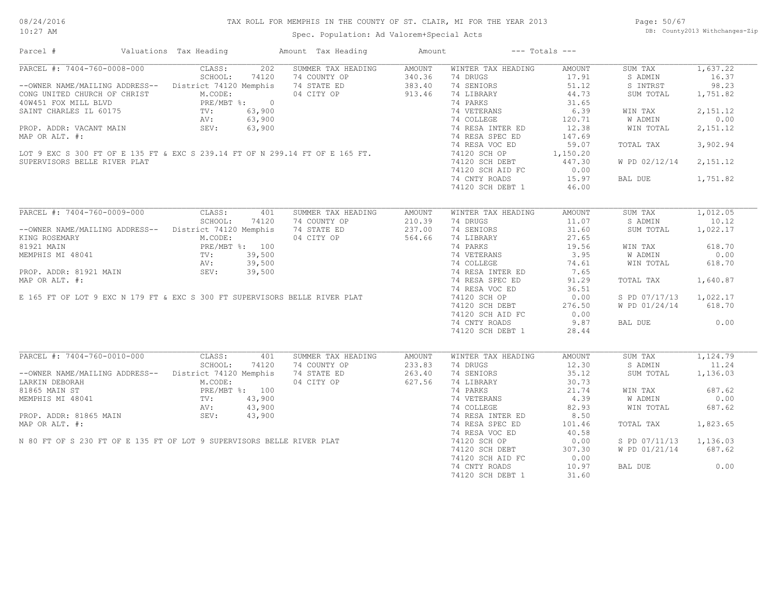#### TAX ROLL FOR MEMPHIS IN THE COUNTY OF ST. CLAIR, MI FOR THE YEAR 2013

10:27 AM

### Spec. Population: Ad Valorem+Special Acts

Page: 50/67 DB: County2013 Withchanges-Zip

| PARCEL #: 7404-760-0008-000<br>CLASS:<br>202<br>SUMMER TAX HEADING<br>AMOUNT<br>WINTER TAX HEADING<br>SUM TAX<br>AMOUNT<br>SCHOOL:<br>74120<br>74 COUNTY OP<br>340.36<br>74 DRUGS<br>17.91<br>S ADMIN<br>--OWNER NAME/MAILING ADDRESS-- District 74120 Memphis<br>74 STATE ED<br>383.40<br>74 SENIORS<br>51.12<br>S INTRST<br>44.73<br>04 CITY OP<br>913.46<br>74 LIBRARY<br>CONG UNITED CHURCH OF CHRIST<br>40W451 FOX MILL BLVD<br>SAINT CHARLES IL 60175 PRE/MBT *: 0<br>SAINT CHARLES IL 60175 PRE/MBT *: 0<br>NV: 63,900<br>PROP. ADDR: VACANT MAIN SEV: 63,900<br>SUM TOTAL<br>74 PARKS<br>31.65<br>6.39<br>74 VETERANS<br>WIN TAX<br>74 COLLEGE<br>120.71<br>W ADMIN<br>12.38<br>74 RESA INTER ED<br>WIN TOTAL<br>74 RESA SPEC ED<br>147.69<br>MAP OR ALT. #:<br>74 RESA VOC ED<br>59.07<br>TOTAL TAX<br>3,902.94<br>LOT 9 EXC S 300 FT OF E 135 FT & EXC S 239.14 FT OF N 299.14 FT OF E 165 FT.<br>74120 SCH OP<br>1,150.20<br>SUPERVISORS BELLE RIVER PLAT<br>74120 SCH DEBT<br>447.30<br>W PD 02/12/14 2,151.12<br>0.00<br>74120 SCH AID FC<br>74 CNTY ROADS<br>15.97<br>BAL DUE<br>1,751.82<br>74120 SCH DEBT 1<br>46.00<br>PARCEL #: 7404-760-0009-000<br>CLASS:<br>401<br>SUMMER TAX HEADING<br><b>AMOUNT</b><br>WINTER TAX HEADING<br>SUM TAX<br>AMOUNT<br>SCHOOL:<br>11.07<br>74120<br>74 COUNTY OP<br>210.39<br>74 DRUGS<br>S ADMIN<br>31.60<br>-- OWNER NAME/MAILING ADDRESS-- District 74120 Memphis<br>74 STATE ED<br>237.00<br>74 SENIORS<br>SUM TOTAL<br>1,022.17<br>04 CITY OP<br>564.66<br>74 LIBRARY<br>27.65<br>KING ROSEMARY<br>M.CODE:<br>PRE/MBT %: 100<br>TV: 39,500<br>AV: 39,500<br>19.56<br>618.70<br>81921 MAIN<br>74 PARKS<br>WIN TAX<br>MEMPHIS MI 48041<br>74 VETERANS 3.95<br>74 COLLEGE 74.61<br>74 RESA INTER ED 7.65<br>W ADMIN<br>0.00<br>MEMPHIS MI 48041<br>PROP. ADDR: 81921 MAIN<br>MAP OR ALT. #:<br>E 165 FT OF LOT 9 EXC N 179 FT & EXC S 300 FT SUPERVISORS BELLE RIVER PLAT<br>WIN TOTAL<br>618.70<br>91.29<br>1,640.87<br>74 RESA SPEC ED<br>TOTAL TAX<br>74 RESA VOC ED<br>36.51<br>0.00<br>S PD 07/17/13 1,022.17<br>74120 SCH OP<br>74120 SCH DEBT<br>276.50<br>W PD 01/24/14 618.70<br>74120 SCH AID FC<br>0.00<br>9.87<br>74 CNTY ROADS<br>BAL DUE<br>74120 SCH DEBT 1<br>28.44<br>PARCEL #: 7404-760-0010-000<br>CLASS:<br>401<br>SUMMER TAX HEADING<br>SUM TAX<br>1,124.79<br>AMOUNT<br>WINTER TAX HEADING<br>AMOUNT<br>SCHOOL: 74120<br>74 COUNTY OP<br>233.83<br>74 DRUGS<br>12.30<br>S ADMIN<br>11.24<br>--OWNER NAME/MAILING ADDRESS-- District 74120 Memphis<br>263.40<br>35.12<br>74 STATE ED<br>74 SENIORS<br>SUM TOTAL<br>1,136.03<br>M.CODE:<br>04 CITY OP<br>627.56<br>74 LIBRARY<br>30.73<br>LARKIN DEBORAH<br>PRE/MBT %: 100<br>TV: 43,900<br>74 PARKS<br>21.74<br>WIN TAX<br>BRE/MBT \$: 100<br>MEMPHIS MI 48041<br>PROP. ADDR: 81865 MAIN<br>PROP. ADDR: 81865 MAIN<br>MAP OR ALT. #:<br>N 80 FT OF S 230 FT OF E 135 FT OF LOT 9 SUPERVISORS BELLE RIVER PLAT<br>4.39<br>W ADMIN<br>74 VETERANS<br>74 COLLEGE<br>82.93<br>WIN TOTAL<br>8.50<br>74 RESA INTER ED<br>74 RESA SPEC ED<br>101.46<br>TOTAL TAX<br>74 RESA VOC ED<br>40.58<br>S PD 07/11/13 1,136.03 | Parcel # | Valuations Tax Heading | Amount Tax Heading | Amount |                  | $---$ Totals $---$ |          |
|------------------------------------------------------------------------------------------------------------------------------------------------------------------------------------------------------------------------------------------------------------------------------------------------------------------------------------------------------------------------------------------------------------------------------------------------------------------------------------------------------------------------------------------------------------------------------------------------------------------------------------------------------------------------------------------------------------------------------------------------------------------------------------------------------------------------------------------------------------------------------------------------------------------------------------------------------------------------------------------------------------------------------------------------------------------------------------------------------------------------------------------------------------------------------------------------------------------------------------------------------------------------------------------------------------------------------------------------------------------------------------------------------------------------------------------------------------------------------------------------------------------------------------------------------------------------------------------------------------------------------------------------------------------------------------------------------------------------------------------------------------------------------------------------------------------------------------------------------------------------------------------------------------------------------------------------------------------------------------------------------------------------------------------------------------------------------------------------------------------------------------------------------------------------------------------------------------------------------------------------------------------------------------------------------------------------------------------------------------------------------------------------------------------------------------------------------------------------------------------------------------------------------------------------------------------------------------------------------------------------------------------------------------------------------------------------------------------------------------------------------------------------------------------------------------------------------------------------------------------------------------------------------------------------------------------------------------------------------------------------------------------------------------------------------------------------------------------------------------------------------------------|----------|------------------------|--------------------|--------|------------------|--------------------|----------|
|                                                                                                                                                                                                                                                                                                                                                                                                                                                                                                                                                                                                                                                                                                                                                                                                                                                                                                                                                                                                                                                                                                                                                                                                                                                                                                                                                                                                                                                                                                                                                                                                                                                                                                                                                                                                                                                                                                                                                                                                                                                                                                                                                                                                                                                                                                                                                                                                                                                                                                                                                                                                                                                                                                                                                                                                                                                                                                                                                                                                                                                                                                                                          |          |                        |                    |        |                  |                    | 1,637.22 |
|                                                                                                                                                                                                                                                                                                                                                                                                                                                                                                                                                                                                                                                                                                                                                                                                                                                                                                                                                                                                                                                                                                                                                                                                                                                                                                                                                                                                                                                                                                                                                                                                                                                                                                                                                                                                                                                                                                                                                                                                                                                                                                                                                                                                                                                                                                                                                                                                                                                                                                                                                                                                                                                                                                                                                                                                                                                                                                                                                                                                                                                                                                                                          |          |                        |                    |        |                  |                    | 16.37    |
|                                                                                                                                                                                                                                                                                                                                                                                                                                                                                                                                                                                                                                                                                                                                                                                                                                                                                                                                                                                                                                                                                                                                                                                                                                                                                                                                                                                                                                                                                                                                                                                                                                                                                                                                                                                                                                                                                                                                                                                                                                                                                                                                                                                                                                                                                                                                                                                                                                                                                                                                                                                                                                                                                                                                                                                                                                                                                                                                                                                                                                                                                                                                          |          |                        |                    |        |                  |                    | 98.23    |
|                                                                                                                                                                                                                                                                                                                                                                                                                                                                                                                                                                                                                                                                                                                                                                                                                                                                                                                                                                                                                                                                                                                                                                                                                                                                                                                                                                                                                                                                                                                                                                                                                                                                                                                                                                                                                                                                                                                                                                                                                                                                                                                                                                                                                                                                                                                                                                                                                                                                                                                                                                                                                                                                                                                                                                                                                                                                                                                                                                                                                                                                                                                                          |          |                        |                    |        |                  |                    | 1,751.82 |
|                                                                                                                                                                                                                                                                                                                                                                                                                                                                                                                                                                                                                                                                                                                                                                                                                                                                                                                                                                                                                                                                                                                                                                                                                                                                                                                                                                                                                                                                                                                                                                                                                                                                                                                                                                                                                                                                                                                                                                                                                                                                                                                                                                                                                                                                                                                                                                                                                                                                                                                                                                                                                                                                                                                                                                                                                                                                                                                                                                                                                                                                                                                                          |          |                        |                    |        |                  |                    |          |
|                                                                                                                                                                                                                                                                                                                                                                                                                                                                                                                                                                                                                                                                                                                                                                                                                                                                                                                                                                                                                                                                                                                                                                                                                                                                                                                                                                                                                                                                                                                                                                                                                                                                                                                                                                                                                                                                                                                                                                                                                                                                                                                                                                                                                                                                                                                                                                                                                                                                                                                                                                                                                                                                                                                                                                                                                                                                                                                                                                                                                                                                                                                                          |          |                        |                    |        |                  |                    | 2,151.12 |
|                                                                                                                                                                                                                                                                                                                                                                                                                                                                                                                                                                                                                                                                                                                                                                                                                                                                                                                                                                                                                                                                                                                                                                                                                                                                                                                                                                                                                                                                                                                                                                                                                                                                                                                                                                                                                                                                                                                                                                                                                                                                                                                                                                                                                                                                                                                                                                                                                                                                                                                                                                                                                                                                                                                                                                                                                                                                                                                                                                                                                                                                                                                                          |          |                        |                    |        |                  |                    | 0.00     |
|                                                                                                                                                                                                                                                                                                                                                                                                                                                                                                                                                                                                                                                                                                                                                                                                                                                                                                                                                                                                                                                                                                                                                                                                                                                                                                                                                                                                                                                                                                                                                                                                                                                                                                                                                                                                                                                                                                                                                                                                                                                                                                                                                                                                                                                                                                                                                                                                                                                                                                                                                                                                                                                                                                                                                                                                                                                                                                                                                                                                                                                                                                                                          |          |                        |                    |        |                  |                    | 2,151.12 |
|                                                                                                                                                                                                                                                                                                                                                                                                                                                                                                                                                                                                                                                                                                                                                                                                                                                                                                                                                                                                                                                                                                                                                                                                                                                                                                                                                                                                                                                                                                                                                                                                                                                                                                                                                                                                                                                                                                                                                                                                                                                                                                                                                                                                                                                                                                                                                                                                                                                                                                                                                                                                                                                                                                                                                                                                                                                                                                                                                                                                                                                                                                                                          |          |                        |                    |        |                  |                    |          |
|                                                                                                                                                                                                                                                                                                                                                                                                                                                                                                                                                                                                                                                                                                                                                                                                                                                                                                                                                                                                                                                                                                                                                                                                                                                                                                                                                                                                                                                                                                                                                                                                                                                                                                                                                                                                                                                                                                                                                                                                                                                                                                                                                                                                                                                                                                                                                                                                                                                                                                                                                                                                                                                                                                                                                                                                                                                                                                                                                                                                                                                                                                                                          |          |                        |                    |        |                  |                    |          |
|                                                                                                                                                                                                                                                                                                                                                                                                                                                                                                                                                                                                                                                                                                                                                                                                                                                                                                                                                                                                                                                                                                                                                                                                                                                                                                                                                                                                                                                                                                                                                                                                                                                                                                                                                                                                                                                                                                                                                                                                                                                                                                                                                                                                                                                                                                                                                                                                                                                                                                                                                                                                                                                                                                                                                                                                                                                                                                                                                                                                                                                                                                                                          |          |                        |                    |        |                  |                    |          |
|                                                                                                                                                                                                                                                                                                                                                                                                                                                                                                                                                                                                                                                                                                                                                                                                                                                                                                                                                                                                                                                                                                                                                                                                                                                                                                                                                                                                                                                                                                                                                                                                                                                                                                                                                                                                                                                                                                                                                                                                                                                                                                                                                                                                                                                                                                                                                                                                                                                                                                                                                                                                                                                                                                                                                                                                                                                                                                                                                                                                                                                                                                                                          |          |                        |                    |        |                  |                    |          |
|                                                                                                                                                                                                                                                                                                                                                                                                                                                                                                                                                                                                                                                                                                                                                                                                                                                                                                                                                                                                                                                                                                                                                                                                                                                                                                                                                                                                                                                                                                                                                                                                                                                                                                                                                                                                                                                                                                                                                                                                                                                                                                                                                                                                                                                                                                                                                                                                                                                                                                                                                                                                                                                                                                                                                                                                                                                                                                                                                                                                                                                                                                                                          |          |                        |                    |        |                  |                    |          |
|                                                                                                                                                                                                                                                                                                                                                                                                                                                                                                                                                                                                                                                                                                                                                                                                                                                                                                                                                                                                                                                                                                                                                                                                                                                                                                                                                                                                                                                                                                                                                                                                                                                                                                                                                                                                                                                                                                                                                                                                                                                                                                                                                                                                                                                                                                                                                                                                                                                                                                                                                                                                                                                                                                                                                                                                                                                                                                                                                                                                                                                                                                                                          |          |                        |                    |        |                  |                    |          |
|                                                                                                                                                                                                                                                                                                                                                                                                                                                                                                                                                                                                                                                                                                                                                                                                                                                                                                                                                                                                                                                                                                                                                                                                                                                                                                                                                                                                                                                                                                                                                                                                                                                                                                                                                                                                                                                                                                                                                                                                                                                                                                                                                                                                                                                                                                                                                                                                                                                                                                                                                                                                                                                                                                                                                                                                                                                                                                                                                                                                                                                                                                                                          |          |                        |                    |        |                  |                    |          |
|                                                                                                                                                                                                                                                                                                                                                                                                                                                                                                                                                                                                                                                                                                                                                                                                                                                                                                                                                                                                                                                                                                                                                                                                                                                                                                                                                                                                                                                                                                                                                                                                                                                                                                                                                                                                                                                                                                                                                                                                                                                                                                                                                                                                                                                                                                                                                                                                                                                                                                                                                                                                                                                                                                                                                                                                                                                                                                                                                                                                                                                                                                                                          |          |                        |                    |        |                  |                    |          |
|                                                                                                                                                                                                                                                                                                                                                                                                                                                                                                                                                                                                                                                                                                                                                                                                                                                                                                                                                                                                                                                                                                                                                                                                                                                                                                                                                                                                                                                                                                                                                                                                                                                                                                                                                                                                                                                                                                                                                                                                                                                                                                                                                                                                                                                                                                                                                                                                                                                                                                                                                                                                                                                                                                                                                                                                                                                                                                                                                                                                                                                                                                                                          |          |                        |                    |        |                  |                    | 1,012.05 |
|                                                                                                                                                                                                                                                                                                                                                                                                                                                                                                                                                                                                                                                                                                                                                                                                                                                                                                                                                                                                                                                                                                                                                                                                                                                                                                                                                                                                                                                                                                                                                                                                                                                                                                                                                                                                                                                                                                                                                                                                                                                                                                                                                                                                                                                                                                                                                                                                                                                                                                                                                                                                                                                                                                                                                                                                                                                                                                                                                                                                                                                                                                                                          |          |                        |                    |        |                  |                    | 10.12    |
|                                                                                                                                                                                                                                                                                                                                                                                                                                                                                                                                                                                                                                                                                                                                                                                                                                                                                                                                                                                                                                                                                                                                                                                                                                                                                                                                                                                                                                                                                                                                                                                                                                                                                                                                                                                                                                                                                                                                                                                                                                                                                                                                                                                                                                                                                                                                                                                                                                                                                                                                                                                                                                                                                                                                                                                                                                                                                                                                                                                                                                                                                                                                          |          |                        |                    |        |                  |                    |          |
|                                                                                                                                                                                                                                                                                                                                                                                                                                                                                                                                                                                                                                                                                                                                                                                                                                                                                                                                                                                                                                                                                                                                                                                                                                                                                                                                                                                                                                                                                                                                                                                                                                                                                                                                                                                                                                                                                                                                                                                                                                                                                                                                                                                                                                                                                                                                                                                                                                                                                                                                                                                                                                                                                                                                                                                                                                                                                                                                                                                                                                                                                                                                          |          |                        |                    |        |                  |                    |          |
|                                                                                                                                                                                                                                                                                                                                                                                                                                                                                                                                                                                                                                                                                                                                                                                                                                                                                                                                                                                                                                                                                                                                                                                                                                                                                                                                                                                                                                                                                                                                                                                                                                                                                                                                                                                                                                                                                                                                                                                                                                                                                                                                                                                                                                                                                                                                                                                                                                                                                                                                                                                                                                                                                                                                                                                                                                                                                                                                                                                                                                                                                                                                          |          |                        |                    |        |                  |                    |          |
|                                                                                                                                                                                                                                                                                                                                                                                                                                                                                                                                                                                                                                                                                                                                                                                                                                                                                                                                                                                                                                                                                                                                                                                                                                                                                                                                                                                                                                                                                                                                                                                                                                                                                                                                                                                                                                                                                                                                                                                                                                                                                                                                                                                                                                                                                                                                                                                                                                                                                                                                                                                                                                                                                                                                                                                                                                                                                                                                                                                                                                                                                                                                          |          |                        |                    |        |                  |                    |          |
|                                                                                                                                                                                                                                                                                                                                                                                                                                                                                                                                                                                                                                                                                                                                                                                                                                                                                                                                                                                                                                                                                                                                                                                                                                                                                                                                                                                                                                                                                                                                                                                                                                                                                                                                                                                                                                                                                                                                                                                                                                                                                                                                                                                                                                                                                                                                                                                                                                                                                                                                                                                                                                                                                                                                                                                                                                                                                                                                                                                                                                                                                                                                          |          |                        |                    |        |                  |                    |          |
|                                                                                                                                                                                                                                                                                                                                                                                                                                                                                                                                                                                                                                                                                                                                                                                                                                                                                                                                                                                                                                                                                                                                                                                                                                                                                                                                                                                                                                                                                                                                                                                                                                                                                                                                                                                                                                                                                                                                                                                                                                                                                                                                                                                                                                                                                                                                                                                                                                                                                                                                                                                                                                                                                                                                                                                                                                                                                                                                                                                                                                                                                                                                          |          |                        |                    |        |                  |                    |          |
|                                                                                                                                                                                                                                                                                                                                                                                                                                                                                                                                                                                                                                                                                                                                                                                                                                                                                                                                                                                                                                                                                                                                                                                                                                                                                                                                                                                                                                                                                                                                                                                                                                                                                                                                                                                                                                                                                                                                                                                                                                                                                                                                                                                                                                                                                                                                                                                                                                                                                                                                                                                                                                                                                                                                                                                                                                                                                                                                                                                                                                                                                                                                          |          |                        |                    |        |                  |                    |          |
|                                                                                                                                                                                                                                                                                                                                                                                                                                                                                                                                                                                                                                                                                                                                                                                                                                                                                                                                                                                                                                                                                                                                                                                                                                                                                                                                                                                                                                                                                                                                                                                                                                                                                                                                                                                                                                                                                                                                                                                                                                                                                                                                                                                                                                                                                                                                                                                                                                                                                                                                                                                                                                                                                                                                                                                                                                                                                                                                                                                                                                                                                                                                          |          |                        |                    |        |                  |                    |          |
|                                                                                                                                                                                                                                                                                                                                                                                                                                                                                                                                                                                                                                                                                                                                                                                                                                                                                                                                                                                                                                                                                                                                                                                                                                                                                                                                                                                                                                                                                                                                                                                                                                                                                                                                                                                                                                                                                                                                                                                                                                                                                                                                                                                                                                                                                                                                                                                                                                                                                                                                                                                                                                                                                                                                                                                                                                                                                                                                                                                                                                                                                                                                          |          |                        |                    |        |                  |                    |          |
|                                                                                                                                                                                                                                                                                                                                                                                                                                                                                                                                                                                                                                                                                                                                                                                                                                                                                                                                                                                                                                                                                                                                                                                                                                                                                                                                                                                                                                                                                                                                                                                                                                                                                                                                                                                                                                                                                                                                                                                                                                                                                                                                                                                                                                                                                                                                                                                                                                                                                                                                                                                                                                                                                                                                                                                                                                                                                                                                                                                                                                                                                                                                          |          |                        |                    |        |                  |                    |          |
|                                                                                                                                                                                                                                                                                                                                                                                                                                                                                                                                                                                                                                                                                                                                                                                                                                                                                                                                                                                                                                                                                                                                                                                                                                                                                                                                                                                                                                                                                                                                                                                                                                                                                                                                                                                                                                                                                                                                                                                                                                                                                                                                                                                                                                                                                                                                                                                                                                                                                                                                                                                                                                                                                                                                                                                                                                                                                                                                                                                                                                                                                                                                          |          |                        |                    |        |                  |                    |          |
|                                                                                                                                                                                                                                                                                                                                                                                                                                                                                                                                                                                                                                                                                                                                                                                                                                                                                                                                                                                                                                                                                                                                                                                                                                                                                                                                                                                                                                                                                                                                                                                                                                                                                                                                                                                                                                                                                                                                                                                                                                                                                                                                                                                                                                                                                                                                                                                                                                                                                                                                                                                                                                                                                                                                                                                                                                                                                                                                                                                                                                                                                                                                          |          |                        |                    |        |                  |                    |          |
|                                                                                                                                                                                                                                                                                                                                                                                                                                                                                                                                                                                                                                                                                                                                                                                                                                                                                                                                                                                                                                                                                                                                                                                                                                                                                                                                                                                                                                                                                                                                                                                                                                                                                                                                                                                                                                                                                                                                                                                                                                                                                                                                                                                                                                                                                                                                                                                                                                                                                                                                                                                                                                                                                                                                                                                                                                                                                                                                                                                                                                                                                                                                          |          |                        |                    |        |                  |                    | 0.00     |
|                                                                                                                                                                                                                                                                                                                                                                                                                                                                                                                                                                                                                                                                                                                                                                                                                                                                                                                                                                                                                                                                                                                                                                                                                                                                                                                                                                                                                                                                                                                                                                                                                                                                                                                                                                                                                                                                                                                                                                                                                                                                                                                                                                                                                                                                                                                                                                                                                                                                                                                                                                                                                                                                                                                                                                                                                                                                                                                                                                                                                                                                                                                                          |          |                        |                    |        |                  |                    |          |
|                                                                                                                                                                                                                                                                                                                                                                                                                                                                                                                                                                                                                                                                                                                                                                                                                                                                                                                                                                                                                                                                                                                                                                                                                                                                                                                                                                                                                                                                                                                                                                                                                                                                                                                                                                                                                                                                                                                                                                                                                                                                                                                                                                                                                                                                                                                                                                                                                                                                                                                                                                                                                                                                                                                                                                                                                                                                                                                                                                                                                                                                                                                                          |          |                        |                    |        |                  |                    |          |
|                                                                                                                                                                                                                                                                                                                                                                                                                                                                                                                                                                                                                                                                                                                                                                                                                                                                                                                                                                                                                                                                                                                                                                                                                                                                                                                                                                                                                                                                                                                                                                                                                                                                                                                                                                                                                                                                                                                                                                                                                                                                                                                                                                                                                                                                                                                                                                                                                                                                                                                                                                                                                                                                                                                                                                                                                                                                                                                                                                                                                                                                                                                                          |          |                        |                    |        |                  |                    |          |
|                                                                                                                                                                                                                                                                                                                                                                                                                                                                                                                                                                                                                                                                                                                                                                                                                                                                                                                                                                                                                                                                                                                                                                                                                                                                                                                                                                                                                                                                                                                                                                                                                                                                                                                                                                                                                                                                                                                                                                                                                                                                                                                                                                                                                                                                                                                                                                                                                                                                                                                                                                                                                                                                                                                                                                                                                                                                                                                                                                                                                                                                                                                                          |          |                        |                    |        |                  |                    |          |
|                                                                                                                                                                                                                                                                                                                                                                                                                                                                                                                                                                                                                                                                                                                                                                                                                                                                                                                                                                                                                                                                                                                                                                                                                                                                                                                                                                                                                                                                                                                                                                                                                                                                                                                                                                                                                                                                                                                                                                                                                                                                                                                                                                                                                                                                                                                                                                                                                                                                                                                                                                                                                                                                                                                                                                                                                                                                                                                                                                                                                                                                                                                                          |          |                        |                    |        |                  |                    |          |
|                                                                                                                                                                                                                                                                                                                                                                                                                                                                                                                                                                                                                                                                                                                                                                                                                                                                                                                                                                                                                                                                                                                                                                                                                                                                                                                                                                                                                                                                                                                                                                                                                                                                                                                                                                                                                                                                                                                                                                                                                                                                                                                                                                                                                                                                                                                                                                                                                                                                                                                                                                                                                                                                                                                                                                                                                                                                                                                                                                                                                                                                                                                                          |          |                        |                    |        |                  |                    |          |
|                                                                                                                                                                                                                                                                                                                                                                                                                                                                                                                                                                                                                                                                                                                                                                                                                                                                                                                                                                                                                                                                                                                                                                                                                                                                                                                                                                                                                                                                                                                                                                                                                                                                                                                                                                                                                                                                                                                                                                                                                                                                                                                                                                                                                                                                                                                                                                                                                                                                                                                                                                                                                                                                                                                                                                                                                                                                                                                                                                                                                                                                                                                                          |          |                        |                    |        |                  |                    | 687.62   |
|                                                                                                                                                                                                                                                                                                                                                                                                                                                                                                                                                                                                                                                                                                                                                                                                                                                                                                                                                                                                                                                                                                                                                                                                                                                                                                                                                                                                                                                                                                                                                                                                                                                                                                                                                                                                                                                                                                                                                                                                                                                                                                                                                                                                                                                                                                                                                                                                                                                                                                                                                                                                                                                                                                                                                                                                                                                                                                                                                                                                                                                                                                                                          |          |                        |                    |        |                  |                    | 0.00     |
|                                                                                                                                                                                                                                                                                                                                                                                                                                                                                                                                                                                                                                                                                                                                                                                                                                                                                                                                                                                                                                                                                                                                                                                                                                                                                                                                                                                                                                                                                                                                                                                                                                                                                                                                                                                                                                                                                                                                                                                                                                                                                                                                                                                                                                                                                                                                                                                                                                                                                                                                                                                                                                                                                                                                                                                                                                                                                                                                                                                                                                                                                                                                          |          |                        |                    |        |                  |                    | 687.62   |
|                                                                                                                                                                                                                                                                                                                                                                                                                                                                                                                                                                                                                                                                                                                                                                                                                                                                                                                                                                                                                                                                                                                                                                                                                                                                                                                                                                                                                                                                                                                                                                                                                                                                                                                                                                                                                                                                                                                                                                                                                                                                                                                                                                                                                                                                                                                                                                                                                                                                                                                                                                                                                                                                                                                                                                                                                                                                                                                                                                                                                                                                                                                                          |          |                        |                    |        |                  |                    |          |
|                                                                                                                                                                                                                                                                                                                                                                                                                                                                                                                                                                                                                                                                                                                                                                                                                                                                                                                                                                                                                                                                                                                                                                                                                                                                                                                                                                                                                                                                                                                                                                                                                                                                                                                                                                                                                                                                                                                                                                                                                                                                                                                                                                                                                                                                                                                                                                                                                                                                                                                                                                                                                                                                                                                                                                                                                                                                                                                                                                                                                                                                                                                                          |          |                        |                    |        |                  |                    | 1,823.65 |
|                                                                                                                                                                                                                                                                                                                                                                                                                                                                                                                                                                                                                                                                                                                                                                                                                                                                                                                                                                                                                                                                                                                                                                                                                                                                                                                                                                                                                                                                                                                                                                                                                                                                                                                                                                                                                                                                                                                                                                                                                                                                                                                                                                                                                                                                                                                                                                                                                                                                                                                                                                                                                                                                                                                                                                                                                                                                                                                                                                                                                                                                                                                                          |          |                        |                    |        |                  |                    |          |
|                                                                                                                                                                                                                                                                                                                                                                                                                                                                                                                                                                                                                                                                                                                                                                                                                                                                                                                                                                                                                                                                                                                                                                                                                                                                                                                                                                                                                                                                                                                                                                                                                                                                                                                                                                                                                                                                                                                                                                                                                                                                                                                                                                                                                                                                                                                                                                                                                                                                                                                                                                                                                                                                                                                                                                                                                                                                                                                                                                                                                                                                                                                                          |          |                        |                    |        | 74120 SCH OP     | 0.00               |          |
| 307.30<br>W PD 01/21/14 687.62<br>74120 SCH DEBT                                                                                                                                                                                                                                                                                                                                                                                                                                                                                                                                                                                                                                                                                                                                                                                                                                                                                                                                                                                                                                                                                                                                                                                                                                                                                                                                                                                                                                                                                                                                                                                                                                                                                                                                                                                                                                                                                                                                                                                                                                                                                                                                                                                                                                                                                                                                                                                                                                                                                                                                                                                                                                                                                                                                                                                                                                                                                                                                                                                                                                                                                         |          |                        |                    |        |                  |                    |          |
| 74120 SCH AID FC<br>0.00                                                                                                                                                                                                                                                                                                                                                                                                                                                                                                                                                                                                                                                                                                                                                                                                                                                                                                                                                                                                                                                                                                                                                                                                                                                                                                                                                                                                                                                                                                                                                                                                                                                                                                                                                                                                                                                                                                                                                                                                                                                                                                                                                                                                                                                                                                                                                                                                                                                                                                                                                                                                                                                                                                                                                                                                                                                                                                                                                                                                                                                                                                                 |          |                        |                    |        |                  |                    |          |
| 74 CNTY ROADS<br>10.97<br>BAL DUE                                                                                                                                                                                                                                                                                                                                                                                                                                                                                                                                                                                                                                                                                                                                                                                                                                                                                                                                                                                                                                                                                                                                                                                                                                                                                                                                                                                                                                                                                                                                                                                                                                                                                                                                                                                                                                                                                                                                                                                                                                                                                                                                                                                                                                                                                                                                                                                                                                                                                                                                                                                                                                                                                                                                                                                                                                                                                                                                                                                                                                                                                                        |          |                        |                    |        |                  |                    | 0.00     |
|                                                                                                                                                                                                                                                                                                                                                                                                                                                                                                                                                                                                                                                                                                                                                                                                                                                                                                                                                                                                                                                                                                                                                                                                                                                                                                                                                                                                                                                                                                                                                                                                                                                                                                                                                                                                                                                                                                                                                                                                                                                                                                                                                                                                                                                                                                                                                                                                                                                                                                                                                                                                                                                                                                                                                                                                                                                                                                                                                                                                                                                                                                                                          |          |                        |                    |        | 74120 SCH DEBT 1 | 31.60              |          |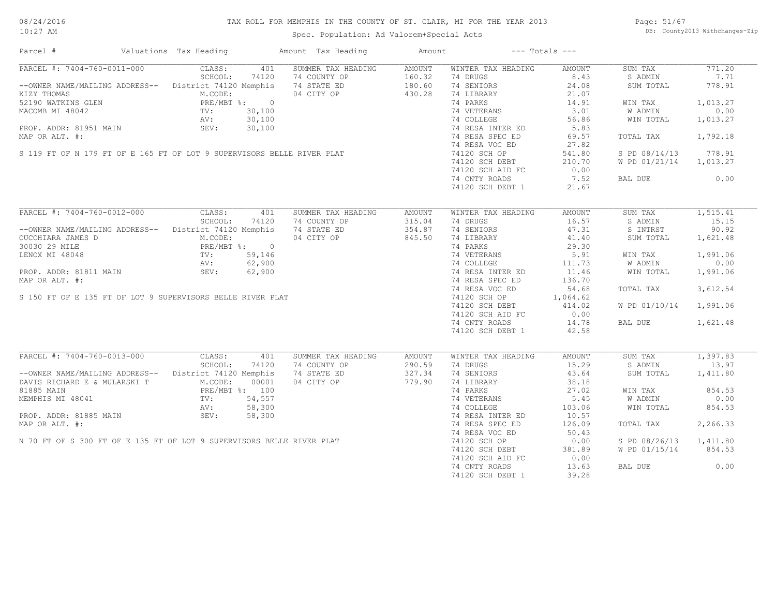#### TAX ROLL FOR MEMPHIS IN THE COUNTY OF ST. CLAIR, MI FOR THE YEAR 2013

10:27 AM

#### Spec. Population: Ad Valorem+Special Acts

Page: 51/67 DB: County2013 Withchanges-Zip

| Parcel #                                                                                                                                             | Valuations Tax Heading |       | Amount Tax Heading                                                                                                                                                                                                                                    | Amount |                                                      | $---$ Totals $---$ |                        |          |
|------------------------------------------------------------------------------------------------------------------------------------------------------|------------------------|-------|-------------------------------------------------------------------------------------------------------------------------------------------------------------------------------------------------------------------------------------------------------|--------|------------------------------------------------------|--------------------|------------------------|----------|
| PARCEL #: 7404-760-0011-000 CLASS:                                                                                                                   |                        | 401   | SUMMER TAX HEADING                                                                                                                                                                                                                                    | AMOUNT | WINTER TAX HEADING                                   | AMOUNT             | SUM TAX                | 771.20   |
|                                                                                                                                                      | SCHOOL:                | 74120 | 74 COUNTY OP                                                                                                                                                                                                                                          | 160.32 | 74 DRUGS                                             | 8.43               | S ADMIN                | 7.71     |
| --OWNER NAME/MAILING ADDRESS-- District 74120 Memphis                                                                                                |                        |       | 74 STATE ED                                                                                                                                                                                                                                           | 180.60 | 74 SENIORS                                           | 24.08              | SUM TOTAL              | 778.91   |
|                                                                                                                                                      |                        |       | -OWNER NAME/MAILING ADDRED IN CODE:<br>12190 WATKINS GLEN<br>22190 WATKINS GLEN<br>22190 WATKINS GLEN<br>22190 WATKINS GLEN<br>22190 WATKINS GLEN<br>22190 WATKINS GLEN<br>22190 WATKINS GLEN<br>22190 WATKINS GLEN<br>22190 WATKINS GLEN<br>22190    |        | 74 LIBRARY                                           | 21.07              |                        |          |
|                                                                                                                                                      |                        |       |                                                                                                                                                                                                                                                       |        | 74 PARKS                                             | 14.91              | WIN TAX                | 1,013.27 |
|                                                                                                                                                      |                        |       |                                                                                                                                                                                                                                                       |        | 74 VETERANS                                          | 3.01               | <b>W ADMIN</b>         | 0.00     |
|                                                                                                                                                      |                        |       |                                                                                                                                                                                                                                                       |        | 74 COLLEGE                                           | 56.86              | WIN TOTAL              | 1,013.27 |
|                                                                                                                                                      |                        |       |                                                                                                                                                                                                                                                       |        | 74 RESA INTER ED                                     | 5.83               |                        |          |
|                                                                                                                                                      |                        |       |                                                                                                                                                                                                                                                       |        | 74 RESA SPEC ED                                      | 69.57              | TOTAL TAX              | 1,792.18 |
|                                                                                                                                                      |                        |       |                                                                                                                                                                                                                                                       |        |                                                      |                    |                        |          |
|                                                                                                                                                      |                        |       |                                                                                                                                                                                                                                                       |        | 74 RESA VOC ED                                       | 27.82              |                        |          |
|                                                                                                                                                      |                        |       |                                                                                                                                                                                                                                                       |        | 74120 SCH OP                                         | 541.80             | S PD 08/14/13 778.91   |          |
|                                                                                                                                                      |                        |       |                                                                                                                                                                                                                                                       |        | 74120 SCH DEBT<br>74120 SCH DEBT<br>74120 SCH AID FC | 210.70             | W PD 01/21/14 1,013.27 |          |
|                                                                                                                                                      |                        |       |                                                                                                                                                                                                                                                       |        |                                                      | 0.00               |                        |          |
|                                                                                                                                                      |                        |       |                                                                                                                                                                                                                                                       |        | 74 CNTY ROADS                                        | 7.52               | BAL DUE                | 0.00     |
|                                                                                                                                                      |                        |       |                                                                                                                                                                                                                                                       |        | 74120 SCH DEBT 1                                     | 21.67              |                        |          |
|                                                                                                                                                      |                        |       |                                                                                                                                                                                                                                                       |        |                                                      |                    |                        |          |
| PARCEL #: 7404-760-0012-000 CLASS: 401                                                                                                               |                        |       | SUMMER TAX HEADING                                                                                                                                                                                                                                    | AMOUNT | WINTER TAX HEADING                                   | AMOUNT             | SUM TAX                | 1,515.41 |
|                                                                                                                                                      | SCHOOL:                | 74120 | 74 COUNTY OP                                                                                                                                                                                                                                          | 315.04 | 74 DRUGS                                             | 16.57              | S ADMIN                | 15.15    |
|                                                                                                                                                      |                        |       |                                                                                                                                                                                                                                                       |        | 74 SENIORS                                           | 47.31              | S INTRST               | 90.92    |
|                                                                                                                                                      |                        |       |                                                                                                                                                                                                                                                       |        |                                                      |                    |                        |          |
|                                                                                                                                                      |                        |       |                                                                                                                                                                                                                                                       |        | 74 LIBRARY                                           | 41.40<br>29.30     | SUM TOTAL              | 1,621.48 |
|                                                                                                                                                      |                        |       |                                                                                                                                                                                                                                                       |        | 74 PARKS                                             |                    |                        |          |
|                                                                                                                                                      |                        |       |                                                                                                                                                                                                                                                       |        | 74 VETERANS 5.91<br>74 COLLEGE 111.73                |                    | WIN TAX                | 1,991.06 |
|                                                                                                                                                      |                        |       |                                                                                                                                                                                                                                                       |        |                                                      |                    | W ADMIN                | 0.00     |
|                                                                                                                                                      |                        |       |                                                                                                                                                                                                                                                       |        | 74 RESA INTER ED<br>74 RESA SPEC ED                  | 11.46              | WIN TOTAL              | 1,991.06 |
|                                                                                                                                                      |                        |       |                                                                                                                                                                                                                                                       |        |                                                      | 136.70             |                        |          |
|                                                                                                                                                      |                        |       |                                                                                                                                                                                                                                                       |        | 74 RESA VOC ED                                       | 54.68              | TOTAL TAX              | 3,612.54 |
|                                                                                                                                                      |                        |       |                                                                                                                                                                                                                                                       |        | 74 RESA VOC ED<br>74120 SCH OP                       | 1,064.62           |                        |          |
|                                                                                                                                                      |                        |       |                                                                                                                                                                                                                                                       |        | 74120 SCH DEBT                                       | 414.02             | W PD 01/10/14 1,991.06 |          |
|                                                                                                                                                      |                        |       |                                                                                                                                                                                                                                                       |        | 74120 SCH AID FC                                     | 0.00               |                        |          |
|                                                                                                                                                      |                        |       |                                                                                                                                                                                                                                                       |        |                                                      |                    |                        |          |
|                                                                                                                                                      |                        |       |                                                                                                                                                                                                                                                       |        | 74 CNTY ROADS                                        | 14.78              | BAL DUE                | 1,621.48 |
|                                                                                                                                                      |                        |       | NNER NAME/MAILING ADDRESS--<br>CCHARA JAMES D<br>030 29 MILE<br>NOX MI 48048<br>NOV MI 48048<br>NOV MI 48048<br>NOV: 59,146<br>NOP. ADDR: 81811 MAIN<br>NOP. ADDR: 81811 MAIN<br>NOP. ADDR: 81811 MAIN<br>NOP. ADDR: 81811 MAIN<br>SEV: 62,900<br>ARP |        | 74120 SCH DEBT 1                                     | 42.58              |                        |          |
|                                                                                                                                                      |                        |       |                                                                                                                                                                                                                                                       |        |                                                      |                    |                        |          |
| PARCEL #: 7404-760-0013-000 CLASS:                                                                                                                   |                        | 401   | SUMMER TAX HEADING                                                                                                                                                                                                                                    | AMOUNT | WINTER TAX HEADING                                   | AMOUNT             | SUM TAX                | 1,397.83 |
|                                                                                                                                                      | SCHOOL:                | 74120 | 74 COUNTY OP                                                                                                                                                                                                                                          | 290.59 | 74 DRUGS                                             | 15.29              | S ADMIN                | 13.97    |
| --OWNER NAME/MAILING ADDRESS-- District 74120 Memphis                                                                                                |                        |       | 74 STATE ED                                                                                                                                                                                                                                           | 327.34 | 74 SENIORS                                           | 43.64              | SUM TOTAL              | 1,411.80 |
| DAVIS RICHARD E & MULARSKI T<br>M.CODE: 00001<br>81885 MAIN<br>MEMPHIS MI 48041<br>TV: 54,557<br>AV: 58,300<br>PROP. ADDR: 81885 MAIN<br>SEV: 58,300 |                        |       | 04 CITY OP                                                                                                                                                                                                                                            | 779.90 | 74 LIBRARY                                           | 38.18              |                        |          |
|                                                                                                                                                      |                        |       | 91885 MAIN<br>MEMPHIS MI 48041<br>MEMPHIS MI 48041<br>TV: 54,557<br>AV: 58,300<br>PROP. ADDR: 81885 MAIN<br>MAP OR ALT. #:<br>N 70 FT OF S 300 FT OF E 135 FT OF LOT 9 SUPERVISORS BELLE RIVER PLAT                                                   |        | 74 PARKS                                             | 27.02              | WIN TAX                | 854.53   |
|                                                                                                                                                      |                        |       |                                                                                                                                                                                                                                                       |        | 74 VETERANS                                          | 5.45               | W ADMIN                | 0.00     |
|                                                                                                                                                      |                        |       |                                                                                                                                                                                                                                                       |        | 74 COLLEGE                                           | 103.06             | WIN TOTAL              | 854.53   |
|                                                                                                                                                      |                        |       |                                                                                                                                                                                                                                                       |        | 74 RESA INTER ED                                     | 10.57              |                        |          |
|                                                                                                                                                      |                        |       |                                                                                                                                                                                                                                                       |        | 74 RESA SPEC ED                                      | 126.09             | TOTAL TAX              | 2,266.33 |
|                                                                                                                                                      |                        |       |                                                                                                                                                                                                                                                       |        | 74 RESA VOC ED                                       | 50.43              |                        |          |
|                                                                                                                                                      |                        |       |                                                                                                                                                                                                                                                       |        |                                                      |                    |                        |          |
|                                                                                                                                                      |                        |       |                                                                                                                                                                                                                                                       |        | 74120 SCH OP                                         | 0.00               | S PD 08/26/13          | 1,411.80 |
|                                                                                                                                                      |                        |       |                                                                                                                                                                                                                                                       |        | 74120 SCH DEBT                                       | 381.89             | W PD 01/15/14 854.53   |          |
|                                                                                                                                                      |                        |       |                                                                                                                                                                                                                                                       |        | 74120 SCH AID FC                                     | 0.00               |                        |          |
|                                                                                                                                                      |                        |       |                                                                                                                                                                                                                                                       |        | 74 CNTY ROADS                                        | 13.63              | BAL DUE                | 0.00     |
|                                                                                                                                                      |                        |       |                                                                                                                                                                                                                                                       |        | 74120 SCH DEBT 1                                     | 39.28              |                        |          |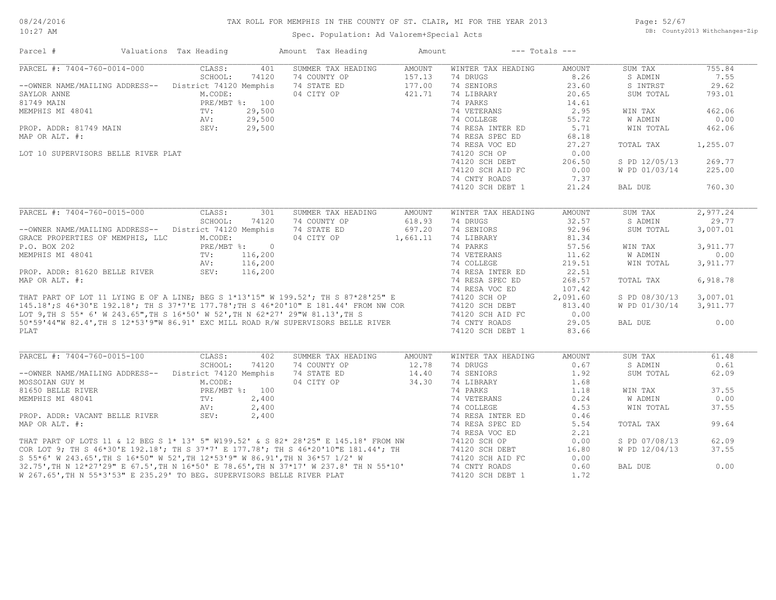#### TAX ROLL FOR MEMPHIS IN THE COUNTY OF ST. CLAIR, MI FOR THE YEAR 2013

10:27 AM

#### Spec. Population: Ad Valorem+Special Acts

Page: 52/67 DB: County2013 Withchanges-Zip

| Parcel #                                                                                                                                                                                                                             | Valuations Tax Heading     |                | Amount Tax Heading                                                      | Amount           |                    | $---$ Totals $---$ |                |          |
|--------------------------------------------------------------------------------------------------------------------------------------------------------------------------------------------------------------------------------------|----------------------------|----------------|-------------------------------------------------------------------------|------------------|--------------------|--------------------|----------------|----------|
| PARCEL #: 7404-760-0014-000                                                                                                                                                                                                          | CLASS:                     | 401            | SUMMER TAX HEADING                                                      | AMOUNT           | WINTER TAX HEADING | AMOUNT             | SUM TAX        | 755.84   |
|                                                                                                                                                                                                                                      | SCHOOL:                    | 74120          | 74 COUNTY OP                                                            | 157.13           | 74 DRUGS           | 8.26               | S ADMIN        | 7.55     |
| --OWNER NAME/MAILING ADDRESS-- District 74120 Memphis                                                                                                                                                                                |                            |                | 74 STATE ED                                                             | 177.00           | 74 SENIORS         | 23.60              | S INTRST       | 29.62    |
| SAYLOR ANNE                                                                                                                                                                                                                          | M.CODE:                    |                | 04 CITY OP                                                              | 421.71           | 74 LIBRARY         | 20.65              | SUM TOTAL      | 793.01   |
| 81749 MAIN                                                                                                                                                                                                                           |                            | PRE/MBT %: 100 |                                                                         |                  | 74 PARKS           | 14.61              |                |          |
| MEMPHIS MI 48041                                                                                                                                                                                                                     | TV:                        | 29,500         | $\begin{bmatrix} 0 \\ 0 \\ 0 \\ 0 \\ 0 \\ 0 \\ 0 \\ 0 \\ \end{bmatrix}$ |                  | 74 VETERANS        | 2.95               | WIN TAX        | 462.06   |
|                                                                                                                                                                                                                                      | $\mathbb{A}\vee$ .<br>SEV: | 29,500         |                                                                         |                  | 74 COLLEGE         | 55.72              | W ADMIN        | 0.00     |
| PROP. ADDR: 81749 MAIN                                                                                                                                                                                                               |                            | 29,500         |                                                                         |                  | 74 RESA INTER ED   | 5.71               | WIN TOTAL      | 462.06   |
| MAP OR ALT. #:                                                                                                                                                                                                                       |                            |                |                                                                         |                  | 74 RESA SPEC ED    | 68.18              |                |          |
|                                                                                                                                                                                                                                      |                            |                |                                                                         |                  | 74 RESA VOC ED     | 27.27              | TOTAL TAX      | 1,255.07 |
|                                                                                                                                                                                                                                      |                            |                |                                                                         |                  |                    |                    |                |          |
| LOT 10 SUPERVISORS BELLE RIVER PLAT                                                                                                                                                                                                  |                            |                |                                                                         | 74120 SCH OP     | 0.00               |                    |                |          |
|                                                                                                                                                                                                                                      |                            |                |                                                                         | 74120 SCH DEBT   | 206.50             | S PD 12/05/13      | 269.77         |          |
|                                                                                                                                                                                                                                      |                            |                |                                                                         |                  | 74120 SCH AID FC   | 0.00               | W PD 01/03/14  | 225.00   |
|                                                                                                                                                                                                                                      |                            |                |                                                                         |                  | 74 CNTY ROADS      | 7.37               |                |          |
|                                                                                                                                                                                                                                      |                            |                |                                                                         |                  | 74120 SCH DEBT 1   | 21.24              | BAL DUE        | 760.30   |
|                                                                                                                                                                                                                                      |                            |                |                                                                         |                  |                    |                    |                |          |
| PARCEL #: 7404-760-0015-000                                                                                                                                                                                                          | CLASS:                     | 301            | SUMMER TAX HEADING                                                      | AMOUNT           | WINTER TAX HEADING | AMOUNT             | SUM TAX        | 2,977.24 |
|                                                                                                                                                                                                                                      | SCHOOL:                    | 74120          | 74 COUNTY OP                                                            | 618.93           | 74 DRUGS           | 32.57              | S ADMIN        | 29.77    |
| --OWNER NAME/MAILING ADDRESS-- District 74120 Memphis                                                                                                                                                                                |                            |                | 74 STATE ED                                                             | 697.20           | 74 SENIORS         | 92.96              | SUM TOTAL      | 3,007.01 |
| GRACE PROPERTIES OF MEMPHIS, LLC                                                                                                                                                                                                     | M.CODE:                    |                | 04 CITY OP                                                              | 1,661.11         | 74 LIBRARY         | 81.34              |                |          |
| P.O. BOX 202                                                                                                                                                                                                                         |                            | PRE/MBT %: 0   |                                                                         |                  | 74 PARKS           | 57.56              | WIN TAX        | 3,911.77 |
| MEMPHIS MI 48041                                                                                                                                                                                                                     | TV:                        | 116,200        |                                                                         |                  | 74 VETERANS        | 11.62              | <b>W ADMIN</b> | 0.00     |
|                                                                                                                                                                                                                                      | AV:                        | 116,200        |                                                                         |                  | 74 COLLEGE         | 219.51             | WIN TOTAL      | 3,911.77 |
| PROP. ADDR: 81620 BELLE RIVER                                                                                                                                                                                                        | SEV:                       | 116,200        |                                                                         |                  | 74 RESA INTER ED   | 22.51              |                |          |
| MAP OR ALT. #:                                                                                                                                                                                                                       |                            |                |                                                                         |                  | 74 RESA SPEC ED    | 268.57             | TOTAL TAX      | 6,918.78 |
|                                                                                                                                                                                                                                      |                            |                |                                                                         |                  | 74 RESA VOC ED     | 107.42             |                |          |
|                                                                                                                                                                                                                                      |                            |                |                                                                         |                  |                    | 2,091.60           | S PD 08/30/13  | 3,007.01 |
|                                                                                                                                                                                                                                      |                            |                |                                                                         |                  |                    |                    |                |          |
|                                                                                                                                                                                                                                      |                            |                |                                                                         |                  |                    | 813.40             | W PD 01/30/14  | 3,911.77 |
|                                                                                                                                                                                                                                      |                            |                |                                                                         |                  | 74120 SCH AID FC   | 0.00               |                |          |
| THAT PART OF LOT 11 LYING E OF A LINE; BEG S 1*13'15" W 199.52'; TH S 87*28'25" E 74120 SCH OP<br>145.18'; S 46*30'E 192.18'; TH S 37*7'E 177.78';TH S 46*20'10" E 181.44' FROM NW COR 74120 SCH OP<br>LOT 9,TH S 55* 6' W 243.65",T |                            |                |                                                                         |                  |                    | 29.05              | BAL DUE        | 0.00     |
| PLAT                                                                                                                                                                                                                                 |                            |                |                                                                         |                  | 74120 SCH DEBT 1   | 83.66              |                |          |
| PARCEL #: 7404-760-0015-100                                                                                                                                                                                                          | CLASS:                     | 402            | SUMMER TAX HEADING                                                      |                  | WINTER TAX HEADING |                    | SUM TAX        | 61.48    |
|                                                                                                                                                                                                                                      | SCHOOL:                    | 74120          | 74 COUNTY OP                                                            | AMOUNT<br>12.78  | 74 DRUGS           | AMOUNT<br>0.67     | S ADMIN        | 0.61     |
|                                                                                                                                                                                                                                      |                            |                |                                                                         |                  |                    |                    |                |          |
| --OWNER NAME/MAILING ADDRESS-- District 74120 Memphis 74 STATE ED                                                                                                                                                                    |                            |                |                                                                         | 14.40            | 74 SENIORS         | 1.92               | SUM TOTAL      | 62.09    |
| MOSSOIAN GUY M                                                                                                                                                                                                                       | M.CODE:                    |                | 04 CITY OP                                                              | 34.30            | 74 LIBRARY         | 1.68               |                |          |
| 81650 BELLE RIVER                                                                                                                                                                                                                    | PRE/MBT %: 100             |                |                                                                         |                  | 74 PARKS           | 1.18               | WIN TAX        | 37.55    |
| MEMPHIS MI 48041                                                                                                                                                                                                                     | TV:                        | 2,400          |                                                                         |                  | 74 VETERANS        | 0.24               | W ADMIN        | 0.00     |
|                                                                                                                                                                                                                                      | AV:                        | 2,400          |                                                                         |                  | 74 COLLEGE         | 4.53               | WIN TOTAL      | 37.55    |
| PROP. ADDR: VACANT BELLE RIVER SEV:                                                                                                                                                                                                  |                            | 2,400          |                                                                         |                  | 74 RESA INTER ED   | 0.46               |                |          |
| MAP OR ALT. #:                                                                                                                                                                                                                       |                            |                |                                                                         |                  | 74 RESA SPEC ED    | 5.54               | TOTAL TAX      | 99.64    |
|                                                                                                                                                                                                                                      |                            |                |                                                                         |                  | 74 RESA VOC ED     | 2.21               |                |          |
|                                                                                                                                                                                                                                      |                            |                |                                                                         |                  | 74120 SCH OP       | 0.00               | S PD 07/08/13  | 62.09    |
|                                                                                                                                                                                                                                      |                            |                |                                                                         |                  | 74120 SCH DEBT     | 16.80              | W PD 12/04/13  | 37.55    |
|                                                                                                                                                                                                                                      |                            |                |                                                                         |                  | 74120 SCH AID FC   | 0.00               |                |          |
| THAT PART OF LOTS 11 & 12 BEG S 1* 13' 5" W199.52' & S 82* 28'25" E 145.18' FROM NW<br>COR LOT 9; TH S 46*30'E 192.18'; TH S 37*7' E 177.78'; TH S 46*20'10"E 181.44'; TH<br>S 55*6' W 243.65',TH S 16*50" W 52',TH 12*53'9" W 86.91 |                            |                |                                                                         |                  | 74 CNTY ROADS      | 0.60               | BAL DUE        | 0.00     |
| W 267.65', TH N 55*3'53" E 235.29' TO BEG. SUPERVISORS BELLE RIVER PLAT                                                                                                                                                              |                            |                |                                                                         | 74120 SCH DEBT 1 | 1.72               |                    |                |          |
|                                                                                                                                                                                                                                      |                            |                |                                                                         |                  |                    |                    |                |          |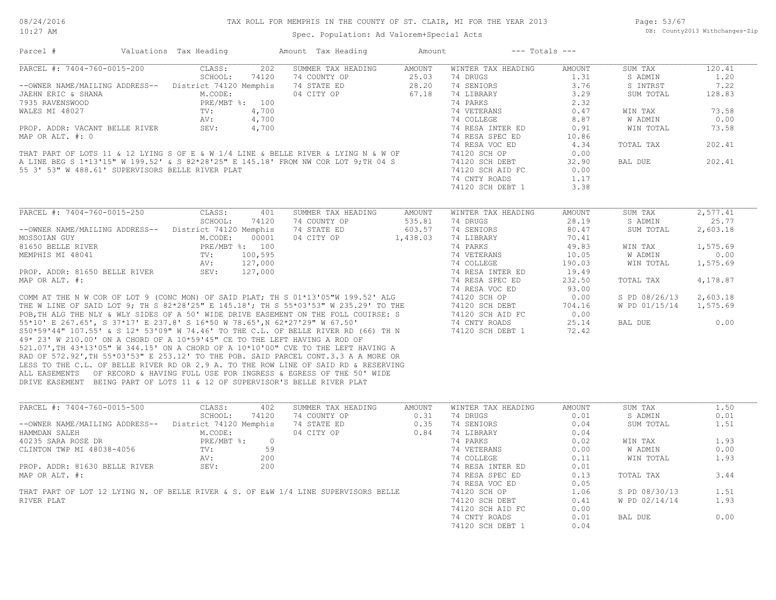Spec. Population: Ad Valorem+Special Acts

 $\mathcal{L}_\mathcal{L} = \mathcal{L}_\mathcal{L} = \mathcal{L}_\mathcal{L} = \mathcal{L}_\mathcal{L} = \mathcal{L}_\mathcal{L} = \mathcal{L}_\mathcal{L} = \mathcal{L}_\mathcal{L} = \mathcal{L}_\mathcal{L} = \mathcal{L}_\mathcal{L} = \mathcal{L}_\mathcal{L} = \mathcal{L}_\mathcal{L} = \mathcal{L}_\mathcal{L} = \mathcal{L}_\mathcal{L} = \mathcal{L}_\mathcal{L} = \mathcal{L}_\mathcal{L} = \mathcal{L}_\mathcal{L} = \mathcal{L}_\mathcal{L}$ 

Parcel # Valuations Tax Heading Amount Tax Heading Amount --- Totals ---

| PARCEL #: 7404-760-0015-200                                                                                                                                                                                                          | CLASS:<br>202          | SUMMER TAX HEADING | AMOUNT   | WINTER TAX HEADING | AMOUNT | SUM TAX                | 120.41   |
|--------------------------------------------------------------------------------------------------------------------------------------------------------------------------------------------------------------------------------------|------------------------|--------------------|----------|--------------------|--------|------------------------|----------|
|                                                                                                                                                                                                                                      | SCHOOL:<br>74120       | 74 COUNTY OP       | 25.03    | 74 DRUGS           | 1.31   | S ADMIN                | 1.20     |
| --OWNER NAME/MAILING ADDRESS-- District 74120 Memphis                                                                                                                                                                                |                        | 74 STATE ED        | 28.20    | 74 SENIORS         | 3.76   | S INTRST               | 7.22     |
| JAEHN ERIC & SHANA                                                                                                                                                                                                                   | M.CODE:                | 04 CITY OP         | 67.18    | 74 LIBRARY         | 3.29   | SUM TOTAL              | 128.83   |
| 7935 RAVENSWOOD                                                                                                                                                                                                                      | PRE/MBT %: 100         |                    |          | 74 PARKS           | 2.32   |                        |          |
| WALES MI 48027                                                                                                                                                                                                                       | TV:<br>4,700           |                    |          | 74 VETERANS        | 0.47   | WIN TAX                | 73.58    |
|                                                                                                                                                                                                                                      | AV:<br>4,700           |                    |          | 74 COLLEGE         | 8.87   | W ADMIN                | 0.00     |
| PROP. ADDR: VACANT BELLE RIVER                                                                                                                                                                                                       | SEV:<br>4,700          |                    |          | 74 RESA INTER ED   | 0.91   | WIN TOTAL              | 73.58    |
| MAP OR ALT. #: 0                                                                                                                                                                                                                     |                        |                    |          | 74 RESA SPEC ED    | 10.86  |                        |          |
|                                                                                                                                                                                                                                      |                        |                    |          | 74 RESA VOC ED     | 4.34   | TOTAL TAX              | 202.41   |
| THAT PART OF LOTS 11 & 12 LYING S OF E & W 1/4 LINE & BELLE RIVER & LYING N & W OF<br>A LINE BEG S 1*13'15" W 199.52' & S 82*28'25" E 145.18' FROM NW COR LOT 9;TH 04 S<br>55 3' 53" W 488.61' SUPERVISORS BELLE RIVER PLAT          |                        |                    |          | 74120 SCH OP       | 0.00   |                        |          |
|                                                                                                                                                                                                                                      |                        |                    |          | 74120 SCH DEBT     | 32.90  | BAL DUE                | 202.41   |
|                                                                                                                                                                                                                                      |                        |                    |          | 74120 SCH AID FC   | 0.00   |                        |          |
|                                                                                                                                                                                                                                      |                        |                    |          | 74 CNTY ROADS      | 1.17   |                        |          |
|                                                                                                                                                                                                                                      |                        |                    |          | 74120 SCH DEBT 1   | 3.38   |                        |          |
|                                                                                                                                                                                                                                      |                        |                    |          |                    |        |                        |          |
|                                                                                                                                                                                                                                      |                        |                    |          |                    |        |                        |          |
| PARCEL #: 7404-760-0015-250                                                                                                                                                                                                          | CLASS:<br>401          | SUMMER TAX HEADING | AMOUNT   | WINTER TAX HEADING | AMOUNT | SUM TAX                | 2,577.41 |
|                                                                                                                                                                                                                                      | SCHOOL: 74120          | 74 COUNTY OP       | 535.81   | 74 DRUGS           | 28.19  | S ADMIN                | 25.77    |
| --OWNER NAME/MAILING ADDRESS-- District 74120 Memphis                                                                                                                                                                                |                        | 74 STATE ED        | 603.57   | 74 SENIORS         | 80.47  | SUM TOTAL              | 2,603.18 |
| MOSSOIAN GUY                                                                                                                                                                                                                         | M.CODE:<br>00001       | 04 CITY OP         | 1,438.03 | 74 LIBRARY         | 70.41  |                        |          |
| 81650 BELLE RIVER                                                                                                                                                                                                                    | PRE/MBT %: 100         |                    |          | 74 PARKS           | 49.83  | WIN TAX                | 1,575.69 |
| MEMPHIS MI 48041                                                                                                                                                                                                                     | 100,595<br>TV:         |                    |          | 74 VETERANS        | 10.05  | W ADMIN                | 0.00     |
|                                                                                                                                                                                                                                      | 127,000<br>AV:         |                    |          | 74 COLLEGE         | 190.03 | WIN TOTAL              | 1,575.69 |
| PROP. ADDR: 81650 BELLE RIVER                                                                                                                                                                                                        | SEV:<br>127,000        |                    |          | 74 RESA INTER ED   | 19.49  |                        |          |
| MAP OR ALT. #:                                                                                                                                                                                                                       |                        |                    |          | 74 RESA SPEC ED    | 232.50 | TOTAL TAX              | 4,178.87 |
|                                                                                                                                                                                                                                      |                        |                    |          |                    | 93.00  |                        |          |
| THE N W COR OF LOT 9 (CONC MON) OF SAID PLAT; TH S 01*13'05"W 199.52' ALG 74 RESA VOC ED<br>THE W LINE OF SAID LOT 9; TH S 82*28'25" E 145.18'; TH S 55*03'53" W 235.29' TO THE 74120 SCH OP<br>POB, TH ALG THE NLY & WLY SIDES OF A |                        |                    |          |                    |        |                        |          |
|                                                                                                                                                                                                                                      |                        |                    |          |                    | 0.00   | S PD 08/26/13 2,603.18 |          |
|                                                                                                                                                                                                                                      |                        |                    |          |                    | 704.16 | W PD 01/15/14 1,575.69 |          |
|                                                                                                                                                                                                                                      |                        |                    |          |                    | 0.00   |                        |          |
|                                                                                                                                                                                                                                      |                        |                    |          |                    | 25.14  | BAL DUE                | 0.00     |
|                                                                                                                                                                                                                                      |                        |                    |          |                    | 72.42  |                        |          |
| 49* 23' W 210.00' ON A CHORD OF A 10*59'45" CE TO THE LEFT HAVING A ROD OF                                                                                                                                                           |                        |                    |          |                    |        |                        |          |
| 521.07', TH 43*13'05" W 344.15' ON A CHORD OF A 10*10'00" CVE TO THE LEFT HAVING A                                                                                                                                                   |                        |                    |          |                    |        |                        |          |
| RAD OF 572.92', TH 55*03'53" E 253.12' TO THE POB. SAID PARCEL CONT.3.3 A A MORE OR                                                                                                                                                  |                        |                    |          |                    |        |                        |          |
| LESS TO THE C.L. OF BELLE RIVER RD OR 2.9 A. TO THE ROW LINE OF SAID RD & RESERVING                                                                                                                                                  |                        |                    |          |                    |        |                        |          |
| ALL EASEMENTS OF RECORD & HAVING FULL USE FOR INGRESS & EGRESS OF THE 50' WIDE                                                                                                                                                       |                        |                    |          |                    |        |                        |          |
| DRIVE EASEMENT BEING PART OF LOTS 11 & 12 OF SUPERVISOR'S BELLE RIVER PLAT                                                                                                                                                           |                        |                    |          |                    |        |                        |          |
|                                                                                                                                                                                                                                      |                        |                    |          |                    |        |                        |          |
| PARCEL #: 7404-760-0015-500                                                                                                                                                                                                          | CLASS:<br>402          | SUMMER TAX HEADING | AMOUNT   | WINTER TAX HEADING | AMOUNT | SUM TAX                | 1.50     |
|                                                                                                                                                                                                                                      | SCHOOL:<br>74120       | 74 COUNTY OP       | 0.31     | 74 DRUGS           | 0.01   | S ADMIN                | 0.01     |
| --OWNER NAME/MAILING ADDRESS-- District 74120 Memphis                                                                                                                                                                                |                        | 74 STATE ED        | 0.35     | 74 SENIORS         | 0.04   | SUM TOTAL              | 1.51     |
| HAMMDAN SALEH                                                                                                                                                                                                                        | M.CODE:                | 04 CITY OP         | 0.84     | 74 LIBRARY         | 0.04   |                        |          |
| 40235 SARA ROSE DR                                                                                                                                                                                                                   | PRE/MBT %:<br>$\sim$ 0 |                    |          | 74 PARKS           | 0.02   |                        | 1.93     |
|                                                                                                                                                                                                                                      |                        |                    |          |                    |        | WIN TAX                |          |
| CLINTON TWP MI 48038-4056                                                                                                                                                                                                            | 59<br>TV:              |                    |          | 74 VETERANS        | 0.00   | W ADMIN                | 0.00     |
|                                                                                                                                                                                                                                      | 200<br>AV:             |                    |          | 74 COLLEGE         | 0.11   | WIN TOTAL              | 1.93     |
| PROP. ADDR: 81630 BELLE RIVER                                                                                                                                                                                                        | 200<br>SEV:            |                    |          | 74 RESA INTER ED   | 0.01   |                        |          |
| MAP OR ALT. #:                                                                                                                                                                                                                       |                        |                    |          | 74 RESA SPEC ED    | 0.13   | TOTAL TAX              | 3.44     |
|                                                                                                                                                                                                                                      |                        |                    |          | 74 RESA VOC ED     | 0.05   |                        |          |
| THAT PART OF LOT 12 LYING N. OF BELLE RIVER & S. OF E&W 1/4 LINE SUPERVISORS BELLE                                                                                                                                                   |                        |                    |          | 74120 SCH OP       | 1.06   | S PD 08/30/13          | 1.51     |
| RIVER PLAT                                                                                                                                                                                                                           |                        |                    |          | 74120 SCH DEBT     | 0.41   | W PD 02/14/14          | 1.93     |
|                                                                                                                                                                                                                                      |                        |                    |          | 74120 SCH AID FC   | 0.00   |                        |          |
|                                                                                                                                                                                                                                      |                        |                    |          | 74 CNTY ROADS      | 0.01   | BAL DUE                | 0.00     |
|                                                                                                                                                                                                                                      |                        |                    |          | 74120 SCH DEBT 1   | 0.04   |                        |          |
|                                                                                                                                                                                                                                      |                        |                    |          |                    |        |                        |          |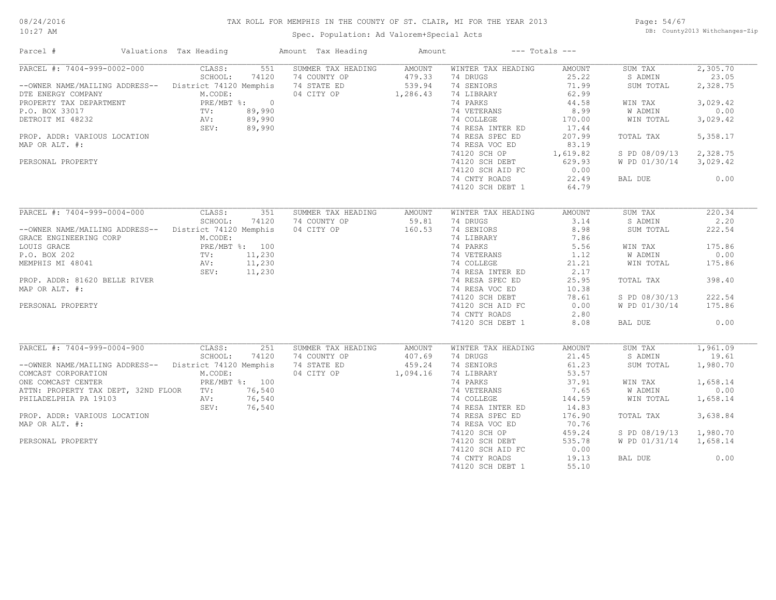#### TAX ROLL FOR MEMPHIS IN THE COUNTY OF ST. CLAIR, MI FOR THE YEAR 2013

10:27 AM

#### Spec. Population: Ad Valorem+Special Acts

Page: 54/67 DB: County2013 Withchanges-Zip

| Parcel #                                                                                                                                                                                                                                    | Valuations Tax Heading    | Amount Tax Heading                                    | Amount           |                                                | $---$ Totals $---$ |                        |          |
|---------------------------------------------------------------------------------------------------------------------------------------------------------------------------------------------------------------------------------------------|---------------------------|-------------------------------------------------------|------------------|------------------------------------------------|--------------------|------------------------|----------|
| PARCEL #: 7404-999-0002-000                                                                                                                                                                                                                 | CLASS:<br>551             | SUMMER TAX HEADING                                    | AMOUNT           | WINTER TAX HEADING                             | AMOUNT             | SUM TAX                | 2,305.70 |
|                                                                                                                                                                                                                                             | SCHOOL:<br>74120          | 74 COUNTY OP                                          |                  | 74 DRUGS                                       | 25.22              | S ADMIN                | 23.05    |
| --OWNER NAME/MAILING ADDRESS-- District 74120 Memphis                                                                                                                                                                                       |                           | 74 STATE ED                                           | 479.33<br>539.94 | 74 SENIORS                                     | 71.99              | SUM TOTAL              | 2,328.75 |
| UNING MELTRON MUCODE:<br>PROPERTY TAX DEPARTMENT<br>PROPERTY TAX DEPARTMENT<br>PROPERTY TAX DEPARTMENT<br>PROPERTY TAX DEPARTMENT<br>PROPERTY MUCODE:<br>PROPERTY TAX DEPARTMENT<br>PRE/MBT $\frac{8}{39,990}$<br>NV: 89,990<br>SEV: 89,990 |                           | 04 CITY OP 1,286.43                                   |                  | 74 LIBRARY                                     | 62.99              |                        |          |
|                                                                                                                                                                                                                                             |                           |                                                       |                  | 74 PARKS                                       | 44.58              | WIN TAX                | 3,029.42 |
|                                                                                                                                                                                                                                             |                           |                                                       |                  | 74 VETERANS                                    | 8.99               | W ADMIN                | 0.00     |
|                                                                                                                                                                                                                                             |                           |                                                       |                  | 74 COLLEGE                                     | 170.00             | WIN TOTAL              | 3,029.42 |
|                                                                                                                                                                                                                                             |                           |                                                       |                  | 74 RESA INTER ED                               | 17.44              |                        |          |
| PROP. ADDR: VARIOUS LOCATION                                                                                                                                                                                                                |                           |                                                       |                  | 74 RESA SPEC ED                                | 207.99             | TOTAL TAX              | 5,358.17 |
| MAP OR ALT. #:                                                                                                                                                                                                                              |                           |                                                       |                  |                                                | 83.19              |                        |          |
|                                                                                                                                                                                                                                             |                           |                                                       |                  | ساس RESA VUC של 74120 SCH OP<br>74120 SCH OP 1 | 1,619.82           | S PD 08/09/13 2,328.75 |          |
| PERSONAL PROPERTY                                                                                                                                                                                                                           |                           |                                                       |                  |                                                | 629.93             | W PD 01/30/14 3,029.42 |          |
|                                                                                                                                                                                                                                             |                           | $\frac{0}{90}$<br>$\frac{90}{90}$<br>$\frac{190}{90}$ |                  | 74120 SCH AID FC                               | 0.00               |                        |          |
|                                                                                                                                                                                                                                             |                           |                                                       |                  | 74 CNTY ROADS                                  | 22.49              | BAL DUE                | 0.00     |
|                                                                                                                                                                                                                                             |                           |                                                       |                  | 74120 SCH DEBT 1                               | 64.79              |                        |          |
|                                                                                                                                                                                                                                             |                           |                                                       |                  |                                                |                    |                        |          |
| PARCEL #: 7404-999-0004-000 CLASS:                                                                                                                                                                                                          | 351                       | SUMMER TAX HEADING                                    | AMOUNT           | WINTER TAX HEADING                             | AMOUNT             | SUM TAX                | 220.34   |
|                                                                                                                                                                                                                                             | SCHOOL:<br>74120          | 74 COUNTY OP                                          | 59.81            | 74 DRUGS                                       | 3.14               | S ADMIN                | 2.20     |
| --OWNER NAME/MAILING ADDRESS-- District 74120 Memphis                                                                                                                                                                                       |                           |                                                       |                  | 74 SENIORS                                     | 8.98               | SUM TOTAL              | 222.54   |
|                                                                                                                                                                                                                                             | M.CODE:                   | 04 CITY OP 160.53                                     |                  |                                                | 7.86               |                        |          |
| GRACE ENGINEERING CORP                                                                                                                                                                                                                      |                           |                                                       |                  | 74 LIBRARY                                     |                    |                        |          |
| NEMPHIS MI 48041<br>NEMPHIS MI 48041<br>MEMPHIS MI 48041<br>MEMPHIS MI 48041<br>SEV: 11,230<br>SEV: 11,230                                                                                                                                  |                           |                                                       |                  | 74 PARKS<br>74 VETERANS 1.12                   | 5.56               | WIN TAX                | 175.86   |
|                                                                                                                                                                                                                                             |                           |                                                       |                  |                                                |                    | W ADMIN                | 0.00     |
|                                                                                                                                                                                                                                             |                           |                                                       |                  | 74 COLLEGE                                     | 21.21              | WIN TOTAL              | 175.86   |
|                                                                                                                                                                                                                                             |                           |                                                       |                  | 74 RESA INTER ED                               | 2.17               |                        |          |
| PROP. ADDR: 81620 BELLE RIVER                                                                                                                                                                                                               |                           |                                                       |                  | 74 RESA SPEC ED                                | 25.95              | TOTAL TAX              | 398.40   |
| MAP OR ALT. #:                                                                                                                                                                                                                              |                           |                                                       |                  | 74 RESA VOC ED                                 | 10.38              |                        |          |
|                                                                                                                                                                                                                                             |                           |                                                       |                  | 74120 SCH DEBT                                 | 78.61              | S PD 08/30/13          | 222.54   |
| PERSONAL PROPERTY                                                                                                                                                                                                                           |                           |                                                       |                  | 74120 SCH AID FC                               | 0.00               | W PD 01/30/14          | 175.86   |
|                                                                                                                                                                                                                                             |                           |                                                       |                  | 74 CNTY ROADS                                  | 2.80               |                        |          |
|                                                                                                                                                                                                                                             |                           | mphis<br>100<br>11, 230<br>11, 230<br>11, 230         |                  | 74120 SCH DEBT 1                               | 8.08               | BAL DUE                | 0.00     |
|                                                                                                                                                                                                                                             |                           |                                                       |                  |                                                |                    |                        |          |
| PARCEL #: 7404-999-0004-900                                                                                                                                                                                                                 | CLASS:<br>251             | SUMMER TAX HEADING                                    | AMOUNT           | WINTER TAX HEADING                             | AMOUNT             | SUM TAX                | 1,961.09 |
|                                                                                                                                                                                                                                             | SCHOOL:<br>74120          | 74 COUNTY OP                                          | 407.69           | 74 DRUGS                                       | 21.45              | S ADMIN                | 19.61    |
| --OWNER NAME/MAILING ADDRESS-- District 74120 Memphis                                                                                                                                                                                       |                           | 74 STATE ED                                           | 459.24           | 74 SENIORS                                     | 61.23              | SUM TOTAL              | 1,980.70 |
| COMCAST CORPORATION<br>ONE COMCAST CENTER                                                                                                                                                                                                   | M.CODE:<br>PRE/MBT %: 100 | 04 CITY OP 1,094.16                                   |                  | 74 LIBRARY<br>74 PARKS                         | 53.57              |                        | 1,658.14 |
|                                                                                                                                                                                                                                             |                           |                                                       |                  |                                                | 37.91              | WIN TAX                |          |
| ATTN: PROPERTY TAX DEPT, 32ND FLOOR TV: 76,540                                                                                                                                                                                              |                           |                                                       |                  | 74 VETERANS                                    | 7.65               | W ADMIN                | 0.00     |
| PHILADELPHIA PA 19103                                                                                                                                                                                                                       | 76,540<br>AV:             |                                                       |                  | 74 COLLEGE                                     | 144.59             | WIN TOTAL              | 1,658.14 |
|                                                                                                                                                                                                                                             | SEV:<br>76,540            |                                                       |                  | 74 RESA INTER ED                               | 14.83              |                        |          |
| PROP. ADDR: VARIOUS LOCATION                                                                                                                                                                                                                |                           |                                                       |                  | 74 RESA SPEC ED                                | 176.90             | TOTAL TAX              | 3,638.84 |
| MAP OR ALT. #:                                                                                                                                                                                                                              |                           |                                                       |                  | 74 RESA VOC ED                                 | 70.76              |                        |          |
|                                                                                                                                                                                                                                             |                           |                                                       |                  | 74120 SCH OP                                   | 459.24             | S PD 08/19/13          | 1,980.70 |
| PERSONAL PROPERTY                                                                                                                                                                                                                           |                           |                                                       |                  | 74120 SCH DEBT                                 | 535.78             | W PD 01/31/14          | 1,658.14 |
|                                                                                                                                                                                                                                             |                           |                                                       |                  | 74120 SCH AID FC                               | 0.00               |                        |          |
|                                                                                                                                                                                                                                             |                           |                                                       |                  | 74 CNTY ROADS                                  | 19.13              | BAL DUE                | 0.00     |

74120 SCH DEBT 1 55.10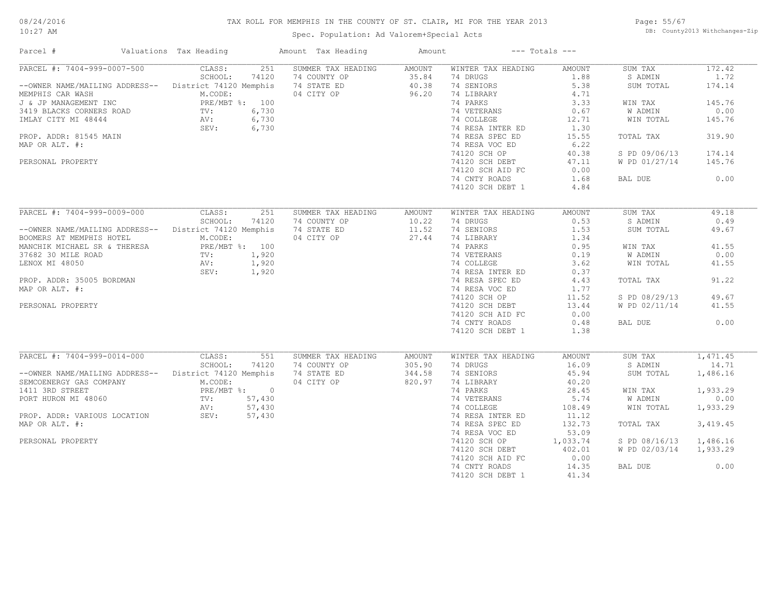#### TAX ROLL FOR MEMPHIS IN THE COUNTY OF ST. CLAIR, MI FOR THE YEAR 2013

10:27 AM

#### Spec. Population: Ad Valorem+Special Acts

Page: 55/67 DB: County2013 Withchanges-Zip

| Parcel #                                                                                                                                                                                     | Valuations Tax Heading | Amount Tax Heading            | Amount               |                                     | $---$ Totals $---$ |                        |           |
|----------------------------------------------------------------------------------------------------------------------------------------------------------------------------------------------|------------------------|-------------------------------|----------------------|-------------------------------------|--------------------|------------------------|-----------|
| PARCEL #: 7404-999-0007-500                                                                                                                                                                  | CLASS:                 | 251 SUMMER TAX HEADING AMOUNT |                      | WINTER TAX HEADING                  | AMOUNT             | SUM TAX                | 172.42    |
| --OWNER NAME/MAILING ADDRESS--<br>MEMPHIS CAR WASH<br>MEMPHIS CAR WASH<br>MEMPHIS CAR WASH<br>M.CODE:<br>M.CODE:<br>M.CODE:<br>M.CODE:<br>M.CODE:<br>26.20<br>PRF/MRT %:<br>100<br>26.20     |                        |                               |                      | 74 DRUGS                            | 1.88               | S ADMIN                | 1.72      |
| --OWNER NAME/MAILING ADDREDUNGLY MEMPHIS CAR WASH<br>J & JP MANAGEMENT INC PRE/MBT %: 100<br>3419 BLACKS CORNERS ROAD TV: 6,730<br>IMLAY CITY MI 48444 AV: 6,730<br>SEV: 6,730<br>SEV: 6,730 |                        |                               |                      | 74 SENIORS                          | 5.38               | SUM TOTAL              | 174.14    |
|                                                                                                                                                                                              |                        |                               |                      | 74 LIBRARY<br>74 PARKS              | 4.71               |                        |           |
|                                                                                                                                                                                              |                        |                               |                      | 74 PARKS                            | 3.33               | WIN TAX                | 145.76    |
|                                                                                                                                                                                              |                        |                               |                      | 74 VETERANS<br>74 COLLEGE           | 0.67               | W ADMIN                | 0.00      |
|                                                                                                                                                                                              |                        |                               |                      |                                     | 12.71              | WIN TOTAL              | 145.76    |
|                                                                                                                                                                                              |                        |                               |                      | 74 RESA INTER ED                    | 1.30               |                        |           |
| PROP. ADDR: 81545 MAIN                                                                                                                                                                       |                        |                               |                      | 74 RESA SPEC ED                     | 15.55              | TOTAL TAX              | 319.90    |
| MAP OR ALT. #:                                                                                                                                                                               |                        |                               |                      | 74 RESA VOC ED                      | 6.22               |                        |           |
|                                                                                                                                                                                              |                        |                               |                      | 74120 SCH OP                        | 40.38              | S PD 09/06/13          | 174.14    |
| PERSONAL PROPERTY                                                                                                                                                                            |                        |                               |                      | 74120 SCH DEBT                      | 47.11              | W PD 01/27/14          | 145.76    |
|                                                                                                                                                                                              |                        |                               |                      | 74120 SCH AID FC                    | 0.00               |                        |           |
|                                                                                                                                                                                              |                        |                               |                      | 74 CNTY ROADS                       | 1.68               | BAL DUE                | 0.00      |
|                                                                                                                                                                                              |                        |                               |                      | 74120 SCH DEBT 1                    | 4.84               |                        |           |
|                                                                                                                                                                                              |                        |                               |                      |                                     |                    |                        |           |
| PARCEL #: 7404-999-0009-000 CLASS:                                                                                                                                                           | 251                    | SUMMER TAX HEADING            | AMOUNT               | WINTER TAX HEADING                  | AMOUNT             | SUM TAX                | 49.18     |
|                                                                                                                                                                                              | SCHOOL:<br>74120       | 74 COUNTY OP                  |                      | 74 DRUGS                            | 0.53               | S ADMIN                | 0.49      |
|                                                                                                                                                                                              |                        |                               | $10.22$<br>$11.52$   |                                     |                    |                        |           |
| --OWNER NAME/MAILING ADDRESS-- District 74120 Memphis                                                                                                                                        |                        | 74 STATE ED                   |                      | 74 SENIORS                          | 1.53               | SUM TOTAL              | 49.67     |
| BOOMERS AT MEMPHIS HOTEL                                                                                                                                                                     | M.CODE:                | 04 CITY OP 27.44              |                      | 74 LIBRARY<br>74 PARKS              | 1.34               |                        |           |
|                                                                                                                                                                                              |                        |                               |                      |                                     | 0.95               | WIN TAX                | 41.55     |
|                                                                                                                                                                                              |                        |                               |                      | 74 VETERANS 0.19<br>74 COLLEGE 3.62 |                    | <b>W ADMIN</b>         | 0.00      |
|                                                                                                                                                                                              |                        |                               |                      |                                     |                    | WIN TOTAL              | 41.55     |
|                                                                                                                                                                                              |                        |                               |                      | 74 RESA INTER ED                    | 0.37               |                        |           |
| PROP. ADDR: 35005 BORDMAN                                                                                                                                                                    |                        |                               |                      | 74 RESA SPEC ED                     | 4.43               | TOTAL TAX              | 91.22     |
| MAP OR ALT. #:                                                                                                                                                                               |                        |                               |                      | 74 RESA VOC ED                      | 1.77               |                        |           |
|                                                                                                                                                                                              |                        |                               |                      | 74120 SCH OP                        | 11.52              | S PD 08/29/13          | 49.67     |
| PERSONAL PROPERTY                                                                                                                                                                            |                        |                               |                      | 74120 SCH DEBT                      | 13.44              | W PD 02/11/14          | 41.55     |
|                                                                                                                                                                                              |                        |                               |                      | 74120 SCH AID FC                    | 0.00               |                        |           |
|                                                                                                                                                                                              |                        |                               |                      | 74 CNTY ROADS                       | 0.48               | BAL DUE                | 0.00      |
|                                                                                                                                                                                              |                        |                               |                      | 74120 SCH DEBT 1                    | 1.38               |                        |           |
|                                                                                                                                                                                              |                        |                               |                      |                                     |                    |                        |           |
| PARCEL #: 7404-999-0014-000 CLASS:                                                                                                                                                           |                        | 551<br>SUMMER TAX HEADING     | AMOUNT               | WINTER TAX HEADING                  | AMOUNT             | SUM TAX                | 1,471.45  |
|                                                                                                                                                                                              | SCHOOL:<br>74120       | 74 COUNTY OP                  | $305.90$<br>$344.58$ | 74 DRUGS                            | 16.09              | S ADMIN                | 14.71     |
| --OWNER NAME/MAILING ADDRESS-- District 74120 Memphis                                                                                                                                        |                        | 74 STATE ED                   |                      | 74 SENIORS                          | 45.94              | SUM TOTAL              | 1,486.16  |
| SEMCOENERGY GAS COMPANY<br>1411 3RD STREET<br>PORT HURON MI 48060<br>N.CODE:<br>PORT HURON MI 48060<br>TV: 57,430<br>N.CODE:<br>TV: 57,430                                                   |                        | 04 CITY OP                    | 820.97               | 74 LIBRARY                          | 40.20              |                        |           |
|                                                                                                                                                                                              |                        |                               |                      | 74 PARKS                            | 28.45              | WIN TAX                | 1,933.29  |
|                                                                                                                                                                                              |                        |                               |                      | 74 VETERANS                         | 5.74               | W ADMIN                | 0.00      |
|                                                                                                                                                                                              |                        |                               |                      | 74 COLLEGE                          | 108.49             | WIN TOTAL              | 1,933.29  |
| ROP. ADDR: VARIOUS LOCATION AV: 57,430<br>WE SEV: 57,430                                                                                                                                     |                        |                               |                      | 74 RESA INTER ED                    | 11.12              |                        |           |
| MAP OR ALT. #:                                                                                                                                                                               |                        |                               |                      | 74 RESA SPEC ED                     | 132.73             | TOTAL TAX              | 3, 419.45 |
|                                                                                                                                                                                              |                        |                               |                      | 74 RESA VOC ED                      | 53.09              |                        |           |
| PERSONAL PROPERTY                                                                                                                                                                            |                        |                               |                      | 74120 SCH OP                        | 1,033.74           | S PD 08/16/13 1,486.16 |           |
|                                                                                                                                                                                              |                        |                               |                      | 74120 SCH DEBT                      | 402.01             | W PD 02/03/14 1,933.29 |           |
|                                                                                                                                                                                              |                        |                               |                      |                                     | 0.00               |                        |           |
|                                                                                                                                                                                              |                        |                               |                      | 74120 SCH AID FC                    |                    |                        |           |
|                                                                                                                                                                                              |                        |                               |                      | 74 CNTY ROADS                       | 14.35              | BAL DUE                | 0.00      |
|                                                                                                                                                                                              |                        |                               |                      | 74120 SCH DEBT 1                    | 41.34              |                        |           |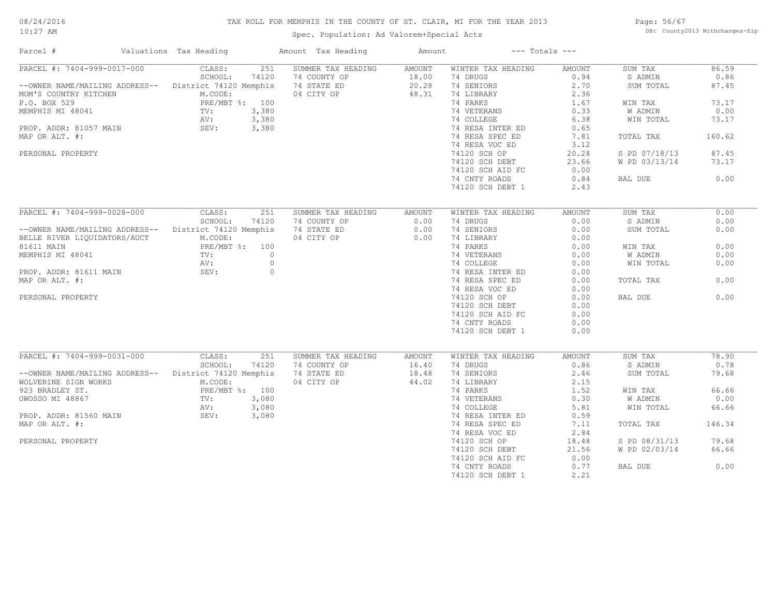#### 10:27 AM

#### TAX ROLL FOR MEMPHIS IN THE COUNTY OF ST. CLAIR, MI FOR THE YEAR 2013

Page: 56/67 DB: County2013 Withchanges-Zip

| Parcel #                                                                                                                                                                           | Valuations Tax Heading |       | Amount Tax Heading | Amount                      |                           | $---$ Totals $---$ |               |        |
|------------------------------------------------------------------------------------------------------------------------------------------------------------------------------------|------------------------|-------|--------------------|-----------------------------|---------------------------|--------------------|---------------|--------|
| PARCEL #: 7404-999-0017-000                                                                                                                                                        | CLASS:                 | 251   | SUMMER TAX HEADING | AMOUNT                      | WINTER TAX HEADING        | AMOUNT             | SUM TAX       | 86.59  |
|                                                                                                                                                                                    | SCHOOL:                | 74120 | 74 COUNTY OP       |                             | 74 DRUGS                  | 0.94               | S ADMIN       | 0.86   |
| --OWNER NAME/MAILING ADDRESS-- District 74120 Memphis                                                                                                                              |                        |       | 74 STATE ED        | $18.00$<br>$20.28$<br>20.28 | 74 SENIORS                | 2.70               | SUM TOTAL     | 87.45  |
| MOM'S COUNTRY KITCHEN<br>P.O. BOX 529<br>MEMPHIS MI 48041<br>PROP. ADDR: 81057 MAIN<br>PROP. ADDR: 81057 MAIN<br>PROP. ADDR: 81057 MAIN<br>PROP. ADDR: 81057 MAIN<br>PROP. 2010 11 |                        |       | 04 CITY OP         | 48.31                       | 74 LIBRARY                | 2.36               |               |        |
|                                                                                                                                                                                    |                        |       |                    |                             | 74 PARKS                  | 1.67               | WIN TAX       | 73.17  |
|                                                                                                                                                                                    |                        |       |                    |                             | 74 VETERANS               | 0.33               | W ADMIN       | 0.00   |
|                                                                                                                                                                                    |                        |       |                    |                             | 74 COLLEGE                | 6.38               | WIN TOTAL     | 73.17  |
|                                                                                                                                                                                    |                        |       |                    |                             |                           |                    |               |        |
|                                                                                                                                                                                    |                        |       |                    |                             | 74 RESA INTER ED          | 0.65               |               |        |
| MAP OR ALT. #:                                                                                                                                                                     |                        |       |                    |                             | 74 RESA SPEC ED           | 7.81               | TOTAL TAX     | 160.62 |
|                                                                                                                                                                                    |                        |       |                    |                             | 74 RESA VOC ED            | 3.12               |               |        |
| PERSONAL PROPERTY                                                                                                                                                                  |                        |       |                    |                             | 74120 SCH OP              | 20.28              | S PD 07/18/13 | 87.45  |
|                                                                                                                                                                                    |                        |       |                    |                             | 74120 SCH DEBT            | 23.66              | W PD 03/13/14 | 73.17  |
|                                                                                                                                                                                    |                        |       |                    |                             | 74120 SCH AID FC          | 0.00               |               |        |
|                                                                                                                                                                                    |                        |       |                    |                             | 74 CNTY ROADS             | 0.84               | BAL DUE       | 0.00   |
|                                                                                                                                                                                    |                        |       |                    |                             | 74120 SCH DEBT 1          | 2.43               |               |        |
|                                                                                                                                                                                    |                        |       |                    |                             |                           |                    |               |        |
| PARCEL #: 7404-999-0028-000                                                                                                                                                        | CLASS:                 | 251   | SUMMER TAX HEADING | AMOUNT                      | WINTER TAX HEADING        | AMOUNT             | SUM TAX       | 0.00   |
|                                                                                                                                                                                    | SCHOOL:                | 74120 | 74 COUNTY OP       |                             | 74 DRUGS                  | 0.00               | S ADMIN       | 0.00   |
|                                                                                                                                                                                    |                        |       |                    | 0.00                        |                           |                    |               |        |
| -- OWNER NAME/MAILING ADDRESS-- District 74120 Memphis                                                                                                                             |                        |       | 74 STATE ED        | 0.00                        | 74 SENIORS                | 0.00               | SUM TOTAL     | 0.00   |
| BELLE RIVER LIQUIDATORS/AUCT                                                                                                                                                       | M.CODE:                |       | 04 CITY OP         | 0.00                        | 74 LIBRARY                | 0.00               |               |        |
| 81611 MAIN PRE/MBT \$: 100<br>MEMPHIS MI 48041 TV: 0<br>PROP. ADDR: 81611 MAIN SEV: 0<br>PROP. ADDR: 81611 MAIN SEV: 0                                                             |                        |       |                    |                             | 74 PARKS                  | 0.00               | WIN TAX       | 0.00   |
|                                                                                                                                                                                    |                        |       |                    |                             | 74 VETERANS<br>74 COLLEGE | 0.00               | W ADMIN       | 0.00   |
|                                                                                                                                                                                    |                        |       |                    |                             | 74 COLLEGE                | 0.00               | WIN TOTAL     | 0.00   |
|                                                                                                                                                                                    |                        |       |                    |                             | 74 RESA INTER ED          | 0.00               |               |        |
| MAP OR ALT. #:                                                                                                                                                                     |                        |       |                    |                             | 74 RESA SPEC ED           | 0.00               | TOTAL TAX     | 0.00   |
|                                                                                                                                                                                    |                        |       |                    |                             | 74 RESA VOC ED            | 0.00               |               |        |
| PERSONAL PROPERTY                                                                                                                                                                  |                        |       |                    |                             | 74120 SCH OP              | 0.00               | BAL DUE       | 0.00   |
|                                                                                                                                                                                    |                        |       |                    |                             |                           |                    |               |        |
|                                                                                                                                                                                    |                        |       |                    |                             | 74120 SCH DEBT            | 0.00               |               |        |
|                                                                                                                                                                                    |                        |       |                    |                             | 74120 SCH AID FC          | 0.00               |               |        |
|                                                                                                                                                                                    |                        |       |                    |                             | 74 CNTY ROADS             | 0.00               |               |        |
|                                                                                                                                                                                    |                        |       |                    |                             | 74120 SCH DEBT 1          | 0.00               |               |        |
|                                                                                                                                                                                    |                        |       |                    |                             |                           |                    |               |        |
| PARCEL #: 7404-999-0031-000                                                                                                                                                        | CLASS:                 | 251   | SUMMER TAX HEADING | AMOUNT                      | WINTER TAX HEADING        | AMOUNT             | SUM TAX       | 78.90  |
|                                                                                                                                                                                    | SCHOOL:                | 74120 | 74 COUNTY OP       | 16.40                       | 74 DRUGS                  | 0.86               | S ADMIN       | 0.78   |
| --OWNER NAME/MAILING ADDRESS--                                                                                                                                                     | District 74120 Memphis |       | 74 STATE ED        | 18.48                       | 74 SENIORS                | 2.46               | SUM TOTAL     | 79.68  |
| WOLVERINE SIGN WORKS                                                                                                                                                               | M.CODE:                |       | 04 CITY OP         | 44.02                       | 74 LIBRARY                | 2.15               |               |        |
|                                                                                                                                                                                    |                        |       |                    |                             | 74 PARKS                  | 1.52               | WIN TAX       | 66.66  |
|                                                                                                                                                                                    |                        |       |                    |                             | 74 VETERANS               |                    | W ADMIN       | 0.00   |
| 923 BRADLEY ST.<br>0WOSSO MI 48867 TV: 3,080<br>PROP. ADDR: 81560 MAIN SEV: 3,080<br>PROP. ADDR: 81560 MAIN SEV: 3,080                                                             |                        |       |                    |                             | 74 COLLEGE                | $-5.81$<br>$-6.59$ | WIN TOTAL     | 66.66  |
|                                                                                                                                                                                    |                        |       |                    |                             | 74 RESA INTER ED          |                    |               |        |
| MAP OR ALT. #:                                                                                                                                                                     |                        |       |                    |                             | 74 RESA SPEC ED           | 7.11               | TOTAL TAX     | 146.34 |
|                                                                                                                                                                                    |                        |       |                    |                             | 74 RESA VOC ED            | 2.84               |               |        |
|                                                                                                                                                                                    |                        |       |                    |                             |                           |                    |               |        |
| PERSONAL PROPERTY                                                                                                                                                                  |                        |       |                    |                             | 74120 SCH OP              | 18.48              | S PD 08/31/13 | 79.68  |
|                                                                                                                                                                                    |                        |       |                    |                             | 74120 SCH DEBT            | 21.56              | W PD 02/03/14 | 66.66  |
|                                                                                                                                                                                    |                        |       |                    |                             | 74120 SCH AID FC          | 0.00               |               |        |
|                                                                                                                                                                                    |                        |       |                    |                             | 74 CNTY ROADS             | 0.77               | BAL DUE       | 0.00   |
|                                                                                                                                                                                    |                        |       |                    |                             | 74120 SCH DEBT 1          | 2.21               |               |        |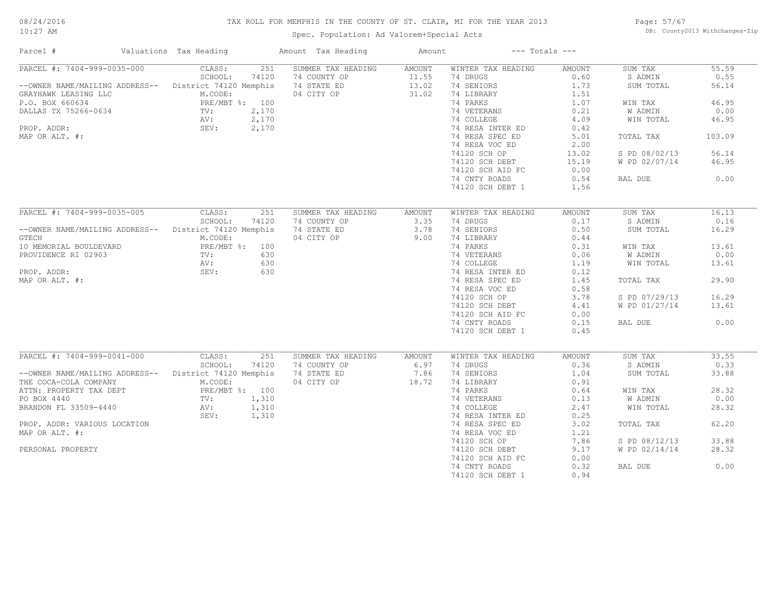#### TAX ROLL FOR MEMPHIS IN THE COUNTY OF ST. CLAIR, MI FOR THE YEAR 2013

10:27 AM

### Spec. Population: Ad Valorem+Special Acts

Page: 57/67 DB: County2013 Withchanges-Zip

| Parcel #                                                                                                                                                          | Valuations Tax Heading      | Amount Tax Heading | Amount             | $---$ Totals $---$                      |                |               |        |
|-------------------------------------------------------------------------------------------------------------------------------------------------------------------|-----------------------------|--------------------|--------------------|-----------------------------------------|----------------|---------------|--------|
| PARCEL #: 7404-999-0035-000                                                                                                                                       | CLASS:<br>251               | SUMMER TAX HEADING | AMOUNT             | WINTER TAX HEADING                      | AMOUNT         | SUM TAX       | 55.59  |
|                                                                                                                                                                   | SCHOOL:<br>74120            | 74 COUNTY OP       |                    | 74 DRUGS                                | 0.60           | S ADMIN       | 0.55   |
| --OWNER NAME/MAILING ADDRESS-- District 74120 Memphis                                                                                                             |                             | 74 STATE ED        | $11.55$<br>$13.02$ | 74 SENIORS                              | 1.73           | SUM TOTAL     | 56.14  |
| CRAYHAWK LEASING LLC<br>P.O. BOX 660634<br>DALLAS TX 75266-0634<br>PRE/MBT %: 100<br>DALLAS TX 75266-0634<br>PRE/MBT %: 2,170<br>PROP. ADDR: 2,170<br>MP OR ALT # |                             | 04 CITY OP         | 31.02              | 74 LIBRARY                              | 1.51           |               |        |
|                                                                                                                                                                   |                             |                    |                    | 74 PARKS                                | 1.07           | WIN TAX       | 46.95  |
|                                                                                                                                                                   |                             |                    |                    |                                         |                | W ADMIN       | 0.00   |
|                                                                                                                                                                   |                             |                    |                    | 74 VETERANS<br>74 COLLEGE<br>74 COLLEGE | $0.21$<br>4.09 | WIN TOTAL     | 46.95  |
|                                                                                                                                                                   |                             |                    |                    | 74 RESA INTER ED                        |                |               |        |
| MAP OR ALT. #:                                                                                                                                                    |                             |                    |                    | 74 RESA SPEC ED                         | 0.42<br>5.01   | TOTAL TAX     | 103.09 |
|                                                                                                                                                                   |                             |                    |                    |                                         |                |               |        |
|                                                                                                                                                                   |                             |                    |                    | 74 RESA VOC ED                          | 2.00           |               |        |
|                                                                                                                                                                   |                             |                    |                    | 74120 SCH OP                            | 13.02          | S PD 08/02/13 | 56.14  |
|                                                                                                                                                                   |                             |                    |                    | 74120 SCH DEBT                          | 15.19          | W PD 02/07/14 | 46.95  |
|                                                                                                                                                                   |                             |                    |                    | 74120 SCH AID FC                        | 0.00           |               |        |
|                                                                                                                                                                   |                             |                    |                    | 74 CNTY ROADS                           | 0.54           | BAL DUE       | 0.00   |
|                                                                                                                                                                   |                             |                    |                    | 74120 SCH DEBT 1                        | 1.56           |               |        |
|                                                                                                                                                                   |                             |                    |                    |                                         |                |               |        |
| PARCEL #: 7404-999-0035-005 CLASS:                                                                                                                                | 251                         | SUMMER TAX HEADING | AMOUNT             | WINTER TAX HEADING                      | AMOUNT         | SUM TAX       | 16.13  |
|                                                                                                                                                                   | SCHOOL:<br>74120            | 74 COUNTY OP       |                    | 74 DRUGS                                | 0.17           | S ADMIN       | 0.16   |
| --OWNER NAME/MAILING ADDRESS-- District 74120 Memphis                                                                                                             |                             | 74 STATE ED        | $3.35$<br>$3.78$   | 74 SENIORS                              | 0.50           | SUM TOTAL     | 16.29  |
| GTECH                                                                                                                                                             | M.CODE:                     | 04 CITY OP 9.00    |                    | 74 LIBRARY                              | 0.44           |               |        |
| 10 MEMORIAL BOULDEVARD                                                                                                                                            | PRE/MBT %: 100              |                    |                    |                                         |                |               |        |
|                                                                                                                                                                   |                             |                    |                    | 74 PARKS                                | 0.31           | WIN TAX       | 13.61  |
| PROVIDENCE RI 02903                                                                                                                                               | $TV:$<br>AV:<br>SEV:<br>630 |                    |                    | 74 VETERANS 0.06<br>74 COLLEGE 1.19     |                | W ADMIN       | 0.00   |
|                                                                                                                                                                   | 630                         |                    |                    | 74 COLLEGE                              | 1.19           | WIN TOTAL     | 13.61  |
| PROP. ADDR:                                                                                                                                                       | 630                         |                    |                    | 74 RESA INTER ED                        | 0.12           |               |        |
| MAP OR ALT. #:                                                                                                                                                    |                             |                    |                    | 74 RESA SPEC ED                         | 1.45           | TOTAL TAX     | 29.90  |
|                                                                                                                                                                   |                             |                    |                    | 74 RESA VOC ED                          | 0.58           |               |        |
|                                                                                                                                                                   |                             |                    |                    | 74120 SCH OP                            | 3.78           | S PD 07/29/13 | 16.29  |
|                                                                                                                                                                   |                             |                    |                    | 74120 SCH DEBT                          | 4.41           | W PD 01/27/14 | 13.61  |
|                                                                                                                                                                   |                             |                    |                    | 74120 SCH AID FC                        | 0.00           |               |        |
|                                                                                                                                                                   |                             |                    |                    | 74 CNTY ROADS                           | 0.15           | BAL DUE       | 0.00   |
|                                                                                                                                                                   |                             |                    |                    | 74120 SCH DEBT 1                        | 0.45           |               |        |
|                                                                                                                                                                   |                             |                    |                    |                                         |                |               |        |
| PARCEL #: 7404-999-0041-000 CLASS:                                                                                                                                | 251                         | SUMMER TAX HEADING | AMOUNT             | WINTER TAX HEADING                      | AMOUNT         | SUM TAX       | 33.55  |
|                                                                                                                                                                   | SCHOOL:<br>74120            | 74 COUNTY OP       |                    |                                         | 0.36           | S ADMIN       |        |
|                                                                                                                                                                   |                             |                    | $6.97$<br>$7.86$   | 74 DRUGS                                |                |               | 0.33   |
| --OWNER NAME/MAILING ADDRESS-- District 74120 Memphis                                                                                                             |                             | 74 STATE ED        |                    | 74 SENIORS                              | 1.04           | SUM TOTAL     | 33.88  |
|                                                                                                                                                                   |                             | 04 CITY OP         | 18.72              | 74 LIBRARY                              | 0.91           |               |        |
|                                                                                                                                                                   |                             |                    |                    | 74 PARKS                                | 0.64           | WIN TAX       | 28.32  |
|                                                                                                                                                                   |                             |                    |                    | 74 VETERANS<br>74 COLLEGE               | 0.13           | W ADMIN       | 0.00   |
|                                                                                                                                                                   |                             |                    |                    | 74 COLLEGE                              | 2.47           | WIN TOTAL     | 28.32  |
|                                                                                                                                                                   | SEV: 1,310                  |                    |                    | 74 RESA INTER ED                        | 0.25           |               |        |
| PROP. ADDR: VARIOUS LOCATION                                                                                                                                      |                             |                    |                    | 74 RESA SPEC ED                         | 3.02           | TOTAL TAX     | 62.20  |
| MAP OR ALT. #:                                                                                                                                                    |                             |                    |                    | 74 RESA VOC ED                          | 1.21           |               |        |
|                                                                                                                                                                   |                             |                    |                    | 74120 SCH OP                            | 7.86           | S PD 08/12/13 | 33.88  |
| PERSONAL PROPERTY                                                                                                                                                 |                             |                    |                    | 74120 SCH DEBT                          | 9.17           | W PD 02/14/14 | 28.32  |
|                                                                                                                                                                   |                             |                    |                    | 74120 SCH AID FC                        | 0.00           |               |        |
|                                                                                                                                                                   |                             |                    |                    | 74 CNTY ROADS                           | 0.32           | BAL DUE       | 0.00   |
|                                                                                                                                                                   |                             |                    |                    | 74120 SCH DEBT 1                        | 0.94           |               |        |
|                                                                                                                                                                   |                             |                    |                    |                                         |                |               |        |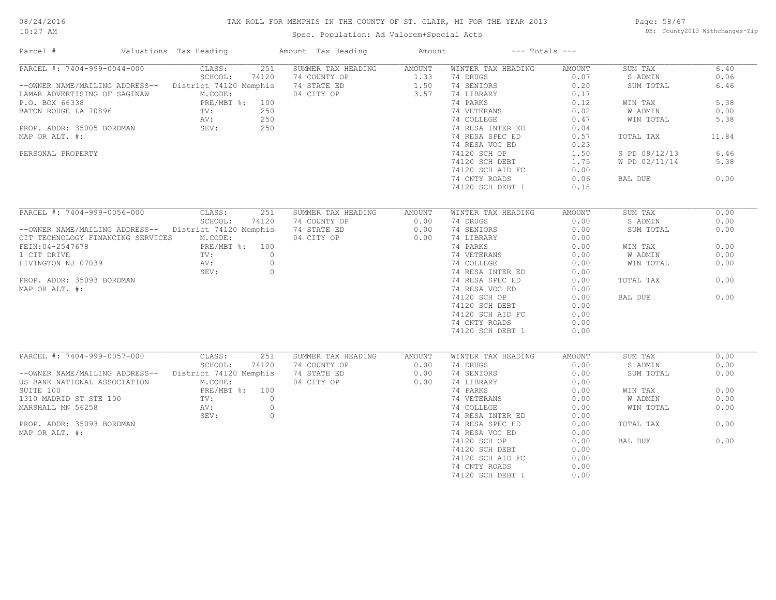#### TAX ROLL FOR MEMPHIS IN THE COUNTY OF ST. CLAIR, MI FOR THE YEAR 2013

10:27 AM

#### Spec. Population: Ad Valorem+Special Acts

Page: 58/67 DB: County2013 Withchanges-Zip

| Parcel #                                              |  | Valuations Tax Heading |         | Amount Tax Heading | Amount           |                    | $---$ Totals $---$ |               |       |
|-------------------------------------------------------|--|------------------------|---------|--------------------|------------------|--------------------|--------------------|---------------|-------|
| PARCEL #: 7404-999-0044-000                           |  | CLASS:                 | 251     | SUMMER TAX HEADING | AMOUNT           | WINTER TAX HEADING | AMOUNT             | SUM TAX       | 6.40  |
|                                                       |  | SCHOOL:                | 74120   | 74 COUNTY OP       | 1.33             | 74 DRUGS           | 0.07               | S ADMIN       | 0.06  |
| --OWNER NAME/MAILING ADDRESS-- District 74120 Memphis |  |                        |         | 74 STATE ED        | 1.50             | 74 SENIORS         | 0.20               | SUM TOTAL     | 6.46  |
| LAMAR ADVERTISING OF SAGINAW                          |  | M.CODE:                |         | 04 CITY OP         | 3.57             | 74 LIBRARY         | 0.17               |               |       |
| P.O. BOX 66338                                        |  | PRE/MBT %: 100         |         |                    |                  | 74 PARKS           | 0.12               | WIN TAX       | 5.38  |
| BATON ROUGE LA 70896                                  |  | TV:                    | 250     |                    |                  | 74 VETERANS        | 0.02               | W ADMIN       | 0.00  |
|                                                       |  | AV:                    | 250     |                    |                  | 74 COLLEGE         | 0.47               | WIN TOTAL     | 5.38  |
| PROP. ADDR: 35005 BORDMAN                             |  | SEV:                   | 250     |                    |                  | 74 RESA INTER ED   | 0.04               |               |       |
| MAP OR ALT. #:                                        |  |                        |         |                    |                  | 74 RESA SPEC ED    | 0.57               | TOTAL TAX     | 11.84 |
|                                                       |  |                        |         |                    |                  | 74 RESA VOC ED     | 0.23               |               |       |
| PERSONAL PROPERTY                                     |  |                        |         |                    |                  | 74120 SCH OP       | 1.50               | S PD 08/12/13 | 6.46  |
|                                                       |  |                        |         |                    |                  |                    | 1.75               | W PD 02/11/14 | 5.38  |
|                                                       |  |                        |         |                    |                  | 74120 SCH DEBT     |                    |               |       |
|                                                       |  |                        |         |                    |                  | 74120 SCH AID FC   | 0.00               |               |       |
|                                                       |  |                        |         |                    |                  | 74 CNTY ROADS      | 0.06               | BAL DUE       | 0.00  |
|                                                       |  |                        |         |                    |                  | 74120 SCH DEBT 1   | 0.18               |               |       |
| PARCEL #: 7404-999-0056-000                           |  | CLASS:                 | 251     | SUMMER TAX HEADING |                  | WINTER TAX HEADING |                    | SUM TAX       | 0.00  |
|                                                       |  |                        |         |                    | AMOUNT           |                    | AMOUNT             |               |       |
|                                                       |  | SCHOOL:                | 74120   | 74 COUNTY OP       | 0.00             | 74 DRUGS           | 0.00               | S ADMIN       | 0.00  |
| --OWNER NAME/MAILING ADDRESS-- District 74120 Memphis |  |                        |         | 74 STATE ED        | 0.00             | 74 SENIORS         | 0.00               | SUM TOTAL     | 0.00  |
| CIT TECHNOLOGY FINANCING SERVICES                     |  | M.CODE:                |         | 04 CITY OP         | 0.00             | 74 LIBRARY         | 0.00               |               |       |
| FEIN: 04-2547678                                      |  | PRE/MBT %: 100         |         |                    |                  | 74 PARKS           | 0.00               | WIN TAX       | 0.00  |
| 1 CIT DRIVE                                           |  | TV:                    | $\circ$ |                    |                  | 74 VETERANS        | 0.00               | W ADMIN       | 0.00  |
| LIVINGTON NJ 07039                                    |  | AV:                    | $\circ$ |                    |                  | 74 COLLEGE         | 0.00               | WIN TOTAL     | 0.00  |
|                                                       |  | SEV:                   | $\circ$ |                    |                  | 74 RESA INTER ED   | 0.00               |               |       |
| PROP. ADDR: 35093 BORDMAN                             |  |                        |         |                    |                  | 74 RESA SPEC ED    | 0.00               | TOTAL TAX     | 0.00  |
| MAP OR ALT. #:                                        |  |                        |         |                    |                  | 74 RESA VOC ED     | 0.00               |               |       |
|                                                       |  |                        |         |                    |                  | 74120 SCH OP       | 0.00               | BAL DUE       | 0.00  |
|                                                       |  |                        |         |                    |                  | 74120 SCH DEBT     | 0.00               |               |       |
|                                                       |  |                        |         |                    |                  | 74120 SCH AID FC   | 0.00               |               |       |
|                                                       |  |                        |         |                    |                  |                    |                    |               |       |
|                                                       |  |                        |         |                    |                  | 74 CNTY ROADS      | 0.00               |               |       |
|                                                       |  |                        |         |                    |                  | 74120 SCH DEBT 1   | 0.00               |               |       |
| PARCEL #: 7404-999-0057-000                           |  | CLASS:                 | 251     | SUMMER TAX HEADING | AMOUNT           | WINTER TAX HEADING | AMOUNT             | SUM TAX       | 0.00  |
|                                                       |  | SCHOOL:                | 74120   | 74 COUNTY OP       | 0.00             | 74 DRUGS           | 0.00               | S ADMIN       | 0.00  |
| --OWNER NAME/MAILING ADDRESS-- District 74120 Memphis |  |                        |         | 74 STATE ED        | 0.00             | 74 SENIORS         | 0.00               | SUM TOTAL     | 0.00  |
| US BANK NATIONAL ASSOCIATION                          |  | M.CODE:                |         | 04 CITY OP         | 0.00             | 74 LIBRARY         | 0.00               |               |       |
| SUITE 100                                             |  | PRE/MBT %: 100         |         |                    |                  | 74 PARKS           | 0.00               | WIN TAX       | 0.00  |
|                                                       |  |                        |         |                    |                  |                    |                    |               |       |
| 1310 MADRID ST STE 100                                |  | $\text{TV}$ :          | $\circ$ |                    |                  | 74 VETERANS        | 0.00               | W ADMIN       | 0.00  |
| MARSHALL MN 56258                                     |  | AV:                    | $\circ$ |                    |                  | 74 COLLEGE         | 0.00               | WIN TOTAL     | 0.00  |
|                                                       |  | SEV:                   | $\circ$ |                    |                  | 74 RESA INTER ED   | 0.00               |               |       |
| PROP. ADDR: 35093 BORDMAN                             |  |                        |         |                    |                  | 74 RESA SPEC ED    | 0.00               | TOTAL TAX     | 0.00  |
| MAP OR ALT. #:                                        |  |                        |         |                    | 74 RESA VOC ED   | 0.00               |                    |               |       |
|                                                       |  |                        |         |                    | 74120 SCH OP     | 0.00               | BAL DUE            | 0.00          |       |
|                                                       |  |                        |         |                    | 74120 SCH DEBT   | 0.00               |                    |               |       |
|                                                       |  |                        |         |                    | 74120 SCH AID FC | 0.00               |                    |               |       |
|                                                       |  |                        |         |                    | 74 CNTY ROADS    | 0.00               |                    |               |       |
|                                                       |  |                        |         |                    |                  | 74120 SCH DEBT 1   | 0.00               |               |       |
|                                                       |  |                        |         |                    |                  |                    |                    |               |       |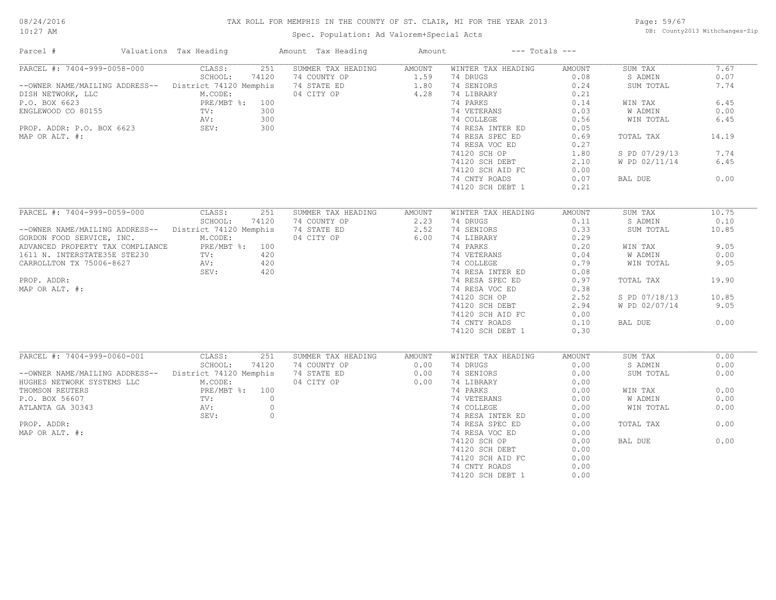#### TAX ROLL FOR MEMPHIS IN THE COUNTY OF ST. CLAIR, MI FOR THE YEAR 2013

10:27 AM

#### Spec. Population: Ad Valorem+Special Acts

Page: 59/67 DB: County2013 Withchanges-Zip

| Parcel #                                               |  | Valuations Tax Heading |         | Amount Tax Heading | Amount           |                    | $---$ Totals $---$ |               |       |
|--------------------------------------------------------|--|------------------------|---------|--------------------|------------------|--------------------|--------------------|---------------|-------|
| PARCEL #: 7404-999-0058-000                            |  | CLASS:                 | 251     | SUMMER TAX HEADING | AMOUNT           | WINTER TAX HEADING | AMOUNT             | SUM TAX       | 7.67  |
|                                                        |  | SCHOOL:                | 74120   | 74 COUNTY OP       | 1.59             | 74 DRUGS           | 0.08               | S ADMIN       | 0.07  |
| --OWNER NAME/MAILING ADDRESS-- District 74120 Memphis  |  |                        |         | 74 STATE ED        | 1.80             | 74 SENIORS         | 0.24               | SUM TOTAL     | 7.74  |
| DISH NETWORK, LLC                                      |  | M.CODE:                |         | 04 CITY OP         | 4.28             | 74 LIBRARY         | 0.21               |               |       |
| P.O. BOX 6623                                          |  | PRE/MBT %: 100         |         |                    |                  | 74 PARKS           | 0.14               | WIN TAX       | 6.45  |
| ENGLEWOOD CO 80155                                     |  | TV:                    | 300     |                    |                  | 74 VETERANS        | 0.03               | W ADMIN       | 0.00  |
|                                                        |  | AV:                    | 300     |                    |                  | 74 COLLEGE         | 0.56               | WIN TOTAL     | 6.45  |
| PROP. ADDR: P.O. BOX 6623                              |  | SEV:                   | 300     |                    |                  | 74 RESA INTER ED   | 0.05               |               |       |
| MAP OR ALT. #:                                         |  |                        |         |                    |                  | 74 RESA SPEC ED    | 0.69               | TOTAL TAX     | 14.19 |
|                                                        |  |                        |         |                    |                  | 74 RESA VOC ED     | 0.27               |               |       |
|                                                        |  |                        |         |                    |                  |                    |                    |               |       |
|                                                        |  |                        |         |                    |                  | 74120 SCH OP       | 1.80               | S PD 07/29/13 | 7.74  |
|                                                        |  |                        |         |                    |                  | 74120 SCH DEBT     | 2.10               | W PD 02/11/14 | 6.45  |
|                                                        |  |                        |         |                    |                  | 74120 SCH AID FC   | 0.00               |               |       |
|                                                        |  |                        |         |                    |                  | 74 CNTY ROADS      | 0.07               | BAL DUE       | 0.00  |
|                                                        |  |                        |         |                    |                  | 74120 SCH DEBT 1   | 0.21               |               |       |
|                                                        |  |                        |         |                    |                  |                    |                    |               |       |
| PARCEL #: 7404-999-0059-000                            |  | CLASS:                 | 251     | SUMMER TAX HEADING | AMOUNT           | WINTER TAX HEADING | AMOUNT             | SUM TAX       | 10.75 |
|                                                        |  | SCHOOL:                | 74120   | 74 COUNTY OP       | 2.23             | 74 DRUGS           | 0.11               | S ADMIN       | 0.10  |
| -- OWNER NAME/MAILING ADDRESS-- District 74120 Memphis |  |                        |         | 74 STATE ED        | 2.52             | 74 SENIORS         | 0.33               | SUM TOTAL     | 10.85 |
| GORDON FOOD SERVICE, INC.                              |  | M.CODE:                |         | 04 CITY OP         | 6.00             | 74 LIBRARY         | 0.29               |               |       |
| ADVANCED PROPERTY TAX COMPLIANCE                       |  | PRE/MBT %: 100         |         |                    |                  | 74 PARKS           | 0.20               | WIN TAX       | 9.05  |
| 1611 N. INTERSTATE35E STE230                           |  | TV:                    | 420     |                    |                  | 74 VETERANS        | 0.04               | W ADMIN       | 0.00  |
|                                                        |  |                        |         |                    |                  |                    |                    |               |       |
| CARROLLTON TX 75006-8627                               |  | AV:                    | 420     |                    |                  | 74 COLLEGE         | 0.79               | WIN TOTAL     | 9.05  |
|                                                        |  | SEV:                   | 420     |                    |                  | 74 RESA INTER ED   | 0.08               |               |       |
| PROP. ADDR:                                            |  |                        |         |                    |                  | 74 RESA SPEC ED    | 0.97               | TOTAL TAX     | 19.90 |
| MAP OR ALT. #:                                         |  |                        |         |                    |                  | 74 RESA VOC ED     | 0.38               |               |       |
|                                                        |  |                        |         |                    |                  | 74120 SCH OP       | 2.52               | S PD 07/18/13 | 10.85 |
|                                                        |  |                        |         |                    |                  | 74120 SCH DEBT     | 2.94               | W PD 02/07/14 | 9.05  |
|                                                        |  |                        |         |                    |                  | 74120 SCH AID FC   | 0.00               |               |       |
|                                                        |  |                        |         |                    |                  | 74 CNTY ROADS      | 0.10               | BAL DUE       | 0.00  |
|                                                        |  |                        |         |                    |                  | 74120 SCH DEBT 1   | 0.30               |               |       |
|                                                        |  |                        |         |                    |                  |                    |                    |               |       |
| PARCEL #: 7404-999-0060-001                            |  | CLASS:                 | 251     | SUMMER TAX HEADING | AMOUNT           | WINTER TAX HEADING | AMOUNT             | SUM TAX       | 0.00  |
|                                                        |  | SCHOOL:                | 74120   | 74 COUNTY OP       | 0.00             | 74 DRUGS           | 0.00               | S ADMIN       | 0.00  |
|                                                        |  |                        |         |                    |                  |                    |                    |               |       |
| --OWNER NAME/MAILING ADDRESS--                         |  | District 74120 Memphis |         | 74 STATE ED        | 0.00             | 74 SENIORS         | 0.00               | SUM TOTAL     | 0.00  |
| HUGHES NETWORK SYSTEMS LLC                             |  | M.CODE:                |         | 04 CITY OP         | 0.00             | 74 LIBRARY         | 0.00               |               |       |
| THOMSON REUTERS                                        |  | PRE/MBT %: 100         |         |                    |                  | 74 PARKS           | 0.00               | WIN TAX       | 0.00  |
| P.O. BOX 56607                                         |  | TV:                    | $\circ$ |                    |                  | 74 VETERANS        | 0.00               | W ADMIN       | 0.00  |
| ATLANTA GA 30343                                       |  | AV:                    | $\circ$ |                    |                  | 74 COLLEGE         | 0.00               | WIN TOTAL     | 0.00  |
|                                                        |  | SEV:                   | $\circ$ |                    |                  | 74 RESA INTER ED   | 0.00               |               |       |
| PROP. ADDR:                                            |  |                        |         |                    |                  | 74 RESA SPEC ED    | 0.00               | TOTAL TAX     | 0.00  |
| MAP OR ALT. #:                                         |  |                        |         |                    | 74 RESA VOC ED   | 0.00               |                    |               |       |
|                                                        |  |                        |         |                    | 74120 SCH OP     | 0.00               | BAL DUE            | 0.00          |       |
|                                                        |  |                        |         |                    | 74120 SCH DEBT   | 0.00               |                    |               |       |
|                                                        |  |                        |         |                    | 74120 SCH AID FC | 0.00               |                    |               |       |
|                                                        |  |                        |         |                    | 74 CNTY ROADS    | 0.00               |                    |               |       |
|                                                        |  |                        |         |                    |                  |                    |                    |               |       |
|                                                        |  |                        |         |                    |                  | 74120 SCH DEBT 1   | 0.00               |               |       |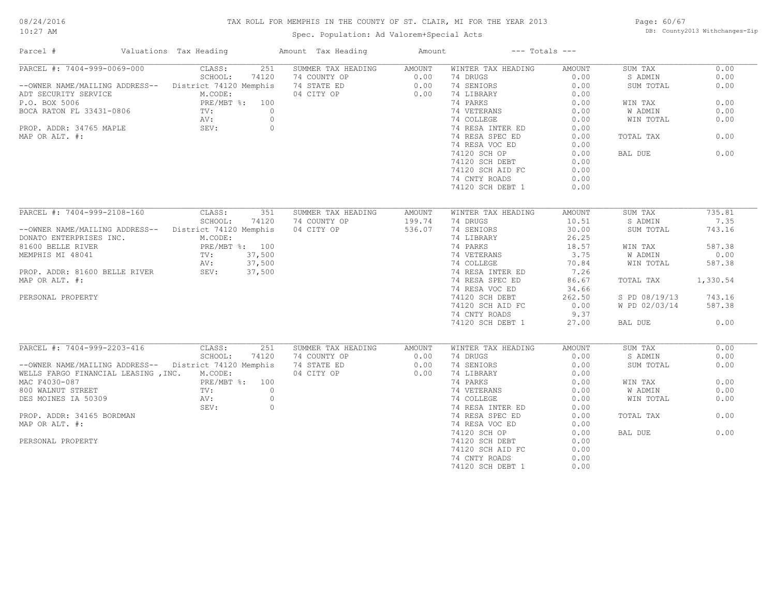#### TAX ROLL FOR MEMPHIS IN THE COUNTY OF ST. CLAIR, MI FOR THE YEAR 2013

10:27 AM

#### Spec. Population: Ad Valorem+Special Acts

Page: 60/67 DB: County2013 Withchanges-Zip

| Parcel #                                                                                                                          | Valuations Tax Heading |                | Amount Tax Heading                                       | Amount           |                                                               | $---$ Totals $---$ |               |          |
|-----------------------------------------------------------------------------------------------------------------------------------|------------------------|----------------|----------------------------------------------------------|------------------|---------------------------------------------------------------|--------------------|---------------|----------|
| PARCEL #: 7404-999-0069-000                                                                                                       | CLASS:                 |                | 251 SUMMER TAX HEADING AMOUNT                            |                  | WINTER TAX HEADING                                            | AMOUNT             | SUM TAX       | 0.00     |
|                                                                                                                                   | SCHOOL:                | 74120          |                                                          |                  | 74 DRUGS                                                      | 0.00               | S ADMIN       | 0.00     |
| --OWNER NAME/MAILING ADDRESS-- District 74120 Memphis                                                                             |                        |                | 74 COUNTY OP 0.00<br>74 STATE ED 0.00<br>04 CITY OP 0.00 |                  | 74 SENIORS                                                    | 0.00               | SUM TOTAL     | 0.00     |
| ADT SECURITY SERVICE                                                                                                              | M.CODE:                |                |                                                          |                  | 74 LIBRARY                                                    | 0.00               |               |          |
| P.O. BOX 5006 PRE/MBT %: 100<br>BOCA RATON FL 33431-0806 TV: 0<br>PROP. ADDR: 34765 MAPLE AV: 0<br>PROP. ADDR: 34765 MAPLE SEV: 0 |                        |                |                                                          |                  | 74 PARKS                                                      | 0.00               | WIN TAX       | 0.00     |
|                                                                                                                                   |                        |                |                                                          |                  | 74 VETERANS                                                   | 0.00               | W ADMIN       | 0.00     |
|                                                                                                                                   |                        |                |                                                          |                  | 74 COLLEGE                                                    | 0.00               | WIN TOTAL     | 0.00     |
|                                                                                                                                   |                        |                |                                                          |                  | 74 RESA INTER ED                                              | 0.00               |               |          |
| MAP OR ALT. #:                                                                                                                    |                        |                |                                                          |                  | 74 RESA SPEC ED                                               | 0.00               | TOTAL TAX     | 0.00     |
|                                                                                                                                   |                        |                |                                                          |                  | 74 RESA VOC ED                                                | 0.00               |               |          |
|                                                                                                                                   |                        |                |                                                          |                  | 74120 SCH OP                                                  | 0.00               | BAL DUE       | 0.00     |
|                                                                                                                                   |                        |                |                                                          |                  |                                                               | 0.00               |               |          |
|                                                                                                                                   |                        |                |                                                          |                  | 74120 SCH DEBT                                                |                    |               |          |
|                                                                                                                                   |                        |                |                                                          |                  | 74120 SCH AID FC                                              | 0.00               |               |          |
|                                                                                                                                   |                        |                |                                                          |                  | 74 CNTY ROADS                                                 | 0.00               |               |          |
|                                                                                                                                   |                        |                |                                                          |                  | 74120 SCH DEBT 1                                              | 0.00               |               |          |
| PARCEL #: 7404-999-2108-160 CLASS:                                                                                                |                        | 351            | SUMMER TAX HEADING                                       |                  |                                                               |                    |               | 735.81   |
|                                                                                                                                   | SCHOOL:                |                |                                                          | AMOUNT           | WINTER TAX HEADING                                            | AMOUNT             | SUM TAX       | 7.35     |
|                                                                                                                                   |                        | 74120          | 74 COUNTY OP                                             | 199.74           | 74 DRUGS                                                      | 10.51              | S ADMIN       |          |
| --OWNER NAME/MAILING ADDRESS-- District 74120 Memphis                                                                             |                        |                | 04 CITY OP 536.07                                        |                  | 74 SENIORS                                                    | 30.00              | SUM TOTAL     | 743.16   |
| DONATO ENTERPRISES INC.                                                                                                           | M.CODE:                |                |                                                          |                  | 74 LIBRARY                                                    | 26.25              |               |          |
|                                                                                                                                   |                        |                |                                                          |                  | 74 PARKS                                                      | 18.57              | WIN TAX       | 587.38   |
|                                                                                                                                   |                        |                |                                                          |                  | 74 VETERANS 3.75<br>74 COLLEGE 70.84<br>74 RESA INTER ED 7.26 |                    | W ADMIN       | 0.00     |
| 91600 BELLE RIVER<br>MEMPHIS MI 48041 TV: 37,500<br>PROP. ADDR: 81600 BELLE RIVER<br>PROP. ADDR: 81600 BELLE RIVER<br>SEV: 37,500 |                        |                |                                                          |                  |                                                               |                    | WIN TOTAL     | 587.38   |
|                                                                                                                                   |                        |                |                                                          |                  |                                                               |                    |               |          |
| MAP OR ALT. #:                                                                                                                    |                        |                |                                                          |                  | 74 RESA SPEC ED                                               | 86.67              | TOTAL TAX     | 1,330.54 |
|                                                                                                                                   |                        |                |                                                          |                  | 74 RESA VOC ED                                                | 34.66              |               |          |
| PERSONAL PROPERTY                                                                                                                 |                        |                |                                                          |                  | 74120 SCH DEBT                                                | 262.50             | S PD 08/19/13 | 743.16   |
|                                                                                                                                   |                        |                |                                                          |                  | 74120 SCH AID FC                                              | 0.00               | W PD 02/03/14 | 587.38   |
|                                                                                                                                   |                        |                |                                                          |                  | 74 CNTY ROADS                                                 | 9.37               |               |          |
|                                                                                                                                   |                        |                |                                                          |                  | 74120 SCH DEBT 1                                              | 27.00              | BAL DUE       | 0.00     |
|                                                                                                                                   |                        |                |                                                          |                  |                                                               |                    |               |          |
| PARCEL #: 7404-999-2203-416                                                                                                       | CLASS:                 | 251            | SUMMER TAX HEADING                                       | AMOUNT           | WINTER TAX HEADING                                            | AMOUNT             | SUM TAX       | 0.00     |
|                                                                                                                                   | SCHOOL:                | 74120          | 74 COUNTY OP                                             | 0.00             | 74 DRUGS                                                      | 0.00               | S ADMIN       | 0.00     |
| --OWNER NAME/MAILING ADDRESS-- District 74120 Memphis                                                                             |                        |                | 74 STATE ED                                              | $0.00$<br>$0.00$ | 74 SENIORS                                                    | 0.00               | SUM TOTAL     | 0.00     |
| WELLS FARGO FINANCIAL LEASING , INC. M.CODE:                                                                                      |                        |                | 04 CITY OP                                               |                  | 74 LIBRARY                                                    | 0.00               |               |          |
| MAC F4030-087                                                                                                                     | PRE/MBT %: 100         |                |                                                          |                  | 74 PARKS                                                      | 0.00               | WIN TAX       | 0.00     |
| 800 WALNUT STREET                                                                                                                 | TV:                    | $\overline{0}$ |                                                          |                  |                                                               | 0.00               | W ADMIN       | 0.00     |
| DES MOINES IA 50309                                                                                                               | AV:                    | $\circ$        |                                                          |                  | 74 VETERANS<br>74 COLLEGE<br>74 RESA INTER ED                 | 0.00               | WIN TOTAL     | 0.00     |
|                                                                                                                                   | SEV:                   | $\circ$        |                                                          |                  |                                                               | 0.00               |               |          |
| PROP. ADDR: 34165 BORDMAN                                                                                                         |                        |                |                                                          |                  | 74 RESA SPEC ED                                               | 0.00               | TOTAL TAX     | 0.00     |
| MAP OR ALT. #:                                                                                                                    |                        |                |                                                          |                  | 74 RESA VOC ED                                                | 0.00               |               |          |
|                                                                                                                                   |                        |                |                                                          |                  | 74120 SCH OP                                                  | 0.00               | BAL DUE       | 0.00     |
| PERSONAL PROPERTY                                                                                                                 |                        |                |                                                          |                  | 74120 SCH DEBT                                                | 0.00               |               |          |
|                                                                                                                                   |                        |                |                                                          |                  | 74120 SCH AID FC                                              | 0.00               |               |          |
|                                                                                                                                   |                        |                |                                                          |                  | 74 CNTY ROADS                                                 | 0.00               |               |          |
|                                                                                                                                   |                        |                |                                                          |                  | 74120 SCH DEBT 1                                              | 0.00               |               |          |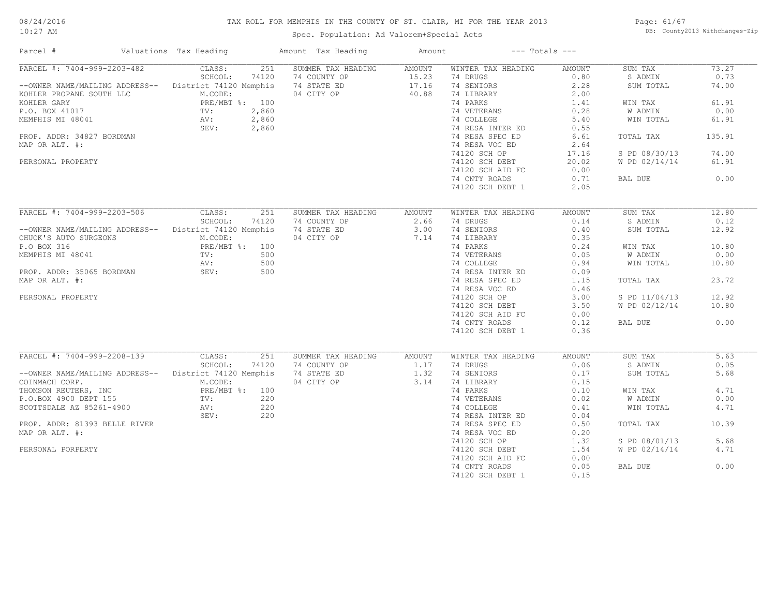#### TAX ROLL FOR MEMPHIS IN THE COUNTY OF ST. CLAIR, MI FOR THE YEAR 2013

10:27 AM

#### Spec. Population: Ad Valorem+Special Acts

Page: 61/67 DB: County2013 Withchanges-Zip

| Parcel #                       | Valuations Tax Heading | Amount Tax Heading | Amount |                    | $---$ Totals $---$ |               |        |
|--------------------------------|------------------------|--------------------|--------|--------------------|--------------------|---------------|--------|
| PARCEL #: 7404-999-2203-482    | 251<br>CLASS:          | SUMMER TAX HEADING | AMOUNT | WINTER TAX HEADING | AMOUNT             | SUM TAX       | 73.27  |
|                                | SCHOOL:<br>74120       | 74 COUNTY OP       | 15.23  | 74 DRUGS           | 0.80               | S ADMIN       | 0.73   |
| --OWNER NAME/MAILING ADDRESS-- | District 74120 Memphis | 74 STATE ED        | 17.16  | 74 SENIORS         | 2.28               | SUM TOTAL     | 74.00  |
| KOHLER PROPANE SOUTH LLC       | M.CODE:                | 04 CITY OP         | 40.88  | 74 LIBRARY         | 2.00               |               |        |
| KOHLER GARY                    | PRE/MBT %: 100         |                    |        | 74 PARKS           | 1.41               | WIN TAX       | 61.91  |
| P.O. BOX 41017                 | 2,860<br>$\text{TV}$ : |                    |        | 74 VETERANS        | 0.28               | W ADMIN       | 0.00   |
| MEMPHIS MI 48041               | 2,860<br>AV:           |                    |        | 74 COLLEGE         | 5.40               | WIN TOTAL     | 61.91  |
|                                | SEV:<br>2,860          |                    |        | 74 RESA INTER ED   | 0.55               |               |        |
| PROP. ADDR: 34827 BORDMAN      |                        |                    |        | 74 RESA SPEC ED    | 6.61               | TOTAL TAX     | 135.91 |
| MAP OR ALT. #:                 |                        |                    |        | 74 RESA VOC ED     | 2.64               |               |        |
|                                |                        |                    |        |                    |                    |               | 74.00  |
|                                |                        |                    |        | 74120 SCH OP       | 17.16              | S PD 08/30/13 |        |
| PERSONAL PROPERTY              |                        |                    |        | 74120 SCH DEBT     | 20.02              | W PD 02/14/14 | 61.91  |
|                                |                        |                    |        | 74120 SCH AID FC   | 0.00               |               |        |
|                                |                        |                    |        | 74 CNTY ROADS      | 0.71               | BAL DUE       | 0.00   |
|                                |                        |                    |        | 74120 SCH DEBT 1   | 2.05               |               |        |
|                                |                        |                    |        |                    |                    |               |        |
| PARCEL #: 7404-999-2203-506    | CLASS:<br>251          | SUMMER TAX HEADING | AMOUNT | WINTER TAX HEADING | AMOUNT             | SUM TAX       | 12.80  |
|                                | SCHOOL:<br>74120       | 74 COUNTY OP       | 2.66   | 74 DRUGS           | 0.14               | S ADMIN       | 0.12   |
| --OWNER NAME/MAILING ADDRESS-- | District 74120 Memphis | 74 STATE ED        | 3.00   | 74 SENIORS         | 0.40               | SUM TOTAL     | 12.92  |
| CHUCK'S AUTO SURGEONS          | M.CODE:                | 04 CITY OP         | 7.14   | 74 LIBRARY         | 0.35               |               |        |
| P.O BOX 316                    | PRE/MBT %: 100         |                    |        | 74 PARKS           | 0.24               | WIN TAX       | 10.80  |
| MEMPHIS MI 48041               | 500<br>TV:             |                    |        | 74 VETERANS        | 0.05               | W ADMIN       | 0.00   |
|                                | 500<br>AV:             |                    |        | 74 COLLEGE         | 0.94               | WIN TOTAL     | 10.80  |
| PROP. ADDR: 35065 BORDMAN      | 500<br>SEV:            |                    |        | 74 RESA INTER ED   | 0.09               |               |        |
| MAP OR ALT. #:                 |                        |                    |        |                    | 1.15               |               | 23.72  |
|                                |                        |                    |        | 74 RESA SPEC ED    |                    | TOTAL TAX     |        |
|                                |                        |                    |        | 74 RESA VOC ED     | 0.46               |               |        |
| PERSONAL PROPERTY              |                        |                    |        | 74120 SCH OP       | 3.00               | S PD 11/04/13 | 12.92  |
|                                |                        |                    |        | 74120 SCH DEBT     | 3.50               | W PD 02/12/14 | 10.80  |
|                                |                        |                    |        | 74120 SCH AID FC   | 0.00               |               |        |
|                                |                        |                    |        | 74 CNTY ROADS      | 0.12               | BAL DUE       | 0.00   |
|                                |                        |                    |        | 74120 SCH DEBT 1   | 0.36               |               |        |
|                                |                        |                    |        |                    |                    |               |        |
| PARCEL #: 7404-999-2208-139    | CLASS:<br>251          | SUMMER TAX HEADING | AMOUNT | WINTER TAX HEADING | AMOUNT             | SUM TAX       | 5.63   |
|                                | SCHOOL:<br>74120       | 74 COUNTY OP       | 1.17   | 74 DRUGS           | 0.06               | S ADMIN       | 0.05   |
| --OWNER NAME/MAILING ADDRESS-- | District 74120 Memphis | 74 STATE ED        | 1.32   | 74 SENIORS         | 0.17               | SUM TOTAL     | 5.68   |
| COINMACH CORP.                 | M.CODE:                | 04 CITY OP         | 3.14   | 74 LIBRARY         | 0.15               |               |        |
| THOMSON REUTERS, INC           | PRE/MBT %: 100         |                    |        | 74 PARKS           | 0.10               | WIN TAX       | 4.71   |
| P.O.BOX 4900 DEPT 155          | 220<br>$\text{TV}$ :   |                    |        | 74 VETERANS        | 0.02               | W ADMIN       | 0.00   |
| SCOTTSDALE AZ 85261-4900       | 220<br>AV:             |                    |        | 74 COLLEGE         | 0.41               | WIN TOTAL     | 4.71   |
|                                | 220<br>SEV:            |                    |        | 74 RESA INTER ED   | 0.04               |               |        |
|                                |                        |                    |        |                    |                    |               | 10.39  |
| PROP. ADDR: 81393 BELLE RIVER  |                        |                    |        | 74 RESA SPEC ED    | 0.50               | TOTAL TAX     |        |
| MAP OR ALT. #:                 |                        |                    |        | 74 RESA VOC ED     | 0.20               |               |        |
|                                |                        |                    |        | 74120 SCH OP       | 1.32               | S PD 08/01/13 | 5.68   |
| PERSONAL PORPERTY              |                        |                    |        | 74120 SCH DEBT     | 1.54               | W PD 02/14/14 | 4.71   |
|                                |                        |                    |        | 74120 SCH AID FC   | 0.00               |               |        |
|                                |                        |                    |        | 74 CNTY ROADS      | 0.05               | BAL DUE       | 0.00   |
|                                |                        |                    |        | 74120 SCH DEBT 1   | 0.15               |               |        |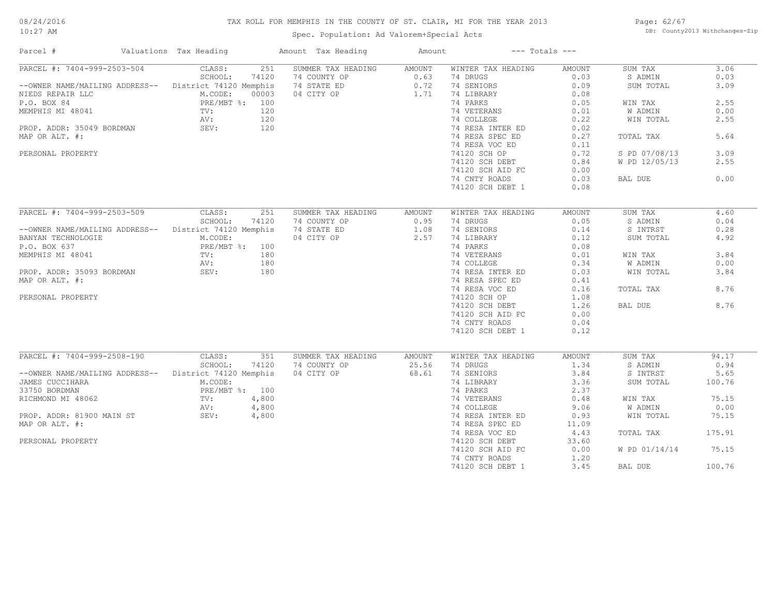#### TAX ROLL FOR MEMPHIS IN THE COUNTY OF ST. CLAIR, MI FOR THE YEAR 2013

10:27 AM

#### Spec. Population: Ad Valorem+Special Acts

Page: 62/67 DB: County2013 Withchanges-Zip

| Parcel #                                               | Valuations Tax Heading | Amount Tax Heading | Amount         | $---$ Totals $---$ |        |                    |        |
|--------------------------------------------------------|------------------------|--------------------|----------------|--------------------|--------|--------------------|--------|
| PARCEL #: 7404-999-2503-504                            | 251<br>CLASS:          | SUMMER TAX HEADING | AMOUNT         | WINTER TAX HEADING | AMOUNT | SUM TAX            | 3.06   |
|                                                        | SCHOOL:<br>74120       | 74 COUNTY OP       | 0.63           | 74 DRUGS           | 0.03   | S ADMIN            | 0.03   |
| -- OWNER NAME/MAILING ADDRESS-- District 74120 Memphis |                        | 74 STATE ED        | 0.72           | 74 SENIORS         | 0.09   | SUM TOTAL          | 3.09   |
| NIEDS REPAIR LLC                                       | M.CODE:<br>00003       | 04 CITY OP         | 1.71           | 74 LIBRARY         | 0.08   |                    |        |
| P.O. BOX 84                                            | PRE/MBT %: 100         |                    |                | 74 PARKS           | 0.05   | WIN TAX            | 2.55   |
| MEMPHIS MI 48041                                       | TV:<br>120             |                    |                | 74 VETERANS        | 0.01   | W ADMIN            | 0.00   |
|                                                        | AV:<br>120             |                    |                | 74 COLLEGE         | 0.22   | WIN TOTAL          | 2.55   |
| PROP. ADDR: 35049 BORDMAN SEV:                         | 120                    |                    |                | 74 RESA INTER ED   | 0.02   |                    |        |
| MAP OR ALT. #:                                         |                        |                    |                | 74 RESA SPEC ED    | 0.27   | TOTAL TAX          | 5.64   |
|                                                        |                        |                    |                | 74 RESA VOC ED     | 0.11   |                    |        |
| PERSONAL PROPERTY                                      |                        |                    |                | 74120 SCH OP       | 0.72   | S PD 07/08/13      | 3.09   |
|                                                        |                        |                    |                | 74120 SCH DEBT     | 0.84   | W PD 12/05/13      | 2.55   |
|                                                        |                        |                    |                | 74120 SCH AID FC   | 0.00   |                    |        |
|                                                        |                        |                    |                |                    |        |                    | 0.00   |
|                                                        |                        |                    |                | 74 CNTY ROADS      | 0.03   | BAL DUE            |        |
|                                                        |                        |                    |                | 74120 SCH DEBT 1   | 0.08   |                    |        |
| PARCEL #: 7404-999-2503-509 CLASS:                     | 251                    | SUMMER TAX HEADING |                | WINTER TAX HEADING | AMOUNT |                    | 4.60   |
|                                                        | SCHOOL:<br>74120       | 74 COUNTY OP       | AMOUNT<br>0.95 | 74 DRUGS           | 0.05   | SUM TAX<br>S ADMIN | 0.04   |
|                                                        |                        |                    |                |                    |        |                    |        |
| --OWNER NAME/MAILING ADDRESS-- District 74120 Memphis  |                        | 74 STATE ED        | 1.08           | 74 SENIORS         | 0.14   | S INTRST           | 0.28   |
| BANYAN TECHNOLOGIE                                     | M.CODE:                | 04 CITY OP         | 2.57           | 74 LIBRARY         | 0.12   | SUM TOTAL          | 4.92   |
| P.O. BOX 637                                           | PRE/MBT %: 100         |                    |                | 74 PARKS           | 0.08   |                    |        |
| MEMPHIS MI 48041                                       | TV:<br>180             |                    |                | 74 VETERANS        | 0.01   | WIN TAX            | 3.84   |
|                                                        | 180<br>AV:             |                    |                | 74 COLLEGE         | 0.34   | W ADMIN            | 0.00   |
| PROP. ADDR: 35093 BORDMAN                              | SEV:<br>180            |                    |                | 74 RESA INTER ED   | 0.03   | WIN TOTAL          | 3.84   |
| MAP OR ALT. #:                                         |                        |                    |                | 74 RESA SPEC ED    | 0.41   |                    |        |
|                                                        |                        |                    |                | 74 RESA VOC ED     | 0.16   | TOTAL TAX          | 8.76   |
| PERSONAL PROPERTY                                      |                        |                    |                | 74120 SCH OP       | 1.08   |                    |        |
|                                                        |                        |                    |                | 74120 SCH DEBT     | 1.26   | BAL DUE            | 8.76   |
|                                                        |                        |                    |                | 74120 SCH AID FC   | 0.00   |                    |        |
|                                                        |                        |                    |                | 74 CNTY ROADS      | 0.04   |                    |        |
|                                                        |                        |                    |                | 74120 SCH DEBT 1   | 0.12   |                    |        |
|                                                        |                        |                    |                |                    |        |                    |        |
| PARCEL #: 7404-999-2508-190                            | CLASS:<br>351          | SUMMER TAX HEADING | AMOUNT         | WINTER TAX HEADING | AMOUNT | SUM TAX            | 94.17  |
|                                                        | SCHOOL:<br>74120       | 74 COUNTY OP       | 25.56          | 74 DRUGS           | 1.34   | S ADMIN            | 0.94   |
| --OWNER NAME/MAILING ADDRESS-- District 74120 Memphis  |                        | 04 CITY OP         | 68.61          | 74 SENIORS         | 3.84   | S INTRST           | 5.65   |
| JAMES CUCCIHARA                                        | M.CODE:                |                    |                | 74 LIBRARY         | 3.36   | SUM TOTAL          | 100.76 |
| 33750 BORDMAN                                          | PRE/MBT %: 100         |                    |                | 74 PARKS           | 2.37   |                    |        |
| RICHMOND MI 48062                                      | TV:<br>4,800           |                    |                | 74 VETERANS        | 0.48   | WIN TAX            | 75.15  |
|                                                        | 4,800<br>AV:           |                    |                | 74 COLLEGE         | 9.06   | W ADMIN            | 0.00   |
| PROP. ADDR: 81900 MAIN ST                              | SEV:<br>4,800          |                    |                | 74 RESA INTER ED   | 0.93   | WIN TOTAL          | 75.15  |
| MAP OR ALT. #:                                         |                        |                    |                | 74 RESA SPEC ED    | 11.09  |                    |        |
|                                                        |                        |                    |                | 74 RESA VOC ED     | 4.43   | TOTAL TAX          | 175.91 |
| PERSONAL PROPERTY                                      |                        |                    |                | 74120 SCH DEBT     | 33.60  |                    |        |
|                                                        |                        |                    |                | 74120 SCH AID FC   | 0.00   | W PD 01/14/14      | 75.15  |
|                                                        |                        |                    |                | 74 CNTY ROADS      | 1,20   |                    |        |
|                                                        |                        |                    |                | 74120 SCH DEBT 1   | 3.45   | BAL DUE            | 100.76 |
|                                                        |                        |                    |                |                    |        |                    |        |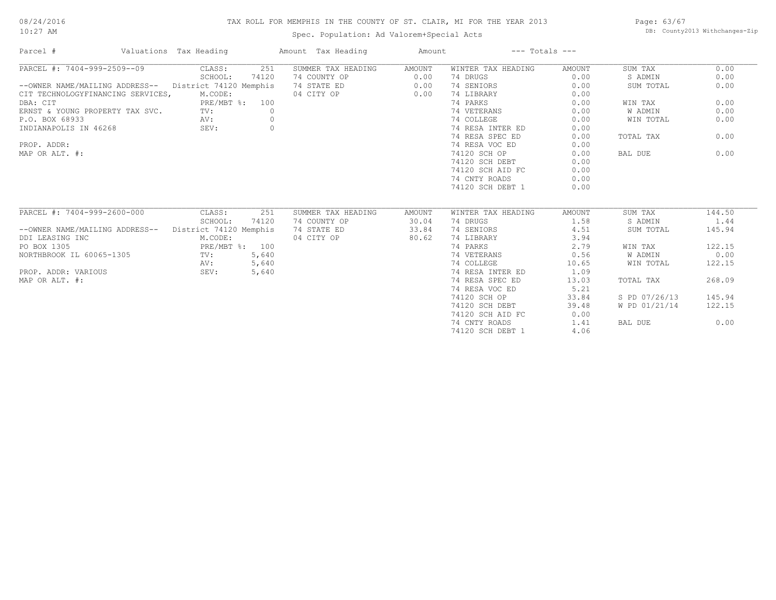#### 10:27 AM

#### TAX ROLL FOR MEMPHIS IN THE COUNTY OF ST. CLAIR, MI FOR THE YEAR 2013

Page: 63/67 DB: County2013 Withchanges-Zip

| Parcel #                          | Valuations Tax Heading | Amount Tax Heading        | Amount        | $---$ Totals $---$ |               |               |        |
|-----------------------------------|------------------------|---------------------------|---------------|--------------------|---------------|---------------|--------|
| PARCEL #: 7404-999-2509--09       | CLASS:<br>251          | SUMMER TAX HEADING        | AMOUNT        | WINTER TAX HEADING | AMOUNT        | SUM TAX       | 0.00   |
|                                   | SCHOOL:<br>74120       | 74 COUNTY OP              | 0.00          | 74 DRUGS           | 0.00          | S ADMIN       | 0.00   |
| --OWNER NAME/MAILING ADDRESS--    | District 74120 Memphis | 74 STATE ED               | 0.00          | 74 SENIORS         | 0.00          | SUM TOTAL     | 0.00   |
| CIT TECHNOLOGYFINANCING SERVICES, | M.CODE:                | 04 CITY OP                | 0.00          | 74 LIBRARY         | 0.00          |               |        |
| DBA: CIT                          | PRE/MBT %:<br>100      |                           |               | 74 PARKS           | 0.00          | WIN TAX       | 0.00   |
| ERNST & YOUNG PROPERTY TAX SVC.   | TV:                    | $\circ$                   |               | 74 VETERANS        | 0.00          | W ADMIN       | 0.00   |
| P.O. BOX 68933                    | AV:                    | $\circ$                   |               | 74 COLLEGE         | 0.00          | WIN TOTAL     | 0.00   |
| INDIANAPOLIS IN 46268             | SEV:                   | $\circ$                   |               | 74 RESA INTER ED   | 0.00          |               |        |
|                                   |                        |                           |               | 74 RESA SPEC ED    | 0.00          | TOTAL TAX     | 0.00   |
| PROP. ADDR:                       |                        |                           |               | 74 RESA VOC ED     | 0.00          |               |        |
| MAP OR ALT. #:                    |                        |                           |               | 74120 SCH OP       | 0.00          | BAL DUE       | 0.00   |
|                                   |                        |                           |               | 74120 SCH DEBT     | 0.00          |               |        |
|                                   |                        |                           |               | 74120 SCH AID FC   | 0.00          |               |        |
|                                   |                        |                           |               | 74 CNTY ROADS      | 0.00          |               |        |
|                                   |                        |                           |               | 74120 SCH DEBT 1   | 0.00          |               |        |
|                                   |                        |                           |               |                    |               |               |        |
| PARCEL #: 7404-999-2600-000       | CLASS:                 | 251<br>SUMMER TAX HEADING | <b>AMOUNT</b> | WINTER TAX HEADING | <b>AMOUNT</b> | SUM TAX       | 144.50 |
|                                   | 74120<br>SCHOOL:       | 74 COUNTY OP              | 30.04         | 74 DRUGS           | 1.58          | S ADMIN       | 1.44   |
| --OWNER NAME/MAILING ADDRESS--    | District 74120 Memphis | 74 STATE ED               | 33.84         | 74 SENIORS         | 4.51          | SUM TOTAL     | 145.94 |
| DDI LEASING INC                   | M.CODE:                | 04 CITY OP                | 80.62         | 74 LIBRARY         | 3.94          |               |        |
| PO BOX 1305                       | PRE/MBT %: 100         |                           |               | 74 PARKS           | 2.79          | WIN TAX       | 122.15 |
| NORTHBROOK IL 60065-1305          | 5,640<br>TV:           |                           |               | 74 VETERANS        | 0.56          | W ADMIN       | 0.00   |
|                                   | 5,640<br>AV:           |                           |               | 74 COLLEGE         | 10.65         | WIN TOTAL     | 122.15 |
| PROP. ADDR: VARIOUS               | 5,640<br>SEV:          |                           |               | 74 RESA INTER ED   | 1.09          |               |        |
| MAP OR ALT. #:                    |                        |                           |               | 74 RESA SPEC ED    | 13.03         | TOTAL TAX     | 268.09 |
|                                   |                        |                           |               | 74 RESA VOC ED     | 5.21          |               |        |
|                                   |                        |                           |               | 74120 SCH OP       | 33.84         | S PD 07/26/13 | 145.94 |
|                                   |                        |                           |               | 74120 SCH DEBT     | 39.48         | W PD 01/21/14 | 122.15 |
|                                   |                        |                           |               | 74120 SCH AID FC   | 0.00          |               |        |
|                                   |                        |                           |               | 74 CNTY ROADS      | 1.41          | BAL DUE       | 0.00   |
|                                   |                        |                           |               | 74120 SCH DEBT 1   | 4.06          |               |        |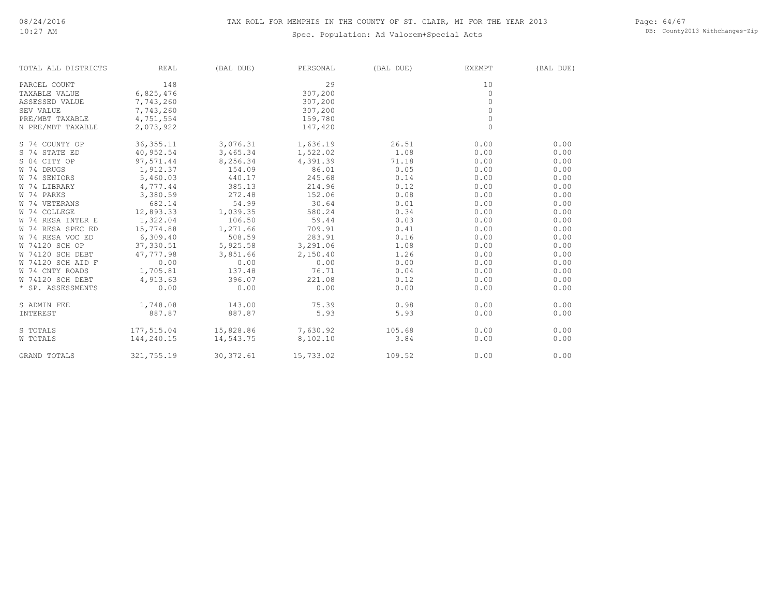#### Spec. Population: Ad Valorem+Special Acts

Page: 64/67 DB: County2013 Withchanges-Zip

| TOTAL ALL DISTRICTS | REAL        | (BAL DUE)  | PERSONAL  | (BAL DUE) | <b>EXEMPT</b> | (BAL DUE) |
|---------------------|-------------|------------|-----------|-----------|---------------|-----------|
| PARCEL COUNT        | 148         |            | 2.9       |           | 10            |           |
| TAXABLE VALUE       | 6,825,476   |            | 307,200   |           | $\mathbf{0}$  |           |
| ASSESSED VALUE      | 7,743,260   |            | 307,200   |           | $\mathbf{0}$  |           |
| SEV VALUE           | 7,743,260   |            | 307,200   |           | $\Omega$      |           |
| PRE/MBT TAXABLE     | 4,751,554   |            | 159,780   |           | $\mathbf{0}$  |           |
| N PRE/MBT TAXABLE   | 2,073,922   |            | 147,420   |           | $\circ$       |           |
| S 74 COUNTY OP      | 36, 355. 11 | 3,076.31   | 1,636.19  | 26.51     | 0.00          | 0.00      |
| S 74 STATE ED       | 40,952.54   | 3,465.34   | 1,522.02  | 1.08      | 0.00          | 0.00      |
| S 04 CITY OP        | 97,571.44   | 8,256.34   | 4,391.39  | 71.18     | 0.00          | 0.00      |
| W 74 DRUGS          | 1,912.37    | 154.09     | 86.01     | 0.05      | 0.00          | 0.00      |
| W 74 SENIORS        | 5,460.03    | 440.17     | 245.68    | 0.14      | 0.00          | 0.00      |
| W 74 LIBRARY        | 4,777.44    | 385.13     | 214.96    | 0.12      | 0.00          | 0.00      |
| W 74 PARKS          | 3,380.59    | 272.48     | 152.06    | 0.08      | 0.00          | 0.00      |
| W 74 VETERANS       | 682.14      | 54.99      | 30.64     | 0.01      | 0.00          | 0.00      |
| W 74 COLLEGE        | 12,893.33   | 1,039.35   | 580.24    | 0.34      | 0.00          | 0.00      |
| W 74 RESA INTER E   | 1,322.04    | 106.50     | 59.44     | 0.03      | 0.00          | 0.00      |
| W 74 RESA SPEC ED   | 15,774.88   | 1,271.66   | 709.91    | 0.41      | 0.00          | 0.00      |
| W 74 RESA VOC ED    | 6,309.40    | 508.59     | 283.91    | 0.16      | 0.00          | 0.00      |
| W 74120 SCH OP      | 37,330.51   | 5,925.58   | 3,291.06  | 1.08      | 0.00          | 0.00      |
| W 74120 SCH DEBT    | 47,777.98   | 3,851.66   | 2,150.40  | 1.26      | 0.00          | 0.00      |
| W 74120 SCH AID F   | 0.00        | 0.00       | 0.00      | 0.00      | 0.00          | 0.00      |
| W 74 CNTY ROADS     | 1,705.81    | 137.48     | 76.71     | 0.04      | 0.00          | 0.00      |
| W 74120 SCH DEBT    | 4,913.63    | 396.07     | 221.08    | 0.12      | 0.00          | 0.00      |
| * SP. ASSESSMENTS   | 0.00        | 0.00       | 0.00      | 0.00      | 0.00          | 0.00      |
| S ADMIN FEE         | 1,748.08    | 143.00     | 75.39     | 0.98      | 0.00          | 0.00      |
| INTEREST            | 887.87      | 887.87     | 5.93      | 5.93      | 0.00          | 0.00      |
| S TOTALS            | 177,515.04  | 15,828.86  | 7,630.92  | 105.68    | 0.00          | 0.00      |
| W TOTALS            | 144,240.15  | 14,543.75  | 8,102.10  | 3.84      | 0.00          | 0.00      |
| GRAND TOTALS        | 321,755.19  | 30, 372.61 | 15,733.02 | 109.52    | 0.00          | 0.00      |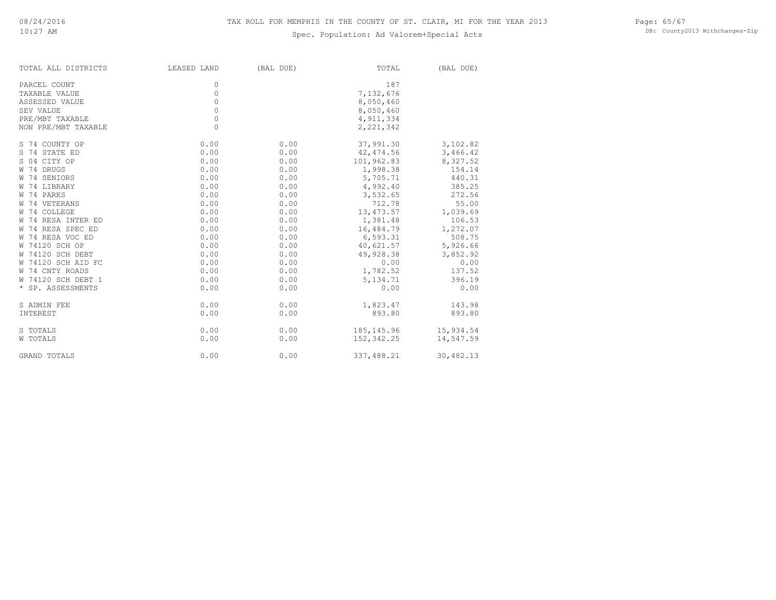| TOTAL ALL DISTRICTS | LEASED LAND | (BAL DUE) | TOTAL       | (BAL DUE) |
|---------------------|-------------|-----------|-------------|-----------|
| PARCEL COUNT        | 0           |           | 187         |           |
| TAXABLE VALUE       | $\circ$     |           | 7,132,676   |           |
| ASSESSED VALUE      | $\circ$     |           | 8,050,460   |           |
| SEV VALUE           | $\circ$     |           | 8,050,460   |           |
| PRE/MBT TAXABLE     | $\circ$     |           | 4, 911, 334 |           |
| NON PRE/MBT TAXABLE | $\Omega$    |           | 2, 221, 342 |           |
| S 74 COUNTY OP      | 0.00        | 0.00      | 37,991.30   | 3,102.82  |
| S 74 STATE ED       | 0.00        | 0.00      | 42, 474.56  | 3,466.42  |
| S 04 CITY OP        | 0.00        | 0.00      | 101,962.83  | 8,327.52  |
| W 74 DRUGS          | 0.00        | 0.00      | 1,998.38    | 154.14    |
| W 74 SENIORS        | 0.00        | 0.00      | 5,705.71    | 440.31    |
| W 74 LIBRARY        | 0.00        | 0.00      | 4,992.40    | 385.25    |
| W 74 PARKS          | 0.00        | 0.00      | 3,532.65    | 272.56    |
| W 74 VETERANS       | 0.00        | 0.00      | 712.78      | 55.00     |
| W 74 COLLEGE        | 0.00        | 0.00      | 13, 473.57  | 1,039.69  |
| W 74 RESA INTER ED  | 0.00        | 0.00      | 1,381.48    | 106.53    |
| W 74 RESA SPEC ED   | 0.00        | 0.00      | 16,484.79   | 1,272.07  |
| W 74 RESA VOC ED    | 0.00        | 0.00      | 6,593.31    | 508.75    |
| W 74120 SCH OP      | 0.00        | 0.00      | 40,621.57   | 5,926.66  |
| W 74120 SCH DEBT    | 0.00        | 0.00      | 49,928.38   | 3,852.92  |
| W 74120 SCH AID FC  | 0.00        | 0.00      | 0.00        | 0.00      |
| W 74 CNTY ROADS     | 0.00        | 0.00      | 1,782.52    | 137.52    |
| W 74120 SCH DEBT 1  | 0.00        | 0.00      | 5, 134. 71  | 396.19    |
| * SP. ASSESSMENTS   | 0.00        | 0.00      | 0.00        | 0.00      |
| S ADMIN FEE         | 0.00        | 0.00      | 1,823.47    | 143.98    |
| <b>INTEREST</b>     | 0.00        | 0.00      | 893.80      | 893.80    |
| S TOTALS            | 0.00        | 0.00      | 185, 145.96 | 15,934.54 |
| W TOTALS            | 0.00        | 0.00      | 152,342.25  | 14,547.59 |
| <b>GRAND TOTALS</b> | 0.00        | 0.00      | 337,488.21  | 30,482.13 |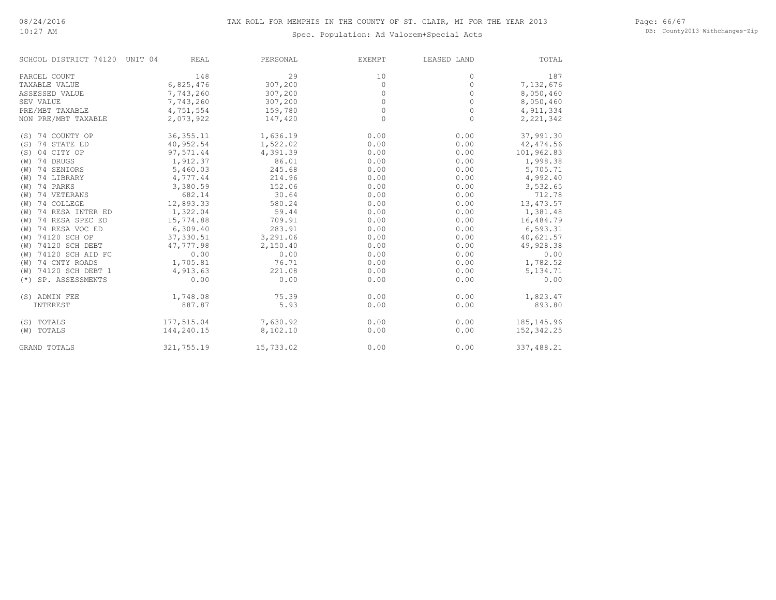#### Page: 66/67 DB: County2013 Withchanges-Zip

| SCHOOL DISTRICT 74120 UNIT 04 | <b>REAL</b> | PERSONAL  | EXEMPT   | LEASED LAND | TOTAL       |
|-------------------------------|-------------|-----------|----------|-------------|-------------|
| PARCEL COUNT                  | 148         | 29        | 10       | 0           | 187         |
| TAXABLE VALUE                 | 6,825,476   | 307,200   | 0        | $\circ$     | 7,132,676   |
| ASSESSED VALUE                | 7,743,260   | 307,200   | $\circ$  | 0           | 8,050,460   |
| SEV VALUE                     | 7,743,260   | 307,200   | $\circ$  | $\circ$     | 8,050,460   |
| PRE/MBT TAXABLE               | 4,751,554   | 159,780   | 0        | $\circ$     | 4, 911, 334 |
| NON PRE/MBT TAXABLE           | 2,073,922   | 147,420   | $\Omega$ | $\circ$     | 2,221,342   |
| (S) 74 COUNTY OP              | 36, 355.11  | 1,636.19  | 0.00     | 0.00        | 37,991.30   |
| (S) 74 STATE ED               | 40,952.54   | 1,522.02  | 0.00     | 0.00        | 42, 474.56  |
| 04 CITY OP<br>(S)             | 97,571.44   | 4,391.39  | 0.00     | 0.00        | 101,962.83  |
| (W) 74 DRUGS                  | 1,912.37    | 86.01     | 0.00     | 0.00        | 1,998.38    |
| 74 SENIORS<br>(W)             | 5,460.03    | 245.68    | 0.00     | 0.00        | 5,705.71    |
| (W) 74 LIBRARY                | 4,777.44    | 214.96    | 0.00     | 0.00        | 4,992.40    |
| $(W)$ 74 PARKS                | 3,380.59    | 152.06    | 0.00     | 0.00        | 3,532.65    |
| (W) 74 VETERANS               | 682.14      | 30.64     | 0.00     | 0.00        | 712.78      |
| 74 COLLEGE<br>(W)             | 12,893.33   | 580.24    | 0.00     | 0.00        | 13, 473.57  |
| 74 RESA INTER ED<br>(W)       | 1,322.04    | 59.44     | 0.00     | 0.00        | 1,381.48    |
| 74 RESA SPEC ED<br>(W)        | 15,774.88   | 709.91    | 0.00     | 0.00        | 16,484.79   |
| 74 RESA VOC ED<br>(W)         | 6,309.40    | 283.91    | 0.00     | 0.00        | 6,593.31    |
| 74120 SCH OP<br>(W)           | 37, 330.51  | 3,291.06  | 0.00     | 0.00        | 40,621.57   |
| 74120 SCH DEBT<br>(W)         | 47,777.98   | 2,150.40  | 0.00     | 0.00        | 49,928.38   |
| 74120 SCH AID FC<br>(W)       | 0.00        | 0.00      | 0.00     | 0.00        | 0.00        |
| 74 CNTY ROADS<br>(W)          | 1,705.81    | 76.71     | 0.00     | 0.00        | 1,782.52    |
| 74120 SCH DEBT 1<br>(W)       | 4,913.63    | 221.08    | 0.00     | 0.00        | 5, 134. 71  |
| SP. ASSESSMENTS<br>$(*)$      | 0.00        | 0.00      | 0.00     | 0.00        | 0.00        |
| (S) ADMIN FEE                 | 1,748.08    | 75.39     | 0.00     | 0.00        | 1,823.47    |
| INTEREST                      | 887.87      | 5.93      | 0.00     | 0.00        | 893.80      |
| (S) TOTALS                    | 177,515.04  | 7,630.92  | 0.00     | 0.00        | 185, 145.96 |
| (W) TOTALS                    | 144,240.15  | 8,102.10  | 0.00     | 0.00        | 152,342.25  |
| <b>GRAND TOTALS</b>           | 321,755.19  | 15,733.02 | 0.00     | 0.00        | 337,488.21  |